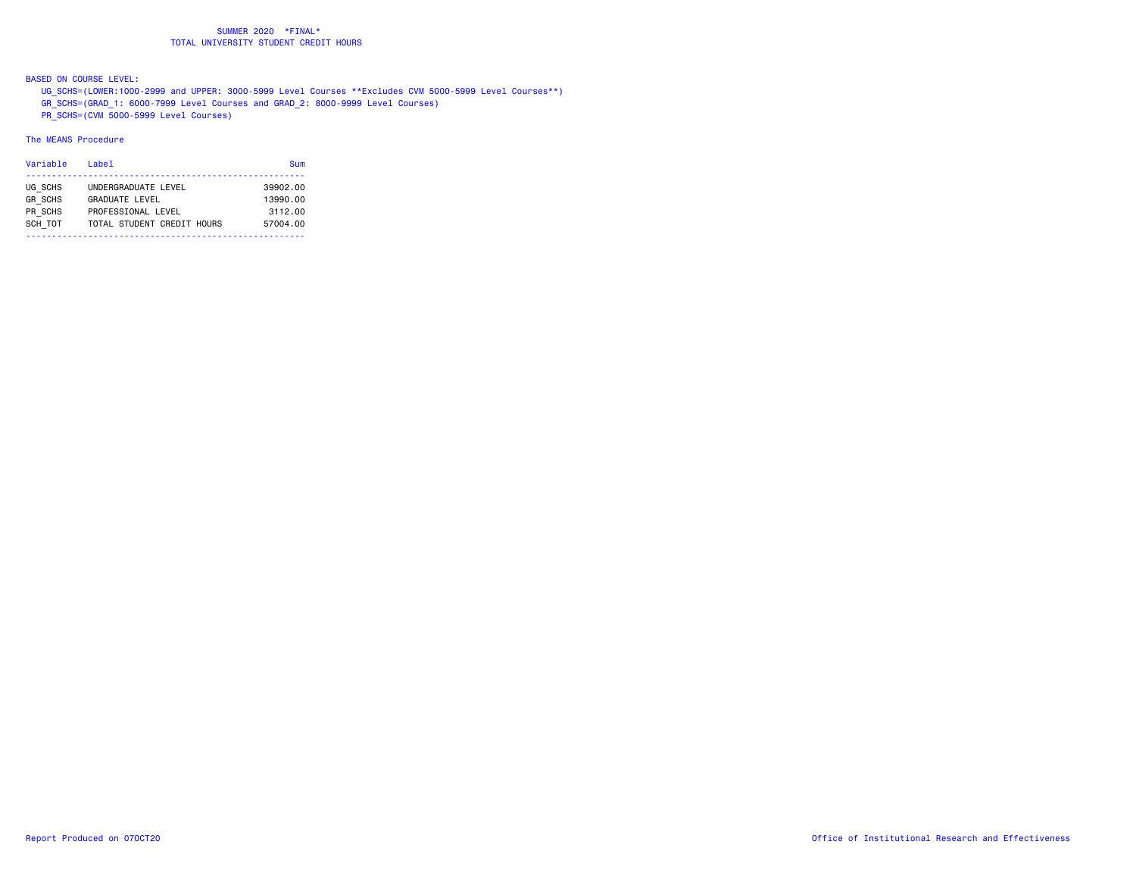BASED ON COURSE LEVEL:

UG\_SCHS=(LOWER:1000-2999 and UPPER: 3000-5999 Level Courses \*\*Excludes CVM 5000-5999 Level Courses\*\*)

GR\_SCHS=(GRAD\_1: 6000-7999 Level Courses and GRAD\_2: 8000-9999 Level Courses)

PR\_SCHS=(CVM 5000-5999 Level Courses)

| Variable                                        | Label                                                                                     | Sum                                         |
|-------------------------------------------------|-------------------------------------------------------------------------------------------|---------------------------------------------|
| UG SCHS<br><b>GR SCHS</b><br>PR SCHS<br>SCH TOT | UNDERGRADUATE LEVEL<br>GRADUATE LEVEL<br>PROFFSSIONAL LEVEL<br>TOTAL STUDENT CREDIT HOURS | 39902.00<br>13990.00<br>3112.00<br>57004.00 |
|                                                 |                                                                                           |                                             |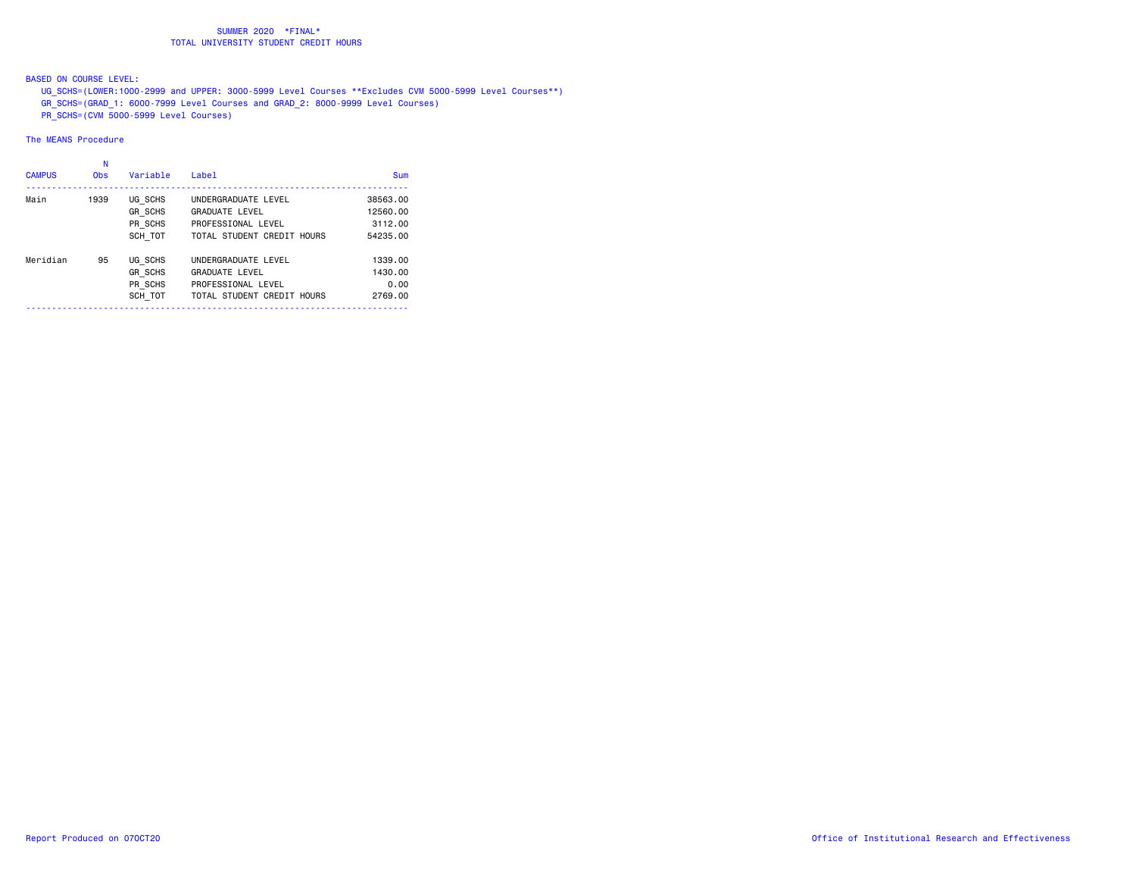BASED ON COURSE LEVEL:

UG\_SCHS=(LOWER:1000-2999 and UPPER: 3000-5999 Level Courses \*\*Excludes CVM 5000-5999 Level Courses\*\*)

- GR\_SCHS=(GRAD\_1: 6000-7999 Level Courses and GRAD\_2: 8000-9999 Level Courses)
- PR\_SCHS=(CVM 5000-5999 Level Courses)

| <b>CAMPUS</b> | N<br><b>Obs</b> | Variable       | Labe <sub>1</sub>          | Sum      |
|---------------|-----------------|----------------|----------------------------|----------|
| Main          | 1939            | UG SCHS        | UNDERGRADUATE LEVEL        | 38563.00 |
|               |                 | <b>GR SCHS</b> | <b>GRADUATE LEVEL</b>      | 12560.00 |
|               |                 | PR SCHS        | PROFESSIONAL LEVEL         | 3112.00  |
|               |                 | SCH TOT        | TOTAL STUDENT CREDIT HOURS | 54235.00 |
| Meridian      | 95              | UG SCHS        | UNDERGRADUATE LEVEL        | 1339.00  |
|               |                 | <b>GR SCHS</b> | <b>GRADUATE LEVEL</b>      | 1430.00  |
|               |                 | PR SCHS        | PROFESSIONAL LEVEL         | 0.00     |
|               |                 | SCH TOT        | TOTAL STUDENT CREDIT HOURS | 2769.00  |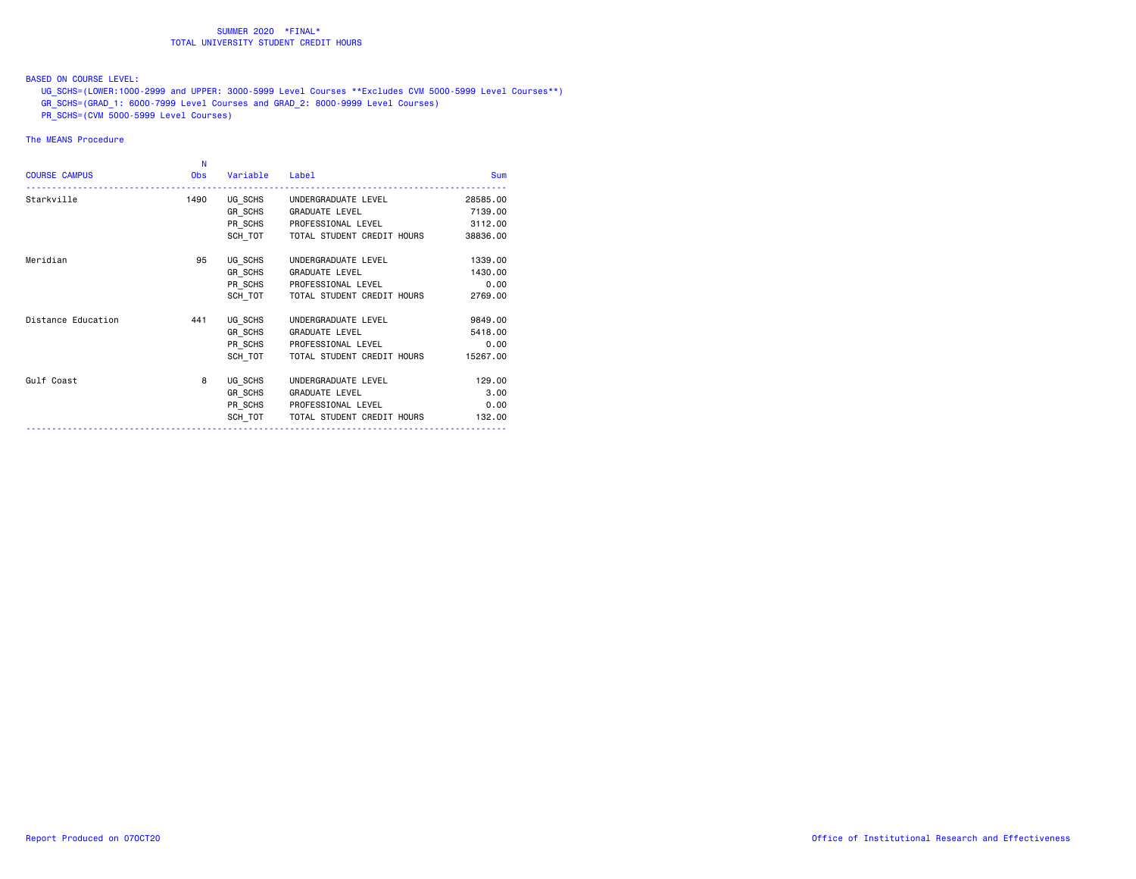### BASED ON COURSE LEVEL:

UG\_SCHS=(LOWER:1000-2999 and UPPER: 3000-5999 Level Courses \*\*Excludes CVM 5000-5999 Level Courses\*\*)

- GR\_SCHS=(GRAD\_1: 6000-7999 Level Courses and GRAD\_2: 8000-9999 Level Courses)
- PR\_SCHS=(CVM 5000-5999 Level Courses)

| <b>COURSE CAMPUS</b> | N<br><b>Obs</b> | Variable | Label                       | <b>Sum</b> |
|----------------------|-----------------|----------|-----------------------------|------------|
| Starkville           | 1490            |          | UG SCHS UNDERGRADUATE LEVEL | 28585.00   |
|                      |                 | GR SCHS  | <b>GRADUATE LEVEL</b>       | 7139.00    |
|                      |                 |          | PR SCHS PROFESSIONAL LEVEL  | 3112.00    |
|                      |                 | SCH TOT  | TOTAL STUDENT CREDIT HOURS  | 38836.00   |
| Meridian             | 95              | UG SCHS  | UNDERGRADUATE LEVEL         | 1339.00    |
|                      |                 | GR SCHS  | <b>GRADUATE LEVEL</b>       | 1430.00    |
|                      |                 | PR SCHS  | PROFESSIONAL LEVEL          | 0.00       |
|                      |                 | SCH TOT  | TOTAL STUDENT CREDIT HOURS  | 2769.00    |
| Distance Education   | 441             | UG SCHS  | UNDERGRADUATE LEVEL         | 9849,00    |
|                      |                 | GR SCHS  | <b>GRADUATE LEVEL</b>       | 5418.00    |
|                      |                 | PR SCHS  | PROFESSIONAL LEVEL          | 0.00       |
|                      |                 | SCH TOT  | TOTAL STUDENT CREDIT HOURS  | 15267.00   |
| Gulf Coast           | 8               | UG SCHS  | UNDERGRADUATE LEVEL         | 129,00     |
|                      |                 | GR SCHS  | <b>GRADUATE LEVEL</b>       | 3.00       |
|                      |                 |          | PR SCHS PROFESSIONAL LEVEL  | 0.00       |
|                      |                 | SCH TOT  | TOTAL STUDENT CREDIT HOURS  | 132,00     |
|                      |                 |          |                             |            |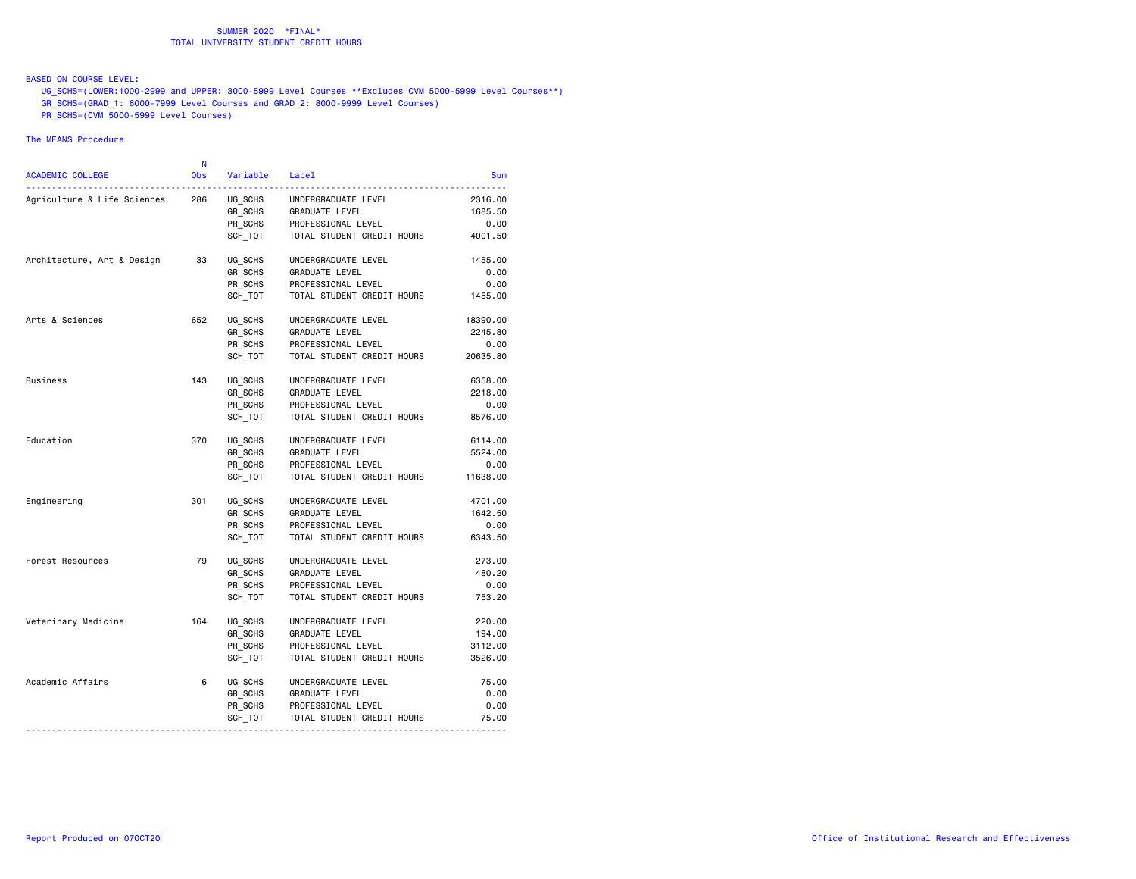### BASED ON COURSE LEVEL:

UG\_SCHS=(LOWER:1000-2999 and UPPER: 3000-5999 Level Courses \*\*Excludes CVM 5000-5999 Level Courses\*\*)

- GR\_SCHS=(GRAD\_1: 6000-7999 Level Courses and GRAD\_2: 8000-9999 Level Courses)
- PR\_SCHS=(CVM 5000-5999 Level Courses)

| <b>ACADEMIC COLLEGE</b>     | N<br><b>Obs</b> | Variable Label |                            | <b>Sum</b> |
|-----------------------------|-----------------|----------------|----------------------------|------------|
| Agriculture & Life Sciences | 286             | UG_SCHS        | UNDERGRADUATE LEVEL        | 2316.00    |
|                             |                 | GR SCHS        | GRADUATE LEVEL             | 1685.50    |
|                             |                 | PR_SCHS        | PROFESSIONAL LEVEL         | 0.00       |
|                             |                 | SCH TOT        | TOTAL STUDENT CREDIT HOURS | 4001.50    |
| Architecture, Art & Design  | 33              | UG SCHS        | UNDERGRADUATE LEVEL        | 1455.00    |
|                             |                 | GR SCHS        | GRADUATE LEVEL             | 0.00       |
|                             |                 | PR SCHS        | PROFESSIONAL LEVEL         | 0.00       |
|                             |                 | SCH TOT        | TOTAL STUDENT CREDIT HOURS | 1455.00    |
| Arts & Sciences             | 652             | UG SCHS        | UNDERGRADUATE LEVEL        | 18390.00   |
|                             |                 | GR SCHS        | GRADUATE LEVEL             | 2245.80    |
|                             |                 | PR_SCHS        | PROFESSIONAL LEVEL         | 0.00       |
|                             |                 | SCH TOT        | TOTAL STUDENT CREDIT HOURS | 20635.80   |
| <b>Business</b>             | 143             | UG SCHS        | UNDERGRADUATE LEVEL        | 6358.00    |
|                             |                 | GR_SCHS        | GRADUATE LEVEL             | 2218.00    |
|                             |                 | PR SCHS        | PROFESSIONAL LEVEL         | 0.00       |
|                             |                 | SCH TOT        | TOTAL STUDENT CREDIT HOURS | 8576.00    |
| Education                   | 370             | UG SCHS        | UNDERGRADUATE LEVEL        | 6114.00    |
|                             |                 | GR SCHS        | GRADUATE LEVEL             | 5524.00    |
|                             |                 | PR_SCHS        | PROFESSIONAL LEVEL         | 0.00       |
|                             |                 | SCH TOT        | TOTAL STUDENT CREDIT HOURS | 11638.00   |
| Engineering                 | 301             | UG SCHS        | UNDERGRADUATE LEVEL        | 4701.00    |
|                             |                 | GR SCHS        | GRADUATE LEVEL             | 1642.50    |
|                             |                 | PR SCHS        | PROFESSIONAL LEVEL         | 0.00       |
|                             |                 | SCH TOT        | TOTAL STUDENT CREDIT HOURS | 6343.50    |
| Forest Resources            | 79              | UG SCHS        | UNDERGRADUATE LEVEL        | 273.00     |
|                             |                 | GR_SCHS        | GRADUATE LEVEL             | 480.20     |
|                             |                 | PR SCHS        | PROFESSIONAL LEVEL         | 0.00       |
|                             |                 | SCH_TOT        | TOTAL STUDENT CREDIT HOURS | 753.20     |
| Veterinary Medicine         | 164             | UG SCHS        | UNDERGRADUATE LEVEL        | 220.00     |
|                             |                 | GR SCHS        | GRADUATE LEVEL             | 194.00     |
|                             |                 | PR SCHS        | PROFESSIONAL LEVEL         | 3112.00    |
|                             |                 | SCH TOT        | TOTAL STUDENT CREDIT HOURS | 3526.00    |
| Academic Affairs            | 6               | UG_SCHS        | UNDERGRADUATE LEVEL        | 75.00      |
|                             |                 | GR SCHS        | GRADUATE LEVEL             | 0.00       |
|                             |                 | PR SCHS        | PROFESSIONAL LEVEL         | 0.00       |
|                             |                 | SCH_TOT        | TOTAL STUDENT CREDIT HOURS | 75.00      |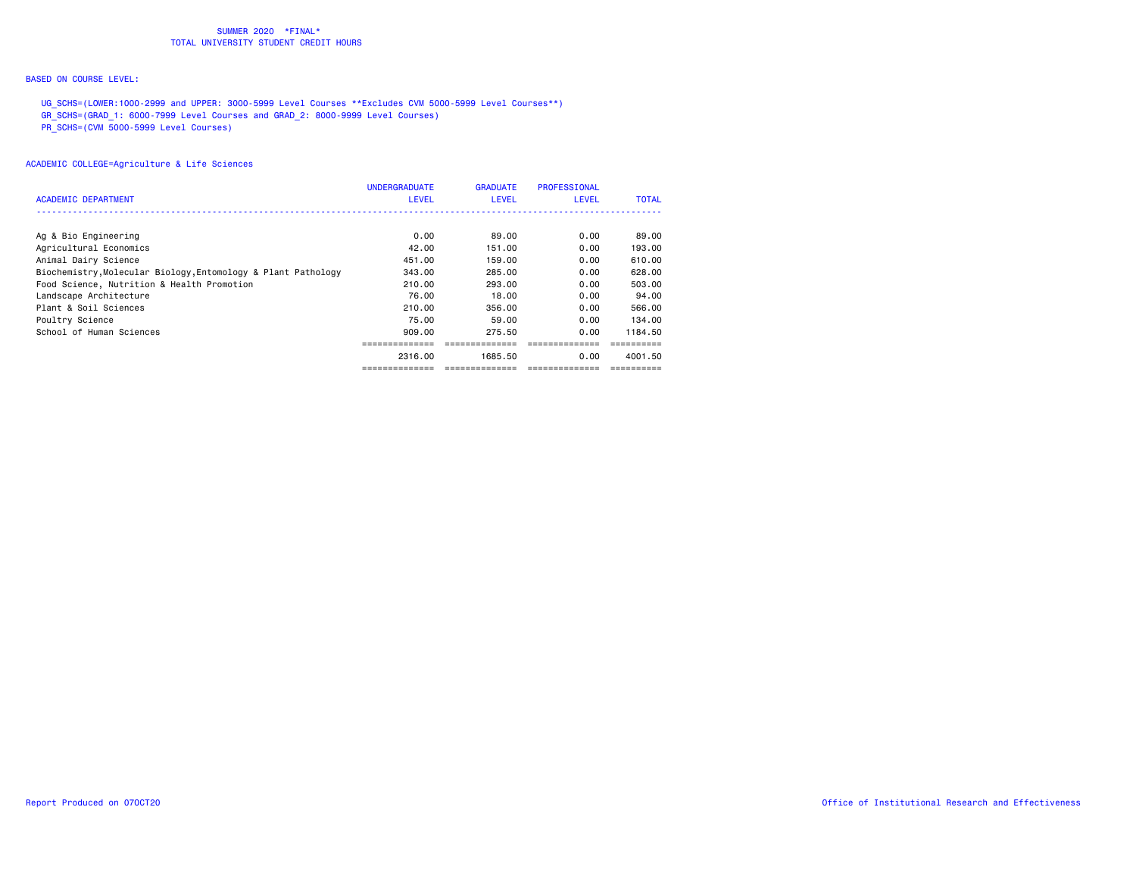## BASED ON COURSE LEVEL:

UG\_SCHS=(LOWER:1000-2999 and UPPER: 3000-5999 Level Courses \*\*Excludes CVM 5000-5999 Level Courses\*\*)

GR\_SCHS=(GRAD\_1: 6000-7999 Level Courses and GRAD\_2: 8000-9999 Level Courses)

PR\_SCHS=(CVM 5000-5999 Level Courses)

| <b>ACADEMIC DEPARTMENT</b>                                    | <b>UNDERGRADUATE</b><br><b>LEVEL</b> | <b>GRADUATE</b><br><b>LEVEL</b> | <b>PROFESSIONAL</b><br><b>LEVEL</b> | <b>TOTAL</b> |
|---------------------------------------------------------------|--------------------------------------|---------------------------------|-------------------------------------|--------------|
|                                                               |                                      |                                 |                                     |              |
| Ag & Bio Engineering                                          | 0.00                                 | 89.00                           | 0.00                                | 89.00        |
| Agricultural Economics                                        | 42.00                                | 151.00                          | 0.00                                | 193.00       |
| Animal Dairy Science                                          | 451.00                               | 159.00                          | 0.00                                | 610.00       |
| Biochemistry, Molecular Biology, Entomology & Plant Pathology | 343,00                               | 285,00                          | 0.00                                | 628,00       |
| Food Science, Nutrition & Health Promotion                    | 210.00                               | 293.00                          | 0.00                                | 503,00       |
| Landscape Architecture                                        | 76.00                                | 18,00                           | 0.00                                | 94.00        |
| Plant & Soil Sciences                                         | 210.00                               | 356.00                          | 0.00                                | 566.00       |
| Poultry Science                                               | 75.00                                | 59.00                           | 0.00                                | 134.00       |
| School of Human Sciences                                      | 909.00                               | 275.50                          | 0.00                                | 1184.50      |
|                                                               |                                      |                                 |                                     |              |
|                                                               | 2316.00                              | 1685.50                         | 0.00                                | 4001.50      |
|                                                               |                                      |                                 |                                     |              |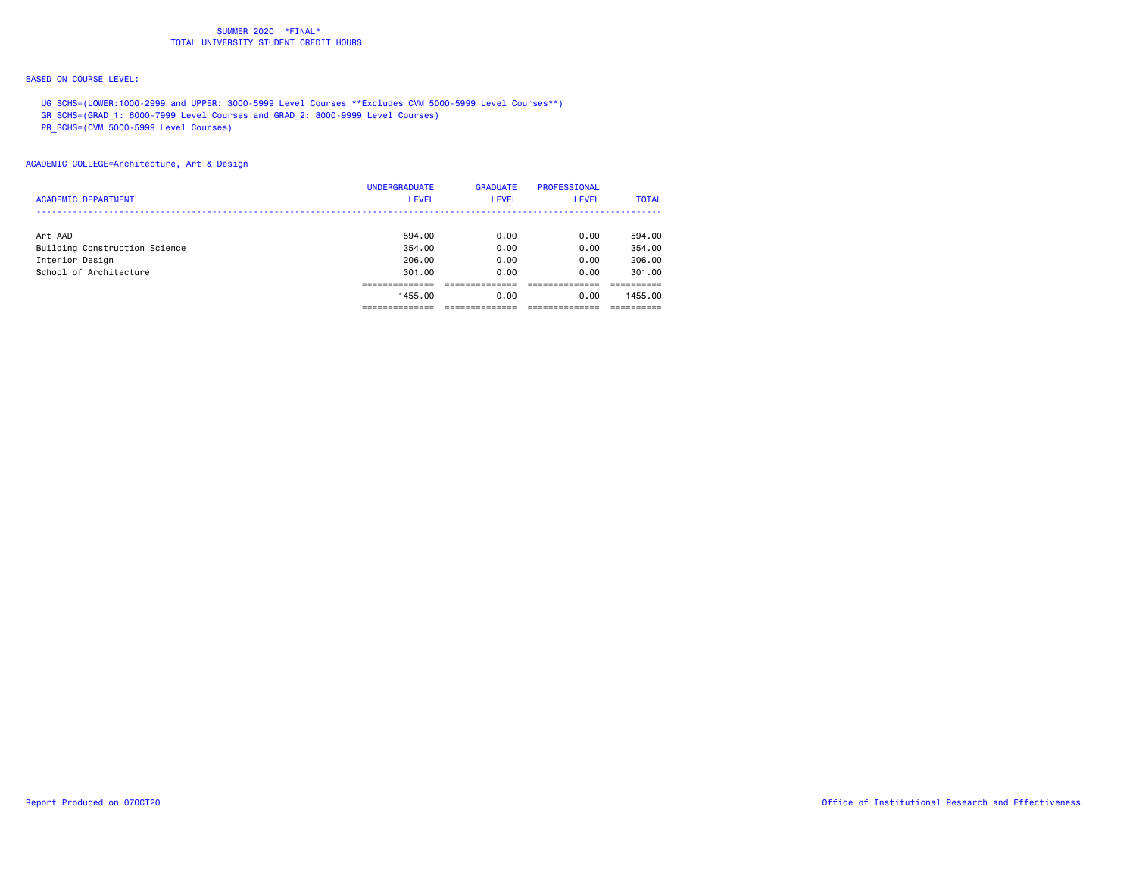## BASED ON COURSE LEVEL:

UG\_SCHS=(LOWER:1000-2999 and UPPER: 3000-5999 Level Courses \*\*Excludes CVM 5000-5999 Level Courses\*\*)

GR\_SCHS=(GRAD\_1: 6000-7999 Level Courses and GRAD\_2: 8000-9999 Level Courses)

PR\_SCHS=(CVM 5000-5999 Level Courses)

|                               | <b>UNDERGRADUATE</b> | <b>GRADUATE</b> | <b>PROFESSIONAL</b> |              |
|-------------------------------|----------------------|-----------------|---------------------|--------------|
| <b>ACADEMIC DEPARTMENT</b>    | <b>LEVEL</b>         | <b>LEVEL</b>    | <b>LEVEL</b>        | <b>TOTAL</b> |
|                               |                      |                 |                     |              |
| Art AAD                       | 594.00               | 0.00            | 0.00                | 594.00       |
| Building Construction Science | 354,00               | 0.00            | 0.00                | 354,00       |
| Interior Design               | 206,00               | 0.00            | 0.00                | 206,00       |
| School of Architecture        | 301,00               | 0.00            | 0.00                | 301.00       |
|                               |                      |                 |                     |              |
|                               | 1455,00              | 0.00            | 0.00                | 1455,00      |
|                               |                      |                 |                     |              |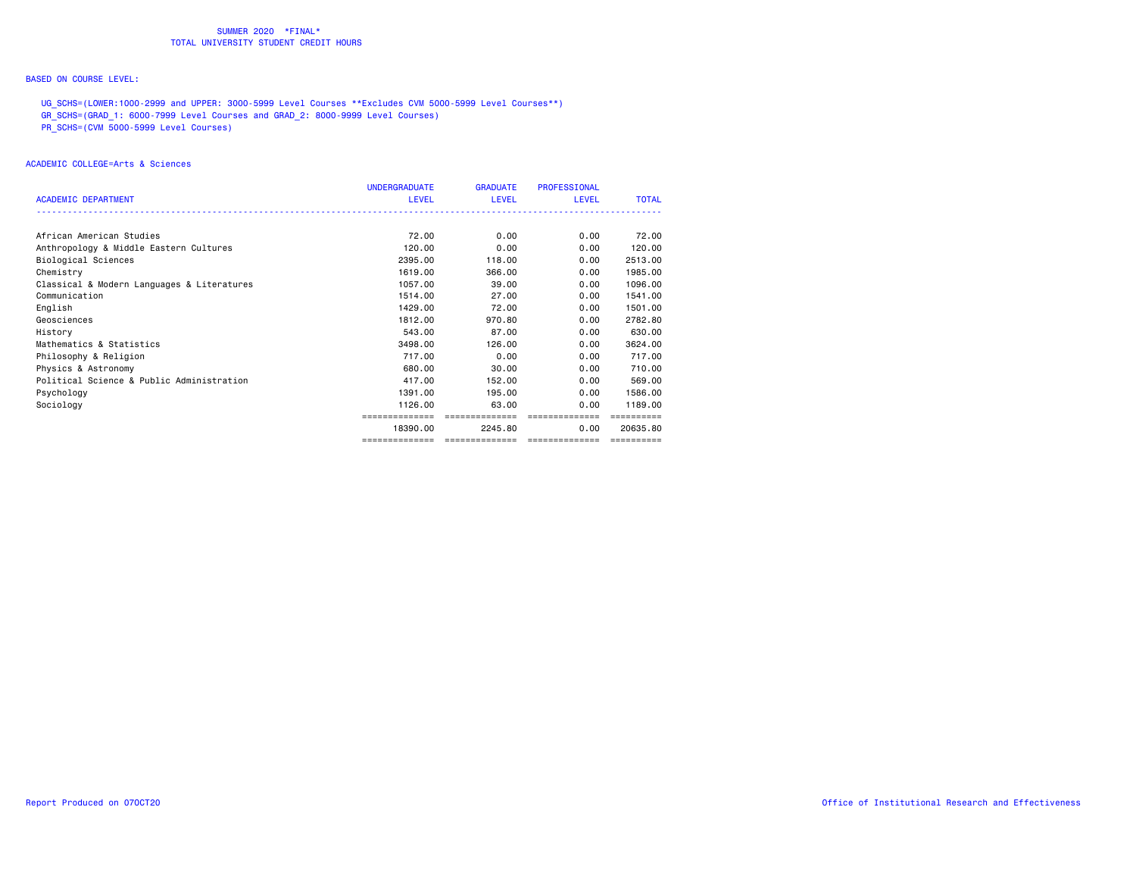## BASED ON COURSE LEVEL:

UG\_SCHS=(LOWER:1000-2999 and UPPER: 3000-5999 Level Courses \*\*Excludes CVM 5000-5999 Level Courses\*\*)

GR\_SCHS=(GRAD\_1: 6000-7999 Level Courses and GRAD\_2: 8000-9999 Level Courses)

PR\_SCHS=(CVM 5000-5999 Level Courses)

### ACADEMIC COLLEGE=Arts & Sciences

|                                            | <b>UNDERGRADUATE</b> | <b>GRADUATE</b>                    | <b>PROFESSIONAL</b> |              |
|--------------------------------------------|----------------------|------------------------------------|---------------------|--------------|
| <b>ACADEMIC DEPARTMENT</b>                 | LEVEL                | LEVEL                              | LEVEL               | <b>TOTAL</b> |
|                                            |                      |                                    |                     |              |
| African American Studies                   | 72.00                | 0.00                               | 0.00                | 72.00        |
| Anthropology & Middle Eastern Cultures     | 120.00               | 0.00                               | 0.00                | 120.00       |
| Biological Sciences                        | 2395.00              | 118,00                             | 0.00                | 2513.00      |
| Chemistry                                  | 1619,00              | 366.00                             | 0.00                | 1985.00      |
| Classical & Modern Languages & Literatures | 1057,00              | 39,00                              | 0.00                | 1096.00      |
| Communication                              | 1514.00              | 27.00                              | 0.00                | 1541.00      |
| English                                    | 1429.00              | 72.00                              | 0.00                | 1501.00      |
| Geosciences                                | 1812,00              | 970.80                             | 0.00                | 2782.80      |
| History                                    | 543,00               | 87.00                              | 0.00                | 630.00       |
| Mathematics & Statistics                   | 3498.00              | 126.00                             | 0.00                | 3624.00      |
| Philosophy & Religion                      | 717,00               | 0.00                               | 0.00                | 717.00       |
| Physics & Astronomy                        | 680,00               | 30.00                              | 0.00                | 710.00       |
| Political Science & Public Administration  | 417,00               | 152.00                             | 0.00                | 569,00       |
| Psychology                                 | 1391.00              | 195.00                             | 0.00                | 1586.00      |
| Sociology                                  | 1126.00              | 63.00                              | 0.00                | 1189.00      |
|                                            |                      | ==============                     | ==============      |              |
|                                            | 18390.00             | 2245.80                            | 0.00                | 20635.80     |
|                                            | ==============       | __________________________________ |                     | -----------  |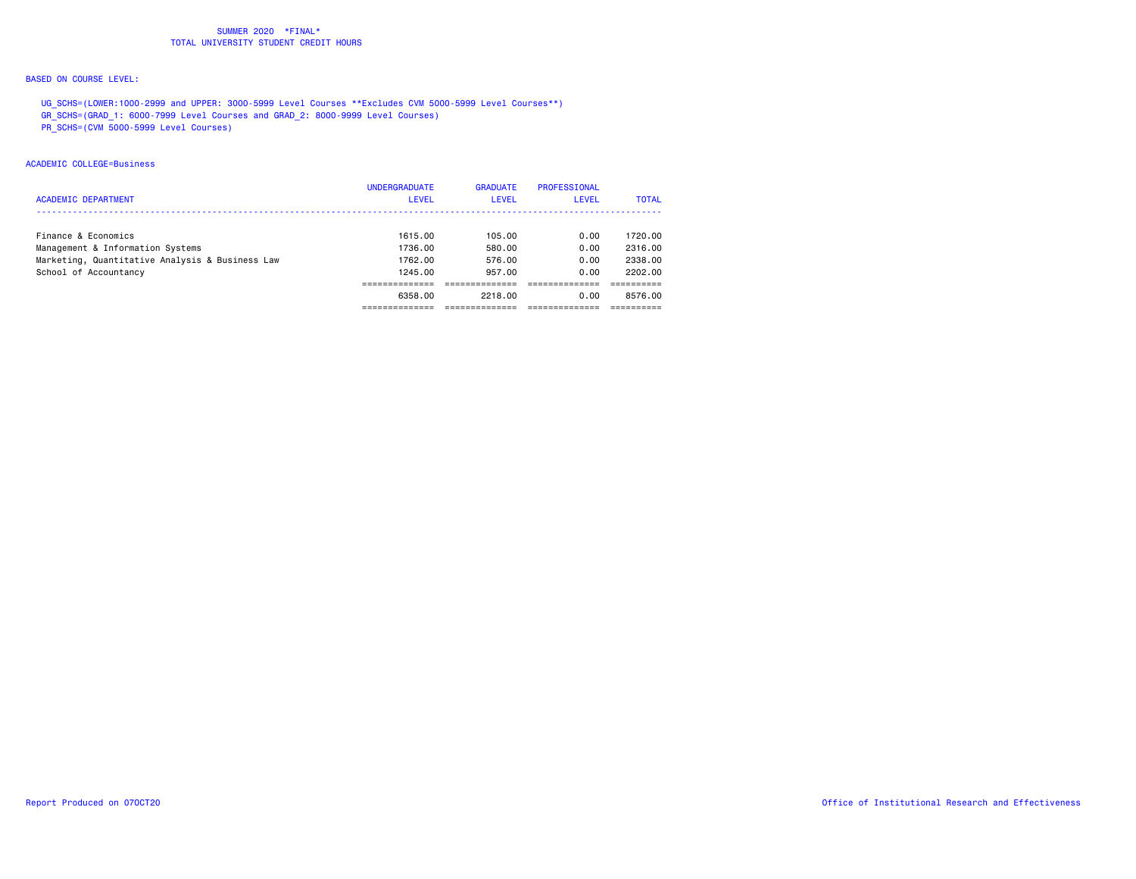## BASED ON COURSE LEVEL:

UG\_SCHS=(LOWER:1000-2999 and UPPER: 3000-5999 Level Courses \*\*Excludes CVM 5000-5999 Level Courses\*\*)

GR\_SCHS=(GRAD\_1: 6000-7999 Level Courses and GRAD\_2: 8000-9999 Level Courses)

PR\_SCHS=(CVM 5000-5999 Level Courses)

### ACADEMIC COLLEGE=Business

|                                                 | <b>UNDERGRADUATE</b> | <b>GRADUATE</b> | PROFESSIONAL |              |
|-------------------------------------------------|----------------------|-----------------|--------------|--------------|
| <b>ACADEMIC DEPARTMENT</b>                      | <b>LEVEL</b>         | <b>LEVEL</b>    | <b>LEVEL</b> | <b>TOTAL</b> |
|                                                 |                      |                 |              |              |
| Finance & Economics                             | 1615.00              | 105.00          | 0.00         | 1720.00      |
| Management & Information Systems                | 1736.00              | 580.00          | 0.00         | 2316.00      |
| Marketing, Quantitative Analysis & Business Law | 1762.00              | 576.00          | 0.00         | 2338.00      |
| School of Accountancy                           | 1245.00              | 957.00          | 0.00         | 2202.00      |
|                                                 |                      |                 |              |              |
|                                                 | 6358.00              | 2218,00         | 0.00         | 8576.00      |
|                                                 |                      |                 |              |              |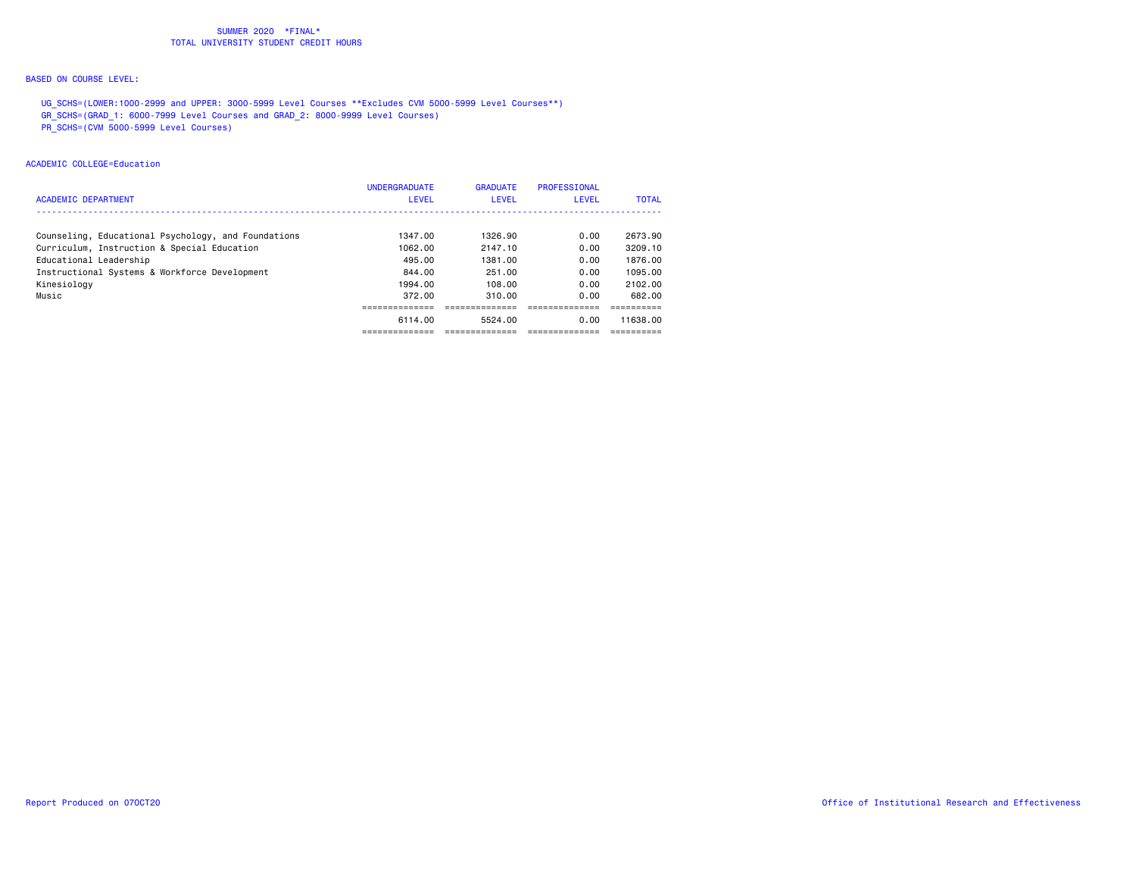## BASED ON COURSE LEVEL:

UG\_SCHS=(LOWER:1000-2999 and UPPER: 3000-5999 Level Courses \*\*Excludes CVM 5000-5999 Level Courses\*\*)

GR\_SCHS=(GRAD\_1: 6000-7999 Level Courses and GRAD\_2: 8000-9999 Level Courses)

PR\_SCHS=(CVM 5000-5999 Level Courses)

### ACADEMIC COLLEGE=Education

|                                                     | <b>UNDERGRADUATE</b> | <b>GRADUATE</b> | PROFESSIONAL |              |
|-----------------------------------------------------|----------------------|-----------------|--------------|--------------|
| <b>ACADEMIC DEPARTMENT</b>                          | LEVEL                | <b>LEVEL</b>    | LEVEL        | <b>TOTAL</b> |
|                                                     |                      |                 |              |              |
| Counseling, Educational Psychology, and Foundations | 1347.00              | 1326.90         | 0.00         | 2673.90      |
| Curriculum, Instruction & Special Education         | 1062.00              | 2147.10         | 0.00         | 3209.10      |
| Educational Leadership                              | 495.00               | 1381.00         | 0.00         | 1876.00      |
| Instructional Systems & Workforce Development       | 844.00               | 251.00          | 0.00         | 1095.00      |
| Kinesiology                                         | 1994.00              | 108.00          | 0.00         | 2102.00      |
| Music                                               | 372.00               | 310.00          | 0.00         | 682.00       |
|                                                     |                      |                 |              |              |
|                                                     | 6114.00              | 5524.00         | 0.00         | 11638.00     |
|                                                     |                      |                 |              |              |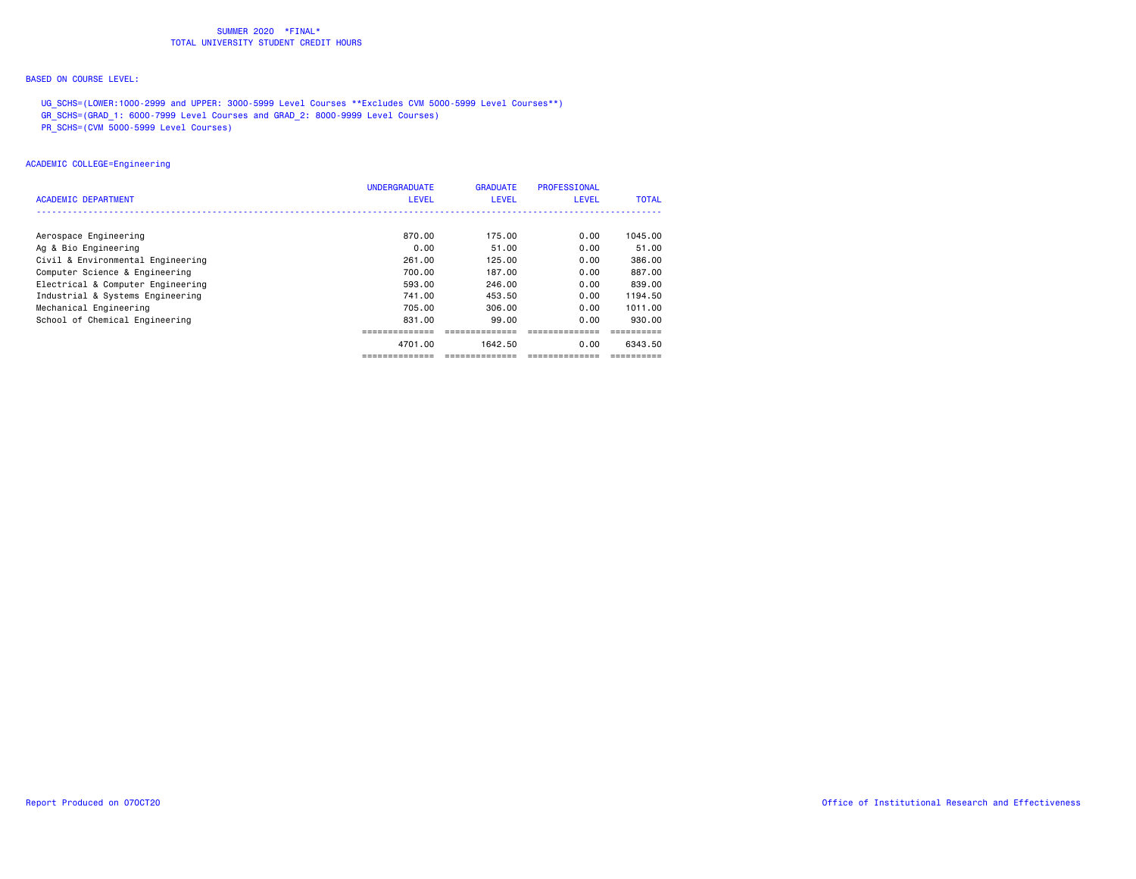## BASED ON COURSE LEVEL:

UG\_SCHS=(LOWER:1000-2999 and UPPER: 3000-5999 Level Courses \*\*Excludes CVM 5000-5999 Level Courses\*\*)

GR\_SCHS=(GRAD\_1: 6000-7999 Level Courses and GRAD\_2: 8000-9999 Level Courses)

PR\_SCHS=(CVM 5000-5999 Level Courses)

## ACADEMIC COLLEGE=Engineering

|                                   | <b>UNDERGRADUATE</b> | <b>GRADUATE</b> | <b>PROFESSIONAL</b> |              |
|-----------------------------------|----------------------|-----------------|---------------------|--------------|
| ACADEMIC DEPARTMENT               | <b>LEVEL</b>         | <b>LEVEL</b>    | <b>LEVEL</b>        | <b>TOTAL</b> |
|                                   |                      |                 |                     |              |
| Aerospace Engineering             | 870.00               | 175.00          | 0.00                | 1045.00      |
| Ag & Bio Engineering              | 0.00                 | 51.00           | 0.00                | 51.00        |
| Civil & Environmental Engineering | 261.00               | 125.00          | 0.00                | 386,00       |
| Computer Science & Engineering    | 700.00               | 187.00          | 0.00                | 887.00       |
| Electrical & Computer Engineering | 593.00               | 246.00          | 0.00                | 839.00       |
| Industrial & Systems Engineering  | 741.00               | 453.50          | 0.00                | 1194.50      |
| Mechanical Engineering            | 705.00               | 306.00          | 0.00                | 1011.00      |
| School of Chemical Engineering    | 831,00               | 99.00           | 0.00                | 930.00       |
|                                   |                      |                 |                     |              |
|                                   | 4701.00              | 1642.50         | 0.00                | 6343.50      |
|                                   |                      |                 |                     |              |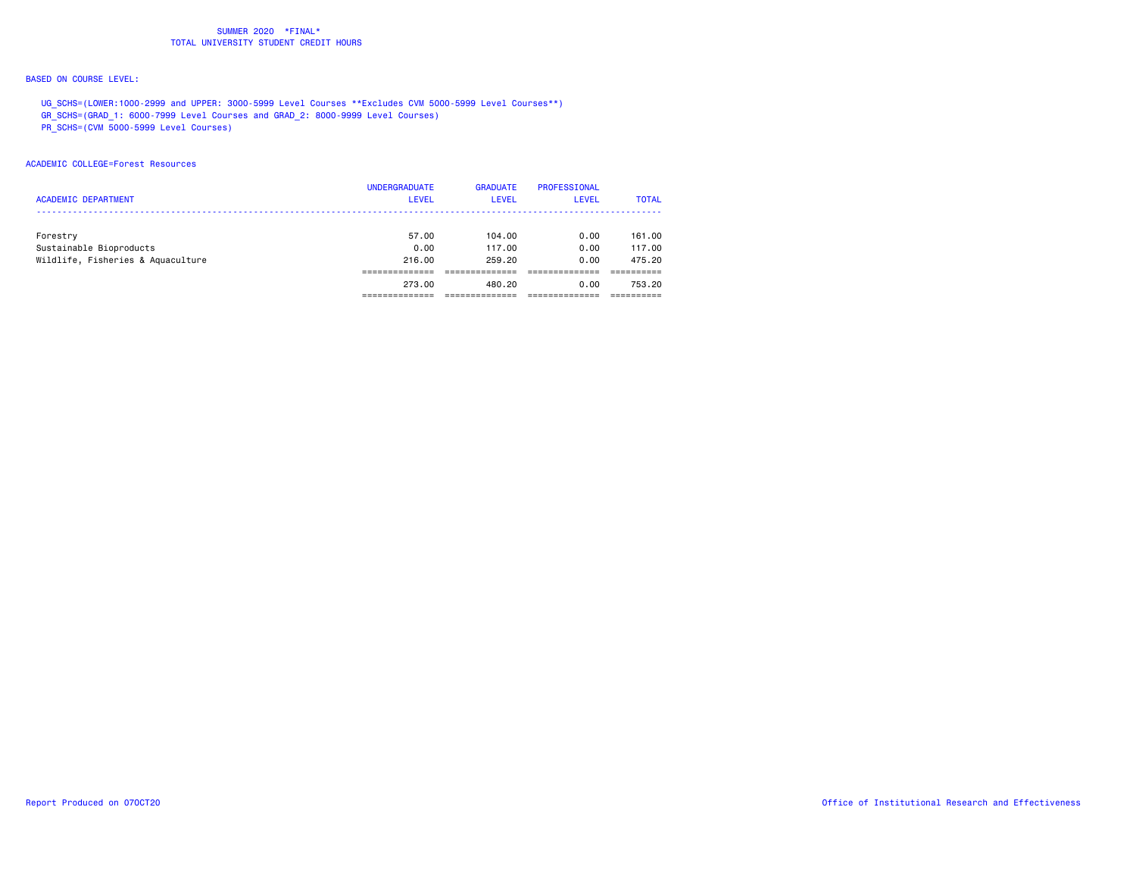## BASED ON COURSE LEVEL:

UG\_SCHS=(LOWER:1000-2999 and UPPER: 3000-5999 Level Courses \*\*Excludes CVM 5000-5999 Level Courses\*\*)

GR\_SCHS=(GRAD\_1: 6000-7999 Level Courses and GRAD\_2: 8000-9999 Level Courses)

PR\_SCHS=(CVM 5000-5999 Level Courses)

### ACADEMIC COLLEGE=Forest Resources

|                                   | <b>UNDERGRADUATE</b> | <b>GRADUATE</b> | <b>PROFESSIONAL</b> |              |
|-----------------------------------|----------------------|-----------------|---------------------|--------------|
| <b>ACADEMIC DEPARTMENT</b>        | <b>LEVEL</b>         | LEVEL           | <b>LEVEL</b>        | <b>TOTAL</b> |
|                                   |                      |                 |                     |              |
| Forestry                          | 57.00                | 104.00          | 0.00                | 161.00       |
| Sustainable Bioproducts           | 0.00                 | 117.00          | 0.00                | 117,00       |
| Wildlife, Fisheries & Aquaculture | 216,00               | 259.20          | 0.00                | 475.20       |
|                                   |                      |                 |                     |              |
|                                   | 273.00               | 480.20          | 0.00                | 753.20       |
|                                   |                      |                 |                     |              |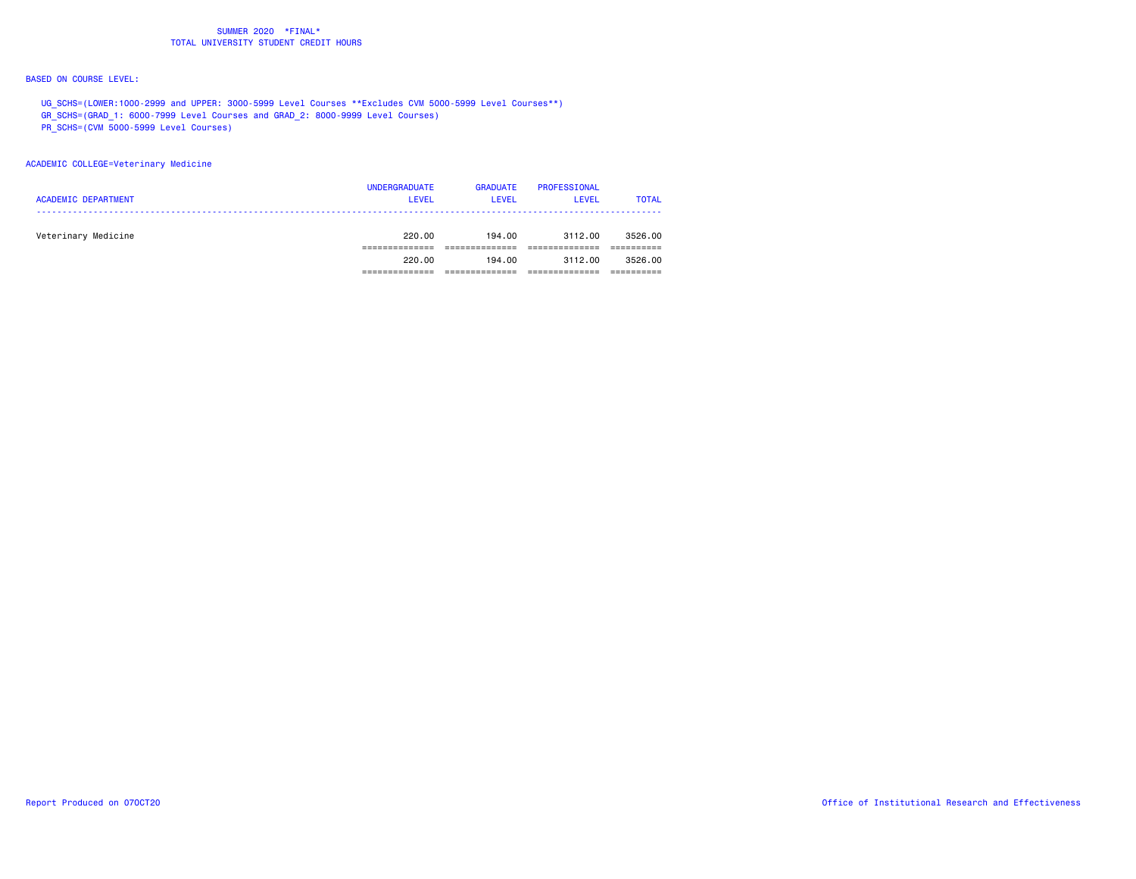## BASED ON COURSE LEVEL:

UG\_SCHS=(LOWER:1000-2999 and UPPER: 3000-5999 Level Courses \*\*Excludes CVM 5000-5999 Level Courses\*\*)

GR\_SCHS=(GRAD\_1: 6000-7999 Level Courses and GRAD\_2: 8000-9999 Level Courses)

PR\_SCHS=(CVM 5000-5999 Level Courses)

## ACADEMIC COLLEGE=Veterinary Medicine

| <b>ACADEMIC DEPARTMENT</b> | <b>UNDERGRADUATE</b><br><b>LEVEL</b> | <b>GRADUATE</b><br>LEVEL | PROFESSIONAL<br><b>LEVEL</b> | <b>TOTAL</b> |
|----------------------------|--------------------------------------|--------------------------|------------------------------|--------------|
| Veterinary Medicine        | 220.00                               | 194.00                   | 3112.00                      | 3526.00      |
|                            | 220.00                               | 194.00                   | 3112.00                      | 3526.00      |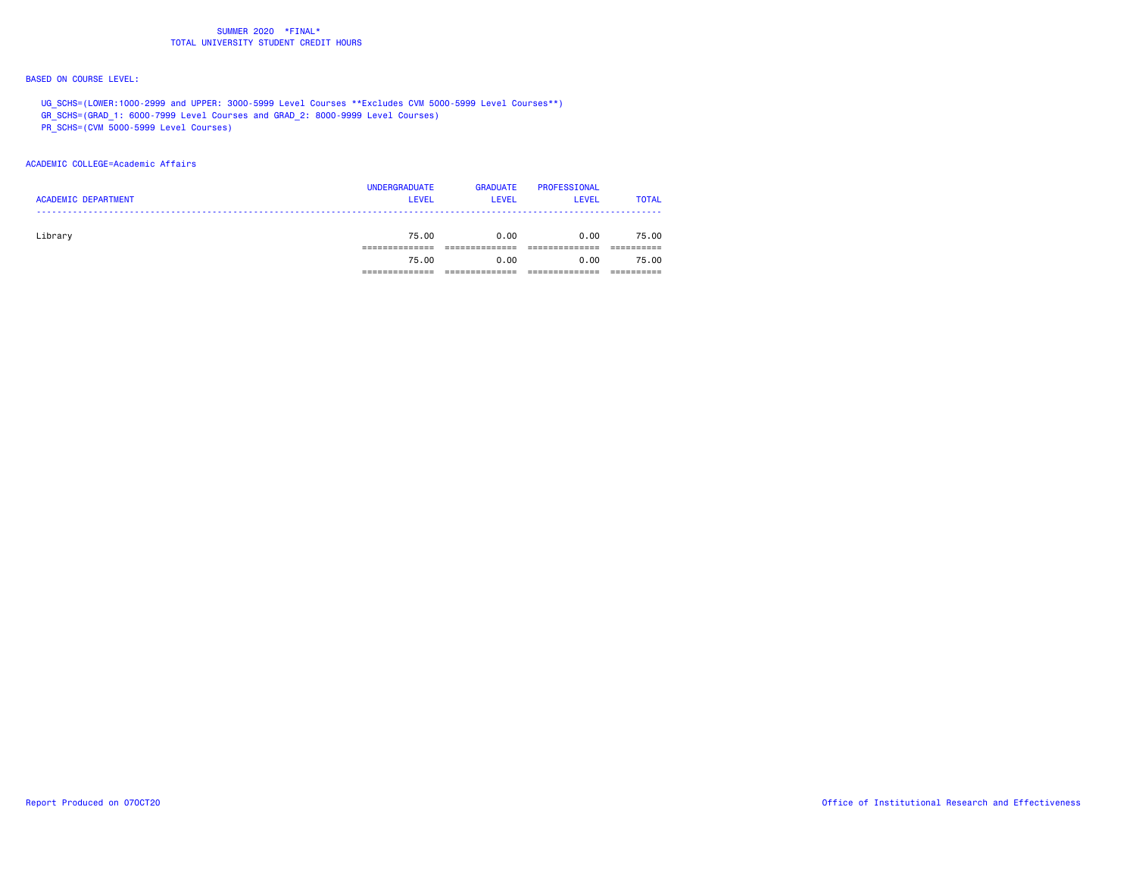## BASED ON COURSE LEVEL:

UG\_SCHS=(LOWER:1000-2999 and UPPER: 3000-5999 Level Courses \*\*Excludes CVM 5000-5999 Level Courses\*\*)

GR\_SCHS=(GRAD\_1: 6000-7999 Level Courses and GRAD\_2: 8000-9999 Level Courses)

PR\_SCHS=(CVM 5000-5999 Level Courses)

### ACADEMIC COLLEGE=Academic Affairs

| <b>ACADEMIC DEPARTMENT</b> | <b>UNDERGRADUATE</b><br><b>LEVEL</b> | <b>GRADUATE</b><br><b>LEVEL</b> | PROFESSIONAL<br><b>LEVEL</b> | <b>TOTAL</b> |
|----------------------------|--------------------------------------|---------------------------------|------------------------------|--------------|
| Library                    | 75.00                                | 0.00                            | 0.00                         | 75.00        |
|                            | 75.00                                | 0.00                            | 0.00                         | 75.00        |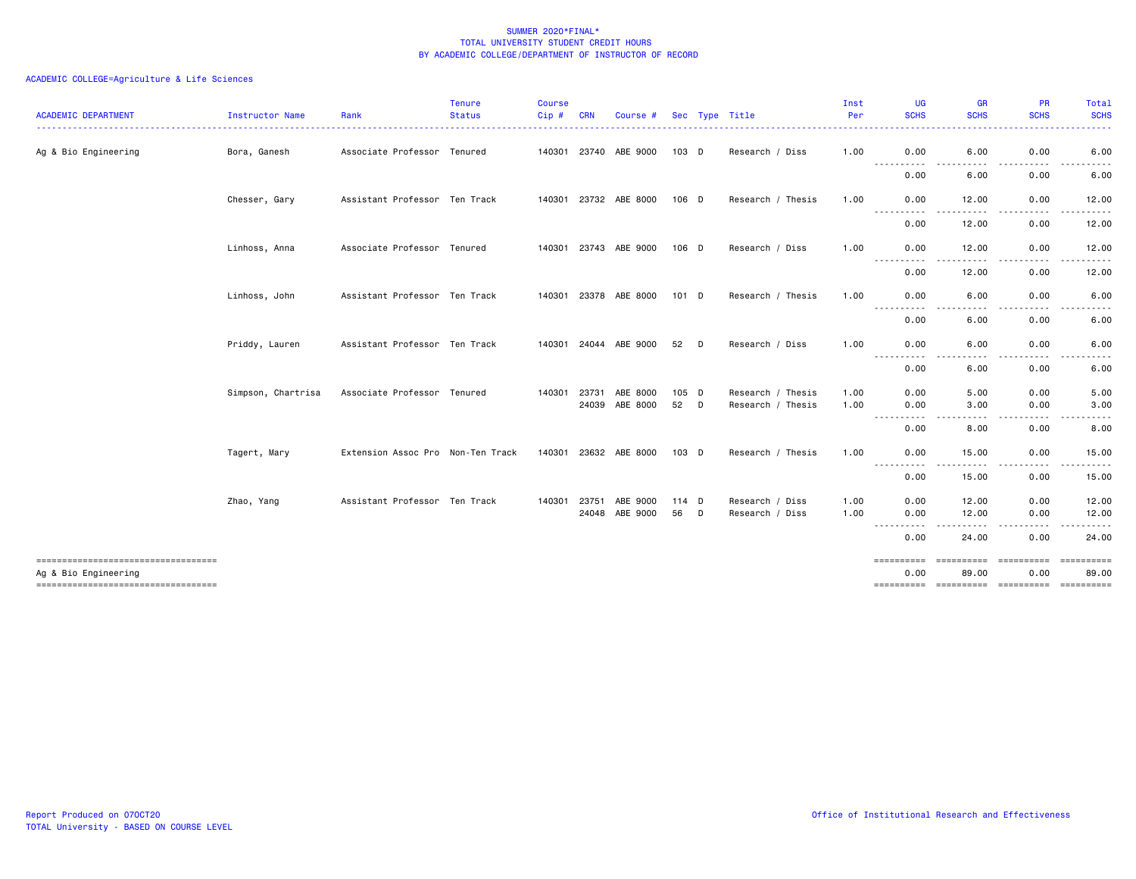| <b>ACADEMIC DEPARTMENT</b>          | Instructor Name    | Rank                              | <b>Tenure</b><br><b>Status</b><br>. <u>.</u> . | <b>Course</b><br>Cip# | <b>CRN</b>   | Course #              |       |   | Sec Type Title    | Inst<br>Per | UG<br><b>SCHS</b><br>.                                                                                                                 | <b>GR</b><br><b>SCHS</b><br>.                                                                                                     | <b>PR</b><br><b>SCHS</b><br><u> - - - - - - - - -</u> | Total<br><b>SCHS</b><br>. |
|-------------------------------------|--------------------|-----------------------------------|------------------------------------------------|-----------------------|--------------|-----------------------|-------|---|-------------------|-------------|----------------------------------------------------------------------------------------------------------------------------------------|-----------------------------------------------------------------------------------------------------------------------------------|-------------------------------------------------------|---------------------------|
| Ag & Bio Engineering                | Bora, Ganesh       | Associate Professor Tenured       |                                                |                       |              | 140301 23740 ABE 9000 | 103 D |   | Research / Diss   | 1.00        | 0.00                                                                                                                                   | 6.00                                                                                                                              | 0.00                                                  | 6.00                      |
|                                     |                    |                                   |                                                |                       |              |                       |       |   |                   |             | $\frac{1}{2} \left( \frac{1}{2} \right) \left( \frac{1}{2} \right) \left( \frac{1}{2} \right) \left( \frac{1}{2} \right)$<br>.<br>0.00 | $\frac{1}{2} \left( \frac{1}{2} \right) \left( \frac{1}{2} \right) \left( \frac{1}{2} \right) \left( \frac{1}{2} \right)$<br>6.00 | -----<br>0.00                                         | 6.00                      |
|                                     | Chesser, Gary      | Assistant Professor Ten Track     |                                                |                       |              | 140301 23732 ABE 8000 | 106 D |   | Research / Thesis | 1.00        | 0.00                                                                                                                                   | 12.00                                                                                                                             | 0.00                                                  | 12.00                     |
|                                     |                    |                                   |                                                |                       |              |                       |       |   |                   |             | $\frac{1}{2} \left( \frac{1}{2} \right) \left( \frac{1}{2} \right) \left( \frac{1}{2} \right) \left( \frac{1}{2} \right)$<br>0.00      | 12.00                                                                                                                             | 0.00                                                  | 12.00                     |
|                                     | Linhoss, Anna      | Associate Professor Tenured       |                                                |                       | 140301 23743 | ABE 9000              | 106 D |   | Research / Diss   | 1.00        | 0.00                                                                                                                                   | 12.00                                                                                                                             | 0.00                                                  | 12.00                     |
|                                     |                    |                                   |                                                |                       |              |                       |       |   |                   |             | ----------<br>0.00                                                                                                                     | .<br>12.00                                                                                                                        | -----<br>0.00                                         | .<br>12.00                |
|                                     | Linhoss, John      | Assistant Professor Ten Track     |                                                |                       |              | 140301 23378 ABE 8000 | 101 D |   | Research / Thesis | 1.00        | 0.00                                                                                                                                   | 6.00                                                                                                                              | 0.00                                                  | 6.00                      |
|                                     |                    |                                   |                                                |                       |              |                       |       |   |                   |             | $\frac{1}{2} \left( \frac{1}{2} \right) \left( \frac{1}{2} \right) \left( \frac{1}{2} \right)$<br>----<br>0.00                         | 6.00                                                                                                                              | 0.00                                                  | 6.00                      |
|                                     | Priddy, Lauren     | Assistant Professor Ten Track     |                                                |                       | 140301 24044 | ABE 9000              | 52    | D | Research / Diss   | 1.00        | 0.00<br>----------                                                                                                                     | 6.00                                                                                                                              | 0.00                                                  | 6.00                      |
|                                     |                    |                                   |                                                |                       |              |                       |       |   |                   |             | 0.00                                                                                                                                   | 6.00                                                                                                                              | 0.00                                                  | 6.00                      |
|                                     | Simpson, Chartrisa | Associate Professor Tenured       |                                                | 140301                | 23731        | ABE 8000              | 105 D |   | Research / Thesis | 1.00        | 0.00                                                                                                                                   | 5.00                                                                                                                              | 0.00                                                  | 5.00                      |
|                                     |                    |                                   |                                                |                       | 24039        | ABE 8000              | 52    | D | Research / Thesis | 1.00        | 0.00<br>$- - -$<br>.                                                                                                                   | 3.00<br>. <b>.</b>                                                                                                                | 0.00<br>.                                             | 3.00<br><u>.</u>          |
|                                     |                    |                                   |                                                |                       |              |                       |       |   |                   |             | 0.00                                                                                                                                   | 8.00                                                                                                                              | 0.00                                                  | 8.00                      |
|                                     | Tagert, Mary       | Extension Assoc Pro Non-Ten Track |                                                |                       |              | 140301 23632 ABE 8000 | 103 D |   | Research / Thesis | 1.00        | 0.00<br>-----------                                                                                                                    | 15.00<br>-----                                                                                                                    | 0.00<br>.<br>$\cdots$                                 | 15.00<br>------           |
|                                     |                    |                                   |                                                |                       |              |                       |       |   |                   |             | 0.00                                                                                                                                   | 15.00                                                                                                                             | 0.00                                                  | 15.00                     |
|                                     | Zhao, Yang         | Assistant Professor Ten Track     |                                                |                       | 140301 23751 | ABE 9000              | 114 D |   | Research / Diss   | 1.00        | 0.00                                                                                                                                   | 12.00                                                                                                                             | 0.00                                                  | 12.00                     |
|                                     |                    |                                   |                                                |                       | 24048        | ABE 9000              | 56    | D | Research / Diss   | 1.00        | 0.00<br>$\frac{1}{2} \left( \frac{1}{2} \right) \left( \frac{1}{2} \right) = \frac{1}{2}$                                              | 12.00                                                                                                                             | 0.00                                                  | 12.00                     |
|                                     |                    |                                   |                                                |                       |              |                       |       |   |                   |             | 0.00                                                                                                                                   | 24.00                                                                                                                             | 0.00                                                  | 24.00                     |
| Ag & Bio Engineering                |                    |                                   |                                                |                       |              |                       |       |   |                   |             | ==========<br>0.00                                                                                                                     | <b>COOPERDED</b><br>89.00                                                                                                         | <b>CONSIDERED</b><br>0.00                             | ==========<br>89.00       |
| ----------------------------------- |                    |                                   |                                                |                       |              |                       |       |   |                   |             | ==========                                                                                                                             | ----------- ---------- ----------                                                                                                 |                                                       |                           |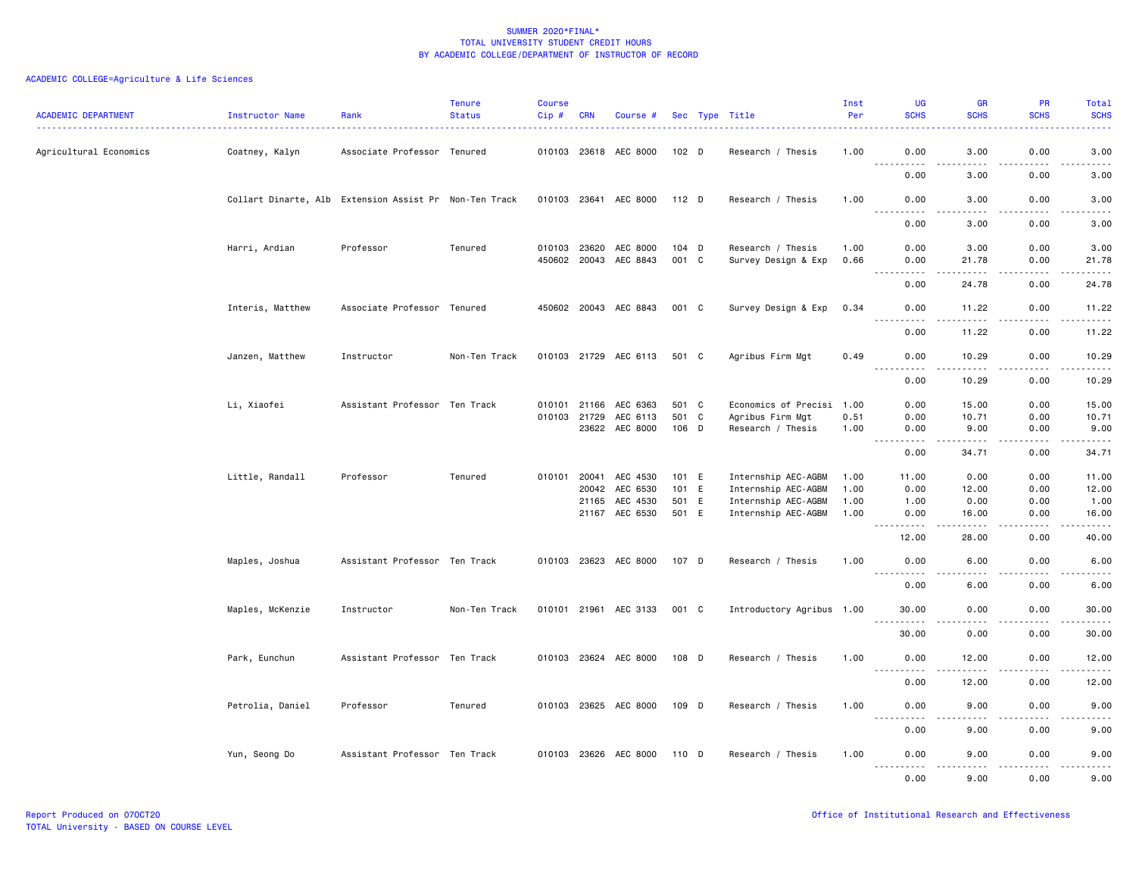| ACADEMIC DEPARTMENT    | Instructor Name                                        | Rank                          | <b>Tenure</b><br><b>Status</b> | <b>Course</b><br>Cip# | CRN          | Course #                          |                  | Sec Type Title                           | Inst<br>Per  | UG<br><b>SCHS</b>                                                                                                                             | <b>GR</b><br><b>SCHS</b> | <b>PR</b><br><b>SCHS</b> | Total<br><b>SCHS</b>                |
|------------------------|--------------------------------------------------------|-------------------------------|--------------------------------|-----------------------|--------------|-----------------------------------|------------------|------------------------------------------|--------------|-----------------------------------------------------------------------------------------------------------------------------------------------|--------------------------|--------------------------|-------------------------------------|
| Agricultural Economics | Coatney, Kalyn                                         | Associate Professor Tenured   |                                |                       |              | 010103 23618 AEC 8000             | 102 <sub>D</sub> | Research / Thesis                        | 1.00         | 0.00                                                                                                                                          | 3.00                     | 0.00                     | 3.00                                |
|                        |                                                        |                               |                                |                       |              |                                   |                  |                                          |              | $\sim$ $\sim$ $\sim$ $\sim$<br>0.00                                                                                                           | 3.00                     | 0.00                     | 3.00                                |
|                        | Collart Dinarte, Alb Extension Assist Pr Non-Ten Track |                               |                                |                       |              | 010103 23641 AEC 8000             | $112$ D          | Research / Thesis                        | 1.00         | 0.00<br>.                                                                                                                                     | 3.00                     | 0.00<br>.                | 3.00                                |
|                        |                                                        |                               |                                |                       |              |                                   |                  |                                          |              | $\sim$ $\sim$ $\sim$<br>0.00                                                                                                                  | .<br>3.00                | 0.00                     | $\frac{1}{2}$<br>3.00               |
|                        | Harri, Ardian                                          | Professor                     | Tenured                        |                       | 010103 23620 | AEC 8000<br>450602 20043 AEC 8843 | 104 D<br>001 C   | Research / Thesis<br>Survey Design & Exp | 1.00<br>0.66 | 0.00<br>0.00                                                                                                                                  | 3.00<br>21.78            | 0.00<br>0.00             | 3.00<br>21.78                       |
|                        |                                                        |                               |                                |                       |              |                                   |                  |                                          |              | .<br>$\sim$ $\sim$ $\sim$<br>0.00                                                                                                             | .<br>24.78               | $- - - - -$<br>0.00      | .<br>24.78                          |
|                        | Interis, Matthew                                       | Associate Professor Tenured   |                                |                       |              | 450602 20043 AEC 8843             | 001 C            | Survey Design & Exp                      | 0.34         | 0.00                                                                                                                                          | 11.22                    | 0.00                     | 11.22                               |
|                        |                                                        |                               |                                |                       |              |                                   |                  |                                          |              | 0.00                                                                                                                                          | 11.22                    | 0.00                     | 11.22                               |
|                        | Janzen, Matthew                                        | Instructor                    | Non-Ten Track                  |                       |              | 010103 21729 AEC 6113             | 501 C            | Agribus Firm Mgt                         | 0.49         | 0.00<br>$\sim$ $\sim$ $\sim$<br>.                                                                                                             | 10.29<br>.               | 0.00<br>$- - - - -$      | 10.29<br>.                          |
|                        |                                                        |                               |                                |                       |              |                                   |                  |                                          |              | 0.00                                                                                                                                          | 10.29                    | 0.00                     | 10.29                               |
|                        | Li, Xiaofei                                            | Assistant Professor Ten Track |                                |                       | 010101 21166 | AEC 6363                          | 501 C            | Economics of Precisi 1.00                |              | 0.00                                                                                                                                          | 15.00                    | 0.00                     | 15.00                               |
|                        |                                                        |                               |                                |                       | 010103 21729 | AEC 6113<br>23622 AEC 8000        | 501 C<br>106 D   | Agribus Firm Mgt<br>Research / Thesis    | 0.51<br>1.00 | 0.00<br>0.00                                                                                                                                  | 10.71<br>9.00            | 0.00<br>0.00             | 10.71<br>9.00                       |
|                        |                                                        |                               |                                |                       |              |                                   |                  |                                          |              | $\sim$ $\sim$ $\sim$<br>-----<br>0.00                                                                                                         | .<br>34.71               | .<br>0.00                | .<br>34.71                          |
|                        | Little, Randall                                        | Professor                     | Tenured                        |                       | 010101 20041 | AEC 4530                          | 101 E            | Internship AEC-AGBM                      | 1.00         | 11.00                                                                                                                                         | 0.00                     | 0.00                     | 11.00                               |
|                        |                                                        |                               |                                |                       | 20042        | AEC 6530                          | 101 E            | Internship AEC-AGBM                      | 1.00         | 0.00                                                                                                                                          | 12.00                    | 0.00                     | 12.00                               |
|                        |                                                        |                               |                                |                       | 21165        | AEC 4530                          | 501 E            | Internship AEC-AGBM                      | 1.00         | 1.00                                                                                                                                          | 0.00                     | 0.00                     | 1.00                                |
|                        |                                                        |                               |                                |                       |              | 21167 AEC 6530                    | 501 E            | Internship AEC-AGBM                      | 1.00         | 0.00<br>.                                                                                                                                     | 16.00<br>.               | 0.00<br>22222            | 16.00<br>.                          |
|                        |                                                        |                               |                                |                       |              |                                   |                  |                                          |              | 12.00                                                                                                                                         | 28.00                    | 0.00                     | 40.00                               |
|                        | Maples, Joshua                                         | Assistant Professor Ten Track |                                |                       |              | 010103 23623 AEC 8000             | 107 D            | Research / Thesis                        | 1.00         | 0.00<br>.                                                                                                                                     | 6.00<br>$\frac{1}{2}$    | 0.00<br>.                | 6.00<br>$\frac{1}{2}$               |
|                        |                                                        |                               |                                |                       |              |                                   |                  |                                          |              | 0.00                                                                                                                                          | 6.00                     | 0.00                     | 6.00                                |
|                        | Maples, McKenzie                                       | Instructor                    | Non-Ten Track                  |                       |              | 010101 21961 AEC 3133             | 001 C            | Introductory Agribus 1.00                |              | 30.00<br>$\sim$ $\sim$ $\sim$ $\sim$<br>.                                                                                                     | 0.00                     | 0.00                     | 30.00<br>. <u>.</u> .               |
|                        |                                                        |                               |                                |                       |              |                                   |                  |                                          |              | 30.00                                                                                                                                         | 0.00                     | 0.00                     | 30.00                               |
|                        | Park, Eunchun                                          | Assistant Professor Ten Track |                                |                       |              | 010103 23624 AEC 8000             | 108 D            | Research / Thesis                        | 1.00         | 0.00<br>$- - - -$                                                                                                                             | 12.00<br>----            | 0.00                     | 12.00                               |
|                        |                                                        |                               |                                |                       |              |                                   |                  |                                          |              | 0.00                                                                                                                                          | 12.00                    | 0.00                     | 12.00                               |
|                        | Petrolia, Daniel                                       | Professor                     | Tenured                        |                       |              | 010103 23625 AEC 8000             | 109 D            | Research / Thesis                        | 1.00         | 0.00<br>$\frac{1}{2} \left( \frac{1}{2} \right) \left( \frac{1}{2} \right) \left( \frac{1}{2} \right) \left( \frac{1}{2} \right)$<br><u>.</u> | 9.00<br>.                | 0.00<br>-----            | 9.00<br>$\sim$ $\sim$ $\sim$ $\sim$ |
|                        |                                                        |                               |                                |                       |              |                                   |                  |                                          |              | 0.00                                                                                                                                          | 9.00                     | 0.00                     | 9.00                                |
|                        | Yun, Seong Do                                          | Assistant Professor Ten Track |                                |                       |              | 010103 23626 AEC 8000             | 110 D            | Research / Thesis                        | 1.00         | 0.00<br>$- - - - -$<br>-----                                                                                                                  | 9.00<br>-----            | 0.00<br><b>.</b>         | 9.00<br>. <u>.</u> .                |
|                        |                                                        |                               |                                |                       |              |                                   |                  |                                          |              | 0.00                                                                                                                                          | 9.00                     | 0.00                     | 9.00                                |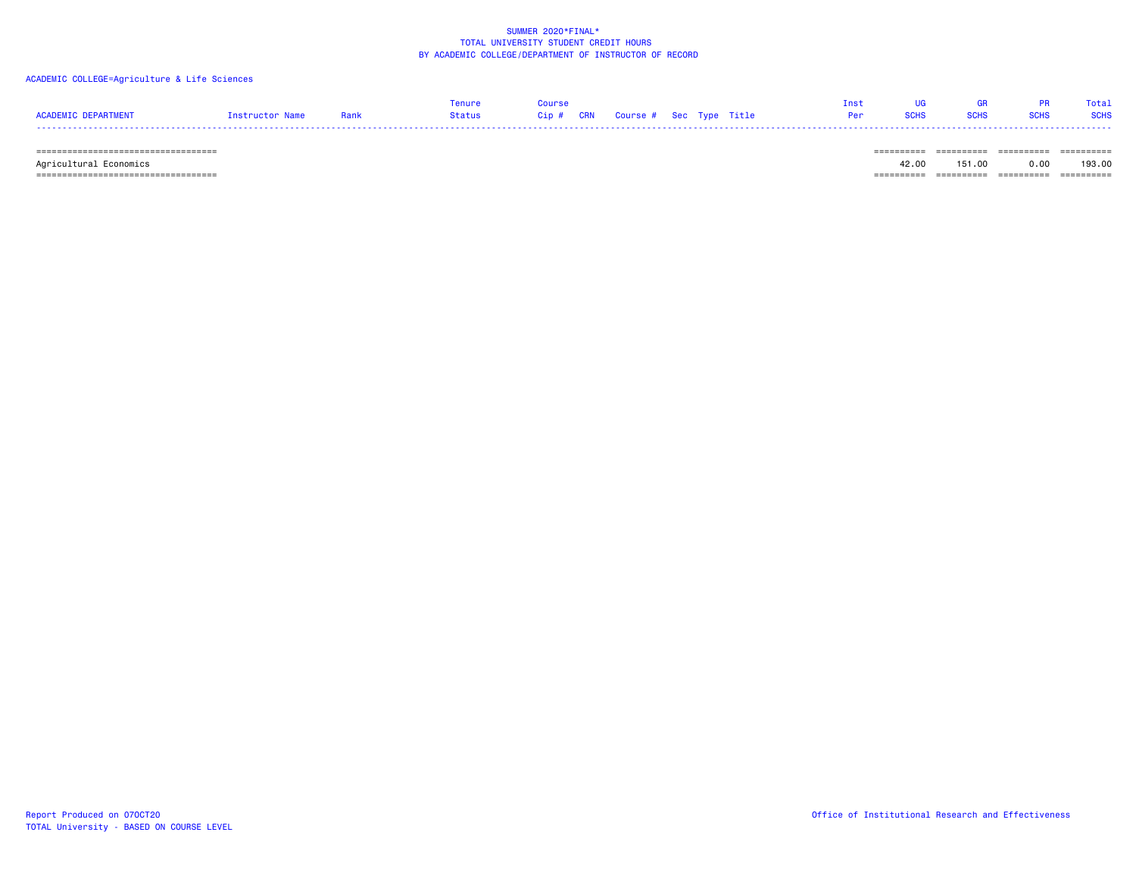### ACADEMIC COLLEGE=Agriculture & Life Sciences

|                     |                 |      | <b>Tenure</b> | Course |                                   |  |     | <b>GR</b> | Total       |
|---------------------|-----------------|------|---------------|--------|-----------------------------------|--|-----|-----------|-------------|
| ACADEMIC DEPARTMENT | Instructor Name | Rank | Status        |        | Cip # CRN Course # Sec Type Title |  | Per |           | <b>SCHS</b> |
|                     |                 |      |               |        |                                   |  |     |           |             |

 =================================== ========== ========== ========== ========== Agricultural Economics 42.00 151.00 0.00 193.00  $=$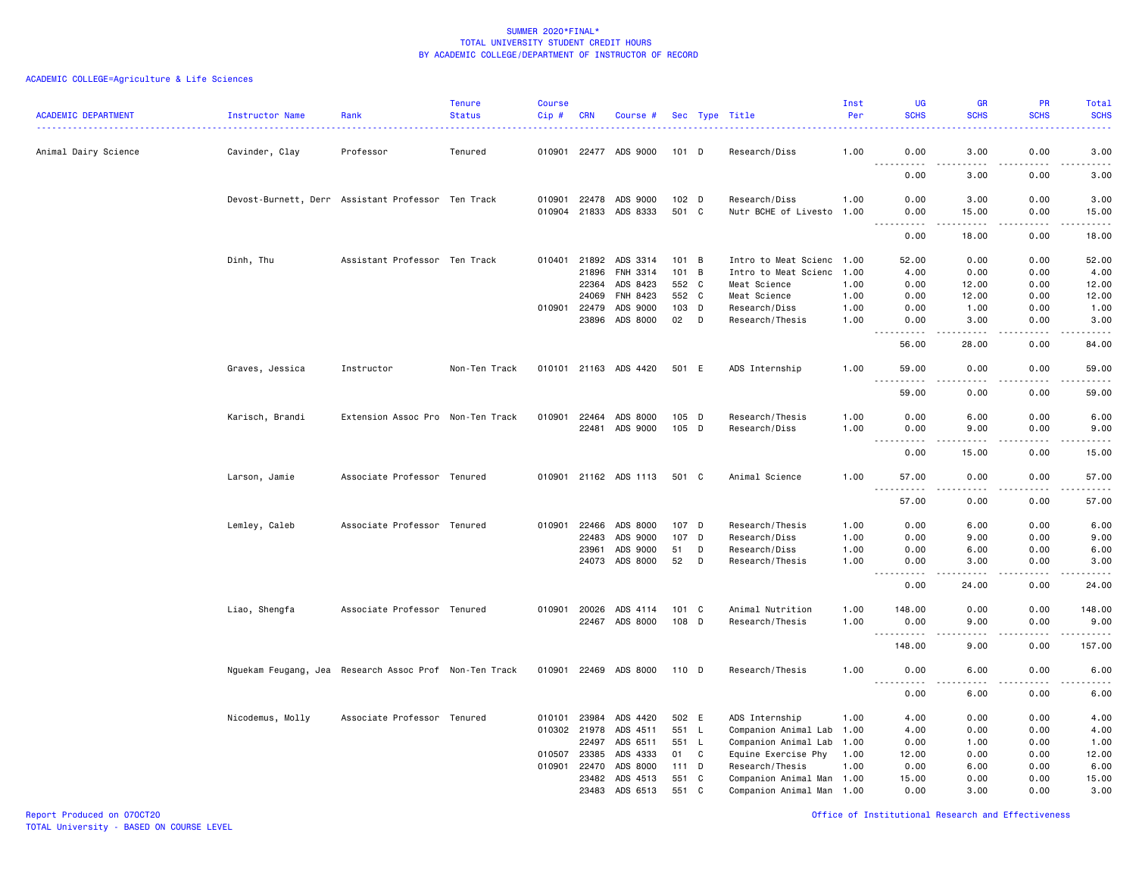# ACADEMIC COLLEGE=Agriculture & Life Sciences

| 1.00<br>3.00<br>0.00<br>Animal Dairy Science<br>Cavinder, Clay<br>Professor<br>Tenured<br>010901 22477 ADS 9000<br>101 D<br>Research/Diss<br>0.00<br>$- - - -$<br>.<br>.<br>.<br>0.00<br>3.00<br>0.00<br>102 D<br>Research/Diss<br>Devost-Burnett, Derr Assistant Professor Ten Track<br>010901<br>22478<br>ADS 9000<br>1.00<br>0.00<br>3.00<br>0.00<br>010904 21833 ADS 8333<br>501 C<br>Nutr BCHE of Livesto 1.00<br>0.00<br>0.00<br>15.00<br>.<br>.<br>.<br>$\sim$ $\sim$ $\sim$<br>0.00<br>18.00<br>0.00<br>Dinh, Thu<br>Assistant Professor Ten Track<br>010401 21892 ADS 3314<br>101<br>Intro to Meat Scienc 1.00<br>0.00<br>B<br>52.00<br>0.00<br>21896<br>FNH 3314<br>101<br>$\overline{B}$<br>Intro to Meat Scienc<br>0.00<br>0.00<br>1.00<br>4.00<br>552 C | <b>ACADEMIC DEPARTMENT</b> | Instructor Name | Rank | <b>Tenure</b><br><b>Status</b> | <b>Course</b><br>$Cip$ # | <b>CRN</b> | Course # |  | Sec Type Title | Inst<br>Per | <b>UG</b><br><b>SCHS</b> | <b>GR</b><br><b>SCHS</b> | <b>PR</b><br><b>SCHS</b> | Total<br><b>SCHS</b>                                                                                                                                          |
|----------------------------------------------------------------------------------------------------------------------------------------------------------------------------------------------------------------------------------------------------------------------------------------------------------------------------------------------------------------------------------------------------------------------------------------------------------------------------------------------------------------------------------------------------------------------------------------------------------------------------------------------------------------------------------------------------------------------------------------------------------------------|----------------------------|-----------------|------|--------------------------------|--------------------------|------------|----------|--|----------------|-------------|--------------------------|--------------------------|--------------------------|---------------------------------------------------------------------------------------------------------------------------------------------------------------|
|                                                                                                                                                                                                                                                                                                                                                                                                                                                                                                                                                                                                                                                                                                                                                                      |                            |                 |      |                                |                          |            |          |  |                |             |                          |                          |                          | 3.00                                                                                                                                                          |
|                                                                                                                                                                                                                                                                                                                                                                                                                                                                                                                                                                                                                                                                                                                                                                      |                            |                 |      |                                |                          |            |          |  |                |             |                          |                          |                          | $\frac{1}{2} \left( \frac{1}{2} \right) \left( \frac{1}{2} \right) \left( \frac{1}{2} \right) \left( \frac{1}{2} \right) \left( \frac{1}{2} \right)$<br>3.00  |
|                                                                                                                                                                                                                                                                                                                                                                                                                                                                                                                                                                                                                                                                                                                                                                      |                            |                 |      |                                |                          |            |          |  |                |             |                          |                          |                          | 3.00                                                                                                                                                          |
|                                                                                                                                                                                                                                                                                                                                                                                                                                                                                                                                                                                                                                                                                                                                                                      |                            |                 |      |                                |                          |            |          |  |                |             |                          |                          |                          | 15.00<br>$\frac{1}{2}$                                                                                                                                        |
|                                                                                                                                                                                                                                                                                                                                                                                                                                                                                                                                                                                                                                                                                                                                                                      |                            |                 |      |                                |                          |            |          |  |                |             |                          |                          |                          | 18.00                                                                                                                                                         |
|                                                                                                                                                                                                                                                                                                                                                                                                                                                                                                                                                                                                                                                                                                                                                                      |                            |                 |      |                                |                          |            |          |  |                |             |                          |                          |                          | 52.00                                                                                                                                                         |
|                                                                                                                                                                                                                                                                                                                                                                                                                                                                                                                                                                                                                                                                                                                                                                      |                            |                 |      |                                |                          |            |          |  |                |             |                          |                          |                          | 4.00                                                                                                                                                          |
|                                                                                                                                                                                                                                                                                                                                                                                                                                                                                                                                                                                                                                                                                                                                                                      |                            |                 |      |                                |                          | 22364      | ADS 8423 |  | Meat Science   | 1.00        | 0.00                     | 12.00                    | 0.00                     | 12.00                                                                                                                                                         |
| 552 C<br>24069<br>FNH 8423<br>0.00<br>0.00<br>Meat Science<br>1.00<br>12.00                                                                                                                                                                                                                                                                                                                                                                                                                                                                                                                                                                                                                                                                                          |                            |                 |      |                                |                          |            |          |  |                |             |                          |                          |                          | 12.00                                                                                                                                                         |
| 010901<br>22479<br>ADS 9000<br>103 D<br>Research/Diss<br>1.00<br>1.00<br>0.00<br>0.00                                                                                                                                                                                                                                                                                                                                                                                                                                                                                                                                                                                                                                                                                |                            |                 |      |                                |                          |            |          |  |                |             |                          |                          |                          | 1.00                                                                                                                                                          |
| 23896<br>ADS 8000<br>02<br>D<br>Research/Thesis<br>1.00<br>3.00<br>0.00<br>0.00                                                                                                                                                                                                                                                                                                                                                                                                                                                                                                                                                                                                                                                                                      |                            |                 |      |                                |                          |            |          |  |                |             |                          |                          |                          | 3.00                                                                                                                                                          |
| $\frac{1}{2} \left( \frac{1}{2} \right) \left( \frac{1}{2} \right) \left( \frac{1}{2} \right) \left( \frac{1}{2} \right) \left( \frac{1}{2} \right)$<br>56.00<br>28.00<br>0.00                                                                                                                                                                                                                                                                                                                                                                                                                                                                                                                                                                                       |                            |                 |      |                                |                          |            |          |  |                |             |                          |                          |                          | $\frac{1}{2} \left( \frac{1}{2} \right) \left( \frac{1}{2} \right) \left( \frac{1}{2} \right) \left( \frac{1}{2} \right) \left( \frac{1}{2} \right)$<br>84.00 |
| Graves, Jessica<br>010101 21163 ADS 4420<br>501 E<br>ADS Internship<br>1.00<br>59.00<br>0.00<br>0.00<br>Instructor<br>Non-Ten Track                                                                                                                                                                                                                                                                                                                                                                                                                                                                                                                                                                                                                                  |                            |                 |      |                                |                          |            |          |  |                |             |                          |                          |                          | 59.00                                                                                                                                                         |
| $\sim$ $\sim$ $\sim$<br>.<br>59.00<br>0.00<br>0.00                                                                                                                                                                                                                                                                                                                                                                                                                                                                                                                                                                                                                                                                                                                   |                            |                 |      |                                |                          |            |          |  |                |             |                          |                          |                          | $\frac{1}{2}$<br>59.00                                                                                                                                        |
|                                                                                                                                                                                                                                                                                                                                                                                                                                                                                                                                                                                                                                                                                                                                                                      |                            |                 |      |                                |                          |            |          |  |                |             |                          |                          |                          |                                                                                                                                                               |
| Karisch, Brandi<br>Extension Assoc Pro Non-Ten Track<br>010901<br>22464<br>ADS 8000<br>105 D<br>Research/Thesis<br>1.00<br>0.00<br>6.00<br>0.00                                                                                                                                                                                                                                                                                                                                                                                                                                                                                                                                                                                                                      |                            |                 |      |                                |                          |            |          |  |                |             |                          |                          |                          | 6.00                                                                                                                                                          |
| 22481<br>ADS 9000<br>105 D<br>Research/Diss<br>0.00<br>1.00<br>0.00<br>9.00                                                                                                                                                                                                                                                                                                                                                                                                                                                                                                                                                                                                                                                                                          |                            |                 |      |                                |                          |            |          |  |                |             |                          |                          |                          | 9.00                                                                                                                                                          |
| .<br>$- - -$<br>.<br>.<br>0.00<br>0.00<br>15.00                                                                                                                                                                                                                                                                                                                                                                                                                                                                                                                                                                                                                                                                                                                      |                            |                 |      |                                |                          |            |          |  |                |             |                          |                          |                          | $\frac{1}{2} \left( \frac{1}{2} \right) \left( \frac{1}{2} \right) \left( \frac{1}{2} \right) \left( \frac{1}{2} \right) \left( \frac{1}{2} \right)$<br>15.00 |
| Associate Professor Tenured<br>010901 21162 ADS 1113<br>Animal Science<br>1.00<br>57.00<br>0.00<br>Larson, Jamie<br>501 C<br>0.00                                                                                                                                                                                                                                                                                                                                                                                                                                                                                                                                                                                                                                    |                            |                 |      |                                |                          |            |          |  |                |             |                          |                          |                          | 57.00                                                                                                                                                         |
| 57.00<br>0.00<br>0.00                                                                                                                                                                                                                                                                                                                                                                                                                                                                                                                                                                                                                                                                                                                                                |                            |                 |      |                                |                          |            |          |  |                |             |                          |                          |                          | $\frac{1}{2} \left( \frac{1}{2} \right) \left( \frac{1}{2} \right) \left( \frac{1}{2} \right) \left( \frac{1}{2} \right)$<br>57.00                            |
| Associate Professor Tenured<br>22466<br>ADS 8000<br>107 D<br>Research/Thesis<br>0.00<br>Lemley, Caleb<br>010901<br>1.00<br>0.00<br>6.00                                                                                                                                                                                                                                                                                                                                                                                                                                                                                                                                                                                                                              |                            |                 |      |                                |                          |            |          |  |                |             |                          |                          |                          | 6.00                                                                                                                                                          |
| 22483<br>ADS 9000<br>107<br>D<br>0.00<br>Research/Diss<br>1.00<br>0.00<br>9.00                                                                                                                                                                                                                                                                                                                                                                                                                                                                                                                                                                                                                                                                                       |                            |                 |      |                                |                          |            |          |  |                |             |                          |                          |                          | 9.00                                                                                                                                                          |
| D<br>0.00<br>23961<br>ADS 9000<br>51<br>Research/Diss<br>1.00<br>0.00<br>6.00                                                                                                                                                                                                                                                                                                                                                                                                                                                                                                                                                                                                                                                                                        |                            |                 |      |                                |                          |            |          |  |                |             |                          |                          |                          | 6.00                                                                                                                                                          |
| ADS 8000<br>24073<br>52<br>D<br>Research/Thesis<br>0.00<br>1.00<br>0.00<br>3.00<br>.<br>$- - - -$                                                                                                                                                                                                                                                                                                                                                                                                                                                                                                                                                                                                                                                                    |                            |                 |      |                                |                          |            |          |  |                |             |                          |                          |                          | 3.00<br>$- - - - -$                                                                                                                                           |
| 0.00<br>0.00<br>24.00                                                                                                                                                                                                                                                                                                                                                                                                                                                                                                                                                                                                                                                                                                                                                |                            |                 |      |                                |                          |            |          |  |                |             |                          |                          |                          | 24.00                                                                                                                                                         |
| 010901 20026<br>ADS 4114<br>101 C<br>Animal Nutrition<br>1.00<br>148.00<br>0.00<br>0.00                                                                                                                                                                                                                                                                                                                                                                                                                                                                                                                                                                                                                                                                              |                            |                 |      |                                |                          |            |          |  |                |             |                          |                          |                          |                                                                                                                                                               |
| Liao, Shengfa<br>Associate Professor Tenured                                                                                                                                                                                                                                                                                                                                                                                                                                                                                                                                                                                                                                                                                                                         |                            |                 |      |                                |                          |            |          |  |                |             |                          |                          |                          | 148.00                                                                                                                                                        |
| 22467 ADS 8000<br>108 D<br>Research/Thesis<br>1.00<br>0.00<br>9.00<br>0.00<br>.<br>.<br>$\frac{1}{2}$                                                                                                                                                                                                                                                                                                                                                                                                                                                                                                                                                                                                                                                                |                            |                 |      |                                |                          |            |          |  |                |             |                          |                          |                          | 9.00                                                                                                                                                          |
| 0.00<br>148.00<br>9.00                                                                                                                                                                                                                                                                                                                                                                                                                                                                                                                                                                                                                                                                                                                                               |                            |                 |      |                                |                          |            |          |  |                |             |                          |                          |                          | 157.00                                                                                                                                                        |
| Nguekam Feugang, Jea Research Assoc Prof Non-Ten Track<br>010901 22469 ADS 8000<br>110 D<br>Research/Thesis<br>1.00<br>0.00<br>6.00<br>0.00                                                                                                                                                                                                                                                                                                                                                                                                                                                                                                                                                                                                                          |                            |                 |      |                                |                          |            |          |  |                |             |                          |                          |                          | 6.00                                                                                                                                                          |
| 0.00<br>0.00<br>6.00                                                                                                                                                                                                                                                                                                                                                                                                                                                                                                                                                                                                                                                                                                                                                 |                            |                 |      |                                |                          |            |          |  |                |             |                          |                          |                          | 6.00                                                                                                                                                          |
| Associate Professor Tenured<br>502 E<br>Nicodemus, Molly<br>010101 23984<br>ADS 4420<br>ADS Internship<br>1.00<br>4.00<br>0.00<br>0.00                                                                                                                                                                                                                                                                                                                                                                                                                                                                                                                                                                                                                               |                            |                 |      |                                |                          |            |          |  |                |             |                          |                          |                          | 4.00                                                                                                                                                          |
| 010302<br>21978<br>ADS 4511<br>551<br>Companion Animal Lab<br>4.00<br>0.00<br>0.00<br>L.<br>1.00                                                                                                                                                                                                                                                                                                                                                                                                                                                                                                                                                                                                                                                                     |                            |                 |      |                                |                          |            |          |  |                |             |                          |                          |                          | 4.00                                                                                                                                                          |
| 22497<br>ADS 6511<br>551<br>Companion Animal Lab<br>0.00<br>L.<br>1.00<br>0.00<br>1.00                                                                                                                                                                                                                                                                                                                                                                                                                                                                                                                                                                                                                                                                               |                            |                 |      |                                |                          |            |          |  |                |             |                          |                          |                          | 1.00                                                                                                                                                          |
| 010507<br>23385<br>ADS 4333<br>0.00<br>01<br>C<br>Equine Exercise Phy<br>1.00<br>12.00<br>0.00                                                                                                                                                                                                                                                                                                                                                                                                                                                                                                                                                                                                                                                                       |                            |                 |      |                                |                          |            |          |  |                |             |                          |                          |                          | 12.00                                                                                                                                                         |
| 010901<br>22470<br>ADS 8000<br>111<br>D<br>Research/Thesis<br>1.00<br>0.00<br>6.00<br>0.00                                                                                                                                                                                                                                                                                                                                                                                                                                                                                                                                                                                                                                                                           |                            |                 |      |                                |                          |            |          |  |                |             |                          |                          |                          | 6.00                                                                                                                                                          |
| 23482<br>ADS 4513<br>551<br>C<br>Companion Animal Man 1.00<br>15.00<br>0.00<br>0.00                                                                                                                                                                                                                                                                                                                                                                                                                                                                                                                                                                                                                                                                                  |                            |                 |      |                                |                          |            |          |  |                |             |                          |                          |                          | 15.00                                                                                                                                                         |
| 23483<br>ADS 6513<br>551<br>C<br>Companion Animal Man 1.00<br>0.00<br>3.00<br>0.00                                                                                                                                                                                                                                                                                                                                                                                                                                                                                                                                                                                                                                                                                   |                            |                 |      |                                |                          |            |          |  |                |             |                          |                          |                          | 3.00                                                                                                                                                          |

Report Produced on 07OCT20 Office of Institutional Research and Effectiveness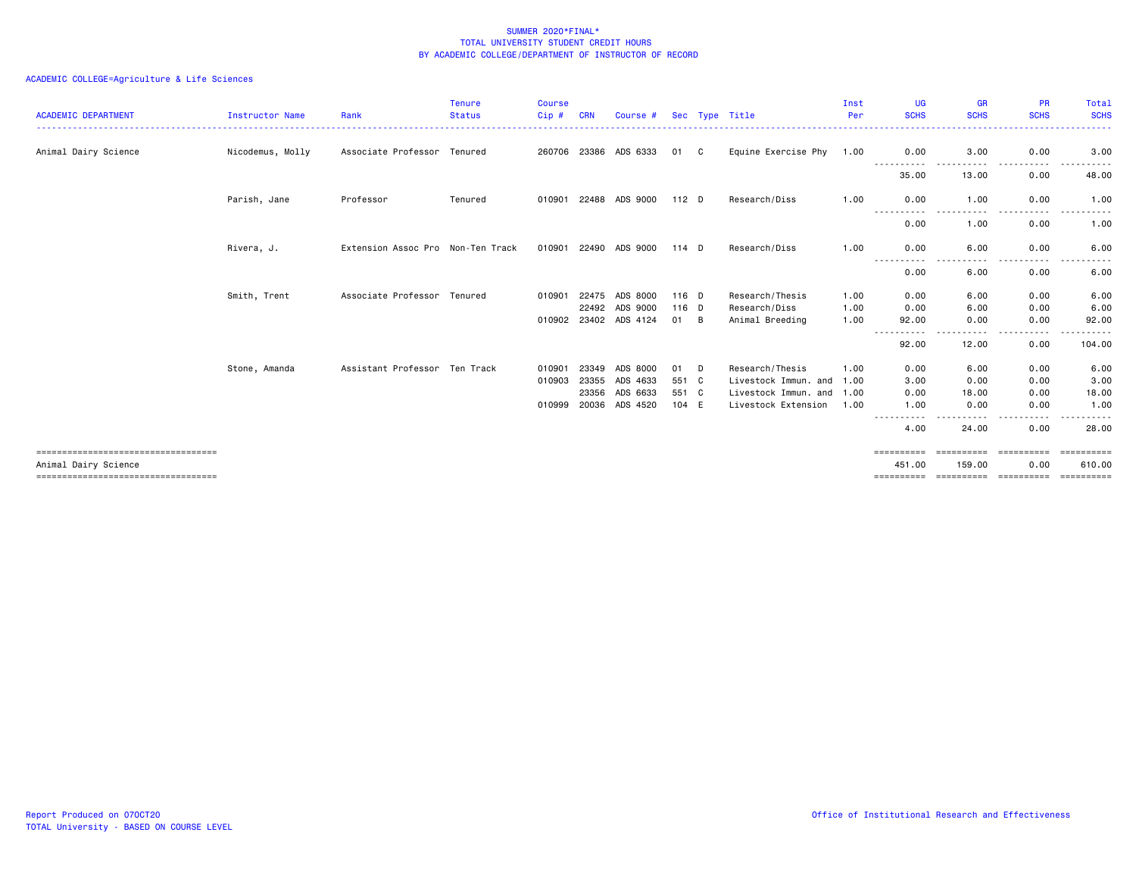| <b>ACADEMIC DEPARTMENT</b>                                   | <b>Instructor Name</b> | Rank                              | <b>Tenure</b><br><b>Status</b> | <b>Course</b><br>Cip# | <b>CRN</b> | Course # |       |   | Sec Type Title            | Inst<br>Per | <b>UG</b><br><b>SCHS</b> | <b>GR</b><br><b>SCHS</b> | <b>PR</b><br><b>SCHS</b>                                                                                                                                                                             | Total<br><b>SCHS</b> |
|--------------------------------------------------------------|------------------------|-----------------------------------|--------------------------------|-----------------------|------------|----------|-------|---|---------------------------|-------------|--------------------------|--------------------------|------------------------------------------------------------------------------------------------------------------------------------------------------------------------------------------------------|----------------------|
| Animal Dairy Science                                         | Nicodemus, Molly       | Associate Professor Tenured       |                                | 260706 23386          |            | ADS 6333 | 01 C  |   | Equine Exercise Phy 1.00  |             | 0.00                     | 3.00                     | 0.00<br>$\frac{1}{2} \left( \frac{1}{2} \right) \left( \frac{1}{2} \right) \left( \frac{1}{2} \right) \left( \frac{1}{2} \right) \left( \frac{1}{2} \right) \left( \frac{1}{2} \right)$              | 3,00                 |
|                                                              |                        |                                   |                                |                       |            |          |       |   |                           |             | ----------<br>35.00      | . <b>.</b><br>13.00      | $\cdots$<br>0.00                                                                                                                                                                                     | 48.00                |
|                                                              | Parish, Jane           | Professor                         | Tenured                        | 010901                | 22488      | ADS 9000 | 112 D |   | Research/Diss             | 1.00        | 0.00                     | 1.00                     | 0.00                                                                                                                                                                                                 | 1.00                 |
|                                                              |                        |                                   |                                |                       |            |          |       |   |                           |             | $- - -$<br>.<br>0.00     | ----<br>1.00             | . <b>.</b><br>0.00                                                                                                                                                                                   | .<br>1.00            |
|                                                              | Rivera, J.             | Extension Assoc Pro Non-Ten Track |                                | 010901                | 22490      | ADS 9000 | 114 D |   | Research/Diss             | 1.00        | 0.00                     | 6.00<br>$\cdots$         | 0.00<br>.                                                                                                                                                                                            | 6.00                 |
|                                                              |                        |                                   |                                |                       |            |          |       |   |                           |             | ----------<br>0.00       | 6.00                     | 0.00                                                                                                                                                                                                 | 6.00                 |
|                                                              | Smith, Trent           | Associate Professor Tenured       |                                | 010901                | 22475      | ADS 8000 | 116 D |   | Research/Thesis           | 1.00        | 0.00                     | 6.00                     | 0.00                                                                                                                                                                                                 | 6.00                 |
|                                                              |                        |                                   |                                |                       | 22492      | ADS 9000 | 116 D |   | Research/Diss             | 1.00        | 0.00                     | 6.00                     | 0.00                                                                                                                                                                                                 | 6.00                 |
|                                                              |                        |                                   |                                | 010902 23402          |            | ADS 4124 | 01 B  |   | Animal Breeding           | 1.00        | 92.00<br>-----------     | 0.00<br>-------          | 0.00<br>$\frac{1}{2} \left( \frac{1}{2} \right) \left( \frac{1}{2} \right) \left( \frac{1}{2} \right) \left( \frac{1}{2} \right) \left( \frac{1}{2} \right) \left( \frac{1}{2} \right)$<br>$- - - -$ | 92.00<br>.           |
|                                                              |                        |                                   |                                |                       |            |          |       |   |                           |             | 92.00                    | 12.00                    | 0.00                                                                                                                                                                                                 | 104.00               |
|                                                              | Stone, Amanda          | Assistant Professor Ten Track     |                                | 010901                | 23349      | ADS 8000 | 01    | D | Research/Thesis           | 1.00        | 0.00                     | 6.00                     | 0.00                                                                                                                                                                                                 | 6.00                 |
|                                                              |                        |                                   |                                | 010903                | 23355      | ADS 4633 | 551 C |   | Livestock Immun. and 1.00 |             | 3.00                     | 0.00                     | 0.00                                                                                                                                                                                                 | 3.00                 |
|                                                              |                        |                                   |                                |                       | 23356      | ADS 6633 | 551 C |   | Livestock Immun. and 1.00 |             | 0.00                     | 18.00                    | 0.00                                                                                                                                                                                                 | 18.00                |
|                                                              |                        |                                   |                                | 010999                | 20036      | ADS 4520 | 104 E |   | Livestock Extension       | 1.00        | 1.00<br>-----------      | 0.00<br>------           | 0.00<br>.                                                                                                                                                                                            | 1.00<br>.            |
|                                                              |                        |                                   |                                |                       |            |          |       |   |                           |             | 4.00                     | 24.00                    | 0.00                                                                                                                                                                                                 | 28.00                |
| ====================================<br>Animal Dairy Science |                        |                                   |                                |                       |            |          |       |   |                           |             | ==========<br>451.00     | ==========<br>159.00     | -----------<br>0.00                                                                                                                                                                                  | ==========<br>610,00 |
| =====================================                        |                        |                                   |                                |                       |            |          |       |   |                           |             | ==========               | ==========               | -----------                                                                                                                                                                                          | ==========           |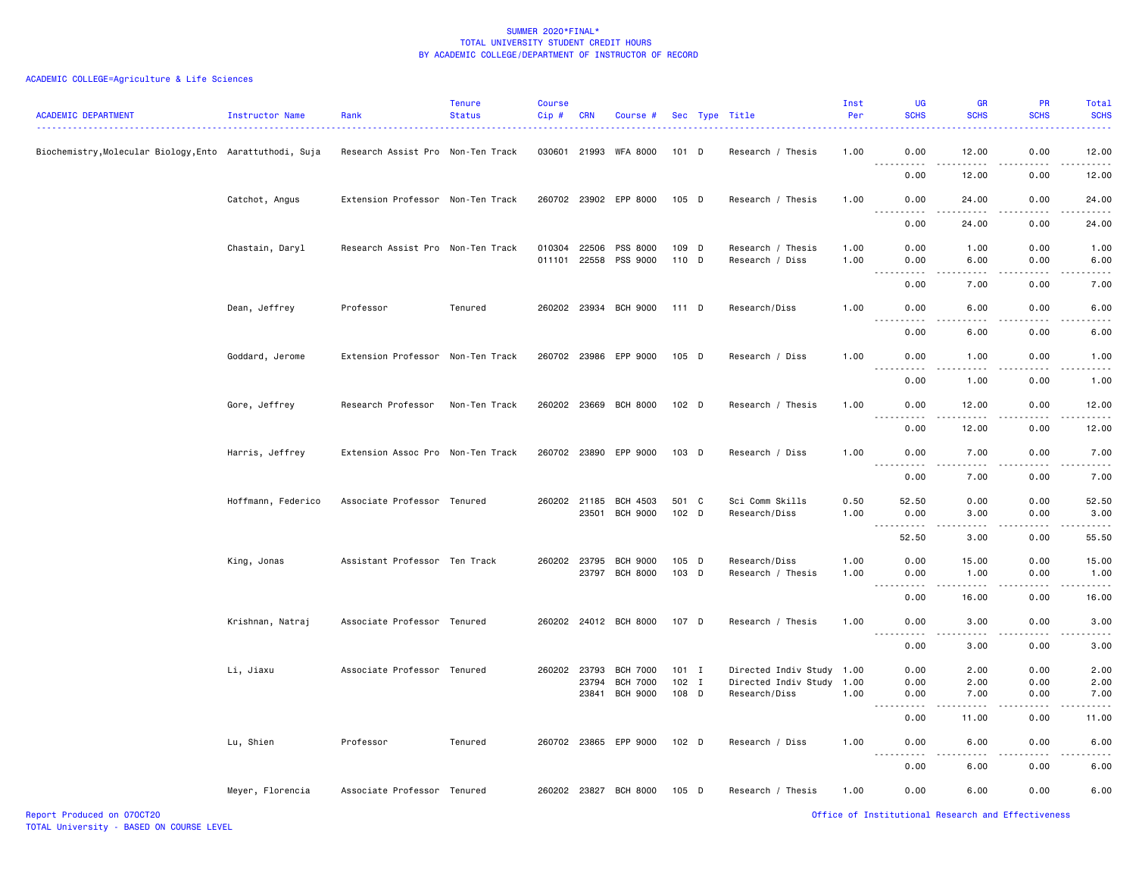| <b>ACADEMIC DEPARTMENT</b>                               | Instructor Name    | Rank                              | <b>Tenure</b><br><b>Status</b> | <b>Course</b><br>Cip#        | CRN            | Course #                                 |                  | Sec Type Title                             | Inst<br>Per  | UG<br><b>SCHS</b>                                                                                                                                                                     | <b>GR</b><br><b>SCHS</b>                    | <b>PR</b><br><b>SCHS</b>       | Total<br><b>SCHS</b>                                                                                                                                         |
|----------------------------------------------------------|--------------------|-----------------------------------|--------------------------------|------------------------------|----------------|------------------------------------------|------------------|--------------------------------------------|--------------|---------------------------------------------------------------------------------------------------------------------------------------------------------------------------------------|---------------------------------------------|--------------------------------|--------------------------------------------------------------------------------------------------------------------------------------------------------------|
| Biochemistry, Molecular Biology, Ento Aarattuthodi, Suja |                    | Research Assist Pro Non-Ten Track |                                |                              |                | 030601 21993 WFA 8000                    | 101 D            | Research / Thesis                          | 1.00         | 0.00<br><u>.</u>                                                                                                                                                                      | 12.00<br>.                                  | 0.00<br>.                      | 12.00<br>.                                                                                                                                                   |
|                                                          |                    |                                   |                                |                              |                |                                          |                  |                                            |              | 0.00                                                                                                                                                                                  | 12.00                                       | 0.00                           | 12.00                                                                                                                                                        |
|                                                          | Catchot, Angus     | Extension Professor Non-Ten Track |                                |                              |                | 260702 23902 EPP 8000                    | 105 D            | Research / Thesis                          | 1.00         | 0.00<br>$\frac{1}{2}$                                                                                                                                                                 | 24.00<br>$\frac{1}{2}$                      | 0.00<br>.                      | 24.00<br>.                                                                                                                                                   |
|                                                          |                    |                                   |                                |                              |                |                                          |                  |                                            |              | 0.00                                                                                                                                                                                  | 24.00                                       | 0.00                           | 24.00                                                                                                                                                        |
|                                                          | Chastain, Daryl    | Research Assist Pro Non-Ten Track |                                | 010304 22506<br>011101 22558 |                | PSS 8000<br>PSS 9000                     | 109 D<br>110 D   | Research / Thesis<br>Research / Diss       | 1.00<br>1.00 | 0.00<br>0.00                                                                                                                                                                          | 1.00<br>6.00                                | 0.00<br>0.00                   | 1.00<br>6.00                                                                                                                                                 |
|                                                          |                    |                                   |                                |                              |                |                                          |                  |                                            |              | 0.00                                                                                                                                                                                  | .<br>7.00                                   | .<br>0.00                      | $\sim$ $\sim$ $\sim$ $\sim$<br>7.00                                                                                                                          |
|                                                          | Dean, Jeffrey      | Professor                         | Tenured                        |                              |                | 260202 23934 BCH 9000                    | 111 D            | Research/Diss                              | 1.00         | 0.00                                                                                                                                                                                  | 6.00                                        | 0.00                           | 6.00                                                                                                                                                         |
|                                                          |                    |                                   |                                |                              |                |                                          |                  |                                            |              | .<br>0.00                                                                                                                                                                             | .<br>6.00                                   | 2.2.2.2.2<br>0.00              | .<br>6.00                                                                                                                                                    |
|                                                          | Goddard, Jerome    | Extension Professor Non-Ten Track |                                |                              |                | 260702 23986 EPP 9000                    | 105 D            | Research / Diss                            | 1.00         | 0.00                                                                                                                                                                                  | 1.00<br>$   -$                              | 0.00                           | 1.00                                                                                                                                                         |
|                                                          |                    |                                   |                                |                              |                |                                          |                  |                                            |              | 0.00                                                                                                                                                                                  | 1.00                                        | 0.00                           | 1.00                                                                                                                                                         |
|                                                          | Gore, Jeffrey      | Research Professor                | Non-Ten Track                  |                              |                | 260202 23669 BCH 8000                    | 102 D            | Research / Thesis                          | 1.00         | 0.00                                                                                                                                                                                  | 12.00                                       | 0.00                           | 12.00                                                                                                                                                        |
|                                                          |                    |                                   |                                |                              |                |                                          |                  |                                            |              | 0.00                                                                                                                                                                                  | 12.00                                       | 0.00                           | 12.00                                                                                                                                                        |
|                                                          | Harris, Jeffrey    | Extension Assoc Pro Non-Ten Track |                                |                              |                | 260702 23890 EPP 9000                    | 103 D            | Research / Diss                            | 1.00         | 0.00<br>. <u>.</u>                                                                                                                                                                    | 7.00                                        | 0.00                           | 7.00<br>$\frac{1}{2}$                                                                                                                                        |
|                                                          |                    |                                   |                                |                              |                |                                          |                  |                                            |              | 0.00                                                                                                                                                                                  | 7.00                                        | 0.00                           | 7.00                                                                                                                                                         |
|                                                          | Hoffmann, Federico | Associate Professor Tenured       |                                |                              | 23501          | 260202 21185 BCH 4503<br><b>BCH 9000</b> | 501 C<br>102 D   | Sci Comm Skills<br>Research/Diss           | 0.50<br>1.00 | 52.50<br>0.00                                                                                                                                                                         | 0.00<br>3.00                                | 0.00<br>0.00                   | 52.50<br>3.00                                                                                                                                                |
|                                                          |                    |                                   |                                |                              |                |                                          |                  |                                            |              | $\sim$ $\sim$ $\sim$<br>$\frac{1}{2} \left( \frac{1}{2} \right) \left( \frac{1}{2} \right) \left( \frac{1}{2} \right) \left( \frac{1}{2} \right) \left( \frac{1}{2} \right)$<br>52.50 | $\sim$ $\sim$ $\sim$ $\sim$<br>3.00         | .<br>0.00                      | $\frac{1}{2}$<br>55.50                                                                                                                                       |
|                                                          | King, Jonas        | Assistant Professor Ten Track     |                                |                              |                | 260202 23795 BCH 9000<br>23797 BCH 8000  | 105 D<br>103 D   | Research/Diss<br>Research / Thesis         | 1.00<br>1.00 | 0.00<br>0.00                                                                                                                                                                          | 15.00<br>1.00                               | 0.00<br>0.00                   | 15.00<br>1.00                                                                                                                                                |
|                                                          |                    |                                   |                                |                              |                |                                          |                  |                                            |              | <b></b><br>0.00                                                                                                                                                                       | $\sim$ $\sim$ $\sim$ $\sim$ $\sim$<br>16.00 | -----<br>$\frac{1}{2}$<br>0.00 | .<br>16.00                                                                                                                                                   |
|                                                          | Krishnan, Natraj   | Associate Professor Tenured       |                                |                              |                | 260202 24012 BCH 8000                    | 107 D            | Research / Thesis                          | 1.00         | 0.00                                                                                                                                                                                  | 3.00                                        | 0.00                           | 3.00                                                                                                                                                         |
|                                                          |                    |                                   |                                |                              |                |                                          |                  |                                            |              | .<br>$\sim$ $\sim$ $\sim$<br>0.00                                                                                                                                                     | .<br>3.00                                   | .<br>0.00                      | $\frac{1}{2} \left( \frac{1}{2} \right) \left( \frac{1}{2} \right) \left( \frac{1}{2} \right) \left( \frac{1}{2} \right) \left( \frac{1}{2} \right)$<br>3.00 |
|                                                          | Li, Jiaxu          | Associate Professor Tenured       |                                | 260202 23793                 |                | <b>BCH 7000</b>                          | 101 I            | Directed Indiv Study                       | 1.00         | 0.00                                                                                                                                                                                  | 2.00                                        | 0.00                           | 2.00                                                                                                                                                         |
|                                                          |                    |                                   |                                |                              | 23794<br>23841 | <b>BCH 7000</b><br>BCH 9000              | $102$ I<br>108 D | Directed Indiv Study 1.00<br>Research/Diss | 1.00         | 0.00<br>0.00                                                                                                                                                                          | 2.00<br>7.00                                | 0.00<br>0.00                   | 2.00<br>7.00                                                                                                                                                 |
|                                                          |                    |                                   |                                |                              |                |                                          |                  |                                            |              | .<br>0.00                                                                                                                                                                             | .<br>11.00                                  | 0.00                           | 11.00                                                                                                                                                        |
|                                                          | Lu, Shien          | Professor                         | Tenured                        |                              |                | 260702 23865 EPP 9000                    | 102 D            | Research / Diss                            | 1.00         | 0.00                                                                                                                                                                                  | 6.00                                        | 0.00                           | 6.00                                                                                                                                                         |
|                                                          |                    |                                   |                                |                              |                |                                          |                  |                                            |              | $\sim$ $\sim$ .<br>$\frac{1}{2} \left( \frac{1}{2} \right) \left( \frac{1}{2} \right) \left( \frac{1}{2} \right) \left( \frac{1}{2} \right)$<br>0.00                                  | .<br>6.00                                   | .<br>0.00                      | ----<br>6.00                                                                                                                                                 |
|                                                          | Meyer, Florencia   | Associate Professor Tenured       |                                |                              |                | 260202 23827 BCH 8000                    | 105 D            | Research / Thesis                          | 1.00         | 0.00                                                                                                                                                                                  | 6.00                                        | 0.00                           | 6.00                                                                                                                                                         |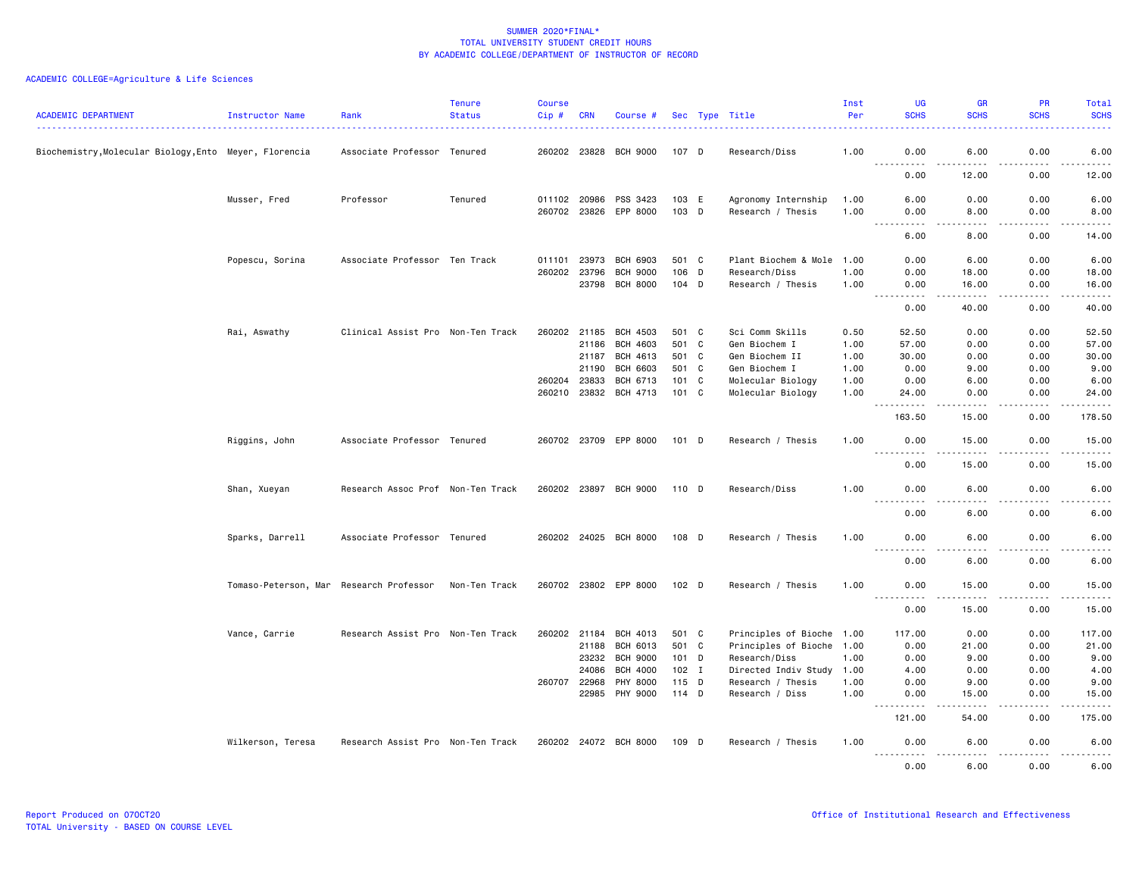| <b>ACADEMIC DEPARTMENT</b>                             | Instructor Name                         | Rank                              | <b>Tenure</b><br><b>Status</b> | <b>Course</b><br>Cip# | <b>CRN</b>   | Course #                                       |                |   | Sec Type Title                           | Inst<br>Per  | UG<br><b>SCHS</b>                                                                                                                                    | <b>GR</b><br><b>SCHS</b>                                                                                                                                      | <b>PR</b><br><b>SCHS</b> | Total<br><b>SCHS</b>  |
|--------------------------------------------------------|-----------------------------------------|-----------------------------------|--------------------------------|-----------------------|--------------|------------------------------------------------|----------------|---|------------------------------------------|--------------|------------------------------------------------------------------------------------------------------------------------------------------------------|---------------------------------------------------------------------------------------------------------------------------------------------------------------|--------------------------|-----------------------|
| Biochemistry, Molecular Biology, Ento Meyer, Florencia |                                         | Associate Professor Tenured       |                                |                       |              | 260202 23828 BCH 9000                          | 107 D          |   | Research/Diss                            | 1.00         | 0.00                                                                                                                                                 | 6.00                                                                                                                                                          | 0.00                     | 6.00                  |
|                                                        |                                         |                                   |                                |                       |              |                                                |                |   |                                          |              | $\sim$ $\sim$ $\sim$<br>0.00                                                                                                                         | 12.00                                                                                                                                                         | 0.00                     | 12.00                 |
|                                                        | Musser, Fred                            | Professor                         | Tenured                        |                       |              | 011102 20986 PSS 3423<br>260702 23826 EPP 8000 | 103 E<br>103 D |   | Agronomy Internship<br>Research / Thesis | 1.00<br>1.00 | 6.00<br>0.00                                                                                                                                         | 0.00<br>8.00                                                                                                                                                  | 0.00<br>0.00             | 6.00<br>8.00          |
|                                                        |                                         |                                   |                                |                       |              |                                                |                |   |                                          |              | $\sim$ $\sim$ .<br>$\frac{1}{2}$<br>6.00                                                                                                             | .<br>8.00                                                                                                                                                     | .<br>0.00                | .<br>14.00            |
|                                                        |                                         |                                   |                                |                       |              |                                                |                |   |                                          |              |                                                                                                                                                      |                                                                                                                                                               |                          |                       |
|                                                        | Popescu, Sorina                         | Associate Professor Ten Track     |                                | 011101                | 23973        | <b>BCH 6903</b>                                | 501 C          |   | Plant Biochem & Mole 1.00                |              | 0.00                                                                                                                                                 | 6.00                                                                                                                                                          | 0.00                     | 6.00                  |
|                                                        |                                         |                                   |                                |                       | 260202 23796 | <b>BCH 9000</b>                                | 106            | D | Research/Diss                            | 1.00         | 0.00                                                                                                                                                 | 18.00                                                                                                                                                         | 0.00                     | 18.00                 |
|                                                        |                                         |                                   |                                |                       | 23798        | <b>BCH 8000</b>                                | 104 D          |   | Research / Thesis                        | 1.00         | 0.00<br>----                                                                                                                                         | 16.00<br>.                                                                                                                                                    | 0.00                     | 16.00<br>. <b>.</b> . |
|                                                        |                                         |                                   |                                |                       |              |                                                |                |   |                                          |              | 0.00                                                                                                                                                 | 40.00                                                                                                                                                         | 0.00                     | 40.00                 |
|                                                        | Rai, Aswathy                            | Clinical Assist Pro Non-Ten Track |                                | 260202 21185          |              | <b>BCH 4503</b>                                | 501 C          |   | Sci Comm Skills                          | 0.50         | 52.50                                                                                                                                                | 0.00                                                                                                                                                          | 0.00                     | 52.50                 |
|                                                        |                                         |                                   |                                |                       | 21186        | BCH 4603                                       | 501 C          |   | Gen Biochem I                            | 1.00         | 57.00                                                                                                                                                | 0.00                                                                                                                                                          | 0.00                     | 57.00                 |
|                                                        |                                         |                                   |                                |                       | 21187        | BCH 4613                                       | 501 C          |   | Gen Biochem II                           | 1.00         | 30.00                                                                                                                                                | 0.00                                                                                                                                                          | 0.00                     | 30.00                 |
|                                                        |                                         |                                   |                                |                       | 21190        | <b>BCH 6603</b>                                | 501 C          |   | Gen Biochem I                            | 1.00         | 0.00                                                                                                                                                 | 9.00                                                                                                                                                          | 0.00                     | 9.00                  |
|                                                        |                                         |                                   |                                | 260204 23833          |              | BCH 6713                                       | 101 C          |   | Molecular Biology                        | 1.00         | 0.00                                                                                                                                                 | 6.00                                                                                                                                                          | 0.00                     | 6.00                  |
|                                                        |                                         |                                   |                                | 260210                | 23832        | BCH 4713                                       | 101 C          |   | Molecular Biology                        | 1.00         | 24.00                                                                                                                                                | 0.00                                                                                                                                                          | 0.00                     | 24.00                 |
|                                                        |                                         |                                   |                                |                       |              |                                                |                |   |                                          |              | $- - - - -$<br>$  -$<br>163.50                                                                                                                       | .<br>15.00                                                                                                                                                    | .<br>0.00                | .<br>178.50           |
|                                                        | Riggins, John                           | Associate Professor Tenured       |                                |                       |              | 260702 23709 EPP 8000                          | 101 D          |   | Research / Thesis                        | 1.00         | 0.00                                                                                                                                                 | 15.00                                                                                                                                                         | 0.00                     | 15.00                 |
|                                                        |                                         |                                   |                                |                       |              |                                                |                |   |                                          |              | <u>.</u><br>0.00                                                                                                                                     | <u>.</u><br>15.00                                                                                                                                             | .<br>0.00                | .<br>15.00            |
|                                                        | Shan, Xueyan                            | Research Assoc Prof Non-Ten Track |                                |                       |              | 260202 23897 BCH 9000                          | 110 D          |   | Research/Diss                            | 1.00         | 0.00                                                                                                                                                 | 6.00                                                                                                                                                          | 0.00                     | 6.00                  |
|                                                        |                                         |                                   |                                |                       |              |                                                |                |   |                                          |              | $- - -$<br>$- - - - -$<br>0.00                                                                                                                       | .<br>6.00                                                                                                                                                     | <u>.</u><br>0.00         | $\frac{1}{2}$<br>6.00 |
|                                                        | Sparks, Darrell                         | Associate Professor Tenured       |                                |                       |              | 260202 24025 BCH 8000                          | 108 D          |   | Research / Thesis                        | 1.00         | 0.00                                                                                                                                                 | 6.00                                                                                                                                                          | 0.00                     | 6.00                  |
|                                                        |                                         |                                   |                                |                       |              |                                                |                |   |                                          |              | 0.00                                                                                                                                                 | 6.00                                                                                                                                                          | 0.00                     | 6.00                  |
|                                                        | Tomaso-Peterson, Mar Research Professor |                                   | Non-Ten Track                  |                       |              | 260702 23802 EPP 8000                          | 102 D          |   | Research / Thesis                        | 1.00         | 0.00                                                                                                                                                 | 15.00                                                                                                                                                         | 0.00                     | 15.00                 |
|                                                        |                                         |                                   |                                |                       |              |                                                |                |   |                                          |              | .<br>0.00                                                                                                                                            | $\frac{1}{2} \left( \frac{1}{2} \right) \left( \frac{1}{2} \right) \left( \frac{1}{2} \right) \left( \frac{1}{2} \right) \left( \frac{1}{2} \right)$<br>15.00 | .<br>0.00                | .<br>15.00            |
|                                                        | Vance, Carrie                           | Research Assist Pro Non-Ten Track |                                | 260202 21184          |              | BCH 4013                                       | 501 C          |   | Principles of Bioche 1.00                |              | 117.00                                                                                                                                               | 0.00                                                                                                                                                          | 0.00                     | 117.00                |
|                                                        |                                         |                                   |                                |                       | 21188        | BCH 6013                                       | 501 C          |   | Principles of Bioche                     |              | 0.00                                                                                                                                                 | 21.00                                                                                                                                                         | 0.00                     | 21.00                 |
|                                                        |                                         |                                   |                                |                       |              | 23232 BCH 9000                                 | 101 D          |   | Research/Diss                            | 1.00<br>1.00 | 0.00                                                                                                                                                 | 9.00                                                                                                                                                          | 0.00                     | 9.00                  |
|                                                        |                                         |                                   |                                |                       | 24086        | <b>BCH 4000</b>                                | 102 I          |   | Directed Indiv Study 1.00                |              | 4.00                                                                                                                                                 | 0.00                                                                                                                                                          | 0.00                     | 4.00                  |
|                                                        |                                         |                                   |                                | 260707 22968          |              | PHY 8000                                       | $115$ D        |   | Research / Thesis                        | 1.00         | 0.00                                                                                                                                                 | 9.00                                                                                                                                                          | 0.00                     | 9.00                  |
|                                                        |                                         |                                   |                                |                       | 22985        | PHY 9000                                       | $114$ D        |   | Research / Diss                          | 1.00         | 0.00                                                                                                                                                 | 15.00                                                                                                                                                         | 0.00                     | 15.00                 |
|                                                        |                                         |                                   |                                |                       |              |                                                |                |   |                                          |              | $\frac{1}{2} \left( \frac{1}{2} \right) \left( \frac{1}{2} \right) \left( \frac{1}{2} \right) \left( \frac{1}{2} \right) \left( \frac{1}{2} \right)$ |                                                                                                                                                               |                          | <b>.</b>              |
|                                                        |                                         |                                   |                                |                       |              |                                                |                |   |                                          |              | 121.00                                                                                                                                               | 54.00                                                                                                                                                         | 0.00                     | 175.00                |
|                                                        | Wilkerson, Teresa                       | Research Assist Pro Non-Ten Track |                                |                       |              | 260202 24072 BCH 8000                          | 109 D          |   | Research / Thesis                        | 1.00         | 0.00                                                                                                                                                 | 6.00                                                                                                                                                          | 0.00                     | 6.00                  |
|                                                        |                                         |                                   |                                |                       |              |                                                |                |   |                                          |              | 0.00                                                                                                                                                 | 6.00                                                                                                                                                          | 0.00                     | 6.00                  |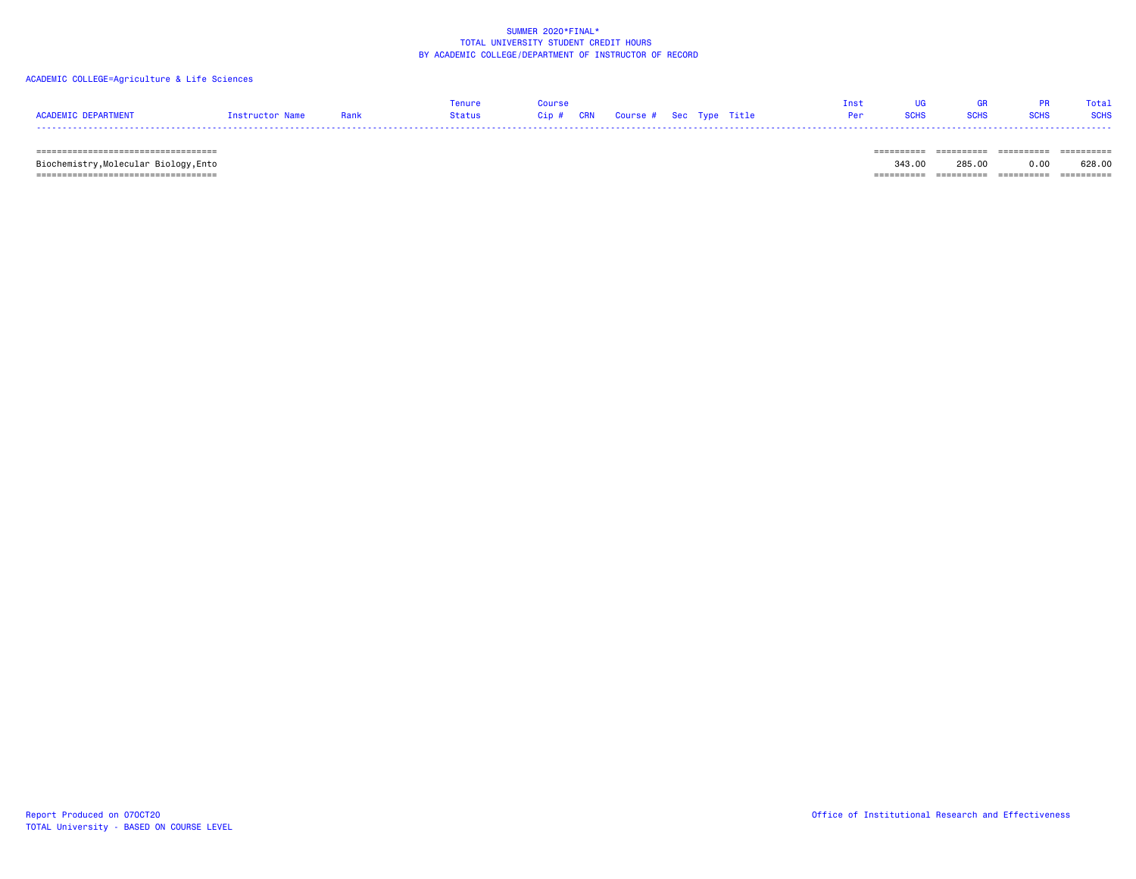### ACADEMIC COLLEGE=Agriculture & Life Sciences

|                     |                 |      | enure  | Course                            |  | Tnst |             | <b>GR</b>   |             | Total       |
|---------------------|-----------------|------|--------|-----------------------------------|--|------|-------------|-------------|-------------|-------------|
| ACADEMIC DEPARTMENT | Instructor Name | Rank | Status | Cip # CRN Course # Sec Type Title |  | Per  | <b>SCHS</b> | <b>SCHS</b> | <b>SCHS</b> | <b>SCHS</b> |
|                     |                 |      |        |                                   |  |      |             |             |             |             |

 =================================== ========== ========== ========== ========== Biochemistry,Molecular Biology,Ento 343.00 285.00 0.00 628.00  $=$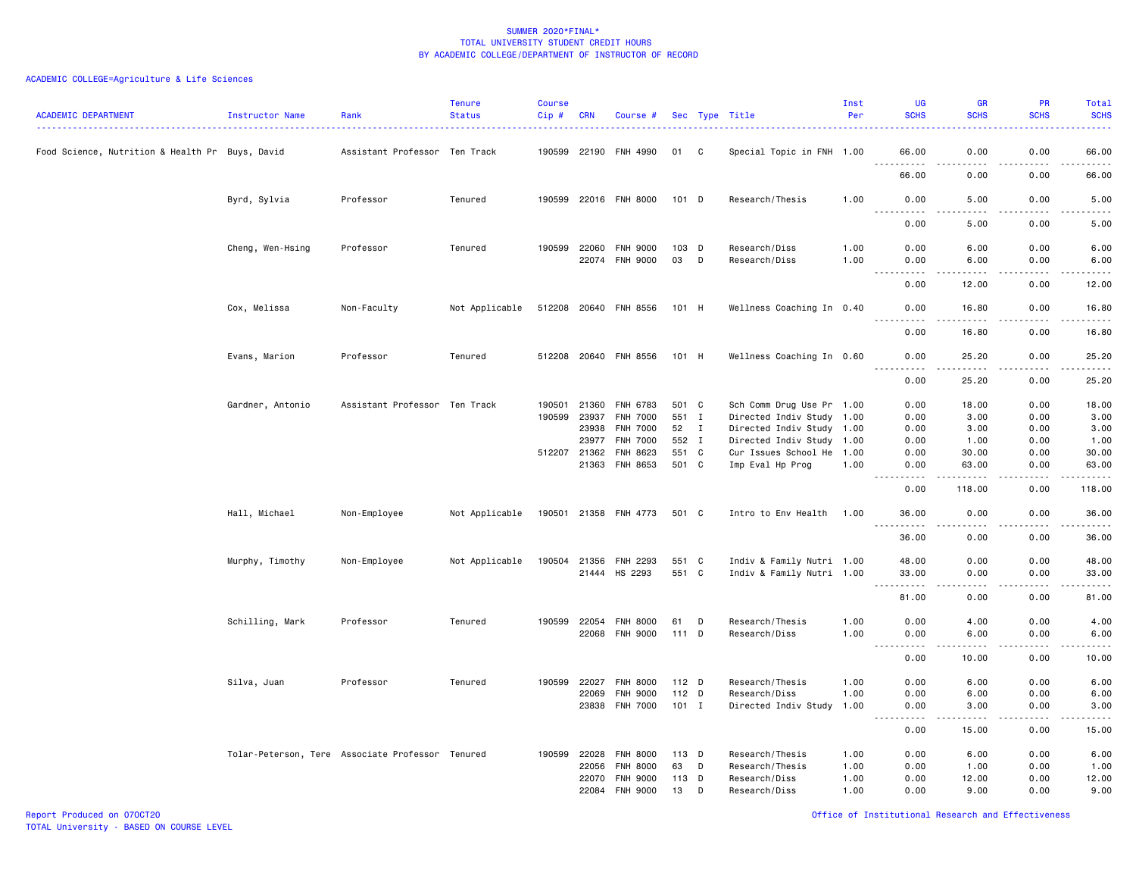| <b>ACADEMIC DEPARTMENT</b>                      | <b>Instructor Name</b> | Rank                                             | <b>Tenure</b><br><b>Status</b> | <b>Course</b><br>$Cip$ # | <b>CRN</b>     | Course #                           |                |              | Sec Type Title                                         | Inst<br>Per  | <b>UG</b><br><b>SCHS</b>    | <b>GR</b><br><b>SCHS</b>                                                                                                                                      | PR<br><b>SCHS</b>     | Total<br><b>SCHS</b> |
|-------------------------------------------------|------------------------|--------------------------------------------------|--------------------------------|--------------------------|----------------|------------------------------------|----------------|--------------|--------------------------------------------------------|--------------|-----------------------------|---------------------------------------------------------------------------------------------------------------------------------------------------------------|-----------------------|----------------------|
| Food Science, Nutrition & Health Pr Buys, David |                        | Assistant Professor Ten Track                    |                                | 190599                   | 22190          | FNH 4990                           | 01             | C            | Special Topic in FNH 1.00                              |              | 66.00                       | 0.00                                                                                                                                                          | 0.00                  | 66.00                |
|                                                 |                        |                                                  |                                |                          |                |                                    |                |              |                                                        |              | 66.00                       | 0.00                                                                                                                                                          | 0.00                  | د د د د د<br>66.00   |
|                                                 | Byrd, Sylvia           | Professor                                        | Tenured                        |                          |                | 190599 22016 FNH 8000              | 101 D          |              | Research/Thesis                                        | 1.00         | 0.00<br>$\frac{1}{2}$       | 5.00<br>$- - - -$                                                                                                                                             | 0.00<br>$\frac{1}{2}$ | 5.00<br>.            |
|                                                 |                        |                                                  |                                |                          |                |                                    |                |              |                                                        |              | 0.00                        | 5.00                                                                                                                                                          | 0.00                  | 5.00                 |
|                                                 | Cheng, Wen-Hsing       | Professor                                        | Tenured                        | 190599                   | 22060<br>22074 | <b>FNH 9000</b><br><b>FNH 9000</b> | 103 D<br>03    | D            | Research/Diss<br>Research/Diss                         | 1.00<br>1.00 | 0.00<br>0.00<br>$- - - - -$ | 6.00<br>6.00                                                                                                                                                  | 0.00<br>0.00<br>.     | 6.00<br>6.00<br>.    |
|                                                 |                        |                                                  |                                |                          |                |                                    |                |              |                                                        |              | $- - -$<br>0.00             | $\frac{1}{2} \left( \frac{1}{2} \right) \left( \frac{1}{2} \right) \left( \frac{1}{2} \right) \left( \frac{1}{2} \right) \left( \frac{1}{2} \right)$<br>12.00 | 0.00                  | 12.00                |
|                                                 | Cox, Melissa           | Non-Faculty                                      | Not Applicable                 |                          |                | 512208 20640 FNH 8556              | 101 H          |              | Wellness Coaching In 0.40                              |              | 0.00                        | 16.80                                                                                                                                                         | 0.00                  | 16.80<br>$- - - - -$ |
|                                                 |                        |                                                  |                                |                          |                |                                    |                |              |                                                        |              | 0.00                        | 16.80                                                                                                                                                         | 0.00                  | 16.80                |
|                                                 | Evans, Marion          | Professor                                        | Tenured                        |                          |                | 512208 20640 FNH 8556              | 101 H          |              | Wellness Coaching In 0.60                              |              | 0.00                        | 25.20                                                                                                                                                         | 0.00                  | 25.20<br>.           |
|                                                 |                        |                                                  |                                |                          |                |                                    |                |              |                                                        |              | 0.00                        | 25.20                                                                                                                                                         | 0.00                  | 25.20                |
|                                                 | Gardner, Antonio       | Assistant Professor Ten Track                    |                                | 190501<br>190599         | 21360<br>23937 | FNH 6783<br><b>FNH 7000</b>        | 501 C<br>551 I |              | Sch Comm Drug Use Pr 1.00<br>Directed Indiv Study 1.00 |              | 0.00<br>0.00                | 18.00<br>3.00                                                                                                                                                 | 0.00<br>0.00          | 18.00<br>3.00        |
|                                                 |                        |                                                  |                                |                          | 23938          | FNH 7000                           | 52             | $\mathbf{I}$ | Directed Indiv Study 1.00                              |              | 0.00                        | 3.00                                                                                                                                                          | 0.00                  | 3.00                 |
|                                                 |                        |                                                  |                                |                          | 23977          | <b>FNH 7000</b>                    | 552 I          |              | Directed Indiv Study 1.00                              |              | 0.00                        | 1.00                                                                                                                                                          | 0.00                  | 1.00                 |
|                                                 |                        |                                                  |                                | 512207 21362             |                | FNH 8623                           | 551 C          |              | Cur Issues School He 1.00                              |              | 0.00                        | 30.00                                                                                                                                                         | 0.00                  | 30.00                |
|                                                 |                        |                                                  |                                |                          | 21363          | FNH 8653                           | 501 C          |              | Imp Eval Hp Prog                                       | 1.00         | 0.00<br>.                   | 63.00<br>$- - - - -$                                                                                                                                          | 0.00<br>.             | 63.00<br>.           |
|                                                 |                        |                                                  |                                |                          |                |                                    |                |              |                                                        |              | 0.00                        | 118.00                                                                                                                                                        | 0.00                  | 118.00               |
|                                                 | Hall, Michael          | Non-Employee                                     | Not Applicable                 |                          |                | 190501 21358 FNH 4773              | 501 C          |              | Intro to Env Health                                    | 1.00         | 36.00<br>.                  | 0.00<br>.                                                                                                                                                     | 0.00<br>.             | 36.00<br>.           |
|                                                 |                        |                                                  |                                |                          |                |                                    |                |              |                                                        |              | 36.00                       | 0.00                                                                                                                                                          | 0.00                  | 36.00                |
|                                                 | Murphy, Timothy        | Non-Employee                                     | Not Applicable                 | 190504                   | 21356          | FNH 2293                           | 551 C          |              | Indiv & Family Nutri 1.00                              |              | 48.00                       | 0.00                                                                                                                                                          | 0.00                  | 48.00                |
|                                                 |                        |                                                  |                                |                          | 21444          | HS 2293                            | 551 C          |              | Indiv & Family Nutri 1.00                              |              | 33.00<br>.                  | 0.00<br>د د د د                                                                                                                                               | 0.00<br>.             | 33.00<br>.           |
|                                                 |                        |                                                  |                                |                          |                |                                    |                |              |                                                        |              | 81.00                       | 0.00                                                                                                                                                          | 0.00                  | 81.00                |
|                                                 | Schilling, Mark        | Professor                                        | Tenured                        | 190599                   | 22054          | <b>FNH 8000</b>                    | 61             | D            | Research/Thesis                                        | 1.00         | 0.00                        | 4.00                                                                                                                                                          | 0.00                  | 4.00                 |
|                                                 |                        |                                                  |                                |                          |                | 22068 FNH 9000                     | 111 D          |              | Research/Diss                                          | 1.00         | 0.00                        | 6.00                                                                                                                                                          | 0.00                  | 6.00<br>د د د د د    |
|                                                 |                        |                                                  |                                |                          |                |                                    |                |              |                                                        |              | -----<br>0.00               | .<br>10.00                                                                                                                                                    | .<br>0.00             | 10.00                |
|                                                 | Silva, Juan            | Professor                                        | Tenured                        | 190599                   | 22027          | <b>FNH 8000</b>                    | $112$ D        |              | Research/Thesis                                        | 1.00         | 0.00                        | 6.00                                                                                                                                                          | 0.00                  | 6.00                 |
|                                                 |                        |                                                  |                                |                          | 22069          | <b>FNH 9000</b>                    | $112$ D        |              | Research/Diss                                          | 1.00         | 0.00                        | 6.00                                                                                                                                                          | 0.00                  | 6.00                 |
|                                                 |                        |                                                  |                                |                          |                | 23838 FNH 7000                     | $101$ I        |              | Directed Indiv Study                                   | 1.00         | 0.00                        | 3.00                                                                                                                                                          | 0.00                  | 3.00                 |
|                                                 |                        |                                                  |                                |                          |                |                                    |                |              |                                                        |              | .<br>0.00                   | -----<br>15.00                                                                                                                                                | .<br>0.00             | .<br>15.00           |
|                                                 |                        | Tolar-Peterson, Tere Associate Professor Tenured |                                | 190599                   | 22028          | <b>FNH 8000</b>                    | $113$ D        |              | Research/Thesis                                        | 1.00         | 0.00                        | 6.00                                                                                                                                                          | 0.00                  | 6.00                 |
|                                                 |                        |                                                  |                                |                          | 22056          | FNH 8000                           | 63             | D            | Research/Thesis                                        | 1.00         | 0.00                        | 1.00                                                                                                                                                          | 0.00                  | 1.00                 |
|                                                 |                        |                                                  |                                |                          | 22070          | <b>FNH 9000</b>                    | 113 D          |              | Research/Diss                                          | 1.00         | 0.00                        | 12.00                                                                                                                                                         | 0.00                  | 12.00                |
|                                                 |                        |                                                  |                                |                          | 22084          | FNH 9000                           | 13             | D            | Research/Diss                                          | 1.00         | 0.00                        | 9.00                                                                                                                                                          | 0.00                  | 9.00                 |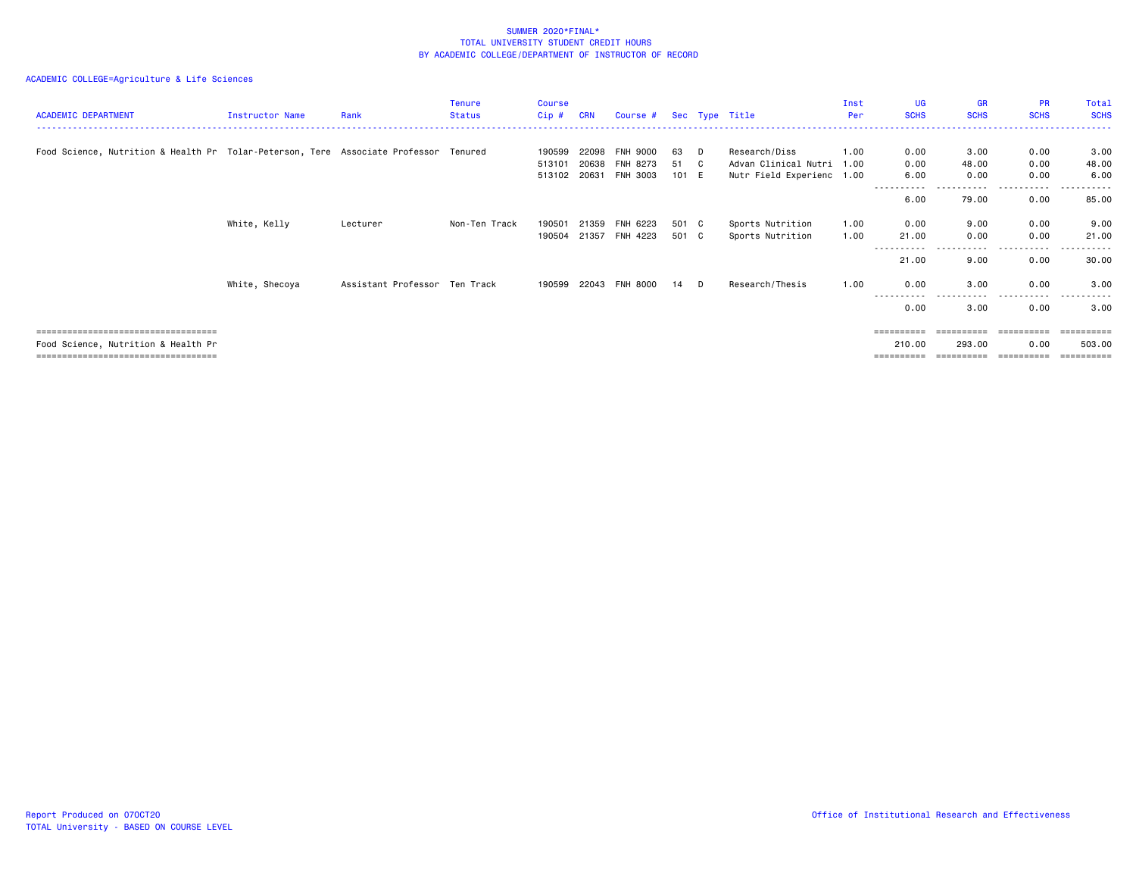| <b>ACADEMIC DEPARTMENT</b>                                                           | Instructor Name | Rank                          | <b>Tenure</b><br><b>Status</b> | <b>Course</b><br>Cip#  | <b>CRN</b>     | Course #              |                |    | Sec Type Title                                    | Inst<br>Per  | UG<br><b>SCHS</b>   | <b>GR</b><br><b>SCHS</b> | <b>PR</b><br><b>SCHS</b> | <b>Total</b><br><b>SCHS</b> |
|--------------------------------------------------------------------------------------|-----------------|-------------------------------|--------------------------------|------------------------|----------------|-----------------------|----------------|----|---------------------------------------------------|--------------|---------------------|--------------------------|--------------------------|-----------------------------|
| Food Science, Nutrition & Health Pr Tolar-Peterson, Tere Associate Professor Tenured |                 |                               |                                | 190599                 | 22098          | <b>FNH 9000</b>       | 63             | D  | Research/Diss                                     | 1.00         | 0.00                | 3.00                     | 0.00                     | 3.00                        |
|                                                                                      |                 |                               |                                | 513101<br>513102 20631 | 20638          | FNH 8273<br>FNH 3003  | 51<br>101 E    | C. | Advan Clinical Nutri<br>Nutr Field Experienc 1.00 | 1.00         | 0.00<br>6.00        | 48.00<br>0.00            | 0.00<br>0.00             | 48.00<br>6.00               |
|                                                                                      |                 |                               |                                |                        |                |                       |                |    |                                                   |              | -----------<br>6.00 | ----<br>79.00            | .<br>0.00                | -----<br>85.00              |
|                                                                                      | White, Kelly    | Lecturer                      | Non-Ten Track                  | 190501<br>190504       | 21359<br>21357 | FNH 6223<br>FNH 4223  | 501 C<br>501 C |    | Sports Nutrition<br>Sports Nutrition              | 1.00<br>1.00 | 0.00<br>21.00       | 9.00<br>0.00             | 0.00<br>0.00             | 9.00<br>21.00               |
|                                                                                      |                 |                               |                                |                        |                |                       |                |    |                                                   |              | 21.00               | .<br>9.00                | $\cdots$<br>.<br>0.00    | 30.00                       |
|                                                                                      | White, Shecoya  | Assistant Professor Ten Track |                                |                        |                | 190599 22043 FNH 8000 | 14 D           |    | Research/Thesis                                   | 1.00         | 0.00                | 3.00                     | 0.00                     | 3.00                        |
|                                                                                      |                 |                               |                                |                        |                |                       |                |    |                                                   |              | -----------<br>0.00 | .<br>3.00                | .<br>0.00                | ----------<br>3.00          |
| =====================================                                                |                 |                               |                                |                        |                |                       |                |    |                                                   |              | ==========          |                          |                          |                             |
| Food Science, Nutrition & Health Pr<br>=================================             |                 |                               |                                |                        |                |                       |                |    |                                                   |              | 210.00              | 293.00                   | 0.00                     | 503.00                      |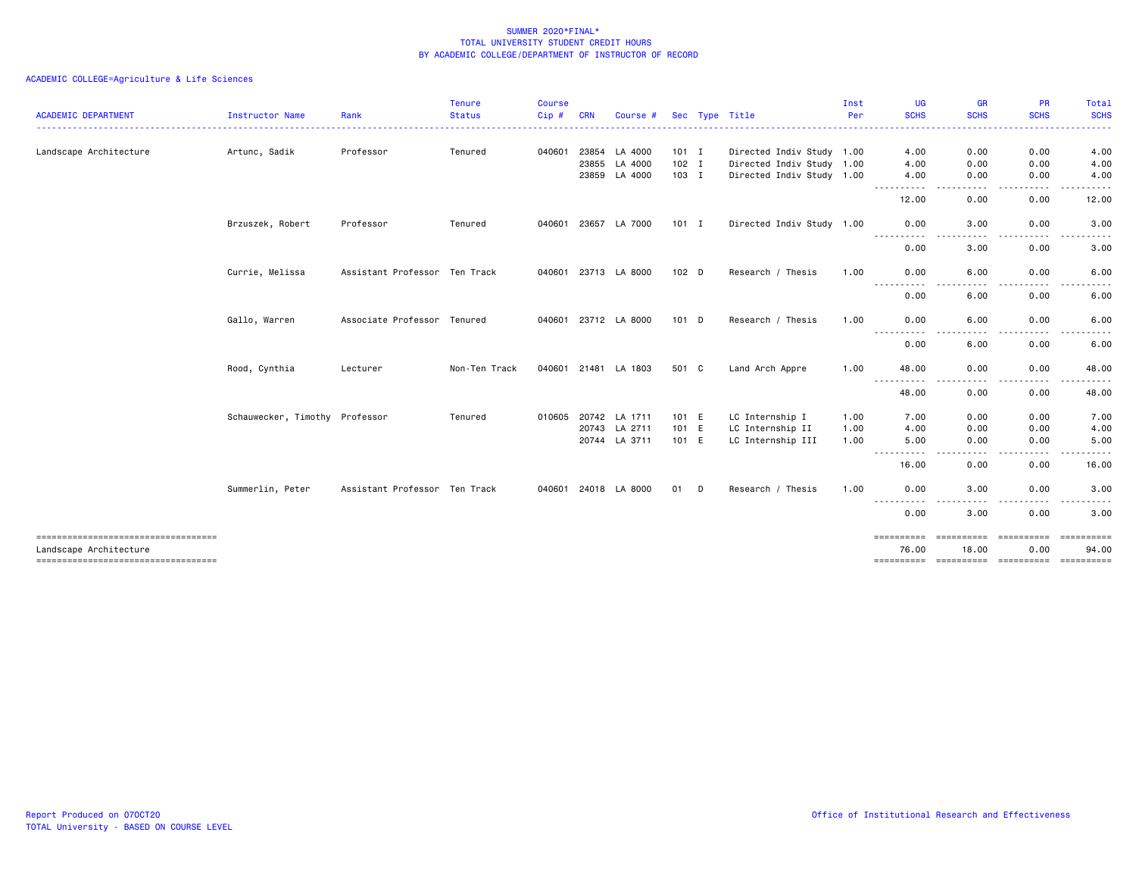| <b>ACADEMIC DEPARTMENT</b>                                    |                                | Rank                          | <b>Tenure</b><br><b>Status</b> | <b>Course</b><br>Cip# | <b>CRN</b> |                      |         | Sec Type Title            | Inst<br>Per | UG<br><b>SCHS</b>        | <b>GR</b><br><b>SCHS</b>                                                                                                          | <b>PR</b><br><b>SCHS</b> | Total<br><b>SCHS</b> |
|---------------------------------------------------------------|--------------------------------|-------------------------------|--------------------------------|-----------------------|------------|----------------------|---------|---------------------------|-------------|--------------------------|-----------------------------------------------------------------------------------------------------------------------------------|--------------------------|----------------------|
|                                                               | Instructor Name                |                               |                                |                       |            | Course #             |         |                           |             |                          |                                                                                                                                   |                          |                      |
| Landscape Architecture                                        | Artunc, Sadik                  | Professor                     | Tenured                        | 040601                | 23854      | LA 4000              | $101$ I | Directed Indiv Study 1.00 |             | 4.00                     | 0.00                                                                                                                              | 0.00                     | 4.00                 |
|                                                               |                                |                               |                                |                       | 23855      | LA 4000              | $102$ I | Directed Indiv Study 1.00 |             | 4.00                     | 0.00                                                                                                                              | 0.00                     | 4.00                 |
|                                                               |                                |                               |                                |                       | 23859      | LA 4000              | 103 I   | Directed Indiv Study 1.00 |             | 4.00<br>$\cdots$         | 0.00<br>$\frac{1}{2} \left( \frac{1}{2} \right) \left( \frac{1}{2} \right) \left( \frac{1}{2} \right) \left( \frac{1}{2} \right)$ | 0.00<br>.                | 4.00<br>-----        |
|                                                               |                                |                               |                                |                       |            |                      |         |                           |             | 12.00                    | 0.00                                                                                                                              | 0.00                     | 12.00                |
|                                                               | Brzuszek, Robert               | Professor                     | Tenured                        |                       |            | 040601 23657 LA 7000 | $101$ I | Directed Indiv Study 1.00 |             | 0.00                     | 3.00                                                                                                                              | 0.00                     | 3.00                 |
|                                                               |                                |                               |                                |                       |            |                      |         |                           |             | 0.00                     | 3.00                                                                                                                              | 0.00                     | 3.00                 |
|                                                               | Currie, Melissa                | Assistant Professor Ten Track |                                |                       |            | 040601 23713 LA 8000 | 102 D   | Research / Thesis         | 1.00        | 0.00                     | 6.00                                                                                                                              | 0.00                     | 6.00                 |
|                                                               |                                |                               |                                |                       |            |                      |         |                           |             | $\cdots$<br>----<br>0.00 | 6.00                                                                                                                              | 0.00                     | 6.00                 |
|                                                               | Gallo, Warren                  | Associate Professor Tenured   |                                |                       |            | 040601 23712 LA 8000 | 101 D   | Research / Thesis         | 1.00        | 0.00                     | 6.00                                                                                                                              | 0.00                     | 6.00                 |
|                                                               |                                |                               |                                |                       |            |                      |         |                           |             | $  -$<br>0.00            | 6.00                                                                                                                              | 0.00                     | 6.00                 |
|                                                               | Rood, Cynthia                  | Lecturer                      | Non-Ten Track                  |                       |            | 040601 21481 LA 1803 | 501 C   | Land Arch Appre           | 1.00        | 48.00                    | 0.00                                                                                                                              | 0.00                     | 48.00                |
|                                                               |                                |                               |                                |                       |            |                      |         |                           |             | $\sim$ $\sim$ .<br>48.00 | 0.00                                                                                                                              | 0.00                     | 48.00                |
|                                                               | Schauwecker, Timothy Professor |                               | Tenured                        |                       |            | 010605 20742 LA 1711 | 101 E   | LC Internship I           | 1.00        | 7.00                     | 0.00                                                                                                                              | 0.00                     | 7.00                 |
|                                                               |                                |                               |                                |                       | 20743      | LA 2711              | 101 E   | LC Internship II          | 1.00        | 4.00                     | 0.00                                                                                                                              | 0.00                     | 4.00                 |
|                                                               |                                |                               |                                |                       | 20744      | LA 3711              | 101 E   | LC Internship III         | 1.00        | 5.00<br>------<br>-----  | 0.00<br>$\cdots$                                                                                                                  | 0.00<br>.                | 5.00<br>.            |
|                                                               |                                |                               |                                |                       |            |                      |         |                           |             | 16.00                    | 0.00                                                                                                                              | 0.00                     | 16.00                |
|                                                               | Summerlin, Peter               | Assistant Professor Ten Track |                                |                       |            | 040601 24018 LA 8000 | 01 D    | Research / Thesis         | 1.00        | 0.00                     | 3.00                                                                                                                              | 0.00<br>. <u>. .</u>     | 3.00<br>.            |
|                                                               |                                |                               |                                |                       |            |                      |         |                           |             | ----------<br>0.00       | ----<br>3.00                                                                                                                      | 0.00                     | 3.00                 |
| -----------------------------------<br>Landscape Architecture |                                |                               |                                |                       |            |                      |         |                           |             | ==========<br>76.00      | ==========<br>18.00                                                                                                               | ==========<br>0.00       | ==========<br>94.00  |
| -----------------------------------                           |                                |                               |                                |                       |            |                      |         |                           |             | ==========               | ==========                                                                                                                        | ==========               | <b>CONSECTE</b>      |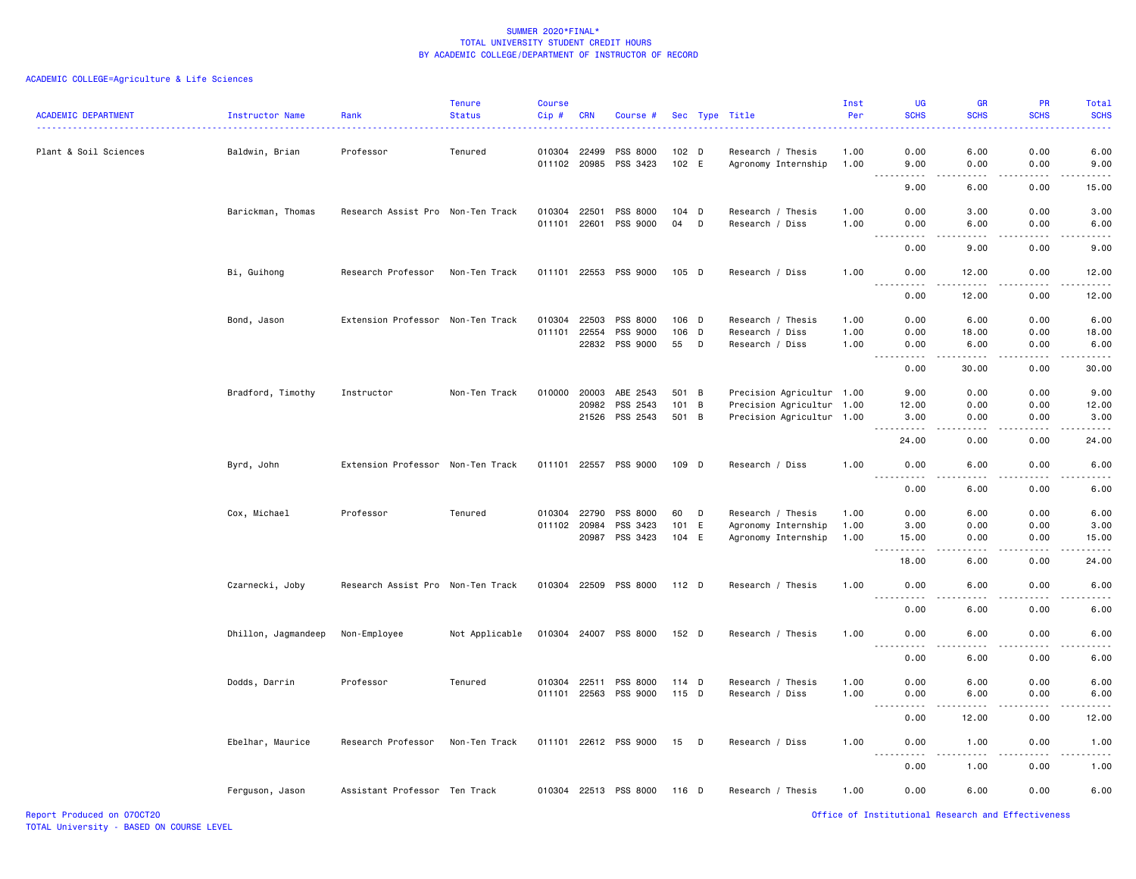| <b>ACADEMIC DEPARTMENT</b> | <b>Instructor Name</b> | Rank                              | <b>Tenure</b><br><b>Status</b> | <b>Course</b><br>$Cip$ # | <b>CRN</b> | Course #              |                  |   | Sec Type Title            | Inst<br>Per | <b>UG</b><br><b>SCHS</b>                                                                                                               | <b>GR</b><br><b>SCHS</b>                                                                                                          | <b>PR</b><br><b>SCHS</b>     | <b>Total</b><br><b>SCHS</b>                                                                                                                          |
|----------------------------|------------------------|-----------------------------------|--------------------------------|--------------------------|------------|-----------------------|------------------|---|---------------------------|-------------|----------------------------------------------------------------------------------------------------------------------------------------|-----------------------------------------------------------------------------------------------------------------------------------|------------------------------|------------------------------------------------------------------------------------------------------------------------------------------------------|
|                            |                        |                                   |                                |                          |            |                       |                  |   |                           |             |                                                                                                                                        |                                                                                                                                   |                              |                                                                                                                                                      |
| Plant & Soil Sciences      | Baldwin, Brian         | Professor                         | Tenured                        | 010304 22499             |            | PSS 8000              | 102 <sub>D</sub> |   | Research / Thesis         | 1.00        | 0.00                                                                                                                                   | 6.00                                                                                                                              | 0.00                         | 6.00                                                                                                                                                 |
|                            |                        |                                   |                                | 011102 20985             |            | PSS 3423              | 102 E            |   | Agronomy Internship       | 1.00        | 9.00<br>.<br>$\frac{1}{2} \left( \frac{1}{2} \right) \left( \frac{1}{2} \right) \left( \frac{1}{2} \right) \left( \frac{1}{2} \right)$ | 0.00<br>$\frac{1}{2} \left( \frac{1}{2} \right) \left( \frac{1}{2} \right) \left( \frac{1}{2} \right) \left( \frac{1}{2} \right)$ | 0.00<br>.                    | 9.00<br>$\omega$ is $\omega$ in .                                                                                                                    |
|                            |                        |                                   |                                |                          |            |                       |                  |   |                           |             | 9.00                                                                                                                                   | 6.00                                                                                                                              | 0.00                         | 15.00                                                                                                                                                |
|                            | Barickman, Thomas      | Research Assist Pro Non-Ten Track |                                | 010304 22501             |            | PSS 8000              | $104$ D          |   | Research / Thesis         | 1.00        | 0.00                                                                                                                                   | 3.00                                                                                                                              | 0.00                         | 3.00                                                                                                                                                 |
|                            |                        |                                   |                                | 011101                   | 22601      | PSS 9000              | 04               | D | Research / Diss           | 1.00        | 0.00<br>.                                                                                                                              | 6.00<br>$- - - -$                                                                                                                 | 0.00<br>$\sim$ $\sim$ $\sim$ | 6.00<br>.                                                                                                                                            |
|                            |                        |                                   |                                |                          |            |                       |                  |   |                           |             | 0.00                                                                                                                                   | 9.00                                                                                                                              | 0.00                         | 9.00                                                                                                                                                 |
|                            | Bi, Guihong            | Research Professor                | Non-Ten Track                  | 011101 22553             |            | PSS 9000              | 105 D            |   | Research / Diss           | 1.00        | 0.00                                                                                                                                   | 12.00                                                                                                                             | 0.00                         | 12.00                                                                                                                                                |
|                            |                        |                                   |                                |                          |            |                       |                  |   |                           |             | 0.00                                                                                                                                   | 12.00                                                                                                                             | 0.00                         | 12.00                                                                                                                                                |
|                            | Bond, Jason            | Extension Professor Non-Ten Track |                                | 010304                   | 22503      | PSS 8000              | 106 D            |   | Research / Thesis         | 1.00        | 0.00                                                                                                                                   | 6.00                                                                                                                              | 0.00                         | 6.00                                                                                                                                                 |
|                            |                        |                                   |                                | 011101                   | 22554      | PSS 9000              | 106              | D | Research / Diss           | 1.00        | 0.00                                                                                                                                   | 18.00                                                                                                                             | 0.00                         | 18.00                                                                                                                                                |
|                            |                        |                                   |                                |                          |            | 22832 PSS 9000        | 55               | D | Research / Diss           | 1.00        | 0.00<br>.                                                                                                                              | 6.00<br>.                                                                                                                         | 0.00<br>.                    | 6.00<br>$\frac{1}{2}$                                                                                                                                |
|                            |                        |                                   |                                |                          |            |                       |                  |   |                           |             | 0.00                                                                                                                                   | 30.00                                                                                                                             | 0.00                         | 30.00                                                                                                                                                |
|                            | Bradford, Timothy      | Instructor                        | Non-Ten Track                  | 010000                   | 20003      | ABE 2543              | 501 B            |   | Precision Agricultur 1.00 |             | 9.00                                                                                                                                   | 0.00                                                                                                                              | 0.00                         | 9.00                                                                                                                                                 |
|                            |                        |                                   |                                |                          | 20982      | PSS 2543              | 101              | B | Precision Agricultur 1.00 |             | 12.00                                                                                                                                  | 0.00                                                                                                                              | 0.00                         | 12.00                                                                                                                                                |
|                            |                        |                                   |                                |                          |            | 21526 PSS 2543        | 501 B            |   | Precision Agricultur 1.00 |             | 3.00<br>.                                                                                                                              | 0.00<br>.                                                                                                                         | 0.00<br>.                    | 3.00<br>.                                                                                                                                            |
|                            |                        |                                   |                                |                          |            |                       |                  |   |                           |             | 24.00                                                                                                                                  | 0.00                                                                                                                              | 0.00                         | 24.00                                                                                                                                                |
|                            | Byrd, John             | Extension Professor Non-Ten Track |                                | 011101 22557             |            | PSS 9000              | 109 D            |   | Research / Diss           | 1.00        | 0.00<br>$\frac{1}{2}$                                                                                                                  | 6.00<br>.                                                                                                                         | 0.00<br>$\frac{1}{2}$        | 6.00<br>.                                                                                                                                            |
|                            |                        |                                   |                                |                          |            |                       |                  |   |                           |             | 0.00                                                                                                                                   | 6.00                                                                                                                              | 0.00                         | 6.00                                                                                                                                                 |
|                            | Cox, Michael           | Professor                         | Tenured                        | 010304                   | 22790      | PSS 8000              | 60               | D | Research / Thesis         | 1.00        | 0.00                                                                                                                                   | 6.00                                                                                                                              | 0.00                         | 6.00                                                                                                                                                 |
|                            |                        |                                   |                                | 011102 20984             |            | PSS 3423              | 101 E            |   | Agronomy Internship       | 1.00        | 3.00                                                                                                                                   | 0.00                                                                                                                              | 0.00                         | 3.00                                                                                                                                                 |
|                            |                        |                                   |                                |                          | 20987      | PSS 3423              | 104 E            |   | Agronomy Internship       | 1.00        | 15.00<br>----                                                                                                                          | 0.00                                                                                                                              | 0.00                         | 15.00<br>$- - - - -$                                                                                                                                 |
|                            |                        |                                   |                                |                          |            |                       |                  |   |                           |             | 18.00                                                                                                                                  | 6.00                                                                                                                              | 0.00                         | 24.00                                                                                                                                                |
|                            | Czarnecki, Joby        | Research Assist Pro Non-Ten Track |                                | 010304 22509             |            | PSS 8000              | 112 D            |   | Research / Thesis         | 1.00        | 0.00                                                                                                                                   | 6.00                                                                                                                              | 0.00                         | 6.00                                                                                                                                                 |
|                            |                        |                                   |                                |                          |            |                       |                  |   |                           |             | 0.00                                                                                                                                   | 6.00                                                                                                                              | 0.00                         | 6.00                                                                                                                                                 |
|                            | Dhillon, Jagmandeep    | Non-Employee                      | Not Applicable                 |                          |            | 010304 24007 PSS 8000 | 152 D            |   | Research / Thesis         | 1.00        | 0.00                                                                                                                                   | 6.00                                                                                                                              | 0.00                         | 6.00                                                                                                                                                 |
|                            |                        |                                   |                                |                          |            |                       |                  |   |                           |             | 0.00                                                                                                                                   | 6.00                                                                                                                              | 0.00                         | 6.00                                                                                                                                                 |
|                            | Dodds, Darrin          | Professor                         | Tenured                        | 010304 22511             |            | PSS 8000              | $114$ D          |   | Research / Thesis         | 1.00        | 0.00                                                                                                                                   | 6.00                                                                                                                              | 0.00                         | 6.00                                                                                                                                                 |
|                            |                        |                                   |                                | 011101 22563             |            | PSS 9000              | 115 D            |   | Research / Diss           | 1.00        | 0.00                                                                                                                                   | 6.00                                                                                                                              | 0.00                         | 6.00                                                                                                                                                 |
|                            |                        |                                   |                                |                          |            |                       |                  |   |                           |             | .<br>0.00                                                                                                                              | .<br>12.00                                                                                                                        | .<br>0.00                    | $\frac{1}{2}$<br>12.00                                                                                                                               |
|                            | Ebelhar, Maurice       | Research Professor                | Non-Ten Track                  |                          |            | 011101 22612 PSS 9000 | 15               | D | Research / Diss           | 1.00        | 0.00                                                                                                                                   | 1.00                                                                                                                              | 0.00                         | 1.00                                                                                                                                                 |
|                            |                        |                                   |                                |                          |            |                       |                  |   |                           |             |                                                                                                                                        | $- - - -$                                                                                                                         | .                            | $\frac{1}{2} \left( \frac{1}{2} \right) \left( \frac{1}{2} \right) \left( \frac{1}{2} \right) \left( \frac{1}{2} \right) \left( \frac{1}{2} \right)$ |
|                            |                        |                                   |                                |                          |            |                       |                  |   |                           |             | 0.00                                                                                                                                   | 1.00                                                                                                                              | 0.00                         | 1.00                                                                                                                                                 |
|                            | Ferguson, Jason        | Assistant Professor Ten Track     |                                |                          |            | 010304 22513 PSS 8000 | 116 D            |   | Research / Thesis         | 1.00        | 0.00                                                                                                                                   | 6.00                                                                                                                              | 0.00                         | 6.00                                                                                                                                                 |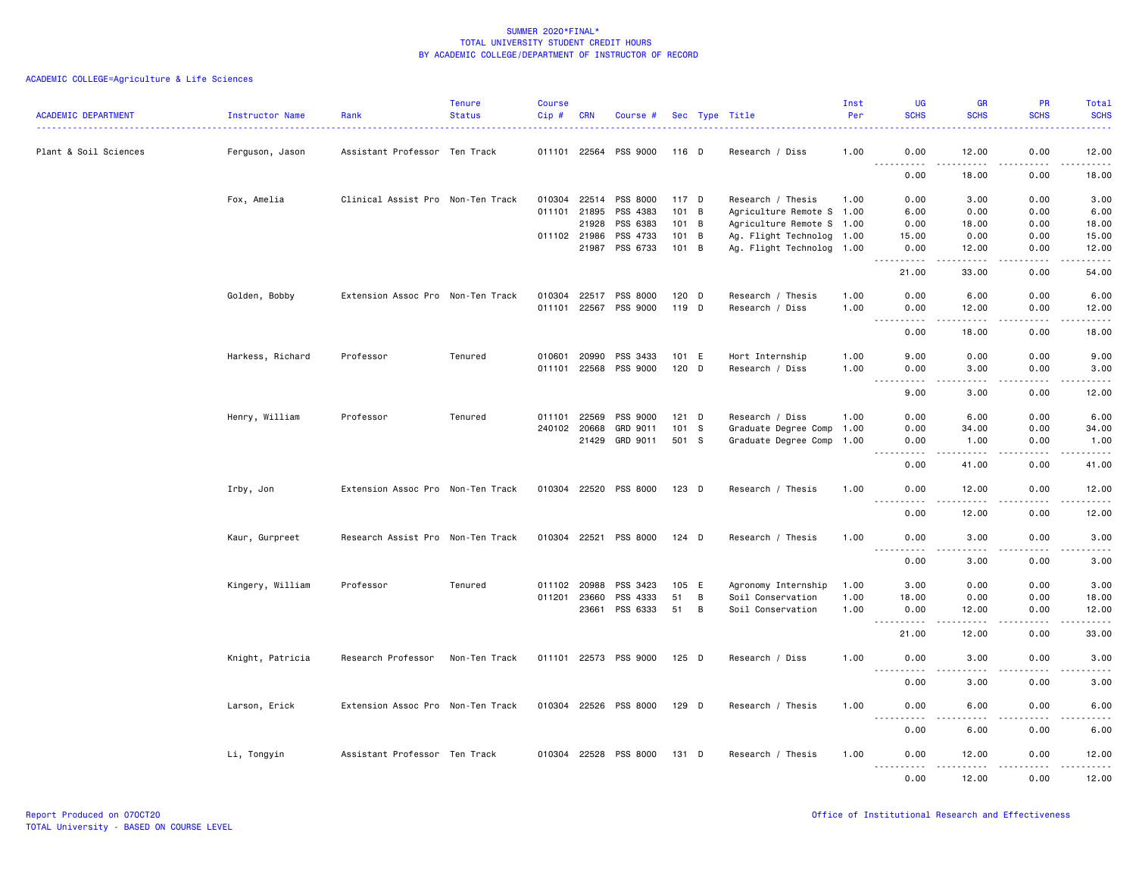| ACADEMIC DEPARTMENT   | Instructor Name  | Rank                              | <b>Tenure</b><br><b>Status</b> | <b>Course</b><br>Cip# | CRN          | Course #              |         |                | Sec Type Title            | Inst<br>Per | <b>UG</b><br><b>SCHS</b>                                                                                                                                                                                                                                                                                             | <b>GR</b><br><b>SCHS</b> | PR<br><b>SCHS</b>                                                                                                                                            | Total<br><b>SCHS</b> |
|-----------------------|------------------|-----------------------------------|--------------------------------|-----------------------|--------------|-----------------------|---------|----------------|---------------------------|-------------|----------------------------------------------------------------------------------------------------------------------------------------------------------------------------------------------------------------------------------------------------------------------------------------------------------------------|--------------------------|--------------------------------------------------------------------------------------------------------------------------------------------------------------|----------------------|
| Plant & Soil Sciences | Ferguson, Jason  | Assistant Professor Ten Track     |                                |                       | 011101 22564 | PSS 9000              | 116 D   |                | Research / Diss           | 1.00        | 0.00                                                                                                                                                                                                                                                                                                                 | 12.00                    | 0.00                                                                                                                                                         | 12.00                |
|                       |                  |                                   |                                |                       |              |                       |         |                |                           |             | .<br>0.00                                                                                                                                                                                                                                                                                                            | .<br>18.00               | <u>.</u> .<br>0.00                                                                                                                                           | .<br>18.00           |
|                       | Fox, Amelia      | Clinical Assist Pro Non-Ten Track |                                |                       | 010304 22514 | PSS 8000              | 117 D   |                | Research / Thesis         | 1.00        | 0.00                                                                                                                                                                                                                                                                                                                 | 3.00                     | 0.00                                                                                                                                                         | 3.00                 |
|                       |                  |                                   |                                | 011101                | 21895        | PSS 4383              | 101     | $\overline{B}$ | Agriculture Remote S 1.00 |             | 6.00                                                                                                                                                                                                                                                                                                                 | 0.00                     | 0.00                                                                                                                                                         | 6.00                 |
|                       |                  |                                   |                                |                       | 21928        | PSS 6383              | 101 B   |                | Agriculture Remote S 1.00 |             | 0.00                                                                                                                                                                                                                                                                                                                 | 18.00                    | 0.00                                                                                                                                                         | 18.00                |
|                       |                  |                                   |                                |                       | 011102 21986 | PSS 4733              | 101 B   |                | Ag. Flight Technolog 1.00 |             | 15.00                                                                                                                                                                                                                                                                                                                | 0.00                     | 0.00                                                                                                                                                         | 15.00                |
|                       |                  |                                   |                                |                       | 21987        | PSS 6733              | 101 B   |                | Ag. Flight Technolog 1.00 |             | 0.00<br><u>.</u>                                                                                                                                                                                                                                                                                                     | 12.00<br>.               | 0.00<br><b>.</b>                                                                                                                                             | 12.00<br>.           |
|                       |                  |                                   |                                |                       |              |                       |         |                |                           |             | 21.00                                                                                                                                                                                                                                                                                                                | 33.00                    | 0.00                                                                                                                                                         | 54.00                |
|                       | Golden, Bobby    | Extension Assoc Pro Non-Ten Track |                                |                       | 010304 22517 | PSS 8000              | 120 D   |                | Research / Thesis         | 1.00        | 0.00                                                                                                                                                                                                                                                                                                                 | 6.00                     | 0.00                                                                                                                                                         | 6.00                 |
|                       |                  |                                   |                                |                       | 011101 22567 | PSS 9000              | 119 D   |                | Research / Diss           | 1.00        | 0.00<br>$-$<br>$\frac{1}{2} \left( \frac{1}{2} \right) \left( \frac{1}{2} \right) \left( \frac{1}{2} \right) \left( \frac{1}{2} \right)$                                                                                                                                                                             | 12.00<br>.               | 0.00<br>.                                                                                                                                                    | 12.00<br>.           |
|                       |                  |                                   |                                |                       |              |                       |         |                |                           |             | 0.00                                                                                                                                                                                                                                                                                                                 | 18.00                    | 0.00                                                                                                                                                         | 18.00                |
|                       | Harkess, Richard | Professor                         | Tenured                        |                       | 010601 20990 | PSS 3433              | 101 E   |                | Hort Internship           | 1.00        | 9.00                                                                                                                                                                                                                                                                                                                 | 0.00                     | 0.00                                                                                                                                                         | 9.00                 |
|                       |                  |                                   |                                | 011101                | 22568        | PSS 9000              | 120 D   |                | Research / Diss           | 1.00        | 0.00<br>$- - - -$                                                                                                                                                                                                                                                                                                    | 3.00<br>$\frac{1}{2}$    | 0.00<br>.                                                                                                                                                    | 3.00<br>$- - - -$    |
|                       |                  |                                   |                                |                       |              |                       |         |                |                           |             | 9.00                                                                                                                                                                                                                                                                                                                 | 3.00                     | 0.00                                                                                                                                                         | 12.00                |
|                       | Henry, William   | Professor                         | Tenured                        |                       | 011101 22569 | PSS 9000              | $121$ D |                | Research / Diss           | 1.00        | 0.00                                                                                                                                                                                                                                                                                                                 | 6.00                     | 0.00                                                                                                                                                         | 6.00                 |
|                       |                  |                                   |                                |                       | 240102 20668 | GRD 9011              | 101 S   |                | Graduate Degree Comp      | 1.00        | 0.00                                                                                                                                                                                                                                                                                                                 | 34.00                    | 0.00                                                                                                                                                         | 34.00                |
|                       |                  |                                   |                                |                       | 21429        | GRD 9011              | 501 S   |                | Graduate Degree Comp      | 1.00        | 0.00<br>.                                                                                                                                                                                                                                                                                                            | 1.00<br>.                | 0.00<br>22222                                                                                                                                                | 1.00<br>.            |
|                       |                  |                                   |                                |                       |              |                       |         |                |                           |             | 0.00                                                                                                                                                                                                                                                                                                                 | 41.00                    | 0.00                                                                                                                                                         | 41.00                |
|                       | Irby, Jon        | Extension Assoc Pro Non-Ten Track |                                |                       |              | 010304 22520 PSS 8000 | 123 D   |                | Research / Thesis         | 1.00        | 0.00                                                                                                                                                                                                                                                                                                                 | 12.00                    | 0.00                                                                                                                                                         | 12.00                |
|                       |                  |                                   |                                |                       |              |                       |         |                |                           |             | 0.00                                                                                                                                                                                                                                                                                                                 | 12.00                    | 0.00                                                                                                                                                         | 12.00                |
|                       | Kaur, Gurpreet   | Research Assist Pro Non-Ten Track |                                | 010304 22521          |              | PSS 8000              | 124 D   |                | Research / Thesis         | 1.00        | 0.00                                                                                                                                                                                                                                                                                                                 | 3.00                     | 0.00                                                                                                                                                         | 3.00                 |
|                       |                  |                                   |                                |                       |              |                       |         |                |                           |             | .<br>0.00                                                                                                                                                                                                                                                                                                            | 3.00                     | 0.00                                                                                                                                                         | 3.00                 |
|                       | Kingery, William | Professor                         | Tenured                        |                       | 011102 20988 | PSS 3423              | 105 E   |                | Agronomy Internship       | 1.00        | 3.00                                                                                                                                                                                                                                                                                                                 | 0.00                     | 0.00                                                                                                                                                         | 3.00                 |
|                       |                  |                                   |                                |                       | 011201 23660 | PSS 4333              | 51      | В              | Soil Conservation         | 1.00        | 18.00                                                                                                                                                                                                                                                                                                                | 0.00                     | 0.00                                                                                                                                                         | 18.00                |
|                       |                  |                                   |                                |                       | 23661        | PSS 6333              | 51      | B              | Soil Conservation         | 1.00        | 0.00<br>.                                                                                                                                                                                                                                                                                                            | 12.00<br>.               | 0.00<br>-----                                                                                                                                                | 12.00<br>.           |
|                       |                  |                                   |                                |                       |              |                       |         |                |                           |             | 21.00                                                                                                                                                                                                                                                                                                                | 12.00                    | 0.00                                                                                                                                                         | 33.00                |
|                       | Knight, Patricia | Research Professor                | Non-Ten Track                  |                       | 011101 22573 | PSS 9000              | 125 D   |                | Research / Diss           | 1.00        | 0.00                                                                                                                                                                                                                                                                                                                 | 3.00                     | 0.00                                                                                                                                                         | 3.00                 |
|                       |                  |                                   |                                |                       |              |                       |         |                |                           |             | .<br>$- - - -$<br>0.00                                                                                                                                                                                                                                                                                               | $\frac{1}{2}$<br>3.00    | 0.00                                                                                                                                                         | 3.00                 |
|                       | Larson, Erick    | Extension Assoc Pro Non-Ten Track |                                |                       |              | 010304 22526 PSS 8000 | 129 D   |                | Research / Thesis         | 1.00        | 0.00                                                                                                                                                                                                                                                                                                                 | 6.00                     | 0.00                                                                                                                                                         | 6.00                 |
|                       |                  |                                   |                                |                       |              |                       |         |                |                           |             | $\frac{1}{2} \left( \frac{1}{2} \right) \left( \frac{1}{2} \right) \left( \frac{1}{2} \right) \left( \frac{1}{2} \right) \left( \frac{1}{2} \right)$<br>$\frac{1}{2} \left( \frac{1}{2} \right) \left( \frac{1}{2} \right) \left( \frac{1}{2} \right) \left( \frac{1}{2} \right) \left( \frac{1}{2} \right)$<br>0.00 | <u>.</u><br>6.00         | $\frac{1}{2} \left( \frac{1}{2} \right) \left( \frac{1}{2} \right) \left( \frac{1}{2} \right) \left( \frac{1}{2} \right) \left( \frac{1}{2} \right)$<br>0.00 | .<br>6.00            |
|                       | Li, Tongyin      | Assistant Professor Ten Track     |                                |                       | 010304 22528 | PSS 8000              | 131 D   |                | Research / Thesis         | 1.00        | 0.00                                                                                                                                                                                                                                                                                                                 | 12.00                    | 0.00                                                                                                                                                         | 12.00                |
|                       |                  |                                   |                                |                       |              |                       |         |                |                           |             | .<br>0.00                                                                                                                                                                                                                                                                                                            | .<br>12.00               | $\begin{array}{cccccccccc} \bullet & \bullet & \bullet & \bullet & \bullet & \bullet & \bullet \end{array}$<br>0.00                                          | <u>.</u><br>12.00    |
|                       |                  |                                   |                                |                       |              |                       |         |                |                           |             |                                                                                                                                                                                                                                                                                                                      |                          |                                                                                                                                                              |                      |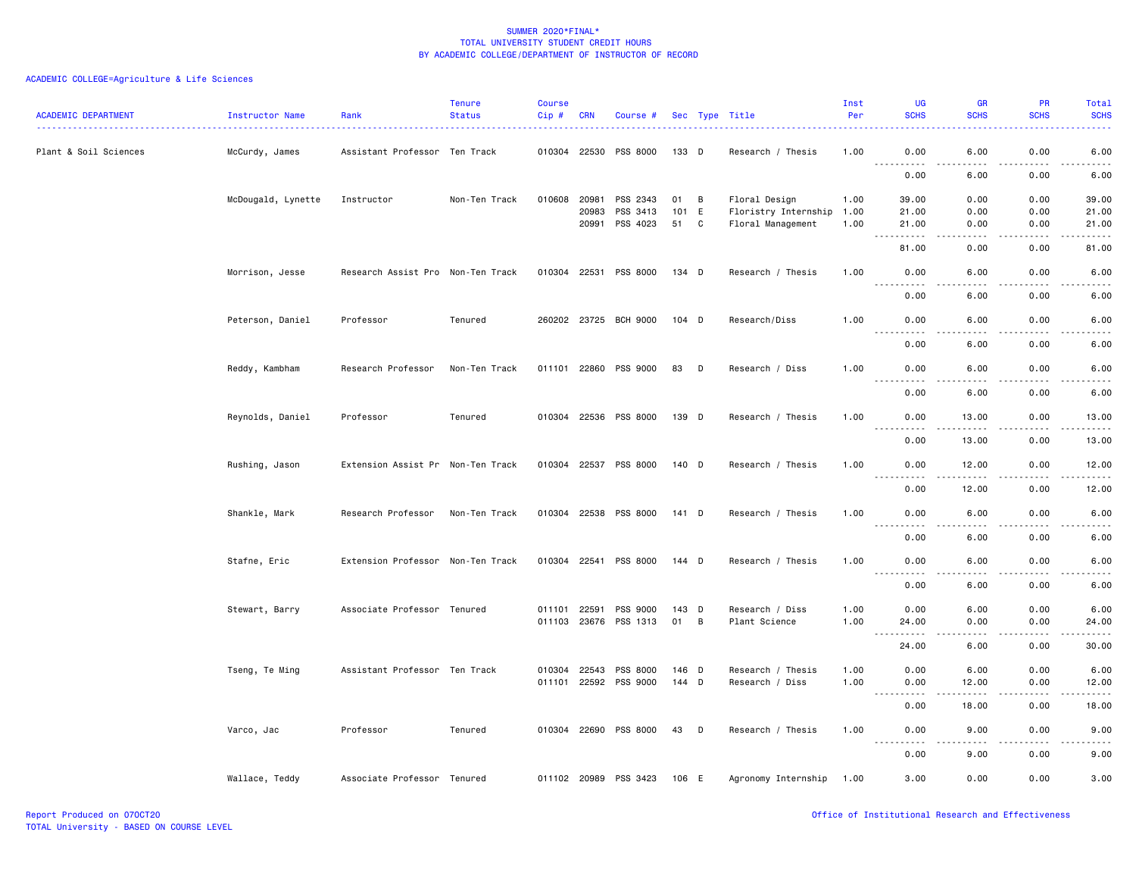| <b>ACADEMIC DEPARTMENT</b> | Instructor Name    | Rank                              | <b>Tenure</b><br><b>Status</b> | <b>Course</b><br>Cip# | <b>CRN</b>     | Course #              |           |        | Sec Type Title                            | Inst<br>Per  | UG<br><b>SCHS</b>                                                                                                                      | <b>GR</b><br><b>SCHS</b> | PR<br><b>SCHS</b> | Total<br><b>SCHS</b>                       |
|----------------------------|--------------------|-----------------------------------|--------------------------------|-----------------------|----------------|-----------------------|-----------|--------|-------------------------------------------|--------------|----------------------------------------------------------------------------------------------------------------------------------------|--------------------------|-------------------|--------------------------------------------|
| Plant & Soil Sciences      | McCurdy, James     | Assistant Professor Ten Track     |                                | 010304 22530          |                | PSS 8000              | 133 D     |        | Research / Thesis                         | 1.00         | 0.00<br>$  -$                                                                                                                          | 6.00<br>$  -$            | 0.00<br>.         | 6.00                                       |
|                            |                    |                                   |                                |                       |                |                       |           |        |                                           |              | $\frac{1}{2}$<br>0.00                                                                                                                  | 6.00                     | 0.00              | 6.00                                       |
|                            | McDougald, Lynette | Instructor                        | Non-Ten Track                  | 010608 20981          |                | PSS 2343              | 01 B      |        | Floral Design                             | 1.00         | 39.00                                                                                                                                  | 0.00                     | 0.00              | 39.00                                      |
|                            |                    |                                   |                                |                       | 20983<br>20991 | PSS 3413<br>PSS 4023  | 101<br>51 | E<br>C | Floristry Internship<br>Floral Management | 1.00<br>1.00 | 21.00<br>21.00                                                                                                                         | 0.00<br>0.00             | 0.00<br>0.00      | 21.00<br>21.00                             |
|                            |                    |                                   |                                |                       |                |                       |           |        |                                           |              | $\sim 100$<br>------                                                                                                                   | .                        |                   | ه د د د د                                  |
|                            |                    |                                   |                                |                       |                |                       |           |        |                                           |              | 81.00                                                                                                                                  | 0.00                     | 0.00              | 81.00                                      |
|                            | Morrison, Jesse    | Research Assist Pro Non-Ten Track |                                | 010304 22531          |                | PSS 8000              | 134 D     |        | Research / Thesis                         | 1.00         | 0.00<br>$\sim$ $\sim$ $\sim$                                                                                                           | 6.00                     | 0.00              | 6.00                                       |
|                            |                    |                                   |                                |                       |                |                       |           |        |                                           |              | 0.00                                                                                                                                   | 6.00                     | 0.00              | 6.00                                       |
|                            | Peterson, Daniel   | Professor                         | Tenured                        |                       |                | 260202 23725 BCH 9000 | 104 D     |        | Research/Diss                             | 1.00         | 0.00                                                                                                                                   | 6.00                     | 0.00              | 6.00                                       |
|                            |                    |                                   |                                |                       |                |                       |           |        |                                           |              | $\frac{1}{2}$<br>$- - - - -$<br>0.00                                                                                                   | .<br>6.00                | .<br>0.00         | $\sim$ $\sim$ $\sim$ $\sim$ $\sim$<br>6.00 |
|                            | Reddy, Kambham     | Research Professor                | Non-Ten Track                  | 011101 22860          |                | PSS 9000              | 83        | D      | Research / Diss                           | 1.00         | 0.00                                                                                                                                   | 6.00                     | 0.00              | 6.00                                       |
|                            |                    |                                   |                                |                       |                |                       |           |        |                                           |              | $- - - -$<br>$\frac{1}{2}$<br>0.00                                                                                                     | $- - - -$<br>6.00        | .<br>0.00         | $- - - -$<br>6.00                          |
|                            | Reynolds, Daniel   | Professor                         | Tenured                        |                       |                | 010304 22536 PSS 8000 | 139 D     |        | Research / Thesis                         | 1.00         | 0.00                                                                                                                                   | 13.00                    | 0.00              | 13.00                                      |
|                            |                    |                                   |                                |                       |                |                       |           |        |                                           |              | $  -$<br>$\frac{1}{2}$<br>0.00                                                                                                         | .<br>13.00               | 0.00              | .<br>13.00                                 |
|                            | Rushing, Jason     | Extension Assist Pr Non-Ten Track |                                |                       |                | 010304 22537 PSS 8000 | 140 D     |        | Research / Thesis                         | 1.00         | 0.00                                                                                                                                   | 12.00                    | 0.00              | 12.00                                      |
|                            |                    |                                   |                                |                       |                |                       |           |        |                                           |              | .                                                                                                                                      | $- - - - -$              | .                 | .                                          |
|                            |                    |                                   |                                |                       |                |                       |           |        |                                           |              | 0.00                                                                                                                                   | 12.00                    | 0.00              | 12.00                                      |
|                            | Shankle, Mark      | Research Professor                | Non-Ten Track                  |                       |                | 010304 22538 PSS 8000 | 141 D     |        | Research / Thesis                         | 1.00         | 0.00<br>$\frac{1}{2}$<br><u>.</u>                                                                                                      | 6.00<br>. <u>. .</u>     | 0.00<br>.         | 6.00<br>$\frac{1}{2}$                      |
|                            |                    |                                   |                                |                       |                |                       |           |        |                                           |              | 0.00                                                                                                                                   | 6.00                     | 0.00              | 6.00                                       |
|                            | Stafne, Eric       | Extension Professor Non-Ten Track |                                |                       |                | 010304 22541 PSS 8000 | 144 D     |        | Research / Thesis                         | 1.00         | 0.00                                                                                                                                   | 6.00<br>.                | 0.00<br>.         | 6.00<br>$- - - - -$                        |
|                            |                    |                                   |                                |                       |                |                       |           |        |                                           |              | $\frac{1}{2} \left( \frac{1}{2} \right) \left( \frac{1}{2} \right) \left( \frac{1}{2} \right) \left( \frac{1}{2} \right)$<br>.<br>0.00 | 6.00                     | 0.00              | 6.00                                       |
|                            | Stewart, Barry     | Associate Professor Tenured       |                                | 011101                | 22591          | PSS 9000              | $143$ D   |        | Research / Diss                           | 1.00         | 0.00                                                                                                                                   | 6.00                     | 0.00              | 6.00                                       |
|                            |                    |                                   |                                |                       |                | 011103 23676 PSS 1313 | 01 B      |        | Plant Science                             | 1.00         | 24.00                                                                                                                                  | 0.00                     | 0.00              | 24.00                                      |
|                            |                    |                                   |                                |                       |                |                       |           |        |                                           |              | <b></b><br>24.00                                                                                                                       | .<br>6.00                | 2.2.2.2.2<br>0.00 | .<br>30.00                                 |
|                            | Tseng, Te Ming     | Assistant Professor Ten Track     |                                | 010304 22543          |                | PSS 8000              | 146 D     |        | Research / Thesis                         | 1.00         | 0.00                                                                                                                                   | 6.00                     | 0.00              | 6.00                                       |
|                            |                    |                                   |                                | 011101 22592          |                | PSS 9000              | 144 D     |        | Research / Diss                           | 1.00         | 0.00                                                                                                                                   | 12.00                    | 0.00              | 12.00                                      |
|                            |                    |                                   |                                |                       |                |                       |           |        |                                           |              | .<br>0.00                                                                                                                              | $- - - - -$<br>18.00     | .<br>0.00         | .<br>18.00                                 |
|                            | Varco, Jac         | Professor                         | Tenured                        |                       |                | 010304 22690 PSS 8000 | 43        | $\Box$ | Research / Thesis                         | 1.00         | 0.00                                                                                                                                   | 9.00                     | 0.00              | 9.00                                       |
|                            |                    |                                   |                                |                       |                |                       |           |        |                                           |              | 0.00                                                                                                                                   | 9.00                     | 0.00              | 9.00                                       |
|                            | Wallace, Teddy     | Associate Professor Tenured       |                                | 011102 20989          |                | PSS 3423              | 106 E     |        | Agronomy Internship                       | 1.00         | 3.00                                                                                                                                   | 0.00                     | 0.00              | 3.00                                       |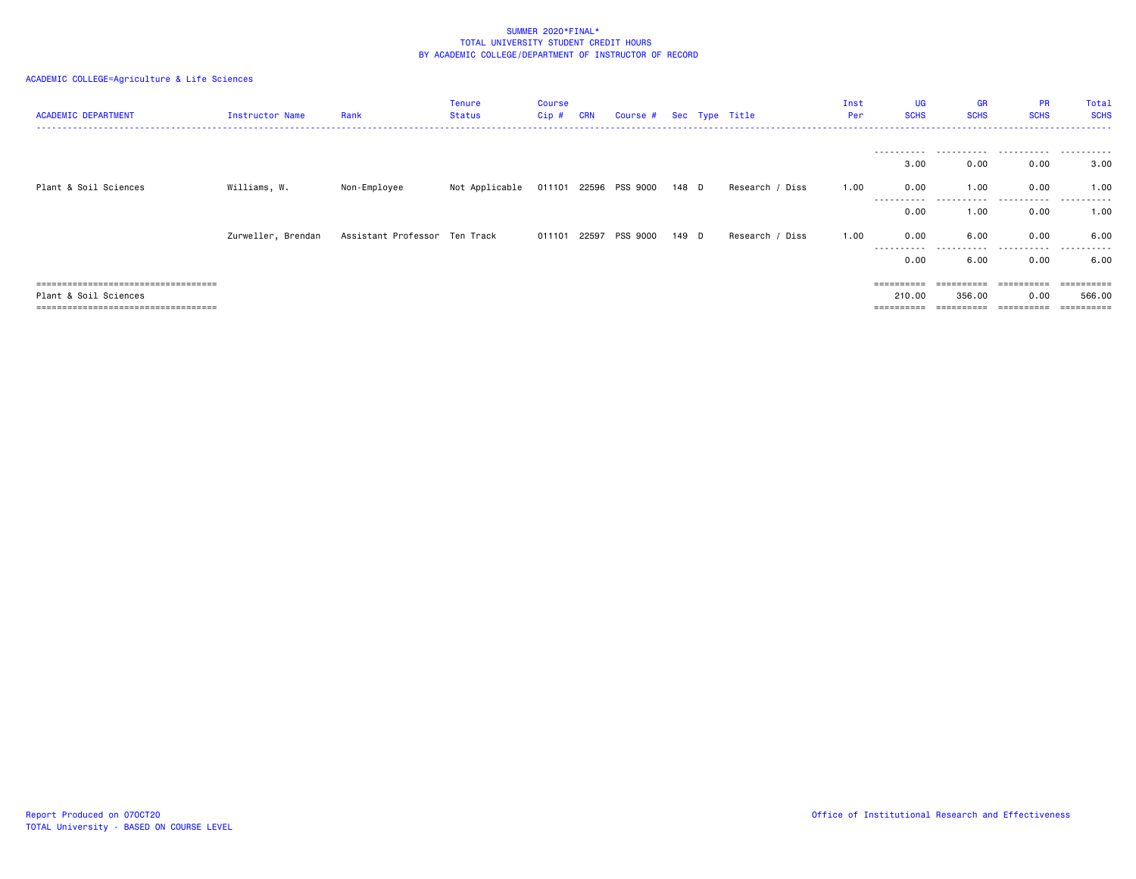| <b>ACADEMIC DEPARTMENT</b>            | Instructor Name    | Rank                           | <b>Tenure</b><br>Status | <b>Course</b><br>Cip # | <b>CRN</b> | Course # Sec Type Title     |       |                 | Inst<br>Per | UG<br><b>SCHS</b>  | <b>GR</b><br><b>SCHS</b> | <b>PR</b><br><b>SCHS</b> | Total<br><b>SCHS</b> |
|---------------------------------------|--------------------|--------------------------------|-------------------------|------------------------|------------|-----------------------------|-------|-----------------|-------------|--------------------|--------------------------|--------------------------|----------------------|
|                                       |                    |                                |                         |                        |            |                             |       |                 |             | -----------        |                          |                          | .                    |
|                                       |                    |                                |                         |                        |            |                             |       |                 |             | 3.00               | 0.00                     | 0.00                     | 3.00                 |
| Plant & Soil Sciences                 | Williams, W.       | Non-Employee                   | Not Applicable          |                        |            | 011101 22596 PSS 9000 148 D |       | Research / Diss | 1.00        | 0.00               | 1.00                     | 0.00                     | 1.00                 |
|                                       |                    |                                |                         |                        |            |                             |       |                 |             | ----------<br>0.00 | 1.00                     | .<br>0.00                | .<br>1.00            |
|                                       | Zurweller, Brendan | Assistant Professor  Ten Track |                         |                        |            | 011101 22597 PSS 9000       | 149 D | Research / Diss | 1.00        | 0.00               | 6.00                     | 0.00                     | 6.00                 |
|                                       |                    |                                |                         |                        |            |                             |       |                 |             | 0.00               | 6.00                     | 0.00                     | 6.00                 |
| ===================================== |                    |                                |                         |                        |            |                             |       |                 |             | ==========         | ==========               | ==========               | ==========           |
| Plant & Soil Sciences                 |                    |                                |                         |                        |            |                             |       |                 |             | 210.00             | 356.00                   | 0.00                     | 566,00               |
| ====================================  |                    |                                |                         |                        |            |                             |       |                 |             | ==========         | $=$ = = = = = = = = =    | ==========               | ==========           |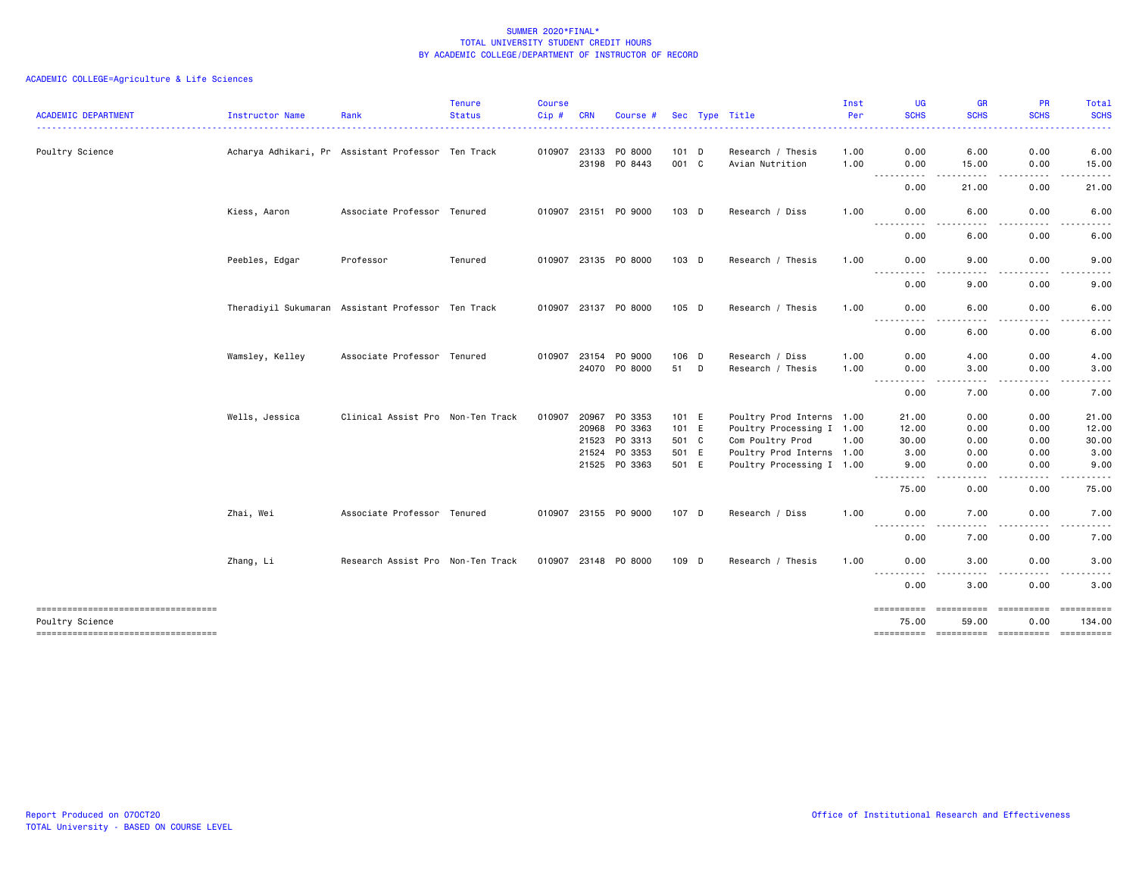| <b>ACADEMIC DEPARTMENT</b>                             | Instructor Name                                    | Rank                              | <b>Tenure</b><br><b>Status</b> | <b>Course</b><br>Cip# | <b>CRN</b>            | Course #             |                | Sec Type Title                       | Inst<br>Per  | <b>UG</b><br><b>SCHS</b><br>.                                                                                                                | <b>GR</b><br><b>SCHS</b><br>$\frac{1}{2} \left( \frac{1}{2} \right) \left( \frac{1}{2} \right) \left( \frac{1}{2} \right) \left( \frac{1}{2} \right) \left( \frac{1}{2} \right)$ | <b>PR</b><br><b>SCHS</b> | Total<br><b>SCHS</b>                                                                                                              |
|--------------------------------------------------------|----------------------------------------------------|-----------------------------------|--------------------------------|-----------------------|-----------------------|----------------------|----------------|--------------------------------------|--------------|----------------------------------------------------------------------------------------------------------------------------------------------|----------------------------------------------------------------------------------------------------------------------------------------------------------------------------------|--------------------------|-----------------------------------------------------------------------------------------------------------------------------------|
| Poultry Science                                        | Acharya Adhikari, Pr Assistant Professor Ten Track |                                   |                                |                       | 010907 23133<br>23198 | P0 8000<br>PO 8443   | 101 D<br>001 C | Research / Thesis<br>Avian Nutrition | 1.00<br>1.00 | 0.00<br>0.00                                                                                                                                 | 6.00<br>15.00                                                                                                                                                                    | 0.00<br>0.00             | 6.00<br>15.00                                                                                                                     |
|                                                        |                                                    |                                   |                                |                       |                       |                      |                |                                      |              | ----<br>$\sim$ $\sim$ $\sim$<br>0.00                                                                                                         | 21.00                                                                                                                                                                            | 0.00                     | 21.00                                                                                                                             |
|                                                        | Kiess, Aaron                                       | Associate Professor Tenured       |                                |                       |                       | 010907 23151 PO 9000 | 103 D          | Research / Diss                      | 1.00         | 0.00                                                                                                                                         | 6.00<br>$\frac{1}{2}$                                                                                                                                                            | 0.00<br>.                | 6.00                                                                                                                              |
|                                                        |                                                    |                                   |                                |                       |                       |                      |                |                                      |              | ----------<br>0.00                                                                                                                           | 6.00                                                                                                                                                                             | 0.00                     | 6.00                                                                                                                              |
|                                                        | Peebles, Edgar                                     | Professor                         | Tenured                        |                       |                       | 010907 23135 PO 8000 | 103 D          | Research / Thesis                    | 1.00         | 0.00<br>$- - - -$<br>.                                                                                                                       | 9.00                                                                                                                                                                             | 0.00                     | 9.00                                                                                                                              |
|                                                        |                                                    |                                   |                                |                       |                       |                      |                |                                      |              | 0.00                                                                                                                                         | 9.00                                                                                                                                                                             | 0.00                     | 9.00                                                                                                                              |
|                                                        | Theradiyil Sukumaran Assistant Professor Ten Track |                                   |                                |                       |                       | 010907 23137 P0 8000 | 105 D          | Research / Thesis                    | 1.00         | 0.00<br>$\frac{1}{2} \left( \frac{1}{2} \right) \left( \frac{1}{2} \right) \left( \frac{1}{2} \right) \left( \frac{1}{2} \right)$<br>----    | 6.00<br>$\cdots$                                                                                                                                                                 | 0.00<br>.                | 6.00<br>$\frac{1}{2} \left( \frac{1}{2} \right) \left( \frac{1}{2} \right) \left( \frac{1}{2} \right) \left( \frac{1}{2} \right)$ |
|                                                        |                                                    |                                   |                                |                       |                       |                      |                |                                      |              | 0.00                                                                                                                                         | 6.00                                                                                                                                                                             | 0.00                     | 6.00                                                                                                                              |
|                                                        | Wamsley, Kelley                                    | Associate Professor Tenured       |                                |                       | 010907 23154          | PO 9000              | 106 D          | Research / Diss                      | 1.00         | 0.00                                                                                                                                         | 4.00                                                                                                                                                                             | 0.00                     | 4.00                                                                                                                              |
|                                                        |                                                    |                                   |                                |                       |                       | 24070 PO 8000        | 51 D           | Research / Thesis                    | 1.00         | 0.00                                                                                                                                         | 3.00                                                                                                                                                                             | 0.00                     | 3.00                                                                                                                              |
|                                                        |                                                    |                                   |                                |                       |                       |                      |                |                                      |              | . <b>.</b><br>-----<br>0.00                                                                                                                  | .<br>7.00                                                                                                                                                                        | . <b>.</b><br>0.00       | . <b>.</b> .<br>7.00                                                                                                              |
|                                                        | Wells, Jessica                                     | Clinical Assist Pro Non-Ten Track |                                | 010907                | 20967                 | PO 3353              | 101 E          | Poultry Prod Interns 1.00            |              | 21.00                                                                                                                                        | 0.00                                                                                                                                                                             | 0.00                     | 21.00                                                                                                                             |
|                                                        |                                                    |                                   |                                |                       | 20968                 | PO 3363              | 101 E          | Poultry Processing I 1.00            |              | 12.00                                                                                                                                        | 0.00                                                                                                                                                                             | 0.00                     | 12.00                                                                                                                             |
|                                                        |                                                    |                                   |                                |                       | 21523                 | PO 3313              | 501 C          | Com Poultry Prod                     | 1.00         | 30.00                                                                                                                                        | 0.00                                                                                                                                                                             | 0.00                     | 30.00                                                                                                                             |
|                                                        |                                                    |                                   |                                |                       | 21524                 | PO 3353              | 501 E          | Poultry Prod Interns 1.00            |              | 3.00                                                                                                                                         | 0.00                                                                                                                                                                             | 0.00                     | 3.00                                                                                                                              |
|                                                        |                                                    |                                   |                                |                       |                       | 21525 PO 3363        | 501 E          | Poultry Processing I 1.00            |              | 9.00<br>$- - -$<br>----                                                                                                                      | 0.00<br>.                                                                                                                                                                        | 0.00<br>المستمات         | 9.00<br>.                                                                                                                         |
|                                                        |                                                    |                                   |                                |                       |                       |                      |                |                                      |              | 75.00                                                                                                                                        | 0.00                                                                                                                                                                             | 0.00                     | 75.00                                                                                                                             |
|                                                        | Zhai, Wei                                          | Associate Professor Tenured       |                                |                       |                       | 010907 23155 PO 9000 | 107 D          | Research / Diss                      | 1.00         | 0.00<br>$\frac{1}{2} \left( \frac{1}{2} \right) \left( \frac{1}{2} \right) \left( \frac{1}{2} \right) \left( \frac{1}{2} \right)$<br>- - - - | 7.00<br>----                                                                                                                                                                     | 0.00<br>.                | 7.00<br>-----                                                                                                                     |
|                                                        |                                                    |                                   |                                |                       |                       |                      |                |                                      |              | 0.00                                                                                                                                         | 7.00                                                                                                                                                                             | 0.00                     | 7.00                                                                                                                              |
|                                                        | Zhang, Li                                          | Research Assist Pro Non-Ten Track |                                |                       | 010907 23148          | PO 8000              | 109 D          | Research / Thesis                    | 1.00         | 0.00<br>----------                                                                                                                           | 3.00                                                                                                                                                                             | 0.00                     | 3.00                                                                                                                              |
|                                                        |                                                    |                                   |                                |                       |                       |                      |                |                                      |              | 0.00                                                                                                                                         | 3.00                                                                                                                                                                             | 0.00                     | 3.00                                                                                                                              |
| -----------------------------------<br>Poultry Science |                                                    |                                   |                                |                       |                       |                      |                |                                      |              | ==========<br>75.00                                                                                                                          | ==========<br>59.00                                                                                                                                                              | ==========<br>0.00       | ==========<br>134.00                                                                                                              |
| =====================================                  |                                                    |                                   |                                |                       |                       |                      |                |                                      |              |                                                                                                                                              |                                                                                                                                                                                  |                          |                                                                                                                                   |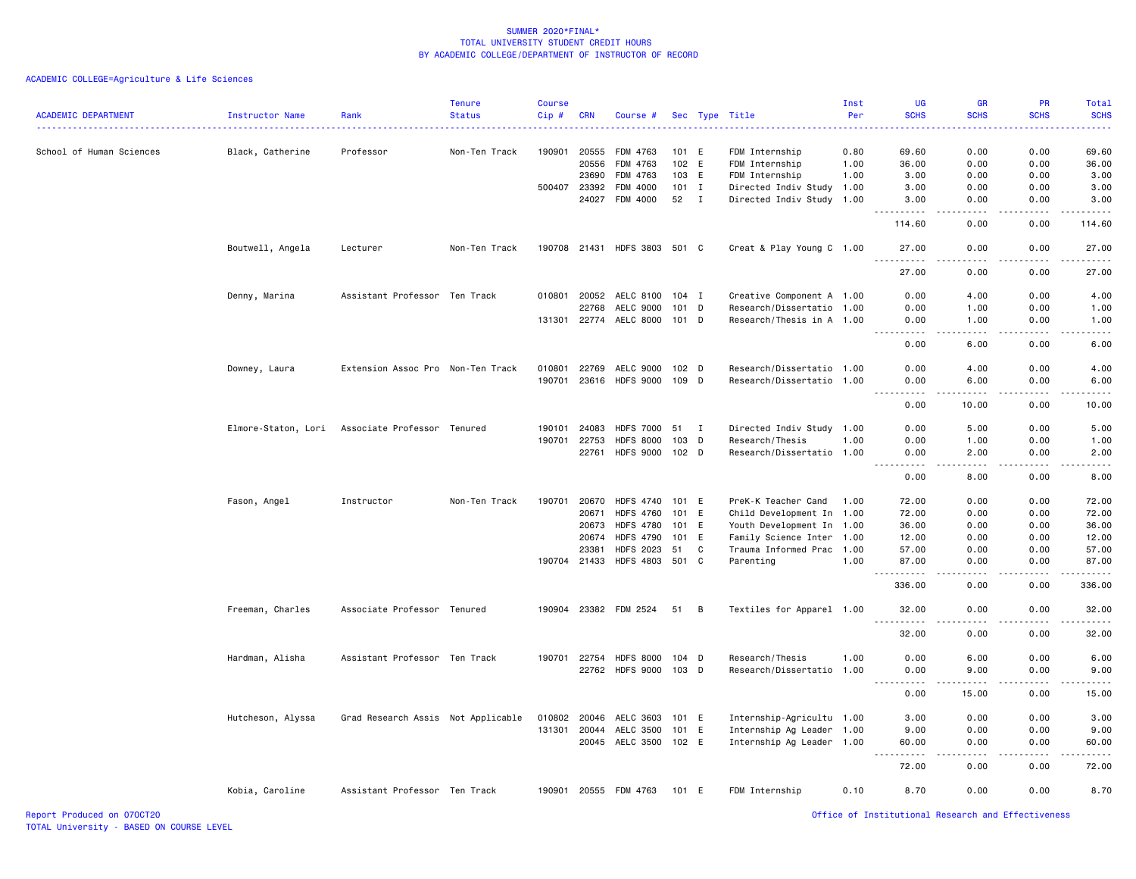ACADEMIC COLLEGE=Agriculture & Life Sciences

| <b>ACADEMIC DEPARTMENT</b> | <b>Instructor Name</b> | Rank                                            | <b>Tenure</b><br><b>Status</b> | <b>Course</b><br>Cip# | <b>CRN</b>   | Course #                     |         |              | Sec Type Title            | Inst<br>Per | <b>UG</b><br><b>SCHS</b>                                                                                                                                     | <b>GR</b><br><b>SCHS</b>                                                                                                                                      | <b>PR</b><br><b>SCHS</b> | Total<br><b>SCHS</b><br>$\frac{1}{2}$                                                                                                                         |
|----------------------------|------------------------|-------------------------------------------------|--------------------------------|-----------------------|--------------|------------------------------|---------|--------------|---------------------------|-------------|--------------------------------------------------------------------------------------------------------------------------------------------------------------|---------------------------------------------------------------------------------------------------------------------------------------------------------------|--------------------------|---------------------------------------------------------------------------------------------------------------------------------------------------------------|
| School of Human Sciences   | Black, Catherine       | Professor                                       | Non-Ten Track                  | 190901                | 20555        | FDM 4763                     | 101 E   |              | FDM Internship            | 0.80        | 69.60                                                                                                                                                        | 0.00                                                                                                                                                          | 0.00                     | 69.60                                                                                                                                                         |
|                            |                        |                                                 |                                |                       | 20556        | FDM 4763                     | 102 E   |              | FDM Internship            | 1.00        | 36.00                                                                                                                                                        | 0.00                                                                                                                                                          | 0.00                     | 36.00                                                                                                                                                         |
|                            |                        |                                                 |                                |                       | 23690        | FDM 4763                     | 103 E   |              | FDM Internship            | 1.00        | 3.00                                                                                                                                                         | 0.00                                                                                                                                                          | 0.00                     | 3.00                                                                                                                                                          |
|                            |                        |                                                 |                                | 500407                | 23392        | FDM 4000                     | $101$ I |              | Directed Indiv Study 1.00 |             | 3.00                                                                                                                                                         | 0.00                                                                                                                                                          | 0.00                     | 3.00                                                                                                                                                          |
|                            |                        |                                                 |                                |                       | 24027        | FDM 4000                     | 52      | $\mathbf{I}$ | Directed Indiv Study 1.00 |             | 3.00                                                                                                                                                         | 0.00                                                                                                                                                          | 0.00                     | 3.00                                                                                                                                                          |
|                            |                        |                                                 |                                |                       |              |                              |         |              |                           |             | 114.60                                                                                                                                                       | 0.00                                                                                                                                                          | 0.00                     | 114.60                                                                                                                                                        |
|                            | Boutwell, Angela       | Lecturer                                        | Non-Ten Track                  |                       |              | 190708 21431 HDFS 3803 501 C |         |              | Creat & Play Young C 1.00 |             | 27.00<br>.                                                                                                                                                   | 0.00<br>.                                                                                                                                                     | 0.00<br><u>.</u>         | 27.00<br>.                                                                                                                                                    |
|                            |                        |                                                 |                                |                       |              |                              |         |              |                           |             | 27.00                                                                                                                                                        | 0.00                                                                                                                                                          | 0.00                     | 27.00                                                                                                                                                         |
|                            | Denny, Marina          | Assistant Professor Ten Track                   |                                | 010801                | 20052        | AELC 8100                    | 104 I   |              | Creative Component A 1.00 |             | 0.00                                                                                                                                                         | 4.00                                                                                                                                                          | 0.00                     | 4.00                                                                                                                                                          |
|                            |                        |                                                 |                                |                       | 22768        | AELC 9000                    | 101     | D            | Research/Dissertatio 1.00 |             | 0.00                                                                                                                                                         | 1.00                                                                                                                                                          | 0.00                     | 1.00                                                                                                                                                          |
|                            |                        |                                                 |                                | 131301                | 22774        | AELC 8000                    | 101 D   |              | Research/Thesis in A 1.00 |             | 0.00<br>$   -$                                                                                                                                               | 1.00<br>$  -$                                                                                                                                                 | 0.00<br>.                | 1.00<br>- - - -                                                                                                                                               |
|                            |                        |                                                 |                                |                       |              |                              |         |              |                           |             | 0.00                                                                                                                                                         | 6.00                                                                                                                                                          | 0.00                     | 6.00                                                                                                                                                          |
|                            | Downey, Laura          | Extension Assoc Pro Non-Ten Track               |                                | 010801                | 22769        | AELC 9000                    | 102 D   |              | Research/Dissertatio 1.00 |             | 0.00                                                                                                                                                         | 4.00                                                                                                                                                          | 0.00                     | 4.00                                                                                                                                                          |
|                            |                        |                                                 |                                | 190701                | 23616        | <b>HDFS 9000</b>             | 109 D   |              | Research/Dissertatio 1.00 |             | 0.00                                                                                                                                                         | 6.00                                                                                                                                                          | 0.00                     | 6.00                                                                                                                                                          |
|                            |                        |                                                 |                                |                       |              |                              |         |              |                           |             | $\frac{1}{2} \left( \frac{1}{2} \right) \left( \frac{1}{2} \right) \left( \frac{1}{2} \right) \left( \frac{1}{2} \right) \left( \frac{1}{2} \right)$<br>0.00 | $\frac{1}{2} \left( \frac{1}{2} \right) \left( \frac{1}{2} \right) \left( \frac{1}{2} \right) \left( \frac{1}{2} \right) \left( \frac{1}{2} \right)$<br>10.00 | .<br>0.00                | $\frac{1}{2} \left( \frac{1}{2} \right) \left( \frac{1}{2} \right) \left( \frac{1}{2} \right) \left( \frac{1}{2} \right) \left( \frac{1}{2} \right)$<br>10.00 |
|                            |                        | Elmore-Staton, Lori Associate Professor Tenured |                                | 190101                | 24083        | <b>HDFS 7000</b>             | 51      | $\mathbf{I}$ | Directed Indiv Study 1.00 |             | 0.00                                                                                                                                                         | 5.00                                                                                                                                                          | 0.00                     | 5.00                                                                                                                                                          |
|                            |                        |                                                 |                                | 190701                | 22753        | <b>HDFS 8000</b>             | 103     | D            | Research/Thesis           | 1.00        | 0.00                                                                                                                                                         | 1.00                                                                                                                                                          | 0.00                     | 1.00                                                                                                                                                          |
|                            |                        |                                                 |                                |                       | 22761        | <b>HDFS 9000</b>             | 102 D   |              | Research/Dissertatio 1.00 |             | 0.00<br>$\omega$ is $\omega$ in                                                                                                                              | 2.00<br>$\sim$ $\sim$ $\sim$ $\sim$                                                                                                                           | 0.00<br>.                | 2.00                                                                                                                                                          |
|                            |                        |                                                 |                                |                       |              |                              |         |              |                           |             | .<br>0.00                                                                                                                                                    | 8.00                                                                                                                                                          | 0.00                     | 8.00                                                                                                                                                          |
|                            | Fason, Angel           | Instructor                                      | Non-Ten Track                  | 190701                | 20670        | <b>HDFS 4740</b>             | 101 E   |              | PreK-K Teacher Cand       | 1.00        | 72.00                                                                                                                                                        | 0.00                                                                                                                                                          | 0.00                     | 72.00                                                                                                                                                         |
|                            |                        |                                                 |                                |                       | 20671        | <b>HDFS 4760</b>             | 101 E   |              | Child Development In 1.00 |             | 72.00                                                                                                                                                        | 0.00                                                                                                                                                          | 0.00                     | 72.00                                                                                                                                                         |
|                            |                        |                                                 |                                |                       | 20673        | <b>HDFS 4780</b>             | 101 E   |              | Youth Development In 1.00 |             | 36.00                                                                                                                                                        | 0.00                                                                                                                                                          | 0.00                     | 36.00                                                                                                                                                         |
|                            |                        |                                                 |                                |                       | 20674        | <b>HDFS 4790</b>             | 101 E   |              | Family Science Inter      | 1.00        | 12.00                                                                                                                                                        | 0.00                                                                                                                                                          | 0.00                     | 12.00                                                                                                                                                         |
|                            |                        |                                                 |                                |                       | 23381        | <b>HDFS 2023</b>             | 51      | C            | Trauma Informed Prac      | 1.00        | 57.00                                                                                                                                                        | 0.00                                                                                                                                                          | 0.00                     | 57.00                                                                                                                                                         |
|                            |                        |                                                 |                                |                       | 190704 21433 | <b>HDFS 4803</b>             | 501 C   |              | Parenting                 | 1.00        | 87.00<br>. <b>.</b>                                                                                                                                          | 0.00<br>.                                                                                                                                                     | 0.00<br>.                | 87.00<br><u>.</u>                                                                                                                                             |
|                            |                        |                                                 |                                |                       |              |                              |         |              |                           |             | 336.00                                                                                                                                                       | 0.00                                                                                                                                                          | 0.00                     | 336.00                                                                                                                                                        |
|                            | Freeman, Charles       | Associate Professor Tenured                     |                                |                       |              | 190904 23382 FDM 2524        | 51      | B            | Textiles for Apparel 1.00 |             | 32.00<br>$-$                                                                                                                                                 | 0.00                                                                                                                                                          | 0.00                     | 32.00                                                                                                                                                         |
|                            |                        |                                                 |                                |                       |              |                              |         |              |                           |             | 32.00                                                                                                                                                        | 0.00                                                                                                                                                          | 0.00                     | 32.00                                                                                                                                                         |
|                            | Hardman, Alisha        | Assistant Professor Ten Track                   |                                |                       | 190701 22754 | <b>HDFS 8000</b>             | 104 D   |              | Research/Thesis           | 1.00        | 0.00                                                                                                                                                         | 6.00                                                                                                                                                          | 0.00                     | 6.00                                                                                                                                                          |
|                            |                        |                                                 |                                |                       | 22762        | <b>HDFS 9000</b>             | 103 D   |              | Research/Dissertatio 1.00 |             | 0.00<br><u>.</u><br>$- - -$                                                                                                                                  | 9.00<br>-----                                                                                                                                                 | 0.00<br>-----            | 9.00<br>.                                                                                                                                                     |
|                            |                        |                                                 |                                |                       |              |                              |         |              |                           |             | 0.00                                                                                                                                                         | 15.00                                                                                                                                                         | 0.00                     | 15.00                                                                                                                                                         |
|                            | Hutcheson, Alyssa      | Grad Research Assis Not Applicable              |                                | 010802                | 20046        | AELC 3603                    | 101 E   |              | Internship-Agricultu 1.00 |             | 3.00                                                                                                                                                         | 0.00                                                                                                                                                          | 0.00                     | 3.00                                                                                                                                                          |
|                            |                        |                                                 |                                |                       | 131301 20044 | AELC 3500                    | 101 E   |              | Internship Ag Leader 1.00 |             | 9.00                                                                                                                                                         | 0.00                                                                                                                                                          | 0.00                     | 9.00                                                                                                                                                          |
|                            |                        |                                                 |                                |                       |              | 20045 AELC 3500 102 E        |         |              | Internship Ag Leader 1.00 |             | 60.00<br>$\sim$ $\sim$<br>----                                                                                                                               | 0.00<br>$- - -$                                                                                                                                               | 0.00                     | 60.00                                                                                                                                                         |
|                            |                        |                                                 |                                |                       |              |                              |         |              |                           |             | 72.00                                                                                                                                                        | 0.00                                                                                                                                                          | 0.00                     | 72.00                                                                                                                                                         |
|                            | Kobia, Caroline        | Assistant Professor Ten Track                   |                                |                       |              | 190901 20555 FDM 4763        | 101 E   |              | FDM Internship            | 0.10        | 8.70                                                                                                                                                         | 0.00                                                                                                                                                          | 0.00                     | 8.70                                                                                                                                                          |

Report Produced on 07OCT20 Office of Institutional Research and Effectiveness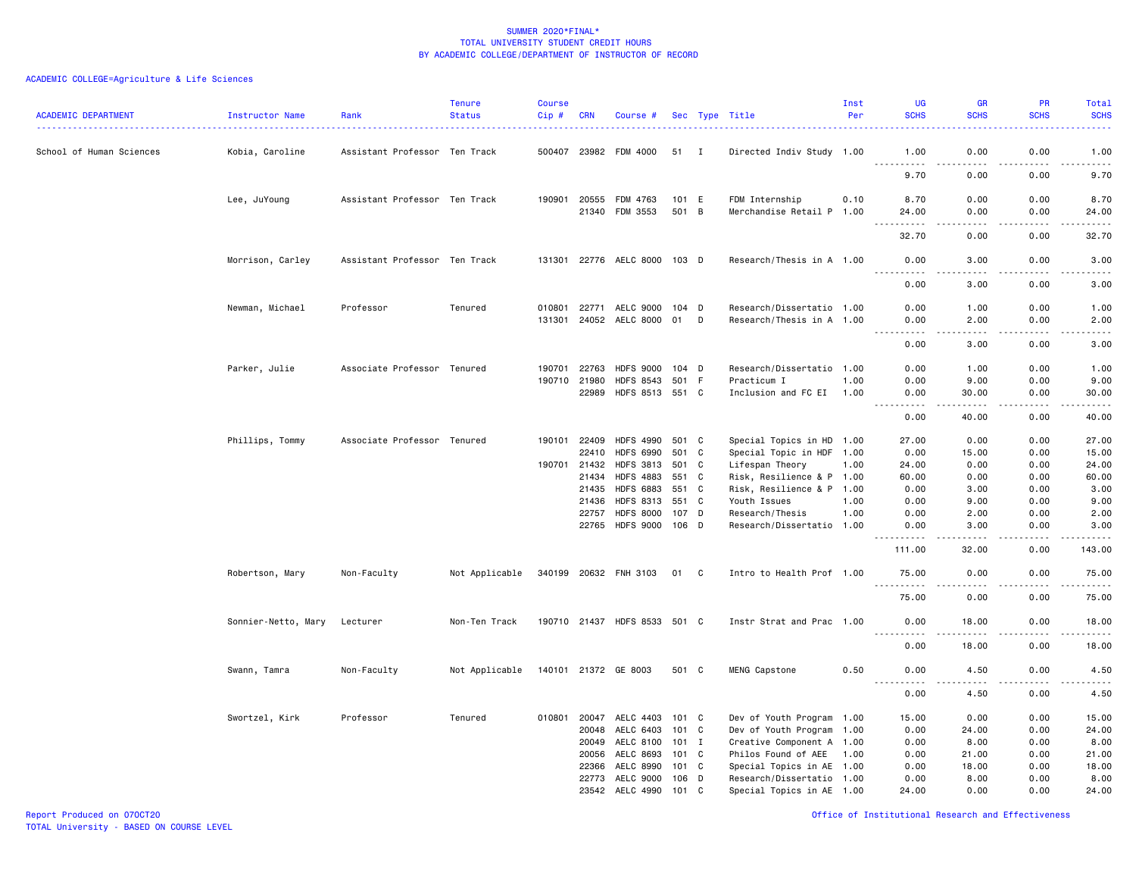| <b>ACADEMIC DEPARTMENT</b> | Instructor Name     | Rank                          | <b>Tenure</b><br><b>Status</b> | <b>Course</b><br>$Cip$ # | <b>CRN</b>     | Course #                             |                |   | Sec Type Title                            | Inst<br>Per | UG<br><b>SCHS</b>                  | <b>GR</b><br><b>SCHS</b> | <b>PR</b><br><b>SCHS</b> | Total<br><b>SCHS</b>                                                                                                                                          |
|----------------------------|---------------------|-------------------------------|--------------------------------|--------------------------|----------------|--------------------------------------|----------------|---|-------------------------------------------|-------------|------------------------------------|--------------------------|--------------------------|---------------------------------------------------------------------------------------------------------------------------------------------------------------|
| School of Human Sciences   | Kobia, Caroline     | Assistant Professor Ten Track |                                |                          |                | 500407 23982 FDM 4000                | 51 I           |   | Directed Indiv Study 1.00                 |             | 1.00<br>.                          | 0.00<br>.                | 0.00<br>.                | 1.00<br>$\omega$ is $\omega$ in $\omega$                                                                                                                      |
|                            |                     |                               |                                |                          |                |                                      |                |   |                                           |             | 9.70                               | 0.00                     | 0.00                     | 9.70                                                                                                                                                          |
|                            | Lee, JuYoung        | Assistant Professor Ten Track |                                | 190901                   | 20555          | FDM 4763                             | 101 E          |   | FDM Internship                            | 0.10        | 8.70                               | 0.00                     | 0.00                     | 8.70                                                                                                                                                          |
|                            |                     |                               |                                |                          |                | 21340 FDM 3553                       | 501 B          |   | Merchandise Retail P 1.00                 |             | 24.00<br>.<br>$\sim$ $\sim$ $\sim$ | 0.00<br>.                | 0.00<br>.                | 24.00<br>.                                                                                                                                                    |
|                            |                     |                               |                                |                          |                |                                      |                |   |                                           |             | 32.70                              | 0.00                     | 0.00                     | 32.70                                                                                                                                                         |
|                            | Morrison, Carley    | Assistant Professor Ten Track |                                | 131301                   |                | 22776 AELC 8000 103 D                |                |   | Research/Thesis in A 1.00                 |             | 0.00<br>.                          | 3.00<br>.                | 0.00<br>.                | 3.00<br>$\frac{1}{2} \left( \frac{1}{2} \right) \left( \frac{1}{2} \right) \left( \frac{1}{2} \right) \left( \frac{1}{2} \right) \left( \frac{1}{2} \right)$  |
|                            |                     |                               |                                |                          |                |                                      |                |   |                                           |             | 0.00                               | 3.00                     | 0.00                     | 3.00                                                                                                                                                          |
|                            | Newman, Michael     | Professor                     | Tenured                        | 010801                   | 22771          | AELC 9000                            | 104 D          |   | Research/Dissertatio 1.00                 |             | 0.00                               | 1.00                     | 0.00                     | 1.00                                                                                                                                                          |
|                            |                     |                               |                                | 131301                   |                | 24052 AELC 8000                      | 01             | D | Research/Thesis in A 1.00                 |             | 0.00<br>.                          | 2.00<br>.                | 0.00<br>.                | 2.00<br>22222                                                                                                                                                 |
|                            |                     |                               |                                |                          |                |                                      |                |   |                                           |             | 0.00                               | 3.00                     | 0.00                     | 3.00                                                                                                                                                          |
|                            | Parker, Julie       | Associate Professor Tenured   |                                | 190701                   | 22763          | <b>HDFS 9000</b>                     | 104 D          |   | Research/Dissertatio 1.00                 |             | 0.00                               | 1.00                     | 0.00                     | 1.00                                                                                                                                                          |
|                            |                     |                               |                                | 190710                   | 21980          | <b>HDFS 8543</b>                     | 501            | F | Practicum I                               | 1.00        | 0.00                               | 9.00                     | 0.00                     | 9.00                                                                                                                                                          |
|                            |                     |                               |                                |                          | 22989          | <b>HDFS 8513</b>                     | 551 C          |   | Inclusion and FC EI                       | 1.00        | 0.00                               | 30.00                    | 0.00                     | 30.00<br>$\frac{1}{2} \left( \frac{1}{2} \right) \left( \frac{1}{2} \right) \left( \frac{1}{2} \right) \left( \frac{1}{2} \right) \left( \frac{1}{2} \right)$ |
|                            |                     |                               |                                |                          |                |                                      |                |   |                                           |             | 0.00                               | 40.00                    | 0.00                     | 40.00                                                                                                                                                         |
|                            | Phillips, Tommy     | Associate Professor Tenured   |                                | 190101                   | 22409          | <b>HDFS 4990</b>                     | 501 C          |   | Special Topics in HD 1.00                 |             | 27.00                              | 0.00                     | 0.00                     | 27.00                                                                                                                                                         |
|                            |                     |                               |                                |                          | 22410          | <b>HDFS 6990</b>                     | 501 C          |   | Special Topic in HDF 1.00                 |             | 0.00                               | 15.00                    | 0.00                     | 15.00                                                                                                                                                         |
|                            |                     |                               |                                | 190701                   | 21432          | <b>HDFS 3813</b>                     | 501 C          |   | Lifespan Theory                           | 1.00        | 24.00                              | 0.00                     | 0.00                     | 24.00                                                                                                                                                         |
|                            |                     |                               |                                |                          | 21434          | <b>HDFS 4883</b>                     | 551            | C | Risk, Resilience & P 1.00                 |             | 60.00                              | 0.00                     | 0.00                     | 60.00                                                                                                                                                         |
|                            |                     |                               |                                |                          | 21435<br>21436 | <b>HDFS 6883</b><br><b>HDFS 8313</b> | 551 C<br>551 C |   | Risk, Resilience & P 1.00<br>Youth Issues | 1.00        | 0.00<br>0.00                       | 3.00<br>9.00             | 0.00<br>0.00             | 3.00<br>9.00                                                                                                                                                  |
|                            |                     |                               |                                |                          | 22757          | <b>HDFS 8000</b>                     | 107 D          |   | Research/Thesis                           | 1.00        | 0.00                               | 2.00                     | 0.00                     | 2.00                                                                                                                                                          |
|                            |                     |                               |                                |                          | 22765          | <b>HDFS 9000</b>                     | 106 D          |   | Research/Dissertatio 1.00                 |             | 0.00                               | 3.00                     | 0.00                     | 3.00                                                                                                                                                          |
|                            |                     |                               |                                |                          |                |                                      |                |   |                                           |             | .<br>111.00                        | .<br>32.00               | .<br>0.00                | .<br>143.00                                                                                                                                                   |
|                            | Robertson, Mary     | Non-Faculty                   | Not Applicable                 |                          |                | 340199 20632 FNH 3103                | 01 C           |   | Intro to Health Prof 1.00                 |             | 75.00                              | 0.00                     | 0.00                     | 75.00                                                                                                                                                         |
|                            |                     |                               |                                |                          |                |                                      |                |   |                                           |             | <u>.</u><br>75.00                  | .<br>0.00                | .<br>0.00                | .<br>75.00                                                                                                                                                    |
|                            | Sonnier-Netto, Mary | Lecturer                      | Non-Ten Track                  |                          |                | 190710 21437 HDFS 8533 501 C         |                |   | Instr Strat and Prac 1.00                 |             | 0.00<br><u>.</u>                   | 18.00                    | 0.00                     | 18.00<br>.                                                                                                                                                    |
|                            |                     |                               |                                |                          |                |                                      |                |   |                                           |             | 0.00                               | $- - - - -$<br>18.00     | .<br>0.00                | 18.00                                                                                                                                                         |
|                            | Swann, Tamra        | Non-Faculty                   | Not Applicable                 |                          |                | 140101 21372 GE 8003                 | 501 C          |   | MENG Capstone                             | 0.50        | 0.00                               | 4.50                     | 0.00                     | 4.50                                                                                                                                                          |
|                            |                     |                               |                                |                          |                |                                      |                |   |                                           |             | 0.00                               | 4.50                     | 0.00                     | -----<br>4.50                                                                                                                                                 |
|                            | Swortzel, Kirk      | Professor                     | Tenured                        | 010801                   | 20047          | AELC 4403                            | 101 C          |   | Dev of Youth Program 1.00                 |             | 15.00                              | 0.00                     | 0.00                     | 15.00                                                                                                                                                         |
|                            |                     |                               |                                |                          | 20048          | AELC 6403                            | 101 C          |   | Dev of Youth Program 1.00                 |             | 0.00                               | 24.00                    | 0.00                     | 24.00                                                                                                                                                         |
|                            |                     |                               |                                |                          | 20049          | AELC 8100                            | $101$ I        |   | Creative Component A 1.00                 |             | 0.00                               | 8.00                     | 0.00                     | 8.00                                                                                                                                                          |
|                            |                     |                               |                                |                          | 20056          | AELC 8693                            | 101 C          |   | Philos Found of AEE                       | 1.00        | 0.00                               | 21.00                    | 0.00                     | 21.00                                                                                                                                                         |
|                            |                     |                               |                                |                          | 22366          | AELC 8990                            | 101            | C | Special Topics in AE 1.00                 |             | 0.00                               | 18.00                    | 0.00                     | 18.00                                                                                                                                                         |
|                            |                     |                               |                                |                          | 22773          | AELC 9000                            | 106            | D | Research/Dissertatio 1.00                 |             | 0.00                               | 8.00                     | 0.00                     | 8.00                                                                                                                                                          |
|                            |                     |                               |                                |                          |                | 23542 AELC 4990                      | 101 C          |   | Special Topics in AE 1.00                 |             | 24.00                              | 0.00                     | 0.00                     | 24.00                                                                                                                                                         |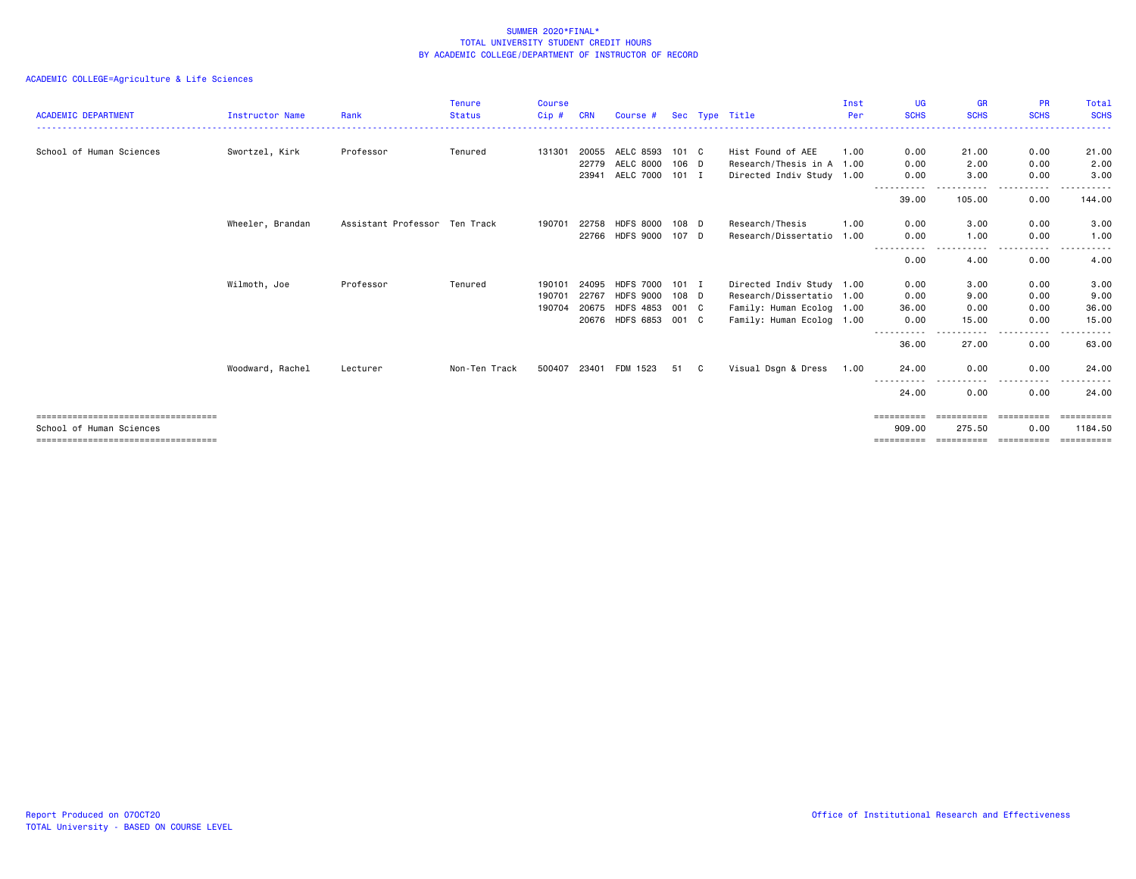| <b>ACADEMIC DEPARTMENT</b>            | <b>Instructor Name</b> | Rank                          | <b>Tenure</b><br><b>Status</b> | <b>Course</b><br>Cip# | <b>CRN</b> | Course #              |         |   | Sec Type Title            | Inst<br>Per | UG<br><b>SCHS</b> | <b>GR</b><br><b>SCHS</b> | <b>PR</b><br><b>SCHS</b> | Total<br><b>SCHS</b>  |
|---------------------------------------|------------------------|-------------------------------|--------------------------------|-----------------------|------------|-----------------------|---------|---|---------------------------|-------------|-------------------|--------------------------|--------------------------|-----------------------|
|                                       |                        |                               |                                |                       |            |                       |         |   |                           |             |                   |                          |                          |                       |
| School of Human Sciences              | Swortzel, Kirk         | Professor                     | Tenured                        | 131301                | 20055      | AELC 8593             | 101 C   |   | Hist Found of AEE         | 1.00        | 0.00              | 21.00                    | 0.00                     | 21.00                 |
|                                       |                        |                               |                                |                       | 22779      | AELC 8000             | 106 D   |   | Research/Thesis in A 1.00 |             | 0.00              | 2.00                     | 0.00                     | 2.00                  |
|                                       |                        |                               |                                |                       | 23941      | AELC 7000             | $101$ I |   | Directed Indiv Study 1.00 |             | 0.00<br><u>.</u>  | 3.00                     | 0.00<br>.                | 3,00                  |
|                                       |                        |                               |                                |                       |            |                       |         |   |                           |             | 39.00             | 105.00                   | 0.00                     | 144.00                |
|                                       | Wheeler, Brandan       | Assistant Professor Ten Track |                                | 190701                | 22758      | <b>HDFS 8000</b>      | 108 D   |   | Research/Thesis           | 1.00        | 0.00              | 3.00                     | 0.00                     | 3.00                  |
|                                       |                        |                               |                                |                       | 22766      | <b>HDFS 9000</b>      | 107 D   |   | Research/Dissertatio      | 1.00        | 0.00              | 1.00                     | 0.00                     | 1.00                  |
|                                       |                        |                               |                                |                       |            |                       |         |   |                           |             | 0.00              | 4.00                     | 0.00                     | 4.00                  |
|                                       | Wilmoth, Joe           | Professor                     | Tenured                        | 190101                | 24095      | <b>HDFS 7000</b>      | $101$ I |   | Directed Indiv Study 1.00 |             | 0.00              | 3.00                     | 0.00                     | 3.00                  |
|                                       |                        |                               |                                | 190701                | 22767      | <b>HDFS 9000</b>      | 108 D   |   | Research/Dissertatio 1.00 |             | 0.00              | 9.00                     | 0.00                     | 9.00                  |
|                                       |                        |                               |                                | 190704                |            | 20675 HDFS 4853 001 C |         |   | Family: Human Ecolog 1.00 |             | 36.00             | 0.00                     | 0.00                     | 36.00                 |
|                                       |                        |                               |                                |                       |            | 20676 HDFS 6853 001 C |         |   | Family: Human Ecolog 1.00 |             | 0.00              | 15.00                    | 0.00                     | 15.00                 |
|                                       |                        |                               |                                |                       |            |                       |         |   |                           |             | 36.00             | .<br>27,00               | .<br>0.00                | . <b>.</b><br>63.00   |
|                                       | Woodward, Rachel       | Lecturer                      | Non-Ten Track                  | 500407                | 23401      | FDM 1523              | 51      | C | Visual Dsgn & Dress       | 1.00        | 24.00             | 0.00                     | 0.00                     | 24.00                 |
|                                       |                        |                               |                                |                       |            |                       |         |   |                           |             | 24.00             | 0.00                     | 0.00                     | . <u>.</u> .<br>24.00 |
| ============================          |                        |                               |                                |                       |            |                       |         |   |                           |             |                   |                          |                          | eeeeeeeee             |
| School of Human Sciences              |                        |                               |                                |                       |            |                       |         |   |                           |             | 909.00            | 275.50                   | 0.00                     | 1184.50               |
| ===================================== |                        |                               |                                |                       |            |                       |         |   |                           |             | ==========        | -----------------------  |                          | -----------           |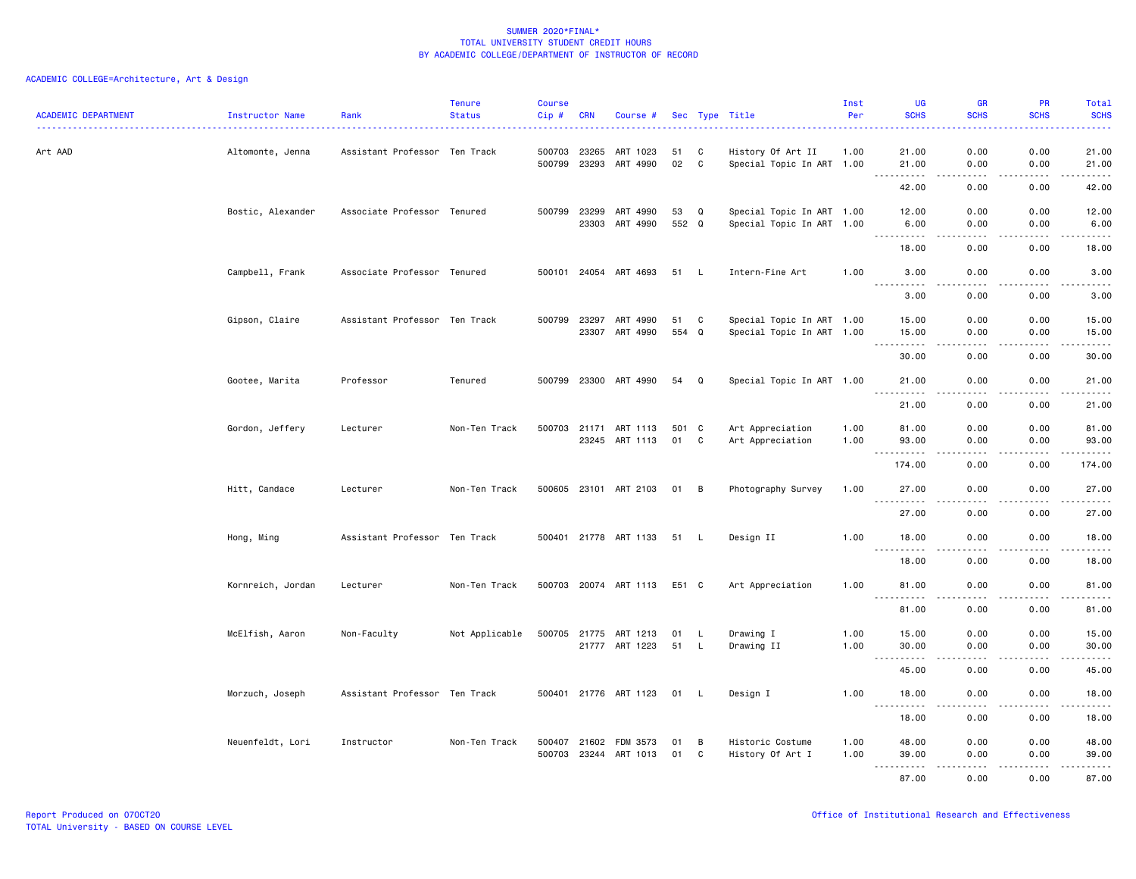| <b>ACADEMIC DEPARTMENT</b> | Instructor Name   | Rank                          | <b>Tenure</b><br><b>Status</b> | <b>Course</b><br>Cip# | <b>CRN</b>     | Course #                   |             |                | Sec Type Title                                         | Inst<br>Per  | UG<br><b>SCHS</b>                   | <b>GR</b><br><b>SCHS</b>     | PR<br><b>SCHS</b>     | Total<br><b>SCHS</b>                                                                                                  |
|----------------------------|-------------------|-------------------------------|--------------------------------|-----------------------|----------------|----------------------------|-------------|----------------|--------------------------------------------------------|--------------|-------------------------------------|------------------------------|-----------------------|-----------------------------------------------------------------------------------------------------------------------|
| Art AAD                    | Altomonte, Jenna  | Assistant Professor Ten Track |                                | 500703<br>500799      | 23265<br>23293 | ART 1023<br>ART 4990       | 51<br>02    | C<br>C         | History Of Art II<br>Special Topic In ART 1.00         | 1.00         | 21.00<br>21.00                      | 0.00<br>0.00                 | 0.00<br>0.00          | 21.00<br>21.00                                                                                                        |
|                            |                   |                               |                                |                       |                |                            |             |                |                                                        |              | -----<br>42.00                      | $\sim$ $\sim$ $\sim$<br>0.00 | .<br>0.00             | .<br>42.00                                                                                                            |
|                            | Bostic, Alexander | Associate Professor Tenured   |                                | 500799                | 23299<br>23303 | ART 4990<br>ART 4990       | 53<br>552 Q | Q              | Special Topic In ART 1.00<br>Special Topic In ART 1.00 |              | 12.00<br>6.00                       | 0.00<br>0.00                 | 0.00<br>0.00          | 12.00<br>6.00                                                                                                         |
|                            |                   |                               |                                |                       |                |                            |             |                |                                                        |              | 18.00                               | 0.00                         | 0.00                  | $\omega$ is $\omega$ in .<br>18.00                                                                                    |
|                            | Campbell, Frank   | Associate Professor Tenured   |                                |                       |                | 500101 24054 ART 4693      | 51 L        |                | Intern-Fine Art                                        | 1.00         | 3.00                                | 0.00                         | 0.00                  | 3.00                                                                                                                  |
|                            |                   |                               |                                |                       |                |                            |             |                |                                                        |              | 3.00                                | 0.00                         | 0.00                  | 3.00                                                                                                                  |
|                            | Gipson, Claire    | Assistant Professor Ten Track |                                | 500799                | 23297<br>23307 | ART 4990<br>ART 4990       | 51<br>554   | C<br>Q         | Special Topic In ART 1.00<br>Special Topic In ART 1.00 |              | 15.00<br>15.00                      | 0.00<br>0.00                 | 0.00<br>0.00          | 15.00<br>15.00                                                                                                        |
|                            |                   |                               |                                |                       |                |                            |             |                |                                                        |              | $\frac{1}{2}$<br>.<br>30.00         | 0.00                         | $\frac{1}{2}$<br>0.00 | .<br>30.00                                                                                                            |
|                            | Gootee, Marita    | Professor                     | Tenured                        | 500799 23300          |                | ART 4990                   | 54          | Q              | Special Topic In ART 1.00                              |              | 21.00                               | 0.00                         | 0.00                  | 21.00                                                                                                                 |
|                            |                   |                               |                                |                       |                |                            |             |                |                                                        |              | 21.00                               | 0.00                         | 0.00                  | 21.00                                                                                                                 |
|                            | Gordon, Jeffery   | Lecturer                      | Non-Ten Track                  | 500703                | 21171          | ART 1113<br>23245 ART 1113 | 501 C<br>01 | C              | Art Appreciation<br>Art Appreciation                   | 1.00<br>1.00 | 81.00<br>93.00                      | 0.00<br>0.00                 | 0.00<br>0.00          | 81.00<br>93.00                                                                                                        |
|                            |                   |                               |                                |                       |                |                            |             |                |                                                        |              | <u>.</u><br>$\frac{1}{2}$<br>174.00 | $- - - -$<br>0.00            | .<br>0.00             | $\begin{array}{cccccccccc} \bullet & \bullet & \bullet & \bullet & \bullet & \bullet & \bullet \end{array}$<br>174.00 |
|                            | Hitt, Candace     | Lecturer                      | Non-Ten Track                  |                       |                | 500605 23101 ART 2103      | 01 B        |                | Photography Survey                                     | 1.00         | 27.00<br>$\frac{1}{2}$              | 0.00                         | 0.00                  | 27.00<br>.                                                                                                            |
|                            |                   |                               |                                |                       |                |                            |             |                |                                                        |              | $- - - - -$<br>27.00                | 0.00                         | 0.00                  | 27.00                                                                                                                 |
|                            | Hong, Ming        | Assistant Professor Ten Track |                                |                       |                | 500401 21778 ART 1133      | 51          | - L            | Design II                                              | 1.00         | 18.00<br>.                          | 0.00<br>$\frac{1}{2}$        | 0.00                  | 18.00<br>.                                                                                                            |
|                            |                   |                               |                                |                       |                |                            |             |                |                                                        |              | 18.00                               | 0.00                         | 0.00                  | 18.00                                                                                                                 |
|                            | Kornreich, Jordan | Lecturer                      | Non-Ten Track                  |                       |                | 500703 20074 ART 1113      | E51 C       |                | Art Appreciation                                       | 1.00         | 81.00<br>$\sim$ $\sim$ $\sim$       | 0.00                         | 0.00                  | 81.00<br>.                                                                                                            |
|                            |                   |                               |                                |                       |                |                            |             |                |                                                        |              | 81.00                               | 0.00                         | 0.00                  | 81.00                                                                                                                 |
|                            | McElfish, Aaron   | Non-Faculty                   | Not Applicable                 | 500705 21775          |                | ART 1213<br>21777 ART 1223 | 01<br>51    | -L<br><b>L</b> | Drawing I<br>Drawing II                                | 1.00<br>1.00 | 15.00<br>30.00                      | 0.00<br>0.00                 | 0.00<br>0.00          | 15.00<br>30.00                                                                                                        |
|                            |                   |                               |                                |                       |                |                            |             |                |                                                        |              | $\sim$ $\sim$ $\sim$<br>45.00       | 0.00                         | 0.00                  | .<br>45.00                                                                                                            |
|                            | Morzuch, Joseph   | Assistant Professor Ten Track |                                |                       |                | 500401 21776 ART 1123      | 01 L        |                | Design I                                               | 1.00         | 18.00                               | 0.00                         | 0.00                  | 18.00                                                                                                                 |
|                            |                   |                               |                                |                       |                |                            |             |                |                                                        |              | .<br>18.00                          | $\frac{1}{2}$<br>0.00        | 0.00                  | .<br>18.00                                                                                                            |
|                            | Neuenfeldt, Lori  | Instructor                    | Non-Ten Track                  | 500407<br>500703      | 21602<br>23244 | FDM 3573<br>ART 1013       | 01<br>01    | B<br>C         | Historic Costume<br>History Of Art I                   | 1.00<br>1.00 | 48.00<br>39.00                      | 0.00<br>0.00                 | 0.00<br>0.00          | 48.00<br>39.00                                                                                                        |
|                            |                   |                               |                                |                       |                |                            |             |                |                                                        |              | $\sim$ $\sim$ $\sim$<br>.<br>87.00  | .<br>0.00                    | .<br>0.00             | .<br>87.00                                                                                                            |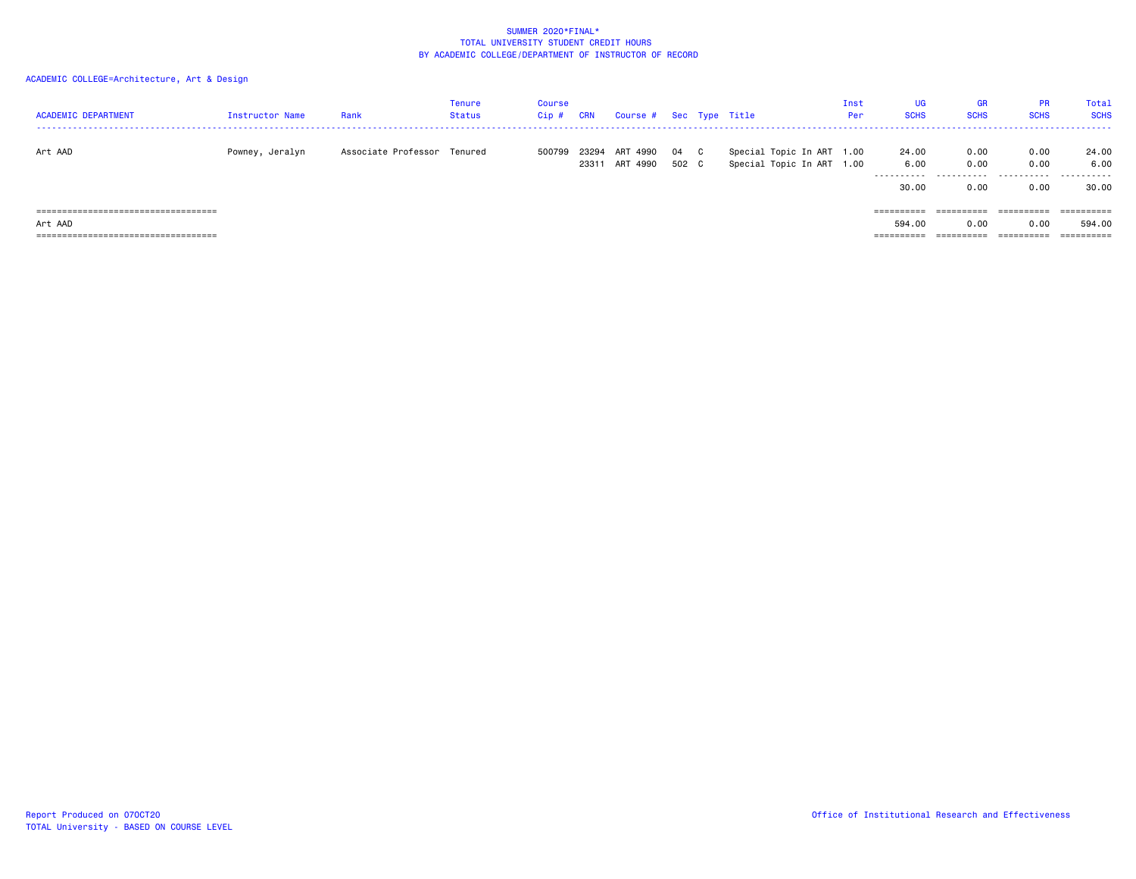| <b>ACADEMIC DEPARTMENT</b>            | Instructor Name | Rank                        | Tenure<br><b>Status</b> | <b>Course</b><br>$Cip$ # | <b>CRN</b>     | Course # Sec Type Title |               |                                                        | Inst<br>Per | <b>UG</b><br><b>SCHS</b>             | GR<br><b>SCHS</b> | <b>PR</b><br><b>SCHS</b> | Total<br><b>SCHS</b> |
|---------------------------------------|-----------------|-----------------------------|-------------------------|--------------------------|----------------|-------------------------|---------------|--------------------------------------------------------|-------------|--------------------------------------|-------------------|--------------------------|----------------------|
| Art AAD                               | Powney, Jeralyn | Associate Professor Tenured |                         | 500799                   | 23294<br>23311 | ART 4990<br>ART 4990    | 04 C<br>502 C | Special Topic In ART 1.00<br>Special Topic In ART 1.00 |             | 24.00<br>6.00<br>---------- <i>-</i> | 0.00<br>0.00<br>. | 0.00<br>0.00<br>.        | 24.00<br>6.00<br>.   |
|                                       |                 |                             |                         |                          |                |                         |               |                                                        |             | 30,00                                | 0.00              | 0.00                     | 30.00                |
| ===================================== |                 |                             |                         |                          |                |                         |               |                                                        |             | ==========                           |                   |                          | ==========           |
| Art AAD                               |                 |                             |                         |                          |                |                         |               |                                                        |             | 594,00                               | 0.00              | 0.00                     | 594.00               |
| ===================================== |                 |                             |                         |                          |                |                         |               |                                                        |             | ==========                           |                   | ==========               | ==========           |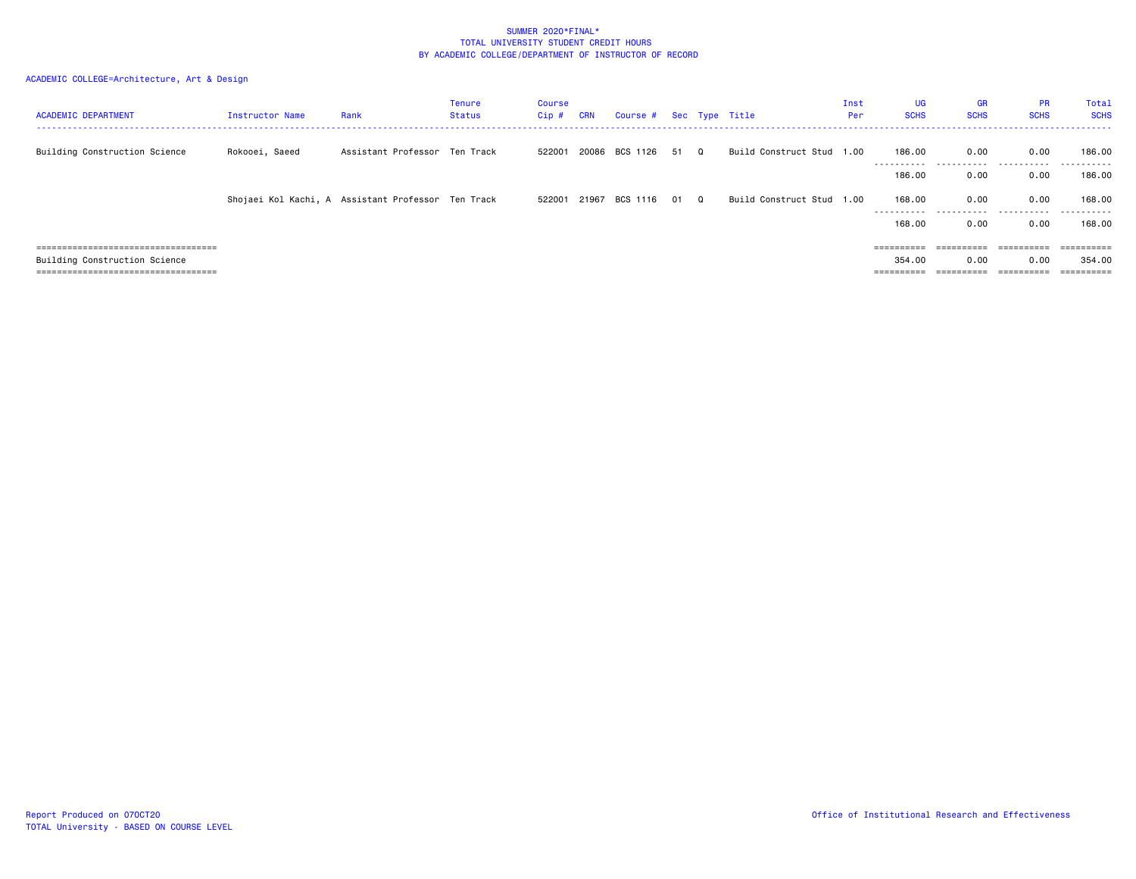| <b>ACADEMIC DEPARTMENT</b>            | Instructor Name | Rank                                               | Tenure<br>Status | <b>Course</b><br>Cip# | <b>CRN</b> | Course # Sec Type Title |      |          |                           | Inst<br>Per | UG<br><b>SCHS</b>     | <b>GR</b><br><b>SCHS</b> | <b>PR</b><br><b>SCHS</b> | Total<br><b>SCHS</b>   |
|---------------------------------------|-----------------|----------------------------------------------------|------------------|-----------------------|------------|-------------------------|------|----------|---------------------------|-------------|-----------------------|--------------------------|--------------------------|------------------------|
| Building Construction Science         | Rokooei, Saeed  | Assistant Professor Ten Track                      |                  | 522001                |            | 20086 BCS 1126          | 51   | $\Omega$ | Build Construct Stud 1.00 |             | 186.00                | 0.00<br>.                | 0.00<br>.                | 186.00<br>-------      |
|                                       |                 |                                                    |                  |                       |            |                         |      |          |                           |             | 186.00                | 0.00                     | 0.00                     | 186.00                 |
|                                       |                 | Shojaei Kol Kachi, A Assistant Professor Ten Track |                  | 522001 21967          |            | BCS 1116                | 01 Q |          | Build Construct Stud 1.00 |             | 168,00<br>----------- | 0.00<br>.                | 0.00<br>.                | 168.00<br>. <u>.</u> . |
|                                       |                 |                                                    |                  |                       |            |                         |      |          |                           |             | 168,00                | 0.00                     | 0.00                     | 168.00                 |
| ===================================== |                 |                                                    |                  |                       |            |                         |      |          |                           |             | ==========            | ==========               | - ==========             | ==========             |
| Building Construction Science         |                 |                                                    |                  |                       |            |                         |      |          |                           |             | 354.00                | 0.00                     | 0.00                     | 354.00                 |
| ===================================== |                 |                                                    |                  |                       |            |                         |      |          |                           |             | ==========            | ==========               | ==========               | ==========             |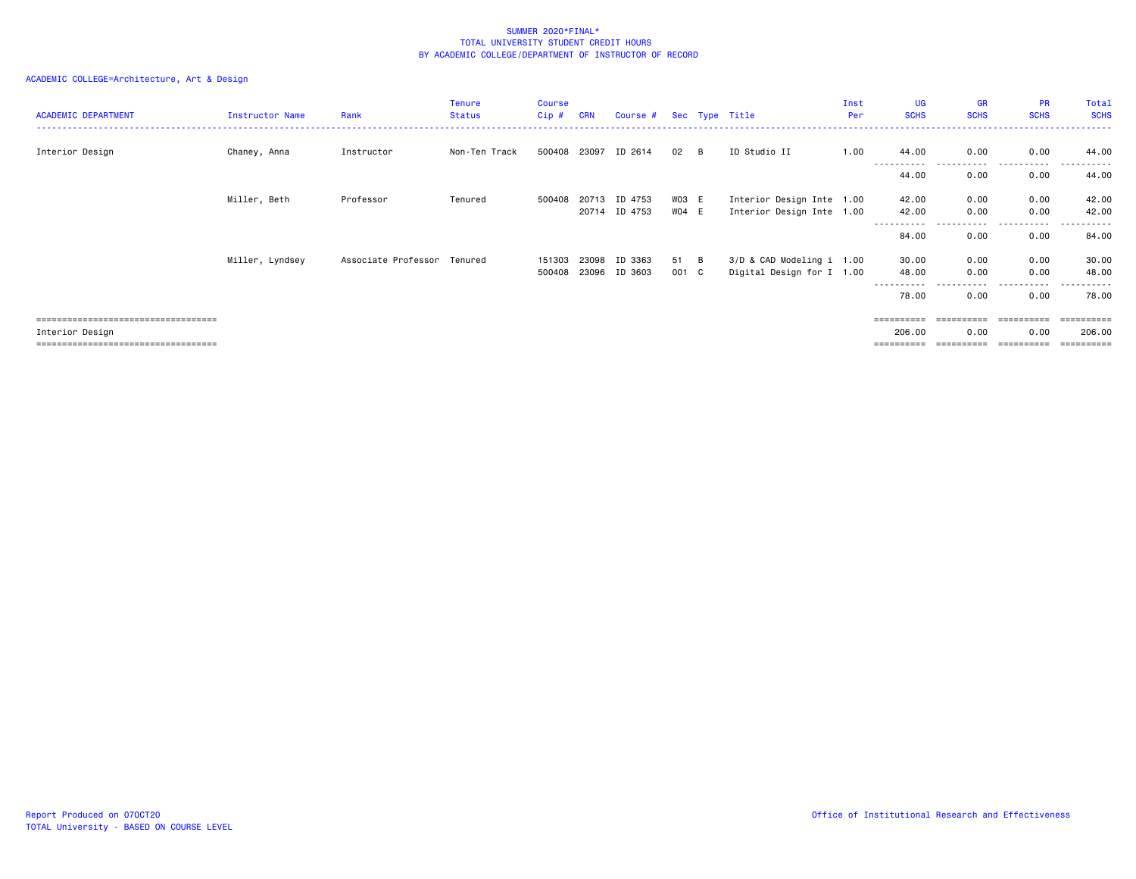## ACADEMIC COLLEGE=Architecture, Art & Design

| <b>ACADEMIC DEPARTMENT</b>            | Instructor Name | Rank                        | <b>Tenure</b><br><b>Status</b> | <b>Course</b><br>Cip# | <b>CRN</b> | Course # Sec Type Title |       |                |                           | Inst<br>Per | <b>UG</b><br><b>SCHS</b> | <b>GR</b><br><b>SCHS</b> | <b>PR</b><br><b>SCHS</b> | Total<br><b>SCHS</b> |
|---------------------------------------|-----------------|-----------------------------|--------------------------------|-----------------------|------------|-------------------------|-------|----------------|---------------------------|-------------|--------------------------|--------------------------|--------------------------|----------------------|
| Interior Design                       | Chaney, Anna    | Instructor                  | Non-Ten Track                  | 500408 23097          |            | ID 2614                 | 02    | B              | ID Studio II              | 1.00        | 44.00                    | 0.00                     | 0.00                     | 44.00                |
|                                       |                 |                             |                                |                       |            |                         |       |                |                           |             | ----------<br>44.00      | 0.00                     | . <b>.</b> .<br>0.00     | 44.00                |
|                                       | Miller, Beth    | Professor                   | Tenured                        | 500408                | 20713      | ID 4753                 | WO3 E |                | Interior Design Inte 1.00 |             | 42.00                    | 0.00                     | 0.00                     | 42.00                |
|                                       |                 |                             |                                |                       |            | 20714 ID 4753           | WO4 E |                | Interior Design Inte 1.00 |             | 42.00                    | 0.00                     | 0.00<br>------           | 42.00                |
|                                       |                 |                             |                                |                       |            |                         |       |                |                           |             | 84.00                    | 0.00                     | 0.00                     | 84.00                |
|                                       | Miller, Lyndsey | Associate Professor Tenured |                                | 151303                | 23098      | ID 3363                 | 51    | $\overline{B}$ | 3/D & CAD Modeling i 1.00 |             | 30.00                    | 0.00                     | 0.00                     | 30.00                |
|                                       |                 |                             |                                | 500408                | 23096      | ID 3603                 | 001 C |                | Digital Design for I 1.00 |             | 48.00                    | 0.00                     | 0.00                     | 48.00                |
|                                       |                 |                             |                                |                       |            |                         |       |                |                           |             | 78.00                    | 0.00                     | - - - - -<br>0.00        | - - - - - -<br>78.00 |
| ===================================== |                 |                             |                                |                       |            |                         |       |                |                           |             |                          | ==========               | ==========               | ==========           |
| Interior Design                       |                 |                             |                                |                       |            |                         |       |                |                           |             | 206.00                   | 0.00                     | 0.00                     | 206.00               |

=================================== ========== ========== ========== ==========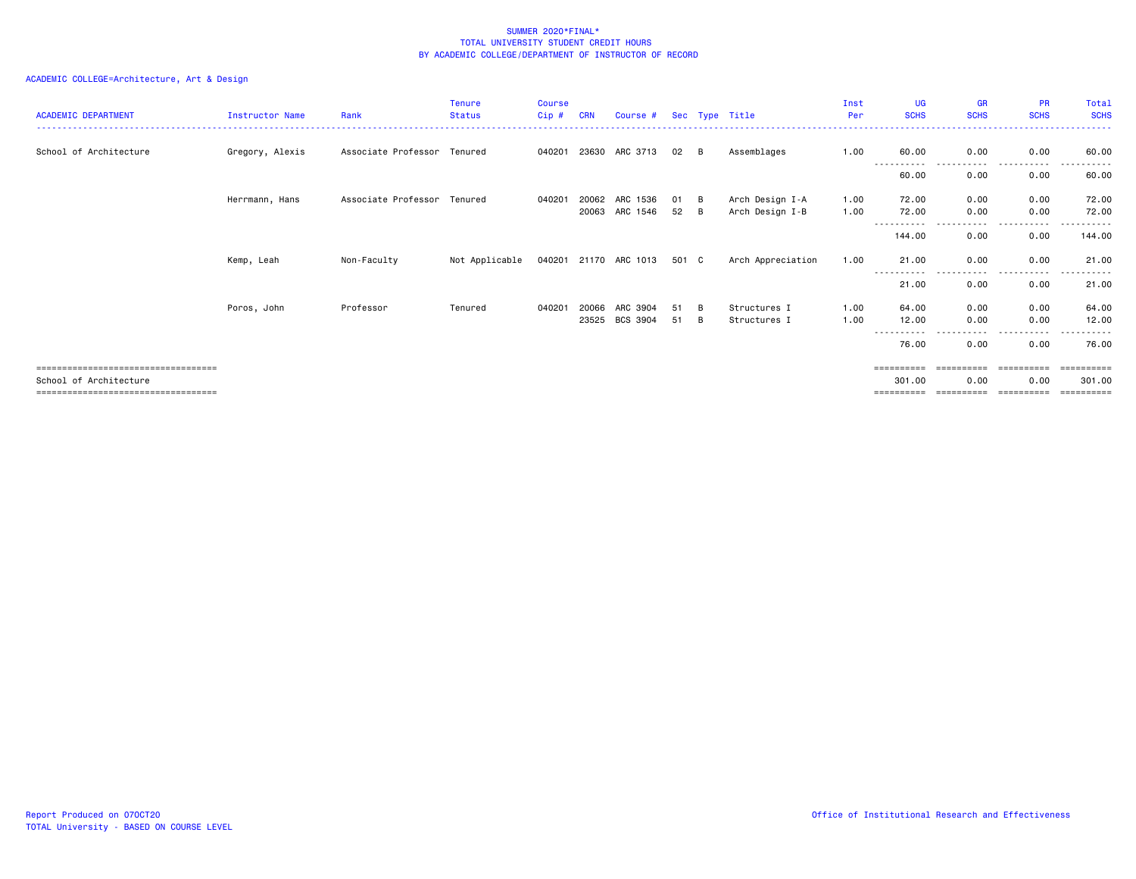# ACADEMIC COLLEGE=Architecture, Art & Design

| <b>ACADEMIC DEPARTMENT</b>                                                                             | <b>Instructor Name</b> | Rank                        | <b>Tenure</b><br><b>Status</b> | <b>Course</b><br>Cip # | <b>CRN</b>     | Course #                   |          |          | Sec Type Title                     | Inst<br>Per  | UG<br><b>SCHS</b>      | <b>GR</b><br><b>SCHS</b>         | <b>PR</b><br><b>SCHS</b>         | Total<br><b>SCHS</b> |
|--------------------------------------------------------------------------------------------------------|------------------------|-----------------------------|--------------------------------|------------------------|----------------|----------------------------|----------|----------|------------------------------------|--------------|------------------------|----------------------------------|----------------------------------|----------------------|
| School of Architecture                                                                                 | Gregory, Alexis        | Associate Professor Tenured |                                | 040201                 | 23630          | ARC 3713                   | 02       | B        | Assemblages                        | 1.00         | 60.00                  | 0.00<br>.                        | 0.00<br>- - - - -                | 60.00                |
|                                                                                                        |                        |                             |                                |                        |                |                            |          |          |                                    |              | 60.00                  | 0.00                             | 0.00                             | 60.00                |
|                                                                                                        | Herrmann, Hans         | Associate Professor Tenured |                                | 040201                 | 20062          | ARC 1536<br>20063 ARC 1546 | 01<br>52 | B<br>- B | Arch Design I-A<br>Arch Design I-B | 1.00<br>1.00 | 72.00<br>72.00         | 0.00<br>0.00                     | 0.00<br>0.00                     | 72.00<br>72.00       |
|                                                                                                        |                        |                             |                                |                        |                |                            |          |          |                                    |              | 144.00                 | 0.00                             | ----<br>0.00                     | 144.00               |
|                                                                                                        | Kemp, Leah             | Non-Faculty                 | Not Applicable                 |                        |                | 040201 21170 ARC 1013      | 501 C    |          | Arch Appreciation                  | 1.00         | 21.00<br>-----         | 0.00                             | 0.00                             | 21.00                |
|                                                                                                        |                        |                             |                                |                        |                |                            |          |          |                                    |              | 21.00                  | 0.00                             | 0.00                             | 21.00                |
|                                                                                                        | Poros, John            | Professor                   | Tenured                        | 040201                 | 20066<br>23525 | ARC 3904<br>BCS 3904       | 51<br>51 | B<br>B   | Structures I<br>Structures I       | 1.00<br>1.00 | 64.00<br>12.00<br>---- | 0.00<br>0.00                     | 0.00<br>0.00<br>----             | 64.00<br>12.00       |
|                                                                                                        |                        |                             |                                |                        |                |                            |          |          |                                    |              | 76.00                  | 0.00                             | 0.00                             | 76.00                |
| -----------------------------------<br>School of Architecture<br>===================================== |                        |                             |                                |                        |                |                            |          |          |                                    |              | 301,00<br>==========   | ==========<br>0.00<br>========== | ==========<br>0.00<br>========== | 301.00<br>=======    |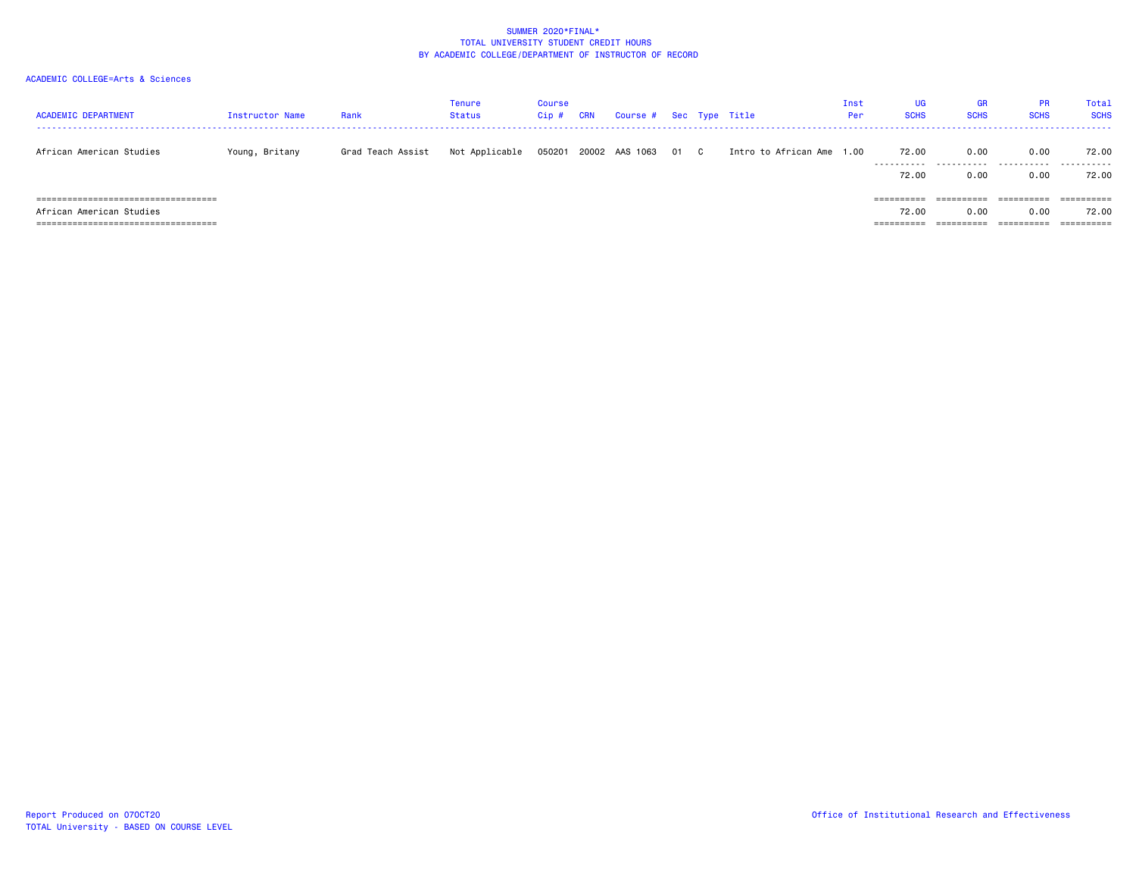| <b>ACADEMIC DEPARTMENT</b>             | Instructor Name | Rank              | <b>Tenure</b><br><b>Status</b> | Course<br>Cip# | <b>CRN</b> | Course #       |    |              | Sec Type Title            | Inst<br>Per | UG<br><b>SCHS</b> | GR<br><b>SCHS</b> | <b>PR</b><br><b>SCHS</b> | Total<br><b>SCHS</b>  |
|----------------------------------------|-----------------|-------------------|--------------------------------|----------------|------------|----------------|----|--------------|---------------------------|-------------|-------------------|-------------------|--------------------------|-----------------------|
| African American Studies               | Young, Britany  | Grad Teach Assist | Not Applicable                 | 050201         |            | 20002 AAS 1063 | 01 | $\mathbf{C}$ | Intro to African Ame 1.00 |             | 72.00<br>.        | 0.00<br>.         | 0.00<br>.                | 72.00<br>.            |
|                                        |                 |                   |                                |                |            |                |    |              |                           |             | 72.00             | 0.00              | 0.00                     | 72.00                 |
|                                        |                 |                   |                                |                |            |                |    |              |                           |             |                   |                   |                          |                       |
| ====================================== |                 |                   |                                |                |            |                |    |              |                           |             | ==========        | ==========        |                          | ==========            |
| African American Studies               |                 |                   |                                |                |            |                |    |              |                           |             | 72.00             | 0.00              | 0.00                     | 72.00                 |
| ====================================== |                 |                   |                                |                |            |                |    |              |                           |             | ==========        | ==========        | ==========               | $=$ = = = = = = = = = |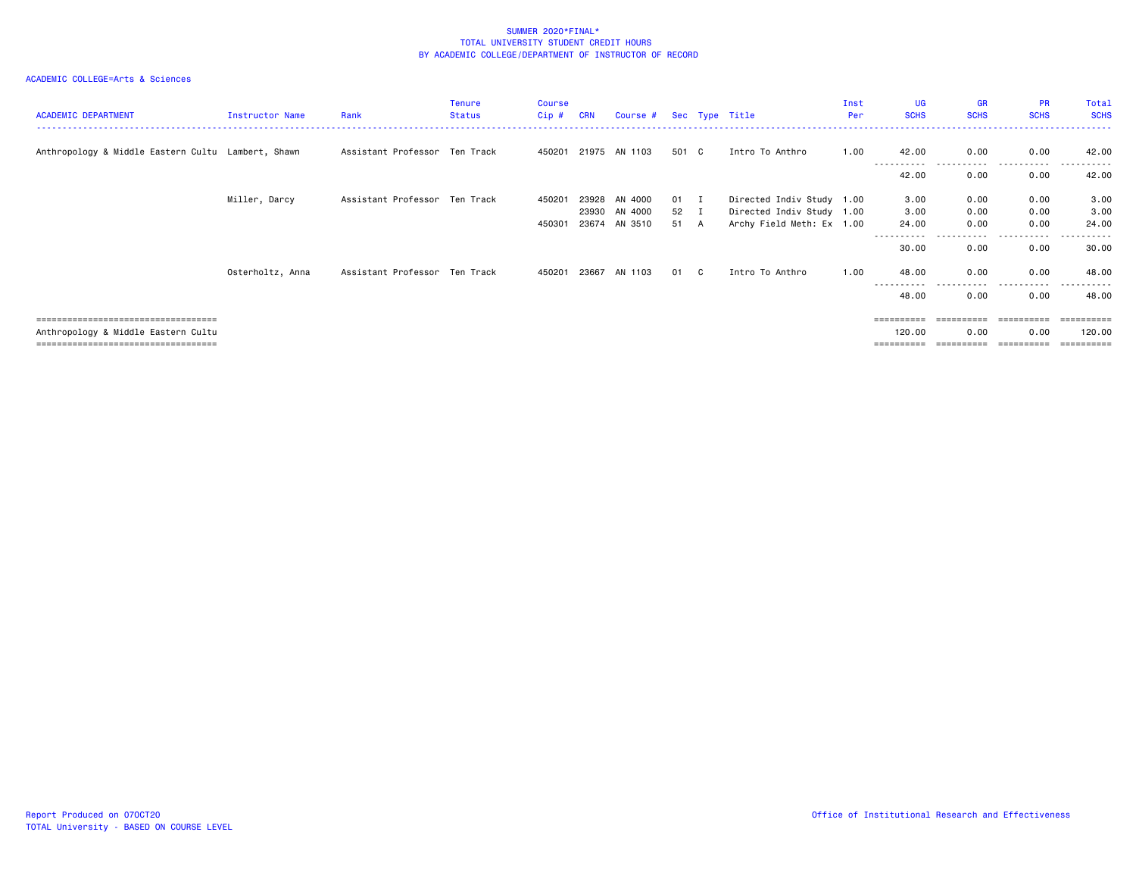# ACADEMIC COLLEGE=Arts & Sciences

| <b>ACADEMIC DEPARTMENT</b>                         | Instructor Name  | Rank                          | <b>Tenure</b><br>Status | <b>Course</b><br>Cip # | <b>CRN</b> | Course # Sec Type Title |       |     |                           | Inst<br>Per | UG<br><b>SCHS</b>   | GR<br><b>SCHS</b> | <b>PR</b><br><b>SCHS</b> | Total<br><b>SCHS</b> |
|----------------------------------------------------|------------------|-------------------------------|-------------------------|------------------------|------------|-------------------------|-------|-----|---------------------------|-------------|---------------------|-------------------|--------------------------|----------------------|
| Anthropology & Middle Eastern Cultu Lambert, Shawn |                  | Assistant Professor Ten Track |                         |                        |            | 450201 21975 AN 1103    | 501 C |     | Intro To Anthro           | 1.00        | 42.00               | 0.00              | 0.00                     | 42.00                |
|                                                    |                  |                               |                         |                        |            |                         |       |     |                           |             | 42.00               | 0.00              | 0.00                     | 42.00                |
|                                                    | Miller, Darcy    | Assistant Professor Ten Track |                         | 450201                 | 23928      | AN 4000                 | 01 I  |     | Directed Indiv Study 1.00 |             | 3.00                | 0.00              | 0.00                     | 3.00                 |
|                                                    |                  |                               |                         |                        |            | 23930 AN 4000           | 52 I  |     | Directed Indiv Study 1.00 |             | 3.00                | 0.00              | 0.00                     | 3.00                 |
|                                                    |                  |                               |                         | 450301                 | 23674      | AN 3510                 | 51 A  |     | Archy Field Meth: Ex 1.00 |             | 24.00               | 0.00              | 0.00                     | 24.00                |
|                                                    |                  |                               |                         |                        |            |                         |       |     |                           |             |                     |                   |                          |                      |
|                                                    |                  |                               |                         |                        |            |                         |       |     |                           |             | 30.00               | 0.00              | 0.00                     | 30.00                |
|                                                    | Osterholtz, Anna | Assistant Professor Ten Track |                         | 450201                 | 23667      | AN 1103                 | 01    | - C | Intro To Anthro           | 1.00        | 48.00<br>---------- | 0.00              | 0.00<br>.                | 48.00<br>------      |
|                                                    |                  |                               |                         |                        |            |                         |       |     |                           |             | 48.00               | 0.00              | 0.00                     | 48.00                |
| .====================================              |                  |                               |                         |                        |            |                         |       |     |                           |             | ==========          | eeeeeeeee         |                          |                      |
| Anthropology & Middle Eastern Cultu                |                  |                               |                         |                        |            |                         |       |     |                           |             | 120.00              | 0.00              | 0.00                     | 120.00               |

=================================== ========== ========== ========== ==========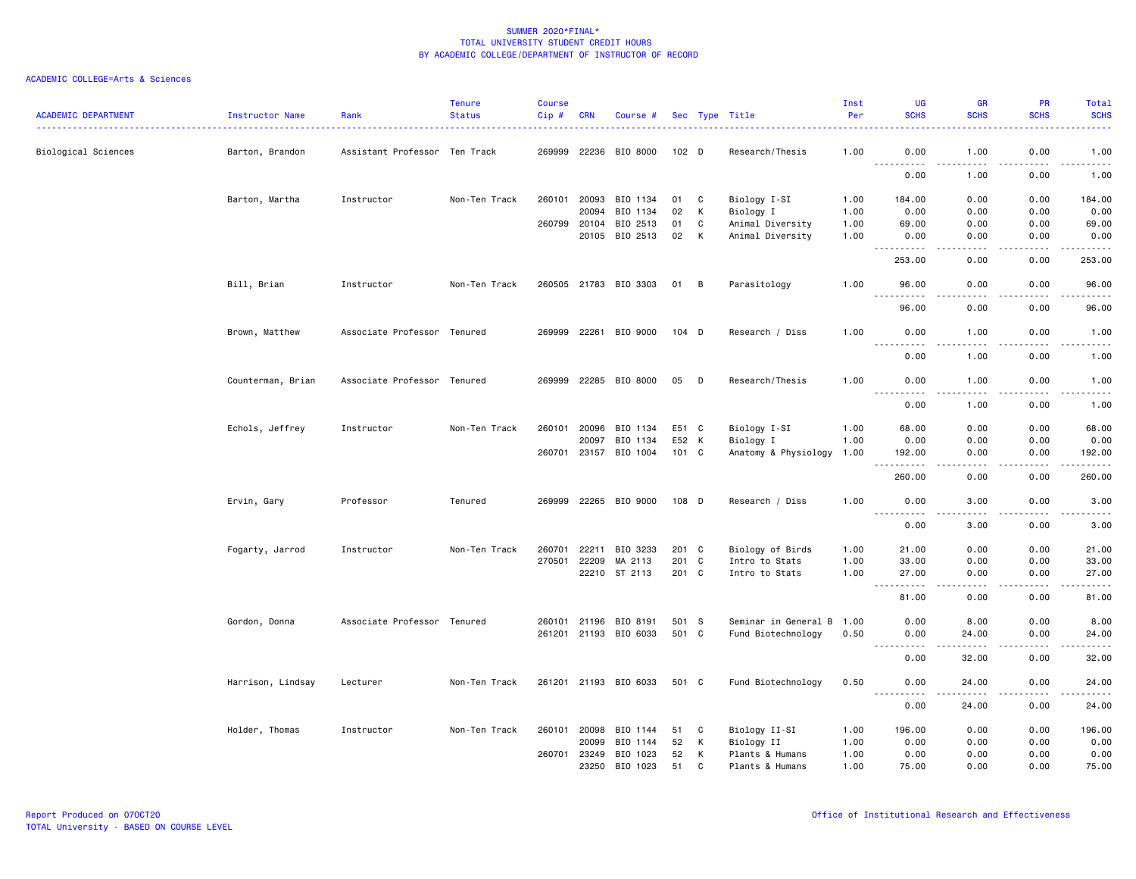| <b>ACADEMIC DEPARTMENT</b> | Instructor Name   | Rank                          | <b>Tenure</b><br><b>Status</b> | <b>Course</b><br>Cip# | <b>CRN</b> | Course #              |         |   | Sec Type Title       | Inst<br>Per | UG<br><b>SCHS</b>                                                                                                                                                 | <b>GR</b><br><b>SCHS</b>            | <b>PR</b><br><b>SCHS</b>            | Total<br><b>SCHS</b>                                                                                                              |
|----------------------------|-------------------|-------------------------------|--------------------------------|-----------------------|------------|-----------------------|---------|---|----------------------|-------------|-------------------------------------------------------------------------------------------------------------------------------------------------------------------|-------------------------------------|-------------------------------------|-----------------------------------------------------------------------------------------------------------------------------------|
| Biological Sciences        | Barton, Brandon   | Assistant Professor Ten Track |                                | 269999                |            | 22236 BIO 8000        | $102$ D |   | Research/Thesis      | 1.00        | 0.00<br>$\frac{1}{2} \left( \frac{1}{2} \right) \left( \frac{1}{2} \right) \left( \frac{1}{2} \right) \left( \frac{1}{2} \right) \left( \frac{1}{2} \right)$<br>. | 1.00<br>$   -$                      | 0.00<br>.                           | 1.00<br>$\omega$ is a set                                                                                                         |
|                            |                   |                               |                                |                       |            |                       |         |   |                      |             | 0.00                                                                                                                                                              | 1.00                                | 0.00                                | 1.00                                                                                                                              |
|                            | Barton, Martha    | Instructor                    | Non-Ten Track                  | 260101 20093          |            | BIO 1134              | 01      | C | Biology I-SI         | 1.00        | 184.00                                                                                                                                                            | 0.00                                | 0.00                                | 184.00                                                                                                                            |
|                            |                   |                               |                                |                       | 20094      | BIO 1134              | 02      | к | Biology I            | 1.00        | 0.00                                                                                                                                                              | 0.00                                | 0.00                                | 0.00                                                                                                                              |
|                            |                   |                               |                                | 260799                | 20104      | BIO 2513              | 01      | C | Animal Diversity     | 1.00        | 69.00                                                                                                                                                             | 0.00                                | 0.00                                | 69.00                                                                                                                             |
|                            |                   |                               |                                |                       | 20105      | BIO 2513              | 02      | К | Animal Diversity     | 1.00        | 0.00<br>.                                                                                                                                                         | 0.00<br>$\sim$ $\sim$ $\sim$ $\sim$ | 0.00<br>.                           | 0.00<br>.                                                                                                                         |
|                            |                   |                               |                                |                       |            |                       |         |   |                      |             | 253.00                                                                                                                                                            | 0.00                                | 0.00                                | 253.00                                                                                                                            |
|                            | Bill, Brian       | Instructor                    | Non-Ten Track                  |                       |            | 260505 21783 BIO 3303 | 01 B    |   | Parasitology         | 1.00        | 96.00                                                                                                                                                             | 0.00                                | 0.00                                | 96.00                                                                                                                             |
|                            |                   |                               |                                |                       |            |                       |         |   |                      |             | 96.00                                                                                                                                                             | 0.00                                | 0.00                                | 96.00                                                                                                                             |
|                            | Brown, Matthew    | Associate Professor Tenured   |                                |                       |            | 269999 22261 BIO 9000 | $104$ D |   | Research / Diss      | 1.00        | 0.00                                                                                                                                                              | 1.00                                | 0.00                                | 1.00                                                                                                                              |
|                            |                   |                               |                                |                       |            |                       |         |   |                      |             | $ -$<br>0.00                                                                                                                                                      | 1.00                                | 0.00                                | 1.00                                                                                                                              |
|                            | Counterman, Brian | Associate Professor Tenured   |                                |                       |            | 269999 22285 BIO 8000 | 05      | D | Research/Thesis      | 1.00        | 0.00<br>$\frac{1}{2} \left( \frac{1}{2} \right) \left( \frac{1}{2} \right) \left( \frac{1}{2} \right) \left( \frac{1}{2} \right) \left( \frac{1}{2} \right)$      | 1.00<br>.                           | 0.00<br>.                           | 1.00<br>د د د د د                                                                                                                 |
|                            |                   |                               |                                |                       |            |                       |         |   |                      |             | 0.00                                                                                                                                                              | 1.00                                | 0.00                                | 1.00                                                                                                                              |
|                            | Echols, Jeffrey   | Instructor                    | Non-Ten Track                  | 260101 20096          |            | BIO 1134              | E51 C   |   | Biology I-SI         | 1.00        | 68.00                                                                                                                                                             | 0.00                                | 0.00                                | 68.00                                                                                                                             |
|                            |                   |                               |                                |                       | 20097      | BIO 1134              | E52 K   |   | Biology I            | 1.00        | 0.00                                                                                                                                                              | 0.00                                | 0.00                                | 0.00                                                                                                                              |
|                            |                   |                               |                                |                       |            | 260701 23157 BIO 1004 | 101 C   |   | Anatomy & Physiology | 1.00        | 192.00<br>-----------                                                                                                                                             | 0.00<br>.                           | 0.00<br>. <b>.</b><br>$\frac{1}{2}$ | 192.00<br>.                                                                                                                       |
|                            |                   |                               |                                |                       |            |                       |         |   |                      |             | 260.00                                                                                                                                                            | 0.00                                | 0.00                                | 260.00                                                                                                                            |
|                            | Ervin, Gary       | Professor                     | Tenured                        |                       |            | 269999 22265 BIO 9000 | 108 D   |   | Research / Diss      | 1.00        | 0.00<br><u>.</u>                                                                                                                                                  | 3.00                                | 0.00                                | 3.00<br>$\frac{1}{2} \left( \frac{1}{2} \right) \left( \frac{1}{2} \right) \left( \frac{1}{2} \right) \left( \frac{1}{2} \right)$ |
|                            |                   |                               |                                |                       |            |                       |         |   |                      |             | 0.00                                                                                                                                                              | 3.00                                | 0.00                                | 3.00                                                                                                                              |
|                            | Fogarty, Jarrod   | Instructor                    | Non-Ten Track                  | 260701                | 22211      | BIO 3233              | 201 C   |   | Biology of Birds     | 1.00        | 21.00                                                                                                                                                             | 0.00                                | 0.00                                | 21.00                                                                                                                             |
|                            |                   |                               |                                | 270501                | 22209      | MA 2113               | 201 C   |   | Intro to Stats       | 1.00        | 33.00                                                                                                                                                             | 0.00                                | 0.00                                | 33.00                                                                                                                             |
|                            |                   |                               |                                |                       |            | 22210 ST 2113         | 201 C   |   | Intro to Stats       | 1.00        | 27.00<br>$\sim$ $\sim$<br>.                                                                                                                                       | 0.00                                | 0.00                                | 27.00<br>.                                                                                                                        |
|                            |                   |                               |                                |                       |            |                       |         |   |                      |             | 81.00                                                                                                                                                             | 0.00                                | 0.00                                | 81.00                                                                                                                             |
|                            | Gordon, Donna     | Associate Professor Tenured   |                                | 260101                | 21196      | BIO 8191              | 501     | s | Seminar in General B | 1.00        | 0.00                                                                                                                                                              | 8.00                                | 0.00                                | 8.00                                                                                                                              |
|                            |                   |                               |                                |                       |            | 261201 21193 BIO 6033 | 501 C   |   | Fund Biotechnology   | 0.50        | 0.00<br>-----------                                                                                                                                               | 24.00<br>.                          | 0.00<br>.                           | 24.00<br>.                                                                                                                        |
|                            |                   |                               |                                |                       |            |                       |         |   |                      |             | 0.00                                                                                                                                                              | 32.00                               | 0.00                                | 32.00                                                                                                                             |
|                            | Harrison, Lindsay | Lecturer                      | Non-Ten Track                  |                       |            | 261201 21193 BIO 6033 | 501 C   |   | Fund Biotechnology   | 0.50        | 0.00                                                                                                                                                              | 24.00                               | 0.00                                | 24.00                                                                                                                             |
|                            |                   |                               |                                |                       |            |                       |         |   |                      |             | 0.00                                                                                                                                                              | 24.00                               | 0.00                                | 24.00                                                                                                                             |
|                            | Holder, Thomas    | Instructor                    | Non-Ten Track                  | 260101                | 20098      | BIO 1144              | 51      | C | Biology II-SI        | 1.00        | 196.00                                                                                                                                                            | 0.00                                | 0.00                                | 196.00                                                                                                                            |
|                            |                   |                               |                                |                       | 20099      | BIO 1144              | 52      | к | Biology II           | 1.00        | 0.00                                                                                                                                                              | 0.00                                | 0.00                                | 0.00                                                                                                                              |
|                            |                   |                               |                                | 260701                | 23249      | BIO 1023              | 52      | К | Plants & Humans      | 1.00        | 0.00                                                                                                                                                              | 0.00                                | 0.00                                | 0.00                                                                                                                              |
|                            |                   |                               |                                |                       | 23250      | BIO 1023              | 51      | C | Plants & Humans      | 1.00        | 75.00                                                                                                                                                             | 0.00                                | 0.00                                | 75.00                                                                                                                             |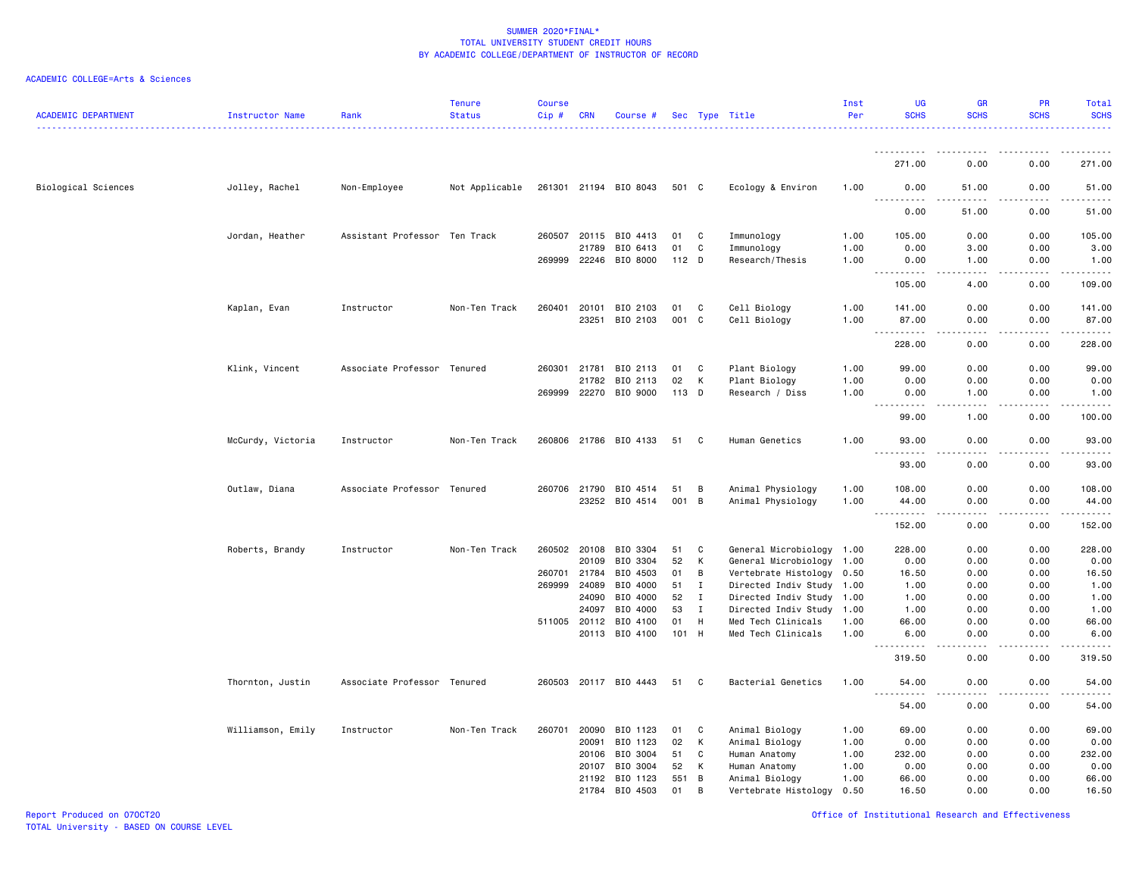### ACADEMIC COLLEGE=Arts & Sciences

| <b>ACADEMIC DEPARTMENT</b> | Instructor Name   | Rank                          | <b>Tenure</b><br><b>Status</b> | <b>Course</b><br>$Cip \#$ | <b>CRN</b>   | Course #              |         |             | Sec Type Title            | Inst<br>Per | UG<br><b>SCHS</b>                                                                                                                                            | <b>GR</b><br><b>SCHS</b> | PR<br><b>SCHS</b> | Total<br><b>SCHS</b> |
|----------------------------|-------------------|-------------------------------|--------------------------------|---------------------------|--------------|-----------------------|---------|-------------|---------------------------|-------------|--------------------------------------------------------------------------------------------------------------------------------------------------------------|--------------------------|-------------------|----------------------|
|                            |                   |                               |                                |                           |              |                       |         |             |                           |             |                                                                                                                                                              |                          |                   |                      |
|                            |                   |                               |                                |                           |              |                       |         |             |                           |             | 271.00                                                                                                                                                       | 0.00                     | 0.00              | 271.00               |
| Biological Sciences        | Jolley, Rachel    | Non-Employee                  | Not Applicable                 |                           |              | 261301 21194 BIO 8043 | 501 C   |             | Ecology & Environ         | 1.00        | 0.00<br><u>.</u>                                                                                                                                             | 51.00                    | 0.00              | 51.00<br>.           |
|                            |                   |                               |                                |                           |              |                       |         |             |                           |             | 0.00                                                                                                                                                         | 51.00                    | 0.00              | 51.00                |
|                            | Jordan, Heather   | Assistant Professor Ten Track |                                | 260507                    | 20115        | BIO 4413              | 01      | C           | Immunology                | 1.00        | 105.00                                                                                                                                                       | 0.00                     | 0.00              | 105.00               |
|                            |                   |                               |                                |                           | 21789        | BIO 6413              | 01      | C           | Immunology                | 1.00        | 0.00                                                                                                                                                         | 3.00                     | 0.00              | 3.00                 |
|                            |                   |                               |                                | 269999                    | 22246        | BIO 8000              | $112$ D |             | Research/Thesis           | 1.00        | 0.00<br>$\frac{1}{2} \left( \frac{1}{2} \right) \left( \frac{1}{2} \right) \left( \frac{1}{2} \right) \left( \frac{1}{2} \right) \left( \frac{1}{2} \right)$ | 1.00<br>د د د د          | 0.00<br>.         | 1.00<br>.            |
|                            |                   |                               |                                |                           |              |                       |         |             |                           |             | 105.00                                                                                                                                                       | 4.00                     | 0.00              | 109.00               |
|                            | Kaplan, Evan      | Instructor                    | Non-Ten Track                  | 260401                    | 20101        | BIO 2103              | 01      | C           | Cell Biology              | 1.00        | 141.00                                                                                                                                                       | 0.00                     | 0.00              | 141.00               |
|                            |                   |                               |                                |                           | 23251        | BIO 2103              | 001     | C           | Cell Biology              | 1.00        | 87.00                                                                                                                                                        | 0.00                     | 0.00              | 87.00                |
|                            |                   |                               |                                |                           |              |                       |         |             |                           |             | 228.00                                                                                                                                                       | 0.00                     | 0.00              | 228.00               |
|                            | Klink, Vincent    | Associate Professor Tenured   |                                |                           | 260301 21781 | BIO 2113              | 01      | C           | Plant Biology             | 1.00        | 99.00                                                                                                                                                        | 0.00                     | 0.00              | 99.00                |
|                            |                   |                               |                                |                           | 21782        | BIO 2113              | 02      | К           | Plant Biology             | 1.00        | 0.00                                                                                                                                                         | 0.00                     | 0.00              | 0.00                 |
|                            |                   |                               |                                | 269999                    | 22270        | BIO 9000              | 113 D   |             | Research / Diss           | 1.00        | 0.00<br>$\frac{1}{2}$                                                                                                                                        | 1.00<br>----             | 0.00<br>$- - - -$ | 1.00<br>.            |
|                            |                   |                               |                                |                           |              |                       |         |             |                           |             | 99.00                                                                                                                                                        | 1.00                     | 0.00              | 100.00               |
|                            | McCurdy, Victoria | Instructor                    | Non-Ten Track                  |                           |              | 260806 21786 BIO 4133 | 51 C    |             | Human Genetics            | 1.00        | 93.00<br>$\sim$ $\sim$ $\sim$                                                                                                                                | 0.00                     | 0.00              | 93.00<br>والمناصبات  |
|                            |                   |                               |                                |                           |              |                       |         |             |                           |             | 93.00                                                                                                                                                        | 0.00                     | 0.00              | 93.00                |
|                            | Outlaw, Diana     | Associate Professor Tenured   |                                |                           | 260706 21790 | BIO 4514              | 51      | B           | Animal Physiology         | 1.00        | 108.00                                                                                                                                                       | 0.00                     | 0.00              | 108.00               |
|                            |                   |                               |                                |                           | 23252        | BIO 4514              | 001 B   |             | Animal Physiology         | 1.00        | 44.00                                                                                                                                                        | 0.00                     | 0.00              | 44.00                |
|                            |                   |                               |                                |                           |              |                       |         |             |                           |             | .<br>152.00                                                                                                                                                  | $- - - -$<br>0.00        | $- - - -$<br>0.00 | .<br>152.00          |
|                            | Roberts, Brandy   | Instructor                    | Non-Ten Track                  | 260502 20108              |              | BIO 3304              | 51      | C           | General Microbiology 1.00 |             | 228.00                                                                                                                                                       | 0.00                     | 0.00              | 228.00               |
|                            |                   |                               |                                |                           | 20109        | BIO 3304              | 52      | К           | General Microbiology 1.00 |             | 0.00                                                                                                                                                         | 0.00                     | 0.00              | 0.00                 |
|                            |                   |                               |                                | 260701                    | 21784        | BIO 4503              | 01      | B           | Vertebrate Histology 0.50 |             | 16.50                                                                                                                                                        | 0.00                     | 0.00              | 16.50                |
|                            |                   |                               |                                | 269999                    | 24089        | BIO 4000              | 51      | $\mathbf I$ | Directed Indiv Study 1.00 |             | 1.00                                                                                                                                                         | 0.00                     | 0.00              | 1.00                 |
|                            |                   |                               |                                |                           | 24090        | BIO 4000              | 52      | $\mathbf I$ | Directed Indiv Study 1.00 |             | 1.00                                                                                                                                                         | 0.00                     | 0.00              | 1.00                 |
|                            |                   |                               |                                |                           | 24097        | BIO 4000              | 53      | Ι.          | Directed Indiv Study      | 1.00        | 1.00                                                                                                                                                         | 0.00                     | 0.00              | 1.00                 |
|                            |                   |                               |                                | 511005 20112              |              | BIO 4100              | 01      | H           | Med Tech Clinicals        | 1.00        | 66.00                                                                                                                                                        | 0.00                     | 0.00              | 66.00                |
|                            |                   |                               |                                |                           |              | 20113 BIO 4100        | 101 H   |             | Med Tech Clinicals        | 1.00        | 6.00<br>$- - - - -$                                                                                                                                          | 0.00<br>$\frac{1}{2}$    | 0.00<br>.         | 6.00<br>.            |
|                            |                   |                               |                                |                           |              |                       |         |             |                           |             | 319.50                                                                                                                                                       | 0.00                     | 0.00              | 319.50               |
|                            | Thornton, Justin  | Associate Professor Tenured   |                                |                           |              | 260503 20117 BIO 4443 | 51      | C           | Bacterial Genetics        | 1.00        | 54.00<br>$\sim$ $\sim$ $\sim$<br>.                                                                                                                           | 0.00<br>.                | 0.00<br>.         | 54.00<br>.           |
|                            |                   |                               |                                |                           |              |                       |         |             |                           |             | 54.00                                                                                                                                                        | 0.00                     | 0.00              | 54.00                |
|                            | Williamson, Emily | Instructor                    | Non-Ten Track                  | 260701                    | 20090        | BIO 1123              | 01      | C           | Animal Biology            | 1.00        | 69.00                                                                                                                                                        | 0.00                     | 0.00              | 69.00                |
|                            |                   |                               |                                |                           | 20091        | BIO 1123              | 02      | к           | Animal Biology            | 1.00        | 0.00                                                                                                                                                         | 0.00                     | 0.00              | 0.00                 |
|                            |                   |                               |                                |                           | 20106        | BIO 3004              | 51      | C           | Human Anatomy             | 1.00        | 232.00                                                                                                                                                       | 0.00                     | 0.00              | 232.00               |
|                            |                   |                               |                                |                           | 20107        | BIO 3004              | 52      | К           | Human Anatomy             | 1.00        | 0.00                                                                                                                                                         | 0.00                     | 0.00              | 0.00                 |
|                            |                   |                               |                                |                           | 21192        | BIO 1123              | 551     | B           | Animal Biology            | 1.00        | 66.00                                                                                                                                                        | 0.00                     | 0.00              | 66.00                |
|                            |                   |                               |                                |                           | 21784        | BIO 4503              | 01      | B           | Vertebrate Histology      | 0.50        | 16.50                                                                                                                                                        | 0.00                     | 0.00              | 16.50                |

Report Produced on 07OCT20 Office of Institutional Research and Effectiveness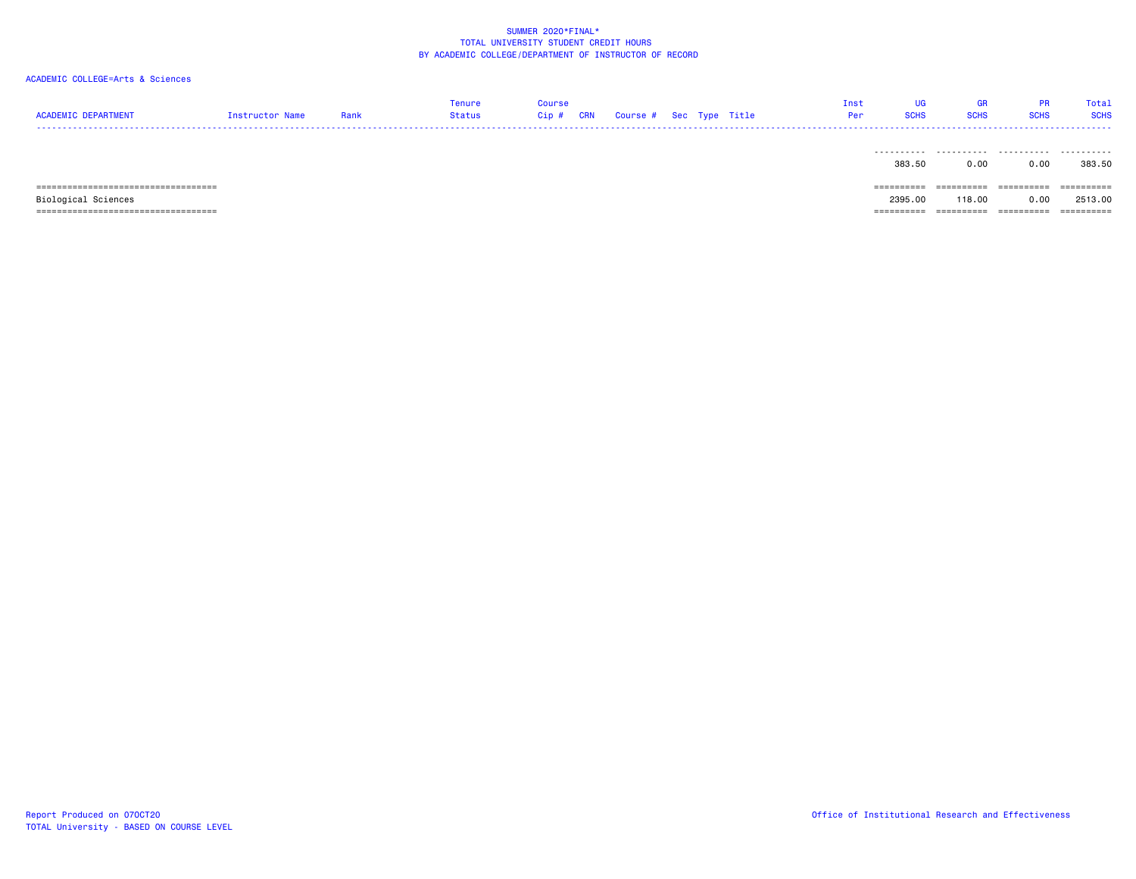# ACADEMIC COLLEGE=Arts & Sciences

| <b>ACADEMIC DEPARTMENT</b>            | Instructor Name | Rank | Tenure<br><b>Status</b> | <b>Course</b><br>Cip# | <b>CRN</b> | Course # Sec Type Title |  |  | UG<br>Inst<br><b>SCHS</b><br>Per | GR<br><b>SCHS</b> | <b>PR</b><br><b>SCHS</b> | Total<br><b>SCHS</b> |
|---------------------------------------|-----------------|------|-------------------------|-----------------------|------------|-------------------------|--|--|----------------------------------|-------------------|--------------------------|----------------------|
|                                       |                 |      |                         |                       |            |                         |  |  | 383.50                           | 0.00              | .<br>0.00                | .<br>383.50          |
| ===================================== |                 |      |                         |                       |            |                         |  |  | $=$ = = = = = = = = =            | ----------        | ==========               | ==========           |

Biological Sciences 2395.00 118.00 0.00 2513.00

Report Produced on 07OCT20 Office of Institutional Research and Effectiveness TOTAL University - BASED ON COURSE LEVEL

=================================== ========== ========== ========== ==========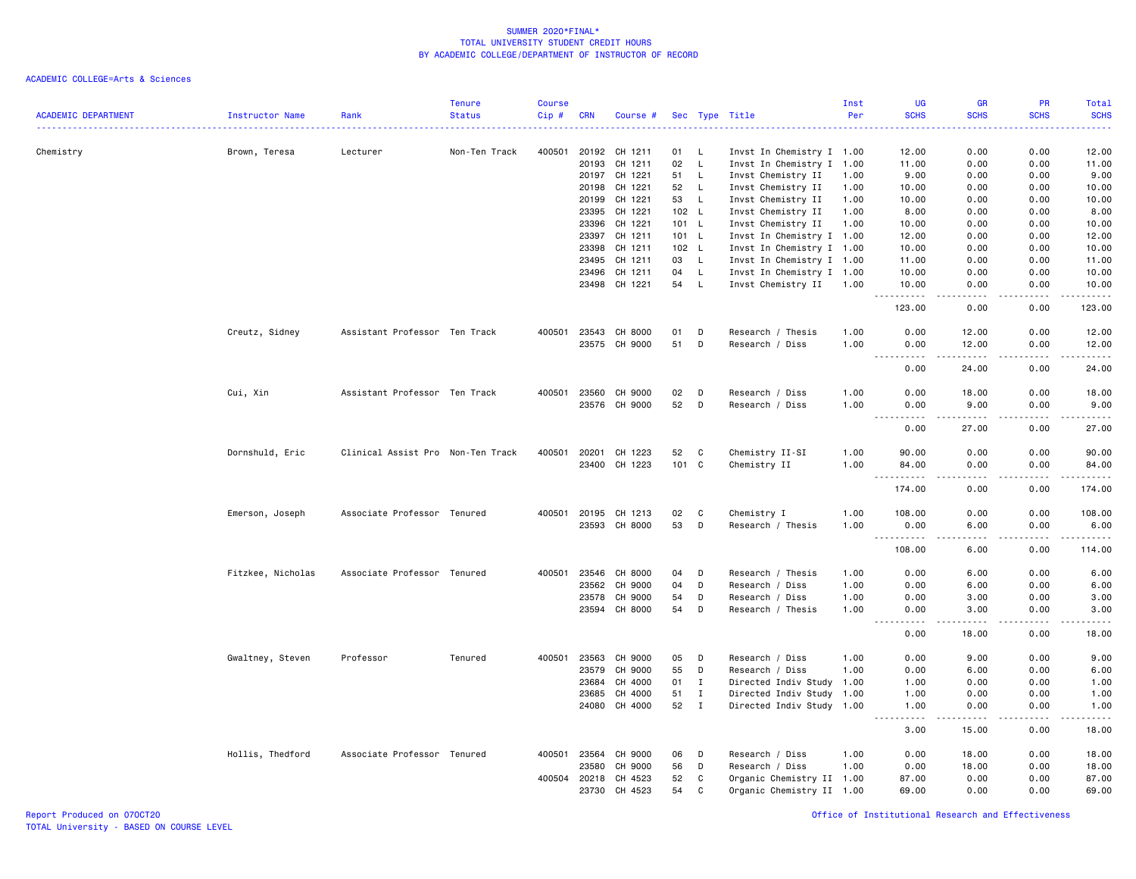| <b>ACADEMIC DEPARTMENT</b> | <b>Instructor Name</b> | Rank                              | <b>Tenure</b><br><b>Status</b> | <b>Course</b><br>Cip# | <b>CRN</b>   | Course #      |       |              | Sec Type Title            | Inst<br>Per | UG<br><b>SCHS</b>                         | GR<br><b>SCHS</b>            | PR<br><b>SCHS</b>                                                                                                                                            | <b>Total</b><br><b>SCHS</b>                                                                                                        |
|----------------------------|------------------------|-----------------------------------|--------------------------------|-----------------------|--------------|---------------|-------|--------------|---------------------------|-------------|-------------------------------------------|------------------------------|--------------------------------------------------------------------------------------------------------------------------------------------------------------|------------------------------------------------------------------------------------------------------------------------------------|
| Chemistry                  | Brown, Teresa          | Lecturer                          | Non-Ten Track                  | 400501                | 20192        | CH 1211       | 01    | - L          | Invst In Chemistry I 1.00 |             | 12.00                                     | 0.00                         | 0.00                                                                                                                                                         | $\frac{1}{2} \left( \frac{1}{2} \right) \left( \frac{1}{2} \right) \left( \frac{1}{2} \right) \left( \frac{1}{2} \right)$<br>12.00 |
|                            |                        |                                   |                                |                       | 20193        | CH 1211       | 02    | $\mathsf{L}$ | Invst In Chemistry I 1.00 |             | 11.00                                     | 0.00                         | 0.00                                                                                                                                                         | 11.00                                                                                                                              |
|                            |                        |                                   |                                |                       | 20197        | CH 1221       | 51    | L            | Invst Chemistry II        | 1.00        | 9.00                                      | 0.00                         | 0.00                                                                                                                                                         | 9.00                                                                                                                               |
|                            |                        |                                   |                                |                       | 20198        | CH 1221       | 52    | $\mathsf{L}$ | Invst Chemistry II        | 1.00        | 10.00                                     | 0.00                         | 0.00                                                                                                                                                         | 10.00                                                                                                                              |
|                            |                        |                                   |                                |                       | 20199        | CH 1221       | 53    | $\mathsf{L}$ | Invst Chemistry II        | 1.00        | 10.00                                     | 0.00                         | 0.00                                                                                                                                                         | 10.00                                                                                                                              |
|                            |                        |                                   |                                |                       | 23395        | CH 1221       |       | 102 L        | Invst Chemistry II        | 1.00        | 8.00                                      | 0.00                         | 0.00                                                                                                                                                         | 8.00                                                                                                                               |
|                            |                        |                                   |                                |                       | 23396        | CH 1221       |       | 101 L        | Invst Chemistry II        | 1.00        | 10.00                                     | 0.00                         | 0.00                                                                                                                                                         | 10.00                                                                                                                              |
|                            |                        |                                   |                                |                       | 23397        | CH 1211       | 101 L |              | Invst In Chemistry I 1.00 |             | 12.00                                     | 0.00                         | 0.00                                                                                                                                                         | 12.00                                                                                                                              |
|                            |                        |                                   |                                |                       | 23398        | CH 1211       |       | 102 L        | Invst In Chemistry I 1.00 |             | 10.00                                     | 0.00                         | 0.00                                                                                                                                                         | 10.00                                                                                                                              |
|                            |                        |                                   |                                |                       | 23495        | CH 1211       | 03    | L.           | Invst In Chemistry I 1.00 |             | 11.00                                     | 0.00                         | 0.00                                                                                                                                                         | 11.00                                                                                                                              |
|                            |                        |                                   |                                |                       | 23496        | CH 1211       | 04    | L.           | Invst In Chemistry I 1.00 |             | 10.00                                     | 0.00                         | 0.00                                                                                                                                                         | 10.00                                                                                                                              |
|                            |                        |                                   |                                |                       |              | 23498 CH 1221 | 54    | L            | Invst Chemistry II        | 1.00        | 10.00<br>$\sim$ $\sim$ $\sim$<br><b>.</b> | 0.00                         | 0.00                                                                                                                                                         | 10.00<br>.                                                                                                                         |
|                            |                        |                                   |                                |                       |              |               |       |              |                           |             | 123.00                                    | 0.00                         | 0.00                                                                                                                                                         | 123.00                                                                                                                             |
|                            | Creutz, Sidney         | Assistant Professor Ten Track     |                                | 400501                | 23543        | CH 8000       | 01    | D            | Research / Thesis         | 1.00        | 0.00                                      | 12.00                        | 0.00                                                                                                                                                         | 12.00                                                                                                                              |
|                            |                        |                                   |                                |                       |              | 23575 CH 9000 | 51    | D            | Research / Diss           | 1.00        | 0.00<br>----------                        | 12.00<br>.                   | 0.00<br>$\frac{1}{2} \left( \frac{1}{2} \right) \left( \frac{1}{2} \right) \left( \frac{1}{2} \right) \left( \frac{1}{2} \right) \left( \frac{1}{2} \right)$ | 12.00<br>.                                                                                                                         |
|                            |                        |                                   |                                |                       |              |               |       |              |                           |             | 0.00                                      | 24.00                        | 0.00                                                                                                                                                         | 24.00                                                                                                                              |
|                            | Cui, Xin               | Assistant Professor Ten Track     |                                | 400501                | 23560        | CH 9000       | 02    | D            | Research / Diss           | 1.00        | 0.00                                      | 18.00                        | 0.00                                                                                                                                                         | 18.00                                                                                                                              |
|                            |                        |                                   |                                |                       |              | 23576 CH 9000 | 52    | D            | Research / Diss           | 1.00        | 0.00                                      | 9.00                         | 0.00                                                                                                                                                         | 9.00                                                                                                                               |
|                            |                        |                                   |                                |                       |              |               |       |              |                           |             | 0.00                                      | 27.00                        | 0.00                                                                                                                                                         | 27.00                                                                                                                              |
|                            |                        |                                   |                                |                       |              |               |       |              |                           |             |                                           |                              |                                                                                                                                                              |                                                                                                                                    |
|                            | Dornshuld, Eric        | Clinical Assist Pro Non-Ten Track |                                | 400501                |              | 20201 CH 1223 | 52    | C.           | Chemistry II-SI           | 1.00        | 90.00                                     | 0.00                         | 0.00                                                                                                                                                         | 90.00                                                                                                                              |
|                            |                        |                                   |                                |                       | 23400        | CH 1223       |       | 101 C        | Chemistry II              | 1.00        | 84.00<br>$ -$<br>.                        | 0.00<br>.                    | 0.00<br>.                                                                                                                                                    | 84.00<br><u>.</u>                                                                                                                  |
|                            |                        |                                   |                                |                       |              |               |       |              |                           |             | 174.00                                    | 0.00                         | 0.00                                                                                                                                                         | 174.00                                                                                                                             |
|                            | Emerson, Joseph        | Associate Professor Tenured       |                                | 400501                | 20195        | CH 1213       | 02    | C            | Chemistry I               | 1.00        | 108.00                                    | 0.00                         | 0.00                                                                                                                                                         | 108.00                                                                                                                             |
|                            |                        |                                   |                                |                       | 23593        | CH 8000       | 53    | D            | Research / Thesis         | 1.00        | 0.00<br>.<br>$\sim$ $\sim$ $\sim$         | 6.00<br>.                    | 0.00<br>22222                                                                                                                                                | 6.00<br>المتمام والمنادر                                                                                                           |
|                            |                        |                                   |                                |                       |              |               |       |              |                           |             | 108.00                                    | 6.00                         | 0.00                                                                                                                                                         | 114.00                                                                                                                             |
|                            | Fitzkee, Nicholas      | Associate Professor Tenured       |                                | 400501                | 23546        | CH 8000       | 04    | D            | Research / Thesis         | 1.00        | 0.00                                      | 6.00                         | 0.00                                                                                                                                                         | 6.00                                                                                                                               |
|                            |                        |                                   |                                |                       | 23562        | CH 9000       | 04    | D            | Research / Diss           | 1.00        | 0.00                                      | 6.00                         | 0.00                                                                                                                                                         | 6.00                                                                                                                               |
|                            |                        |                                   |                                |                       | 23578        | CH 9000       | 54    | D            | Research / Diss           | 1.00        | 0.00                                      | 3.00                         | 0.00                                                                                                                                                         | 3.00                                                                                                                               |
|                            |                        |                                   |                                |                       |              | 23594 CH 8000 | 54    | D            | Research / Thesis         | 1.00        | 0.00<br>$\sim$ $\sim$ $\sim$<br>-----     | 3.00<br>.                    | 0.00<br>2.2.2.2.2                                                                                                                                            | 3.00<br>.                                                                                                                          |
|                            |                        |                                   |                                |                       |              |               |       |              |                           |             | 0.00                                      | 18.00                        | 0.00                                                                                                                                                         | 18.00                                                                                                                              |
|                            | Gwaltney, Steven       | Professor                         | Tenured                        | 400501                | 23563        | CH 9000       | 05    | D            | Research / Diss           | 1.00        | 0.00                                      | 9.00                         | 0.00                                                                                                                                                         | 9.00                                                                                                                               |
|                            |                        |                                   |                                |                       | 23579        | CH 9000       | 55    | D            | Research / Diss           | 1.00        | 0.00                                      | 6.00                         | 0.00                                                                                                                                                         | 6.00                                                                                                                               |
|                            |                        |                                   |                                |                       | 23684        | CH 4000       | 01    | $\mathbf{I}$ | Directed Indiv Study 1.00 |             | 1.00                                      | 0.00                         | 0.00                                                                                                                                                         | 1.00                                                                                                                               |
|                            |                        |                                   |                                |                       | 23685        | CH 4000       | 51    | $\;$ I       | Directed Indiv Study 1.00 |             | 1.00                                      | 0.00                         | 0.00                                                                                                                                                         | 1.00                                                                                                                               |
|                            |                        |                                   |                                |                       | 24080        | CH 4000       | 52    | $\mathbf{I}$ | Directed Indiv Study 1.00 |             | 1.00<br>.<br>.                            | 0.00<br>$\sim$ $\sim$ $\sim$ | 0.00<br>.                                                                                                                                                    | 1.00<br>.                                                                                                                          |
|                            |                        |                                   |                                |                       |              |               |       |              |                           |             | 3.00                                      | 15.00                        | 0.00                                                                                                                                                         | 18.00                                                                                                                              |
|                            | Hollis, Thedford       | Associate Professor Tenured       |                                | 400501                | 23564        | CH 9000       | 06    | D            | Research / Diss           | 1.00        | 0.00                                      | 18.00                        | 0.00                                                                                                                                                         | 18.00                                                                                                                              |
|                            |                        |                                   |                                |                       | 23580        | CH 9000       | 56    | D            | Research / Diss           | 1.00        | 0.00                                      | 18.00                        | 0.00                                                                                                                                                         | 18.00                                                                                                                              |
|                            |                        |                                   |                                |                       | 400504 20218 | CH 4523       | 52    | C            | Organic Chemistry II 1.00 |             | 87.00                                     | 0.00                         | 0.00                                                                                                                                                         | 87.00                                                                                                                              |
|                            |                        |                                   |                                |                       | 23730        | CH 4523       | 54    | C            | Organic Chemistry II 1.00 |             | 69.00                                     | 0.00                         | 0.00                                                                                                                                                         | 69.00                                                                                                                              |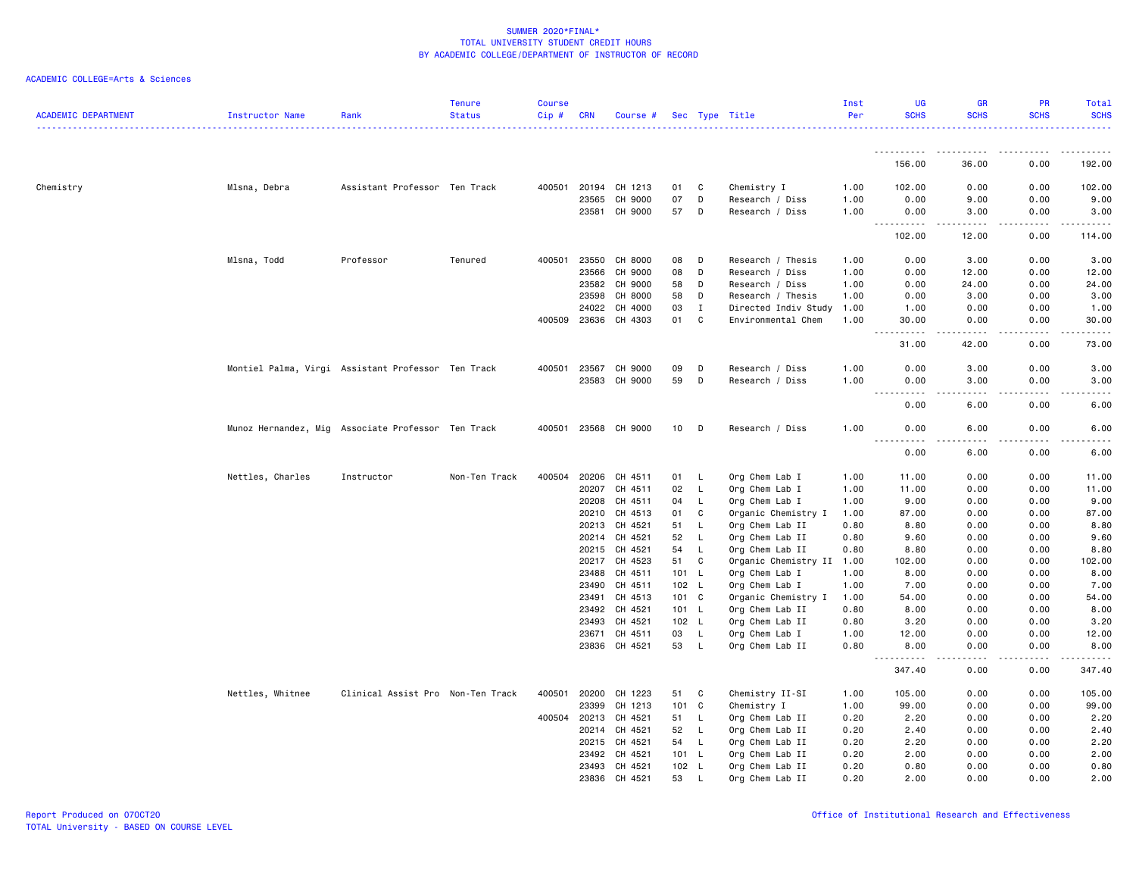| ACADEMIC DEPARTMENT | Instructor Name                                    | Rank                              | Tenure<br><b>Status</b> | <b>Course</b><br>Cip# | CRN            | Course #             |                |              | Sec Type Title                     | Inst<br>Per  | UG<br><b>SCHS</b>                                                                                                                                             | <b>GR</b><br><b>SCHS</b> | PR<br><b>SCHS</b>   | Total<br><b>SCHS</b>                       |
|---------------------|----------------------------------------------------|-----------------------------------|-------------------------|-----------------------|----------------|----------------------|----------------|--------------|------------------------------------|--------------|---------------------------------------------------------------------------------------------------------------------------------------------------------------|--------------------------|---------------------|--------------------------------------------|
|                     |                                                    |                                   |                         |                       |                |                      |                |              |                                    |              | .                                                                                                                                                             |                          |                     |                                            |
|                     |                                                    |                                   |                         |                       |                |                      |                |              |                                    |              | 156.00                                                                                                                                                        | 36.00                    | 0.00                | 192.00                                     |
| Chemistry           | Mlsna, Debra                                       | Assistant Professor Ten Track     |                         | 400501                | 20194          | CH 1213              | 01             | C            | Chemistry I                        | 1.00         | 102.00                                                                                                                                                        | 0.00                     | 0.00                | 102.00                                     |
|                     |                                                    |                                   |                         |                       | 23565          | CH 9000              | 07             | D            | Research / Diss                    | 1.00         | 0.00                                                                                                                                                          | 9.00                     | 0.00                | 9.00                                       |
|                     |                                                    |                                   |                         |                       | 23581          | CH 9000              | 57             | D            | Research / Diss                    | 1.00         | 0.00<br>المتمالين                                                                                                                                             | 3.00                     | 0.00                | 3.00                                       |
|                     |                                                    |                                   |                         |                       |                |                      |                |              |                                    |              | 102.00                                                                                                                                                        | 12.00                    | 0.00                | 114.00                                     |
|                     | Mlsna, Todd                                        | Professor                         | Tenured                 | 400501                | 23550          | CH 8000              | 08             | D            | Research / Thesis                  | 1.00         | 0.00                                                                                                                                                          | 3.00                     | 0.00                | 3.00                                       |
|                     |                                                    |                                   |                         |                       | 23566          | CH 9000              | 08             | D            | Research / Diss                    | 1.00         | 0.00                                                                                                                                                          | 12.00                    | 0.00                | 12.00                                      |
|                     |                                                    |                                   |                         |                       | 23582          | CH 9000              | 58             | D            | Research / Diss                    | 1.00         | 0.00                                                                                                                                                          | 24.00                    | 0.00                | 24.00                                      |
|                     |                                                    |                                   |                         |                       | 23598          | CH 8000              | 58             | D            | Research / Thesis                  | 1.00         | 0.00                                                                                                                                                          | 3.00                     | 0.00                | 3.00                                       |
|                     |                                                    |                                   |                         |                       | 24022          | CH 4000              | 03             | $\mathbf I$  | Directed Indiv Study               | 1.00         | 1.00                                                                                                                                                          | 0.00                     | 0.00                | 1.00                                       |
|                     |                                                    |                                   |                         | 400509                | 23636          | CH 4303              | 01             | $\mathsf{C}$ | Environmental Chem                 | 1.00         | 30.00<br>$\frac{1}{2} \left( \frac{1}{2} \right) \left( \frac{1}{2} \right) \left( \frac{1}{2} \right) \left( \frac{1}{2} \right) \left( \frac{1}{2} \right)$ | 0.00<br>.                | 0.00<br>.           | 30.00<br>.                                 |
|                     |                                                    |                                   |                         |                       |                |                      |                |              |                                    |              | 31.00                                                                                                                                                         | 42.00                    | 0.00                | 73.00                                      |
|                     | Montiel Palma, Virgi Assistant Professor Ten Track |                                   |                         | 400501                | 23567          | CH 9000              | 09             | D            | Research / Diss                    | 1.00         | 0.00                                                                                                                                                          | 3.00                     | 0.00                | 3.00                                       |
|                     |                                                    |                                   |                         |                       | 23583          | CH 9000              | 59             | D            | Research / Diss                    | 1.00         | 0.00                                                                                                                                                          | 3.00                     | 0.00                | 3.00                                       |
|                     |                                                    |                                   |                         |                       |                |                      |                |              |                                    |              | $\sim$ $\sim$ $\sim$ $\sim$<br>.<br>0.00                                                                                                                      | .<br>6.00                | $- - - - -$<br>0.00 | $\sim$ $\sim$ $\sim$ $\sim$ $\sim$<br>6.00 |
|                     | Munoz Hernandez, Mig Associate Professor Ten Track |                                   |                         |                       |                | 400501 23568 CH 9000 | 10             | D            | Research / Diss                    | 1.00         | 0.00                                                                                                                                                          | 6.00                     | 0.00                | 6.00                                       |
|                     |                                                    |                                   |                         |                       |                |                      |                |              |                                    |              | 0.00                                                                                                                                                          | 6.00                     | 0.00                | 6.00                                       |
|                     | Nettles, Charles                                   | Instructor                        | Non-Ten Track           | 400504                | 20206          | CH 4511              | 01             | - L          | Org Chem Lab I                     | 1.00         | 11.00                                                                                                                                                         | 0.00                     | 0.00                | 11.00                                      |
|                     |                                                    |                                   |                         |                       | 20207          | CH 4511              | 02             | $\mathsf{L}$ | Org Chem Lab I                     | 1.00         | 11.00                                                                                                                                                         | 0.00                     | 0.00                | 11.00                                      |
|                     |                                                    |                                   |                         |                       | 20208          | CH 4511              | 04             | L.           | Org Chem Lab I                     | 1.00         | 9.00                                                                                                                                                          | 0.00                     | 0.00                | 9.00                                       |
|                     |                                                    |                                   |                         |                       | 20210          | CH 4513              | 01             | C            | Organic Chemistry I                | 1.00         | 87.00                                                                                                                                                         | 0.00                     | 0.00                | 87.00                                      |
|                     |                                                    |                                   |                         |                       | 20213          | CH 4521              | 51             | L.           | Org Chem Lab II                    | 0.80         | 8.80                                                                                                                                                          | 0.00                     | 0.00                | 8.80                                       |
|                     |                                                    |                                   |                         |                       | 20214          | CH 4521              | 52             | L            | Org Chem Lab II                    | 0.80         | 9.60                                                                                                                                                          | 0.00                     | 0.00                | 9.60                                       |
|                     |                                                    |                                   |                         |                       | 20215          | CH 4521              | 54             | L.           | Org Chem Lab II                    | 0.80         | 8.80                                                                                                                                                          | 0.00                     | 0.00                | 8.80                                       |
|                     |                                                    |                                   |                         |                       | 20217          | CH 4523              | 51             | C            | Organic Chemistry II 1.00          |              | 102.00                                                                                                                                                        | 0.00                     | 0.00                | 102.00                                     |
|                     |                                                    |                                   |                         |                       | 23488          | CH 4511              | 101 L          |              | Org Chem Lab I                     | 1.00         | 8.00                                                                                                                                                          | 0.00                     | 0.00                | 8.00                                       |
|                     |                                                    |                                   |                         |                       | 23490          | CH 4511              | 102 L          |              | Org Chem Lab I                     | 1.00         | 7.00                                                                                                                                                          | 0.00                     | 0.00                | 7.00                                       |
|                     |                                                    |                                   |                         |                       | 23491          | CH 4513              | $101 \quad C$  |              | Organic Chemistry I                | 1.00         | 54.00                                                                                                                                                         | 0.00                     | 0.00                | 54.00                                      |
|                     |                                                    |                                   |                         |                       | 23492          | CH 4521              | 101 L          |              | Org Chem Lab II                    | 0.80         | 8.00                                                                                                                                                          | 0.00                     | 0.00                | 8.00                                       |
|                     |                                                    |                                   |                         |                       | 23493<br>23671 | CH 4521<br>CH 4511   | 102 L<br>03    | L.           | Org Chem Lab II<br>Org Chem Lab I  | 0.80<br>1.00 | 3.20<br>12.00                                                                                                                                                 | 0.00<br>0.00             | 0.00<br>0.00        | 3.20<br>12.00                              |
|                     |                                                    |                                   |                         |                       |                | CH 4521              | 53             | L.           | Org Chem Lab II                    | 0.80         | 8.00                                                                                                                                                          | 0.00                     | 0.00                | 8.00                                       |
|                     |                                                    |                                   |                         |                       | 23836          |                      |                |              |                                    |              | $\omega$ is a set<br>.                                                                                                                                        |                          |                     |                                            |
|                     |                                                    |                                   |                         |                       |                |                      |                |              |                                    |              | 347.40                                                                                                                                                        | 0.00                     | 0.00                | 347.40                                     |
|                     | Nettles, Whitnee                                   | Clinical Assist Pro Non-Ten Track |                         | 400501                | 20200          | CH 1223              | 51             | C            | Chemistry II-SI                    | 1.00         | 105.00                                                                                                                                                        | 0.00                     | 0.00                | 105.00                                     |
|                     |                                                    |                                   |                         |                       | 23399          | CH 1213              | $101 \quad C$  |              | Chemistry I                        | 1.00         | 99.00                                                                                                                                                         | 0.00                     | 0.00                | 99.00                                      |
|                     |                                                    |                                   |                         | 400504                | 20213          | CH 4521              | 51             | $\mathsf{L}$ | Org Chem Lab II                    | 0.20         | 2.20                                                                                                                                                          | 0.00                     | 0.00                | 2.20                                       |
|                     |                                                    |                                   |                         |                       | 20214          | CH 4521              | 52             | $\mathsf{L}$ | Org Chem Lab II                    | 0.20         | 2.40                                                                                                                                                          | 0.00                     | 0.00                | 2.40                                       |
|                     |                                                    |                                   |                         |                       | 20215          | CH 4521              | 54             | L.           | Org Chem Lab II                    | 0.20         | 2.20                                                                                                                                                          | 0.00                     | 0.00                | 2.20                                       |
|                     |                                                    |                                   |                         |                       | 23492<br>23493 | CH 4521<br>CH 4521   | 101 L<br>102 L |              | Org Chem Lab II                    | 0.20         | 2.00<br>0.80                                                                                                                                                  | 0.00<br>0.00             | 0.00                | 2.00<br>0.80                               |
|                     |                                                    |                                   |                         |                       | 23836          | CH 4521              | 53             | $\mathsf{L}$ | Org Chem Lab II<br>Org Chem Lab II | 0.20<br>0.20 | 2.00                                                                                                                                                          | 0.00                     | 0.00<br>0.00        | 2.00                                       |
|                     |                                                    |                                   |                         |                       |                |                      |                |              |                                    |              |                                                                                                                                                               |                          |                     |                                            |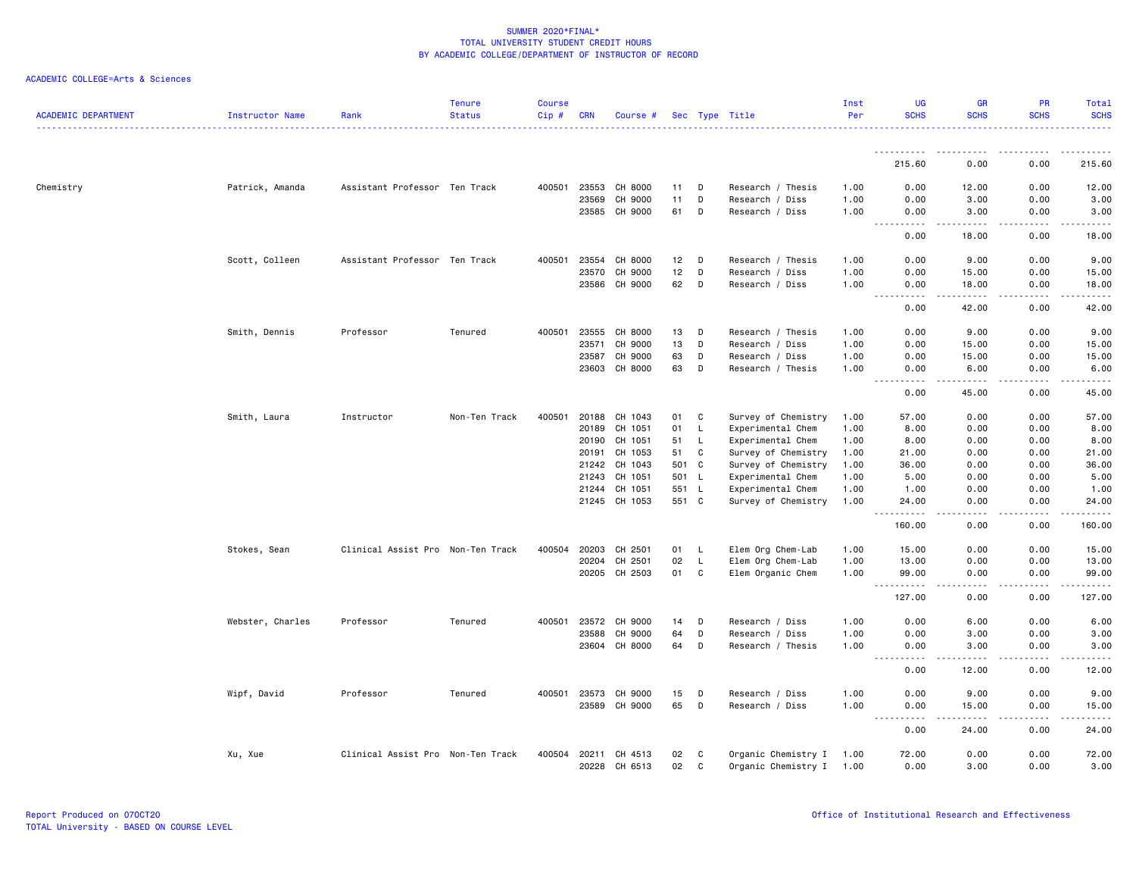| <b>ACADEMIC DEPARTMENT</b> | Instructor Name  | Rank                              | <b>Tenure</b><br><b>Status</b> | <b>Course</b><br>Cip# | <b>CRN</b> | Course #      |       |              | Sec Type Title      | Inst<br>Per | UG<br><b>SCHS</b>                                                                                                                                                                        | <b>GR</b><br><b>SCHS</b>             | <b>PR</b><br><b>SCHS</b> | Total<br><b>SCHS</b> |
|----------------------------|------------------|-----------------------------------|--------------------------------|-----------------------|------------|---------------|-------|--------------|---------------------|-------------|------------------------------------------------------------------------------------------------------------------------------------------------------------------------------------------|--------------------------------------|--------------------------|----------------------|
|                            |                  |                                   |                                |                       |            |               |       |              |                     |             |                                                                                                                                                                                          |                                      |                          |                      |
|                            |                  |                                   |                                |                       |            |               |       |              |                     |             | 215.60                                                                                                                                                                                   | 0.00                                 | 0.00                     | 215.60               |
| Chemistry                  | Patrick, Amanda  | Assistant Professor Ten Track     |                                | 400501                | 23553      | CH 8000       | 11    | D            | Research / Thesis   | 1.00        | 0.00                                                                                                                                                                                     | 12.00                                | 0.00                     | 12.00                |
|                            |                  |                                   |                                |                       | 23569      | CH 9000       | 11    | D            | Research / Diss     | 1.00        | 0.00                                                                                                                                                                                     | 3.00                                 | 0.00                     | 3.00                 |
|                            |                  |                                   |                                |                       |            | 23585 CH 9000 | 61    | D            | Research / Diss     | 1.00        | 0.00                                                                                                                                                                                     | 3.00                                 | 0.00                     | 3.00                 |
|                            |                  |                                   |                                |                       |            |               |       |              |                     |             | $\sim$ $\sim$<br>$\sim$ $\sim$ $\sim$ $\sim$<br>0.00                                                                                                                                     | -----<br>18.00                       | .<br>0.00                | المتمامين<br>18.00   |
|                            | Scott, Colleen   | Assistant Professor Ten Track     |                                | 400501                | 23554      | CH 8000       | 12    | D            | Research / Thesis   | 1.00        | 0.00                                                                                                                                                                                     | 9.00                                 | 0.00                     | 9.00                 |
|                            |                  |                                   |                                |                       | 23570      | CH 9000       | 12    | D            | Research / Diss     | 1.00        | 0.00                                                                                                                                                                                     | 15.00                                | 0.00                     | 15.00                |
|                            |                  |                                   |                                |                       |            | 23586 CH 9000 | 62    | D            | Research / Diss     | 1.00        | 0.00                                                                                                                                                                                     | 18.00                                | 0.00                     | 18.00                |
|                            |                  |                                   |                                |                       |            |               |       |              |                     |             | $\sim$ $\sim$<br>$- - - -$<br>0.00                                                                                                                                                       | .<br>42.00                           | 0.00                     | .<br>42.00           |
|                            | Smith, Dennis    | Professor                         | Tenured                        | 400501                | 23555      | CH 8000       | 13    | D            | Research / Thesis   | 1.00        | 0.00                                                                                                                                                                                     | 9.00                                 | 0.00                     | 9.00                 |
|                            |                  |                                   |                                |                       | 23571      | CH 9000       | 13    | D            | Research / Diss     | 1.00        | 0.00                                                                                                                                                                                     | 15.00                                | 0.00                     | 15.00                |
|                            |                  |                                   |                                |                       | 23587      | CH 9000       | 63    | D            | Research / Diss     | 1.00        | 0.00                                                                                                                                                                                     | 15.00                                | 0.00                     | 15.00                |
|                            |                  |                                   |                                |                       | 23603      | CH 8000       | 63    | D            | Research / Thesis   | 1.00        | 0.00                                                                                                                                                                                     | 6.00                                 | 0.00                     | 6.00                 |
|                            |                  |                                   |                                |                       |            |               |       |              |                     |             | 0.00                                                                                                                                                                                     | 45.00                                | 0.00                     | 45.00                |
|                            | Smith, Laura     | Instructor                        | Non-Ten Track                  | 400501                |            | 20188 CH 1043 | 01    | C            | Survey of Chemistry | 1.00        | 57.00                                                                                                                                                                                    | 0.00                                 | 0.00                     | 57.00                |
|                            |                  |                                   |                                |                       | 20189      | CH 1051       | 01    | L,           | Experimental Chem   | 1.00        | 8.00                                                                                                                                                                                     | 0.00                                 | 0.00                     | 8.00                 |
|                            |                  |                                   |                                |                       | 20190      | CH 1051       | 51    | <b>L</b>     | Experimental Chem   | 1.00        | 8.00                                                                                                                                                                                     | 0.00                                 | 0.00                     | 8.00                 |
|                            |                  |                                   |                                |                       | 20191      | CH 1053       | 51    | C            | Survey of Chemistry | 1.00        | 21.00                                                                                                                                                                                    | 0.00                                 | 0.00                     | 21.00                |
|                            |                  |                                   |                                |                       | 21242      | CH 1043       | 501   | $\mathbf{C}$ | Survey of Chemistry | 1.00        | 36.00                                                                                                                                                                                    | 0.00                                 | 0.00                     | 36.00                |
|                            |                  |                                   |                                |                       | 21243      | CH 1051       | 501 L |              | Experimental Chem   | 1.00        | 5.00                                                                                                                                                                                     | 0.00                                 | 0.00                     | 5.00                 |
|                            |                  |                                   |                                |                       | 21244      | CH 1051       | 551 L |              | Experimental Chem   | 1.00        | 1.00                                                                                                                                                                                     | 0.00                                 | 0.00                     | 1.00                 |
|                            |                  |                                   |                                |                       |            | 21245 CH 1053 | 551 C |              | Survey of Chemistry | 1.00        | 24.00<br>$\sim$ $\sim$ $\sim$<br>. <b>.</b>                                                                                                                                              | 0.00<br>. <u>. .</u>                 | 0.00<br>.                | 24.00<br>.           |
|                            |                  |                                   |                                |                       |            |               |       |              |                     |             | 160.00                                                                                                                                                                                   | 0.00                                 | 0.00                     | 160.00               |
|                            | Stokes, Sean     | Clinical Assist Pro Non-Ten Track |                                | 400504                | 20203      | CH 2501       | 01    | L            | Elem Org Chem-Lab   | 1.00        | 15.00                                                                                                                                                                                    | 0.00                                 | 0.00                     | 15.00                |
|                            |                  |                                   |                                |                       | 20204      | CH 2501       | 02    | $\mathsf{L}$ | Elem Org Chem-Lab   | 1.00        | 13.00                                                                                                                                                                                    | 0.00                                 | 0.00                     | 13.00                |
|                            |                  |                                   |                                |                       |            | 20205 CH 2503 | 01    | C            | Elem Organic Chem   | 1.00        | 99.00<br>$\frac{1}{2} \left( \frac{1}{2} \right) \left( \frac{1}{2} \right) \left( \frac{1}{2} \right) \left( \frac{1}{2} \right) \left( \frac{1}{2} \right) \left( \frac{1}{2} \right)$ | 0.00<br>.                            | 0.00<br>.                | 99.00<br>.           |
|                            |                  |                                   |                                |                       |            |               |       |              |                     |             | $\cdots$<br>127.00                                                                                                                                                                       | 0.00                                 | 0.00                     | 127.00               |
|                            | Webster, Charles | Professor                         | Tenured                        | 400501                | 23572      | CH 9000       | 14    | D            | Research / Diss     | 1.00        | 0.00                                                                                                                                                                                     | 6.00                                 | 0.00                     | 6.00                 |
|                            |                  |                                   |                                |                       | 23588      | CH 9000       | 64    | D            | Research / Diss     | 1.00        | 0.00                                                                                                                                                                                     | 3.00                                 | 0.00                     | 3.00                 |
|                            |                  |                                   |                                |                       | 23604      | CH 8000       | 64    | D            | Research / Thesis   | 1.00        | 0.00                                                                                                                                                                                     | 3.00                                 | 0.00                     | 3.00                 |
|                            |                  |                                   |                                |                       |            |               |       |              |                     |             | 0.00                                                                                                                                                                                     | $\sim$ $\sim$ $\sim$ $\sim$<br>12.00 | 0.00                     | 12.00                |
|                            | Wipf, David      | Professor                         | Tenured                        | 400501                | 23573      | CH 9000       | 15    | D            | Research / Diss     | 1.00        | 0.00                                                                                                                                                                                     | 9.00                                 | 0.00                     | 9.00                 |
|                            |                  |                                   |                                |                       |            | 23589 CH 9000 | 65    | D            | Research / Diss     | 1.00        | 0.00                                                                                                                                                                                     | 15.00                                | 0.00                     | 15.00                |
|                            |                  |                                   |                                |                       |            |               |       |              |                     |             | $\frac{1}{2}$<br>0.00                                                                                                                                                                    | <u>.</u><br>24.00                    | .<br>0.00                | .<br>24.00           |
|                            | Xu, Xue          | Clinical Assist Pro Non-Ten Track |                                | 400504                | 20211      | CH 4513       | 02    | C            | Organic Chemistry I | 1.00        | 72.00                                                                                                                                                                                    | 0.00                                 | 0.00                     | 72.00                |
|                            |                  |                                   |                                |                       |            | 20228 CH 6513 | 02    | C            | Organic Chemistry I | 1.00        | 0.00                                                                                                                                                                                     | 3.00                                 | 0.00                     | 3.00                 |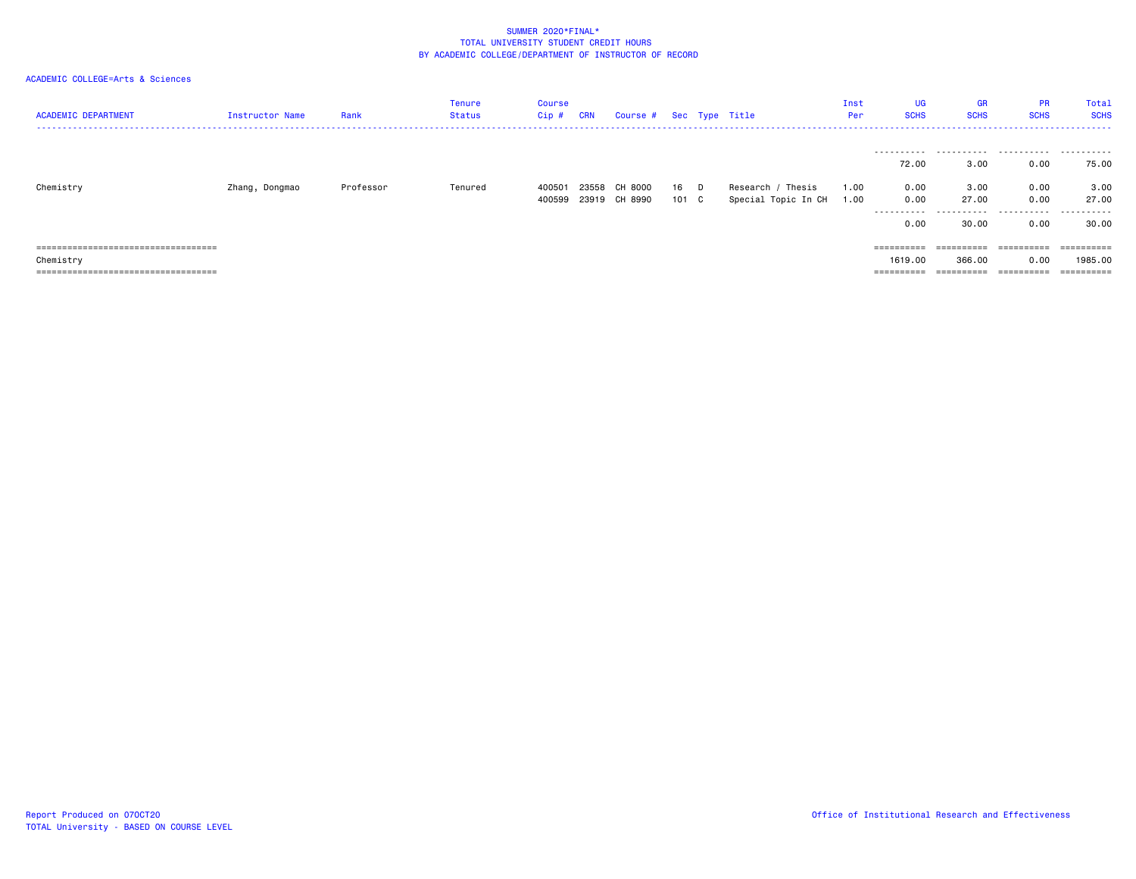| <b>ACADEMIC DEPARTMENT</b>                                                                  | Instructor Name | Rank      | Tenure<br><b>Status</b> | <b>Course</b><br>Cip# | <b>CRN</b>     | Course #           |             | Sec Type Title                           | Inst<br>Per  | UG<br><b>SCHS</b>                   | <b>GR</b><br><b>SCHS</b>           | <b>PR</b><br><b>SCHS</b> | Total<br><b>SCHS</b>                |
|---------------------------------------------------------------------------------------------|-----------------|-----------|-------------------------|-----------------------|----------------|--------------------|-------------|------------------------------------------|--------------|-------------------------------------|------------------------------------|--------------------------|-------------------------------------|
|                                                                                             |                 |           |                         |                       |                |                    |             |                                          |              | 72.00                               | 3.00                               | 0.00                     | 75.00                               |
| Chemistry                                                                                   | Zhang, Dongmao  | Professor | Tenured                 | 400501<br>400599      | 23558<br>23919 | CH 8000<br>CH 8990 | 16<br>101 C | Research / Thesis<br>Special Topic In CH | 1.00<br>1.00 | 0.00<br>0.00                        | 3,00<br>27.00                      | 0.00<br>0.00             | 3.00<br>27.00                       |
|                                                                                             |                 |           |                         |                       |                |                    |             |                                          |              | 0.00                                | 30.00                              | 0.00                     | 30.00                               |
| =====================================<br>Chemistry<br>===================================== |                 |           |                         |                       |                |                    |             |                                          |              | ==========<br>1619,00<br>========== | ==========<br>366,00<br>========== | 0.00                     | ==========<br>1985,00<br>========== |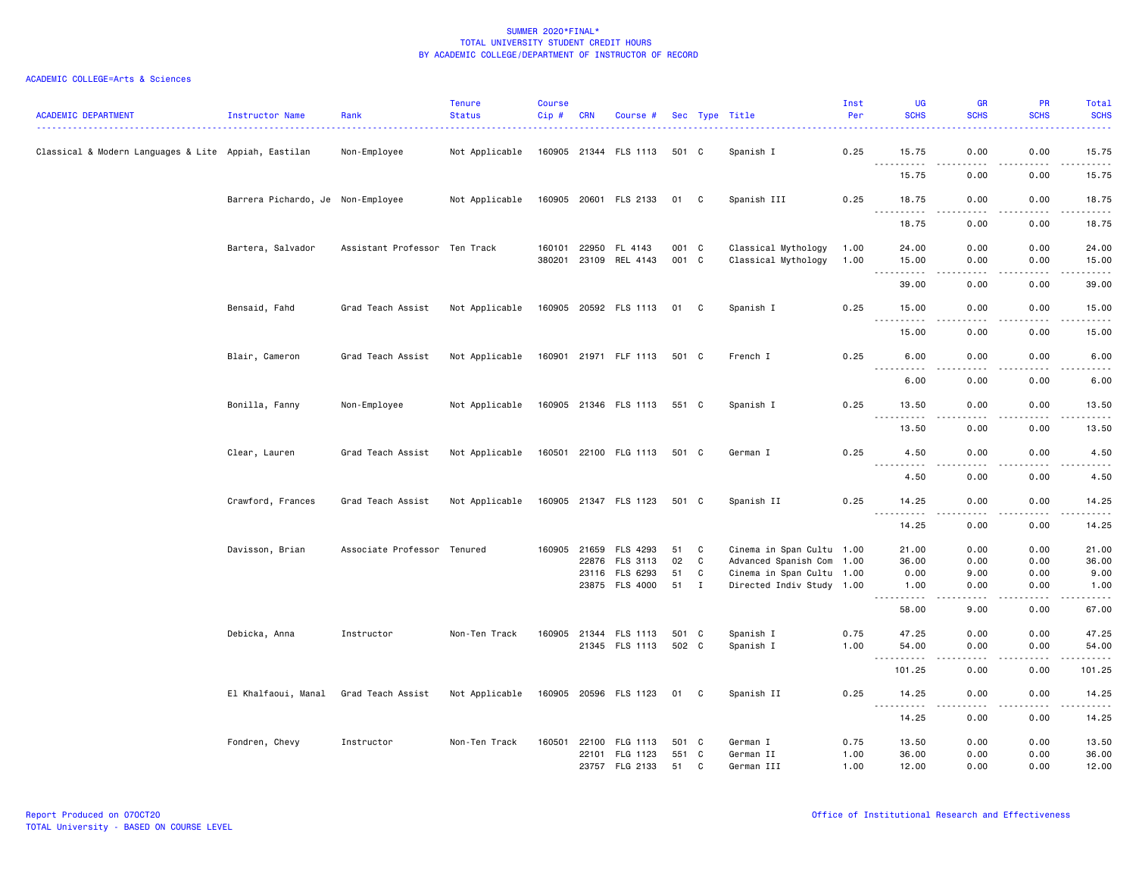| <b>ACADEMIC DEPARTMENT</b>                           | Instructor Name                   | Rank                          | <b>Tenure</b><br><b>Status</b> | <b>Course</b><br>$Cip \#$ | <b>CRN</b>   | Course #              |       |              | Sec Type Title            | Inst<br>Per | UG<br><b>SCHS</b>                                                                                                                   | <b>GR</b><br><b>SCHS</b>     | <b>PR</b><br><b>SCHS</b> | Total<br><b>SCHS</b>                                                                                                                                         |
|------------------------------------------------------|-----------------------------------|-------------------------------|--------------------------------|---------------------------|--------------|-----------------------|-------|--------------|---------------------------|-------------|-------------------------------------------------------------------------------------------------------------------------------------|------------------------------|--------------------------|--------------------------------------------------------------------------------------------------------------------------------------------------------------|
| Classical & Modern Languages & Lite Appiah, Eastilan |                                   | Non-Employee                  | Not Applicable                 |                           |              | 160905 21344 FLS 1113 | 501 C |              | Spanish I                 | 0.25        | 15.75                                                                                                                               | 0.00                         | 0.00                     | 15.75                                                                                                                                                        |
|                                                      |                                   |                               |                                |                           |              |                       |       |              |                           |             | $\sim$ $\sim$ $\sim$<br>.<br>15.75                                                                                                  | . <u>. .</u><br>0.00         | .<br>0.00                | .<br>15.75                                                                                                                                                   |
|                                                      | Barrera Pichardo, Je Non-Employee |                               | Not Applicable                 |                           |              | 160905 20601 FLS 2133 | 01 C  |              | Spanish III               | 0.25        | 18.75                                                                                                                               | 0.00                         | 0.00                     | 18.75                                                                                                                                                        |
|                                                      |                                   |                               |                                |                           |              |                       |       |              |                           |             | . <b>.</b><br>18.75                                                                                                                 | د د د د<br>0.00              | .<br>0.00                | .<br>18.75                                                                                                                                                   |
|                                                      | Bartera, Salvador                 | Assistant Professor Ten Track |                                | 160101                    |              | 22950 FL 4143         | 001 C |              | Classical Mythology       | 1.00        | 24.00                                                                                                                               | 0.00                         | 0.00                     | 24.00                                                                                                                                                        |
|                                                      |                                   |                               |                                |                           |              | 380201 23109 REL 4143 | 001 C |              | Classical Mythology       | 1.00        | 15.00                                                                                                                               | 0.00                         | 0.00                     | 15.00                                                                                                                                                        |
|                                                      |                                   |                               |                                |                           |              |                       |       |              |                           |             | 39.00                                                                                                                               | 0.00                         | 0.00                     | 39.00                                                                                                                                                        |
|                                                      | Bensaid, Fahd                     | Grad Teach Assist             | Not Applicable                 |                           |              | 160905 20592 FLS 1113 | 01    | C            | Spanish I                 | 0.25        | 15.00<br>$- - - - - - -$<br>$- - -$                                                                                                 | 0.00<br>$\sim$ $\sim$ $\sim$ | 0.00<br>.                | 15.00<br>.                                                                                                                                                   |
|                                                      |                                   |                               |                                |                           |              |                       |       |              |                           |             | 15.00                                                                                                                               | 0.00                         | 0.00                     | 15.00                                                                                                                                                        |
|                                                      | Blair, Cameron                    | Grad Teach Assist             | Not Applicable                 |                           |              | 160901 21971 FLF 1113 | 501 C |              | French I                  | 0.25        | 6.00<br><u>.</u>                                                                                                                    | 0.00                         | 0.00                     | 6.00                                                                                                                                                         |
|                                                      |                                   |                               |                                |                           |              |                       |       |              |                           |             | 6.00                                                                                                                                | 0.00                         | 0.00                     | 6.00                                                                                                                                                         |
|                                                      | Bonilla, Fanny                    | Non-Employee                  | Not Applicable                 |                           |              | 160905 21346 FLS 1113 | 551 C |              | Spanish I                 | 0.25        | 13.50<br>$\sim$ $\sim$ $\sim$ $\sim$<br>.                                                                                           | 0.00<br>.                    | 0.00                     | 13.50                                                                                                                                                        |
|                                                      |                                   |                               |                                |                           |              |                       |       |              |                           |             | 13.50                                                                                                                               | 0.00                         | 0.00                     | 13.50                                                                                                                                                        |
|                                                      | Clear, Lauren                     | Grad Teach Assist             | Not Applicable                 |                           |              | 160501 22100 FLG 1113 | 501 C |              | German I                  | 0.25        | 4.50<br>.                                                                                                                           | 0.00<br>د د د د              | 0.00<br>.                | 4.50<br>$\frac{1}{2} \left( \frac{1}{2} \right) \left( \frac{1}{2} \right) \left( \frac{1}{2} \right) \left( \frac{1}{2} \right) \left( \frac{1}{2} \right)$ |
|                                                      |                                   |                               |                                |                           |              |                       |       |              |                           |             | 4.50                                                                                                                                | 0.00                         | 0.00                     | 4.50                                                                                                                                                         |
|                                                      | Crawford, Frances                 | Grad Teach Assist             | Not Applicable                 |                           |              | 160905 21347 FLS 1123 | 501 C |              | Spanish II                | 0.25        | 14.25<br>$\sim$ $\sim$ $\sim$<br>.                                                                                                  | 0.00                         | 0.00                     | 14.25                                                                                                                                                        |
|                                                      |                                   |                               |                                |                           |              |                       |       |              |                           |             | 14.25                                                                                                                               | 0.00                         | 0.00                     | 14.25                                                                                                                                                        |
|                                                      | Davisson, Brian                   | Associate Professor           | Tenured                        |                           | 160905 21659 | FLS 4293              | 51    | C            | Cinema in Span Cultu 1.00 |             | 21.00                                                                                                                               | 0.00                         | 0.00                     | 21.00                                                                                                                                                        |
|                                                      |                                   |                               |                                |                           |              | 22876 FLS 3113        | 02    | C            | Advanced Spanish Com 1.00 |             | 36.00                                                                                                                               | 0.00                         | 0.00                     | 36.00                                                                                                                                                        |
|                                                      |                                   |                               |                                |                           |              | 23116 FLS 6293        | 51    | C            | Cinema in Span Cultu 1.00 |             | 0.00                                                                                                                                | 9.00                         | 0.00                     | 9.00                                                                                                                                                         |
|                                                      |                                   |                               |                                |                           |              | 23875 FLS 4000        | 51    | $\mathbf{I}$ | Directed Indiv Study 1.00 |             | 1.00<br>$\sim$ $\sim$ $\sim$<br>.                                                                                                   | 0.00<br>$- - -$              | 0.00<br>$\frac{1}{2}$    | 1.00<br>$- - - -$                                                                                                                                            |
|                                                      |                                   |                               |                                |                           |              |                       |       |              |                           |             | 58.00                                                                                                                               | 9.00                         | 0.00                     | 67.00                                                                                                                                                        |
|                                                      | Debicka, Anna                     | Instructor                    | Non-Ten Track                  |                           |              | 160905 21344 FLS 1113 | 501 C |              | Spanish I                 | 0.75        | 47.25                                                                                                                               | 0.00                         | 0.00                     | 47.25                                                                                                                                                        |
|                                                      |                                   |                               |                                |                           |              | 21345 FLS 1113        | 502 C |              | Spanish I                 | 1.00        | 54.00<br>$- - -$<br>$\begin{array}{cccccccccccccc} \bullet & \bullet & \bullet & \bullet & \bullet & \bullet & \bullet \end{array}$ | 0.00                         | 0.00<br>.                | 54.00<br>.                                                                                                                                                   |
|                                                      |                                   |                               |                                |                           |              |                       |       |              |                           |             | 101.25                                                                                                                              | 0.00                         | 0.00                     | 101.25                                                                                                                                                       |
|                                                      | El Khalfaoui, Manal               | Grad Teach Assist             | Not Applicable                 |                           |              | 160905 20596 FLS 1123 | 01    | C            | Spanish II                | 0.25        | 14.25<br>$  -$<br>.                                                                                                                 | 0.00<br>----                 | 0.00                     | 14.25                                                                                                                                                        |
|                                                      |                                   |                               |                                |                           |              |                       |       |              |                           |             | 14.25                                                                                                                               | 0.00                         | 0.00                     | 14.25                                                                                                                                                        |
|                                                      | Fondren, Chevy                    | Instructor                    | Non-Ten Track                  | 160501                    |              | 22100 FLG 1113        | 501 C |              | German I                  | 0.75        | 13.50                                                                                                                               | 0.00                         | 0.00                     | 13.50                                                                                                                                                        |
|                                                      |                                   |                               |                                |                           | 22101        | FLG 1123              | 551   | C            | German II                 | 1.00        | 36.00                                                                                                                               | 0.00                         | 0.00                     | 36.00                                                                                                                                                        |
|                                                      |                                   |                               |                                |                           |              | 23757 FLG 2133        | 51    | C            | German III                | 1.00        | 12.00                                                                                                                               | 0.00                         | 0.00                     | 12.00                                                                                                                                                        |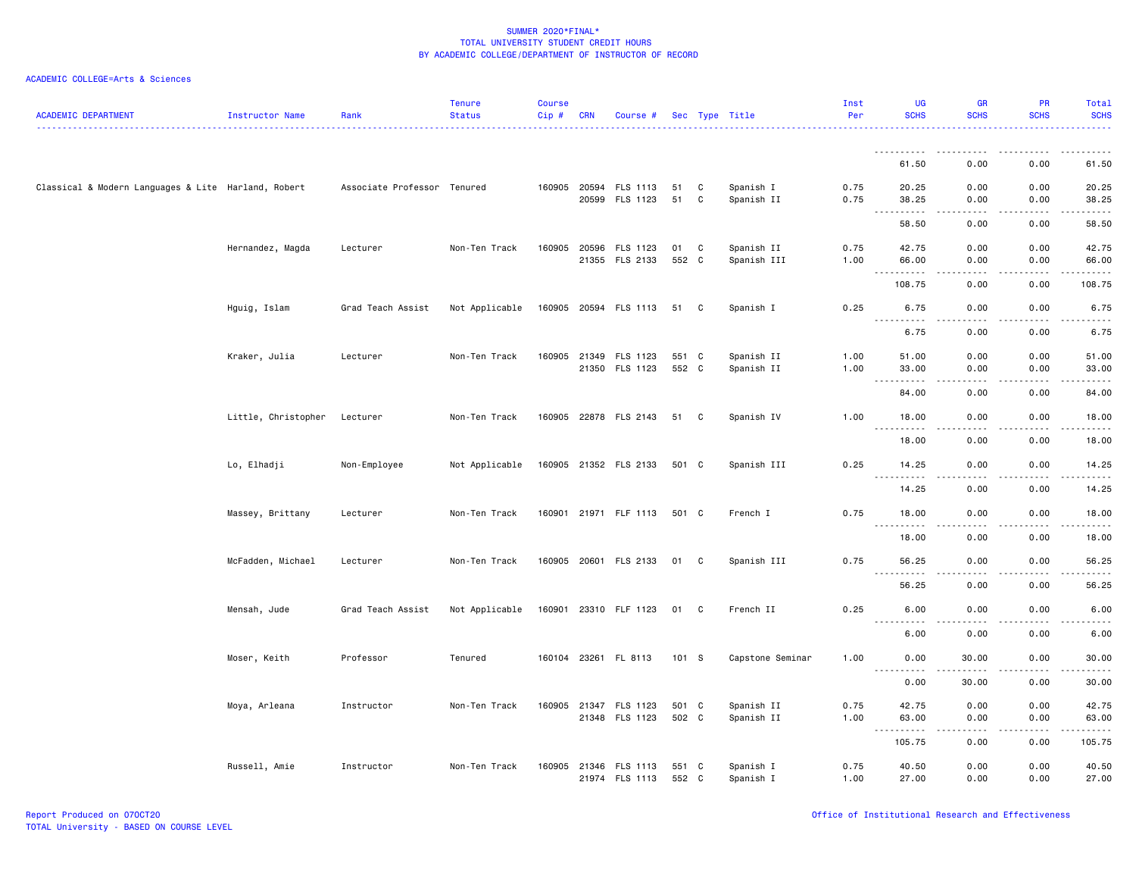| <b>ACADEMIC DEPARTMENT</b>                          | Instructor Name     | Rank                        | <b>Tenure</b><br><b>Status</b> | <b>Course</b><br>Cip # | <b>CRN</b>   | Course #                                |                |              | Sec Type Title            | Inst<br>Per  | UG<br><b>SCHS</b>                                                                                                                                                                                                                                                                                                                                                                                          | <b>GR</b><br><b>SCHS</b>             | PR<br><b>SCHS</b>                                                                                                                                                                       | Total<br><b>SCHS</b>        |
|-----------------------------------------------------|---------------------|-----------------------------|--------------------------------|------------------------|--------------|-----------------------------------------|----------------|--------------|---------------------------|--------------|------------------------------------------------------------------------------------------------------------------------------------------------------------------------------------------------------------------------------------------------------------------------------------------------------------------------------------------------------------------------------------------------------------|--------------------------------------|-----------------------------------------------------------------------------------------------------------------------------------------------------------------------------------------|-----------------------------|
|                                                     |                     |                             |                                |                        |              |                                         |                |              |                           |              | <u>.</u>                                                                                                                                                                                                                                                                                                                                                                                                   | .                                    | -----                                                                                                                                                                                   | .                           |
|                                                     |                     |                             |                                |                        |              |                                         |                |              |                           |              | 61.50                                                                                                                                                                                                                                                                                                                                                                                                      | 0.00                                 | 0.00                                                                                                                                                                                    | 61.50                       |
| Classical & Modern Languages & Lite Harland, Robert |                     | Associate Professor Tenured |                                |                        | 20599        | 160905 20594 FLS 1113<br>FLS 1123       | 51<br>51       | C<br>C       | Spanish I<br>Spanish II   | 0.75<br>0.75 | 20.25<br>38.25                                                                                                                                                                                                                                                                                                                                                                                             | 0.00<br>0.00<br>$\sim$ $\sim$ $\sim$ | 0.00<br>0.00                                                                                                                                                                            | 20.25<br>38.25<br>المتمامين |
|                                                     |                     |                             |                                |                        |              |                                         |                |              |                           |              | $\sim$ $\sim$ $\sim$<br>.<br>58.50                                                                                                                                                                                                                                                                                                                                                                         | 0.00                                 | .<br>0.00                                                                                                                                                                               | 58.50                       |
|                                                     | Hernandez, Magda    | Lecturer                    | Non-Ten Track                  | 160905 20596           | 21355        | FLS 1123<br>FLS 2133                    | 01<br>552 C    | $\mathbf{C}$ | Spanish II<br>Spanish III | 0.75<br>1.00 | 42.75<br>66.00                                                                                                                                                                                                                                                                                                                                                                                             | 0.00<br>0.00                         | 0.00<br>0.00                                                                                                                                                                            | 42.75<br>66.00              |
|                                                     |                     |                             |                                |                        |              |                                         |                |              |                           |              | $\sim$ $\sim$ $\sim$<br>.<br>108.75                                                                                                                                                                                                                                                                                                                                                                        | .<br>0.00                            | 0.00                                                                                                                                                                                    | 108.75                      |
|                                                     | Hguig, Islam        | Grad Teach Assist           | Not Applicable                 |                        |              | 160905 20594 FLS 1113                   | 51 C           |              | Spanish I                 | 0.25         | 6.75<br>.                                                                                                                                                                                                                                                                                                                                                                                                  | 0.00                                 | 0.00                                                                                                                                                                                    | 6.75                        |
|                                                     |                     |                             |                                |                        |              |                                         |                |              |                           |              | 6.75                                                                                                                                                                                                                                                                                                                                                                                                       | 0.00                                 | 0.00                                                                                                                                                                                    | 6.75                        |
|                                                     | Kraker, Julia       | Lecturer                    | Non-Ten Track                  |                        | 160905 21349 | FLS 1123<br>21350 FLS 1123              | 551 C<br>552 C |              | Spanish II<br>Spanish II  | 1.00<br>1.00 | 51.00<br>33.00                                                                                                                                                                                                                                                                                                                                                                                             | 0.00<br>0.00                         | 0.00<br>0.00                                                                                                                                                                            | 51.00<br>33.00              |
|                                                     |                     |                             |                                |                        |              |                                         |                |              |                           |              | .<br>$\frac{1}{2} \frac{1}{2} \frac{1}{2} \frac{1}{2} \frac{1}{2} \frac{1}{2} \frac{1}{2} \frac{1}{2} \frac{1}{2} \frac{1}{2} \frac{1}{2} \frac{1}{2} \frac{1}{2} \frac{1}{2} \frac{1}{2} \frac{1}{2} \frac{1}{2} \frac{1}{2} \frac{1}{2} \frac{1}{2} \frac{1}{2} \frac{1}{2} \frac{1}{2} \frac{1}{2} \frac{1}{2} \frac{1}{2} \frac{1}{2} \frac{1}{2} \frac{1}{2} \frac{1}{2} \frac{1}{2} \frac{$<br>84.00 | .<br>0.00                            | 22222<br>0.00                                                                                                                                                                           | .<br>84.00                  |
|                                                     | Little, Christopher | Lecturer                    | Non-Ten Track                  |                        |              | 160905 22878 FLS 2143                   | 51 C           |              | Spanish IV                | 1.00         | 18.00                                                                                                                                                                                                                                                                                                                                                                                                      | 0.00                                 | 0.00                                                                                                                                                                                    | 18.00                       |
|                                                     |                     |                             |                                |                        |              |                                         |                |              |                           |              | $- - -$<br>18.00                                                                                                                                                                                                                                                                                                                                                                                           | 0.00                                 | 0.00                                                                                                                                                                                    | 18.00                       |
|                                                     | Lo, Elhadji         | Non-Employee                | Not Applicable                 |                        |              | 160905 21352 FLS 2133                   | 501 C          |              | Spanish III               | 0.25         | 14.25<br>.                                                                                                                                                                                                                                                                                                                                                                                                 | 0.00                                 | 0.00                                                                                                                                                                                    | 14.25                       |
|                                                     |                     |                             |                                |                        |              |                                         |                |              |                           |              | 14.25                                                                                                                                                                                                                                                                                                                                                                                                      | 0.00                                 | 0.00                                                                                                                                                                                    | 14.25                       |
|                                                     | Massey, Brittany    | Lecturer                    | Non-Ten Track                  |                        |              | 160901 21971 FLF 1113                   | 501 C          |              | French I                  | 0.75         | 18.00<br>$  -$                                                                                                                                                                                                                                                                                                                                                                                             | 0.00                                 | 0.00                                                                                                                                                                                    | 18.00                       |
|                                                     |                     |                             |                                |                        |              |                                         |                |              |                           |              | 18.00                                                                                                                                                                                                                                                                                                                                                                                                      | 0.00                                 | 0.00                                                                                                                                                                                    | 18.00                       |
|                                                     | McFadden, Michael   | Lecturer                    | Non-Ten Track                  |                        |              | 160905 20601 FLS 2133                   | 01 C           |              | Spanish III               | 0.75         | 56.25<br>.                                                                                                                                                                                                                                                                                                                                                                                                 | 0.00<br>.                            | 0.00<br>$- - - - -$                                                                                                                                                                     | 56.25<br>.                  |
|                                                     |                     |                             |                                |                        |              |                                         |                |              |                           |              | 56.25                                                                                                                                                                                                                                                                                                                                                                                                      | 0.00                                 | 0.00                                                                                                                                                                                    | 56.25                       |
|                                                     | Mensah, Jude        | Grad Teach Assist           | Not Applicable                 |                        |              | 160901 23310 FLF 1123                   | 01             | C            | French II                 | 0.25         | 6.00                                                                                                                                                                                                                                                                                                                                                                                                       | 0.00                                 | 0.00                                                                                                                                                                                    | 6.00                        |
|                                                     |                     |                             |                                |                        |              |                                         |                |              |                           |              | 6.00                                                                                                                                                                                                                                                                                                                                                                                                       | 0.00                                 | 0.00                                                                                                                                                                                    | 6.00                        |
|                                                     | Moser, Keith        | Professor                   | Tenured                        |                        |              | 160104 23261 FL 8113                    | 101 S          |              | Capstone Seminar          | 1.00         | 0.00                                                                                                                                                                                                                                                                                                                                                                                                       | 30.00                                | 0.00                                                                                                                                                                                    | 30.00                       |
|                                                     |                     |                             |                                |                        |              |                                         |                |              |                           |              | 0.00                                                                                                                                                                                                                                                                                                                                                                                                       | 30.00                                | 0.00                                                                                                                                                                                    | 30.00                       |
|                                                     | Moya, Arleana       | Instructor                  | Non-Ten Track                  |                        |              | 160905 21347 FLS 1123<br>21348 FLS 1123 | 501 C<br>502 C |              | Spanish II<br>Spanish II  | 0.75<br>1.00 | 42.75<br>63.00                                                                                                                                                                                                                                                                                                                                                                                             | 0.00<br>0.00                         | 0.00<br>0.00                                                                                                                                                                            | 42.75<br>63.00              |
|                                                     |                     |                             |                                |                        |              |                                         |                |              |                           |              | .<br>105.75                                                                                                                                                                                                                                                                                                                                                                                                | .<br>0.00                            | $\frac{1}{2} \left( \frac{1}{2} \right) \left( \frac{1}{2} \right) \left( \frac{1}{2} \right) \left( \frac{1}{2} \right) \left( \frac{1}{2} \right) \left( \frac{1}{2} \right)$<br>0.00 | <u>.</u> .<br>105.75        |
|                                                     | Russell, Amie       | Instructor                  | Non-Ten Track                  | 160905                 |              | 21346 FLS 1113<br>21974 FLS 1113        | 551 C<br>552 C |              | Spanish I<br>Spanish I    | 0.75<br>1.00 | 40.50<br>27.00                                                                                                                                                                                                                                                                                                                                                                                             | 0.00<br>0.00                         | 0.00<br>0.00                                                                                                                                                                            | 40.50<br>27.00              |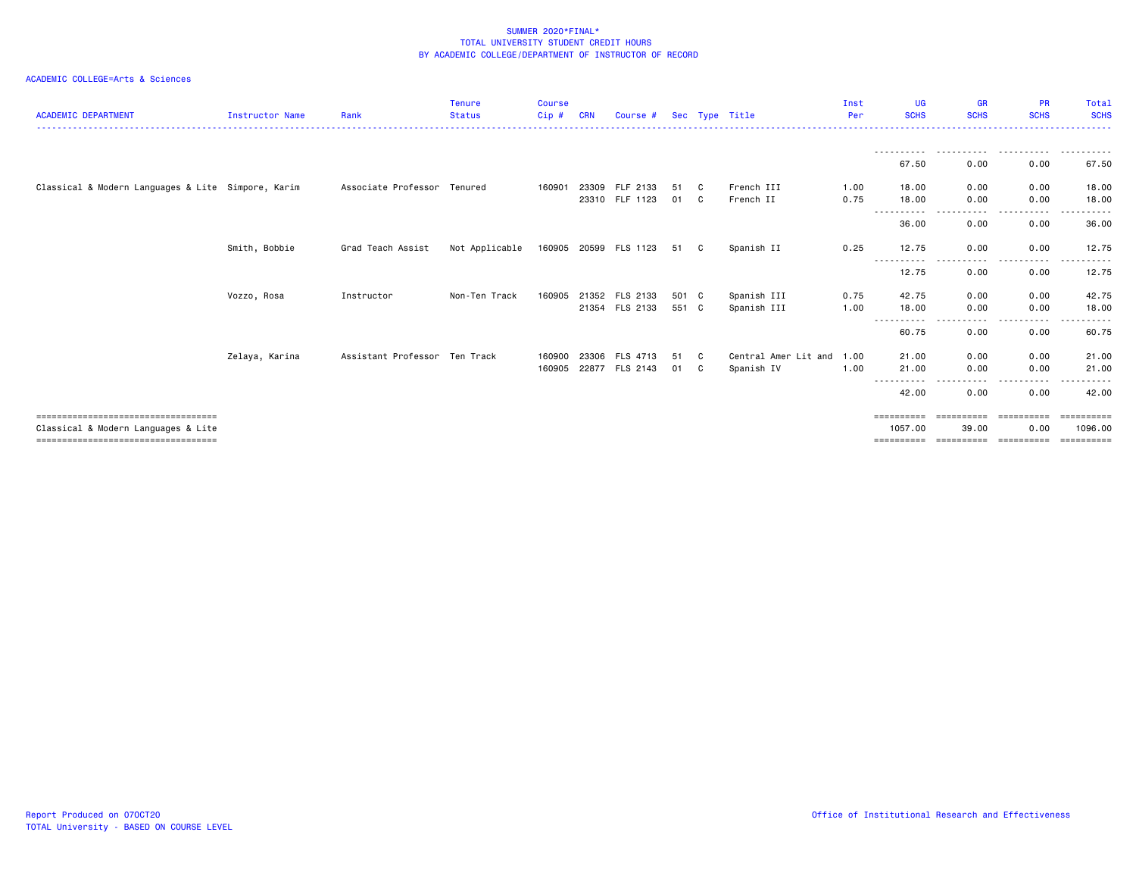| <b>ACADEMIC DEPARTMENT</b>                                                                                             | Instructor Name | Rank                          | <b>Tenure</b><br><b>Status</b> | <b>Course</b><br>Cip# | <b>CRN</b> | Course #              |       |    | Sec Type Title            | Inst<br>Per | UG<br><b>SCHS</b>              | <b>GR</b><br><b>SCHS</b>                     | <b>PR</b><br><b>SCHS</b> | Total<br><b>SCHS</b>                 |
|------------------------------------------------------------------------------------------------------------------------|-----------------|-------------------------------|--------------------------------|-----------------------|------------|-----------------------|-------|----|---------------------------|-------------|--------------------------------|----------------------------------------------|--------------------------|--------------------------------------|
|                                                                                                                        |                 |                               |                                |                       |            |                       |       |    |                           |             |                                |                                              |                          |                                      |
|                                                                                                                        |                 |                               |                                |                       |            |                       |       |    |                           |             | 67.50                          | 0.00                                         | 0.00                     | 67.50                                |
| Classical & Modern Languages & Lite Simpore, Karim                                                                     |                 | Associate Professor Tenured   |                                | 160901                | 23309      | FLF 2133              | 51    | C. | French III                | 1.00        | 18.00                          | 0.00                                         | 0.00                     | 18.00                                |
|                                                                                                                        |                 |                               |                                |                       |            | 23310 FLF 1123        | 01    | C. | French II                 | 0.75        | 18.00<br>- - - - - - - - - - - | 0.00<br>.                                    | 0.00<br>- - - - -        | 18.00                                |
|                                                                                                                        |                 |                               |                                |                       |            |                       |       |    |                           |             | 36.00                          | 0.00                                         | 0.00                     | 36.00                                |
|                                                                                                                        | Smith, Bobbie   | Grad Teach Assist             | Not Applicable                 |                       |            | 160905 20599 FLS 1123 | 51    | C  | Spanish II                | 0.25        | 12.75<br>-----------           | 0.00<br>-----                                | 0.00<br>.                | 12.75<br>------                      |
|                                                                                                                        |                 |                               |                                |                       |            |                       |       |    |                           |             | 12.75                          | 0.00                                         | 0.00                     | 12.75                                |
|                                                                                                                        | Vozzo, Rosa     | Instructor                    | Non-Ten Track                  | 160905                |            | 21352 FLS 2133        | 501 C |    | Spanish III               | 0.75        | 42.75                          | 0.00                                         | 0.00                     | 42.75                                |
|                                                                                                                        |                 |                               |                                |                       |            | 21354 FLS 2133        | 551 C |    | Spanish III               | 1.00        | 18.00<br>-----------           | 0.00<br>----                                 | 0.00<br>$\cdots$         | 18.00<br>.                           |
|                                                                                                                        |                 |                               |                                |                       |            |                       |       |    |                           |             | 60.75                          | 0.00                                         | 0.00                     | 60.75                                |
|                                                                                                                        | Zelaya, Karina  | Assistant Professor Ten Track |                                | 160900                | 23306      | <b>FLS 4713</b>       | 51    | C  | Central Amer Lit and 1.00 |             | 21.00                          | 0.00                                         | 0.00                     | 21.00                                |
|                                                                                                                        |                 |                               |                                | 160905                | 22877      | FLS 2143              | 01    | C  | Spanish IV                | 1.00        | 21.00                          | 0.00<br>----                                 | 0.00<br><b>.</b>         | 21.00                                |
|                                                                                                                        |                 |                               |                                |                       |            |                       |       |    |                           |             | 42.00                          | 0.00                                         | 0.00                     | 42.00                                |
| --------------------------------------<br>Classical & Modern Languages & Lite<br>===================================== |                 |                               |                                |                       |            |                       |       |    |                           |             | 1057.00<br>==========          | ==========<br>39.00<br>===================== | ==========<br>0.00       | ==========<br>1096.00<br>----------- |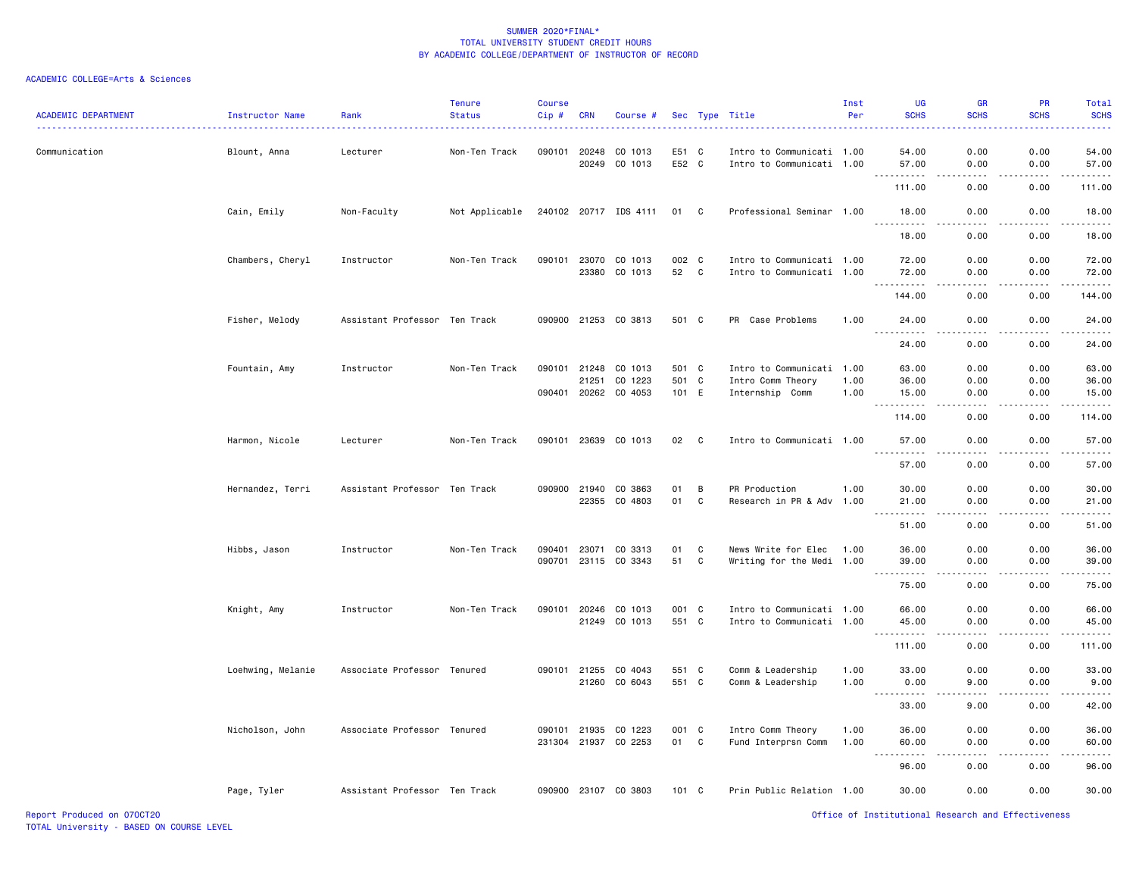### ACADEMIC COLLEGE=Arts & Sciences

| <b>ACADEMIC DEPARTMENT</b> | Instructor Name   | Rank                          | <b>Tenure</b><br><b>Status</b> | <b>Course</b><br>Cip# | <b>CRN</b>     | Course #              |                |              | Sec Type Title                                         | Inst<br>Per | UG<br><b>SCHS</b>                  | <b>GR</b><br><b>SCHS</b> | PR<br><b>SCHS</b> | Total<br><b>SCHS</b> |
|----------------------------|-------------------|-------------------------------|--------------------------------|-----------------------|----------------|-----------------------|----------------|--------------|--------------------------------------------------------|-------------|------------------------------------|--------------------------|-------------------|----------------------|
| Communication              | Blount, Anna      | Lecturer                      | Non-Ten Track                  | 090101                | 20248<br>20249 | CO 1013<br>CO 1013    | E51 C<br>E52 C |              | Intro to Communicati 1.00<br>Intro to Communicati 1.00 |             | 54.00<br>57.00                     | 0.00<br>0.00             | 0.00<br>0.00      | 54.00<br>57.00       |
|                            |                   |                               |                                |                       |                |                       |                |              |                                                        |             | 111.00                             | .<br>0.00                | 0.00              | 111.00               |
|                            | Cain, Emily       | Non-Faculty                   | Not Applicable                 |                       |                | 240102 20717 IDS 4111 | 01 C           |              | Professional Seminar 1.00                              |             | 18.00                              | 0.00                     | 0.00              | 18.00                |
|                            |                   |                               |                                |                       |                |                       |                |              |                                                        |             | <u>.</u><br>18.00                  | . <b>.</b> .<br>0.00     | .<br>0.00         | .<br>18.00           |
|                            | Chambers, Cheryl  | Instructor                    | Non-Ten Track                  |                       |                | 090101 23070 CO 1013  | 002 C          |              | Intro to Communicati 1.00                              |             | 72.00                              | 0.00                     | 0.00              | 72.00                |
|                            |                   |                               |                                |                       | 23380          | CO 1013               | 52             | C            | Intro to Communicati 1.00                              |             | 72.00<br>$\sim$ $\sim$ $\sim$      | 0.00<br>.                | 0.00<br>.         | 72.00<br>.           |
|                            |                   |                               |                                |                       |                |                       |                |              |                                                        |             | 144.00                             | 0.00                     | 0.00              | 144.00               |
|                            | Fisher, Melody    | Assistant Professor Ten Track |                                |                       |                | 090900 21253 CO 3813  | 501 C          |              | PR Case Problems                                       | 1.00        | 24.00                              | 0.00                     | 0.00              | 24.00<br>.           |
|                            |                   |                               |                                |                       |                |                       |                |              |                                                        |             | 24.00                              | 0.00                     | 0.00              | 24.00                |
|                            | Fountain, Amy     | Instructor                    | Non-Ten Track                  | 090101                | 21248<br>21251 | CO 1013<br>CO 1223    | 501 C<br>501 C |              | Intro to Communicati 1.00<br>Intro Comm Theory         | 1.00        | 63.00<br>36.00                     | 0.00<br>0.00             | 0.00<br>0.00      | 63.00<br>36.00       |
|                            |                   |                               |                                |                       |                | 090401 20262 CO 4053  | 101 E          |              | Internship Comm                                        | 1.00        | 15.00<br>.                         | 0.00<br>.                | 0.00<br>.         | 15.00<br>.           |
|                            |                   |                               |                                |                       |                |                       |                |              |                                                        |             | 114.00                             | 0.00                     | 0.00              | 114.00               |
|                            | Harmon, Nicole    | Lecturer                      | Non-Ten Track                  |                       |                | 090101 23639 CO 1013  | 02             | $\mathbf{C}$ | Intro to Communicati 1.00                              |             | 57.00<br><u>.</u>                  | 0.00<br>.                | 0.00<br>-----     | 57.00<br>.           |
|                            |                   |                               |                                |                       |                |                       |                |              |                                                        |             | 57.00                              | 0.00                     | 0.00              | 57.00                |
|                            | Hernandez, Terri  | Assistant Professor Ten Track |                                |                       |                | 090900 21940 CO 3863  | 01             | B            | PR Production                                          | 1.00        | 30.00                              | 0.00                     | 0.00              | 30.00                |
|                            |                   |                               |                                |                       | 22355          | CO 4803               | 01             | C            | Research in PR & Adv 1.00                              |             | 21.00                              | 0.00                     | 0.00              | 21.00<br>والمناصبات  |
|                            |                   |                               |                                |                       |                |                       |                |              |                                                        |             | 51.00                              | 0.00                     | 0.00              | 51.00                |
|                            | Hibbs, Jason      | Instructor                    | Non-Ten Track                  | 090401                | 23071          | CO 3313               | 01             | C            | News Write for Elec                                    | 1.00        | 36.00                              | 0.00                     | 0.00              | 36.00                |
|                            |                   |                               |                                | 090701                |                | 23115 CO 3343         | 51             | C            | Writing for the Medi 1.00                              |             | 39.00<br>.                         | 0.00<br>.                | 0.00<br>.         | 39.00<br>.           |
|                            |                   |                               |                                |                       |                |                       |                |              |                                                        |             | 75.00                              | 0.00                     | 0.00              | 75.00                |
|                            | Knight, Amy       | Instructor                    | Non-Ten Track                  | 090101                | 20246          | CO 1013               | 001 C          |              | Intro to Communicati 1.00                              |             | 66.00                              | 0.00                     | 0.00              | 66.00                |
|                            |                   |                               |                                |                       | 21249          | CO 1013               | 551 C          |              | Intro to Communicati 1.00                              |             | 45.00<br>.<br>$\sim$ $\sim$ $\sim$ | 0.00<br>بالمحام          | 0.00<br>.         | 45.00<br>------      |
|                            |                   |                               |                                |                       |                |                       |                |              |                                                        |             | 111.00                             | 0.00                     | 0.00              | 111.00               |
|                            | Loehwing, Melanie | Associate Professor Tenured   |                                |                       | 090101 21255   | CO 4043               | 551 C          |              | Comm & Leadership                                      | 1.00        | 33.00                              | 0.00                     | 0.00              | 33.00                |
|                            |                   |                               |                                |                       | 21260          | CO 6043               | 551 C          |              | Comm & Leadership                                      | 1.00        | 0.00<br>.                          | 9.00<br>$\frac{1}{2}$    | 0.00              | 9.00<br>.            |
|                            |                   |                               |                                |                       |                |                       |                |              |                                                        |             | 33.00                              | 9.00                     | 0.00              | 42.00                |
|                            | Nicholson, John   | Associate Professor Tenured   |                                |                       | 090101 21935   | CO 1223               | 001 C          |              | Intro Comm Theory                                      | 1.00        | 36.00                              | 0.00                     | 0.00              | 36.00                |
|                            |                   |                               |                                |                       |                | 231304 21937 CO 2253  | 01 C           |              | Fund Interprsn Comm                                    | 1.00        | 60.00                              | 0.00                     | 0.00              | 60.00<br>$- - - - -$ |
|                            |                   |                               |                                |                       |                |                       |                |              |                                                        |             | 96.00                              | 0.00                     | 0.00              | 96.00                |
|                            | Page, Tyler       | Assistant Professor Ten Track |                                |                       |                | 090900 23107 CO 3803  | 101 C          |              | Prin Public Relation 1.00                              |             | 30.00                              | 0.00                     | 0.00              | 30.00                |

Report Produced on 07OCT20 Office of Institutional Research and Effectiveness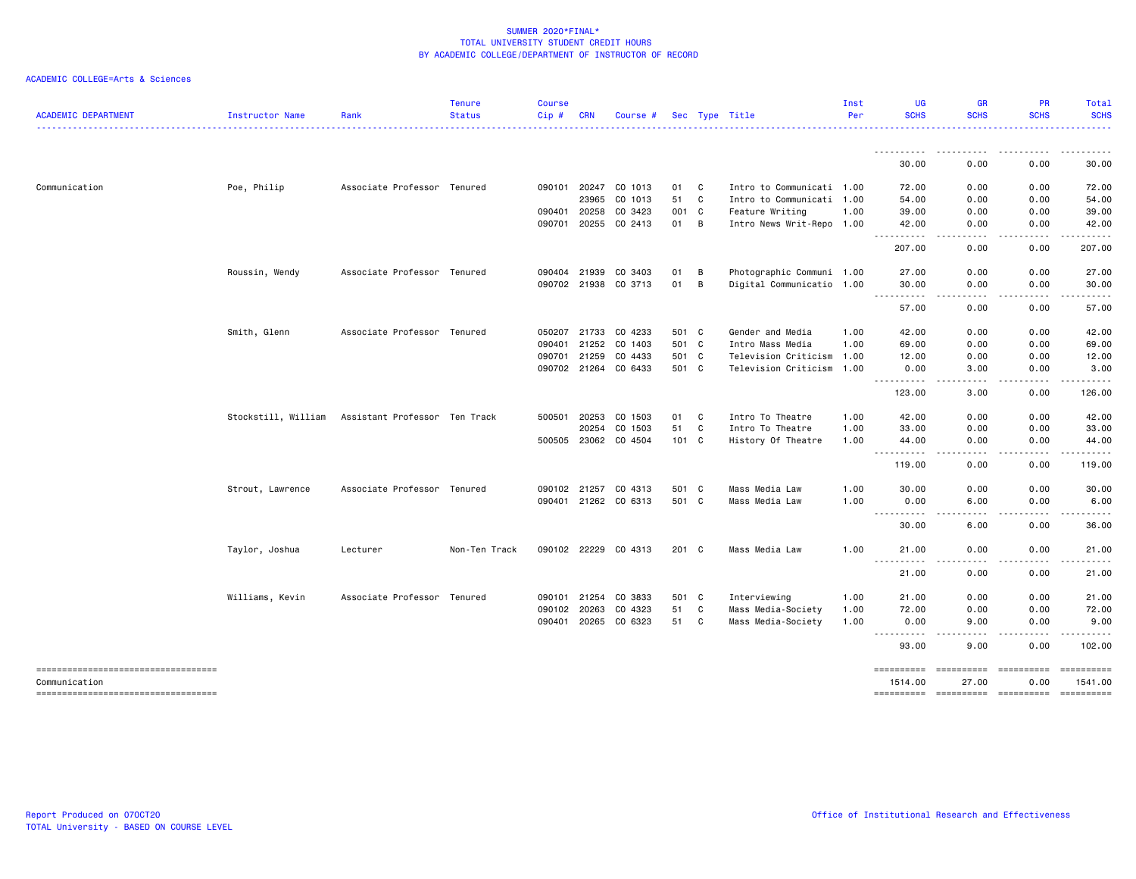| <b>ACADEMIC DEPARTMENT</b>                             | <b>Instructor Name</b> | Rank                          | <b>Tenure</b><br><b>Status</b> | <b>Course</b><br>Cip# | <b>CRN</b>   | Course #             |       |              | Sec Type Title            | Inst<br>Per | UG<br><b>SCHS</b>                                                                                                                                                                                                                                                                                                                                                                                           | <b>GR</b><br><b>SCHS</b>                                                                                                          | <b>PR</b><br><b>SCHS</b> | Total<br><b>SCHS</b>  |
|--------------------------------------------------------|------------------------|-------------------------------|--------------------------------|-----------------------|--------------|----------------------|-------|--------------|---------------------------|-------------|-------------------------------------------------------------------------------------------------------------------------------------------------------------------------------------------------------------------------------------------------------------------------------------------------------------------------------------------------------------------------------------------------------------|-----------------------------------------------------------------------------------------------------------------------------------|--------------------------|-----------------------|
|                                                        |                        |                               |                                |                       |              |                      |       |              |                           |             | ----------                                                                                                                                                                                                                                                                                                                                                                                                  | $\sim$ $\sim$ $\sim$                                                                                                              |                          | . <b>.</b> .          |
|                                                        |                        |                               |                                |                       |              |                      |       |              |                           |             | 30.00                                                                                                                                                                                                                                                                                                                                                                                                       | 0.00                                                                                                                              | 0.00                     | 30.00                 |
| Communication                                          | Poe, Philip            | Associate Professor Tenured   |                                |                       | 090101 20247 | CO 1013              | 01    | C            | Intro to Communicati 1.00 |             | 72.00                                                                                                                                                                                                                                                                                                                                                                                                       | 0.00                                                                                                                              | 0.00                     | 72.00                 |
|                                                        |                        |                               |                                |                       | 23965        | CO 1013              | 51    | C            | Intro to Communicati 1.00 |             | 54.00                                                                                                                                                                                                                                                                                                                                                                                                       | 0.00                                                                                                                              | 0.00                     | 54.00                 |
|                                                        |                        |                               |                                |                       | 090401 20258 | CO 3423              | 001 C |              | Feature Writing           | 1.00        | 39.00                                                                                                                                                                                                                                                                                                                                                                                                       | 0.00                                                                                                                              | 0.00                     | 39.00                 |
|                                                        |                        |                               |                                |                       |              | 090701 20255 CO 2413 | 01    | B            | Intro News Writ-Repo 1.00 |             | 42.00<br>----------                                                                                                                                                                                                                                                                                                                                                                                         | 0.00<br>. <u>. .</u>                                                                                                              | 0.00<br>د د د د          | 42.00<br>. <u>.</u> . |
|                                                        |                        |                               |                                |                       |              |                      |       |              |                           |             | 207.00                                                                                                                                                                                                                                                                                                                                                                                                      | 0.00                                                                                                                              | 0.00                     | 207.00                |
|                                                        | Roussin, Wendy         | Associate Professor Tenured   |                                |                       | 090404 21939 | CO 3403              | 01    | B            | Photographic Communi 1.00 |             | 27.00                                                                                                                                                                                                                                                                                                                                                                                                       | 0.00                                                                                                                              | 0.00                     | 27.00                 |
|                                                        |                        |                               |                                |                       |              | 090702 21938 CO 3713 | 01    | B            | Digital Communicatio 1.00 |             | 30.00<br><u>.</u>                                                                                                                                                                                                                                                                                                                                                                                           | 0.00<br>.                                                                                                                         | 0.00<br>.                | 30.00<br>.            |
|                                                        |                        |                               |                                |                       |              |                      |       |              |                           |             | 57.00                                                                                                                                                                                                                                                                                                                                                                                                       | 0.00                                                                                                                              | 0.00                     | 57.00                 |
|                                                        | Smith, Glenn           | Associate Professor Tenured   |                                |                       | 050207 21733 | CO 4233              | 501 C |              | Gender and Media          | 1.00        | 42.00                                                                                                                                                                                                                                                                                                                                                                                                       | 0.00                                                                                                                              | 0.00                     | 42.00                 |
|                                                        |                        |                               |                                |                       | 090401 21252 | CO 1403              | 501 C |              | Intro Mass Media          | 1.00        | 69.00                                                                                                                                                                                                                                                                                                                                                                                                       | 0.00                                                                                                                              | 0.00                     | 69.00                 |
|                                                        |                        |                               |                                |                       | 090701 21259 | CO 4433              | 501 C |              | Television Criticism 1.00 |             | 12.00                                                                                                                                                                                                                                                                                                                                                                                                       | 0.00                                                                                                                              | 0.00                     | 12.00                 |
|                                                        |                        |                               |                                |                       | 090702 21264 | CO 6433              | 501 C |              | Television Criticism 1.00 |             | 0.00                                                                                                                                                                                                                                                                                                                                                                                                        | 3.00                                                                                                                              | 0.00                     | 3.00                  |
|                                                        |                        |                               |                                |                       |              |                      |       |              |                           |             | <u>.</u><br>123.00                                                                                                                                                                                                                                                                                                                                                                                          | 3.00                                                                                                                              | 0.00                     | 126.00                |
|                                                        | Stockstill, William    | Assistant Professor Ten Track |                                | 500501                | 20253        | CO 1503              | 01    | C            | Intro To Theatre          | 1.00        | 42.00                                                                                                                                                                                                                                                                                                                                                                                                       | 0.00                                                                                                                              | 0.00                     | 42.00                 |
|                                                        |                        |                               |                                |                       | 20254        | CO 1503              | 51    | C            | Intro To Theatre          | 1.00        | 33.00                                                                                                                                                                                                                                                                                                                                                                                                       | 0.00                                                                                                                              | 0.00                     | 33.00                 |
|                                                        |                        |                               |                                |                       |              | 500505 23062 CO 4504 | 101 C |              | History Of Theatre        | 1.00        | 44.00                                                                                                                                                                                                                                                                                                                                                                                                       | 0.00                                                                                                                              | 0.00                     | 44.00                 |
|                                                        |                        |                               |                                |                       |              |                      |       |              |                           |             | .<br>$\frac{1}{2} \frac{1}{2} \frac{1}{2} \frac{1}{2} \frac{1}{2} \frac{1}{2} \frac{1}{2} \frac{1}{2} \frac{1}{2} \frac{1}{2} \frac{1}{2} \frac{1}{2} \frac{1}{2} \frac{1}{2} \frac{1}{2} \frac{1}{2} \frac{1}{2} \frac{1}{2} \frac{1}{2} \frac{1}{2} \frac{1}{2} \frac{1}{2} \frac{1}{2} \frac{1}{2} \frac{1}{2} \frac{1}{2} \frac{1}{2} \frac{1}{2} \frac{1}{2} \frac{1}{2} \frac{1}{2} \frac{$<br>119.00 | 0.00                                                                                                                              | 0.00                     | 119.00                |
|                                                        | Strout, Lawrence       | Associate Professor Tenured   |                                |                       | 090102 21257 | CO 4313              | 501 C |              | Mass Media Law            | 1.00        | 30.00                                                                                                                                                                                                                                                                                                                                                                                                       | 0.00                                                                                                                              | 0.00                     | 30.00                 |
|                                                        |                        |                               |                                |                       |              | 090401 21262 CO 6313 | 501 C |              | Mass Media Law            | 1.00        | 0.00                                                                                                                                                                                                                                                                                                                                                                                                        | 6.00                                                                                                                              | 0.00                     | 6.00                  |
|                                                        |                        |                               |                                |                       |              |                      |       |              |                           |             | ----------<br>30.00                                                                                                                                                                                                                                                                                                                                                                                         | . <b>.</b> .<br>6.00                                                                                                              | .<br>0.00                | .<br>36.00            |
|                                                        | Taylor, Joshua         | Lecturer                      | Non-Ten Track                  |                       |              | 090102 22229 CO 4313 | 201 C |              | Mass Media Law            | 1.00        | 21.00<br>----------                                                                                                                                                                                                                                                                                                                                                                                         | 0.00<br>. <b>.</b> .                                                                                                              | 0.00<br>.                | 21.00                 |
|                                                        |                        |                               |                                |                       |              |                      |       |              |                           |             | 21.00                                                                                                                                                                                                                                                                                                                                                                                                       | 0.00                                                                                                                              | 0.00                     | 21.00                 |
|                                                        | Williams, Kevin        | Associate Professor           | Tenured                        | 090101                | 21254        | CO 3833              | 501   | $\mathbf{C}$ | Interviewing              | 1.00        | 21.00                                                                                                                                                                                                                                                                                                                                                                                                       | 0.00                                                                                                                              | 0.00                     | 21.00                 |
|                                                        |                        |                               |                                | 090102                | 20263        | CO 4323              | 51    | C            | Mass Media-Society        | 1.00        | 72.00                                                                                                                                                                                                                                                                                                                                                                                                       | 0.00                                                                                                                              | 0.00                     | 72.00                 |
|                                                        |                        |                               |                                |                       |              | 090401 20265 CO 6323 | 51    | C C          | Mass Media-Society        | 1.00        | 0.00                                                                                                                                                                                                                                                                                                                                                                                                        | 9.00                                                                                                                              | 0.00                     | 9.00                  |
|                                                        |                        |                               |                                |                       |              |                      |       |              |                           |             | ----------<br>93,00                                                                                                                                                                                                                                                                                                                                                                                         | $\frac{1}{2} \left( \frac{1}{2} \right) \left( \frac{1}{2} \right) \left( \frac{1}{2} \right) \left( \frac{1}{2} \right)$<br>9.00 | .<br>0.00                | 102.00                |
| =====================================<br>Communication |                        |                               |                                |                       |              |                      |       |              |                           |             | ==========<br>1514.00                                                                                                                                                                                                                                                                                                                                                                                       | ======================<br>27.00                                                                                                   | 0.00                     | ==========<br>1541.00 |
| ====================================                   |                        |                               |                                |                       |              |                      |       |              |                           |             | ==========                                                                                                                                                                                                                                                                                                                                                                                                  |                                                                                                                                   |                          |                       |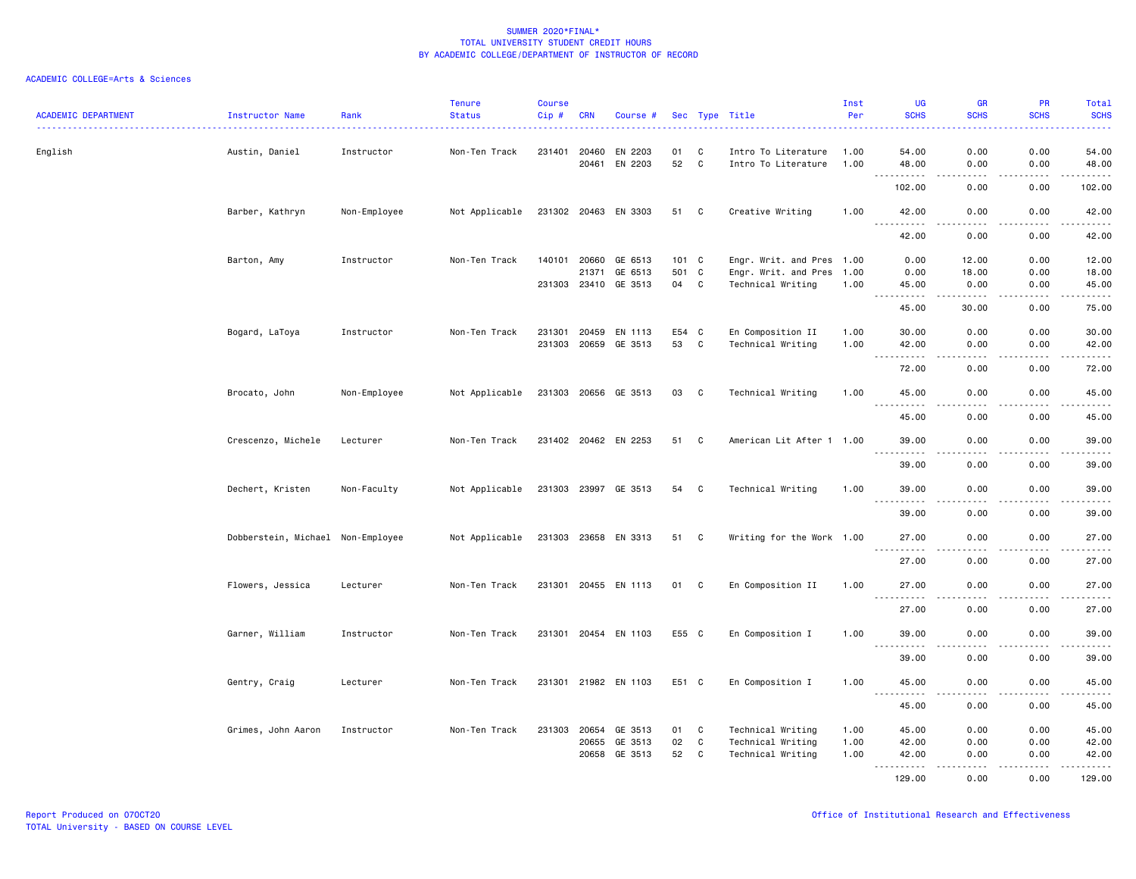| <b>ACADEMIC DEPARTMENT</b> | Instructor Name                   | Rank         | <b>Tenure</b><br><b>Status</b> | Course<br>Cip# | <b>CRN</b>                     | Course #                        |                |                         | Sec Type Title                                              | Inst<br>Per          | UG<br><b>SCHS</b>                           | <b>GR</b><br><b>SCHS</b>                                                                                                                                     | PR<br><b>SCHS</b>    | Total<br><b>SCHS</b>    |
|----------------------------|-----------------------------------|--------------|--------------------------------|----------------|--------------------------------|---------------------------------|----------------|-------------------------|-------------------------------------------------------------|----------------------|---------------------------------------------|--------------------------------------------------------------------------------------------------------------------------------------------------------------|----------------------|-------------------------|
| English                    | Austin, Daniel                    | Instructor   | Non-Ten Track                  |                | 231401 20460<br>20461          | EN 2203<br>EN 2203              | 01<br>52       | C<br>$\mathbf{C}$       | Intro To Literature<br>Intro To Literature                  | 1.00<br>1.00         | 54.00<br>48.00                              | 0.00<br>0.00                                                                                                                                                 | 0.00<br>0.00         | 54.00<br>48.00          |
|                            |                                   |              |                                |                |                                |                                 |                |                         |                                                             |                      | .<br>$\sim$ $\sim$ $\sim$<br>102.00         | $\sim$ $\sim$ $\sim$<br>0.00                                                                                                                                 | .<br>0.00            | .<br>102.00             |
|                            | Barber, Kathryn                   | Non-Employee | Not Applicable                 |                |                                | 231302 20463 EN 3303            | 51 C           |                         | Creative Writing                                            | 1.00                 | 42.00                                       | 0.00                                                                                                                                                         | 0.00                 | 42.00                   |
|                            |                                   |              |                                |                |                                |                                 |                |                         |                                                             |                      | .<br>42.00                                  | $- - - -$<br>0.00                                                                                                                                            | .<br>0.00            | .<br>42.00              |
|                            | Barton, Amy                       | Instructor   | Non-Ten Track                  |                | 140101 20660<br>21371          | GE 6513<br>GE 6513              | 101 C<br>501   | $\mathbf{C}$            | Engr. Writ. and Pres 1.00<br>Engr. Writ. and Pres 1.00      |                      | 0.00<br>0.00                                | 12.00<br>18.00                                                                                                                                               | 0.00<br>0.00         | 12.00<br>18.00          |
|                            |                                   |              |                                |                |                                | 231303 23410 GE 3513            | 04             | C                       | Technical Writing                                           | 1.00                 | 45.00<br>.                                  | 0.00<br>$\frac{1}{2} \left( \frac{1}{2} \right) \left( \frac{1}{2} \right) \left( \frac{1}{2} \right) \left( \frac{1}{2} \right) \left( \frac{1}{2} \right)$ | 0.00<br>.            | 45.00<br>.              |
|                            |                                   |              |                                |                |                                |                                 |                |                         |                                                             |                      | 45.00                                       | 30.00                                                                                                                                                        | 0.00                 | 75.00                   |
|                            | Bogard, LaToya                    | Instructor   | Non-Ten Track                  | 231301         | 20459                          | EN 1113<br>231303 20659 GE 3513 | E54 C<br>53    | C                       | En Composition II<br>Technical Writing                      | 1.00<br>1.00         | 30.00<br>42.00<br>$\sim$ $\sim$ $\sim$<br>. | 0.00<br>0.00<br>.                                                                                                                                            | 0.00<br>0.00<br>.    | 30.00<br>42.00<br>.     |
|                            |                                   |              |                                |                |                                |                                 |                |                         |                                                             |                      | 72.00                                       | 0.00                                                                                                                                                         | 0.00                 | 72.00                   |
|                            | Brocato, John                     | Non-Employee | Not Applicable                 |                |                                | 231303 20656 GE 3513            | 03             | $\overline{\mathbf{C}}$ | Technical Writing                                           | 1.00                 | 45.00<br><b></b>                            | 0.00<br>.                                                                                                                                                    | 0.00<br>-----        | 45.00<br>.              |
|                            |                                   |              |                                |                |                                |                                 |                |                         |                                                             |                      | 45.00                                       | 0.00                                                                                                                                                         | 0.00                 | 45.00                   |
|                            | Crescenzo, Michele                | Lecturer     | Non-Ten Track                  |                |                                | 231402 20462 EN 2253            | 51             | C                       | American Lit After 1 1.00                                   |                      | 39.00                                       | 0.00<br>$\sim$ $\sim$ $\sim$                                                                                                                                 | 0.00                 | 39.00<br>.              |
|                            |                                   |              |                                |                |                                |                                 |                |                         |                                                             |                      | 39.00                                       | 0.00                                                                                                                                                         | 0.00                 | 39.00                   |
|                            | Dechert, Kristen                  | Non-Faculty  | Not Applicable                 |                |                                | 231303 23997 GE 3513            | 54             | C                       | Technical Writing                                           | 1.00                 | 39.00<br>$\sim$ $\sim$ $\sim$               | 0.00                                                                                                                                                         | 0.00                 | 39.00                   |
|                            |                                   |              |                                |                |                                |                                 |                |                         |                                                             |                      | 39.00                                       | 0.00                                                                                                                                                         | 0.00                 | 39.00                   |
|                            | Dobberstein, Michael Non-Employee |              | Not Applicable                 |                |                                | 231303 23658 EN 3313            | 51             | C                       | Writing for the Work 1.00                                   |                      | 27.00<br><u>.</u>                           | 0.00<br>.                                                                                                                                                    | 0.00<br>.            | 27.00<br>.              |
|                            |                                   |              |                                |                |                                |                                 |                |                         |                                                             |                      | 27.00                                       | 0.00                                                                                                                                                         | 0.00                 | 27.00                   |
|                            | Flowers, Jessica                  | Lecturer     | Non-Ten Track                  |                |                                | 231301 20455 EN 1113            | 01             | C                       | En Composition II                                           | 1.00                 | 27.00                                       | 0.00                                                                                                                                                         | 0.00                 | 27.00                   |
|                            |                                   |              |                                |                |                                |                                 |                |                         |                                                             |                      | 27.00                                       | 0.00                                                                                                                                                         | 0.00                 | 27.00                   |
|                            | Garner, William                   | Instructor   | Non-Ten Track                  |                |                                | 231301 20454 EN 1103            | E55 C          |                         | En Composition I                                            | 1.00                 | 39.00<br>$\sim$ $\sim$ $\sim$               | 0.00<br>$\sim$ $\sim$ $\sim$                                                                                                                                 | 0.00<br>.            | 39.00<br>.              |
|                            |                                   |              |                                |                |                                |                                 |                |                         |                                                             |                      | 39.00                                       | 0.00                                                                                                                                                         | 0.00                 | 39.00                   |
|                            | Gentry, Craig                     | Lecturer     | Non-Ten Track                  |                |                                | 231301 21982 EN 1103            | E51 C          |                         | En Composition I                                            | 1.00                 | 45.00<br>$  -$                              | 0.00                                                                                                                                                         | 0.00                 | 45.00                   |
|                            |                                   |              |                                |                |                                |                                 |                |                         |                                                             |                      | 45.00                                       | 0.00                                                                                                                                                         | 0.00                 | 45.00                   |
|                            | Grimes, John Aaron                | Instructor   | Non-Ten Track                  |                | 231303 20654<br>20655<br>20658 | GE 3513<br>GE 3513<br>GE 3513   | 01<br>02<br>52 | C<br>$\mathbf{C}$<br>C  | Technical Writing<br>Technical Writing<br>Technical Writing | 1.00<br>1.00<br>1.00 | 45.00<br>42.00<br>42.00                     | 0.00<br>0.00<br>0.00                                                                                                                                         | 0.00<br>0.00<br>0.00 | 45.00<br>42.00<br>42.00 |
|                            |                                   |              |                                |                |                                |                                 |                |                         |                                                             |                      | <u>.</u><br>129.00                          | .<br>0.00                                                                                                                                                    | .<br>0.00            | .<br>129.00             |
|                            |                                   |              |                                |                |                                |                                 |                |                         |                                                             |                      |                                             |                                                                                                                                                              |                      |                         |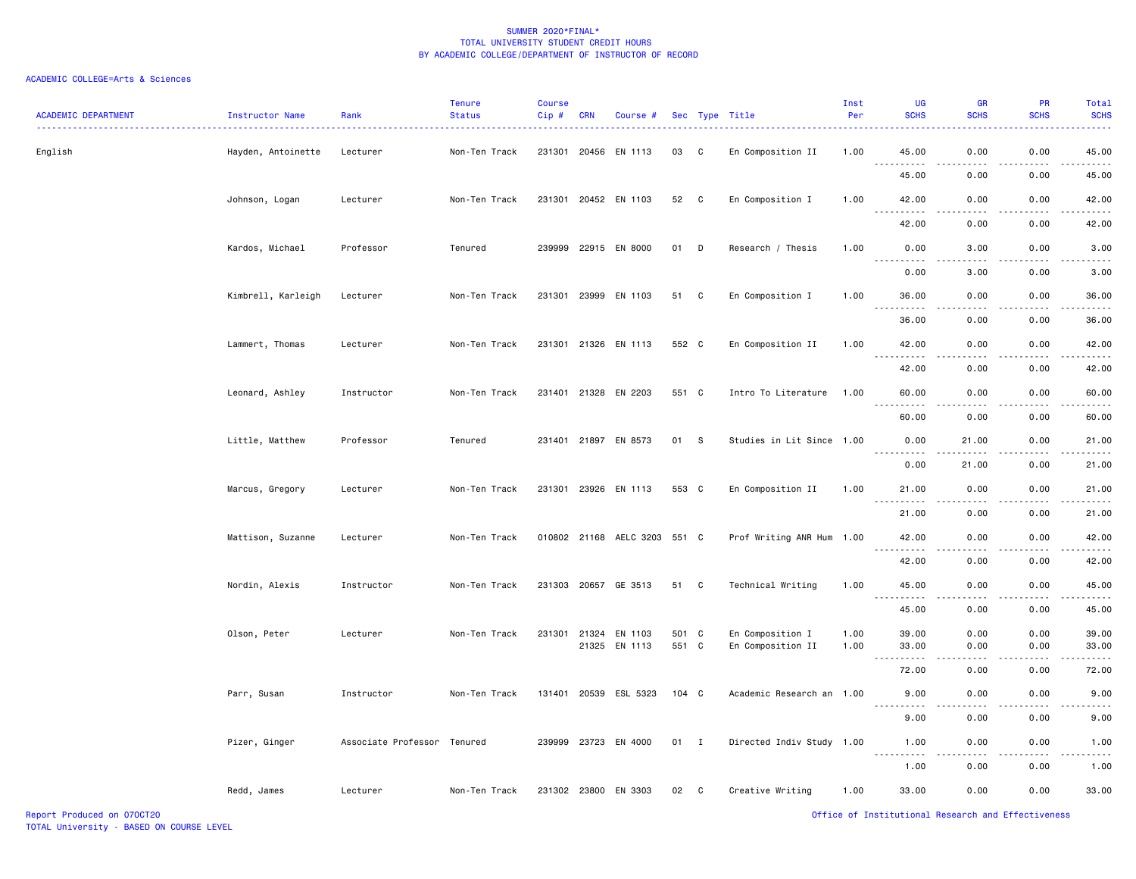| <b>ACADEMIC DEPARTMENT</b> | Instructor Name    | Rank                        | <b>Tenure</b><br><b>Status</b> | Course<br>Cip# | <b>CRN</b> | Course #                     |       |              | Sec Type Title            | Inst<br>Per | UG<br><b>SCHS</b>                                                                                                                                            | GR<br><b>SCHS</b> | PR<br><b>SCHS</b> | Total<br><b>SCHS</b>   |
|----------------------------|--------------------|-----------------------------|--------------------------------|----------------|------------|------------------------------|-------|--------------|---------------------------|-------------|--------------------------------------------------------------------------------------------------------------------------------------------------------------|-------------------|-------------------|------------------------|
| English                    | Hayden, Antoinette | Lecturer                    | Non-Ten Track                  |                |            | 231301 20456 EN 1113         | 03    | C            | En Composition II         | 1.00        | 45.00                                                                                                                                                        | 0.00              | 0.00              | 45.00                  |
|                            |                    |                             |                                |                |            |                              |       |              |                           |             | 45.00                                                                                                                                                        | 0.00              | 0.00              | 45.00                  |
|                            | Johnson, Logan     | Lecturer                    | Non-Ten Track                  |                |            | 231301 20452 EN 1103         | 52    | $\mathbf{C}$ | En Composition I          | 1.00        | 42.00                                                                                                                                                        | 0.00              | 0.00              | 42.00                  |
|                            |                    |                             |                                |                |            |                              |       |              |                           |             | $\sim$ $\sim$ $\sim$<br>.<br>42.00                                                                                                                           | 0.00              | 0.00              | 42.00                  |
|                            | Kardos, Michael    | Professor                   | Tenured                        |                |            | 239999 22915 EN 8000         | 01    | D            | Research / Thesis         | 1.00        | 0.00                                                                                                                                                         | 3.00              | 0.00              | 3.00                   |
|                            |                    |                             |                                |                |            |                              |       |              |                           |             | 0.00                                                                                                                                                         | 3.00              | 0.00              | 3.00                   |
|                            | Kimbrell, Karleigh | Lecturer                    | Non-Ten Track                  |                |            | 231301 23999 EN 1103         | 51    | C            | En Composition I          | 1.00        | 36.00                                                                                                                                                        | 0.00              | 0.00              | 36.00                  |
|                            |                    |                             |                                |                |            |                              |       |              |                           |             | $\sim$ $\sim$ $\sim$<br><u>.</u><br>36.00                                                                                                                    | $- - -$<br>0.00   | 0.00              | $\frac{1}{2}$<br>36.00 |
|                            | Lammert, Thomas    | Lecturer                    | Non-Ten Track                  |                |            | 231301 21326 EN 1113         | 552 C |              | En Composition II         | 1.00        | 42.00                                                                                                                                                        | 0.00              | 0.00              | 42.00                  |
|                            |                    |                             |                                |                |            |                              |       |              |                           |             | <u>.</u><br>42.00                                                                                                                                            | .<br>0.00         | .<br>0.00         | .<br>42.00             |
|                            | Leonard, Ashley    | Instructor                  | Non-Ten Track                  |                |            | 231401 21328 EN 2203         | 551 C |              | Intro To Literature       | 1.00        | 60.00                                                                                                                                                        | 0.00              | 0.00              | 60.00                  |
|                            |                    |                             |                                |                |            |                              |       |              |                           |             | 60.00                                                                                                                                                        | 0.00              | 0.00              | 60.00                  |
|                            | Little, Matthew    | Professor                   | Tenured                        |                |            | 231401 21897 EN 8573         | 01 S  |              | Studies in Lit Since 1.00 |             | 0.00                                                                                                                                                         | 21.00             | 0.00              | 21.00                  |
|                            |                    |                             |                                |                |            |                              |       |              |                           |             | <u> - - - - - - - - - -</u><br>0.00                                                                                                                          | .<br>21.00        | .<br>0.00         | .<br>21.00             |
|                            | Marcus, Gregory    | Lecturer                    | Non-Ten Track                  |                |            | 231301 23926 EN 1113         | 553 C |              | En Composition II         | 1.00        | 21.00                                                                                                                                                        | 0.00              | 0.00              | 21.00                  |
|                            |                    |                             |                                |                |            |                              |       |              |                           |             | .<br>21.00                                                                                                                                                   | .<br>0.00         | .<br>0.00         | .<br>21.00             |
|                            | Mattison, Suzanne  | Lecturer                    | Non-Ten Track                  |                |            | 010802 21168 AELC 3203 551 C |       |              | Prof Writing ANR Hum 1.00 |             | 42.00                                                                                                                                                        | 0.00              | 0.00              | 42.00                  |
|                            |                    |                             |                                |                |            |                              |       |              |                           |             | .<br>42.00                                                                                                                                                   | $- - -$<br>0.00   | .<br>0.00         | .<br>42.00             |
|                            | Nordin, Alexis     | Instructor                  | Non-Ten Track                  |                |            | 231303 20657 GE 3513         | 51    | C.           | Technical Writing         | 1.00        | 45.00                                                                                                                                                        | 0.00              | 0.00              | 45.00                  |
|                            |                    |                             |                                |                |            |                              |       |              |                           |             | .<br>45.00                                                                                                                                                   | د د د د<br>0.00   | .<br>0.00         | المتمام<br>45.00       |
|                            | Olson, Peter       | Lecturer                    | Non-Ten Track                  |                |            | 231301 21324 EN 1103         | 501 C |              | En Composition I          | 1.00        | 39.00                                                                                                                                                        | 0.00              | 0.00              | 39.00                  |
|                            |                    |                             |                                |                |            | 21325 EN 1113                | 551 C |              | En Composition II         | 1.00        | 33.00                                                                                                                                                        | 0.00              | 0.00              | 33.00                  |
|                            |                    |                             |                                |                |            |                              |       |              |                           |             | 72.00                                                                                                                                                        | 0.00              | 0.00              | 72.00                  |
|                            | Parr, Susan        | Instructor                  | Non-Ten Track                  |                |            | 131401 20539 ESL 5323        | 104 C |              | Academic Research an 1.00 |             | 9.00                                                                                                                                                         | 0.00              | 0.00              | 9.00                   |
|                            |                    |                             |                                |                |            |                              |       |              |                           |             | 9.00                                                                                                                                                         | 0.00              | 0.00              | 9.00                   |
|                            | Pizer, Ginger      | Associate Professor Tenured |                                |                |            | 239999 23723 EN 4000         | 01 I  |              | Directed Indiv Study 1.00 |             | 1.00<br>$\frac{1}{2} \left( \frac{1}{2} \right) \left( \frac{1}{2} \right) \left( \frac{1}{2} \right) \left( \frac{1}{2} \right) \left( \frac{1}{2} \right)$ | 0.00              | 0.00              | 1.00                   |
|                            |                    |                             |                                |                |            |                              |       |              |                           |             | 1.00                                                                                                                                                         | 0.00              | 0.00              | 1.00                   |
|                            | Redd, James        | Lecturer                    | Non-Ten Track                  |                |            | 231302 23800 EN 3303         | 02    | $\mathbf{C}$ | Creative Writing          | 1.00        | 33.00                                                                                                                                                        | 0.00              | 0.00              | 33.00                  |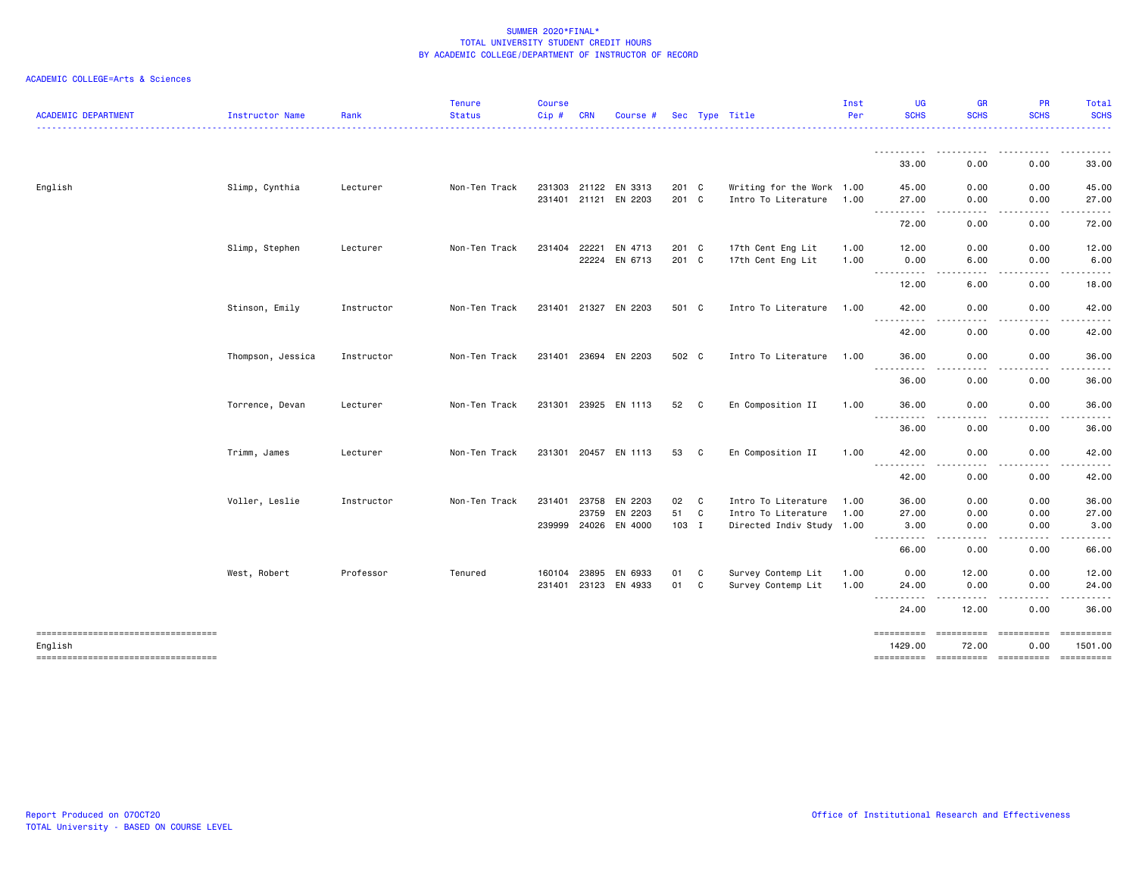| <b>ACADEMIC DEPARTMENT</b>                        | Instructor Name   | Rank       | <b>Tenure</b><br><b>Status</b> | <b>Course</b><br>$Cip$ # | <b>CRN</b> | Course #             |            |        | Sec Type Title                             | Inst<br>Per  | <b>UG</b><br><b>SCHS</b>                                                                                                                           | <b>GR</b><br><b>SCHS</b>                                                                                                               | <b>PR</b><br><b>SCHS</b> | Total<br><b>SCHS</b>                                                                                                                                                                                                                                                                                                                                                                                                                                                                                               |
|---------------------------------------------------|-------------------|------------|--------------------------------|--------------------------|------------|----------------------|------------|--------|--------------------------------------------|--------------|----------------------------------------------------------------------------------------------------------------------------------------------------|----------------------------------------------------------------------------------------------------------------------------------------|--------------------------|--------------------------------------------------------------------------------------------------------------------------------------------------------------------------------------------------------------------------------------------------------------------------------------------------------------------------------------------------------------------------------------------------------------------------------------------------------------------------------------------------------------------|
|                                                   |                   |            |                                |                          |            |                      |            |        |                                            |              | .<br>33.00                                                                                                                                         | $\frac{1}{2} \left( \frac{1}{2} \right) \left( \frac{1}{2} \right) \left( \frac{1}{2} \right) \left( \frac{1}{2} \right)$<br>.<br>0.00 | .<br>0.00                | . <b>.</b> .<br>33.00                                                                                                                                                                                                                                                                                                                                                                                                                                                                                              |
| English                                           | Slimp, Cynthia    | Lecturer   | Non-Ten Track                  | 231303 21122             |            | EN 3313              | 201 C      |        | Writing for the Work 1.00                  |              | 45.00                                                                                                                                              | 0.00                                                                                                                                   | 0.00                     | 45.00                                                                                                                                                                                                                                                                                                                                                                                                                                                                                                              |
|                                                   |                   |            |                                | 231401 21121             |            | EN 2203              | 201 C      |        | Intro To Literature                        | 1.00         | 27.00<br>. <b>.</b><br>72.00                                                                                                                       | 0.00<br>0.00                                                                                                                           | 0.00<br>0.00             | 27.00<br>72.00                                                                                                                                                                                                                                                                                                                                                                                                                                                                                                     |
|                                                   | Slimp, Stephen    | Lecturer   | Non-Ten Track                  | 231404                   | 22221      | EN 4713              | 201 C      |        | 17th Cent Eng Lit                          | 1.00         | 12.00                                                                                                                                              | 0.00                                                                                                                                   | 0.00                     | 12.00                                                                                                                                                                                                                                                                                                                                                                                                                                                                                                              |
|                                                   |                   |            |                                |                          | 22224      | EN 6713              | 201 C      |        | 17th Cent Eng Lit                          | 1.00         | 0.00<br>----------                                                                                                                                 | 6.00                                                                                                                                   | 0.00                     | 6.00                                                                                                                                                                                                                                                                                                                                                                                                                                                                                                               |
|                                                   | Stinson, Emily    | Instructor | Non-Ten Track                  |                          |            | 231401 21327 EN 2203 | 501 C      |        | Intro To Literature                        | 1.00         | 12.00<br>42.00                                                                                                                                     | 6.00<br>0.00                                                                                                                           | 0.00<br>0.00             | 18.00<br>42.00                                                                                                                                                                                                                                                                                                                                                                                                                                                                                                     |
|                                                   |                   |            |                                |                          |            |                      |            |        |                                            |              | <u>.</u><br>42.00                                                                                                                                  | 0.00                                                                                                                                   | 0.00                     | 42.00                                                                                                                                                                                                                                                                                                                                                                                                                                                                                                              |
|                                                   | Thompson, Jessica | Instructor | Non-Ten Track                  |                          |            | 231401 23694 EN 2203 | 502 C      |        | Intro To Literature                        | 1.00         | 36.00<br>$\frac{1}{2} \left( \frac{1}{2} \right) \left( \frac{1}{2} \right) \left( \frac{1}{2} \right) \left( \frac{1}{2} \right)$<br><u>.</u>     | 0.00                                                                                                                                   | 0.00<br>.                | 36.00                                                                                                                                                                                                                                                                                                                                                                                                                                                                                                              |
|                                                   |                   |            |                                |                          |            |                      |            |        |                                            |              | 36.00                                                                                                                                              | 0.00                                                                                                                                   | 0.00                     | 36.00                                                                                                                                                                                                                                                                                                                                                                                                                                                                                                              |
|                                                   | Torrence, Devan   | Lecturer   | Non-Ten Track                  |                          |            | 231301 23925 EN 1113 | 52         | C      | En Composition II                          | 1.00         | 36.00<br>.                                                                                                                                         | 0.00                                                                                                                                   | 0.00                     | 36.00                                                                                                                                                                                                                                                                                                                                                                                                                                                                                                              |
|                                                   | Trimm, James      | Lecturer   | Non-Ten Track                  |                          |            | 231301 20457 EN 1113 | 53         | C      | En Composition II                          | 1.00         | 36.00<br>42.00                                                                                                                                     | 0.00<br>0.00                                                                                                                           | 0.00<br>0.00             | 36.00<br>42.00                                                                                                                                                                                                                                                                                                                                                                                                                                                                                                     |
|                                                   |                   |            |                                |                          |            |                      |            |        |                                            |              | <u>.</u><br>42.00                                                                                                                                  | $- - - -$<br>0.00                                                                                                                      | .<br>0.00                | 42.00                                                                                                                                                                                                                                                                                                                                                                                                                                                                                                              |
|                                                   | Voller, Leslie    | Instructor | Non-Ten Track                  | 231401 23758             | 23759      | EN 2203<br>EN 2203   | 02<br>51 C | C      | Intro To Literature<br>Intro To Literature | 1.00<br>1.00 | 36.00<br>27.00                                                                                                                                     | 0.00<br>0.00                                                                                                                           | 0.00                     | 36.00                                                                                                                                                                                                                                                                                                                                                                                                                                                                                                              |
|                                                   |                   |            |                                |                          |            | 239999 24026 EN 4000 | 103 I      |        | Directed Indiv Study 1.00                  |              | 3.00<br>----------                                                                                                                                 | 0.00<br>.                                                                                                                              | 0.00<br>0.00<br>.        | 27.00<br>3.00<br>.                                                                                                                                                                                                                                                                                                                                                                                                                                                                                                 |
|                                                   |                   |            |                                |                          |            |                      |            |        |                                            |              | 66.00                                                                                                                                              | 0.00                                                                                                                                   | 0.00                     | 66.00                                                                                                                                                                                                                                                                                                                                                                                                                                                                                                              |
|                                                   | West, Robert      | Professor  | Tenured                        | 160104<br>231401 23123   | 23895      | EN 6933<br>EN 4933   | 01<br>01   | C<br>C | Survey Contemp Lit<br>Survey Contemp Lit   | 1.00<br>1.00 | 0.00<br>24.00<br>$\frac{1}{2} \left( \frac{1}{2} \right) \left( \frac{1}{2} \right) \left( \frac{1}{2} \right) \left( \frac{1}{2} \right)$<br>---- | 12.00<br>0.00                                                                                                                          | 0.00<br>0.00<br>.        | 12.00<br>24.00                                                                                                                                                                                                                                                                                                                                                                                                                                                                                                     |
|                                                   |                   |            |                                |                          |            |                      |            |        |                                            |              | 24.00                                                                                                                                              | 12.00                                                                                                                                  | 0.00                     | 36.00                                                                                                                                                                                                                                                                                                                                                                                                                                                                                                              |
| English<br>====================================== |                   |            |                                |                          |            |                      |            |        |                                            |              | ==========<br>1429.00                                                                                                                              | =====================<br>72.00                                                                                                         | 0.00                     | $\begin{minipage}{0.03\linewidth} \begin{tabular}{l} \multicolumn{2}{l}{} & \multicolumn{2}{l}{} & \multicolumn{2}{l}{} \\ \multicolumn{2}{l}{} & \multicolumn{2}{l}{} & \multicolumn{2}{l}{} \\ \multicolumn{2}{l}{} & \multicolumn{2}{l}{} & \multicolumn{2}{l}{} \\ \multicolumn{2}{l}{} & \multicolumn{2}{l}{} & \multicolumn{2}{l}{} \\ \multicolumn{2}{l}{} & \multicolumn{2}{l}{} & \multicolumn{2}{l}{} \\ \multicolumn{2}{l}{} & \multicolumn{2}{l}{} & \multicolumn{2}{l}{} \\$<br>1501.00<br>========== |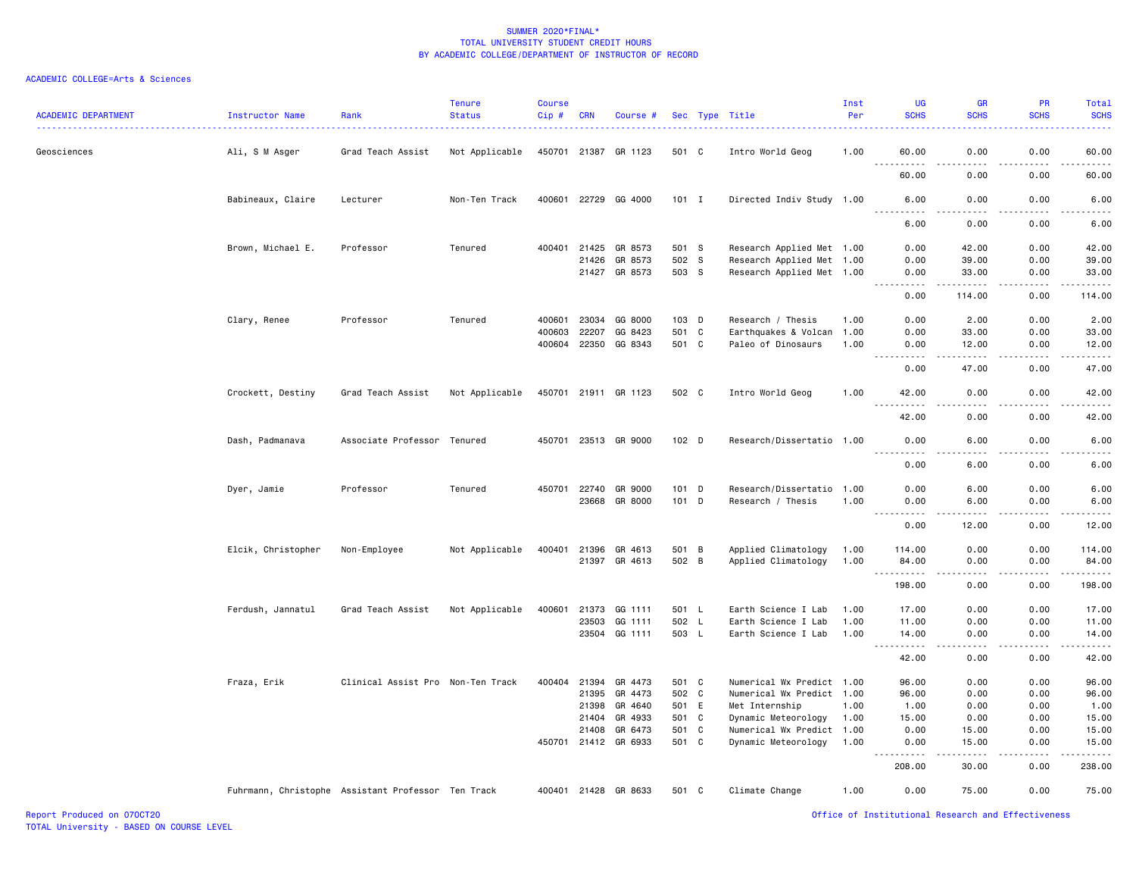| <b>ACADEMIC DEPARTMENT</b> | Instructor Name                                    | Rank                              | <b>Tenure</b><br><b>Status</b> | <b>Course</b><br>Cip# | <b>CRN</b>     | Course #             |                | Sec Type Title                             | Inst<br>Per  | UG<br><b>SCHS</b>        | <b>GR</b><br><b>SCHS</b> | PR<br><b>SCHS</b> | Total<br><b>SCHS</b>  |
|----------------------------|----------------------------------------------------|-----------------------------------|--------------------------------|-----------------------|----------------|----------------------|----------------|--------------------------------------------|--------------|--------------------------|--------------------------|-------------------|-----------------------|
| Geosciences                | Ali, S M Asger                                     | Grad Teach Assist                 | Not Applicable                 |                       | 450701 21387   | GR 1123              | 501 C          | Intro World Geog                           | 1.00         | 60.00                    | 0.00                     | 0.00              | 60.00                 |
|                            |                                                    |                                   |                                |                       |                |                      |                |                                            |              | 60.00                    | 0.00                     | 0.00              | 60.00                 |
|                            | Babineaux, Claire                                  | Lecturer                          | Non-Ten Track                  |                       |                | 400601 22729 GG 4000 | $101$ I        | Directed Indiv Study 1.00                  |              | 6.00<br>.                | 0.00<br>.                | 0.00<br>.         | 6.00<br>$\frac{1}{2}$ |
|                            |                                                    |                                   |                                |                       |                |                      |                |                                            |              | 6.00                     | 0.00                     | 0.00              | 6.00                  |
|                            | Brown, Michael E.                                  | Professor                         | Tenured                        |                       | 400401 21425   | GR 8573              | 501 S          | Research Applied Met 1.00                  |              | 0.00                     | 42.00                    | 0.00              | 42.00                 |
|                            |                                                    |                                   |                                |                       | 21426          | GR 8573              | 502 S          | Research Applied Met 1.00                  |              | 0.00                     | 39.00                    | 0.00              | 39.00                 |
|                            |                                                    |                                   |                                |                       |                | 21427 GR 8573        | 503 S          | Research Applied Met 1.00                  |              | 0.00<br>.                | 33.00<br>-----           | 0.00<br>.         | 33.00<br>.            |
|                            |                                                    |                                   |                                |                       |                |                      |                |                                            |              | 0.00                     | 114.00                   | 0.00              | 114.00                |
|                            | Clary, Renee                                       | Professor                         | Tenured                        | 400601                | 23034          | GG 8000              | 103 D          | Research / Thesis                          | 1.00         | 0.00                     | 2.00                     | 0.00              | 2.00                  |
|                            |                                                    |                                   |                                | 400603                | 22207          | GG 8423              | 501 C          | Earthquakes & Volcan                       | 1.00         | 0.00                     | 33.00                    | 0.00              | 33.00                 |
|                            |                                                    |                                   |                                |                       | 400604 22350   | GG 8343              | 501 C          | Paleo of Dinosaurs                         | 1.00         | 0.00<br>.                | 12.00<br>$- - - - -$     | 0.00<br>- - - - - | 12.00<br>.            |
|                            |                                                    |                                   |                                |                       |                |                      |                |                                            |              | 0.00                     | 47.00                    | 0.00              | 47.00                 |
|                            | Crockett, Destiny                                  | Grad Teach Assist                 | Not Applicable                 |                       |                | 450701 21911 GR 1123 | 502 C          | Intro World Geog                           | 1.00         | 42.00<br>.               | 0.00<br>د د د د          | 0.00<br>.         | 42.00<br>.            |
|                            |                                                    |                                   |                                |                       |                |                      |                |                                            |              | 42.00                    | 0.00                     | 0.00              | 42.00                 |
|                            | Dash, Padmanava                                    | Associate Professor               | Tenured                        |                       |                | 450701 23513 GR 9000 | 102 D          | Research/Dissertatio 1.00                  |              | 0.00<br>.                | 6.00<br>$\frac{1}{2}$    | 0.00<br>.         | 6.00<br>$- - - -$     |
|                            |                                                    |                                   |                                |                       |                |                      |                |                                            |              | 0.00                     | 6.00                     | 0.00              | 6.00                  |
|                            | Dyer, Jamie                                        | Professor                         | Tenured                        |                       | 450701 22740   | GR 9000              | 101 D          | Research/Dissertatio 1.00                  |              | 0.00                     | 6.00                     | 0.00              | 6.00                  |
|                            |                                                    |                                   |                                |                       | 23668          | GR 8000              | 101 D          | Research / Thesis                          | 1.00         | 0.00                     | 6.00                     | 0.00              | 6.00                  |
|                            |                                                    |                                   |                                |                       |                |                      |                |                                            |              | .<br>.<br>0.00           | -----<br>12.00           | .<br>0.00         | .<br>12.00            |
|                            |                                                    |                                   |                                |                       |                |                      |                |                                            |              |                          |                          |                   |                       |
|                            | Elcik, Christopher                                 | Non-Employee                      | Not Applicable                 | 400401                | 21396<br>21397 | GR 4613<br>GR 4613   | 501 B<br>502 B | Applied Climatology<br>Applied Climatology | 1.00<br>1.00 | 114.00<br>84.00          | 0.00<br>0.00             | 0.00<br>0.00      | 114.00<br>84.00       |
|                            |                                                    |                                   |                                |                       |                |                      |                |                                            |              | .                        | د د د د                  | $- - - - -$       | ------                |
|                            |                                                    |                                   |                                |                       |                |                      |                |                                            |              | 198.00                   | 0.00                     | 0.00              | 198.00                |
|                            | Ferdush, Jannatul                                  | Grad Teach Assist                 | Not Applicable                 | 400601                | 21373          | GG 1111              | 501 L          | Earth Science I Lab                        | 1.00         | 17.00                    | 0.00                     | 0.00              | 17.00                 |
|                            |                                                    |                                   |                                |                       | 23503          | GG 1111              | 502 L          | Earth Science I Lab                        | 1.00         | 11.00                    | 0.00                     | 0.00              | 11.00                 |
|                            |                                                    |                                   |                                |                       |                | 23504 GG 1111        | 503 L          | Earth Science I Lab                        | 1.00         | 14.00<br>$- - - - - - -$ | 0.00<br>.                | 0.00<br>.         | 14.00<br>.            |
|                            |                                                    |                                   |                                |                       |                |                      |                |                                            |              | 42.00                    | 0.00                     | 0.00              | 42.00                 |
|                            | Fraza, Erik                                        | Clinical Assist Pro Non-Ten Track |                                | 400404                | 21394          | GR 4473              | 501 C          | Numerical Wx Predict 1.00                  |              | 96.00                    | 0.00                     | 0.00              | 96.00                 |
|                            |                                                    |                                   |                                |                       |                | 21395 GR 4473        | 502 C          | Numerical Wx Predict 1.00                  |              | 96.00                    | 0.00                     | 0.00              | 96.00                 |
|                            |                                                    |                                   |                                |                       | 21398          | GR 4640              | 501 E          | Met Internship                             | 1.00         | 1.00                     | 0.00                     | 0.00              | 1.00                  |
|                            |                                                    |                                   |                                |                       | 21404          | GR 4933              | 501 C          | Dynamic Meteorology                        | 1.00         | 15.00                    | 0.00                     | 0.00              | 15.00                 |
|                            |                                                    |                                   |                                |                       | 21408          | GR 6473              | 501 C          | Numerical Wx Predict 1.00                  |              | 0.00                     | 15.00                    | 0.00              | 15.00                 |
|                            |                                                    |                                   |                                |                       | 450701 21412   | GR 6933              | 501 C          | Dynamic Meteorology                        | 1.00         | 0.00<br>.                | 15.00<br>$- - - - -$     | 0.00<br>.         | 15.00<br><u>.</u>     |
|                            |                                                    |                                   |                                |                       |                |                      |                |                                            |              | 208.00                   | 30.00                    | 0.00              | 238.00                |
|                            | Fuhrmann, Christophe Assistant Professor Ten Track |                                   |                                |                       |                | 400401 21428 GR 8633 | 501 C          | Climate Change                             | 1.00         | 0.00                     | 75.00                    | 0.00              | 75.00                 |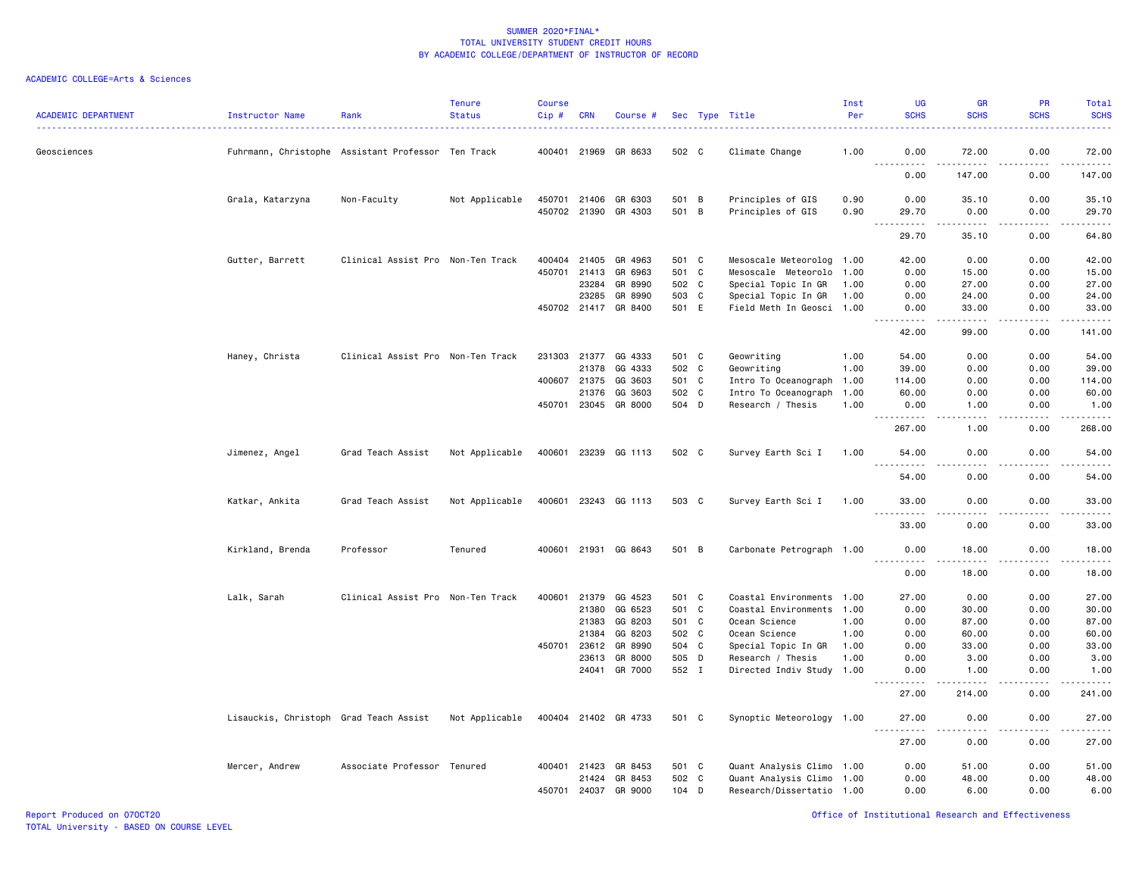| <b>ACADEMIC DEPARTMENT</b> | Instructor Name                        | Rank                                               | <b>Tenure</b><br><b>Status</b> | <b>Course</b><br>Cip# | <b>CRN</b>   | Course #             |       |              | Sec Type Title            | Inst<br>Per | UG<br><b>SCHS</b>                       | GR<br><b>SCHS</b>                                                                                                                                             | <b>PR</b><br><b>SCHS</b>                                                                                                                                     | Total<br><b>SCHS</b> |
|----------------------------|----------------------------------------|----------------------------------------------------|--------------------------------|-----------------------|--------------|----------------------|-------|--------------|---------------------------|-------------|-----------------------------------------|---------------------------------------------------------------------------------------------------------------------------------------------------------------|--------------------------------------------------------------------------------------------------------------------------------------------------------------|----------------------|
| Geosciences                |                                        | Fuhrmann, Christophe Assistant Professor Ten Track |                                |                       | 400401 21969 | GR 8633              | 502 C |              | Climate Change            | 1.00        | 0.00                                    | 72.00                                                                                                                                                         | 0.00                                                                                                                                                         | 72.00                |
|                            |                                        |                                                    |                                |                       |              |                      |       |              |                           |             | .<br>0.00                               | .<br>147.00                                                                                                                                                   | -----<br>0.00                                                                                                                                                | ------<br>147.00     |
|                            | Grala, Katarzyna                       | Non-Faculty                                        | Not Applicable                 |                       | 450701 21406 | GR 6303              | 501 B |              | Principles of GIS         | 0.90        | 0.00                                    | 35.10                                                                                                                                                         | 0.00                                                                                                                                                         | 35.10                |
|                            |                                        |                                                    |                                |                       |              | 450702 21390 GR 4303 | 501 B |              | Principles of GIS         | 0.90        | 29.70<br>.<br>$\sim$ $\sim$ $\sim$      | 0.00<br>.                                                                                                                                                     | 0.00<br>$- - - - -$                                                                                                                                          | 29.70<br>.           |
|                            |                                        |                                                    |                                |                       |              |                      |       |              |                           |             | 29.70                                   | 35.10                                                                                                                                                         | 0.00                                                                                                                                                         | 64.80                |
|                            | Gutter, Barrett                        | Clinical Assist Pro Non-Ten Track                  |                                | 400404                |              | 21405 GR 4963        | 501 C |              | Mesoscale Meteorolog 1.00 |             | 42.00                                   | 0.00                                                                                                                                                          | 0.00                                                                                                                                                         | 42.00                |
|                            |                                        |                                                    |                                | 450701                | 21413        | GR 6963              | 501   | $\mathbf{C}$ | Mesoscale Meteorolo       | 1.00        | 0.00                                    | 15.00                                                                                                                                                         | 0.00                                                                                                                                                         | 15.00                |
|                            |                                        |                                                    |                                |                       | 23284        | GR 8990              | 502 C |              | Special Topic In GR       | 1.00        | 0.00                                    | 27.00                                                                                                                                                         | 0.00                                                                                                                                                         | 27.00                |
|                            |                                        |                                                    |                                |                       | 23285        | GR 8990              | 503 C |              | Special Topic In GR       | 1.00        | 0.00                                    | 24.00                                                                                                                                                         | 0.00                                                                                                                                                         | 24.00                |
|                            |                                        |                                                    |                                |                       | 450702 21417 | GR 8400              | 501 E |              | Field Meth In Geosci 1.00 |             | 0.00<br>$- - - - -$                     | 33.00<br>$- - - - -$                                                                                                                                          | 0.00<br>.                                                                                                                                                    | 33.00<br>.           |
|                            |                                        |                                                    |                                |                       |              |                      |       |              |                           |             | 42.00                                   | 99.00                                                                                                                                                         | 0.00                                                                                                                                                         | 141.00               |
|                            | Haney, Christa                         | Clinical Assist Pro Non-Ten Track                  |                                |                       | 231303 21377 | GG 4333              | 501 C |              | Geowriting                | 1.00        | 54.00                                   | 0.00                                                                                                                                                          | 0.00                                                                                                                                                         | 54.00                |
|                            |                                        |                                                    |                                |                       | 21378        | GG 4333              | 502 C |              | Geowriting                | 1.00        | 39.00                                   | 0.00                                                                                                                                                          | 0.00                                                                                                                                                         | 39.00                |
|                            |                                        |                                                    |                                |                       | 400607 21375 | GG 3603              | 501 C |              | Intro To Oceanograph 1.00 |             | 114.00                                  | 0.00                                                                                                                                                          | 0.00                                                                                                                                                         | 114.00               |
|                            |                                        |                                                    |                                |                       | 21376        | GG 3603              | 502 C |              | Intro To Oceanograph 1.00 |             | 60.00                                   | 0.00                                                                                                                                                          | 0.00                                                                                                                                                         | 60.00                |
|                            |                                        |                                                    |                                | 450701                | 23045        | GR 8000              | 504 D |              | Research / Thesis         | 1.00        | 0.00<br>$- - - - -$                     | 1.00<br>$   -$                                                                                                                                                | 0.00                                                                                                                                                         | 1.00<br>.            |
|                            |                                        |                                                    |                                |                       |              |                      |       |              |                           |             | 267.00                                  | 1.00                                                                                                                                                          | 0.00                                                                                                                                                         | 268.00               |
|                            | Jimenez, Angel                         | Grad Teach Assist                                  | Not Applicable                 |                       |              | 400601 23239 GG 1113 | 502 C |              | Survey Earth Sci I        | 1.00        | 54.00<br><u>.</u>                       | 0.00<br>$- - -$                                                                                                                                               | 0.00<br>.                                                                                                                                                    | 54.00<br>.           |
|                            |                                        |                                                    |                                |                       |              |                      |       |              |                           |             | 54.00                                   | 0.00                                                                                                                                                          | 0.00                                                                                                                                                         | 54.00                |
|                            | Katkar, Ankita                         | Grad Teach Assist                                  | Not Applicable                 | 400601                |              | 23243 GG 1113        | 503 C |              | Survey Earth Sci I        | 1.00        | 33.00                                   | 0.00                                                                                                                                                          | 0.00                                                                                                                                                         | 33.00                |
|                            |                                        |                                                    |                                |                       |              |                      |       |              |                           |             | 33,00                                   | 0.00                                                                                                                                                          | 0.00                                                                                                                                                         | 33.00                |
|                            | Kirkland, Brenda                       | Professor                                          | Tenured                        |                       |              | 400601 21931 GG 8643 | 501 B |              | Carbonate Petrograph 1.00 |             | 0.00                                    | 18.00                                                                                                                                                         | 0.00                                                                                                                                                         | 18.00                |
|                            |                                        |                                                    |                                |                       |              |                      |       |              |                           |             | ----------<br>0.00                      | $\frac{1}{2} \left( \frac{1}{2} \right) \left( \frac{1}{2} \right) \left( \frac{1}{2} \right) \left( \frac{1}{2} \right) \left( \frac{1}{2} \right)$<br>18.00 | $\frac{1}{2} \left( \frac{1}{2} \right) \left( \frac{1}{2} \right) \left( \frac{1}{2} \right) \left( \frac{1}{2} \right) \left( \frac{1}{2} \right)$<br>0.00 | .<br>18.00           |
|                            | Lalk, Sarah                            | Clinical Assist Pro Non-Ten Track                  |                                | 400601                | 21379        | GG 4523              | 501 C |              | Coastal Environments 1.00 |             | 27.00                                   | 0.00                                                                                                                                                          | 0.00                                                                                                                                                         | 27.00                |
|                            |                                        |                                                    |                                |                       | 21380        | GG 6523              | 501 C |              | Coastal Environments      | 1.00        | 0.00                                    | 30.00                                                                                                                                                         | 0.00                                                                                                                                                         | 30.00                |
|                            |                                        |                                                    |                                |                       | 21383        | GG 8203              | 501 C |              | Ocean Science             | 1.00        | 0.00                                    | 87.00                                                                                                                                                         | 0.00                                                                                                                                                         | 87.00                |
|                            |                                        |                                                    |                                |                       | 21384        | GG 8203              | 502 C |              | Ocean Science             | 1.00        | 0.00                                    | 60.00                                                                                                                                                         | 0.00                                                                                                                                                         | 60.00                |
|                            |                                        |                                                    |                                | 450701                | 23612        | GR 8990              | 504 C |              | Special Topic In GR       | 1.00        | 0.00                                    | 33.00                                                                                                                                                         | 0.00                                                                                                                                                         | 33.00                |
|                            |                                        |                                                    |                                |                       | 23613        | GR 8000              | 505 D |              | Research / Thesis         | 1.00        | 0.00                                    | 3.00                                                                                                                                                          | 0.00                                                                                                                                                         | 3.00                 |
|                            |                                        |                                                    |                                |                       | 24041        | GR 7000              | 552 I |              | Directed Indiv Study 1.00 |             | 0.00                                    | 1.00                                                                                                                                                          | 0.00                                                                                                                                                         | 1.00<br>.            |
|                            |                                        |                                                    |                                |                       |              |                      |       |              |                           |             | 27.00                                   | 214.00                                                                                                                                                        | 0.00                                                                                                                                                         | 241.00               |
|                            | Lisauckis, Christoph Grad Teach Assist |                                                    | Not Applicable                 |                       |              | 400404 21402 GR 4733 | 501 C |              | Synoptic Meteorology 1.00 |             | 27.00<br>$\sim$ $\sim$ $\sim$<br>------ | 0.00<br>.                                                                                                                                                     | 0.00<br>.                                                                                                                                                    | 27.00<br>.           |
|                            |                                        |                                                    |                                |                       |              |                      |       |              |                           |             | 27.00                                   | 0.00                                                                                                                                                          | 0.00                                                                                                                                                         | 27.00                |
|                            | Mercer, Andrew                         | Associate Professor Tenured                        |                                |                       | 400401 21423 | GR 8453              | 501 C |              | Quant Analysis Climo 1.00 |             | 0.00                                    | 51.00                                                                                                                                                         | 0.00                                                                                                                                                         | 51.00                |
|                            |                                        |                                                    |                                |                       | 21424        | GR 8453              | 502 C |              | Quant Analysis Climo 1.00 |             | 0.00                                    | 48.00                                                                                                                                                         | 0.00                                                                                                                                                         | 48.00                |
|                            |                                        |                                                    |                                | 450701                | 24037        | GR 9000              | 104 D |              | Research/Dissertatio 1.00 |             | 0.00                                    | 6.00                                                                                                                                                          | 0.00                                                                                                                                                         | 6.00                 |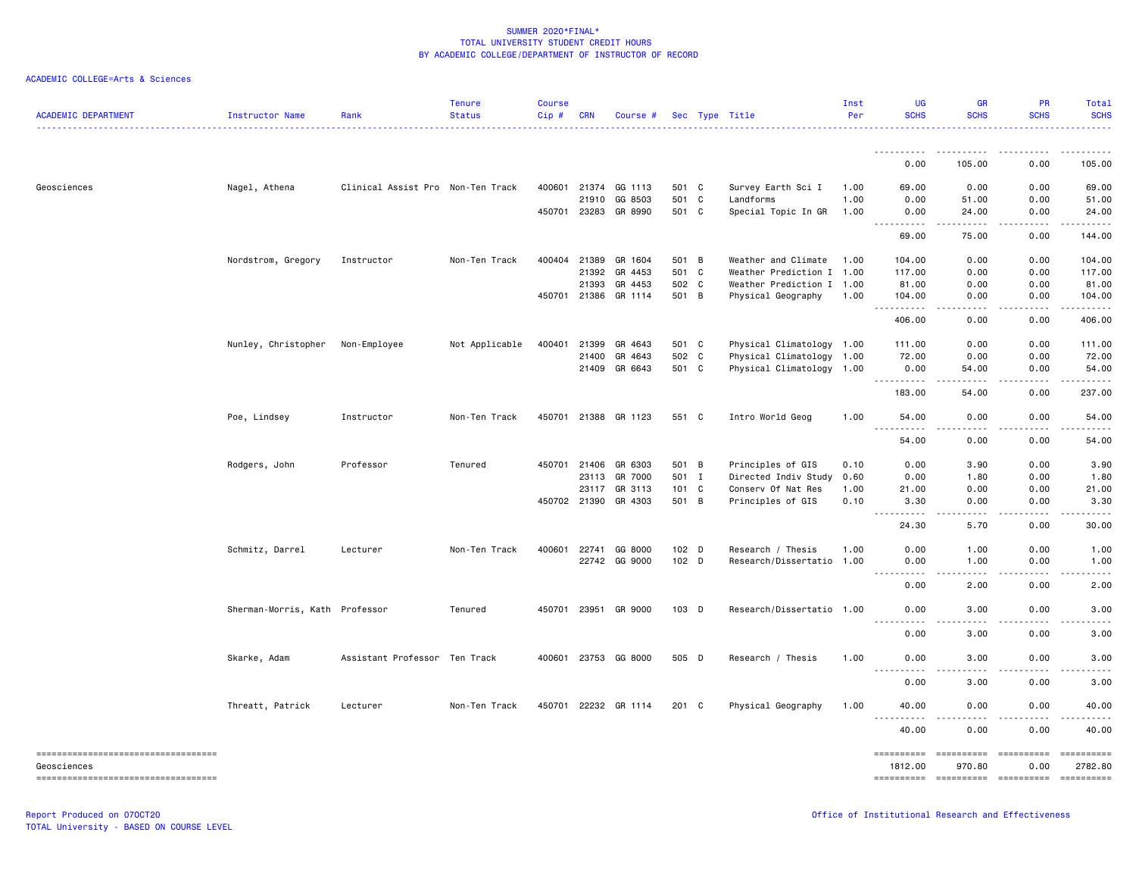| <b>ACADEMIC DEPARTMENT</b>         | Instructor Name                | Rank                              | <b>Tenure</b><br><b>Status</b> | <b>Course</b><br>Cip# | <b>CRN</b>   | Course #             |               | Sec Type Title            | Inst<br>Per | UG<br><b>SCHS</b>                                                                                            | <b>GR</b><br><b>SCHS</b>            | PR<br><b>SCHS</b>   | Total<br><b>SCHS</b> |
|------------------------------------|--------------------------------|-----------------------------------|--------------------------------|-----------------------|--------------|----------------------|---------------|---------------------------|-------------|--------------------------------------------------------------------------------------------------------------|-------------------------------------|---------------------|----------------------|
|                                    |                                |                                   |                                |                       |              |                      |               |                           |             | ----------                                                                                                   | .                                   |                     | .                    |
|                                    |                                |                                   |                                |                       |              |                      |               |                           |             | 0.00                                                                                                         | 105.00                              | 0.00                | 105.00               |
| Geosciences                        | Nagel, Athena                  | Clinical Assist Pro Non-Ten Track |                                |                       | 400601 21374 | GG 1113              | 501 C         | Survey Earth Sci I        | 1.00        | 69.00                                                                                                        | 0.00                                | 0.00                | 69.00                |
|                                    |                                |                                   |                                |                       | 21910        | GG 8503              | 501 C         | Landforms                 | 1.00        | 0.00                                                                                                         | 51.00                               | 0.00                | 51.00                |
|                                    |                                |                                   |                                | 450701 23283          |              | GR 8990              | 501 C         | Special Topic In GR       | 1.00        | 0.00<br>$\sim$ $\sim$ $\sim$ $\sim$                                                                          | 24.00                               | 0.00                | 24.00                |
|                                    |                                |                                   |                                |                       |              |                      |               |                           |             | 69.00                                                                                                        | 75.00                               | 0.00                | 144.00               |
|                                    | Nordstrom, Gregory             | Instructor                        | Non-Ten Track                  |                       | 400404 21389 | GR 1604              | 501 B         | Weather and Climate       | 1.00        | 104.00                                                                                                       | 0.00                                | 0.00                | 104.00               |
|                                    |                                |                                   |                                |                       | 21392        | GR 4453              | 501 C         | Weather Prediction I      | 1.00        | 117.00                                                                                                       | 0.00                                | 0.00                | 117.00               |
|                                    |                                |                                   |                                |                       | 21393        | GR 4453              | 502 C         | Weather Prediction I 1.00 |             | 81.00                                                                                                        | 0.00                                | 0.00                | 81.00                |
|                                    |                                |                                   |                                | 450701 21386          |              | GR 1114              | 501 B         | Physical Geography        | 1.00        | 104.00<br>$\sim$ $\sim$ $\sim$<br>.                                                                          | 0.00                                | 0.00                | 104.00<br>المستسما   |
|                                    |                                |                                   |                                |                       |              |                      |               |                           |             | 406.00                                                                                                       | 0.00                                | 0.00                | 406.00               |
|                                    | Nunley, Christopher            | Non-Employee                      | Not Applicable                 | 400401                | 21399        | GR 4643              | 501 C         | Physical Climatology 1.00 |             | 111.00                                                                                                       | 0.00                                | 0.00                | 111.00               |
|                                    |                                |                                   |                                |                       | 21400        | GR 4643              | 502 C         | Physical Climatology 1.00 |             | 72.00                                                                                                        | 0.00                                | 0.00                | 72.00                |
|                                    |                                |                                   |                                |                       | 21409        | GR 6643              | 501 C         | Physical Climatology 1.00 |             | 0.00<br>.                                                                                                    | 54.00<br>.                          | 0.00<br>.           | 54.00<br>.           |
|                                    |                                |                                   |                                |                       |              |                      |               |                           |             | 183.00                                                                                                       | 54.00                               | 0.00                | 237.00               |
|                                    | Poe, Lindsey                   | Instructor                        | Non-Ten Track                  |                       |              | 450701 21388 GR 1123 | 551 C         | Intro World Geog          | 1.00        | 54.00<br>.<br>$\frac{1}{2} \left( \frac{1}{2} \right) \left( \frac{1}{2} \right) \left( \frac{1}{2} \right)$ | 0.00<br>.                           | 0.00<br>-----       | 54.00<br>.           |
|                                    |                                |                                   |                                |                       |              |                      |               |                           |             | 54.00                                                                                                        | 0.00                                | 0.00                | 54.00                |
|                                    | Rodgers, John                  | Professor                         | Tenured                        | 450701                | 21406        | GR 6303              | 501 B         | Principles of GIS         | 0.10        | 0.00                                                                                                         | 3.90                                | 0.00                | 3.90                 |
|                                    |                                |                                   |                                |                       | 23113        | GR 7000              | 501 I         | Directed Indiv Study      | 0.60        | 0.00                                                                                                         | 1.80                                | 0.00                | 1.80                 |
|                                    |                                |                                   |                                |                       | 23117        | GR 3113              | $101 \quad C$ | Conserv Of Nat Res        | 1.00        | 21.00                                                                                                        | 0.00                                | 0.00                | 21.00                |
|                                    |                                |                                   |                                | 450702 21390          |              | GR 4303              | 501 B         | Principles of GIS         | 0.10        | 3.30<br>22222                                                                                                | 0.00<br>$\sim$ $\sim$ $\sim$ $\sim$ | 0.00<br>.           | 3.30<br>.            |
|                                    |                                |                                   |                                |                       |              |                      |               |                           |             | 24.30                                                                                                        | 5.70                                | 0.00                | 30.00                |
|                                    | Schmitz, Darrel                | Lecturer                          | Non-Ten Track                  | 400601                | 22741        | GG 8000              | 102 D         | Research / Thesis         | 1.00        | 0.00                                                                                                         | 1.00                                | 0.00                | 1.00                 |
|                                    |                                |                                   |                                |                       |              | 22742 GG 9000        | 102 D         | Research/Dissertatio      | 1.00        | 0.00                                                                                                         | 1.00                                | 0.00                | 1.00                 |
|                                    |                                |                                   |                                |                       |              |                      |               |                           |             | $- - -$<br>0.00                                                                                              | 2.00                                | 0.00                | 2.00                 |
|                                    | Sherman-Morris, Kath Professor |                                   | Tenured                        |                       |              | 450701 23951 GR 9000 | 103 D         | Research/Dissertatio 1.00 |             | 0.00                                                                                                         | 3.00                                | 0.00                | 3.00                 |
|                                    |                                |                                   |                                |                       |              |                      |               |                           |             | .<br>$\frac{1}{2}$<br>0.00                                                                                   | .<br>3.00                           | .<br>0.00           | .<br>3.00            |
|                                    | Skarke, Adam                   | Assistant Professor Ten Track     |                                | 400601                |              | 23753 GG 8000        | 505 D         | Research / Thesis         | 1.00        | 0.00                                                                                                         | 3.00                                | 0.00                | 3.00                 |
|                                    |                                |                                   |                                |                       |              |                      |               |                           |             | $\sim$ $\sim$ $\sim$<br>0.00                                                                                 | 3.00                                | 0.00                | 3.00                 |
|                                    | Threatt, Patrick               | Lecturer                          | Non-Ten Track                  |                       |              | 450701 22232 GR 1114 | 201 C         | Physical Geography        | 1.00        | 40.00                                                                                                        | 0.00                                | 0.00                | 40.00                |
|                                    |                                |                                   |                                |                       |              |                      |               |                           |             | <u>.</u><br>40.00                                                                                            | .<br>0.00                           | $- - - - -$<br>0.00 | <u>.</u><br>40.00    |
| ---------------------------------- |                                |                                   |                                |                       |              |                      |               |                           |             | ==========                                                                                                   | ==========                          | ==========          | $=$ ==========       |
| Geosciences                        |                                |                                   |                                |                       |              |                      |               |                           |             | 1812.00                                                                                                      | 970.80                              | 0.00                | 2782.80              |
| ---------------------------------- |                                |                                   |                                |                       |              |                      |               |                           |             | ==========                                                                                                   |                                     |                     | ==========           |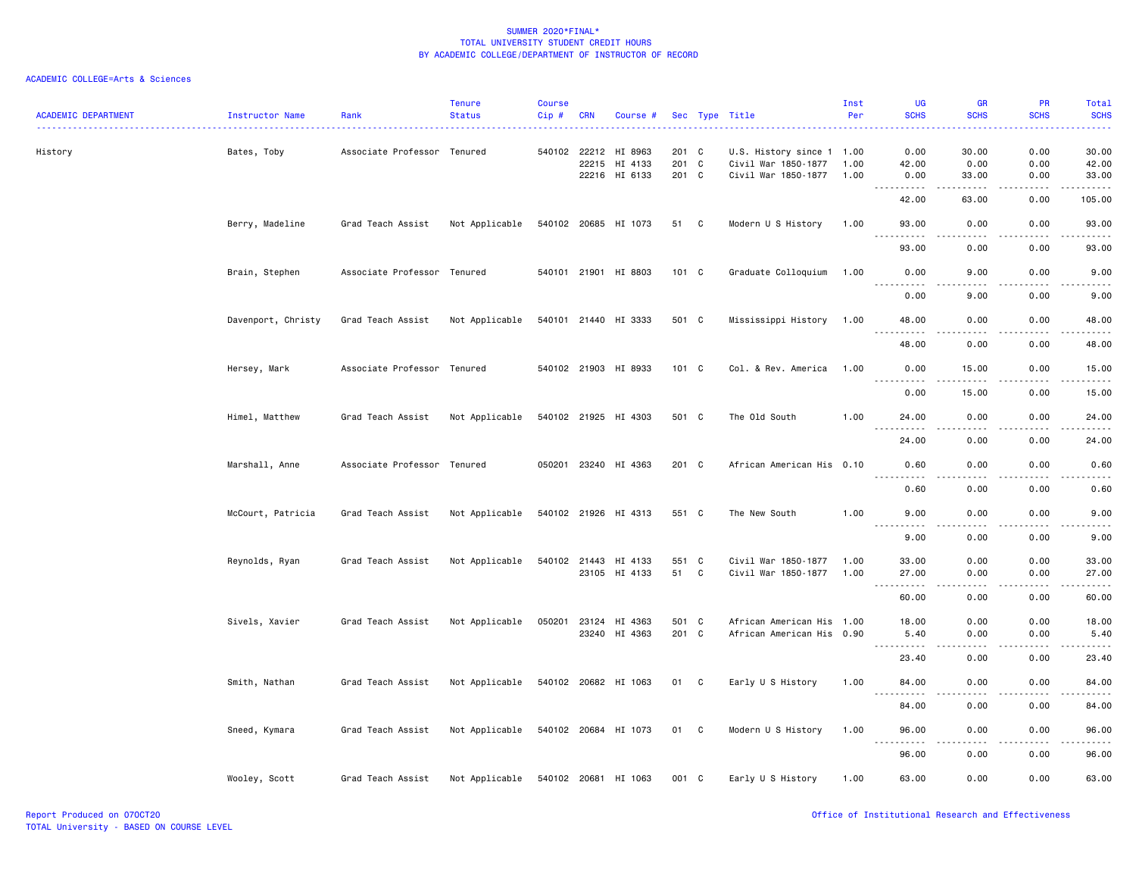| <b>ACADEMIC DEPARTMENT</b> | Instructor Name    | Rank                        | <b>Tenure</b><br><b>Status</b> | Course<br>Cip# | <b>CRN</b> | Course #                                         |                         |   | Sec Type Title                                                          | Inst<br>Per  | UG<br><b>SCHS</b>                              | <b>GR</b><br><b>SCHS</b> | PR<br><b>SCHS</b>     | Total<br><b>SCHS</b>                                                                                                                                         |
|----------------------------|--------------------|-----------------------------|--------------------------------|----------------|------------|--------------------------------------------------|-------------------------|---|-------------------------------------------------------------------------|--------------|------------------------------------------------|--------------------------|-----------------------|--------------------------------------------------------------------------------------------------------------------------------------------------------------|
| History                    | Bates, Toby        | Associate Professor Tenured |                                |                | 22215      | 540102 22212 HI 8963<br>HI 4133<br>22216 HI 6133 | 201 C<br>201 C<br>201 C |   | U.S. History since 1 1.00<br>Civil War 1850-1877<br>Civil War 1850-1877 | 1.00<br>1.00 | 0.00<br>42.00<br>0.00                          | 30.00<br>0.00<br>33.00   | 0.00<br>0.00<br>0.00  | 30.00<br>42.00<br>33.00                                                                                                                                      |
|                            |                    |                             |                                |                |            |                                                  |                         |   |                                                                         |              | <u>.</u><br>42.00                              | .<br>63.00               | 2.2.2.2.2<br>0.00     | <u>.</u><br>105.00                                                                                                                                           |
|                            | Berry, Madeline    | Grad Teach Assist           | Not Applicable                 |                |            | 540102 20685 HI 1073                             | 51 C                    |   | Modern U S History                                                      | 1.00         | 93.00                                          | 0.00                     | 0.00                  | 93.00                                                                                                                                                        |
|                            |                    |                             |                                |                |            |                                                  |                         |   |                                                                         |              | 93.00                                          | 0.00                     | 0.00                  | 93.00                                                                                                                                                        |
|                            | Brain, Stephen     | Associate Professor Tenured |                                |                |            | 540101 21901 HI 8803                             | 101 C                   |   | Graduate Colloquium                                                     | 1.00         | 0.00                                           | 9.00                     | 0.00                  | 9.00                                                                                                                                                         |
|                            |                    |                             |                                |                |            |                                                  |                         |   |                                                                         |              | .<br>0.00                                      | 9.00                     | 0.00                  | 9.00                                                                                                                                                         |
|                            | Davenport, Christy | Grad Teach Assist           | Not Applicable                 |                |            | 540101 21440 HI 3333                             | 501 C                   |   | Mississippi History 1.00                                                |              | 48.00<br><u>.</u>                              | 0.00<br>.                | 0.00<br>.             | 48.00<br>.                                                                                                                                                   |
|                            |                    |                             |                                |                |            |                                                  |                         |   |                                                                         |              | 48.00                                          | 0.00                     | 0.00                  | 48.00                                                                                                                                                        |
|                            | Hersey, Mark       | Associate Professor Tenured |                                |                |            | 540102 21903 HI 8933                             | 101 C                   |   | Col. & Rev. America                                                     | 1.00         | 0.00<br>.                                      | 15.00<br>$\frac{1}{2}$   | 0.00<br>$- - - - -$   | 15.00<br>.                                                                                                                                                   |
|                            |                    |                             |                                |                |            |                                                  |                         |   |                                                                         |              | 0.00                                           | 15.00                    | 0.00                  | 15.00                                                                                                                                                        |
|                            | Himel, Matthew     | Grad Teach Assist           | Not Applicable                 |                |            | 540102 21925 HI 4303                             | 501 C                   |   | The Old South                                                           | 1.00         | 24.00<br>.                                     | 0.00<br>----             | 0.00<br>.             | 24.00<br>.                                                                                                                                                   |
|                            |                    |                             |                                |                |            |                                                  |                         |   |                                                                         |              | 24.00                                          | 0.00                     | 0.00                  | 24.00                                                                                                                                                        |
|                            | Marshall, Anne     | Associate Professor Tenured |                                |                |            | 050201 23240 HI 4363                             | 201 C                   |   | African American His 0.10                                               |              | 0.60<br><u>.</u>                               | 0.00<br>.                | 0.00                  | 0.60<br>$\frac{1}{2} \left( \frac{1}{2} \right) \left( \frac{1}{2} \right) \left( \frac{1}{2} \right) \left( \frac{1}{2} \right) \left( \frac{1}{2} \right)$ |
|                            |                    |                             |                                |                |            |                                                  |                         |   |                                                                         |              | 0.60                                           | 0.00                     | 0.00                  | 0.60                                                                                                                                                         |
|                            | McCourt, Patricia  | Grad Teach Assist           | Not Applicable                 |                |            | 540102 21926 HI 4313                             | 551 C                   |   | The New South                                                           | 1.00         | 9.00<br>.                                      | 0.00<br>$\frac{1}{2}$    | 0.00<br>$\frac{1}{2}$ | 9.00<br>$\frac{1}{2}$                                                                                                                                        |
|                            |                    |                             |                                |                |            |                                                  |                         |   |                                                                         |              | 9.00                                           | 0.00                     | 0.00                  | 9.00                                                                                                                                                         |
|                            | Reynolds, Ryan     | Grad Teach Assist           | Not Applicable                 |                |            | 540102 21443 HI 4133<br>23105 HI 4133            | 551 C<br>51             | C | Civil War 1850-1877<br>Civil War 1850-1877                              | 1.00<br>1.00 | 33.00<br>27.00                                 | 0.00<br>0.00             | 0.00<br>0.00          | 33.00<br>27.00                                                                                                                                               |
|                            |                    |                             |                                |                |            |                                                  |                         |   |                                                                         |              | .<br>60.00                                     | $- - - -$<br>0.00        | .<br>0.00             | $\frac{1}{2}$<br>60.00                                                                                                                                       |
|                            | Sivels, Xavier     | Grad Teach Assist           | Not Applicable                 |                |            | 050201 23124 HI 4363<br>23240 HI 4363            | 501 C<br>201 C          |   | African American His 1.00<br>African American His 0.90                  |              | 18.00<br>5.40                                  | 0.00<br>0.00             | 0.00<br>0.00          | 18.00<br>5.40                                                                                                                                                |
|                            |                    |                             |                                |                |            |                                                  |                         |   |                                                                         |              | $\sim$ $\sim$ $\sim$<br>23.40                  | 0.00                     | 0.00                  | 23.40                                                                                                                                                        |
|                            | Smith, Nathan      | Grad Teach Assist           | Not Applicable                 |                |            | 540102 20682 HI 1063                             | 01 C                    |   | Early U S History                                                       | 1.00         | 84.00                                          | 0.00                     | 0.00                  | 84.00                                                                                                                                                        |
|                            |                    |                             |                                |                |            |                                                  |                         |   |                                                                         |              | .<br>84.00                                     | $  -$<br>0.00            | .<br>0.00             | .<br>84.00                                                                                                                                                   |
|                            | Sneed, Kymara      | Grad Teach Assist           | Not Applicable                 |                |            | 540102 20684 HI 1073                             | 01 C                    |   | Modern U S History                                                      | 1.00         | 96.00                                          | 0.00                     | 0.00                  | 96.00                                                                                                                                                        |
|                            |                    |                             |                                |                |            |                                                  |                         |   |                                                                         |              | $\sim$ $\sim$ $\sim$<br>$\frac{1}{2}$<br>96.00 | ----<br>0.00             | .<br>0.00             | .<br>96.00                                                                                                                                                   |
|                            | Wooley, Scott      | Grad Teach Assist           | Not Applicable                 |                |            | 540102 20681 HI 1063                             | 001 C                   |   | Early U S History                                                       | 1.00         | 63.00                                          | 0.00                     | 0.00                  | 63.00                                                                                                                                                        |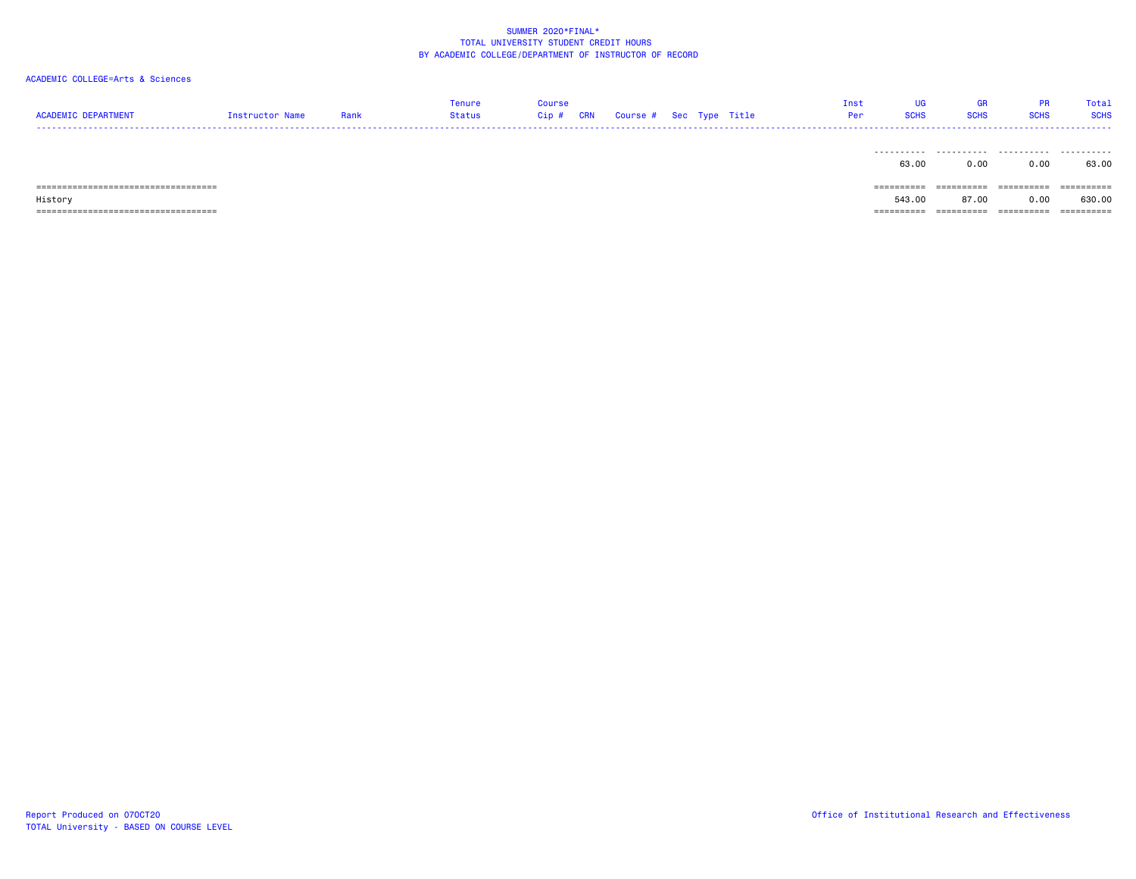# ACADEMIC COLLEGE=Arts & Sciences

| <b>ACADEMIC DEPARTMENT</b>                       | Instructor Name | Rank | Tenure<br><b>Status</b> | <b>Course</b><br>$Cip$ # | CRN | Course # Sec Type Title |  | Inst<br>Per | UG<br><b>SCHS</b>    | GR<br><b>SCHS</b>   | <b>PR</b><br><b>SCHS</b> | Total<br><b>SCHS</b> |
|--------------------------------------------------|-----------------|------|-------------------------|--------------------------|-----|-------------------------|--|-------------|----------------------|---------------------|--------------------------|----------------------|
|                                                  |                 |      |                         |                          |     |                         |  |             | 63.00                | 0.00                | 0.00                     | 63.00                |
| =====================================<br>History |                 |      |                         |                          |     |                         |  |             | ==========<br>543.00 | ==========<br>87.00 | ==========<br>0.00       | ==========<br>630.00 |

=================================== ========== ========== ========== ==========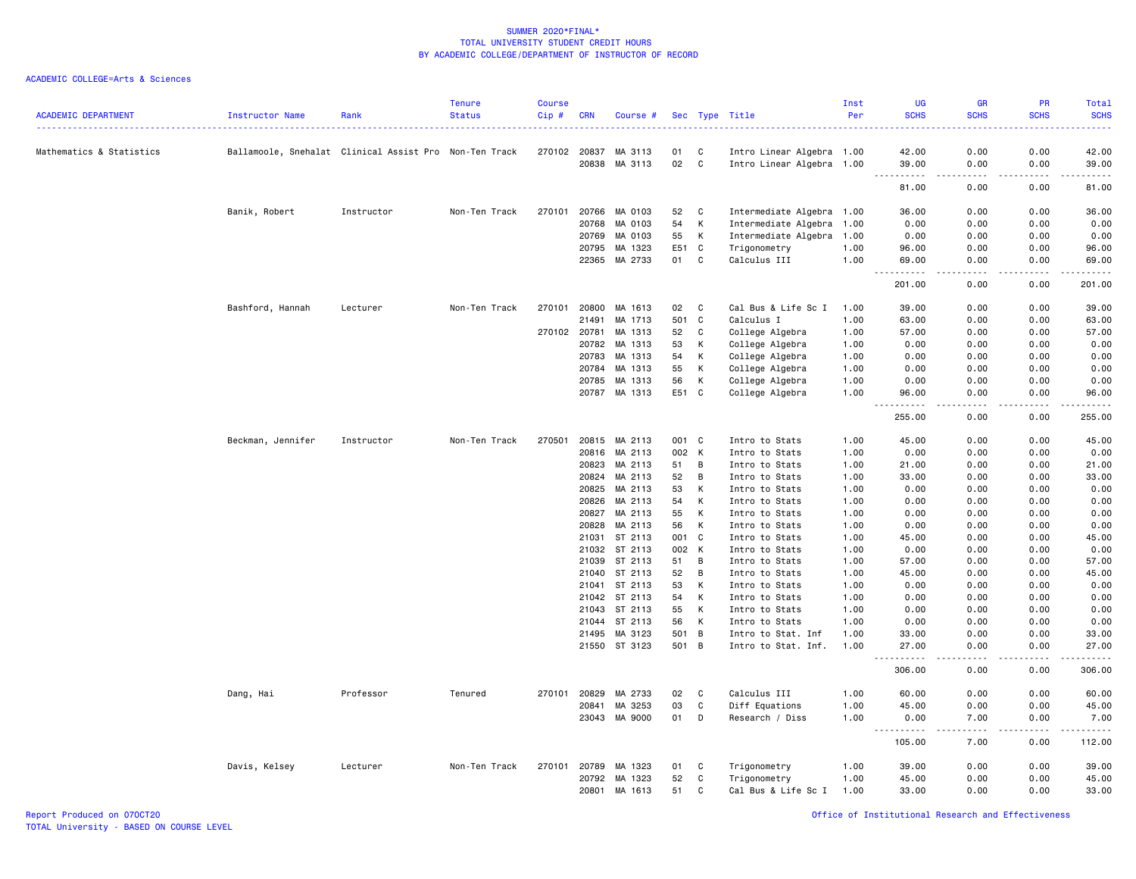| <b>ACADEMIC DEPARTMENT</b> | Instructor Name                                        | Rank       | <b>Tenure</b><br><b>Status</b> | Course<br>Cip# | <b>CRN</b>   | Course #                 |          |                | Sec Type Title                   | Inst<br>Per  | <b>UG</b><br><b>SCHS</b>                                                                                                                                                        | <b>GR</b><br><b>SCHS</b> | PR<br><b>SCHS</b>  | <b>Total</b><br><b>SCHS</b><br>$\frac{1}{2} \left( \frac{1}{2} \right) \left( \frac{1}{2} \right) \left( \frac{1}{2} \right) \left( \frac{1}{2} \right)$ |
|----------------------------|--------------------------------------------------------|------------|--------------------------------|----------------|--------------|--------------------------|----------|----------------|----------------------------------|--------------|---------------------------------------------------------------------------------------------------------------------------------------------------------------------------------|--------------------------|--------------------|----------------------------------------------------------------------------------------------------------------------------------------------------------|
| Mathematics & Statistics   | Ballamoole, Snehalat Clinical Assist Pro Non-Ten Track |            |                                |                | 270102 20837 | MA 3113                  | 01       | C              | Intro Linear Algebra 1.00        |              | 42.00                                                                                                                                                                           | 0.00                     | 0.00               | 42.00                                                                                                                                                    |
|                            |                                                        |            |                                |                | 20838        | MA 3113                  | 02       | C              | Intro Linear Algebra 1.00        |              | 39.00                                                                                                                                                                           | 0.00                     | 0.00<br>.          | 39.00<br>$\frac{1}{2}$                                                                                                                                   |
|                            |                                                        |            |                                |                |              |                          |          |                |                                  |              | .<br>81.00                                                                                                                                                                      | $- - - -$<br>0.00        | 0.00               | 81.00                                                                                                                                                    |
|                            | Banik, Robert                                          | Instructor | Non-Ten Track                  | 270101         | 20766        | MA 0103                  | 52       | C              | Intermediate Algebra 1.00        |              | 36.00                                                                                                                                                                           | 0.00                     | 0.00               | 36.00                                                                                                                                                    |
|                            |                                                        |            |                                |                | 20768        | MA 0103                  | 54       | Κ              | Intermediate Algebra             | 1.00         | 0.00                                                                                                                                                                            | 0.00                     | 0.00               | 0.00                                                                                                                                                     |
|                            |                                                        |            |                                |                | 20769        | MA 0103                  | 55       | Κ              | Intermediate Algebra             | 1.00         | 0.00                                                                                                                                                                            | 0.00                     | 0.00               | 0.00                                                                                                                                                     |
|                            |                                                        |            |                                |                | 20795        | MA 1323                  | E51      | C              | Trigonometry                     | 1.00         | 96.00                                                                                                                                                                           | 0.00                     | 0.00               | 96.00                                                                                                                                                    |
|                            |                                                        |            |                                |                | 22365        | MA 2733                  | 01       | $\mathbb{C}$   | Calculus III                     | 1.00         | 69.00                                                                                                                                                                           | 0.00                     | 0.00               | 69.00<br>.                                                                                                                                               |
|                            |                                                        |            |                                |                |              |                          |          |                |                                  |              | $\frac{1}{2} \left( \frac{1}{2} \right) \left( \frac{1}{2} \right) \left( \frac{1}{2} \right) \left( \frac{1}{2} \right) \left( \frac{1}{2} \right)$<br>201.00                  | $- - -$<br>0.00          | .<br>0.00          | 201.00                                                                                                                                                   |
|                            | Bashford, Hannah                                       | Lecturer   | Non-Ten Track                  | 270101         | 20800        | MA 1613                  | 02       | C              | Cal Bus & Life Sc I              | 1.00         | 39.00                                                                                                                                                                           | 0.00                     | 0.00               | 39.00                                                                                                                                                    |
|                            |                                                        |            |                                |                | 21491        | MA 1713                  | 501      | C              | Calculus I                       | 1.00         | 63.00                                                                                                                                                                           | 0.00                     | 0.00               | 63.00                                                                                                                                                    |
|                            |                                                        |            |                                | 270102         | 20781        | MA 1313                  | 52       | C              | College Algebra                  | 1.00         | 57.00                                                                                                                                                                           | 0.00                     | 0.00               | 57.00                                                                                                                                                    |
|                            |                                                        |            |                                |                | 20782        | MA 1313                  | 53       | K              | College Algebra                  | 1.00         | 0.00                                                                                                                                                                            | 0.00                     | 0.00               | 0.00                                                                                                                                                     |
|                            |                                                        |            |                                |                | 20783        | MA 1313                  | 54       | К              | College Algebra                  | 1.00         | 0.00                                                                                                                                                                            | 0.00                     | 0.00               | 0.00                                                                                                                                                     |
|                            |                                                        |            |                                |                | 20784        | MA 1313                  | 55       | К              | College Algebra                  | 1.00         | 0.00                                                                                                                                                                            | 0.00                     | 0.00               | 0.00                                                                                                                                                     |
|                            |                                                        |            |                                |                | 20785        | MA 1313                  | 56       | Κ              | College Algebra                  | 1.00         | 0.00                                                                                                                                                                            | 0.00                     | 0.00               | 0.00                                                                                                                                                     |
|                            |                                                        |            |                                |                | 20787        | MA 1313                  | E51      | C              | College Algebra                  | 1.00         | 96.00<br>$\sim$ $\sim$<br>.                                                                                                                                                     | 0.00<br>$- - - -$        | 0.00<br>.          | 96.00<br>.                                                                                                                                               |
|                            |                                                        |            |                                |                |              |                          |          |                |                                  |              | 255.00                                                                                                                                                                          | 0.00                     | 0.00               | 255.00                                                                                                                                                   |
|                            | Beckman, Jennifer                                      | Instructor | Non-Ten Track                  | 270501         | 20815        | MA 2113                  | 001      | C              | Intro to Stats                   | 1.00         | 45.00                                                                                                                                                                           | 0.00                     | 0.00               | 45.00                                                                                                                                                    |
|                            |                                                        |            |                                |                | 20816        | MA 2113                  | 002      | K              | Intro to Stats                   | 1.00         | 0.00                                                                                                                                                                            | 0.00                     | 0.00               | 0.00                                                                                                                                                     |
|                            |                                                        |            |                                |                | 20823        | MA 2113                  | 51       | B              | Intro to Stats                   | 1.00         | 21.00                                                                                                                                                                           | 0.00                     | 0.00               | 21.00                                                                                                                                                    |
|                            |                                                        |            |                                |                | 20824        | MA 2113                  | 52       | B              | Intro to Stats                   | 1.00         | 33.00                                                                                                                                                                           | 0.00                     | 0.00               | 33.00                                                                                                                                                    |
|                            |                                                        |            |                                |                | 20825        | MA 2113                  | 53       | К              | Intro to Stats                   | 1.00         | 0.00                                                                                                                                                                            | 0.00                     | 0.00               | 0.00                                                                                                                                                     |
|                            |                                                        |            |                                |                | 20826        | MA 2113                  | 54       | К              | Intro to Stats                   | 1.00         | 0.00                                                                                                                                                                            | 0.00                     | 0.00               | 0.00                                                                                                                                                     |
|                            |                                                        |            |                                |                | 20827        | MA 2113                  | 55       | К              | Intro to Stats                   | 1.00         | 0.00                                                                                                                                                                            | 0.00                     | 0.00               | 0.00                                                                                                                                                     |
|                            |                                                        |            |                                |                | 20828        | MA 2113                  | 56       | К              | Intro to Stats                   | 1.00         | 0.00                                                                                                                                                                            | 0.00                     | 0.00               | 0.00                                                                                                                                                     |
|                            |                                                        |            |                                |                |              | 21031 ST 2113            | 001      | C              | Intro to Stats                   | 1.00         | 45.00                                                                                                                                                                           | 0.00                     | 0.00               | 45.00                                                                                                                                                    |
|                            |                                                        |            |                                |                | 21032        | ST 2113                  | 002 K    |                | Intro to Stats                   | 1.00         | 0.00                                                                                                                                                                            | 0.00                     | 0.00               | 0.00                                                                                                                                                     |
|                            |                                                        |            |                                |                | 21039        | ST 2113                  | 51       | B              | Intro to Stats                   | 1.00         | 57.00                                                                                                                                                                           | 0.00                     | 0.00               | 57.00                                                                                                                                                    |
|                            |                                                        |            |                                |                | 21040        | ST 2113                  | 52       | B              | Intro to Stats                   | 1.00         | 45.00                                                                                                                                                                           | 0.00                     | 0.00               | 45.00                                                                                                                                                    |
|                            |                                                        |            |                                |                | 21041        | ST 2113<br>21042 ST 2113 | 53<br>54 | К<br>К         | Intro to Stats                   | 1.00         | 0.00<br>0.00                                                                                                                                                                    | 0.00<br>0.00             | 0.00<br>0.00       | 0.00<br>0.00                                                                                                                                             |
|                            |                                                        |            |                                |                | 21043        | ST 2113                  | 55       | К              | Intro to Stats<br>Intro to Stats | 1.00<br>1.00 | 0.00                                                                                                                                                                            | 0.00                     | 0.00               | 0.00                                                                                                                                                     |
|                            |                                                        |            |                                |                | 21044        | ST 2113                  | 56       | К              | Intro to Stats                   | 1.00         | 0.00                                                                                                                                                                            | 0.00                     | 0.00               | 0.00                                                                                                                                                     |
|                            |                                                        |            |                                |                | 21495        | MA 3123                  | 501      | B              | Intro to Stat. Inf               | 1.00         | 33.00                                                                                                                                                                           | 0.00                     | 0.00               | 33.00                                                                                                                                                    |
|                            |                                                        |            |                                |                | 21550        | ST 3123                  | 501      | $\overline{B}$ | Intro to Stat. Inf.              | 1.00         | 27.00                                                                                                                                                                           | 0.00                     | 0.00               | 27.00                                                                                                                                                    |
|                            |                                                        |            |                                |                |              |                          |          |                |                                  |              | .<br>$  -$<br>306.00                                                                                                                                                            | .<br>0.00                | . <b>.</b><br>0.00 | .<br>306.00                                                                                                                                              |
|                            | Dang, Hai                                              | Professor  | Tenured                        | 270101         | 20829        | MA 2733                  | 02       | C              | Calculus III                     | 1.00         | 60.00                                                                                                                                                                           | 0.00                     | 0.00               | 60.00                                                                                                                                                    |
|                            |                                                        |            |                                |                | 20841        | MA 3253                  | 03       | C              | Diff Equations                   | 1.00         | 45.00                                                                                                                                                                           | 0.00                     | 0.00               | 45.00                                                                                                                                                    |
|                            |                                                        |            |                                |                |              | 23043 MA 9000            | 01       | D              | Research / Diss                  | 1.00         | 0.00                                                                                                                                                                            | 7.00                     | 0.00               | 7.00                                                                                                                                                     |
|                            |                                                        |            |                                |                |              |                          |          |                |                                  |              | $\sim$ $\sim$<br>$\frac{1}{2} \left( \frac{1}{2} \right) \left( \frac{1}{2} \right) \left( \frac{1}{2} \right) \left( \frac{1}{2} \right) \left( \frac{1}{2} \right)$<br>105.00 | $- - -$<br>7.00          | .<br>0.00          | <u>.</u><br>112.00                                                                                                                                       |
|                            | Davis, Kelsey                                          | Lecturer   | Non-Ten Track                  | 270101         | 20789        | MA 1323                  | 01       | C              | Trigonometry                     | 1.00         | 39.00                                                                                                                                                                           | 0.00                     | 0.00               | 39.00                                                                                                                                                    |
|                            |                                                        |            |                                |                | 20792        | MA 1323                  | 52       | C              | Trigonometry                     | 1.00         | 45.00                                                                                                                                                                           | 0.00                     | 0.00               | 45.00                                                                                                                                                    |
|                            |                                                        |            |                                |                | 20801        | MA 1613                  | 51       | C              | Cal Bus & Life Sc I              | 1.00         | 33.00                                                                                                                                                                           | 0.00                     | 0.00               | 33.00                                                                                                                                                    |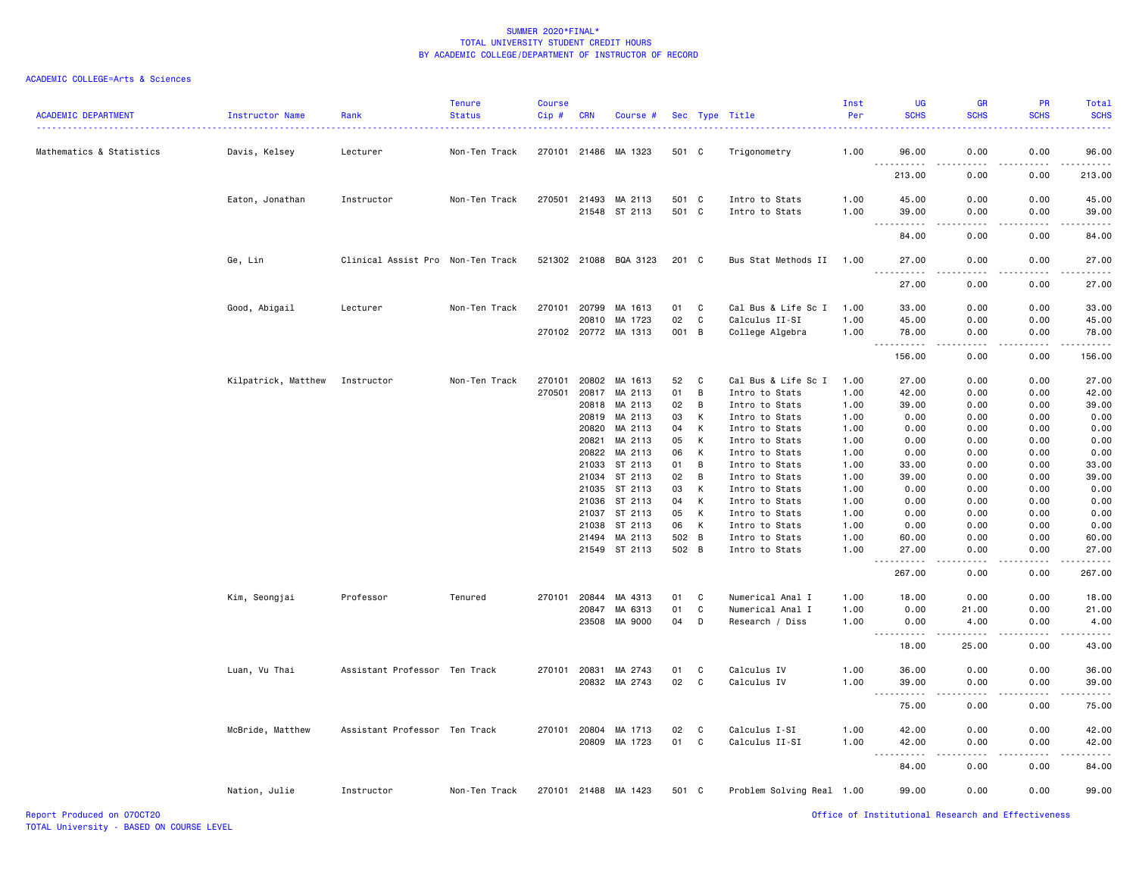| <b>ACADEMIC DEPARTMENT</b> | Instructor Name     | Rank                              | <b>Tenure</b><br><b>Status</b> | <b>Course</b><br>Cip# | <b>CRN</b> | Course #              |       |                | Sec Type Title            | Inst<br>Per<br><u> - - - - - - - - -</u> | <b>UG</b><br><b>SCHS</b>           | <b>GR</b><br><b>SCHS</b>     | <b>PR</b><br><b>SCHS</b> | Total<br><b>SCHS</b><br>. |
|----------------------------|---------------------|-----------------------------------|--------------------------------|-----------------------|------------|-----------------------|-------|----------------|---------------------------|------------------------------------------|------------------------------------|------------------------------|--------------------------|---------------------------|
| Mathematics & Statistics   | Davis, Kelsey       | Lecturer                          | Non-Ten Track                  |                       |            | 270101 21486 MA 1323  | 501 C |                | Trigonometry              | 1.00                                     | 96.00                              | 0.00                         | 0.00                     | 96.00                     |
|                            |                     |                                   |                                |                       |            |                       |       |                |                           |                                          | $ -$<br>.<br>213.00                | 0.00                         | 0.00                     | .<br>213.00               |
|                            | Eaton, Jonathan     | Instructor                        | Non-Ten Track                  | 270501                | 21493      | MA 2113               | 501 C |                | Intro to Stats            | 1.00                                     | 45.00                              | 0.00                         | 0.00                     | 45.00                     |
|                            |                     |                                   |                                |                       |            | 21548 ST 2113         | 501 C |                | Intro to Stats            | 1.00                                     | 39.00<br>$\sim$ $\sim$ $\sim$<br>. | 0.00<br>$\sim$ $\sim$ $\sim$ | 0.00                     | 39.00<br>والمناصبات       |
|                            |                     |                                   |                                |                       |            |                       |       |                |                           |                                          | 84.00                              | 0.00                         | 0.00                     | 84.00                     |
|                            | Ge, Lin             | Clinical Assist Pro Non-Ten Track |                                |                       |            | 521302 21088 BQA 3123 | 201 C |                | Bus Stat Methods II 1.00  |                                          | 27.00                              | 0.00<br>----                 | 0.00                     | 27.00<br>والمناصبات       |
|                            |                     |                                   |                                |                       |            |                       |       |                |                           |                                          | 27.00                              | 0.00                         | 0.00                     | 27.00                     |
|                            | Good, Abigail       | Lecturer                          | Non-Ten Track                  | 270101                | 20799      | MA 1613               | 01    | C              | Cal Bus & Life Sc I       | 1.00                                     | 33.00                              | 0.00                         | 0.00                     | 33.00                     |
|                            |                     |                                   |                                |                       | 20810      | MA 1723               | 02    | C              | Calculus II-SI            | 1.00                                     | 45.00                              | 0.00                         | 0.00                     | 45.00                     |
|                            |                     |                                   |                                |                       |            | 270102 20772 MA 1313  | 001   | $\overline{B}$ | College Algebra           | 1.00                                     | 78.00                              | 0.00                         | 0.00                     | 78.00<br>.                |
|                            |                     |                                   |                                |                       |            |                       |       |                |                           |                                          | 156.00                             | 0.00                         | 0.00                     | 156.00                    |
|                            | Kilpatrick, Matthew | Instructor                        | Non-Ten Track                  | 270101                | 20802      | MA 1613               | 52    | C              | Cal Bus & Life Sc I       | 1.00                                     | 27.00                              | 0.00                         | 0.00                     | 27.00                     |
|                            |                     |                                   |                                | 270501                | 20817      | MA 2113               | 01    | B              | Intro to Stats            | 1.00                                     | 42.00                              | 0.00                         | 0.00                     | 42.00                     |
|                            |                     |                                   |                                |                       | 20818      | MA 2113               | 02    | B              | Intro to Stats            | 1.00                                     | 39.00                              | 0.00                         | 0.00                     | 39.00                     |
|                            |                     |                                   |                                |                       | 20819      | MA 2113               | 03    | к              | Intro to Stats            | 1.00                                     | 0.00                               | 0.00                         | 0.00                     | 0.00                      |
|                            |                     |                                   |                                |                       | 20820      | MA 2113               | 04    | К              | Intro to Stats            | 1.00                                     | 0.00                               | 0.00                         | 0.00                     | 0.00                      |
|                            |                     |                                   |                                |                       | 20821      | MA 2113               | 05    | К              | Intro to Stats            | 1.00                                     | 0.00                               | 0.00                         | 0.00                     | 0.00                      |
|                            |                     |                                   |                                |                       | 20822      | MA 2113               | 06    | К              | Intro to Stats            | 1.00                                     | 0.00                               | 0.00                         | 0.00                     | 0.00                      |
|                            |                     |                                   |                                |                       | 21033      | ST 2113               | 01    | B              | Intro to Stats            | 1.00                                     | 33.00                              | 0.00                         | 0.00                     | 33.00                     |
|                            |                     |                                   |                                |                       | 21034      | ST 2113               | 02    | B              | Intro to Stats            | 1.00                                     | 39.00                              | 0.00                         | 0.00                     | 39.00                     |
|                            |                     |                                   |                                |                       | 21035      | ST 2113               | 03    | К              | Intro to Stats            | 1.00                                     | 0.00                               | 0.00                         | 0.00                     | 0.00                      |
|                            |                     |                                   |                                |                       | 21036      | ST 2113               | 04    | К              | Intro to Stats            | 1.00                                     | 0.00                               | 0.00                         | 0.00                     | 0.00                      |
|                            |                     |                                   |                                |                       |            | 21037 ST 2113         | 05    | К              | Intro to Stats            | 1.00                                     | 0.00                               | 0.00                         | 0.00                     | 0.00                      |
|                            |                     |                                   |                                |                       | 21038      | ST 2113               | 06    | K              | Intro to Stats            | 1.00                                     | 0.00                               | 0.00                         | 0.00                     | 0.00                      |
|                            |                     |                                   |                                |                       | 21494      | MA 2113               | 502   | B              | Intro to Stats            | 1.00                                     | 60.00                              | 0.00                         | 0.00                     | 60.00                     |
|                            |                     |                                   |                                |                       |            | 21549 ST 2113         | 502 B |                | Intro to Stats            | 1.00                                     | 27.00                              | 0.00                         | 0.00                     | 27.00<br>المتمامين        |
|                            |                     |                                   |                                |                       |            |                       |       |                |                           |                                          | 267.00                             | 0.00                         | 0.00                     | 267.00                    |
|                            | Kim, Seongjai       | Professor                         | Tenured                        | 270101                | 20844      | MA 4313               | 01    | C              | Numerical Anal I          | 1.00                                     | 18.00                              | 0.00                         | 0.00                     | 18.00                     |
|                            |                     |                                   |                                |                       | 20847      | MA 6313               | 01    | C              | Numerical Anal I          | 1.00                                     | 0.00                               | 21.00                        | 0.00                     | 21.00                     |
|                            |                     |                                   |                                |                       | 23508      | MA 9000               | 04    | D              | Research / Diss           | 1.00                                     | 0.00<br>.<br>$  -$                 | 4.00<br>$\frac{1}{2}$        | 0.00<br>.                | 4.00<br>.                 |
|                            |                     |                                   |                                |                       |            |                       |       |                |                           |                                          | 18.00                              | 25.00                        | 0.00                     | 43.00                     |
|                            | Luan, Vu Thai       | Assistant Professor Ten Track     |                                | 270101                | 20831      | MA 2743               | 01    | C              | Calculus IV               | 1.00                                     | 36.00                              | 0.00                         | 0.00                     | 36.00                     |
|                            |                     |                                   |                                |                       | 20832      | MA 2743               | 02    | C              | Calculus IV               | 1.00                                     | 39.00                              | 0.00                         | 0.00                     | 39.00                     |
|                            |                     |                                   |                                |                       |            |                       |       |                |                           |                                          | $\sim$ $\sim$ $\sim$               |                              |                          | ه د د د د                 |
|                            |                     |                                   |                                |                       |            |                       |       |                |                           |                                          | 75.00                              | 0.00                         | 0.00                     | 75.00                     |
|                            | McBride, Matthew    | Assistant Professor Ten Track     |                                | 270101 20804          |            | MA 1713               | 02    | C              | Calculus I-SI             | 1.00                                     | 42.00                              | 0.00                         | 0.00                     | 42.00                     |
|                            |                     |                                   |                                |                       | 20809      | MA 1723               | 01    | C              | Calculus II-SI            | 1.00                                     | 42.00<br>$\sim$ $\sim$ $\sim$      | 0.00<br>.                    | 0.00<br>-----            | 42.00<br>.                |
|                            |                     |                                   |                                |                       |            |                       |       |                |                           |                                          | 84.00                              | 0.00                         | 0.00                     | 84.00                     |
|                            | Nation, Julie       | Instructor                        | Non-Ten Track                  |                       |            | 270101 21488 MA 1423  | 501 C |                | Problem Solving Real 1.00 |                                          | 99.00                              | 0.00                         | 0.00                     | 99.00                     |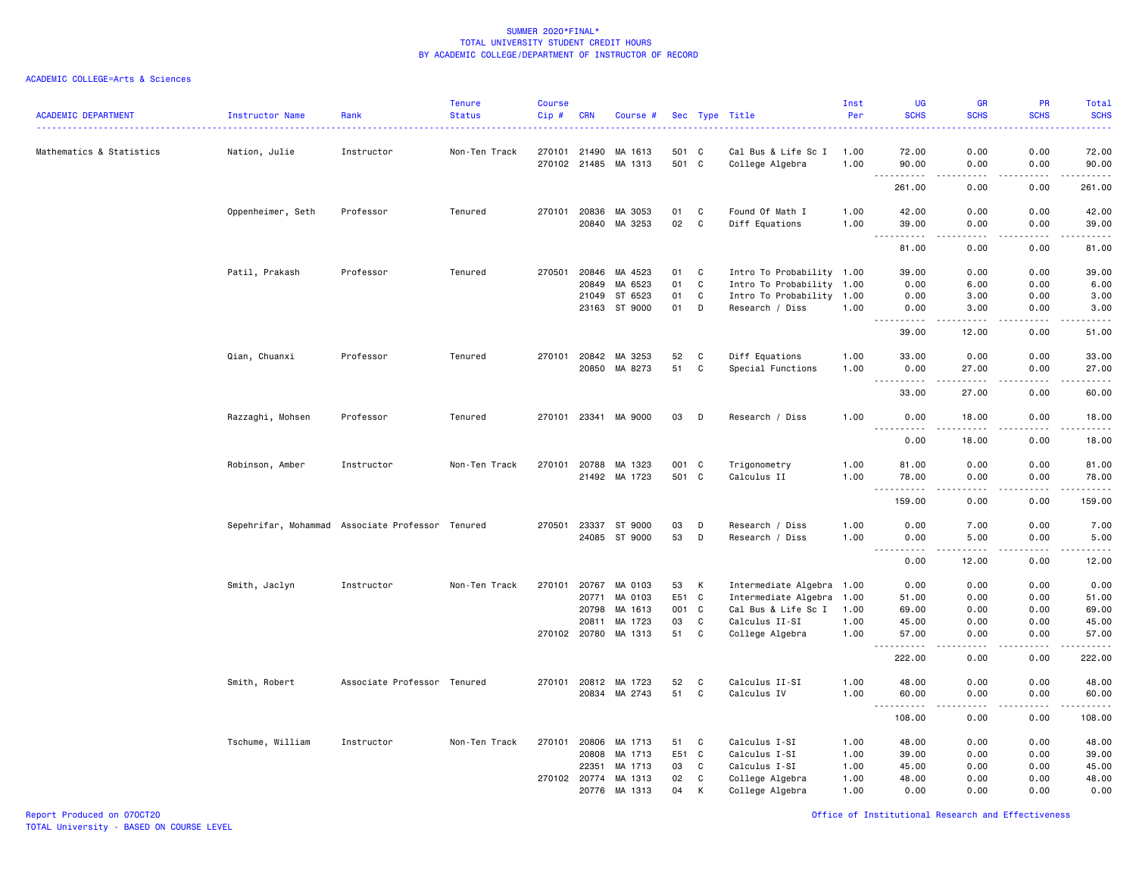### ACADEMIC COLLEGE=Arts & Sciences

| <b>ACADEMIC DEPARTMENT</b> | <b>Instructor Name</b>                           | Rank                        | <b>Tenure</b><br><b>Status</b> | <b>Course</b><br>Cip# | <b>CRN</b>   | Course #             |       |             | Sec Type Title<br>.       | Inst<br>Per | UG<br><b>SCHS</b>                                        | <b>GR</b><br><b>SCHS</b>                                                                                                                                      | PR<br><b>SCHS</b>                                                                                                                 | Total<br><b>SCHS</b><br>د د د د د |
|----------------------------|--------------------------------------------------|-----------------------------|--------------------------------|-----------------------|--------------|----------------------|-------|-------------|---------------------------|-------------|----------------------------------------------------------|---------------------------------------------------------------------------------------------------------------------------------------------------------------|-----------------------------------------------------------------------------------------------------------------------------------|-----------------------------------|
| Mathematics & Statistics   | Nation, Julie                                    | Instructor                  | Non-Ten Track                  | 270101                | 21490        | MA 1613              | 501 C |             | Cal Bus & Life Sc I       | 1.00        | 72.00                                                    | 0.00                                                                                                                                                          | 0.00                                                                                                                              | 72.00                             |
|                            |                                                  |                             |                                |                       |              | 270102 21485 MA 1313 | 501 C |             | College Algebra           | 1.00        | 90.00                                                    | 0.00                                                                                                                                                          | 0.00<br>$\sim$ $\sim$ $\sim$ $\sim$                                                                                               | 90.00<br>د د د د د                |
|                            |                                                  |                             |                                |                       |              |                      |       |             |                           |             | 261.00                                                   | 0.00                                                                                                                                                          | 0.00                                                                                                                              | 261.00                            |
|                            | Oppenheimer, Seth                                | Professor                   | Tenured                        |                       | 270101 20836 | MA 3053              | 01    | C           | Found Of Math I           | 1.00        | 42.00                                                    | 0.00                                                                                                                                                          | 0.00                                                                                                                              | 42.00                             |
|                            |                                                  |                             |                                |                       | 20840        | MA 3253              | 02    | C           | Diff Equations            | 1.00        | 39.00<br>$\sim$ $\sim$ $\sim$<br>$- - - - -$             | 0.00<br>----                                                                                                                                                  | 0.00<br>$\frac{1}{2} \left( \frac{1}{2} \right) \left( \frac{1}{2} \right) \left( \frac{1}{2} \right) \left( \frac{1}{2} \right)$ | 39.00<br>د د د د د                |
|                            |                                                  |                             |                                |                       |              |                      |       |             |                           |             | 81.00                                                    | 0.00                                                                                                                                                          | 0.00                                                                                                                              | 81.00                             |
|                            | Patil, Prakash                                   | Professor                   | Tenured                        | 270501                | 20846        | MA 4523              | 01    | C           | Intro To Probability 1.00 |             | 39.00                                                    | 0.00                                                                                                                                                          | 0.00                                                                                                                              | 39.00                             |
|                            |                                                  |                             |                                |                       | 20849        | MA 6523              | 01    | $\mathbf c$ | Intro To Probability 1.00 |             | 0.00                                                     | 6.00                                                                                                                                                          | 0.00                                                                                                                              | 6.00                              |
|                            |                                                  |                             |                                |                       | 21049        | ST 6523              | 01    | C           | Intro To Probability      | 1.00        | 0.00                                                     | 3.00                                                                                                                                                          | 0.00                                                                                                                              | 3.00                              |
|                            |                                                  |                             |                                |                       | 23163        | ST 9000              | 01    | D           | Research / Diss           | 1.00        | 0.00<br>.                                                | 3.00<br>$- - - -$                                                                                                                                             | 0.00<br>$- - - -$                                                                                                                 | 3.00<br>$- - - - -$               |
|                            |                                                  |                             |                                |                       |              |                      |       |             |                           |             | 39.00                                                    | 12.00                                                                                                                                                         | 0.00                                                                                                                              | 51.00                             |
|                            | Qian, Chuanxi                                    | Professor                   | Tenured                        | 270101                |              | 20842 MA 3253        | 52    | C           | Diff Equations            | 1.00        | 33.00                                                    | 0.00                                                                                                                                                          | 0.00                                                                                                                              | 33.00                             |
|                            |                                                  |                             |                                |                       |              | 20850 MA 8273        | 51    | $\mathbf c$ | Special Functions         | 1.00        | 0.00<br>$\sim$ $\sim$ $\sim$<br>.                        | 27.00<br>$- - - - -$                                                                                                                                          | 0.00<br>.                                                                                                                         | 27.00<br>.                        |
|                            |                                                  |                             |                                |                       |              |                      |       |             |                           |             | 33.00                                                    | 27.00                                                                                                                                                         | 0.00                                                                                                                              | 60.00                             |
|                            | Razzaghi, Mohsen                                 | Professor                   | Tenured                        | 270101 23341          |              | MA 9000              | 03    | D           | Research / Diss           | 1.00        | 0.00<br>$\omega_{\rm{eff}}$ and $\omega_{\rm{eff}}$<br>. | 18.00<br>$\frac{1}{2} \left( \frac{1}{2} \right) \left( \frac{1}{2} \right) \left( \frac{1}{2} \right) \left( \frac{1}{2} \right) \left( \frac{1}{2} \right)$ | 0.00<br>.                                                                                                                         | 18.00<br>د د د د د                |
|                            |                                                  |                             |                                |                       |              |                      |       |             |                           |             | 0.00                                                     | 18.00                                                                                                                                                         | 0.00                                                                                                                              | 18.00                             |
|                            | Robinson, Amber                                  | Instructor                  | Non-Ten Track                  |                       | 270101 20788 | MA 1323              | 001 C |             | Trigonometry              | 1.00        | 81.00                                                    | 0.00                                                                                                                                                          | 0.00                                                                                                                              | 81.00                             |
|                            |                                                  |                             |                                |                       |              | 21492 MA 1723        | 501   | $\mathbf c$ | Calculus II               | 1.00        | 78.00<br>$\sim$ $\sim$ $\sim$<br>.                       | 0.00<br>----                                                                                                                                                  | 0.00<br>.                                                                                                                         | 78.00<br>.                        |
|                            |                                                  |                             |                                |                       |              |                      |       |             |                           |             | 159.00                                                   | 0.00                                                                                                                                                          | 0.00                                                                                                                              | 159.00                            |
|                            | Sepehrifar, Mohammad Associate Professor Tenured |                             |                                | 270501                | 23337        | ST 9000              | 03    | D           | Research / Diss           | 1.00        | 0.00                                                     | 7.00                                                                                                                                                          | 0.00                                                                                                                              | 7.00                              |
|                            |                                                  |                             |                                |                       |              | 24085 ST 9000        | 53    | D           | Research / Diss           | 1.00        | 0.00<br>.                                                | 5.00<br>.                                                                                                                                                     | 0.00<br>.                                                                                                                         | 5.00<br>.                         |
|                            |                                                  |                             |                                |                       |              |                      |       |             |                           |             | 0.00                                                     | 12.00                                                                                                                                                         | 0.00                                                                                                                              | 12.00                             |
|                            | Smith, Jaclyn                                    | Instructor                  | Non-Ten Track                  | 270101                | 20767        | MA 0103              | 53    | К           | Intermediate Algebra 1.00 |             | 0.00                                                     | 0.00                                                                                                                                                          | 0.00                                                                                                                              | 0.00                              |
|                            |                                                  |                             |                                |                       | 20771        | MA 0103              | E51 C |             | Intermediate Algebra      | 1.00        | 51.00                                                    | 0.00                                                                                                                                                          | 0.00                                                                                                                              | 51.00                             |
|                            |                                                  |                             |                                |                       | 20798        | MA 1613              | 001 C |             | Cal Bus & Life Sc I       | 1.00        | 69.00                                                    | 0.00                                                                                                                                                          | 0.00                                                                                                                              | 69.00                             |
|                            |                                                  |                             |                                |                       | 20811        | MA 1723              | 03    | C           | Calculus II-SI            | 1.00        | 45.00                                                    | 0.00                                                                                                                                                          | 0.00                                                                                                                              | 45.00                             |
|                            |                                                  |                             |                                |                       |              | 270102 20780 MA 1313 | 51    | C           | College Algebra           | 1.00        | 57.00<br>------                                          | 0.00<br>د د د د                                                                                                                                               | 0.00<br>.                                                                                                                         | 57.00<br>.                        |
|                            |                                                  |                             |                                |                       |              |                      |       |             |                           |             | 222.00                                                   | 0.00                                                                                                                                                          | 0.00                                                                                                                              | 222.00                            |
|                            | Smith, Robert                                    | Associate Professor Tenured |                                | 270101                | 20812        | MA 1723              | 52    | C           | Calculus II-SI            | 1.00        | 48.00                                                    | 0.00                                                                                                                                                          | 0.00                                                                                                                              | 48.00                             |
|                            |                                                  |                             |                                |                       | 20834        | MA 2743              | 51    | C           | Calculus IV               | 1.00        | 60.00<br>$\sim$ $\sim$ $\sim$                            | 0.00                                                                                                                                                          | 0.00<br>. <u>. .</u>                                                                                                              | 60.00<br>.                        |
|                            |                                                  |                             |                                |                       |              |                      |       |             |                           |             | 108.00                                                   | 0.00                                                                                                                                                          | 0.00                                                                                                                              | 108.00                            |
|                            | Tschume, William                                 | Instructor                  | Non-Ten Track                  | 270101                | 20806        | MA 1713              | 51    | C           | Calculus I-SI             | 1.00        | 48.00                                                    | 0.00                                                                                                                                                          | 0.00                                                                                                                              | 48.00                             |
|                            |                                                  |                             |                                |                       | 20808        | MA 1713              | E51   | C           | Calculus I-SI             | 1.00        | 39.00                                                    | 0.00                                                                                                                                                          | 0.00                                                                                                                              | 39.00                             |
|                            |                                                  |                             |                                |                       | 22351        | MA 1713              | 03    | C           | Calculus I-SI             | 1.00        | 45.00                                                    | 0.00                                                                                                                                                          | 0.00                                                                                                                              | 45.00                             |
|                            |                                                  |                             |                                |                       | 270102 20774 | MA 1313              | 02    | C           | College Algebra           | 1.00        | 48.00                                                    | 0.00                                                                                                                                                          | 0.00                                                                                                                              | 48.00                             |
|                            |                                                  |                             |                                |                       | 20776        | MA 1313              | 04    | K           | College Algebra           | 1.00        | 0.00                                                     | 0.00                                                                                                                                                          | 0.00                                                                                                                              | 0.00                              |

Report Produced on 07OCT20 Office of Institutional Research and Effectiveness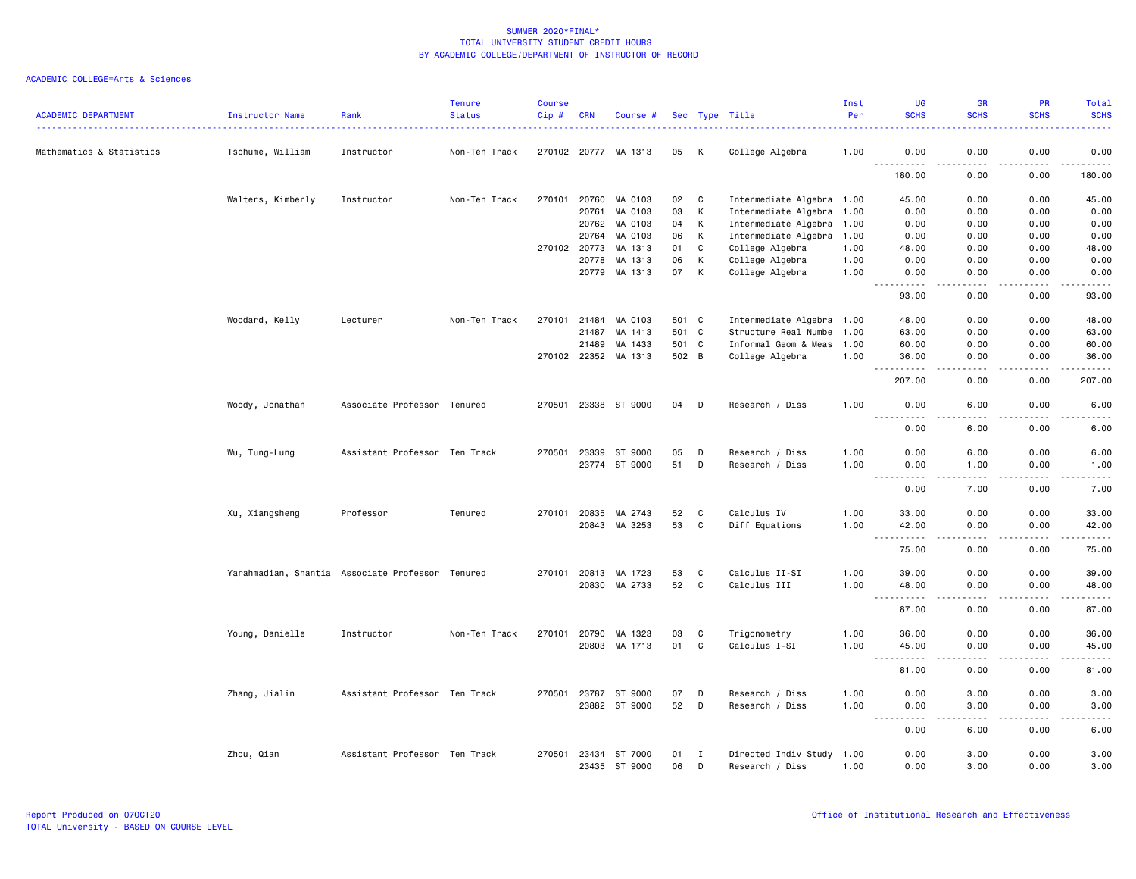| <b>ACADEMIC DEPARTMENT</b> | Instructor Name                                  | Rank                          | <b>Tenure</b><br><b>Status</b> | <b>Course</b><br>Cip# | <b>CRN</b>   | Course #             |       |   | Sec Type Title            | Inst<br>Per | UG<br><b>SCHS</b>                                                                                      | <b>GR</b><br><b>SCHS</b> | <b>PR</b><br><b>SCHS</b> | Total<br><b>SCHS</b>                |
|----------------------------|--------------------------------------------------|-------------------------------|--------------------------------|-----------------------|--------------|----------------------|-------|---|---------------------------|-------------|--------------------------------------------------------------------------------------------------------|--------------------------|--------------------------|-------------------------------------|
| Mathematics & Statistics   | Tschume, William                                 | Instructor                    | Non-Ten Track                  |                       |              | 270102 20777 MA 1313 | 05    | K | College Algebra           | 1.00        | 0.00                                                                                                   | 0.00                     | 0.00                     | 0.00                                |
|                            |                                                  |                               |                                |                       |              |                      |       |   |                           |             | $  -$<br>180.00                                                                                        | 0.00                     | 0.00                     | 180.00                              |
|                            | Walters, Kimberly                                | Instructor                    | Non-Ten Track                  | 270101                | 20760        | MA 0103              | 02    | C | Intermediate Algebra 1.00 |             | 45.00                                                                                                  | 0.00                     | 0.00                     | 45.00                               |
|                            |                                                  |                               |                                |                       | 20761        | MA 0103              | 03    | К | Intermediate Algebra      | 1.00        | 0.00                                                                                                   | 0.00                     | 0.00                     | 0.00                                |
|                            |                                                  |                               |                                |                       | 20762        | MA 0103              | 04    | K | Intermediate Algebra 1.00 |             | 0.00                                                                                                   | 0.00                     | 0.00                     | 0.00                                |
|                            |                                                  |                               |                                |                       | 20764        | MA 0103              | 06    | К | Intermediate Algebra 1.00 |             | 0.00                                                                                                   | 0.00                     | 0.00                     | 0.00                                |
|                            |                                                  |                               |                                |                       | 270102 20773 | MA 1313              | 01    | C | College Algebra           | 1.00        | 48.00                                                                                                  | 0.00                     | 0.00                     | 48.00                               |
|                            |                                                  |                               |                                |                       | 20778        | MA 1313              | 06    | К | College Algebra           | 1.00        | 0.00                                                                                                   | 0.00                     | 0.00                     | 0.00                                |
|                            |                                                  |                               |                                |                       | 20779        | MA 1313              | 07    | К | College Algebra           | 1.00        | 0.00<br>.                                                                                              | 0.00<br>د د د د          | 0.00<br>.                | 0.00<br>.                           |
|                            |                                                  |                               |                                |                       |              |                      |       |   |                           |             | .<br>93.00                                                                                             | 0.00                     | 0.00                     | 93.00                               |
|                            | Woodard, Kelly                                   | Lecturer                      | Non-Ten Track                  | 270101                | 21484        | MA 0103              | 501 C |   | Intermediate Algebra 1.00 |             | 48.00                                                                                                  | 0.00                     | 0.00                     | 48.00                               |
|                            |                                                  |                               |                                |                       | 21487        | MA 1413              | 501 C |   | Structure Real Numbe      | 1.00        | 63.00                                                                                                  | 0.00                     | 0.00                     | 63.00                               |
|                            |                                                  |                               |                                |                       | 21489        | MA 1433              | 501 C |   | Informal Geom & Meas      | 1.00        | 60.00                                                                                                  | 0.00                     | 0.00                     | 60.00                               |
|                            |                                                  |                               |                                |                       |              | 270102 22352 MA 1313 | 502 B |   | College Algebra           | 1.00        | 36.00<br>$\sim$ $\sim$ $\sim$<br>.                                                                     | 0.00<br>$- - -$          | 0.00                     | 36.00<br>.                          |
|                            |                                                  |                               |                                |                       |              |                      |       |   |                           |             | 207.00                                                                                                 | 0.00                     | 0.00                     | 207.00                              |
|                            | Woody, Jonathan                                  | Associate Professor Tenured   |                                |                       |              | 270501 23338 ST 9000 | 04    | D | Research / Diss           | 1.00        | 0.00<br>$\sim$ $\sim$ $\sim$<br>.                                                                      | 6.00<br>$- - -$          | 0.00<br>.                | 6.00                                |
|                            |                                                  |                               |                                |                       |              |                      |       |   |                           |             | 0.00                                                                                                   | 6.00                     | 0.00                     | 6.00                                |
|                            | Wu, Tung-Lung                                    | Assistant Professor Ten Track |                                |                       |              | 270501 23339 ST 9000 | 05    | D | Research / Diss           | 1.00        | 0.00                                                                                                   | 6.00                     | 0.00                     | 6.00                                |
|                            |                                                  |                               |                                |                       |              | 23774 ST 9000        | 51    | D | Research / Diss           | 1.00        | 0.00                                                                                                   | 1.00                     | 0.00                     | 1.00                                |
|                            |                                                  |                               |                                |                       |              |                      |       |   |                           |             | $\sim$ $\sim$ $\sim$<br>.<br>0.00                                                                      | .<br>7.00                | 0.00                     | $\sim$ $\sim$ $\sim$ $\sim$<br>7.00 |
|                            | Xu, Xiangsheng                                   | Professor                     | Tenured                        |                       | 270101 20835 | MA 2743              | 52    | C | Calculus IV               | 1.00        | 33.00                                                                                                  | 0.00                     | 0.00                     | 33.00                               |
|                            |                                                  |                               |                                |                       | 20843        | MA 3253              | 53    | C | Diff Equations            | 1.00        | 42.00<br>$\sim$ $\sim$ $\sim$                                                                          | 0.00<br>.                | 0.00<br>-----            | 42.00<br>.                          |
|                            |                                                  |                               |                                |                       |              |                      |       |   |                           |             | 75.00                                                                                                  | 0.00                     | 0.00                     | 75.00                               |
|                            | Yarahmadian, Shantia Associate Professor Tenured |                               |                                | 270101                | 20813        | MA 1723              | 53    | C | Calculus II-SI            | 1.00        | 39.00                                                                                                  | 0.00                     | 0.00                     | 39.00                               |
|                            |                                                  |                               |                                |                       | 20830        | MA 2733              | 52    | C | Calculus III              | 1.00        | 48.00<br>$\sim$ $\sim$ $\sim$<br>.                                                                     | 0.00<br>. <u>. .</u>     | 0.00<br>.                | 48.00<br>.                          |
|                            |                                                  |                               |                                |                       |              |                      |       |   |                           |             | 87.00                                                                                                  | 0.00                     | 0.00                     | 87.00                               |
|                            | Young, Danielle                                  | Instructor                    | Non-Ten Track                  |                       |              | 270101 20790 MA 1323 | 03    | C | Trigonometry              | 1.00        | 36.00                                                                                                  | 0.00                     | 0.00                     | 36.00                               |
|                            |                                                  |                               |                                |                       | 20803        | MA 1713              | 01    | C | Calculus I-SI             | 1.00        | 45.00<br>$\sim$ $\sim$ $\sim$                                                                          | 0.00                     | 0.00                     | 45.00                               |
|                            |                                                  |                               |                                |                       |              |                      |       |   |                           |             | 81.00                                                                                                  | 0.00                     | 0.00                     | 81.00                               |
|                            | Zhang, Jialin                                    | Assistant Professor Ten Track |                                |                       | 270501 23787 | ST 9000              | 07    | D | Research / Diss           | 1.00        | 0.00                                                                                                   | 3.00                     | 0.00                     | 3.00                                |
|                            |                                                  |                               |                                |                       |              | 23882 ST 9000        | 52    | D | Research / Diss           | 1.00        | 0.00<br>.                                                                                              | 3.00<br>.                | 0.00<br>-----            | 3.00<br>$\sim$ $\sim$ $\sim$ $\sim$ |
|                            |                                                  |                               |                                |                       |              |                      |       |   |                           |             | $\frac{1}{2} \left( \frac{1}{2} \right) \left( \frac{1}{2} \right) \left( \frac{1}{2} \right)$<br>0.00 | 6.00                     | 0.00                     | 6.00                                |
|                            | Zhou, Qian                                       | Assistant Professor Ten Track |                                | 270501                | 23434        | ST 7000              | 01    | I | Directed Indiv Study 1.00 |             | 0.00                                                                                                   | 3.00                     | 0.00                     | 3.00                                |
|                            |                                                  |                               |                                |                       |              | 23435 ST 9000        | 06    | D | Research / Diss           | 1.00        | 0.00                                                                                                   | 3.00                     | 0.00                     | 3.00                                |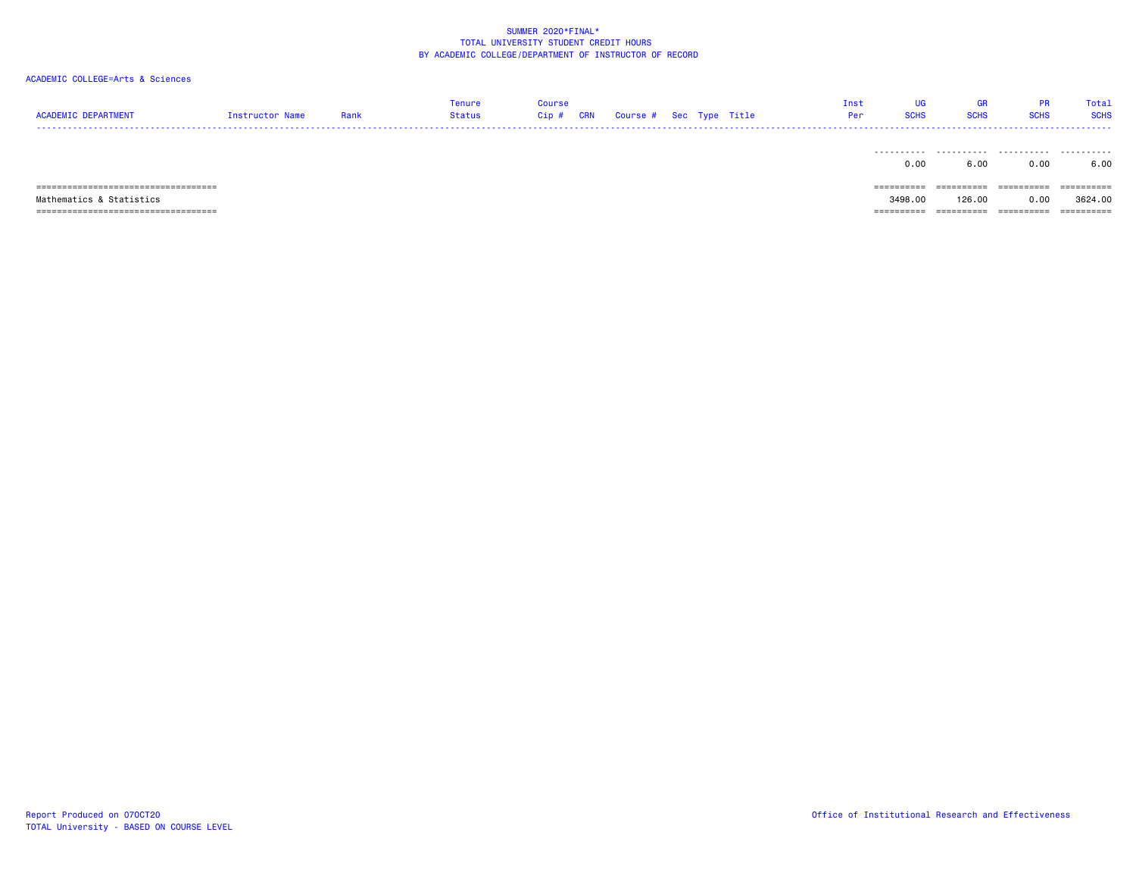# ACADEMIC COLLEGE=Arts & Sciences

| <b>ACADEMIC DEPARTMENT</b>            | Instructor Name | Rank | Tenure<br><b>Status</b> | <b>Course</b><br>Cip# | <b>CRN</b> | Course # Sec Type Title |  | Inst<br>Per | UG<br><b>SCHS</b> | GR<br><b>SCHS</b> | <b>PR</b><br><b>SCHS</b> | Total<br><b>SCHS</b> |
|---------------------------------------|-----------------|------|-------------------------|-----------------------|------------|-------------------------|--|-------------|-------------------|-------------------|--------------------------|----------------------|
|                                       |                 |      |                         |                       |            |                         |  |             | 0.00              | 6.00              | .<br>0.00                | .<br>6.00            |
| ===================================== |                 |      |                         |                       |            |                         |  |             |                   | ----------        | ==========               | ==========           |

 Mathematics & Statistics 3498.00 126.00 0.00 3624.00  $=$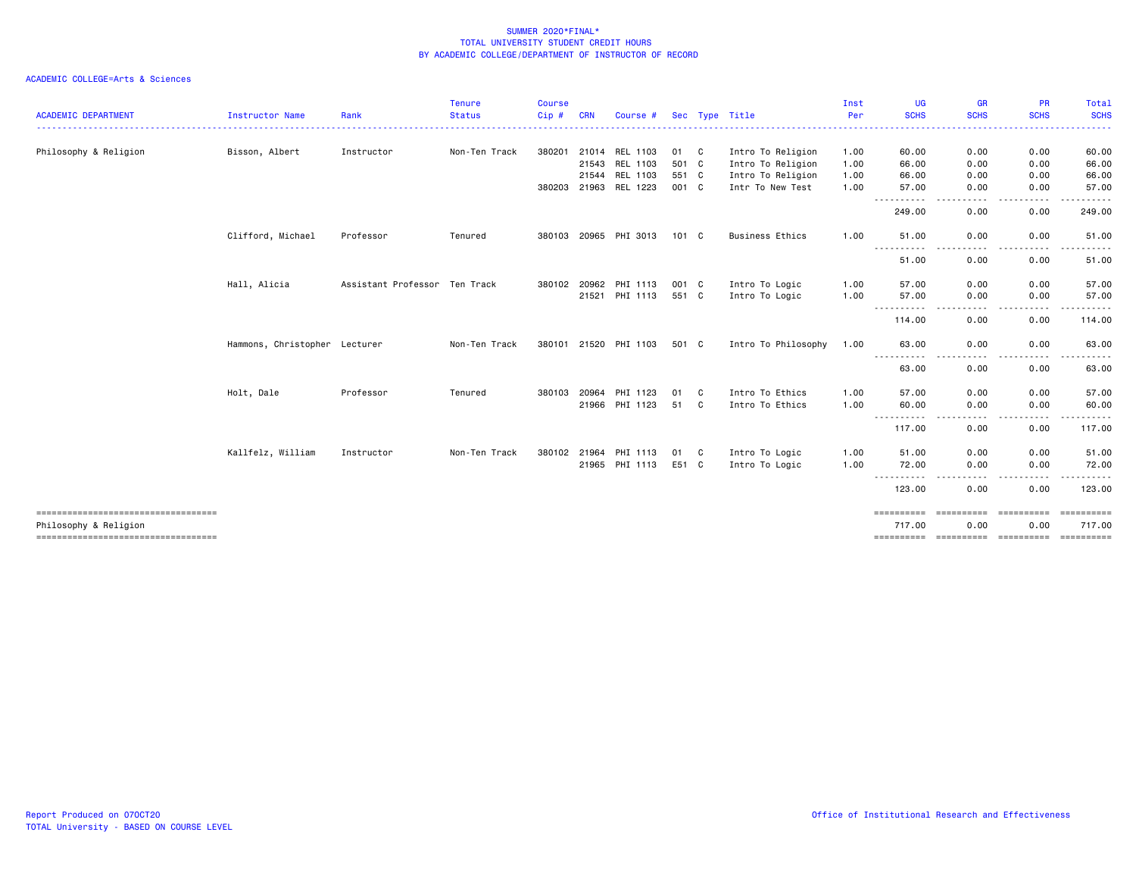| <b>ACADEMIC DEPARTMENT</b>                                   | Instructor Name               | Rank                          | <b>Tenure</b><br><b>Status</b> | <b>Course</b><br>Cip# | <b>CRN</b>   | Course #              |       |     | Sec Type Title         | Inst<br>Per | <b>UG</b><br><b>SCHS</b>              | <b>GR</b><br><b>SCHS</b> | <b>PR</b><br><b>SCHS</b> | Total<br><b>SCHS</b> |
|--------------------------------------------------------------|-------------------------------|-------------------------------|--------------------------------|-----------------------|--------------|-----------------------|-------|-----|------------------------|-------------|---------------------------------------|--------------------------|--------------------------|----------------------|
| Philosophy & Religion                                        | Bisson, Albert                | Instructor                    | Non-Ten Track                  | 380201                |              | 21014 REL 1103        | 01 C  |     | Intro To Religion      | 1.00        | 60.00                                 | 0.00                     | 0.00                     | 60.00                |
|                                                              |                               |                               |                                |                       | 21543        | REL 1103              | 501 C |     | Intro To Religion      | 1.00        | 66.00                                 | 0.00                     | 0.00                     | 66.00                |
|                                                              |                               |                               |                                |                       |              | 21544 REL 1103        | 551 C |     | Intro To Religion      | 1.00        | 66.00                                 | 0.00                     | 0.00                     | 66.00                |
|                                                              |                               |                               |                                |                       |              | 380203 21963 REL 1223 | 001 C |     | Intr To New Test       | 1.00        | 57.00<br>.                            | 0.00                     | 0.00<br>. <b>.</b>       | 57.00                |
|                                                              |                               |                               |                                |                       |              |                       |       |     |                        |             | 249.00                                | 0.00                     | 0.00                     | 249.00               |
|                                                              | Clifford, Michael             | Professor                     | Tenured                        |                       |              | 380103 20965 PHI 3013 | 101 C |     | <b>Business Ethics</b> | 1.00        | 51.00                                 | 0.00                     | 0.00                     | 51.00                |
|                                                              |                               |                               |                                |                       |              |                       |       |     |                        |             | $- - -$<br>51.00                      | 0.00                     | 0.00                     | 51.00                |
|                                                              | Hall, Alicia                  | Assistant Professor Ten Track |                                |                       | 380102 20962 | PHI 1113              | 001 C |     | Intro To Logic         | 1.00        | 57.00                                 | 0.00                     | 0.00                     | 57.00                |
|                                                              |                               |                               |                                |                       |              | 21521 PHI 1113        | 551 C |     | Intro To Logic         | 1.00        | 57.00                                 | 0.00                     | 0.00                     | 57.00                |
|                                                              |                               |                               |                                |                       |              |                       |       |     |                        |             | ----------<br>$\frac{1}{2}$<br>114.00 | 0.00                     | $\frac{1}{2}$<br>0.00    | 114.00               |
|                                                              | Hammons, Christopher Lecturer |                               | Non-Ten Track                  | 380101                |              | 21520 PHI 1103        | 501 C |     | Intro To Philosophy    | 1.00        | 63.00                                 | 0.00                     | 0.00                     | 63.00                |
|                                                              |                               |                               |                                |                       |              |                       |       |     |                        |             | .<br>63.00                            | 0.00                     | 0.00                     | 63.00                |
|                                                              | Holt, Dale                    | Professor                     | Tenured                        |                       | 380103 20964 | PHI 1123              | 01    | C   | Intro To Ethics        | 1.00        | 57.00                                 | 0.00                     | 0.00                     | 57.00                |
|                                                              |                               |                               |                                |                       |              | 21966 PHI 1123        | 51    | C   | Intro To Ethics        | 1.00        | 60.00<br>.                            | 0.00                     | 0.00<br>.                | 60.00                |
|                                                              |                               |                               |                                |                       |              |                       |       |     |                        |             | 117.00                                | 0.00                     | 0.00                     | 117.00               |
|                                                              | Kallfelz, William             | Instructor                    | Non-Ten Track                  |                       | 380102 21964 | PHI 1113              | 01    | - C | Intro To Logic         | 1.00        | 51.00                                 | 0.00                     | 0.00                     | 51.00                |
|                                                              |                               |                               |                                |                       |              | 21965 PHI 1113        | E51 C |     | Intro To Logic         | 1.00        | 72.00                                 | 0.00                     | 0.00                     | 72.00                |
|                                                              |                               |                               |                                |                       |              |                       |       |     |                        |             | 123.00                                | 0.00                     | 0.00                     | 123.00               |
| -----------------------------------<br>Philosophy & Religion |                               |                               |                                |                       |              |                       |       |     |                        |             | ==========<br>717.00                  | -----------<br>0.00      | - eeessesses<br>0.00     | 717.00               |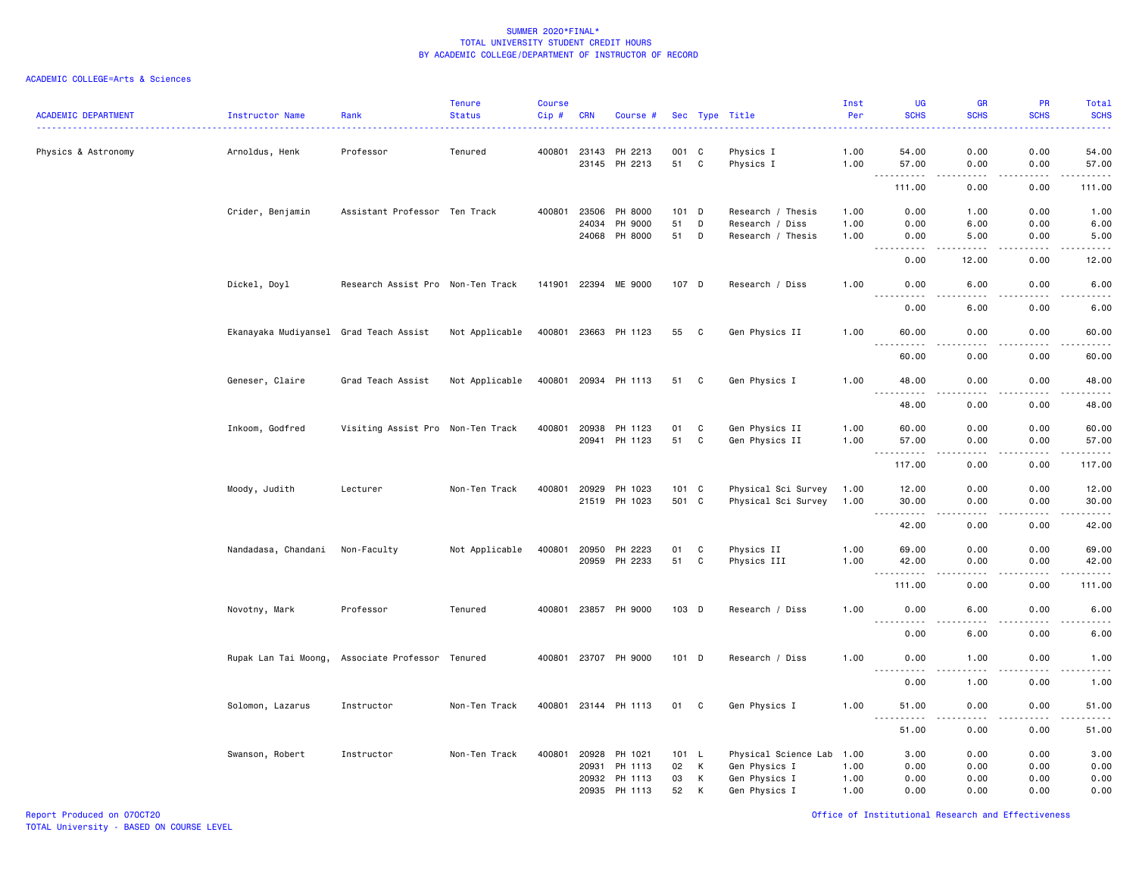| <b>ACADEMIC DEPARTMENT</b> | Instructor Name                        | Rank                              | <b>Tenure</b><br><b>Status</b> | <b>Course</b><br>Cip# | <b>CRN</b> | Course #             |       |   | Sec Type Title       | Inst<br>Per | UG<br><b>SCHS</b>                                                                                                                                                                     | GR<br><b>SCHS</b> | PR<br><b>SCHS</b>            | Total<br><b>SCHS</b><br>$\omega$ is $\omega$ . |
|----------------------------|----------------------------------------|-----------------------------------|--------------------------------|-----------------------|------------|----------------------|-------|---|----------------------|-------------|---------------------------------------------------------------------------------------------------------------------------------------------------------------------------------------|-------------------|------------------------------|------------------------------------------------|
| Physics & Astronomy        | Arnoldus, Henk                         | Professor                         | Tenured                        | 400801                | 23143      | PH 2213              | 001 C |   | Physics I            | 1.00        | 54.00                                                                                                                                                                                 | 0.00              | 0.00                         | 54.00                                          |
|                            |                                        |                                   |                                |                       | 23145      | PH 2213              | 51 C  |   | Physics I            | 1.00        | 57.00<br>$  -$<br>.                                                                                                                                                                   | 0.00<br>.         | 0.00<br>.                    | 57.00<br>.                                     |
|                            |                                        |                                   |                                |                       |            |                      |       |   |                      |             | 111.00                                                                                                                                                                                | 0.00              | 0.00                         | 111.00                                         |
|                            | Crider, Benjamin                       | Assistant Professor Ten Track     |                                | 400801                | 23506      | PH 8000              | 101 D |   | Research / Thesis    | 1.00        | 0.00                                                                                                                                                                                  | 1.00              | 0.00                         | 1.00                                           |
|                            |                                        |                                   |                                |                       | 24034      | PH 9000              | 51    | D | Research / Diss      | 1.00        | 0.00                                                                                                                                                                                  | 6.00              | 0.00                         | 6.00                                           |
|                            |                                        |                                   |                                |                       |            | 24068 PH 8000        | 51    | D | Research / Thesis    | 1.00        | 0.00                                                                                                                                                                                  | 5.00              | 0.00                         | 5.00<br>$\frac{1}{2}$                          |
|                            |                                        |                                   |                                |                       |            |                      |       |   |                      |             | 0.00                                                                                                                                                                                  | 12.00             | 0.00                         | 12.00                                          |
|                            | Dickel, Doyl                           | Research Assist Pro Non-Ten Track |                                |                       |            | 141901 22394 ME 9000 | 107 D |   | Research / Diss      | 1.00        | 0.00                                                                                                                                                                                  | 6.00              | 0.00                         | 6.00                                           |
|                            |                                        |                                   |                                |                       |            |                      |       |   |                      |             | <u>.</u><br>0.00                                                                                                                                                                      | .<br>6.00         | .<br>0.00                    | .<br>6.00                                      |
|                            | Ekanayaka Mudiyansel Grad Teach Assist |                                   | Not Applicable                 |                       |            | 400801 23663 PH 1123 | 55    | C | Gen Physics II       | 1.00        | 60.00                                                                                                                                                                                 | 0.00              | 0.00                         | 60.00                                          |
|                            |                                        |                                   |                                |                       |            |                      |       |   |                      |             | ----<br>60.00                                                                                                                                                                         | ----<br>0.00      | 0.00                         | $\frac{1}{2}$<br>60.00                         |
|                            | Geneser, Claire                        | Grad Teach Assist                 | Not Applicable                 |                       |            | 400801 20934 PH 1113 | 51 C  |   | Gen Physics I        | 1.00        | 48.00<br>$\sim$ $\sim$ $\sim$<br>$\frac{1}{2} \left( \frac{1}{2} \right) \left( \frac{1}{2} \right) \left( \frac{1}{2} \right) \left( \frac{1}{2} \right) \left( \frac{1}{2} \right)$ | 0.00<br>.         | 0.00<br>$\sim$ $\sim$ $\sim$ | 48.00<br>$\sim$ $\sim$ $\sim$ $\sim$ $\sim$    |
|                            |                                        |                                   |                                |                       |            |                      |       |   |                      |             | 48.00                                                                                                                                                                                 | 0.00              | 0.00                         | 48.00                                          |
|                            | Inkoom, Godfred                        | Visiting Assist Pro Non-Ten Track |                                | 400801                | 20938      | PH 1123              | 01    | C | Gen Physics II       | 1.00        | 60.00                                                                                                                                                                                 | 0.00              | 0.00                         | 60.00                                          |
|                            |                                        |                                   |                                |                       | 20941      | PH 1123              | 51    | C | Gen Physics II       | 1.00        | 57.00                                                                                                                                                                                 | 0.00              | 0.00                         | 57.00                                          |
|                            |                                        |                                   |                                |                       |            |                      |       |   |                      |             | .<br>$\frac{1}{2}$                                                                                                                                                                    | $\frac{1}{2}$     | .                            | .                                              |
|                            |                                        |                                   |                                |                       |            |                      |       |   |                      |             | 117.00                                                                                                                                                                                | 0.00              | 0.00                         | 117.00                                         |
|                            | Moody, Judith                          | Lecturer                          | Non-Ten Track                  | 400801                | 20929      | PH 1023              | 101 C |   | Physical Sci Survey  | 1.00        | 12.00                                                                                                                                                                                 | 0.00              | 0.00                         | 12.00                                          |
|                            |                                        |                                   |                                |                       |            | 21519 PH 1023        | 501 C |   | Physical Sci Survey  | 1.00        | 30.00                                                                                                                                                                                 | 0.00              | 0.00                         | 30.00                                          |
|                            |                                        |                                   |                                |                       |            |                      |       |   |                      |             | .<br>42.00                                                                                                                                                                            | .<br>0.00         | .<br>0.00                    | .<br>42.00                                     |
|                            | Nandadasa, Chandani                    | Non-Faculty                       | Not Applicable                 | 400801                | 20950      | PH 2223              | 01    | C | Physics II           | 1.00        | 69.00                                                                                                                                                                                 | 0.00              | 0.00                         | 69.00                                          |
|                            |                                        |                                   |                                |                       | 20959      | PH 2233              | 51    | C | Physics III          | 1.00        | 42.00                                                                                                                                                                                 | 0.00              | 0.00                         | 42.00                                          |
|                            |                                        |                                   |                                |                       |            |                      |       |   |                      |             | .<br>111.00                                                                                                                                                                           | .<br>0.00         | .<br>0.00                    | .<br>111.00                                    |
|                            |                                        |                                   |                                |                       |            |                      |       |   |                      |             |                                                                                                                                                                                       |                   |                              |                                                |
|                            | Novotny, Mark                          | Professor                         | Tenured                        | 400801                |            | 23857 PH 9000        | 103 D |   | Research / Diss      | 1.00        | 0.00<br>$- - - -$<br>$- - - -$                                                                                                                                                        | 6.00<br>$- - - -$ | 0.00<br>.                    | 6.00<br>$\frac{1}{2}$                          |
|                            |                                        |                                   |                                |                       |            |                      |       |   |                      |             | 0.00                                                                                                                                                                                  | 6.00              | 0.00                         | 6.00                                           |
|                            | Rupak Lan Tai Moong,                   | Associate Professor Tenured       |                                | 400801                | 23707      | PH 9000              | 101 D |   | Research / Diss      | 1.00        | 0.00<br>$\frac{1}{2} \left( \frac{1}{2} \right) \left( \frac{1}{2} \right) \left( \frac{1}{2} \right) \left( \frac{1}{2} \right)$<br>----                                             | 1.00<br>.         | 0.00                         | 1.00<br>$\sim$ $\sim$ $\sim$ $\sim$ $\sim$     |
|                            |                                        |                                   |                                |                       |            |                      |       |   |                      |             | 0.00                                                                                                                                                                                  | 1.00              | 0.00                         | 1.00                                           |
|                            | Solomon, Lazarus                       | Instructor                        | Non-Ten Track                  |                       |            | 400801 23144 PH 1113 | 01 C  |   | Gen Physics I        | 1.00        | 51.00                                                                                                                                                                                 | 0.00              | 0.00                         | 51.00                                          |
|                            |                                        |                                   |                                |                       |            |                      |       |   |                      |             | 51.00                                                                                                                                                                                 | 0.00              | 0.00                         | 51.00                                          |
|                            | Swanson, Robert                        | Instructor                        | Non-Ten Track                  | 400801                | 20928      | PH 1021              | 101 L |   | Physical Science Lab | 1.00        | 3.00                                                                                                                                                                                  | 0.00              | 0.00                         | 3.00                                           |
|                            |                                        |                                   |                                |                       | 20931      | PH 1113              | 02    | K | Gen Physics I        | 1.00        | 0.00                                                                                                                                                                                  | 0.00              | 0.00                         | 0.00                                           |
|                            |                                        |                                   |                                |                       | 20932      | PH 1113              | 03    | К | Gen Physics I        | 1.00        | 0.00                                                                                                                                                                                  | 0.00              | 0.00                         | 0.00                                           |
|                            |                                        |                                   |                                |                       | 20935      | PH 1113              | 52    | К | Gen Physics I        | 1.00        | 0.00                                                                                                                                                                                  | 0.00              | 0.00                         | 0.00                                           |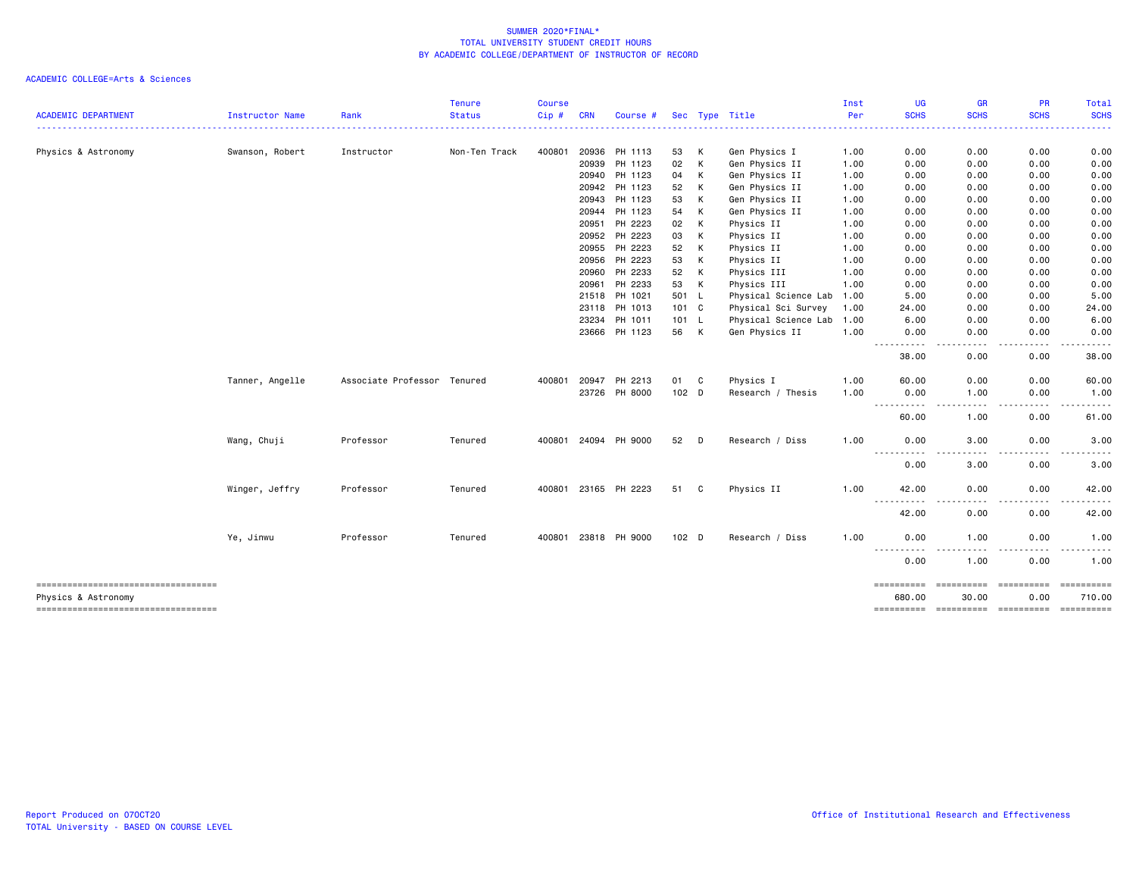| <b>ACADEMIC DEPARTMENT</b>                                 | Instructor Name | Rank                        | <b>Tenure</b><br><b>Status</b> | <b>Course</b><br>Cip# | <b>CRN</b> | Course #             |       |   | Sec Type Title            | Inst<br>Per | <b>UG</b><br><b>SCHS</b>                                                                                                                                                                                                                                       | <b>GR</b><br><b>SCHS</b>                                                                                                                             | <b>PR</b><br><b>SCHS</b> | Total<br><b>SCHS</b> |
|------------------------------------------------------------|-----------------|-----------------------------|--------------------------------|-----------------------|------------|----------------------|-------|---|---------------------------|-------------|----------------------------------------------------------------------------------------------------------------------------------------------------------------------------------------------------------------------------------------------------------------|------------------------------------------------------------------------------------------------------------------------------------------------------|--------------------------|----------------------|
|                                                            |                 |                             |                                |                       |            |                      |       |   |                           |             | .                                                                                                                                                                                                                                                              | $\frac{1}{2} \left( \frac{1}{2} \right) \left( \frac{1}{2} \right) \left( \frac{1}{2} \right) \left( \frac{1}{2} \right) \left( \frac{1}{2} \right)$ |                          |                      |
| Physics & Astronomy                                        | Swanson, Robert | Instructor                  | Non-Ten Track                  | 400801                | 20936      | PH 1113              | 53    | к | Gen Physics I             | 1.00        | 0.00                                                                                                                                                                                                                                                           | 0.00                                                                                                                                                 | 0.00                     | 0.00                 |
|                                                            |                 |                             |                                |                       | 20939      | PH 1123              | 02    | К | Gen Physics II            | 1.00        | 0.00                                                                                                                                                                                                                                                           | 0.00                                                                                                                                                 | 0.00                     | 0.00                 |
|                                                            |                 |                             |                                |                       | 20940      | PH 1123              | 04    | К | Gen Physics II            | 1.00        | 0.00                                                                                                                                                                                                                                                           | 0.00                                                                                                                                                 | 0.00                     | 0.00                 |
|                                                            |                 |                             |                                |                       | 20942      | PH 1123              | 52    | К | Gen Physics II            | 1.00        | 0.00                                                                                                                                                                                                                                                           | 0.00                                                                                                                                                 | 0.00                     | 0.00                 |
|                                                            |                 |                             |                                |                       | 20943      | PH 1123              | 53    | К | Gen Physics II            | 1.00        | 0.00                                                                                                                                                                                                                                                           | 0.00                                                                                                                                                 | 0.00                     | 0.00                 |
|                                                            |                 |                             |                                |                       | 20944      | PH 1123              | 54    | К | Gen Physics II            | 1.00        | 0.00                                                                                                                                                                                                                                                           | 0.00                                                                                                                                                 | 0.00                     | 0.00                 |
|                                                            |                 |                             |                                |                       | 20951      | PH 2223              | 02    | К | Physics II                | 1.00        | 0.00                                                                                                                                                                                                                                                           | 0.00                                                                                                                                                 | 0.00                     | 0.00                 |
|                                                            |                 |                             |                                |                       | 20952      | PH 2223              | 03    | К | Physics II                | 1.00        | 0.00                                                                                                                                                                                                                                                           | 0.00                                                                                                                                                 | 0.00                     | 0.00                 |
|                                                            |                 |                             |                                |                       | 20955      | PH 2223              | 52    | К | Physics II                | 1.00        | 0.00                                                                                                                                                                                                                                                           | 0.00                                                                                                                                                 | 0.00                     | 0.00                 |
|                                                            |                 |                             |                                |                       | 20956      | PH 2223              | 53    | К | Physics II                | 1.00        | 0.00                                                                                                                                                                                                                                                           | 0.00                                                                                                                                                 | 0.00                     | 0.00                 |
|                                                            |                 |                             |                                |                       | 20960      | PH 2233              | 52    | К | Physics III               | 1.00        | 0.00                                                                                                                                                                                                                                                           | 0.00                                                                                                                                                 | 0.00                     | 0.00                 |
|                                                            |                 |                             |                                |                       | 20961      | PH 2233              | 53    | K | Physics III               | 1.00        | 0.00                                                                                                                                                                                                                                                           | 0.00                                                                                                                                                 | 0.00                     | 0.00                 |
|                                                            |                 |                             |                                |                       |            | 21518 PH 1021        | 501 L |   | Physical Science Lab 1.00 |             | 5.00                                                                                                                                                                                                                                                           | 0.00                                                                                                                                                 | 0.00                     | 5.00                 |
|                                                            |                 |                             |                                |                       | 23118      | PH 1013              | 101 C |   | Physical Sci Survey       | 1.00        | 24.00                                                                                                                                                                                                                                                          | 0.00                                                                                                                                                 | 0.00                     | 24.00                |
|                                                            |                 |                             |                                |                       | 23234      | PH 1011              | 101 L |   | Physical Science Lab 1.00 |             | 6.00                                                                                                                                                                                                                                                           | 0.00                                                                                                                                                 | 0.00                     | 6.00                 |
|                                                            |                 |                             |                                |                       | 23666      | PH 1123              | 56    | K | Gen Physics II            | 1.00        | 0.00<br>.<br>----                                                                                                                                                                                                                                              | 0.00                                                                                                                                                 | 0.00                     | 0.00                 |
|                                                            |                 |                             |                                |                       |            |                      |       |   |                           |             | 38.00                                                                                                                                                                                                                                                          | 0.00                                                                                                                                                 | 0.00                     | 38.00                |
|                                                            | Tanner, Angelle | Associate Professor Tenured |                                | 400801                | 20947      | PH 2213              | 01    | C | Physics I                 | 1.00        | 60.00                                                                                                                                                                                                                                                          | 0.00                                                                                                                                                 | 0.00                     | 60.00                |
|                                                            |                 |                             |                                |                       | 23726      | PH 8000              | 102 D |   | Research / Thesis         | 1.00        | 0.00<br>$\frac{1}{2} \left( \frac{1}{2} \right) \left( \frac{1}{2} \right) \left( \frac{1}{2} \right)$<br>.                                                                                                                                                    | 1.00<br>$\frac{1}{2} \left( \frac{1}{2} \right) \left( \frac{1}{2} \right) \left( \frac{1}{2} \right) \left( \frac{1}{2} \right)$                    | 0.00<br>.                | 1.00<br>. <b>.</b> . |
|                                                            |                 |                             |                                |                       |            |                      |       |   |                           |             | 60.00                                                                                                                                                                                                                                                          | 1.00                                                                                                                                                 | 0.00                     | 61.00                |
|                                                            | Wang, Chuji     | Professor                   | Tenured                        | 400801                |            | 24094 PH 9000        | 52    | D | Research / Diss           | 1.00        | 0.00<br>$\frac{1}{2} \left( \frac{1}{2} \right) \left( \frac{1}{2} \right) \left( \frac{1}{2} \right) \left( \frac{1}{2} \right)$<br>$\frac{1}{2} \left( \frac{1}{2} \right) \left( \frac{1}{2} \right) \left( \frac{1}{2} \right) \left( \frac{1}{2} \right)$ | 3.00<br>$\frac{1}{2}$                                                                                                                                | 0.00<br>. <b>.</b>       | 3.00<br>----         |
|                                                            |                 |                             |                                |                       |            |                      |       |   |                           |             | 0.00                                                                                                                                                                                                                                                           | 3.00                                                                                                                                                 | 0.00                     | 3.00                 |
|                                                            | Winger, Jeffry  | Professor                   | Tenured                        | 400801                |            | 23165 PH 2223        | 51    | C | Physics II                | 1.00        | 42.00                                                                                                                                                                                                                                                          | 0.00                                                                                                                                                 | 0.00                     | 42.00                |
|                                                            |                 |                             |                                |                       |            |                      |       |   |                           |             | $- - -$<br>42.00                                                                                                                                                                                                                                               | 0.00                                                                                                                                                 | 0.00                     | 42.00                |
|                                                            | Ye, Jinwu       | Professor                   | Tenured                        |                       |            | 400801 23818 PH 9000 | 102 D |   | Research / Diss           | 1.00        | 0.00                                                                                                                                                                                                                                                           | 1.00                                                                                                                                                 | 0.00                     | 1.00                 |
|                                                            |                 |                             |                                |                       |            |                      |       |   |                           |             | ------<br>----<br>0.00                                                                                                                                                                                                                                         | $- - -$<br>1.00                                                                                                                                      | . <b>.</b><br>0.00       | $- - -$<br>.<br>1.00 |
| -----------------------------------                        |                 |                             |                                |                       |            |                      |       |   |                           |             | ==========<br>680,00                                                                                                                                                                                                                                           | ==========<br>30.00                                                                                                                                  | ==========<br>0.00       | ==========<br>710.00 |
| Physics & Astronomy<br>----------------------------------- |                 |                             |                                |                       |            |                      |       |   |                           |             |                                                                                                                                                                                                                                                                |                                                                                                                                                      |                          |                      |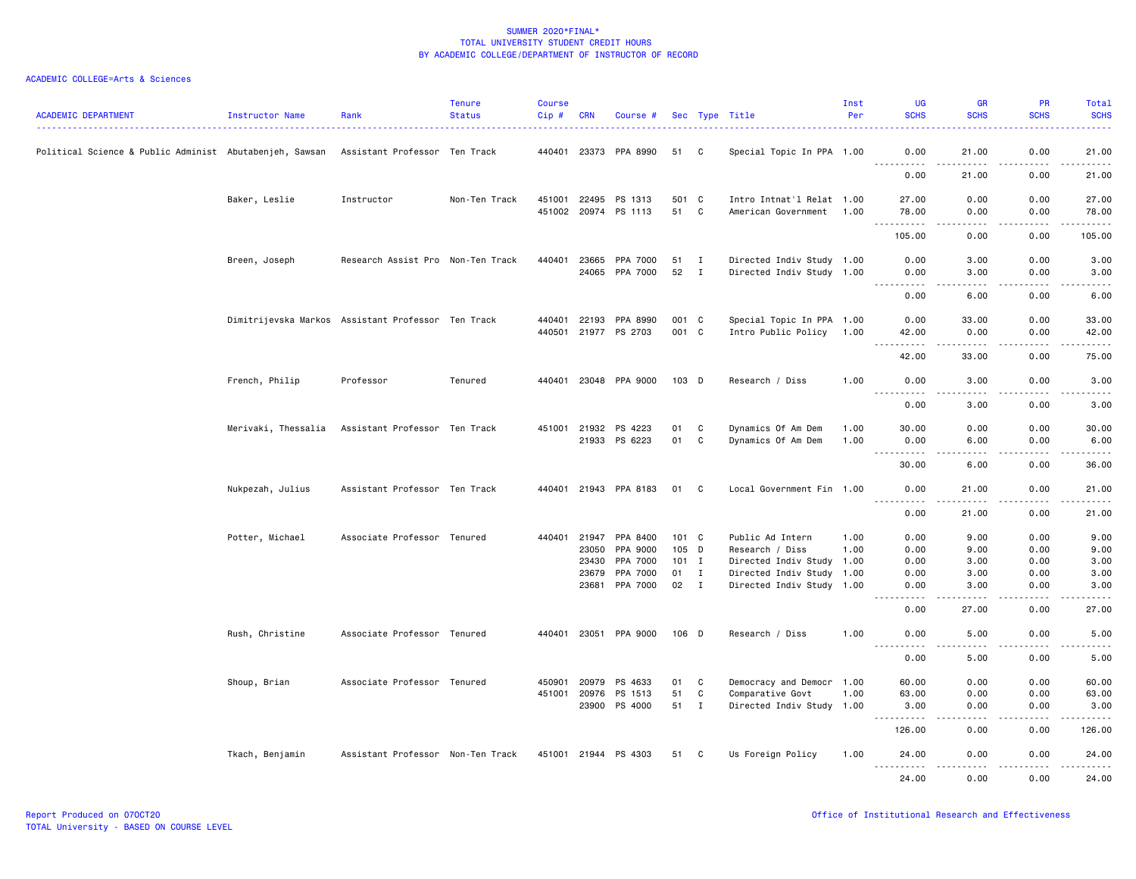| <b>ACADEMIC DEPARTMENT</b>                              | Instructor Name     | Rank                                               | <b>Tenure</b><br><b>Status</b> | <b>Course</b><br>Cip# | <b>CRN</b>                   | Course #                   |                |        | Sec Type Title                                         | Inst<br>Per  | UG<br><b>SCHS</b>                 | <b>GR</b><br><b>SCHS</b>     | <b>PR</b><br><b>SCHS</b>                                                                                                                                     | Total<br><b>SCHS</b>                 |
|---------------------------------------------------------|---------------------|----------------------------------------------------|--------------------------------|-----------------------|------------------------------|----------------------------|----------------|--------|--------------------------------------------------------|--------------|-----------------------------------|------------------------------|--------------------------------------------------------------------------------------------------------------------------------------------------------------|--------------------------------------|
| Political Science & Public Administ Abutabenjeh, Sawsan |                     | Assistant Professor Ten Track                      |                                |                       |                              | 440401 23373 PPA 8990      | 51             | C      | Special Topic In PPA 1.00                              |              | 0.00<br><u>.</u>                  | 21.00<br>.                   | 0.00<br>.                                                                                                                                                    | 21.00<br>.                           |
|                                                         |                     |                                                    |                                |                       |                              |                            |                |        |                                                        |              | 0.00                              | 21.00                        | 0.00                                                                                                                                                         | 21.00                                |
|                                                         | Baker, Leslie       | Instructor                                         | Non-Ten Track                  |                       | 451001 22495<br>451002 20974 | PS 1313<br>PS 1113         | 501 C<br>51    | C      | Intro Intnat'l Relat 1.00<br>American Government       | 1.00         | 27.00<br>78.00                    | 0.00<br>0.00                 | 0.00<br>0.00                                                                                                                                                 | 27.00<br>78.00                       |
|                                                         |                     |                                                    |                                |                       |                              |                            |                |        |                                                        |              | .<br>105.00                       | .<br>0.00                    | . <b>.</b><br>0.00                                                                                                                                           | .<br>105.00                          |
|                                                         | Breen, Joseph       | Research Assist Pro Non-Ten Track                  |                                |                       | 440401 23665                 | PPA 7000<br>24065 PPA 7000 | 51 I<br>52 I   |        | Directed Indiv Study 1.00<br>Directed Indiv Study 1.00 |              | 0.00<br>0.00                      | 3.00<br>3.00                 | 0.00<br>0.00                                                                                                                                                 | 3.00<br>3.00                         |
|                                                         |                     |                                                    |                                |                       |                              |                            |                |        |                                                        |              | .<br>0.00                         | .<br>6.00                    | .<br>0.00                                                                                                                                                    | $\frac{1}{2}$<br>6.00                |
|                                                         |                     | Dimitrijevska Markos Assistant Professor Ten Track |                                |                       | 440401 22193<br>440501 21977 | PPA 8990<br>PS 2703        | 001 C<br>001 C |        | Special Topic In PPA 1.00<br>Intro Public Policy       | 1.00         | 0.00<br>42.00                     | 33.00<br>0.00                | 0.00<br>0.00                                                                                                                                                 | 33.00<br>42.00                       |
|                                                         |                     |                                                    |                                |                       |                              |                            |                |        |                                                        |              | <u>.</u><br>42.00                 | .<br>33.00                   | 0.00                                                                                                                                                         | $\sim$ $\sim$ $\sim$ $\sim$<br>75.00 |
|                                                         | French, Philip      | Professor                                          | Tenured                        |                       |                              | 440401 23048 PPA 9000      | 103 D          |        | Research / Diss                                        | 1.00         | 0.00<br><u>.</u>                  | 3.00<br>. <b>.</b>           | 0.00<br>$- - - - -$                                                                                                                                          | 3.00                                 |
|                                                         |                     |                                                    |                                |                       |                              |                            |                |        |                                                        |              | 0.00                              | 3.00                         | 0.00                                                                                                                                                         | .<br>3.00                            |
|                                                         | Merivaki, Thessalia | Assistant Professor Ten Track                      |                                |                       | 451001 21932<br>21933        | PS 4223<br>PS 6223         | 01<br>01       | C<br>C | Dynamics Of Am Dem<br>Dynamics Of Am Dem               | 1.00<br>1.00 | 30.00<br>0.00                     | 0.00<br>6.00                 | 0.00<br>0.00                                                                                                                                                 | 30.00<br>6.00                        |
|                                                         |                     |                                                    |                                |                       |                              |                            |                |        |                                                        |              | <b>.</b><br>30.00                 | .<br>6.00                    | .<br>0.00                                                                                                                                                    | .<br>36.00                           |
|                                                         | Nukpezah, Julius    | Assistant Professor Ten Track                      |                                |                       |                              | 440401 21943 PPA 8183      | 01 C           |        | Local Government Fin 1.00                              |              | 0.00                              | 21.00                        | 0.00                                                                                                                                                         | 21.00                                |
|                                                         |                     |                                                    |                                |                       |                              |                            |                |        |                                                        |              | 0.00                              | 21.00                        | 0.00                                                                                                                                                         | 21.00                                |
|                                                         | Potter, Michael     | Associate Professor Tenured                        |                                |                       | 440401 21947                 | PPA 8400                   | 101 C          |        | Public Ad Intern                                       | 1.00         | 0.00                              | 9.00                         | 0.00                                                                                                                                                         | 9.00                                 |
|                                                         |                     |                                                    |                                |                       | 23050                        | PPA 9000                   | 105 D          |        | Research / Diss                                        | 1.00         | 0.00                              | 9.00                         | 0.00                                                                                                                                                         | 9.00                                 |
|                                                         |                     |                                                    |                                |                       | 23430                        | PPA 7000                   | $101$ I        |        | Directed Indiv Study 1.00                              |              | 0.00                              | 3.00                         | 0.00                                                                                                                                                         | 3.00                                 |
|                                                         |                     |                                                    |                                |                       | 23679                        | PPA 7000                   | $01$ I         |        | Directed Indiv Study 1.00                              |              | 0.00                              | 3.00                         | 0.00                                                                                                                                                         | 3.00                                 |
|                                                         |                     |                                                    |                                |                       | 23681                        | PPA 7000                   | 02 I           |        | Directed Indiv Study 1.00                              |              | 0.00                              | 3.00                         | 0.00                                                                                                                                                         | 3.00                                 |
|                                                         |                     |                                                    |                                |                       |                              |                            |                |        |                                                        |              | 0.00                              | 27.00                        | 0.00                                                                                                                                                         | 27.00                                |
|                                                         | Rush, Christine     | Associate Professor Tenured                        |                                |                       |                              | 440401 23051 PPA 9000      | 106 D          |        | Research / Diss                                        | 1.00         | 0.00<br>$\sim$ $\sim$ $\sim$<br>. | 5.00<br>$\sim$ $\sim$ $\sim$ | 0.00<br>.                                                                                                                                                    | 5.00<br>.                            |
|                                                         |                     |                                                    |                                |                       |                              |                            |                |        |                                                        |              | 0.00                              | 5.00                         | 0.00                                                                                                                                                         | 5.00                                 |
|                                                         | Shoup, Brian        | Associate Professor Tenured                        |                                | 450901                | 20979                        | PS 4633                    | 01             | C      | Democracy and Democr 1.00                              |              | 60.00                             | 0.00                         | 0.00                                                                                                                                                         | 60.00                                |
|                                                         |                     |                                                    |                                |                       | 451001 20976                 | PS 1513                    | 51             | C      | Comparative Govt                                       | 1.00         | 63.00                             | 0.00                         | 0.00                                                                                                                                                         | 63.00                                |
|                                                         |                     |                                                    |                                |                       |                              | 23900 PS 4000              | 51 I           |        | Directed Indiv Study 1.00                              |              | 3.00<br><b></b>                   | 0.00<br>.                    | 0.00<br>$\frac{1}{2} \left( \frac{1}{2} \right) \left( \frac{1}{2} \right) \left( \frac{1}{2} \right) \left( \frac{1}{2} \right) \left( \frac{1}{2} \right)$ | 3.00<br>.                            |
|                                                         |                     |                                                    |                                |                       |                              |                            |                |        |                                                        |              | 126.00                            | 0.00                         | 0.00                                                                                                                                                         | 126.00                               |
|                                                         | Tkach, Benjamin     | Assistant Professor Non-Ten Track                  |                                |                       |                              | 451001 21944 PS 4303       | 51             | C      | Us Foreign Policy                                      | 1.00         | 24.00<br>.                        | 0.00<br>.                    | 0.00<br>. <b>.</b>                                                                                                                                           | 24.00<br>.                           |
|                                                         |                     |                                                    |                                |                       |                              |                            |                |        |                                                        |              | 24,00                             | 0.00                         | 0.00                                                                                                                                                         | 24.00                                |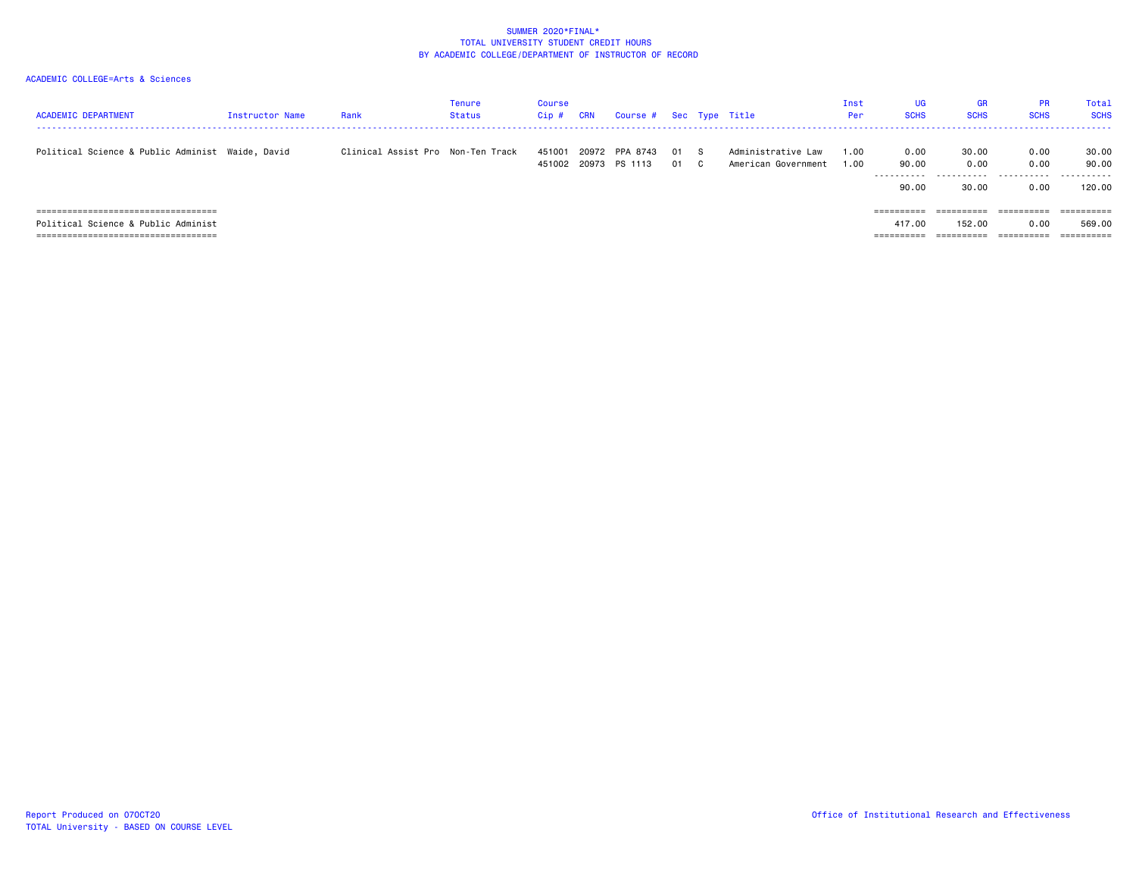| <b>ACADEMIC DEPARTMENT</b>                                                   | Instructor Name | Rank                              | Tenure<br><b>Status</b> | Course<br>Cip# | CRN   | Course # Sec Type Title          |            |              |                                           | Inst<br>Per  | UG<br><b>SCHS</b>           | GR<br><b>SCHS</b>        | <b>PR</b><br><b>SCHS</b> | Total<br><b>SCHS</b>     |
|------------------------------------------------------------------------------|-----------------|-----------------------------------|-------------------------|----------------|-------|----------------------------------|------------|--------------|-------------------------------------------|--------------|-----------------------------|--------------------------|--------------------------|--------------------------|
| Political Science & Public Administ Waide, David                             |                 | Clinical Assist Pro Non-Ten Track |                         | 451001         | 20972 | PPA 8743<br>451002 20973 PS 1113 | 01 S<br>01 | $\mathbf{C}$ | Administrative Law<br>American Government | 1.00<br>1.00 | 0.00<br>90.00<br>.<br>90.00 | 30.00<br>0.00<br>30.00   | 0.00<br>0.00<br>0.00     | 30.00<br>90.00<br>120,00 |
| =====================================<br>Political Science & Public Administ |                 |                                   |                         |                |       |                                  |            |              |                                           |              | 417.00                      | ==========<br>152.00     | ==========<br>0.00       | 569.00                   |
| =====================================                                        |                 |                                   |                         |                |       |                                  |            |              |                                           |              | _________<br>----------     | __________<br>---------- | __________<br>---------- |                          |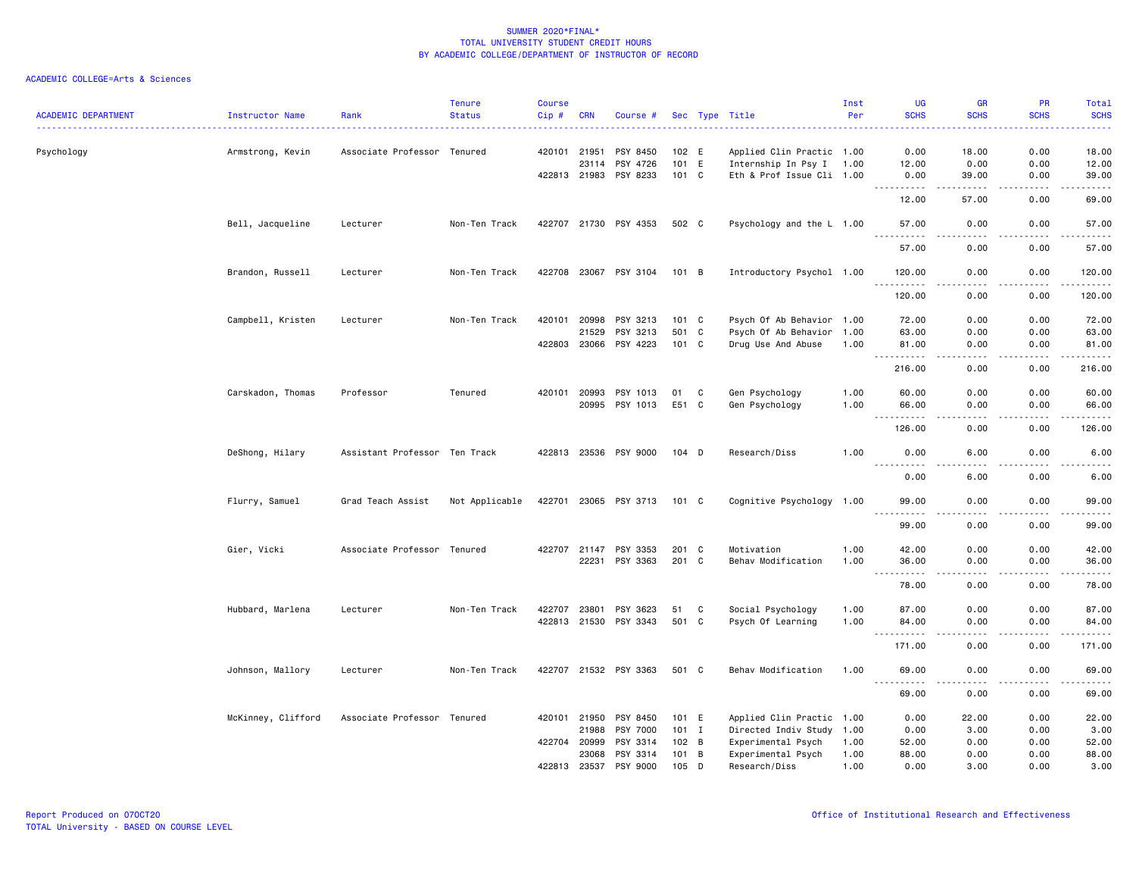| <b>ACADEMIC DEPARTMENT</b> | Instructor Name    | Rank                          | <b>Tenure</b><br><b>Status</b> | <b>Course</b><br>Cip# | <b>CRN</b>     | Course #                          |                |   | Sec Type Title                         | Inst<br>Per  | UG<br><b>SCHS</b>                            | <b>GR</b><br><b>SCHS</b>            | PR<br><b>SCHS</b>            | Total<br><b>SCHS</b>               |
|----------------------------|--------------------|-------------------------------|--------------------------------|-----------------------|----------------|-----------------------------------|----------------|---|----------------------------------------|--------------|----------------------------------------------|-------------------------------------|------------------------------|------------------------------------|
|                            |                    |                               |                                |                       |                |                                   |                |   |                                        |              |                                              |                                     |                              | <u>.</u>                           |
| Psychology                 | Armstrong, Kevin   | Associate Professor           | Tenured                        | 420101 21951          |                | PSY 8450                          | 102 E          |   | Applied Clin Practic 1.00              |              | 0.00                                         | 18.00                               | 0.00                         | 18.00                              |
|                            |                    |                               |                                |                       | 23114          | PSY 4726                          | 101 E          |   | Internship In Psy I 1.00               |              | 12.00                                        | 0.00                                | 0.00                         | 12.00                              |
|                            |                    |                               |                                | 422813 21983          |                | PSY 8233                          | 101 C          |   | Eth & Prof Issue Cli 1.00              |              | 0.00                                         | 39.00                               | 0.00                         | 39.00                              |
|                            |                    |                               |                                |                       |                |                                   |                |   |                                        |              | 12.00                                        | 57.00                               | 0.00                         | $\omega$ is $\omega$ in .<br>69.00 |
|                            | Bell, Jacqueline   | Lecturer                      | Non-Ten Track                  |                       |                | 422707 21730 PSY 4353             | 502 C          |   | Psychology and the L 1.00              |              | 57.00<br>. <u>.</u>                          | 0.00<br>$- - - -$                   | 0.00<br>$\frac{1}{2}$        | 57.00<br>.                         |
|                            |                    |                               |                                |                       |                |                                   |                |   |                                        |              | 57.00                                        | 0.00                                | 0.00                         | 57.00                              |
|                            | Brandon, Russell   | Lecturer                      | Non-Ten Track                  |                       |                | 422708 23067 PSY 3104             | $101$ B        |   | Introductory Psychol 1.00              |              | 120.00<br>-----                              | 0.00<br>.                           | 0.00<br>.                    | 120.00<br><u>.</u>                 |
|                            |                    |                               |                                |                       |                |                                   |                |   |                                        |              | 120.00                                       | 0.00                                | 0.00                         | 120.00                             |
|                            | Campbell, Kristen  | Lecturer                      | Non-Ten Track                  | 420101                | 20998          | PSY 3213                          | 101 C          |   | Psych Of Ab Behavior 1.00              |              | 72.00                                        | 0.00                                | 0.00                         | 72.00                              |
|                            |                    |                               |                                |                       | 21529          | PSY 3213                          | 501 C          |   | Psych Of Ab Behavior 1.00              |              | 63.00                                        | 0.00                                | 0.00                         | 63.00                              |
|                            |                    |                               |                                | 422803                | 23066          | PSY 4223                          | 101 C          |   | Drug Use And Abuse                     | 1.00         | 81.00<br>.                                   | 0.00<br>$\frac{1}{2}$               | 0.00<br>.                    | 81.00<br>.                         |
|                            |                    |                               |                                |                       |                |                                   |                |   |                                        |              | 216.00                                       | 0.00                                | 0.00                         | 216.00                             |
|                            | Carskadon, Thomas  | Professor                     | Tenured                        | 420101                | 20993          | PSY 1013                          | 01             | C | Gen Psychology                         | 1.00         | 60.00                                        | 0.00                                | 0.00                         | 60.00                              |
|                            |                    |                               |                                |                       |                | 20995 PSY 1013                    | E51 C          |   | Gen Psychology                         | 1.00         | 66.00                                        | 0.00                                | 0.00                         | 66.00                              |
|                            |                    |                               |                                |                       |                |                                   |                |   |                                        |              | $\sim$ $\sim$ $\sim$<br>. <u>.</u><br>126.00 | $- - - -$<br>0.00                   | $\frac{1}{2}$<br>0.00        | .<br>126.00                        |
|                            | DeShong, Hilary    | Assistant Professor Ten Track |                                |                       |                | 422813 23536 PSY 9000             | $104$ D        |   | Research/Diss                          | 1.00         | 0.00                                         | 6.00                                | 0.00                         | 6.00                               |
|                            |                    |                               |                                |                       |                |                                   |                |   |                                        |              | 0.00                                         | .<br>6.00                           | $\sim$ $\sim$ $\sim$<br>0.00 | -----<br>6.00                      |
|                            | Flurry, Samuel     | Grad Teach Assist             | Not Applicable                 | 422701                |                | 23065 PSY 3713                    | 101 C          |   | Cognitive Psychology 1.00              |              | 99.00                                        | 0.00                                | 0.00                         | 99.00                              |
|                            |                    |                               |                                |                       |                |                                   |                |   |                                        |              | $\sim$ $\sim$ $\sim$<br>99.00                | 0.00                                | 0.00                         | . <u>.</u> .<br>99.00              |
|                            |                    |                               |                                |                       |                |                                   |                |   |                                        |              |                                              |                                     |                              |                                    |
|                            | Gier, Vicki        | Associate Professor Tenured   |                                | 422707                | 21147<br>22231 | PSY 3353<br>PSY 3363              | 201 C<br>201 C |   | Motivation<br>Behav Modification       | 1.00<br>1.00 | 42.00<br>36.00                               | 0.00<br>0.00                        | 0.00<br>0.00                 | 42.00<br>36.00                     |
|                            |                    |                               |                                |                       |                |                                   |                |   |                                        |              | .<br>$\sim$ $\sim$ $\sim$<br>78.00           | $\sim$ $\sim$ $\sim$ $\sim$<br>0.00 | .<br>0.00                    | .<br>78.00                         |
|                            |                    |                               |                                |                       |                |                                   |                |   |                                        |              |                                              |                                     |                              |                                    |
|                            | Hubbard, Marlena   | Lecturer                      | Non-Ten Track                  | 422707                | 23801          | PSY 3623<br>422813 21530 PSY 3343 | 51<br>501 C    | C | Social Psychology<br>Psych Of Learning | 1.00<br>1.00 | 87.00<br>84.00                               | 0.00<br>0.00                        | 0.00<br>0.00                 | 87.00<br>84.00                     |
|                            |                    |                               |                                |                       |                |                                   |                |   |                                        |              | .                                            | .                                   |                              | .                                  |
|                            |                    |                               |                                |                       |                |                                   |                |   |                                        |              | 171.00                                       | 0.00                                | 0.00                         | 171.00                             |
|                            | Johnson, Mallory   | Lecturer                      | Non-Ten Track                  |                       |                | 422707 21532 PSY 3363             | 501 C          |   | Behav Modification                     | 1.00         | 69.00                                        | 0.00<br>.                           | 0.00                         | 69.00<br>.                         |
|                            |                    |                               |                                |                       |                |                                   |                |   |                                        |              | 69.00                                        | 0.00                                | 0.00                         | 69.00                              |
|                            | McKinney, Clifford | Associate Professor Tenured   |                                | 420101                | 21950          | PSY 8450                          | 101 E          |   | Applied Clin Practic 1.00              |              | 0.00                                         | 22.00                               | 0.00                         | 22.00                              |
|                            |                    |                               |                                |                       | 21988          | <b>PSY 7000</b>                   | $101$ I        |   | Directed Indiv Study 1.00              |              | 0.00                                         | 3.00                                | 0.00                         | 3.00                               |
|                            |                    |                               |                                | 422704                | 20999          | PSY 3314                          | 102 B          |   | Experimental Psych                     | 1.00         | 52.00                                        | 0.00                                | 0.00                         | 52.00                              |
|                            |                    |                               |                                |                       | 23068          | PSY 3314                          | $101 \quad B$  |   | Experimental Psych                     | 1.00         | 88.00                                        | 0.00                                | 0.00                         | 88.00                              |
|                            |                    |                               |                                | 422813                | 23537          | PSY 9000                          | $105$ D        |   | Research/Diss                          | 1.00         | 0.00                                         | 3.00                                | 0.00                         | 3.00                               |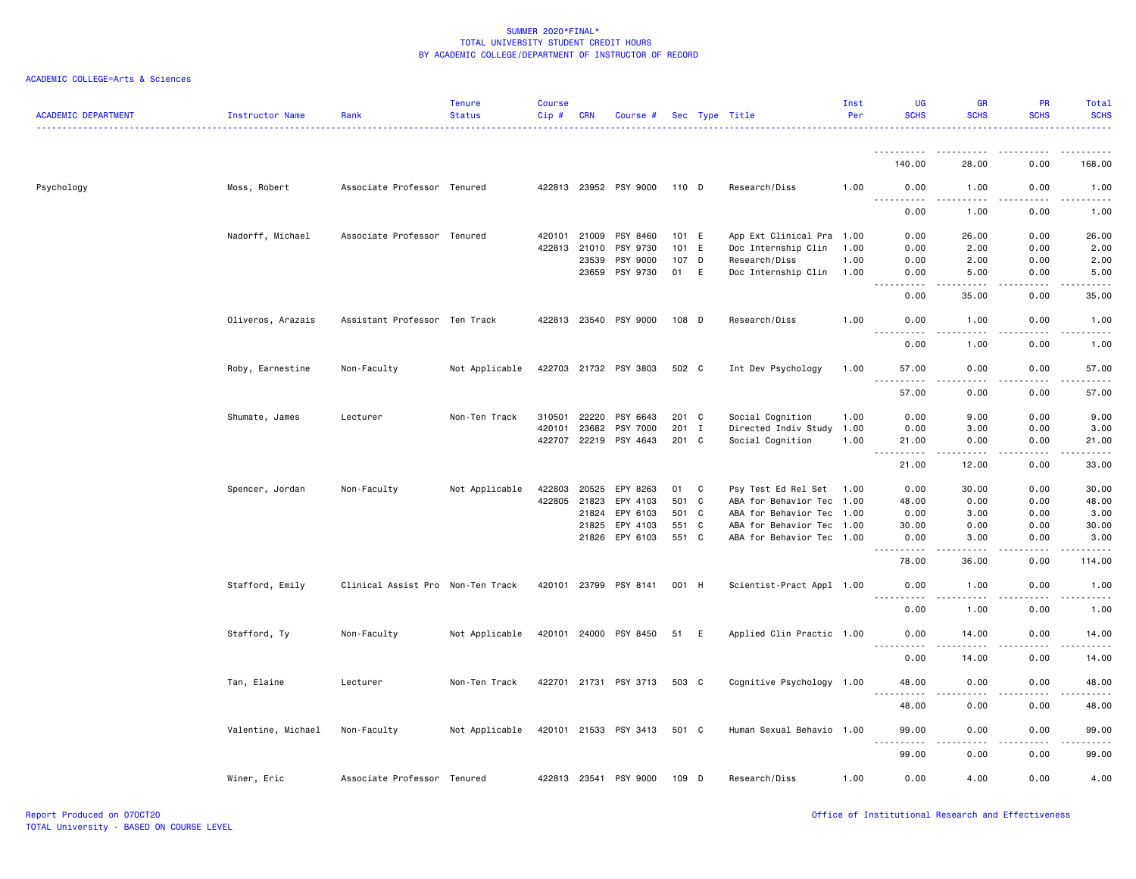| <b>ACADEMIC DEPARTMENT</b> | Instructor Name    | Rank                              | <b>Tenure</b><br><b>Status</b> | <b>Course</b><br>Cip# | <b>CRN</b>   | Course #              |       |              | Sec Type Title            | Inst<br>Per | UG<br><b>SCHS</b>           | GR<br><b>SCHS</b>     | PR<br><b>SCHS</b>   | <b>Total</b><br><b>SCHS</b> |
|----------------------------|--------------------|-----------------------------------|--------------------------------|-----------------------|--------------|-----------------------|-------|--------------|---------------------------|-------------|-----------------------------|-----------------------|---------------------|-----------------------------|
|                            |                    |                                   |                                |                       |              |                       |       |              |                           |             | ---------- <i>-</i>         |                       |                     |                             |
|                            |                    |                                   |                                |                       |              |                       |       |              |                           |             | 140.00                      | 28.00                 | 0.00                | 168.00                      |
| Psychology                 | Moss, Robert       | Associate Professor Tenured       |                                |                       |              | 422813 23952 PSY 9000 | 110 D |              | Research/Diss             | 1.00        | 0.00<br>.                   | 1.00<br><u>.</u>      | 0.00<br>.           | 1.00<br>.                   |
|                            |                    |                                   |                                |                       |              |                       |       |              |                           |             | 0.00                        | 1.00                  | 0.00                | 1.00                        |
|                            | Nadorff, Michael   | Associate Professor Tenured       |                                | 420101                | 21009        | PSY 8460              | 101 E |              | App Ext Clinical Pra 1.00 |             | 0.00                        | 26.00                 | 0.00                | 26.00                       |
|                            |                    |                                   |                                | 422813                | 21010        | PSY 9730              | 101   | E            | Doc Internship Clin       | 1.00        | 0.00                        | 2.00                  | 0.00                | 2.00                        |
|                            |                    |                                   |                                |                       | 23539        | PSY 9000              | 107   | D            | Research/Diss             | 1.00        | 0.00                        | 2.00                  | 0.00                | 2.00                        |
|                            |                    |                                   |                                |                       | 23659        | PSY 9730              | 01    | E            | Doc Internship Clin       | 1.00        | 0.00                        | 5.00                  | 0.00                | 5.00                        |
|                            |                    |                                   |                                |                       |              |                       |       |              |                           |             | 0.00                        | 35.00                 | 0.00                | 35.00                       |
|                            | Oliveros, Arazais  | Assistant Professor Ten Track     |                                |                       | 422813 23540 | PSY 9000              | 108 D |              | Research/Diss             | 1.00        | 0.00<br>. <b>.</b>          | 1.00<br>.             | 0.00<br>$- - - - -$ | 1.00<br>.                   |
|                            |                    |                                   |                                |                       |              |                       |       |              |                           |             | 0.00                        | 1.00                  | 0.00                | 1.00                        |
|                            | Roby, Earnestine   | Non-Faculty                       | Not Applicable                 |                       |              | 422703 21732 PSY 3803 | 502 C |              | Int Dev Psychology        | 1.00        | 57.00                       | 0.00                  | 0.00                | 57.00                       |
|                            |                    |                                   |                                |                       |              |                       |       |              |                           |             | .<br>57.00                  | $- - -$<br>0.00       | 0.00                | 57.00                       |
|                            | Shumate, James     | Lecturer                          | Non-Ten Track                  | 310501                | 22220        | PSY 6643              | 201 C |              | Social Cognition          | 1.00        | 0.00                        | 9.00                  | 0.00                | 9.00                        |
|                            |                    |                                   |                                | 420101                | 23682        | PSY 7000              | 201   | $\mathbf{I}$ | Directed Indiv Study      | 1.00        | 0.00                        | 3.00                  | 0.00                | 3.00                        |
|                            |                    |                                   |                                | 422707                | 22219        | PSY 4643              | 201   | $\mathbf{C}$ | Social Cognition          | 1.00        | 21.00<br>.<br>$\sim$ $\sim$ | 0.00<br>.             | 0.00<br>-----       | 21.00<br>.                  |
|                            |                    |                                   |                                |                       |              |                       |       |              |                           |             | 21.00                       | 12.00                 | 0.00                | 33.00                       |
|                            | Spencer, Jordan    | Non-Faculty                       | Not Applicable                 | 422803                | 20525        | EPY 8263              | 01    | C            | Psy Test Ed Rel Set       | 1.00        | 0.00                        | 30.00                 | 0.00                | 30.00                       |
|                            |                    |                                   |                                | 422805                | 21823        | EPY 4103              | 501 C |              | ABA for Behavior Tec 1.00 |             | 48.00                       | 0.00                  | 0.00                | 48.00                       |
|                            |                    |                                   |                                |                       | 21824        | EPY 6103              | 501 C |              | ABA for Behavior Tec 1.00 |             | 0.00                        | 3.00                  | 0.00                | 3.00                        |
|                            |                    |                                   |                                |                       | 21825        | EPY 4103              | 551   | $\mathbf{C}$ | ABA for Behavior Tec 1.00 |             | 30.00                       | 0.00                  | 0.00                | 30.00                       |
|                            |                    |                                   |                                |                       | 21826        | EPY 6103              | 551 C |              | ABA for Behavior Tec 1.00 |             | 0.00<br>$- - - - - - -$     | 3.00                  | 0.00                | 3.00                        |
|                            |                    |                                   |                                |                       |              |                       |       |              |                           |             | 78.00                       | 36.00                 | 0.00                | 114.00                      |
|                            | Stafford, Emily    | Clinical Assist Pro Non-Ten Track |                                | 420101                | 23799        | PSY 8141              | 001 H |              | Scientist-Pract Appl 1.00 |             | 0.00<br>----                | 1.00<br>$\frac{1}{2}$ | 0.00                | 1.00<br>$\frac{1}{2}$       |
|                            |                    |                                   |                                |                       |              |                       |       |              |                           |             | 0.00                        | 1.00                  | 0.00                | 1.00                        |
|                            | Stafford, Ty       | Non-Faculty                       | Not Applicable                 |                       |              | 420101 24000 PSY 8450 | 51    | E            | Applied Clin Practic 1.00 |             | 0.00<br>.                   | 14.00<br>.            | 0.00<br>-----       | 14.00<br>.                  |
|                            |                    |                                   |                                |                       |              |                       |       |              |                           |             | 0.00                        | 14.00                 | 0.00                | 14.00                       |
|                            | Tan, Elaine        | Lecturer                          | Non-Ten Track                  |                       |              | 422701 21731 PSY 3713 | 503 C |              | Cognitive Psychology 1.00 |             | 48.00                       | 0.00                  | 0.00                | 48.00                       |
|                            |                    |                                   |                                |                       |              |                       |       |              |                           |             | $- - -$<br>.<br>48.00       | $- - -$<br>0.00       | .<br>0.00           | .<br>48.00                  |
|                            | Valentine, Michael | Non-Faculty                       | Not Applicable                 |                       |              | 420101 21533 PSY 3413 | 501 C |              | Human Sexual Behavio 1.00 |             | 99.00                       | 0.00                  | 0.00                | 99.00                       |
|                            |                    |                                   |                                |                       |              |                       |       |              |                           |             | 99.00                       | 0.00                  | 0.00                | 99.00                       |
|                            | Winer, Eric        | Associate Professor               | Tenured                        |                       |              | 422813 23541 PSY 9000 | 109   | D            | Research/Diss             | 1.00        | 0.00                        | 4.00                  | 0.00                | 4.00                        |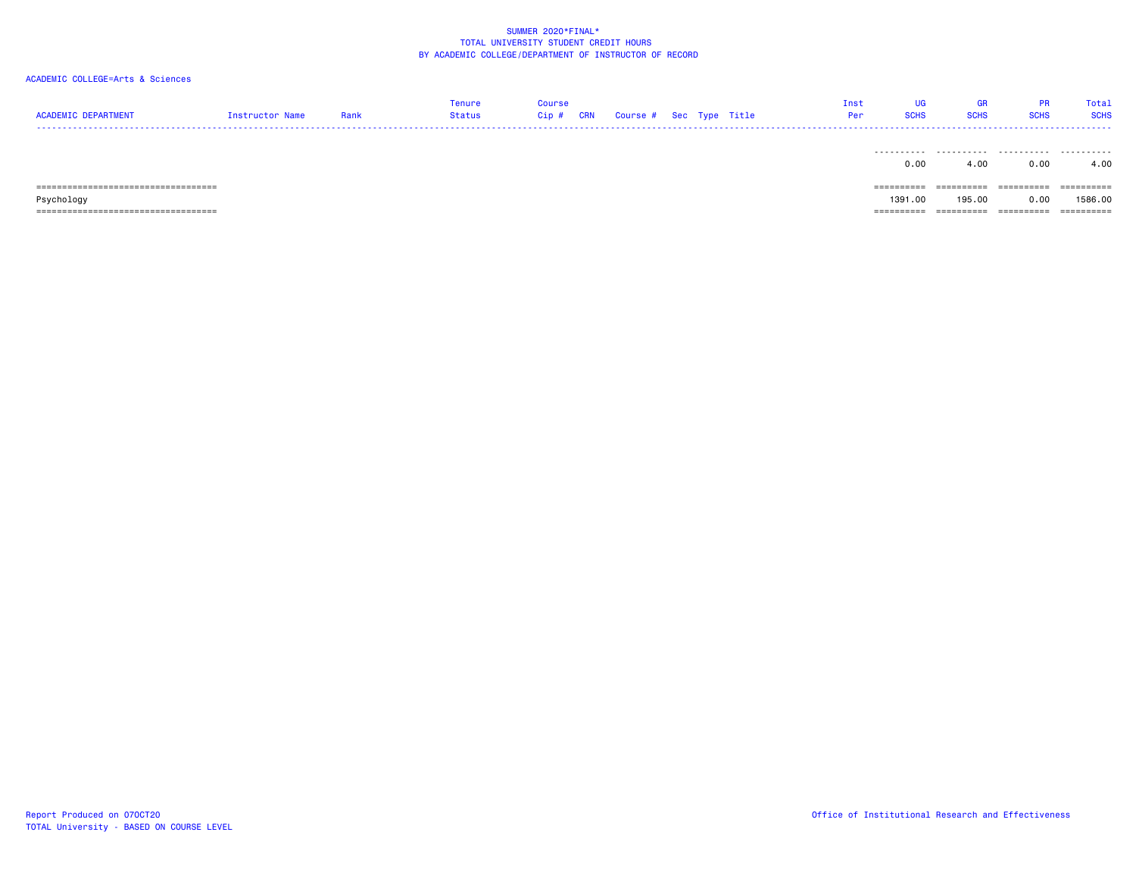| <b>ACADEMIC DEPARTMENT</b>             | Instructor Name | Rank | Tenure<br>Status | Course<br>$Cip$ # | <b>CRN</b> | Course # Sec Type Title |  | Inst<br>Per | UG<br><b>SCHS</b>     | <b>GR</b><br><b>SCHS</b> | <b>PR</b><br><b>SCHS</b> | Total<br><b>SCHS</b> |
|----------------------------------------|-----------------|------|------------------|-------------------|------------|-------------------------|--|-------------|-----------------------|--------------------------|--------------------------|----------------------|
|                                        |                 |      |                  |                   |            |                         |  |             | .                     | .                        | .                        | .                    |
|                                        |                 |      |                  |                   |            |                         |  |             | 0.00                  | 4.00                     | 0.00                     | 4.00                 |
| ====================================== |                 |      |                  |                   |            |                         |  |             | $=$ = = = = = = = = = | ==========               |                          | ==========           |
| Psychology                             |                 |      |                  |                   |            |                         |  |             | 1391.00               | 195,00                   | 0.00                     | 1586.00              |
| =====================================  |                 |      |                  |                   |            |                         |  |             | ==========            | ==========               | ==========               | ==========           |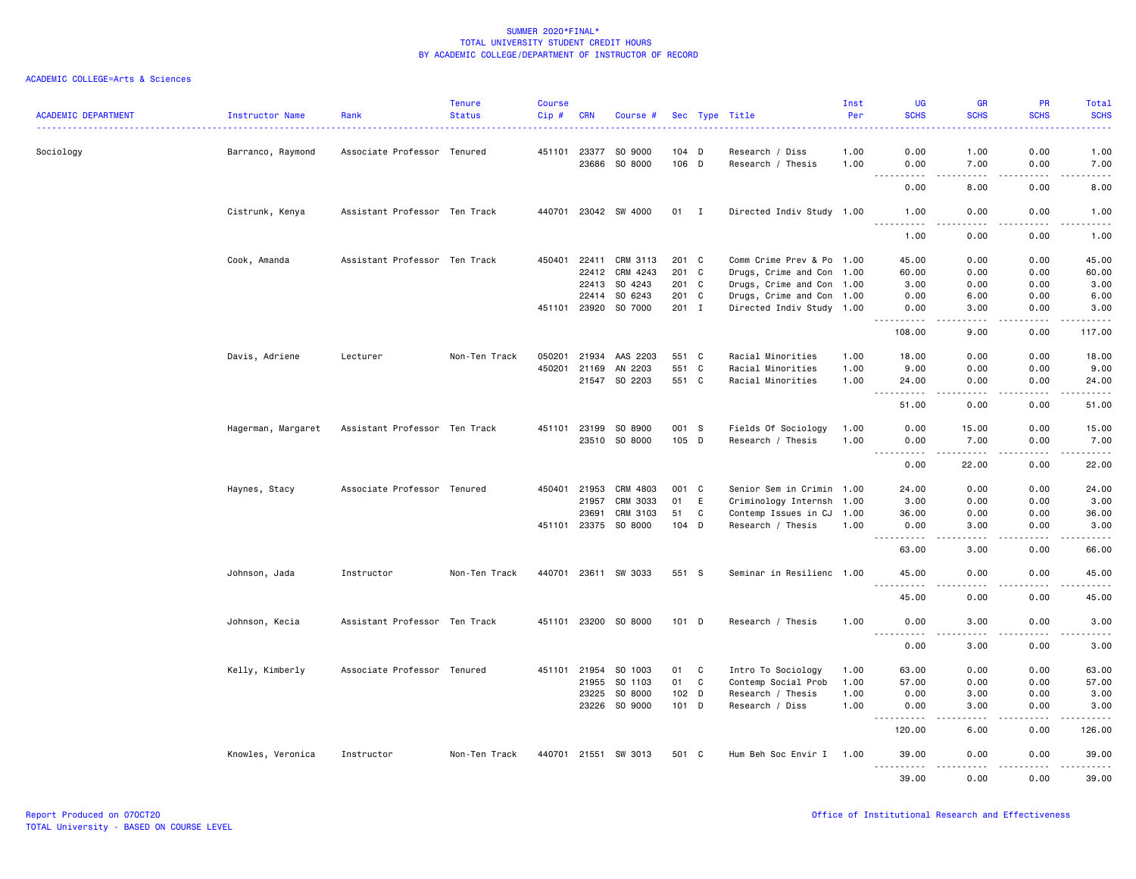### ACADEMIC COLLEGE=Arts & Sciences

| <b>ACADEMIC DEPARTMENT</b> | Instructor Name    | Rank                          | <b>Tenure</b><br><b>Status</b> | <b>Course</b><br>Cip# | <b>CRN</b>   | Course #             |                  |              | Sec Type Title            | Inst<br>Per | <b>UG</b><br><b>SCHS</b>                                                                                                                                     | <b>GR</b><br><b>SCHS</b>                                                                                                                                      | <b>PR</b><br><b>SCHS</b> | Total<br><b>SCHS</b>  |
|----------------------------|--------------------|-------------------------------|--------------------------------|-----------------------|--------------|----------------------|------------------|--------------|---------------------------|-------------|--------------------------------------------------------------------------------------------------------------------------------------------------------------|---------------------------------------------------------------------------------------------------------------------------------------------------------------|--------------------------|-----------------------|
| Sociology                  | Barranco, Raymond  | Associate Professor Tenured   |                                | 451101                | 23377        | SO 9000              | $104$ D          |              | Research / Diss           | 1.00        | 0.00                                                                                                                                                         | 1.00                                                                                                                                                          | 0.00                     | 1.00                  |
|                            |                    |                               |                                |                       | 23686        | SO 8000              | 106 D            |              | Research / Thesis         | 1.00        | 0.00<br>$- - - -$                                                                                                                                            | 7.00<br>.                                                                                                                                                     | 0.00<br>.                | 7.00<br>$\frac{1}{2}$ |
|                            |                    |                               |                                |                       |              |                      |                  |              |                           |             | 0.00                                                                                                                                                         | 8.00                                                                                                                                                          | 0.00                     | 8.00                  |
|                            | Cistrunk, Kenya    | Assistant Professor Ten Track |                                |                       |              | 440701 23042 SW 4000 | 01 I             |              | Directed Indiv Study 1.00 |             | 1.00                                                                                                                                                         | 0.00                                                                                                                                                          | 0.00                     | 1.00                  |
|                            |                    |                               |                                |                       |              |                      |                  |              |                           |             | $- - - - -$<br>1.00                                                                                                                                          | $\cdots$<br>0.00                                                                                                                                              | .<br>0.00                | $\frac{1}{2}$<br>1.00 |
|                            | Cook, Amanda       | Assistant Professor Ten Track |                                | 450401                | 22411        | CRM 3113             | 201 C            |              | Comm Crime Prev & Po 1.00 |             | 45.00                                                                                                                                                        | 0.00                                                                                                                                                          | 0.00                     | 45.00                 |
|                            |                    |                               |                                |                       | 22412        | CRM 4243             | 201 C            |              | Drugs, Crime and Con 1.00 |             | 60.00                                                                                                                                                        | 0.00                                                                                                                                                          | 0.00                     | 60.00                 |
|                            |                    |                               |                                |                       | 22413        | SO 4243              | 201 C            |              | Drugs, Crime and Con 1.00 |             | 3.00                                                                                                                                                         | 0.00                                                                                                                                                          | 0.00                     | 3.00                  |
|                            |                    |                               |                                |                       | 22414        | SO 6243              | 201 C            |              | Drugs, Crime and Con 1.00 |             | 0.00                                                                                                                                                         | 6.00                                                                                                                                                          | 0.00                     | 6.00                  |
|                            |                    |                               |                                | 451101                | 23920        | SO 7000              | $201$ I          |              | Directed Indiv Study 1.00 |             | 0.00<br>$\frac{1}{2} \left( \frac{1}{2} \right) \left( \frac{1}{2} \right) \left( \frac{1}{2} \right) \left( \frac{1}{2} \right) \left( \frac{1}{2} \right)$ | 3.00<br>$\sim$ $\sim$ $\sim$ $\sim$                                                                                                                           | 0.00<br>.                | 3.00<br>.             |
|                            |                    |                               |                                |                       |              |                      |                  |              |                           |             | 108.00                                                                                                                                                       | 9.00                                                                                                                                                          | 0.00                     | 117.00                |
|                            | Davis, Adriene     | Lecturer                      | Non-Ten Track                  | 050201                | 21934        | AAS 2203             | 551 C            |              | Racial Minorities         | 1.00        | 18.00                                                                                                                                                        | 0.00                                                                                                                                                          | 0.00                     | 18.00                 |
|                            |                    |                               |                                | 450201                | 21169        | AN 2203              | 551 C            |              | Racial Minorities         | 1.00        | 9.00                                                                                                                                                         | 0.00                                                                                                                                                          | 0.00                     | 9.00                  |
|                            |                    |                               |                                |                       |              | 21547 SO 2203        | 551 C            |              | Racial Minorities         | 1.00        | 24.00                                                                                                                                                        | 0.00                                                                                                                                                          | 0.00                     | 24.00<br>. <u>.</u> . |
|                            |                    |                               |                                |                       |              |                      |                  |              |                           |             | 51.00                                                                                                                                                        | 0.00                                                                                                                                                          | 0.00                     | 51.00                 |
|                            | Hagerman, Margaret | Assistant Professor Ten Track |                                | 451101                | 23199        | SO 8900              | 001 S            |              | Fields Of Sociology       | 1.00        | 0.00                                                                                                                                                         | 15.00                                                                                                                                                         | 0.00                     | 15.00                 |
|                            |                    |                               |                                |                       | 23510        | SO 8000              | $105$ D          |              | Research / Thesis         | 1.00        | 0.00                                                                                                                                                         | 7.00                                                                                                                                                          | 0.00                     | 7.00                  |
|                            |                    |                               |                                |                       |              |                      |                  |              |                           |             | .<br>0.00                                                                                                                                                    | $\frac{1}{2} \left( \frac{1}{2} \right) \left( \frac{1}{2} \right) \left( \frac{1}{2} \right) \left( \frac{1}{2} \right) \left( \frac{1}{2} \right)$<br>22.00 | الدامات بال<br>0.00      | .<br>22.00            |
|                            | Haynes, Stacy      | Associate Professor Tenured   |                                | 450401                | 21953        | CRM 4803             | 001 C            |              | Senior Sem in Crimin 1.00 |             | 24.00                                                                                                                                                        | 0.00                                                                                                                                                          | 0.00                     | 24.00                 |
|                            |                    |                               |                                |                       | 21957        | CRM 3033             | 01               | E            | Criminology Internsh 1.00 |             | 3.00                                                                                                                                                         | 0.00                                                                                                                                                          | 0.00                     | 3.00                  |
|                            |                    |                               |                                |                       | 23691        | CRM 3103             | 51               | C            | Contemp Issues in CJ      | 1.00        | 36.00                                                                                                                                                        | 0.00                                                                                                                                                          | 0.00                     | 36.00                 |
|                            |                    |                               |                                |                       | 451101 23375 | SO 8000              | $104$ D          |              | Research / Thesis         | 1.00        | 0.00<br>.                                                                                                                                                    | 3.00<br>- - - -                                                                                                                                               | 0.00<br>.                | 3.00<br>$\frac{1}{2}$ |
|                            |                    |                               |                                |                       |              |                      |                  |              |                           |             | 63.00                                                                                                                                                        | 3,00                                                                                                                                                          | 0.00                     | 66.00                 |
|                            | Johnson, Jada      | Instructor                    | Non-Ten Track                  |                       |              | 440701 23611 SW 3033 | 551 S            |              | Seminar in Resilienc 1.00 |             | 45.00                                                                                                                                                        | 0.00                                                                                                                                                          | 0.00                     | 45.00                 |
|                            |                    |                               |                                |                       |              |                      |                  |              |                           |             | $- - - -$<br>. <u>.</u><br>45.00                                                                                                                             | 0.00                                                                                                                                                          | 0.00                     | .<br>45.00            |
|                            | Johnson, Kecia     | Assistant Professor Ten Track |                                |                       |              | 451101 23200 SO 8000 | $101$ D          |              | Research / Thesis         | 1.00        | 0.00                                                                                                                                                         | 3.00                                                                                                                                                          | 0.00                     | 3.00                  |
|                            |                    |                               |                                |                       |              |                      |                  |              |                           |             | ----<br>0.00                                                                                                                                                 | .<br>3.00                                                                                                                                                     | 0.00                     | <u>.</u><br>3.00      |
|                            | Kelly, Kimberly    | Associate Professor Tenured   |                                |                       | 451101 21954 | SO 1003              | 01               | $\mathbf{C}$ | Intro To Sociology        | 1.00        | 63.00                                                                                                                                                        | 0.00                                                                                                                                                          | 0.00                     | 63.00                 |
|                            |                    |                               |                                |                       | 21955        | SO 1103              | 01               | $\mathbf C$  | Contemp Social Prob       | 1.00        | 57.00                                                                                                                                                        | 0.00                                                                                                                                                          | 0.00                     | 57.00                 |
|                            |                    |                               |                                |                       | 23225        | SO 8000              | 102 <sub>D</sub> |              | Research / Thesis         | 1.00        | 0.00                                                                                                                                                         | 3.00                                                                                                                                                          | 0.00                     | 3.00                  |
|                            |                    |                               |                                |                       |              | 23226 SO 9000        | $101$ D          |              | Research / Diss           | 1.00        | 0.00                                                                                                                                                         | 3.00                                                                                                                                                          | 0.00                     | 3.00                  |
|                            |                    |                               |                                |                       |              |                      |                  |              |                           |             | .                                                                                                                                                            | .                                                                                                                                                             | .                        | .                     |
|                            |                    |                               |                                |                       |              |                      |                  |              |                           |             | 120.00                                                                                                                                                       | 6.00                                                                                                                                                          | 0.00                     | 126.00                |
|                            | Knowles, Veronica  | Instructor                    | Non-Ten Track                  |                       |              | 440701 21551 SW 3013 | 501 C            |              | Hum Beh Soc Envir I       | 1.00        | 39,00<br>$- - - - - - -$                                                                                                                                     | 0.00<br>.                                                                                                                                                     | 0.00<br>.                | 39,00                 |
|                            |                    |                               |                                |                       |              |                      |                  |              |                           |             | 39.00                                                                                                                                                        | 0.00                                                                                                                                                          | 0.00                     | 39.00                 |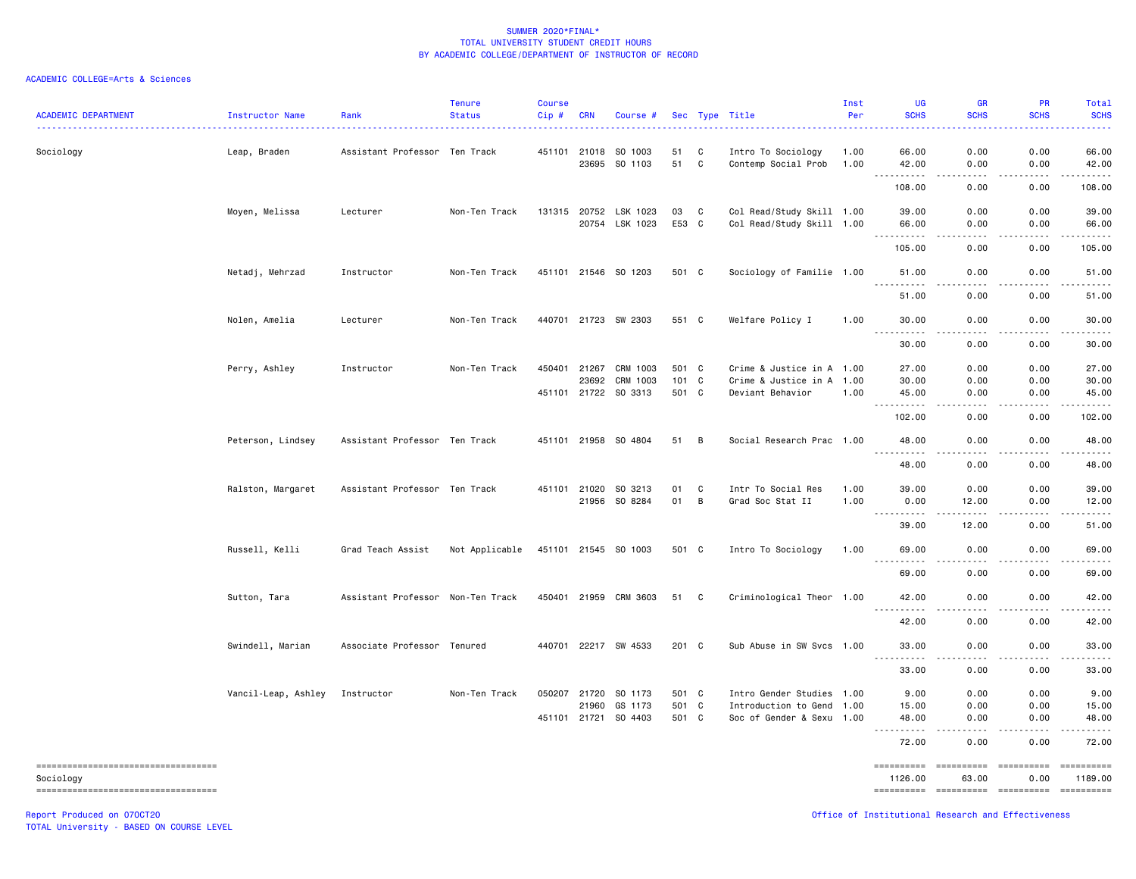### ACADEMIC COLLEGE=Arts & Sciences

| <b>ACADEMIC DEPARTMENT</b>                       | Instructor Name     | Rank                              | <b>Tenure</b><br><b>Status</b> | Course<br>Cip# | <b>CRN</b>   | Course #              |       |                | Sec Type Title<br><u>.</u> | Inst<br>Per | UG<br><b>SCHS</b>                 | <b>GR</b><br><b>SCHS</b> | PR<br><b>SCHS</b>                                                                                                                                            | Total<br><b>SCHS</b>  |
|--------------------------------------------------|---------------------|-----------------------------------|--------------------------------|----------------|--------------|-----------------------|-------|----------------|----------------------------|-------------|-----------------------------------|--------------------------|--------------------------------------------------------------------------------------------------------------------------------------------------------------|-----------------------|
| Sociology                                        | Leap, Braden        | Assistant Professor Ten Track     |                                |                | 451101 21018 | SO 1003               | 51    | C              | Intro To Sociology         | 1.00        | 66.00                             | 0.00                     | 0.00                                                                                                                                                         | 66.00                 |
|                                                  |                     |                                   |                                |                |              | 23695 SO 1103         | 51    | C              | Contemp Social Prob        | 1.00        | 42.00<br>.                        | 0.00<br>.                | 0.00<br>.                                                                                                                                                    | 42.00<br>.            |
|                                                  |                     |                                   |                                |                |              |                       |       |                |                            |             | 108.00                            | 0.00                     | 0.00                                                                                                                                                         | 108.00                |
|                                                  | Moyen, Melissa      | Lecturer                          | Non-Ten Track                  |                |              | 131315 20752 LSK 1023 | 03    | C              | Col Read/Study Skill 1.00  |             | 39.00                             | 0.00                     | 0.00                                                                                                                                                         | 39.00                 |
|                                                  |                     |                                   |                                |                | 20754        | LSK 1023              | E53 C |                | Col Read/Study Skill 1.00  |             | 66.00<br>.                        | 0.00<br>----             | 0.00<br>.                                                                                                                                                    | 66.00<br>. <u>.</u> . |
|                                                  |                     |                                   |                                |                |              |                       |       |                |                            |             | 105.00                            | 0.00                     | 0.00                                                                                                                                                         | 105.00                |
|                                                  | Netadj, Mehrzad     | Instructor                        | Non-Ten Track                  |                |              | 451101 21546 SO 1203  | 501 C |                | Sociology of Familie 1.00  |             | 51.00                             | 0.00                     | 0.00                                                                                                                                                         | 51.00                 |
|                                                  |                     |                                   |                                |                |              |                       |       |                |                            |             | 51.00                             | 0.00                     | 0.00                                                                                                                                                         | 51.00                 |
|                                                  | Nolen, Amelia       | Lecturer                          | Non-Ten Track                  |                |              | 440701 21723 SW 2303  | 551 C |                | Welfare Policy I           | 1.00        | 30.00<br><u>.</u>                 | 0.00<br>-----            | 0.00<br>$\frac{1}{2} \left( \frac{1}{2} \right) \left( \frac{1}{2} \right) \left( \frac{1}{2} \right) \left( \frac{1}{2} \right) \left( \frac{1}{2} \right)$ | 30.00<br>.            |
|                                                  |                     |                                   |                                |                |              |                       |       |                |                            |             | 30.00                             | 0.00                     | 0.00                                                                                                                                                         | 30.00                 |
|                                                  | Perry, Ashley       | Instructor                        | Non-Ten Track                  |                | 450401 21267 | CRM 1003              | 501 C |                | Crime & Justice in A 1.00  |             | 27.00                             | 0.00                     | 0.00                                                                                                                                                         | 27.00                 |
|                                                  |                     |                                   |                                |                | 23692        | CRM 1003              | 101 C |                | Crime & Justice in A 1.00  |             | 30.00                             | 0.00                     | 0.00                                                                                                                                                         | 30.00                 |
|                                                  |                     |                                   |                                |                | 451101 21722 | SO 3313               | 501 C |                | Deviant Behavior           | 1.00        | 45.00<br>$  -$                    | 0.00<br>.                | 0.00<br>$\sim$ $\sim$ $\sim$ $\sim$                                                                                                                          | 45.00<br>.            |
|                                                  |                     |                                   |                                |                |              |                       |       |                |                            |             | 102.00                            | 0.00                     | 0.00                                                                                                                                                         | 102.00                |
|                                                  | Peterson, Lindsey   | Assistant Professor Ten Track     |                                |                |              | 451101 21958 SO 4804  | 51    | $\overline{B}$ | Social Research Prac 1.00  |             | 48.00<br>$ -$<br>.                | 0.00                     | 0.00                                                                                                                                                         | 48.00                 |
|                                                  |                     |                                   |                                |                |              |                       |       |                |                            |             | 48.00                             | 0.00                     | 0.00                                                                                                                                                         | 48.00                 |
|                                                  | Ralston, Margaret   | Assistant Professor Ten Track     |                                |                | 451101 21020 | SO 3213               | 01    | C              | Intr To Social Res         | 1.00        | 39.00                             | 0.00                     | 0.00                                                                                                                                                         | 39.00                 |
|                                                  |                     |                                   |                                |                |              | 21956 SO 8284         | 01    | B              | Grad Soc Stat II           | 1.00        | 0.00<br>.<br>$\sim$ $\sim$ $\sim$ | 12.00<br>-----           | 0.00<br>.                                                                                                                                                    | 12.00<br>.            |
|                                                  |                     |                                   |                                |                |              |                       |       |                |                            |             | 39.00                             | 12.00                    | 0.00                                                                                                                                                         | 51.00                 |
|                                                  | Russell, Kelli      | Grad Teach Assist                 | Not Applicable                 |                |              | 451101 21545 SO 1003  | 501 C |                | Intro To Sociology         | 1.00        | 69.00                             | 0.00                     | 0.00<br><u>.</u>                                                                                                                                             | 69.00<br>.            |
|                                                  |                     |                                   |                                |                |              |                       |       |                |                            |             | .<br>69.00                        | .<br>0.00                | 0.00                                                                                                                                                         | 69.00                 |
|                                                  | Sutton, Tara        | Assistant Professor Non-Ten Track |                                |                |              | 450401 21959 CRM 3603 | 51    | C              | Criminological Theor 1.00  |             | 42.00<br>$- - - - - - -$          | 0.00<br>.                | 0.00<br>.                                                                                                                                                    | 42.00<br>.            |
|                                                  |                     |                                   |                                |                |              |                       |       |                |                            |             | 42.00                             | 0.00                     | 0.00                                                                                                                                                         | 42.00                 |
|                                                  | Swindell, Marian    | Associate Professor Tenured       |                                |                |              | 440701 22217 SW 4533  | 201 C |                | Sub Abuse in SW Svcs 1.00  |             | 33.00                             | 0.00                     | 0.00                                                                                                                                                         | 33.00                 |
|                                                  |                     |                                   |                                |                |              |                       |       |                |                            |             | 33.00                             | 0.00                     | 0.00                                                                                                                                                         | 33.00                 |
|                                                  | Vancil-Leap, Ashley | Instructor                        | Non-Ten Track                  |                | 050207 21720 | SO 1173               | 501 C |                | Intro Gender Studies 1.00  |             | 9.00                              | 0.00                     | 0.00                                                                                                                                                         | 9.00                  |
|                                                  |                     |                                   |                                |                | 21960        | GS 1173               | 501 C |                | Introduction to Gend       | 1.00        | 15.00                             | 0.00                     | 0.00                                                                                                                                                         | 15.00                 |
|                                                  |                     |                                   |                                |                |              | 451101 21721 SO 4403  | 501 C |                | Soc of Gender & Sexu 1.00  |             | 48.00                             | 0.00<br>.                | 0.00<br>.                                                                                                                                                    | 48.00<br>.            |
|                                                  |                     |                                   |                                |                |              |                       |       |                |                            |             | 72.00                             | 0.00                     | 0.00                                                                                                                                                         | 72.00                 |
| -----------------------------------<br>Sociology |                     |                                   |                                |                |              |                       |       |                |                            |             | ==========<br>1126.00             | ==========<br>63.00      | 0.00                                                                                                                                                         | ==========<br>1189.00 |
| ======================================           |                     |                                   |                                |                |              |                       |       |                |                            |             | =====================             |                          | - ==========                                                                                                                                                 | ==========            |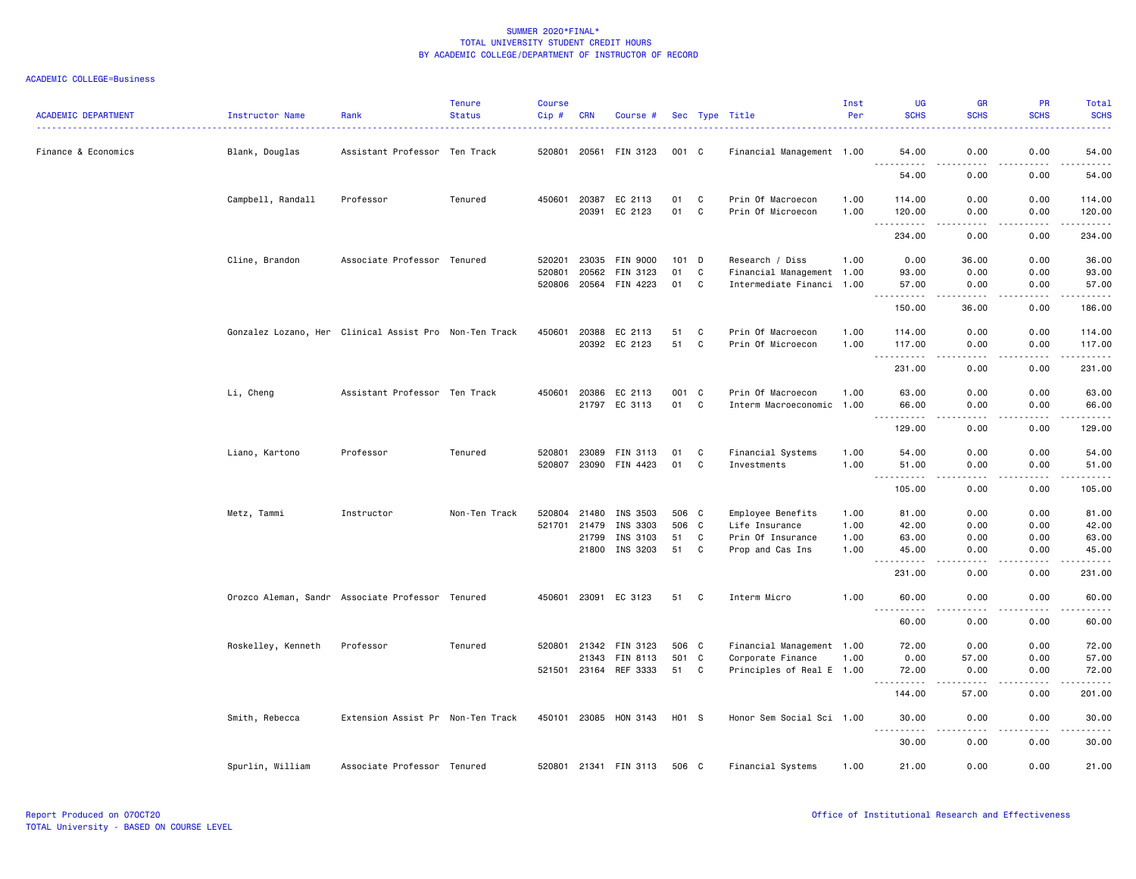| <b>ACADEMIC DEPARTMENT</b> | Instructor Name    | Rank                                                   | <b>Tenure</b><br><b>Status</b> | <b>Course</b><br>Cip# | <b>CRN</b>     | Course #              |          |             | Sec Type Title                         | Inst<br>Per  | UG<br><b>SCHS</b>                                                                                                                                                                                       | <b>GR</b><br><b>SCHS</b>                                                                                                                                                                 | <b>PR</b><br><b>SCHS</b>            | Total<br><b>SCHS</b> |
|----------------------------|--------------------|--------------------------------------------------------|--------------------------------|-----------------------|----------------|-----------------------|----------|-------------|----------------------------------------|--------------|---------------------------------------------------------------------------------------------------------------------------------------------------------------------------------------------------------|------------------------------------------------------------------------------------------------------------------------------------------------------------------------------------------|-------------------------------------|----------------------|
| Finance & Economics        | Blank, Douglas     | Assistant Professor Ten Track                          |                                | 520801                | 20561          | FIN 3123              | 001 C    |             | Financial Management 1.00              |              | 54.00                                                                                                                                                                                                   | 0.00                                                                                                                                                                                     | 0.00                                | 54.00                |
|                            |                    |                                                        |                                |                       |                |                       |          |             |                                        |              | 54.00                                                                                                                                                                                                   | ----<br>0.00                                                                                                                                                                             | .<br>0.00                           | المتمامين<br>54.00   |
|                            | Campbell, Randall  | Professor                                              | Tenured                        | 450601                | 20387<br>20391 | EC 2113<br>EC 2123    | 01<br>01 | C<br>C.     | Prin Of Macroecon<br>Prin Of Microecon | 1.00<br>1.00 | 114.00<br>120.00                                                                                                                                                                                        | 0.00<br>0.00                                                                                                                                                                             | 0.00<br>0.00                        | 114.00<br>120.00     |
|                            |                    |                                                        |                                |                       |                |                       |          |             |                                        |              | $\sim$ $\sim$ $\sim$<br>.<br>234.00                                                                                                                                                                     | $\frac{1}{2}$<br>0.00                                                                                                                                                                    | .<br>0.00                           | .<br>234.00          |
|                            | Cline, Brandon     | Associate Professor Tenured                            |                                | 520201                | 23035          | FIN 9000              | 101      | D           | Research / Diss                        | 1.00         | 0.00                                                                                                                                                                                                    | 36.00                                                                                                                                                                                    | 0.00                                | 36.00                |
|                            |                    |                                                        |                                | 520801                | 20562          | FIN 3123              | 01       | $\mathbf c$ | Financial Management 1.00              |              | 93.00                                                                                                                                                                                                   | 0.00                                                                                                                                                                                     | 0.00                                | 93.00                |
|                            |                    |                                                        |                                |                       |                | 520806 20564 FIN 4223 | 01       | C           | Intermediate Financi 1.00              |              | 57.00<br>.<br>$\frac{1}{2}$                                                                                                                                                                             | 0.00<br>.                                                                                                                                                                                | 0.00<br>.                           | 57.00<br>.           |
|                            |                    |                                                        |                                |                       |                |                       |          |             |                                        |              | 150.00                                                                                                                                                                                                  | 36.00                                                                                                                                                                                    | 0.00                                | 186.00               |
|                            |                    | Gonzalez Lozano, Her Clinical Assist Pro Non-Ten Track |                                | 450601                | 20388          | EC 2113               | 51       | C           | Prin Of Macroecon                      | 1.00         | 114.00                                                                                                                                                                                                  | 0.00                                                                                                                                                                                     | 0.00                                | 114.00               |
|                            |                    |                                                        |                                |                       | 20392          | EC 2123               | 51       | C           | Prin Of Microecon                      | 1.00         | 117.00                                                                                                                                                                                                  | 0.00                                                                                                                                                                                     | 0.00                                | 117.00               |
|                            |                    |                                                        |                                |                       |                |                       |          |             |                                        |              | .<br>$\sim$ $\sim$ $\sim$<br>231.00                                                                                                                                                                     | $\sim$ $\sim$ $\sim$<br>0.00                                                                                                                                                             | .<br>0.00                           | .<br>231.00          |
|                            | Li, Cheng          | Assistant Professor Ten Track                          |                                | 450601                | 20386          | EC 2113               | 001 C    |             | Prin Of Macroecon                      | 1.00         | 63.00                                                                                                                                                                                                   | 0.00                                                                                                                                                                                     | 0.00                                | 63.00                |
|                            |                    |                                                        |                                |                       |                | 21797 EC 3113         | 01 C     |             | Interm Macroeconomic 1.00              |              | 66.00                                                                                                                                                                                                   | 0.00                                                                                                                                                                                     | 0.00                                | 66.00                |
|                            |                    |                                                        |                                |                       |                |                       |          |             |                                        |              | $- - - - -$<br>129.00                                                                                                                                                                                   | $\frac{1}{2}$<br>0.00                                                                                                                                                                    | $\frac{1}{2}$<br>0.00               | .<br>129.00          |
|                            |                    |                                                        |                                |                       |                |                       |          |             |                                        |              |                                                                                                                                                                                                         |                                                                                                                                                                                          |                                     |                      |
|                            | Liano, Kartono     | Professor                                              | Tenured                        | 520801<br>520807      | 23089<br>23090 | FIN 3113<br>FIN 4423  | 01<br>01 | C<br>C      | Financial Systems<br>Investments       | 1.00<br>1.00 | 54.00<br>51.00                                                                                                                                                                                          | 0.00<br>0.00                                                                                                                                                                             | 0.00<br>0.00                        | 54.00<br>51.00       |
|                            |                    |                                                        |                                |                       |                |                       |          |             |                                        |              | $\sim$ $\sim$ $\sim$<br>$\frac{1}{2} \left( \frac{1}{2} \right) \left( \frac{1}{2} \right) \left( \frac{1}{2} \right) \left( \frac{1}{2} \right) \left( \frac{1}{2} \right) \left( \frac{1}{2} \right)$ |                                                                                                                                                                                          |                                     | .                    |
|                            |                    |                                                        |                                |                       |                |                       |          |             |                                        |              | 105.00                                                                                                                                                                                                  | 0.00                                                                                                                                                                                     | 0.00                                | 105.00               |
|                            | Metz, Tammi        | Instructor                                             | Non-Ten Track                  | 520804                | 21480          | INS 3503              | 506 C    |             | Employee Benefits                      | 1.00         | 81.00                                                                                                                                                                                                   | 0.00                                                                                                                                                                                     | 0.00                                | 81.00                |
|                            |                    |                                                        |                                | 521701                | 21479          | INS 3303              | 506 C    |             | Life Insurance                         | 1.00         | 42.00                                                                                                                                                                                                   | 0.00                                                                                                                                                                                     | 0.00                                | 42.00                |
|                            |                    |                                                        |                                |                       | 21799          | INS 3103              | 51       | C           | Prin Of Insurance                      | 1.00         | 63.00                                                                                                                                                                                                   | 0.00                                                                                                                                                                                     | 0.00                                | 63.00                |
|                            |                    |                                                        |                                |                       | 21800          | INS 3203              | 51       | C           | Prop and Cas Ins                       | 1.00         | 45.00<br>.                                                                                                                                                                                              | 0.00<br>. <u>. .</u>                                                                                                                                                                     | 0.00                                | 45.00<br>.           |
|                            |                    |                                                        |                                |                       |                |                       |          |             |                                        |              | 231.00                                                                                                                                                                                                  | 0.00                                                                                                                                                                                     | 0.00                                | 231.00               |
|                            |                    | Orozco Aleman, Sandr Associate Professor Tenured       |                                |                       |                | 450601 23091 EC 3123  | 51       | C           | Interm Micro                           | 1.00         | 60.00<br>$- - -$                                                                                                                                                                                        | 0.00<br>$\sim$ $\sim$ $\sim$                                                                                                                                                             | 0.00<br>.                           | 60.00<br>.           |
|                            |                    |                                                        |                                |                       |                |                       |          |             |                                        |              | 60.00                                                                                                                                                                                                   | 0.00                                                                                                                                                                                     | 0.00                                | 60.00                |
|                            | Roskelley, Kenneth | Professor                                              | Tenured                        | 520801                | 21342          | FIN 3123              | 506 C    |             | Financial Management 1.00              |              | 72.00                                                                                                                                                                                                   | 0.00                                                                                                                                                                                     | 0.00                                | 72.00                |
|                            |                    |                                                        |                                |                       | 21343          | FIN 8113              | 501 C    |             | Corporate Finance                      | 1.00         | 0.00                                                                                                                                                                                                    | 57.00                                                                                                                                                                                    | 0.00                                | 57.00                |
|                            |                    |                                                        |                                |                       |                | 521501 23164 REF 3333 | 51 C     |             | Principles of Real E 1.00              |              | 72.00                                                                                                                                                                                                   | 0.00                                                                                                                                                                                     | 0.00                                | 72.00                |
|                            |                    |                                                        |                                |                       |                |                       |          |             |                                        |              | .<br>144.00                                                                                                                                                                                             | $\frac{1}{2} \left( \frac{1}{2} \right) \left( \frac{1}{2} \right) \left( \frac{1}{2} \right) \left( \frac{1}{2} \right) \left( \frac{1}{2} \right) \left( \frac{1}{2} \right)$<br>57.00 | .<br>0.00                           | .<br>201.00          |
|                            | Smith, Rebecca     | Extension Assist Pr Non-Ten Track                      |                                |                       |                | 450101 23085 HON 3143 | H01 S    |             | Honor Sem Social Sci 1.00              |              | 30.00<br>.                                                                                                                                                                                              | 0.00<br>----                                                                                                                                                                             | 0.00<br>$\sim$ $\sim$ $\sim$ $\sim$ | 30.00<br>.           |
|                            |                    |                                                        |                                |                       |                |                       |          |             |                                        |              | 30.00                                                                                                                                                                                                   | 0.00                                                                                                                                                                                     | 0.00                                | 30.00                |
|                            | Spurlin, William   | Associate Professor Tenured                            |                                |                       |                | 520801 21341 FIN 3113 | 506 C    |             | Financial Systems                      | 1.00         | 21.00                                                                                                                                                                                                   | 0.00                                                                                                                                                                                     | 0.00                                | 21.00                |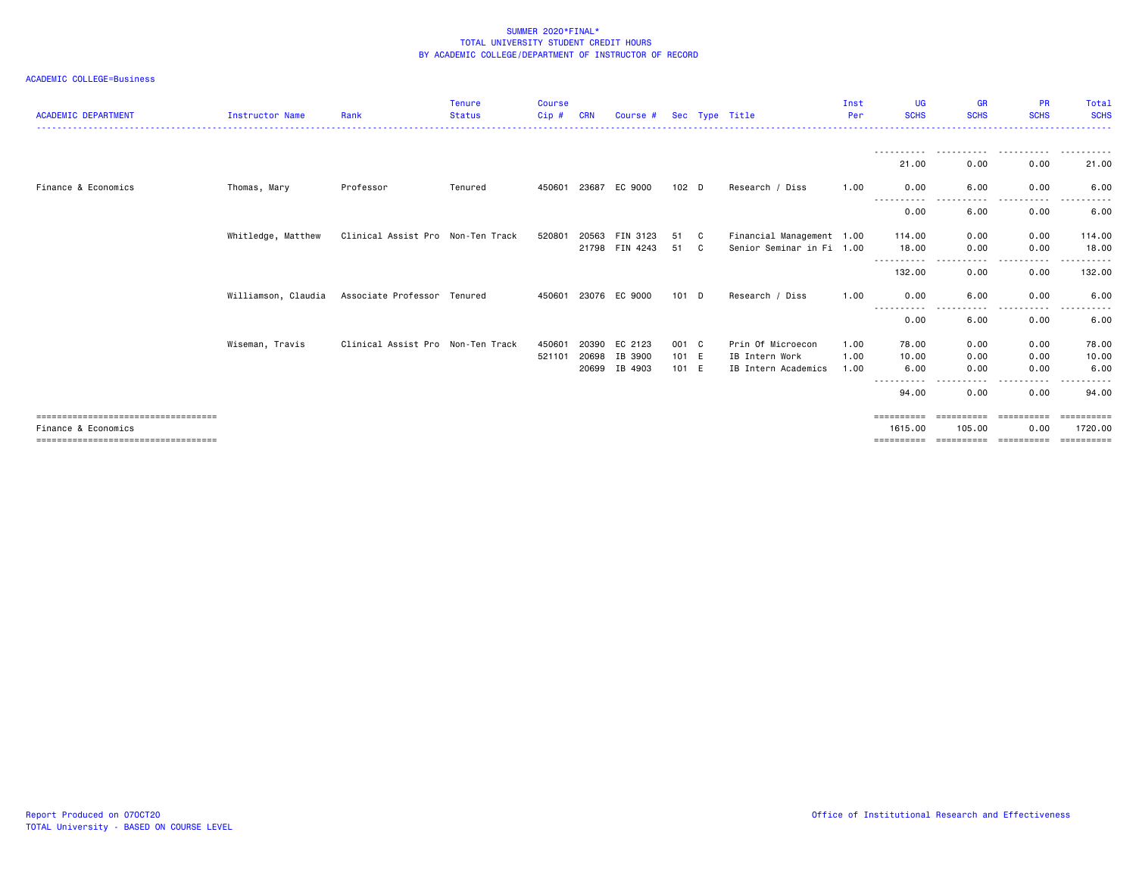| <b>ACADEMIC DEPARTMENT</b>                                                                          | <b>Instructor Name</b> | Rank                              | <b>Tenure</b><br><b>Status</b> | <b>Course</b><br>Cip# | CRN                     | Course #                      |                         |        | Sec Type Title                                             | Inst<br>Per          | <b>UG</b><br><b>SCHS</b>             | <b>GR</b><br><b>SCHS</b>                 | <b>PR</b><br><b>SCHS</b>         | <b>Total</b><br><b>SCHS</b>           |
|-----------------------------------------------------------------------------------------------------|------------------------|-----------------------------------|--------------------------------|-----------------------|-------------------------|-------------------------------|-------------------------|--------|------------------------------------------------------------|----------------------|--------------------------------------|------------------------------------------|----------------------------------|---------------------------------------|
|                                                                                                     |                        |                                   |                                |                       |                         |                               |                         |        |                                                            |                      | 21.00                                | 0.00                                     | 0.00                             | 21.00                                 |
| Finance & Economics                                                                                 | Thomas, Mary           | Professor                         | Tenured                        | 450601                | 23687                   | EC 9000                       | 102 <sub>D</sub>        |        | Research / Diss                                            | 1.00                 | 0.00                                 | 6.00                                     | 0.00                             | 6.00                                  |
|                                                                                                     |                        |                                   |                                |                       |                         |                               |                         |        |                                                            |                      | .<br>$  -$<br>0.00                   | ----<br>6.00                             | .<br>0.00                        | 6.00                                  |
|                                                                                                     | Whitledge, Matthew     | Clinical Assist Pro Non-Ten Track |                                | 520801                | 20563                   | FIN 3123<br>21798 FIN 4243    | 51<br>51                | C<br>C | Financial Management 1.00<br>Senior Seminar in Fi 1.00     |                      | 114.00<br>18.00                      | 0.00<br>0.00                             | 0.00<br>0.00                     | 114.00<br>18.00                       |
|                                                                                                     |                        |                                   |                                |                       |                         |                               |                         |        |                                                            |                      | -----------<br>132.00                | .<br>0.00                                | .<br>0.00                        | - - - - - - -<br>132.00               |
|                                                                                                     | Williamson, Claudia    | Associate Professor Tenured       |                                |                       |                         | 450601 23076 EC 9000          | $101$ D                 |        | Research / Diss                                            | 1.00                 | 0.00                                 | 6.00                                     | 0.00                             | 6.00                                  |
|                                                                                                     |                        |                                   |                                |                       |                         |                               |                         |        |                                                            |                      | .<br>0.00                            | $- - - -$<br>6.00                        | .<br>0.00                        | $\frac{1}{2}$<br>6.00                 |
|                                                                                                     | Wiseman, Travis        | Clinical Assist Pro Non-Ten Track |                                | 450601<br>521101      | 20390<br>20698<br>20699 | EC 2123<br>IB 3900<br>IB 4903 | 001 C<br>101 E<br>101 E |        | Prin Of Microecon<br>IB Intern Work<br>IB Intern Academics | 1.00<br>1.00<br>1.00 | 78.00<br>10.00<br>6.00<br>---------- | 0.00<br>0.00<br>0.00<br>$\cdots$         | 0.00<br>0.00<br>0.00<br>.        | 78.00<br>10.00<br>6.00<br>- - - - - - |
|                                                                                                     |                        |                                   |                                |                       |                         |                               |                         |        |                                                            |                      | 94.00                                | 0.00                                     | 0.00                             | 94.00                                 |
| -----------------------------------<br>Finance & Economics<br>===================================== |                        |                                   |                                |                       |                         |                               |                         |        |                                                            |                      | 1615,00<br>==========                | <b>EEEEEEEEE</b><br>105.00<br>========== | ==========<br>0.00<br>========== | ==========<br>1720.00<br>==========   |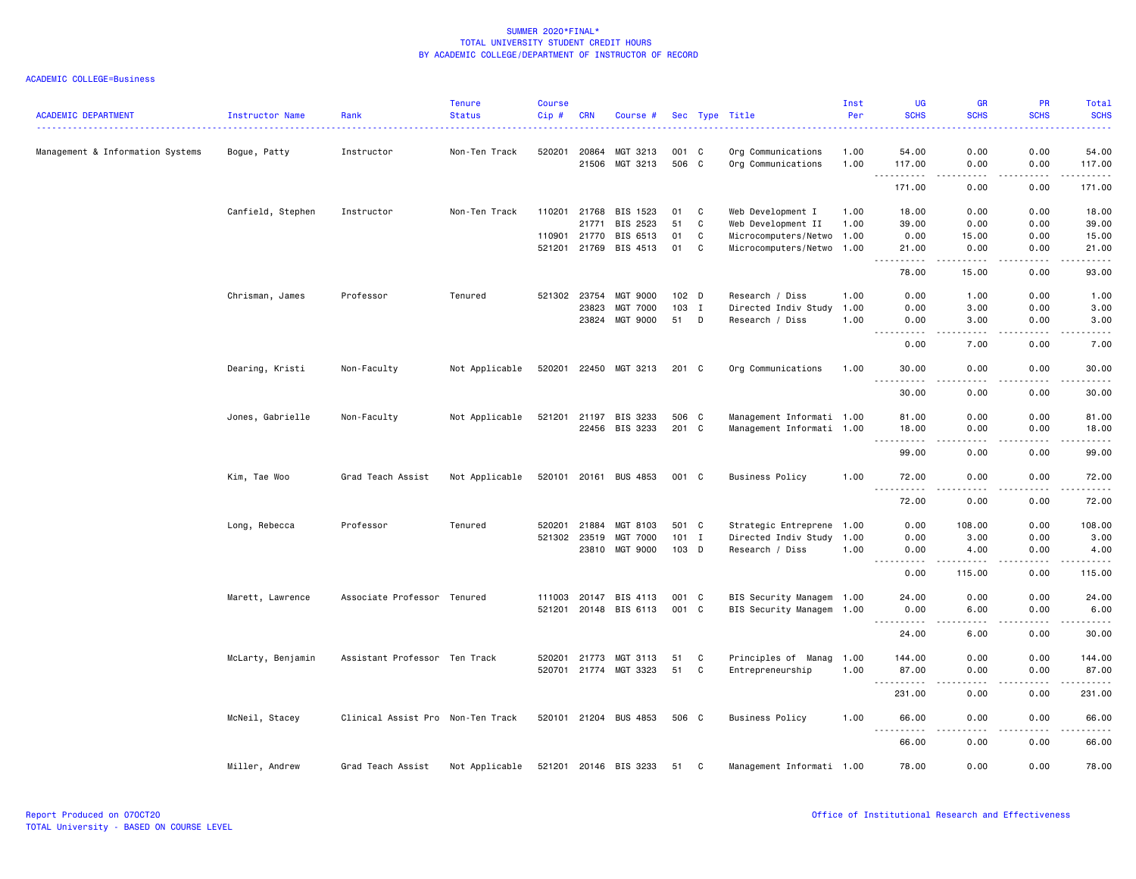| <b>ACADEMIC DEPARTMENT</b>       | Instructor Name   | Rank                              | <b>Tenure</b><br><b>Status</b> | <b>Course</b><br>Cip# | <b>CRN</b>   | Course #              |         |   | Sec Type Title            | Inst<br>Per | UG<br><b>SCHS</b>                              | <b>GR</b><br><b>SCHS</b> | PR<br><b>SCHS</b> | Total<br><b>SCHS</b>                                                                                                 |
|----------------------------------|-------------------|-----------------------------------|--------------------------------|-----------------------|--------------|-----------------------|---------|---|---------------------------|-------------|------------------------------------------------|--------------------------|-------------------|----------------------------------------------------------------------------------------------------------------------|
| Management & Information Systems | Bogue, Patty      | Instructor                        | Non-Ten Track                  | 520201                | 20864        | MGT 3213              | 001 C   |   | Org Communications        | 1.00        | 54.00                                          | 0.00                     | 0.00              | 54.00                                                                                                                |
|                                  |                   |                                   |                                |                       | 21506        | MGT 3213              | 506 C   |   | Org Communications        | 1.00        | 117.00                                         | 0.00                     | 0.00              | 117.00                                                                                                               |
|                                  |                   |                                   |                                |                       |              |                       |         |   |                           |             | .<br>171.00                                    | .<br>0.00                | .<br>0.00         | .<br>171.00                                                                                                          |
|                                  | Canfield, Stephen | Instructor                        | Non-Ten Track                  | 110201                | 21768        | BIS 1523              | 01      | C | Web Development I         | 1.00        | 18.00                                          | 0.00                     | 0.00              | 18.00                                                                                                                |
|                                  |                   |                                   |                                |                       | 21771        | BIS 2523              | 51      | C | Web Development II        | 1.00        | 39.00                                          | 0.00                     | 0.00              | 39.00                                                                                                                |
|                                  |                   |                                   |                                |                       | 110901 21770 | BIS 6513              | 01      | C | Microcomputers/Netwo 1.00 |             | 0.00                                           | 15.00                    | 0.00              | 15.00                                                                                                                |
|                                  |                   |                                   |                                |                       |              | 521201 21769 BIS 4513 | 01      | C | Microcomputers/Netwo 1.00 |             | 21.00<br>$\sim$ $\sim$ .<br>.                  | 0.00<br>.                | 0.00              | 21.00<br>.                                                                                                           |
|                                  |                   |                                   |                                |                       |              |                       |         |   |                           |             | 78.00                                          | 15.00                    | 0.00              | 93.00                                                                                                                |
|                                  | Chrisman, James   | Professor                         | Tenured                        |                       | 521302 23754 | MGT 9000              | 102 D   |   | Research / Diss           | 1.00        | 0.00                                           | 1.00                     | 0.00              | 1.00                                                                                                                 |
|                                  |                   |                                   |                                |                       | 23823        | MGT 7000              | 103 I   |   | Directed Indiv Study      | 1.00        | 0.00                                           | 3.00                     | 0.00              | 3.00                                                                                                                 |
|                                  |                   |                                   |                                |                       | 23824        | MGT 9000              | 51      | D | Research / Diss           | 1.00        | 0.00                                           | 3.00<br>$- - - -$        | 0.00              | 3.00<br>$- - - -$                                                                                                    |
|                                  |                   |                                   |                                |                       |              |                       |         |   |                           |             | 0.00                                           | 7.00                     | 0.00              | 7.00                                                                                                                 |
|                                  | Dearing, Kristi   | Non-Faculty                       | Not Applicable                 |                       |              | 520201 22450 MGT 3213 | 201 C   |   | Org Communications        | 1.00        | 30.00<br>$\sim$ $\sim$ $\sim$<br>$\frac{1}{2}$ | 0.00<br>$- - - -$        | 0.00<br>.         | 30.00<br>$\frac{1}{2}$                                                                                               |
|                                  |                   |                                   |                                |                       |              |                       |         |   |                           |             | 30.00                                          | 0.00                     | 0.00              | 30.00                                                                                                                |
|                                  | Jones, Gabrielle  | Non-Faculty                       | Not Applicable                 |                       |              | 521201 21197 BIS 3233 | 506 C   |   | Management Informati 1.00 |             | 81.00                                          | 0.00                     | 0.00              | 81.00                                                                                                                |
|                                  |                   |                                   |                                |                       |              | 22456 BIS 3233        | 201 C   |   | Management Informati 1.00 |             | 18.00                                          | 0.00                     | 0.00              | 18.00                                                                                                                |
|                                  |                   |                                   |                                |                       |              |                       |         |   |                           |             | $\sim$ $\sim$ $\sim$<br>99.00                  | 0.00                     | 0.00              | المتمام<br>99.00                                                                                                     |
|                                  | Kim, Tae Woo      | Grad Teach Assist                 | Not Applicable                 |                       |              | 520101 20161 BUS 4853 | 001 C   |   | <b>Business Policy</b>    | 1.00        | 72.00                                          | 0.00                     | 0.00              | 72.00                                                                                                                |
|                                  |                   |                                   |                                |                       |              |                       |         |   |                           |             | <u>.</u><br>72.00                              | .<br>0.00                | .<br>0.00         | .<br>72.00                                                                                                           |
|                                  | Long, Rebecca     | Professor                         | Tenured                        |                       | 520201 21884 | MGT 8103              | 501 C   |   | Strategic Entreprene 1.00 |             | 0.00                                           | 108.00                   | 0.00              | 108.00                                                                                                               |
|                                  |                   |                                   |                                | 521302                | 23519        | MGT 7000              | $101$ I |   | Directed Indiv Study      | 1.00        | 0.00                                           | 3.00                     | 0.00              | 3.00                                                                                                                 |
|                                  |                   |                                   |                                |                       | 23810        | MGT 9000              | 103 D   |   | Research / Diss           | 1.00        | 0.00<br>$\sim$<br>.                            | 4.00<br><u>.</u>         | 0.00              | 4.00<br>.                                                                                                            |
|                                  |                   |                                   |                                |                       |              |                       |         |   |                           |             | 0.00                                           | 115.00                   | 0.00              | 115.00                                                                                                               |
|                                  | Marett, Lawrence  | Associate Professor Tenured       |                                |                       |              | 111003 20147 BIS 4113 | 001 C   |   | BIS Security Managem 1.00 |             | 24.00                                          | 0.00                     | 0.00              | 24.00                                                                                                                |
|                                  |                   |                                   |                                |                       |              | 521201 20148 BIS 6113 | 001 C   |   | BIS Security Managem 1.00 |             | 0.00<br>$  -$<br>.                             | 6.00<br>----             | 0.00<br>.         | 6.00<br>.                                                                                                            |
|                                  |                   |                                   |                                |                       |              |                       |         |   |                           |             | 24.00                                          | 6.00                     | 0.00              | 30.00                                                                                                                |
|                                  | McLarty, Benjamin | Assistant Professor Ten Track     |                                | 520201                | 21773        | MGT 3113              | 51      | C | Principles of Manag       | 1.00        | 144.00                                         | 0.00                     | 0.00              | 144.00                                                                                                               |
|                                  |                   |                                   |                                |                       |              | 520701 21774 MGT 3323 | 51      | C | Entrepreneurship          | 1.00        | 87.00<br>$\sim$ $\sim$ $\sim$<br>------        | 0.00<br>.                | 0.00<br>.         | 87.00<br>$\begin{array}{cccccccccc} \bullet & \bullet & \bullet & \bullet & \bullet & \bullet & \bullet \end{array}$ |
|                                  |                   |                                   |                                |                       |              |                       |         |   |                           |             | 231.00                                         | 0.00                     | 0.00              | 231.00                                                                                                               |
|                                  | McNeil, Stacey    | Clinical Assist Pro Non-Ten Track |                                |                       |              | 520101 21204 BUS 4853 | 506 C   |   | <b>Business Policy</b>    | 1.00        | 66.00<br>----                                  | 0.00<br>----             | 0.00<br>.         | 66.00<br>.                                                                                                           |
|                                  |                   |                                   |                                |                       |              |                       |         |   |                           |             | 66.00                                          | 0.00                     | 0.00              | 66.00                                                                                                                |
|                                  | Miller, Andrew    | Grad Teach Assist                 | Not Applicable                 |                       |              | 521201 20146 BIS 3233 | 51      | C | Management Informati 1.00 |             | 78.00                                          | 0.00                     | 0.00              | 78.00                                                                                                                |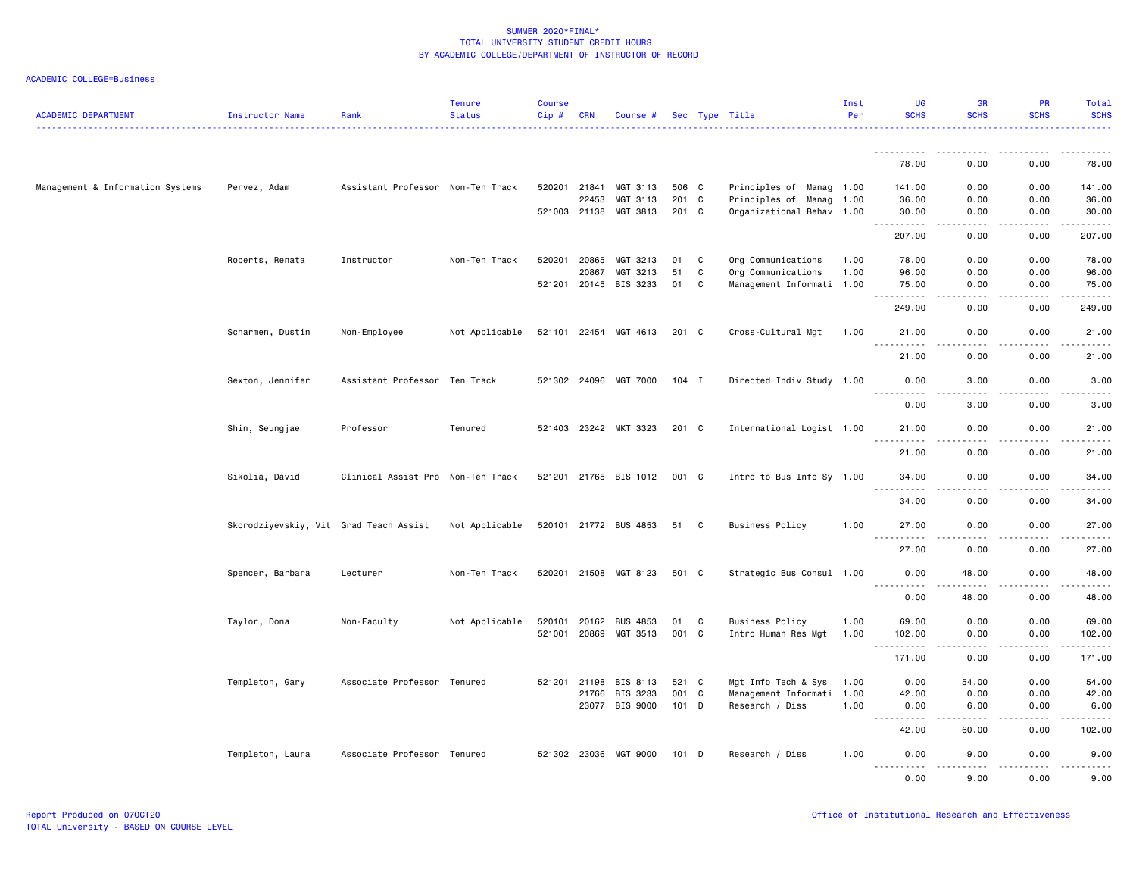| <b>ACADEMIC DEPARTMENT</b>       | Instructor Name                        | Rank                              | <b>Tenure</b><br><b>Status</b> | Course<br>Cip# | <b>CRN</b>                   | Course #                                      |                         |             | Sec Type Title                                                               | Inst<br>Per  | UG<br><b>SCHS</b>                                                                                                                                                                                   | <b>GR</b><br><b>SCHS</b> | <b>PR</b><br><b>SCHS</b>    | Total<br><b>SCHS</b>                                                                                                                                                                      |
|----------------------------------|----------------------------------------|-----------------------------------|--------------------------------|----------------|------------------------------|-----------------------------------------------|-------------------------|-------------|------------------------------------------------------------------------------|--------------|-----------------------------------------------------------------------------------------------------------------------------------------------------------------------------------------------------|--------------------------|-----------------------------|-------------------------------------------------------------------------------------------------------------------------------------------------------------------------------------------|
|                                  |                                        |                                   |                                |                |                              |                                               |                         |             |                                                                              |              | .                                                                                                                                                                                                   |                          |                             | .                                                                                                                                                                                         |
|                                  |                                        |                                   |                                |                |                              |                                               |                         |             |                                                                              |              | 78.00                                                                                                                                                                                               | 0.00                     | 0.00                        | 78.00                                                                                                                                                                                     |
| Management & Information Systems | Pervez, Adam                           | Assistant Professor Non-Ten Track |                                |                | 520201 21841<br>22453        | MGT 3113<br>MGT 3113<br>521003 21138 MGT 3813 | 506 C<br>201 C<br>201 C |             | Principles of Manag 1.00<br>Principles of Manag<br>Organizational Behav 1.00 | 1.00         | 141.00<br>36.00<br>30.00                                                                                                                                                                            | 0.00<br>0.00<br>0.00     | 0.00<br>0.00<br>0.00        | 141.00<br>36.00<br>30.00                                                                                                                                                                  |
|                                  |                                        |                                   |                                |                |                              |                                               |                         |             |                                                                              |              | <b></b><br>207.00                                                                                                                                                                                   | .<br>0.00                | <b>.</b><br>$- - -$<br>0.00 | $\frac{1}{2} \left( \frac{1}{2} \right) \left( \frac{1}{2} \right) \left( \frac{1}{2} \right) \left( \frac{1}{2} \right) \left( \frac{1}{2} \right) \left( \frac{1}{2} \right)$<br>207.00 |
|                                  | Roberts, Renata                        | Instructor                        | Non-Ten Track                  | 520201         | 20865<br>20867               | MGT 3213<br>MGT 3213<br>521201 20145 BIS 3233 | 01<br>51<br>01          | C<br>C<br>C | Org Communications<br>Org Communications<br>Management Informati 1.00        | 1.00<br>1.00 | 78.00<br>96.00<br>75.00                                                                                                                                                                             | 0.00<br>0.00<br>0.00     | 0.00<br>0.00<br>0.00        | 78.00<br>96.00<br>75.00                                                                                                                                                                   |
|                                  |                                        |                                   |                                |                |                              |                                               |                         |             |                                                                              |              | . <b>.</b><br>249.00                                                                                                                                                                                | .<br>0.00                | <u>.</u><br>0.00            | .<br>249.00                                                                                                                                                                               |
|                                  | Scharmen, Dustin                       | Non-Employee                      | Not Applicable                 |                |                              | 521101 22454 MGT 4613                         | 201 C                   |             | Cross-Cultural Mgt                                                           | 1.00         | 21.00                                                                                                                                                                                               | 0.00                     | 0.00                        | 21.00                                                                                                                                                                                     |
|                                  |                                        |                                   |                                |                |                              |                                               |                         |             |                                                                              |              | 21.00                                                                                                                                                                                               | 0.00                     | 0.00                        | 21.00                                                                                                                                                                                     |
|                                  | Sexton, Jennifer                       | Assistant Professor Ten Track     |                                |                |                              | 521302 24096 MGT 7000                         | 104 I                   |             | Directed Indiv Study 1.00                                                    |              | 0.00<br><u>.</u>                                                                                                                                                                                    | 3.00                     | 0.00                        | 3.00                                                                                                                                                                                      |
|                                  |                                        |                                   |                                |                |                              |                                               |                         |             |                                                                              |              | 0.00                                                                                                                                                                                                | 3.00                     | 0.00                        | 3.00                                                                                                                                                                                      |
|                                  | Shin, Seungjae                         | Professor                         | Tenured                        |                |                              | 521403 23242 MKT 3323                         | 201 C                   |             | International Logist 1.00                                                    |              | 21.00<br>$\frac{1}{2} \left( \frac{1}{2} \right) \left( \frac{1}{2} \right) \left( \frac{1}{2} \right) \left( \frac{1}{2} \right) \left( \frac{1}{2} \right)$<br>$\sim$ $\sim$ $\sim$               | 0.00                     | 0.00                        | 21.00<br>$\frac{1}{2}$                                                                                                                                                                    |
|                                  |                                        |                                   |                                |                |                              |                                               |                         |             |                                                                              |              | 21.00                                                                                                                                                                                               | 0.00                     | 0.00                        | 21.00                                                                                                                                                                                     |
|                                  | Sikolia, David                         | Clinical Assist Pro Non-Ten Track |                                |                |                              | 521201 21765 BIS 1012                         | 001 C                   |             | Intro to Bus Info Sy 1.00                                                    |              | 34.00<br>.                                                                                                                                                                                          | 0.00<br>$\frac{1}{2}$    | 0.00<br>.                   | 34.00<br>.                                                                                                                                                                                |
|                                  |                                        |                                   |                                |                |                              |                                               |                         |             |                                                                              |              | 34.00                                                                                                                                                                                               | 0.00                     | 0.00                        | 34.00                                                                                                                                                                                     |
|                                  | Skorodziyevskiy, Vit Grad Teach Assist |                                   | Not Applicable                 |                |                              | 520101 21772 BUS 4853                         | 51 C                    |             | <b>Business Policy</b>                                                       | 1.00         | 27.00<br>.                                                                                                                                                                                          | 0.00<br>$- - - -$        | 0.00<br>.                   | 27.00<br>.                                                                                                                                                                                |
|                                  |                                        |                                   |                                |                |                              |                                               |                         |             |                                                                              |              | 27.00                                                                                                                                                                                               | 0.00                     | 0.00                        | 27.00                                                                                                                                                                                     |
|                                  | Spencer, Barbara                       | Lecturer                          | Non-Ten Track                  |                |                              | 520201 21508 MGT 8123                         | 501 C                   |             | Strategic Bus Consul 1.00                                                    |              | 0.00<br><u>.</u>                                                                                                                                                                                    | 48.00                    | 0.00                        | 48.00                                                                                                                                                                                     |
|                                  |                                        |                                   |                                |                |                              |                                               |                         |             |                                                                              |              | 0.00                                                                                                                                                                                                | 48.00                    | 0.00                        | 48.00                                                                                                                                                                                     |
|                                  | Taylor, Dona                           | Non-Faculty                       | Not Applicable                 |                | 520101 20162<br>521001 20869 | <b>BUS 4853</b><br>MGT 3513                   | 01<br>001 C             | C           | <b>Business Policy</b><br>Intro Human Res Mgt                                | 1.00<br>1.00 | 69.00<br>102.00                                                                                                                                                                                     | 0.00<br>0.00             | 0.00<br>0.00                | 69.00<br>102.00                                                                                                                                                                           |
|                                  |                                        |                                   |                                |                |                              |                                               |                         |             |                                                                              |              | $\sim$ $\sim$ $\sim$<br>.<br>171.00                                                                                                                                                                 | .<br>0.00                | .<br>0.00                   | ------<br>171.00                                                                                                                                                                          |
|                                  | Templeton, Gary                        | Associate Professor Tenured       |                                | 521201         | 21198                        | BIS 8113                                      | 521 C                   |             | Mgt Info Tech & Sys                                                          | 1.00         | 0.00                                                                                                                                                                                                | 54.00                    | 0.00                        | 54.00                                                                                                                                                                                     |
|                                  |                                        |                                   |                                |                |                              | 21766 BIS 3233<br>23077 BIS 9000              | 001 C<br>$101$ D        |             | Management Informati 1.00<br>Research / Diss                                 | 1.00         | 42.00<br>0.00                                                                                                                                                                                       | 0.00<br>6.00             | 0.00<br>0.00                | 42.00<br>6.00                                                                                                                                                                             |
|                                  |                                        |                                   |                                |                |                              |                                               |                         |             |                                                                              |              | $- - -$<br>$\frac{1}{2} \left( \frac{1}{2} \right) \left( \frac{1}{2} \right) \left( \frac{1}{2} \right) \left( \frac{1}{2} \right) \left( \frac{1}{2} \right) \left( \frac{1}{2} \right)$<br>42.00 | .<br>60.00               | <b>.</b><br>0.00            | $\frac{1}{2} \left( \frac{1}{2} \right) \left( \frac{1}{2} \right) \left( \frac{1}{2} \right) \left( \frac{1}{2} \right) \left( \frac{1}{2} \right)$<br>102.00                            |
|                                  | Templeton, Laura                       | Associate Professor Tenured       |                                |                |                              | 521302 23036 MGT 9000                         | $101$ D                 |             | Research / Diss                                                              | 1.00         | 0.00                                                                                                                                                                                                | 9.00                     | 0.00                        | 9.00                                                                                                                                                                                      |
|                                  |                                        |                                   |                                |                |                              |                                               |                         |             |                                                                              |              | .<br>0.00                                                                                                                                                                                           | .<br>9.00                | .<br>0.00                   | .<br>9.00                                                                                                                                                                                 |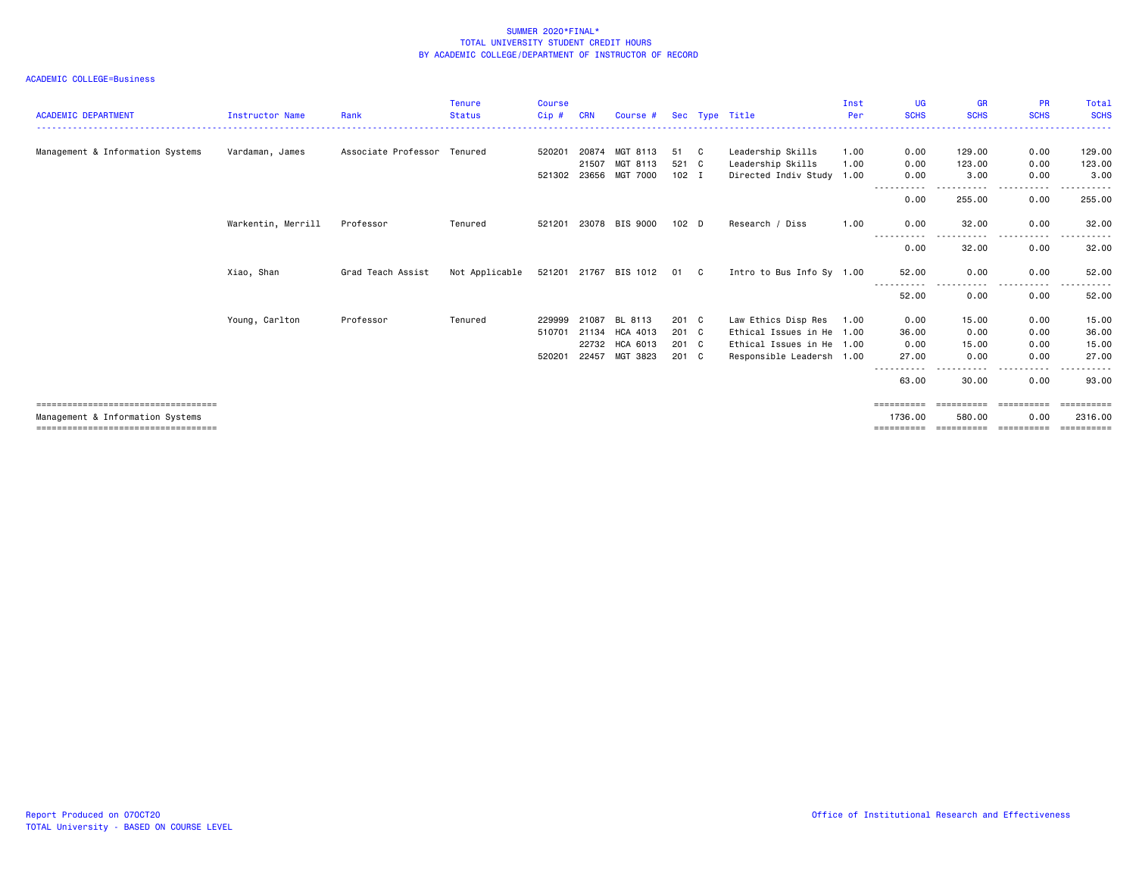| <b>ACADEMIC DEPARTMENT</b>             | Instructor Name    | Rank                        | <b>Tenure</b><br><b>Status</b> | <b>Course</b><br>Cip# | <b>CRN</b> | Course #              |                  |     | Sec Type Title            | Inst<br>Per | UG<br><b>SCHS</b> | <b>GR</b><br><b>SCHS</b> | <b>PR</b><br><b>SCHS</b> | Total<br><b>SCHS</b> |
|----------------------------------------|--------------------|-----------------------------|--------------------------------|-----------------------|------------|-----------------------|------------------|-----|---------------------------|-------------|-------------------|--------------------------|--------------------------|----------------------|
| Management & Information Systems       | Vardaman, James    | Associate Professor Tenured |                                | 520201                | 20874      | MGT 8113              | 51               | C C | Leadership Skills         | 1.00        | 0.00              | 129,00                   | 0.00                     | 129.00               |
|                                        |                    |                             |                                |                       | 21507      | MGT 8113              | 521 C            |     | Leadership Skills         | 1.00        | 0.00              | 123.00                   | 0.00                     | 123.00               |
|                                        |                    |                             |                                | 521302 23656          |            | MGT 7000              | $102$ I          |     | Directed Indiv Study 1.00 |             | 0.00              | 3,00                     | 0.00                     | 3.00                 |
|                                        |                    |                             |                                |                       |            |                       |                  |     |                           |             | 0.00              | 255.00                   | 0.00                     | 255.00               |
|                                        | Warkentin, Merrill | Professor                   | Tenured                        | 521201                |            | 23078 BIS 9000        | 102 <sub>D</sub> |     | Research / Diss           | 1.00        | 0.00<br>.         | 32.00<br>------          | 0.00<br>.                | 32.00                |
|                                        |                    |                             |                                |                       |            |                       |                  |     |                           |             | 0.00              | 32.00                    | 0.00                     | 32.00                |
|                                        | Xiao, Shan         | Grad Teach Assist           | Not Applicable                 |                       |            | 521201 21767 BIS 1012 | 01 C             |     | Intro to Bus Info Sy 1.00 |             | 52.00             | 0.00                     | 0.00<br>$- - - -$        | 52.00                |
|                                        |                    |                             |                                |                       |            |                       |                  |     |                           |             | 52.00             | 0.00                     | 0.00                     | 52.00                |
|                                        | Young, Carlton     | Professor                   | Tenured                        | 229999                | 21087      | BL 8113               | 201 C            |     | Law Ethics Disp Res       | 1.00        | 0.00              | 15.00                    | 0.00                     | 15.00                |
|                                        |                    |                             |                                | 510701                | 21134      | HCA 4013              | 201 C            |     | Ethical Issues in He 1.00 |             | 36.00             | 0.00                     | 0.00                     | 36.00                |
|                                        |                    |                             |                                |                       | 22732      | HCA 6013              | 201 C            |     | Ethical Issues in He 1.00 |             | 0.00              | 15.00                    | 0.00                     | 15.00                |
|                                        |                    |                             |                                | 520201                | 22457      | MGT 3823              | 201 C            |     | Responsible Leadersh 1.00 |             | 27,00             | 0.00                     | 0.00                     | 27.00                |
|                                        |                    |                             |                                |                       |            |                       |                  |     |                           |             | 63.00             | 30.00                    | .<br>0.00                | 93.00                |
| ====================================== |                    |                             |                                |                       |            |                       |                  |     |                           |             | ==========        | -----------              | -----------              | ==========           |
| Management & Information Systems       |                    |                             |                                |                       |            |                       |                  |     |                           |             | 1736.00           | 580,00                   | 0.00                     | 2316.00              |
| ====================================   |                    |                             |                                |                       |            |                       |                  |     |                           |             | ==========        | ----------- ----------   |                          | ==========           |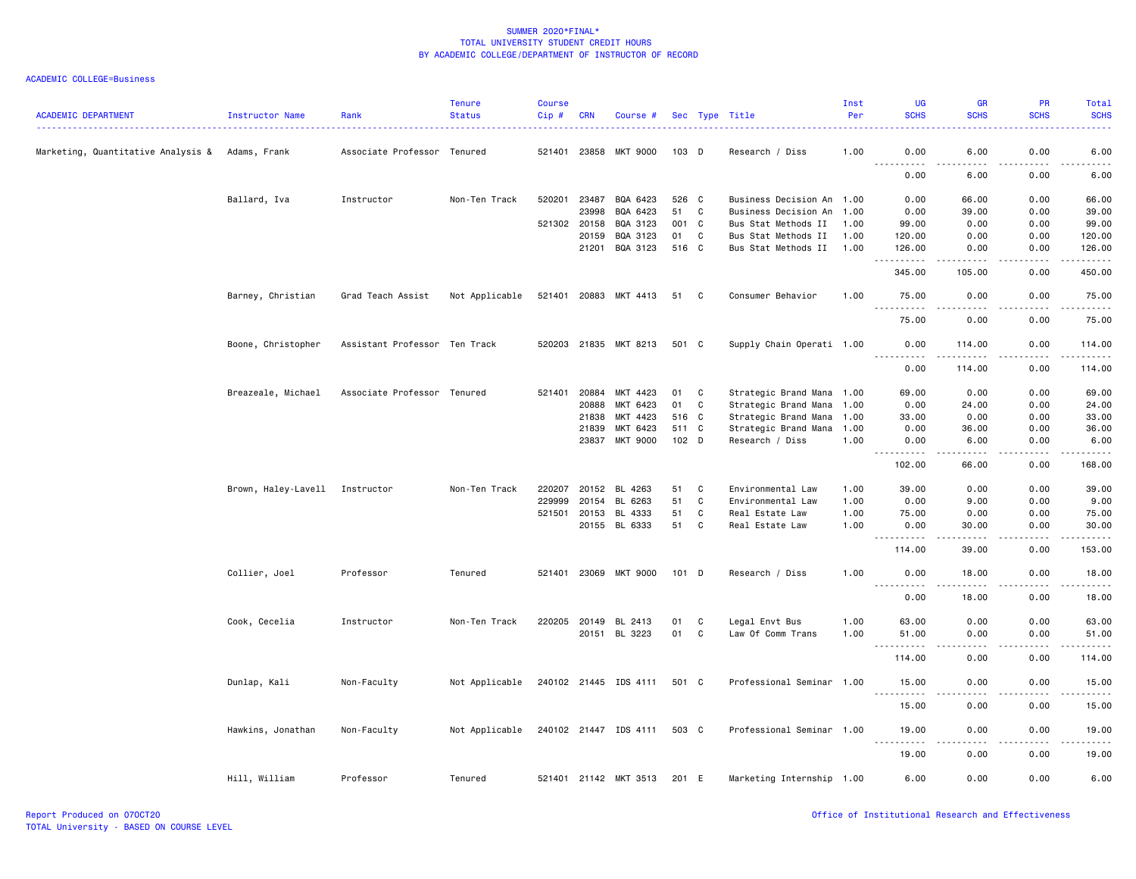| <b>ACADEMIC DEPARTMENT</b>                      | <b>Instructor Name</b>         | Rank                          | <b>Tenure</b><br><b>Status</b> | Course<br>Cip# | <b>CRN</b>   | Course #              |         |              | Sec Type Title            | Inst<br>Per | UG<br><b>SCHS</b>            | <b>GR</b><br><b>SCHS</b>                                                                                                                                      | <b>PR</b><br><b>SCHS</b> | Total<br><b>SCHS</b>   |
|-------------------------------------------------|--------------------------------|-------------------------------|--------------------------------|----------------|--------------|-----------------------|---------|--------------|---------------------------|-------------|------------------------------|---------------------------------------------------------------------------------------------------------------------------------------------------------------|--------------------------|------------------------|
| Marketing, Quantitative Analysis & Adams, Frank |                                | Associate Professor Tenured   |                                |                | 521401 23858 | <b>MKT 9000</b>       | $103$ D |              | Research / Diss           | 1.00        | 0.00                         | 6.00                                                                                                                                                          | 0.00                     | 6.00                   |
|                                                 |                                |                               |                                |                |              |                       |         |              |                           |             | .<br>0.00                    | 6.00                                                                                                                                                          | 0.00                     | 6.00                   |
|                                                 | Ballard, Iva                   | Instructor                    | Non-Ten Track                  | 520201         | 23487        | BQA 6423              | 526 C   |              | Business Decision An 1.00 |             | 0.00                         | 66.00                                                                                                                                                         | 0.00                     | 66.00                  |
|                                                 |                                |                               |                                |                | 23998        | BQA 6423              | 51      | C            | Business Decision An      | 1.00        | 0.00                         | 39.00                                                                                                                                                         | 0.00                     | 39.00                  |
|                                                 |                                |                               |                                |                | 521302 20158 | BQA 3123              | 001 C   |              | Bus Stat Methods II       | 1.00        | 99.00                        | 0.00                                                                                                                                                          | 0.00                     | 99.00                  |
|                                                 |                                |                               |                                |                | 20159        | BQA 3123              | 01      | C            | Bus Stat Methods II       | 1.00        | 120.00                       | 0.00                                                                                                                                                          | 0.00                     | 120.00                 |
|                                                 |                                |                               |                                |                | 21201        | BQA 3123              | 516 C   |              | Bus Stat Methods II       | 1.00        | 126.00<br>1.1.1.1.1          | 0.00<br>.                                                                                                                                                     | 0.00<br>.                | 126.00<br>.            |
|                                                 |                                |                               |                                |                |              |                       |         |              |                           |             | 345.00                       | 105.00                                                                                                                                                        | 0.00                     | 450.00                 |
|                                                 | Barney, Christian              | Grad Teach Assist             | Not Applicable                 |                |              | 521401 20883 MKT 4413 | 51 C    |              | Consumer Behavior         | 1.00        | 75.00<br><u>.</u>            | 0.00                                                                                                                                                          | 0.00                     | 75.00<br>.             |
|                                                 |                                |                               |                                |                |              |                       |         |              |                           |             | 75.00                        | 0.00                                                                                                                                                          | 0.00                     | 75.00                  |
|                                                 | Boone, Christopher             | Assistant Professor Ten Track |                                |                |              | 520203 21835 MKT 8213 | 501 C   |              | Supply Chain Operati 1.00 |             | 0.00<br>.                    | 114.00                                                                                                                                                        | 0.00                     | 114.00                 |
|                                                 |                                |                               |                                |                |              |                       |         |              |                           |             | -----<br>0.00                | 114.00                                                                                                                                                        | 0.00                     | 114.00                 |
|                                                 | Breazeale, Michael             | Associate Professor Tenured   |                                |                | 521401 20884 | MKT 4423              | 01      | C            | Strategic Brand Mana 1.00 |             | 69.00                        | 0.00                                                                                                                                                          | 0.00                     | 69.00                  |
|                                                 |                                |                               |                                |                | 20888        | MKT 6423              | 01      | $\mathbb{C}$ | Strategic Brand Mana 1.00 |             | 0.00                         | 24.00                                                                                                                                                         | 0.00                     | 24.00                  |
|                                                 |                                |                               |                                |                | 21838        | MKT 4423              | 516 C   |              | Strategic Brand Mana 1.00 |             | 33.00                        | 0.00                                                                                                                                                          | 0.00                     | 33.00                  |
|                                                 |                                |                               |                                |                | 21839        | MKT 6423              | 511 C   |              | Strategic Brand Mana 1.00 |             | 0.00                         | 36.00                                                                                                                                                         | 0.00                     | 36.00                  |
|                                                 |                                |                               |                                |                | 23837        | MKT 9000              | $102$ D |              | Research / Diss           | 1.00        | 0.00                         | 6.00                                                                                                                                                          | 0.00                     | 6.00                   |
|                                                 |                                |                               |                                |                |              |                       |         |              |                           |             | $\frac{1}{2}$<br>.<br>102.00 | $\frac{1}{2}$<br>66.00                                                                                                                                        | .<br>0.00                | . <u>.</u> .<br>168.00 |
|                                                 | Brown, Haley-Lavell Instructor |                               | Non-Ten Track                  | 220207         | 20152        | BL 4263               | 51      | C            | Environmental Law         | 1.00        | 39.00                        | 0.00                                                                                                                                                          | 0.00                     | 39.00                  |
|                                                 |                                |                               |                                | 229999         | 20154        | BL 6263               | 51      | C            | Environmental Law         | 1.00        | 0.00                         | 9.00                                                                                                                                                          | 0.00                     | 9.00                   |
|                                                 |                                |                               |                                |                | 521501 20153 | BL 4333               | 51      | C            | Real Estate Law           | 1.00        | 75.00                        | 0.00                                                                                                                                                          | 0.00                     | 75.00                  |
|                                                 |                                |                               |                                |                |              | 20155 BL 6333         | 51      | C            | Real Estate Law           | 1.00        | 0.00                         | 30.00                                                                                                                                                         | 0.00                     | 30.00                  |
|                                                 |                                |                               |                                |                |              |                       |         |              |                           |             | .<br>114.00                  | $\frac{1}{2} \left( \frac{1}{2} \right) \left( \frac{1}{2} \right) \left( \frac{1}{2} \right) \left( \frac{1}{2} \right) \left( \frac{1}{2} \right)$<br>39.00 | .<br>0.00                | .<br>153.00            |
|                                                 | Collier, Joel                  | Professor                     | Tenured                        |                | 521401 23069 | MKT 9000              | $101$ D |              | Research / Diss           | 1.00        | 0.00                         | 18.00                                                                                                                                                         | 0.00                     | 18.00                  |
|                                                 |                                |                               |                                |                |              |                       |         |              |                           |             | $\frac{1}{2}$<br>0.00        | 18.00                                                                                                                                                         | 0.00                     | 18.00                  |
|                                                 | Cook, Cecelia                  | Instructor                    | Non-Ten Track                  |                |              | 220205 20149 BL 2413  | 01      | C            | Legal Envt Bus            | 1.00        | 63.00                        | 0.00                                                                                                                                                          | 0.00                     | 63.00                  |
|                                                 |                                |                               |                                |                |              | 20151 BL 3223         | 01      | $\mathtt{C}$ | Law Of Comm Trans         | 1.00        | 51.00<br>. <b>.</b>          | 0.00                                                                                                                                                          | 0.00                     | 51.00                  |
|                                                 |                                |                               |                                |                |              |                       |         |              |                           |             | 114.00                       | 0.00                                                                                                                                                          | 0.00                     | 114.00                 |
|                                                 | Dunlap, Kali                   | Non-Faculty                   | Not Applicable                 |                |              | 240102 21445 IDS 4111 | 501 C   |              | Professional Seminar 1.00 |             | 15.00<br>.                   | 0.00<br>. <u>. .</u>                                                                                                                                          | 0.00<br>.                | 15.00<br>.             |
|                                                 |                                |                               |                                |                |              |                       |         |              |                           |             | 15.00                        | 0.00                                                                                                                                                          | 0.00                     | 15.00                  |
|                                                 | Hawkins, Jonathan              | Non-Faculty                   | Not Applicable                 |                |              | 240102 21447 IDS 4111 | 503 C   |              | Professional Seminar 1.00 |             | 19.00<br>.                   | 0.00<br>.                                                                                                                                                     | 0.00<br>.                | 19.00<br><u>.</u>      |
|                                                 |                                |                               |                                |                |              |                       |         |              |                           |             | 19.00                        | 0.00                                                                                                                                                          | 0.00                     | 19.00                  |
|                                                 | Hill, William                  | Professor                     | Tenured                        |                |              | 521401 21142 MKT 3513 | 201 E   |              | Marketing Internship 1.00 |             | 6.00                         | 0.00                                                                                                                                                          | 0.00                     | 6.00                   |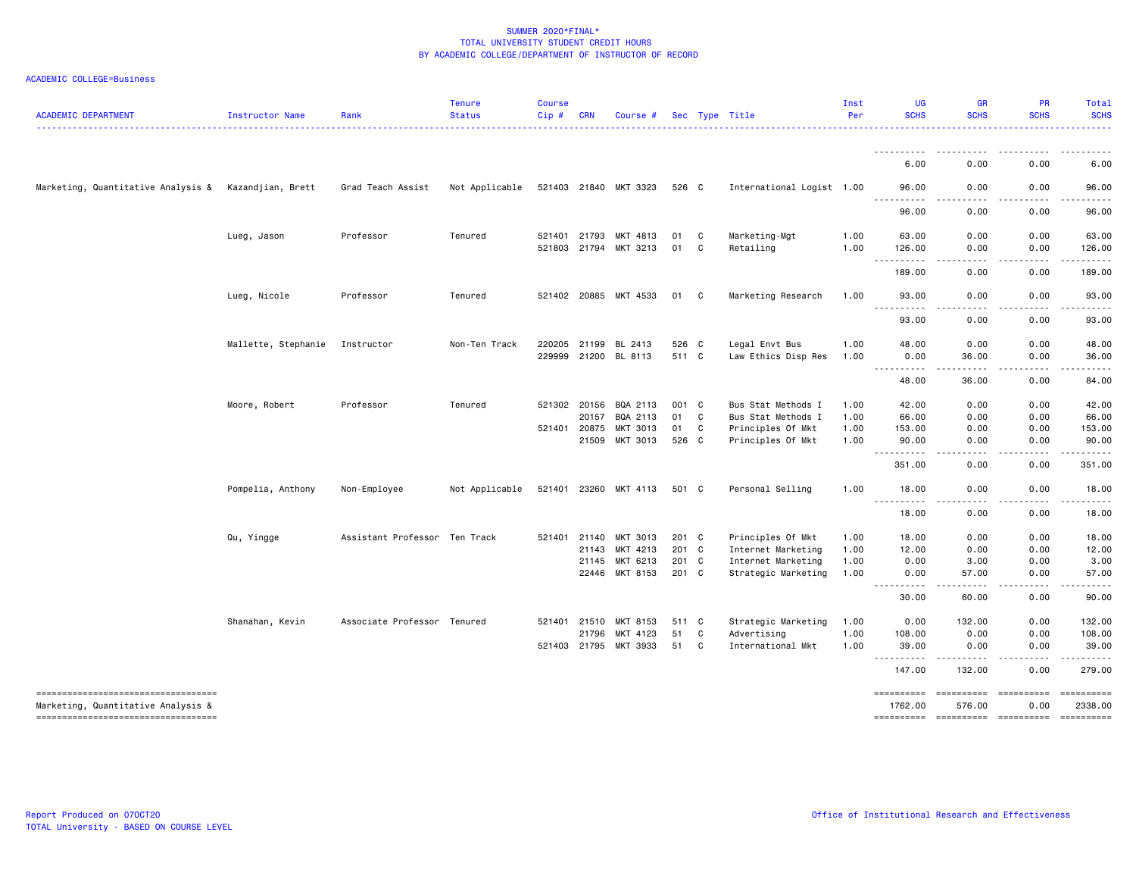|  | ACADEMIC COLLEGE=Business |
|--|---------------------------|
|--|---------------------------|

| <b>ACADEMIC DEPARTMENT</b>                                                  | Instructor Name     | Rank                          | <b>Tenure</b><br><b>Status</b> | <b>Course</b><br>Cip# | <b>CRN</b> | Course #              |       |    | Sec Type Title            | Inst<br>Per | <b>UG</b><br><b>SCHS</b>              | <b>GR</b><br><b>SCHS</b>        | <b>PR</b><br><b>SCHS</b>       | Total<br><b>SCHS</b>                                                                                                                                                                                                                                                                                                                                                                                                                                                                                 |
|-----------------------------------------------------------------------------|---------------------|-------------------------------|--------------------------------|-----------------------|------------|-----------------------|-------|----|---------------------------|-------------|---------------------------------------|---------------------------------|--------------------------------|------------------------------------------------------------------------------------------------------------------------------------------------------------------------------------------------------------------------------------------------------------------------------------------------------------------------------------------------------------------------------------------------------------------------------------------------------------------------------------------------------|
|                                                                             |                     |                               | .                              |                       |            |                       |       |    |                           |             |                                       |                                 |                                | $   -$<br>.                                                                                                                                                                                                                                                                                                                                                                                                                                                                                          |
|                                                                             |                     |                               |                                |                       |            |                       |       |    |                           |             | 6.00                                  | 0.00                            | 0.00                           | 6.00                                                                                                                                                                                                                                                                                                                                                                                                                                                                                                 |
| Marketing, Quantitative Analysis &                                          | Kazandjian, Brett   | Grad Teach Assist             | Not Applicable                 |                       |            | 521403 21840 MKT 3323 | 526 C |    | International Logist 1.00 |             | 96.00                                 | 0.00                            | 0.00                           | 96.00                                                                                                                                                                                                                                                                                                                                                                                                                                                                                                |
|                                                                             |                     |                               |                                |                       |            |                       |       |    |                           |             | 96.00                                 | 0.00                            | 0.00                           | 96.00                                                                                                                                                                                                                                                                                                                                                                                                                                                                                                |
|                                                                             | Lueg, Jason         | Professor                     | Tenured                        | 521401 21793          |            | MKT 4813              | 01    | C  | Marketing-Mgt             | 1.00        | 63.00                                 | 0.00                            | 0.00                           | 63.00                                                                                                                                                                                                                                                                                                                                                                                                                                                                                                |
|                                                                             |                     |                               |                                |                       |            | 521803 21794 MKT 3213 | 01    | C  | Retailing                 | 1.00        | 126.00<br><u> - - - - - - - - - -</u> | 0.00<br>.                       | 0.00<br>-----                  | 126.00<br>------                                                                                                                                                                                                                                                                                                                                                                                                                                                                                     |
|                                                                             |                     |                               |                                |                       |            |                       |       |    |                           |             | 189.00                                | 0.00                            | 0.00                           | 189.00                                                                                                                                                                                                                                                                                                                                                                                                                                                                                               |
|                                                                             | Lueg, Nicole        | Professor                     | Tenured                        |                       |            | 521402 20885 MKT 4533 | 01    | C. | Marketing Research        | 1.00        | 93.00                                 | 0.00                            | 0.00                           | 93.00                                                                                                                                                                                                                                                                                                                                                                                                                                                                                                |
|                                                                             |                     |                               |                                |                       |            |                       |       |    |                           |             | <u>.</u><br>93.00                     | 0.00                            | 0.00                           | 93.00                                                                                                                                                                                                                                                                                                                                                                                                                                                                                                |
|                                                                             | Mallette, Stephanie | Instructor                    | Non-Ten Track                  | 220205 21199          |            | BL 2413               | 526 C |    | Legal Envt Bus            | 1.00        | 48.00                                 | 0.00                            | 0.00                           | 48.00                                                                                                                                                                                                                                                                                                                                                                                                                                                                                                |
|                                                                             |                     |                               |                                |                       |            | 229999 21200 BL 8113  | 511 C |    | Law Ethics Disp Res       | 1.00        | 0.00<br>----------                    | 36.00<br>-----                  | 0.00<br>$\cdots \cdots \cdots$ | 36.00<br>.                                                                                                                                                                                                                                                                                                                                                                                                                                                                                           |
|                                                                             |                     |                               |                                |                       |            |                       |       |    |                           |             | 48.00                                 | 36.00                           | 0.00                           | 84.00                                                                                                                                                                                                                                                                                                                                                                                                                                                                                                |
|                                                                             | Moore, Robert       | Professor                     | Tenured                        | 521302 20156          |            | BQA 2113              | 001 C |    | Bus Stat Methods I        | 1.00        | 42.00                                 | 0.00                            | 0.00                           | 42.00                                                                                                                                                                                                                                                                                                                                                                                                                                                                                                |
|                                                                             |                     |                               |                                |                       | 20157      | BQA 2113              | 01    | C  | Bus Stat Methods I        | 1.00        | 66.00                                 | 0.00                            | 0.00                           | 66.00                                                                                                                                                                                                                                                                                                                                                                                                                                                                                                |
|                                                                             |                     |                               |                                | 521401 20875          |            | <b>MKT 3013</b>       | 01    | C  | Principles Of Mkt         | 1.00        | 153.00                                | 0.00                            | 0.00                           | 153.00                                                                                                                                                                                                                                                                                                                                                                                                                                                                                               |
|                                                                             |                     |                               |                                |                       | 21509      | MKT 3013              | 526 C |    | Principles Of Mkt         | 1.00        | 90.00<br>.                            | 0.00<br>$- - - -$               | 0.00<br>.                      | 90.00                                                                                                                                                                                                                                                                                                                                                                                                                                                                                                |
|                                                                             |                     |                               |                                |                       |            |                       |       |    |                           |             | 351.00                                | 0.00                            | 0.00                           | 351.00                                                                                                                                                                                                                                                                                                                                                                                                                                                                                               |
|                                                                             | Pompelia, Anthony   | Non-Employee                  | Not Applicable                 |                       |            | 521401 23260 MKT 4113 | 501 C |    | Personal Selling          | 1.00        | 18.00<br><u> - - - - - - - - - -</u>  | 0.00<br>.                       | 0.00<br>-----                  | 18.00<br>.                                                                                                                                                                                                                                                                                                                                                                                                                                                                                           |
|                                                                             |                     |                               |                                |                       |            |                       |       |    |                           |             | 18.00                                 | 0.00                            | 0.00                           | 18.00                                                                                                                                                                                                                                                                                                                                                                                                                                                                                                |
|                                                                             | Qu, Yingge          | Assistant Professor Ten Track |                                | 521401                | 21140      | MKT 3013              | 201 C |    | Principles Of Mkt         | 1.00        | 18.00                                 | 0.00                            | 0.00                           | 18.00                                                                                                                                                                                                                                                                                                                                                                                                                                                                                                |
|                                                                             |                     |                               |                                |                       | 21143      | MKT 4213              | 201 C |    | Internet Marketing        | 1.00        | 12.00                                 | 0.00                            | 0.00                           | 12.00                                                                                                                                                                                                                                                                                                                                                                                                                                                                                                |
|                                                                             |                     |                               |                                |                       | 21145      | MKT 6213              | 201 C |    | Internet Marketing        | 1.00        | 0.00                                  | 3.00                            | 0.00                           | 3.00                                                                                                                                                                                                                                                                                                                                                                                                                                                                                                 |
|                                                                             |                     |                               |                                |                       |            | 22446 MKT 8153        | 201 C |    | Strategic Marketing       | 1.00        | 0.00<br>----------                    | 57.00<br>-----                  | 0.00<br>-----                  | 57.00<br>.                                                                                                                                                                                                                                                                                                                                                                                                                                                                                           |
|                                                                             |                     |                               |                                |                       |            |                       |       |    |                           |             | 30.00                                 | 60.00                           | 0.00                           | 90.00                                                                                                                                                                                                                                                                                                                                                                                                                                                                                                |
|                                                                             | Shanahan, Kevin     | Associate Professor Tenured   |                                | 521401                | 21510      | MKT 8153              | 511 C |    | Strategic Marketing       | 1.00        | 0.00                                  | 132.00                          | 0.00                           | 132.00                                                                                                                                                                                                                                                                                                                                                                                                                                                                                               |
|                                                                             |                     |                               |                                |                       | 21796      | MKT 4123              | 51    | C  | Advertising               | 1.00        | 108.00                                | 0.00                            | 0.00                           | 108.00                                                                                                                                                                                                                                                                                                                                                                                                                                                                                               |
|                                                                             |                     |                               |                                | 521403 21795          |            | MKT 3933              | 51    | C  | International Mkt         | 1.00        | 39.00<br>.                            | 0.00<br>----                    | 0.00<br>- - - - -              | 39.00<br>.                                                                                                                                                                                                                                                                                                                                                                                                                                                                                           |
|                                                                             |                     |                               |                                |                       |            |                       |       |    |                           |             | 147.00                                | 132.00                          | 0.00                           | 279.00                                                                                                                                                                                                                                                                                                                                                                                                                                                                                               |
| =====================================<br>Marketing, Quantitative Analysis & |                     |                               |                                |                       |            |                       |       |    |                           |             | ==========<br>1762.00                 | =====================<br>576.00 | 0.00                           | $\begin{minipage}{0.03\linewidth} \begin{tabular}{l} \multicolumn{2}{l}{} & \multicolumn{2}{l}{} & \multicolumn{2}{l}{} \\ \multicolumn{2}{l}{} & \multicolumn{2}{l}{} & \multicolumn{2}{l}{} \\ \multicolumn{2}{l}{} & \multicolumn{2}{l}{} & \multicolumn{2}{l}{} \\ \multicolumn{2}{l}{} & \multicolumn{2}{l}{} & \multicolumn{2}{l}{} \\ \multicolumn{2}{l}{} & \multicolumn{2}{l}{} & \multicolumn{2}{l}{} \\ \multicolumn{2}{l}{} & \multicolumn{2}{l}{} & \multicolumn{2}{l}{} \\$<br>2338.00 |
| ----------------------------------                                          |                     |                               |                                |                       |            |                       |       |    |                           |             | ==========                            | =====================           |                                | $\begin{minipage}{0.03\linewidth} \begin{tabular}{l} \multicolumn{2}{l}{} & \multicolumn{2}{l}{} & \multicolumn{2}{l}{} \\ \multicolumn{2}{l}{} & \multicolumn{2}{l}{} & \multicolumn{2}{l}{} \\ \multicolumn{2}{l}{} & \multicolumn{2}{l}{} & \multicolumn{2}{l}{} \\ \multicolumn{2}{l}{} & \multicolumn{2}{l}{} & \multicolumn{2}{l}{} \\ \multicolumn{2}{l}{} & \multicolumn{2}{l}{} & \multicolumn{2}{l}{} \\ \multicolumn{2}{l}{} & \multicolumn{2}{l}{} & \multicolumn{2}{l}{} \\$            |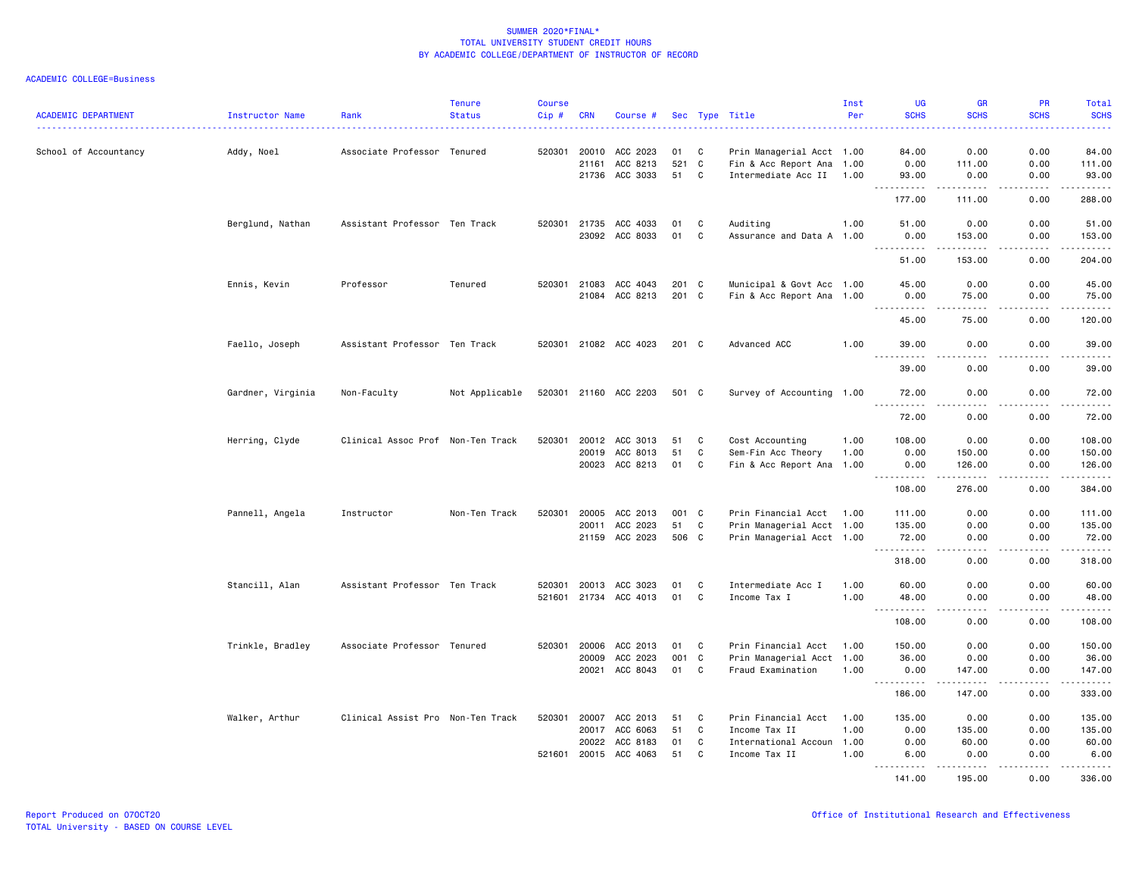| <b>ACADEMIC DEPARTMENT</b> | <b>Instructor Name</b> | Rank                              | <b>Tenure</b><br><b>Status</b> | <b>Course</b><br>Cip# | <b>CRN</b>   | Course #              |       |   | Sec Type Title            | Inst<br>Per | UG<br><b>SCHS</b>            | GR<br><b>SCHS</b>                                                                     | <b>PR</b><br><b>SCHS</b>     | Total<br><b>SCHS</b>      |
|----------------------------|------------------------|-----------------------------------|--------------------------------|-----------------------|--------------|-----------------------|-------|---|---------------------------|-------------|------------------------------|---------------------------------------------------------------------------------------|------------------------------|---------------------------|
|                            |                        |                                   |                                |                       |              |                       |       |   |                           |             |                              |                                                                                       |                              | <b></b>                   |
| School of Accountancy      | Addy, Noel             | Associate Professor Tenured       |                                | 520301                | 20010        | ACC 2023              | 01    | C | Prin Managerial Acct 1.00 |             | 84.00                        | 0.00                                                                                  | 0.00                         | 84.00                     |
|                            |                        |                                   |                                |                       | 21161        | ACC 8213              | 521 C |   | Fin & Acc Report Ana 1.00 |             | 0.00                         | 111.00                                                                                | 0.00                         | 111.00                    |
|                            |                        |                                   |                                |                       | 21736        | ACC 3033              | 51    | C | Intermediate Acc II       | 1.00        | 93.00<br>.                   | 0.00                                                                                  | 0.00<br>$\sim$ $\sim$ $\sim$ | 93.00<br>د د د د د        |
|                            |                        |                                   |                                |                       |              |                       |       |   |                           |             | 177.00                       | 111.00                                                                                | 0.00                         | 288.00                    |
|                            | Berglund, Nathan       | Assistant Professor Ten Track     |                                |                       | 520301 21735 | ACC 4033              | 01    | C | Auditing                  | 1.00        | 51.00                        | 0.00                                                                                  | 0.00                         | 51.00                     |
|                            |                        |                                   |                                |                       |              | 23092 ACC 8033        | 01    | C | Assurance and Data A 1.00 |             | 0.00                         | 153.00                                                                                | 0.00                         | 153.00                    |
|                            |                        |                                   |                                |                       |              |                       |       |   |                           |             | .                            | .                                                                                     | .                            | .                         |
|                            |                        |                                   |                                |                       |              |                       |       |   |                           |             | 51.00                        | 153.00                                                                                | 0.00                         | 204.00                    |
|                            | Ennis, Kevin           | Professor                         | Tenured                        |                       | 520301 21083 | ACC 4043              | 201 C |   | Municipal & Govt Acc 1.00 |             | 45.00                        | 0.00                                                                                  | 0.00                         | 45.00                     |
|                            |                        |                                   |                                |                       | 21084        | ACC 8213              | 201 C |   | Fin & Acc Report Ana 1.00 |             | 0.00<br>. <b>.</b>           | 75.00<br>.                                                                            | 0.00<br>. <u>. .</u>         | 75.00<br>.                |
|                            |                        |                                   |                                |                       |              |                       |       |   |                           |             | 45.00                        | 75.00                                                                                 | 0.00                         | 120.00                    |
|                            | Faello, Joseph         | Assistant Professor Ten Track     |                                |                       |              | 520301 21082 ACC 4023 | 201 C |   | Advanced ACC              | 1.00        | 39.00                        | 0.00                                                                                  | 0.00                         | 39.00                     |
|                            |                        |                                   |                                |                       |              |                       |       |   |                           |             | 39.00                        | 0.00                                                                                  | 0.00                         | د د د د د<br>39.00        |
|                            | Gardner, Virginia      | Non-Faculty                       | Not Applicable                 |                       |              | 520301 21160 ACC 2203 | 501 C |   | Survey of Accounting 1.00 |             | 72.00                        | 0.00                                                                                  | 0.00                         | 72.00                     |
|                            |                        |                                   |                                |                       |              |                       |       |   |                           |             | .                            | $\frac{1}{2} \frac{1}{2} \frac{1}{2} \frac{1}{2} \frac{1}{2} \frac{1}{2} \frac{1}{2}$ | .                            | د د د د د                 |
|                            |                        |                                   |                                |                       |              |                       |       |   |                           |             | 72.00                        | 0.00                                                                                  | 0.00                         | 72.00                     |
|                            | Herring, Clyde         | Clinical Assoc Prof Non-Ten Track |                                | 520301                |              | 20012 ACC 3013        | 51    | C | Cost Accounting           | 1.00        | 108.00                       | 0.00                                                                                  | 0.00                         | 108.00                    |
|                            |                        |                                   |                                |                       | 20019        | ACC 8013              | 51    | C | Sem-Fin Acc Theory        | 1.00        | 0.00                         | 150.00                                                                                | 0.00                         | 150.00                    |
|                            |                        |                                   |                                |                       | 20023        | ACC 8213              | 01    | C | Fin & Acc Report Ana      | 1.00        | 0.00<br><u>.</u>             | 126.00<br>$- - - - -$                                                                 | 0.00<br>.                    | 126.00<br>$- - - - - - -$ |
|                            |                        |                                   |                                |                       |              |                       |       |   |                           |             | 108.00                       | 276.00                                                                                | 0.00                         | 384.00                    |
|                            | Pannell, Angela        | Instructor                        | Non-Ten Track                  | 520301                | 20005        | ACC 2013              | 001 C |   | Prin Financial Acct       | 1.00        | 111.00                       | 0.00                                                                                  | 0.00                         | 111.00                    |
|                            |                        |                                   |                                |                       | 20011        | ACC 2023              | 51    | C | Prin Managerial Acct 1.00 |             | 135.00                       | 0.00                                                                                  | 0.00                         | 135.00                    |
|                            |                        |                                   |                                |                       |              | 21159 ACC 2023        | 506 C |   | Prin Managerial Acct 1.00 |             | 72.00                        | 0.00                                                                                  | 0.00                         | 72.00                     |
|                            |                        |                                   |                                |                       |              |                       |       |   |                           |             | 318.00                       | 0.00                                                                                  | 0.00                         | <u>.</u><br>318.00        |
|                            | Stancill, Alan         | Assistant Professor Ten Track     |                                | 520301                | 20013        | ACC 3023              | 01    | C | Intermediate Acc I        | 1.00        | 60.00                        | 0.00                                                                                  | 0.00                         | 60.00                     |
|                            |                        |                                   |                                |                       | 521601 21734 | ACC 4013              | 01    | C | Income Tax I              | 1.00        | 48.00                        | 0.00                                                                                  | 0.00                         | 48.00                     |
|                            |                        |                                   |                                |                       |              |                       |       |   |                           |             | .<br>$\frac{1}{2}$<br>108.00 | .<br>0.00                                                                             | .<br>0.00                    | .<br>108.00               |
|                            | Trinkle, Bradley       | Associate Professor Tenured       |                                | 520301                | 20006        | ACC 2013              | 01    | C | Prin Financial Acct       | 1.00        | 150.00                       | 0.00                                                                                  | 0.00                         | 150.00                    |
|                            |                        |                                   |                                |                       | 20009        | ACC 2023              | 001 C |   | Prin Managerial Acct 1.00 |             | 36.00                        | 0.00                                                                                  | 0.00                         | 36.00                     |
|                            |                        |                                   |                                |                       | 20021        | ACC 8043              | 01    | C | Fraud Examination         | 1.00        | 0.00                         | 147.00                                                                                | 0.00                         | 147.00                    |
|                            |                        |                                   |                                |                       |              |                       |       |   |                           |             | <u>.</u>                     | .                                                                                     | .                            |                           |
|                            |                        |                                   |                                |                       |              |                       |       |   |                           |             | 186.00                       | 147.00                                                                                | 0.00                         | 333.00                    |
|                            | Walker, Arthur         | Clinical Assist Pro Non-Ten Track |                                | 520301                | 20007        | ACC 2013              | 51    | C | Prin Financial Acct       | 1.00        | 135.00                       | 0.00                                                                                  | 0.00                         | 135.00                    |
|                            |                        |                                   |                                |                       | 20017        | ACC 6063              | 51    | C | Income Tax II             | 1.00        | 0.00                         | 135.00                                                                                | 0.00                         | 135.00                    |
|                            |                        |                                   |                                |                       | 20022        | ACC 8183              | 01    | C | International Accoun      | 1.00        | 0.00                         | 60.00                                                                                 | 0.00                         | 60.00                     |
|                            |                        |                                   |                                | 521601                | 20015        | ACC 4063              | 51    | C | Income Tax II             | 1.00        | 6.00<br><u>.</u>             | 0.00<br>.                                                                             | 0.00<br>.                    | 6.00                      |
|                            |                        |                                   |                                |                       |              |                       |       |   |                           |             | 141.00                       | 195.00                                                                                | 0.00                         | 336.00                    |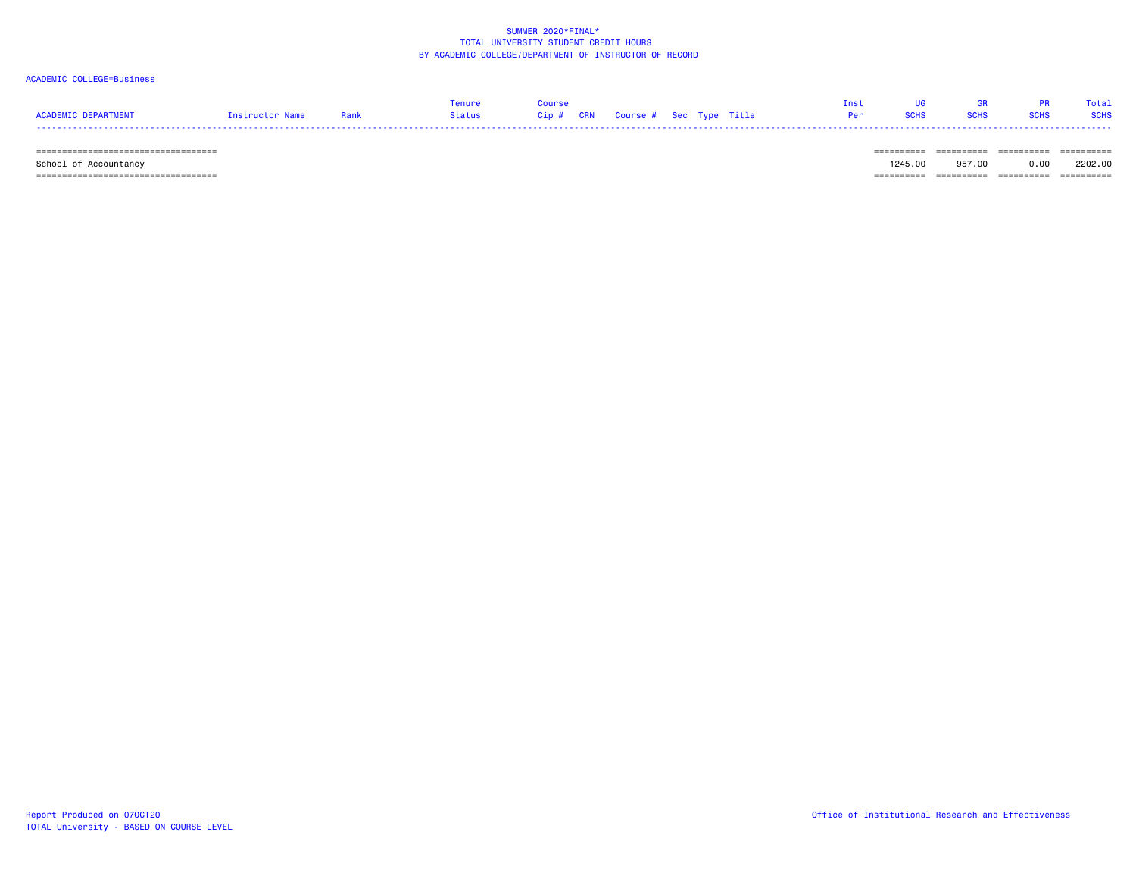### ACADEMIC COLLEGE=Business

|                     |                 |      | Tenure               | Course                            |  |                                                                                                                      |             | <b>GR</b>   |             | Total       |
|---------------------|-----------------|------|----------------------|-----------------------------------|--|----------------------------------------------------------------------------------------------------------------------|-------------|-------------|-------------|-------------|
| ACADEMIC DEPARTMENT | Instructor Name | Rank | Status in the Status | Cip # CRN Course # Sec Type Title |  | <b>Per Service Service Service Service Service Service Service Service Service Service Service Service Service S</b> | <b>SCHS</b> | <b>SCHS</b> | <b>SCHS</b> | <b>SCHS</b> |
|                     |                 |      |                      |                                   |  |                                                                                                                      |             |             |             |             |

 =================================== ========== ========== ========== ========== School of Accountancy 1245.00 957.00 0.00 2202.00  $=$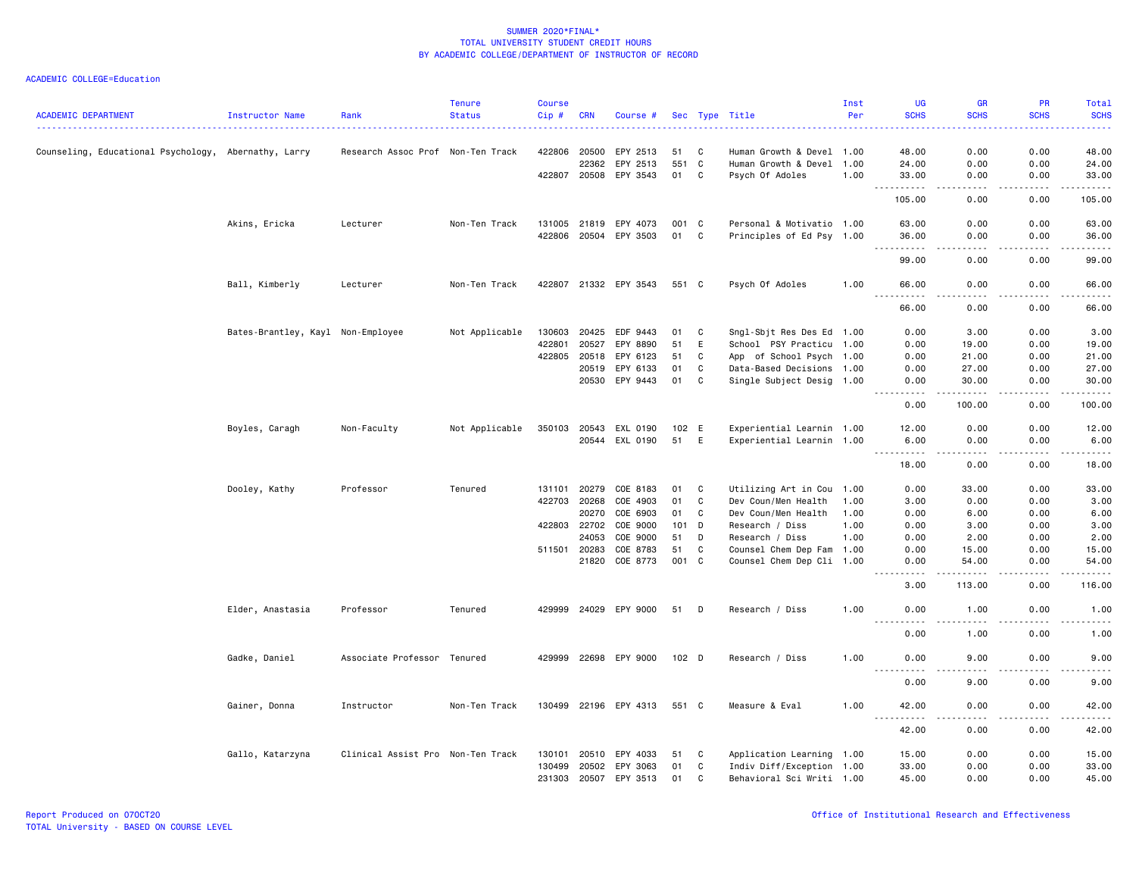|                                                      |                                   |                                   | <b>Tenure</b>  | Course  |              |                       |                  |              |                           | Inst | UG                  | GR                           | PR                                                                                                                                                           | <b>Total</b> |
|------------------------------------------------------|-----------------------------------|-----------------------------------|----------------|---------|--------------|-----------------------|------------------|--------------|---------------------------|------|---------------------|------------------------------|--------------------------------------------------------------------------------------------------------------------------------------------------------------|--------------|
| <b>ACADEMIC DEPARTMENT</b>                           | Instructor Name                   | Rank                              | <b>Status</b>  | $Cip$ # | <b>CRN</b>   | Course #              |                  |              | Sec Type Title            | Per  | <b>SCHS</b>         | <b>SCHS</b>                  | <b>SCHS</b>                                                                                                                                                  | <b>SCHS</b>  |
| Counseling, Educational Psychology, Abernathy, Larry |                                   | Research Assoc Prof Non-Ten Track |                | 422806  | 20500        | EPY 2513              | 51               | C            | Human Growth & Devel 1.00 |      | 48.00               | 0.00                         | 0.00                                                                                                                                                         | 48.00        |
|                                                      |                                   |                                   |                |         | 22362        | EPY 2513              | 551              | $\mathbf{C}$ | Human Growth & Devel 1.00 |      | 24.00               | 0.00                         | 0.00                                                                                                                                                         | 24.00        |
|                                                      |                                   |                                   |                |         | 422807 20508 | EPY 3543              | 01               | C            | Psych Of Adoles           | 1.00 | 33.00               | 0.00                         | 0.00                                                                                                                                                         | 33.00        |
|                                                      |                                   |                                   |                |         |              |                       |                  |              |                           |      | 105.00              | 0.00                         | 0.00                                                                                                                                                         | 105.00       |
|                                                      | Akins, Ericka                     | Lecturer                          | Non-Ten Track  |         | 131005 21819 | EPY 4073              | 001 C            |              | Personal & Motivatio 1.00 |      | 63.00               | 0.00                         | 0.00                                                                                                                                                         | 63.00        |
|                                                      |                                   |                                   |                | 422806  |              | 20504 EPY 3503        | 01               | C            | Principles of Ed Psy 1.00 |      | 36.00<br>- - -<br>. | 0.00<br>.                    | 0.00<br>-----                                                                                                                                                | 36.00<br>.   |
|                                                      |                                   |                                   |                |         |              |                       |                  |              |                           |      | 99.00               | 0.00                         | 0.00                                                                                                                                                         | 99.00        |
|                                                      | Ball, Kimberly                    | Lecturer                          | Non-Ten Track  |         |              | 422807 21332 EPY 3543 | 551 C            |              | Psych Of Adoles           | 1.00 | 66.00               | 0.00<br>$\sim$ $\sim$ $\sim$ | 0.00                                                                                                                                                         | 66.00<br>.   |
|                                                      |                                   |                                   |                |         |              |                       |                  |              |                           |      | 66.00               | 0.00                         | 0.00                                                                                                                                                         | 66.00        |
|                                                      | Bates-Brantley, Kayl Non-Employee |                                   | Not Applicable | 130603  | 20425        | EDF 9443              | 01               | C            | Sngl-Sbjt Res Des Ed 1.00 |      | 0.00                | 3.00                         | 0.00                                                                                                                                                         | 3.00         |
|                                                      |                                   |                                   |                | 422801  | 20527        | EPY 8890              | 51               | E            | School PSY Practicu 1.00  |      | 0.00                | 19.00                        | 0.00                                                                                                                                                         | 19.00        |
|                                                      |                                   |                                   |                |         | 422805 20518 | EPY 6123              | 51               | C            | App of School Psych 1.00  |      | 0.00                | 21.00                        | 0.00                                                                                                                                                         | 21.00        |
|                                                      |                                   |                                   |                |         | 20519        | EPY 6133              | 01               | C            | Data-Based Decisions 1.00 |      | 0.00                | 27.00                        | 0.00                                                                                                                                                         | 27.00        |
|                                                      |                                   |                                   |                |         | 20530        | EPY 9443              | 01               | C            | Single Subject Desig 1.00 |      | 0.00                | 30.00                        | 0.00                                                                                                                                                         | 30.00        |
|                                                      |                                   |                                   |                |         |              |                       |                  |              |                           |      | 0.00                | 100.00                       | 0.00                                                                                                                                                         | 100.00       |
|                                                      | Boyles, Caragh                    | Non-Faculty                       | Not Applicable | 350103  | 20543        | EXL 0190              | 102              | E            | Experiential Learnin 1.00 |      | 12.00               | 0.00                         | 0.00                                                                                                                                                         | 12.00        |
|                                                      |                                   |                                   |                |         | 20544        | EXL 0190              | 51               | E            | Experiential Learnin 1.00 |      | 6.00<br>.           | 0.00<br>.                    | 0.00<br>.                                                                                                                                                    | 6.00<br>.    |
|                                                      |                                   |                                   |                |         |              |                       |                  |              |                           |      | 18.00               | 0.00                         | 0.00                                                                                                                                                         | 18.00        |
|                                                      | Dooley, Kathy                     | Professor                         | Tenured        | 131101  | 20279        | COE 8183              | 01               | C            | Utilizing Art in Cou 1.00 |      | 0.00                | 33.00                        | 0.00                                                                                                                                                         | 33.00        |
|                                                      |                                   |                                   |                | 422703  | 20268        | COE 4903              | 01               | C            | Dev Coun/Men Health       | 1.00 | 3.00                | 0.00                         | 0.00                                                                                                                                                         | 3.00         |
|                                                      |                                   |                                   |                |         | 20270        | COE 6903              | 01               | C            | Dev Coun/Men Health       | 1.00 | 0.00                | 6.00                         | 0.00                                                                                                                                                         | 6.00         |
|                                                      |                                   |                                   |                | 422803  | 22702        | COE 9000              | 101              | D            | Research / Diss           | 1.00 | 0.00                | 3.00                         | 0.00                                                                                                                                                         | 3.00         |
|                                                      |                                   |                                   |                |         | 24053        | COE 9000              | 51               | D            | Research / Diss           | 1.00 | 0.00                | 2.00                         | 0.00                                                                                                                                                         | 2.00         |
|                                                      |                                   |                                   |                |         | 511501 20283 | COE 8783              | 51               | C            | Counsel Chem Dep Fam 1.00 |      | 0.00                | 15.00                        | 0.00                                                                                                                                                         | 15.00        |
|                                                      |                                   |                                   |                |         | 21820        | COE 8773              | 001 C            |              | Counsel Chem Dep Cli 1.00 |      | 0.00<br>.           | 54.00<br>$- - - - -$         | 0.00<br>.                                                                                                                                                    | 54.00<br>.   |
|                                                      |                                   |                                   |                |         |              |                       |                  |              |                           |      | 3.00                | 113.00                       | 0.00                                                                                                                                                         | 116.00       |
|                                                      | Elder, Anastasia                  | Professor                         | Tenured        |         |              | 429999 24029 EPY 9000 | 51               | D            | Research / Diss           | 1.00 | 0.00<br><u>.</u>    | 1.00                         | 0.00                                                                                                                                                         | 1.00<br>.    |
|                                                      |                                   |                                   |                |         |              |                       |                  |              |                           |      | 0.00                | 1.00                         | 0.00                                                                                                                                                         | 1.00         |
|                                                      | Gadke, Daniel                     | Associate Professor Tenured       |                |         |              | 429999 22698 EPY 9000 | 102 <sub>D</sub> |              | Research / Diss           | 1.00 | 0.00<br>$- - - -$   | 9.00<br>----                 | 0.00                                                                                                                                                         | 9.00         |
|                                                      |                                   |                                   |                |         |              |                       |                  |              |                           |      | 0.00                | 9.00                         | 0.00                                                                                                                                                         | 9.00         |
|                                                      | Gainer, Donna                     | Instructor                        | Non-Ten Track  |         |              | 130499 22196 EPY 4313 | 551 C            |              | Measure & Eval            | 1.00 | 42.00<br><u>.</u>   | 0.00<br>.                    | 0.00<br>$\frac{1}{2} \left( \frac{1}{2} \right) \left( \frac{1}{2} \right) \left( \frac{1}{2} \right) \left( \frac{1}{2} \right) \left( \frac{1}{2} \right)$ | 42.00<br>.   |
|                                                      |                                   |                                   |                |         |              |                       |                  |              |                           |      | 42.00               | 0.00                         | 0.00                                                                                                                                                         | 42.00        |
|                                                      | Gallo, Katarzyna                  | Clinical Assist Pro Non-Ten Track |                | 130101  | 20510        | EPY 4033              | 51               | C            | Application Learning 1.00 |      | 15.00               | 0.00                         | 0.00                                                                                                                                                         | 15.00        |
|                                                      |                                   |                                   |                | 130499  |              | 20502 EPY 3063        | 01               | C            | Indiv Diff/Exception 1.00 |      | 33.00               | 0.00                         | 0.00                                                                                                                                                         | 33.00        |
|                                                      |                                   |                                   |                | 231303  | 20507        | EPY 3513              | 01               | C            | Behavioral Sci Writi 1.00 |      | 45.00               | 0.00                         | 0.00                                                                                                                                                         | 45.00        |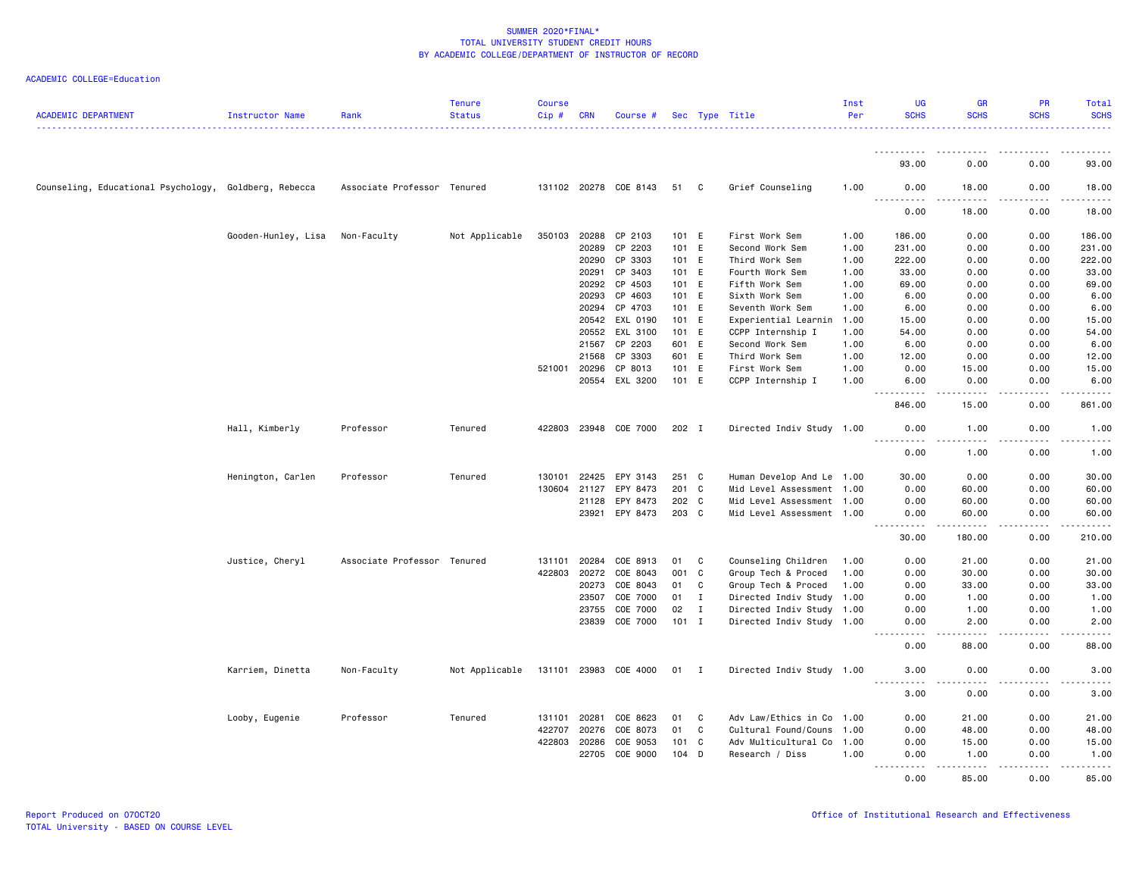| <b>ACADEMIC DEPARTMENT</b>                            | Instructor Name     | Rank                        | <b>Tenure</b><br><b>Status</b> | <b>Course</b><br>$Cip \#$ | <b>CRN</b>     | Course #              |         |              | Sec Type Title                                         | Inst<br>Per | <b>UG</b><br><b>SCHS</b>                    | <b>GR</b><br><b>SCHS</b>                                                                                                                                      | PR<br><b>SCHS</b>     | Total<br><b>SCHS</b>                                                                                                                                         |
|-------------------------------------------------------|---------------------|-----------------------------|--------------------------------|---------------------------|----------------|-----------------------|---------|--------------|--------------------------------------------------------|-------------|---------------------------------------------|---------------------------------------------------------------------------------------------------------------------------------------------------------------|-----------------------|--------------------------------------------------------------------------------------------------------------------------------------------------------------|
|                                                       |                     |                             |                                |                           |                |                       |         |              |                                                        |             | <u>.</u>                                    |                                                                                                                                                               |                       |                                                                                                                                                              |
|                                                       |                     |                             |                                |                           |                |                       |         |              |                                                        |             | 93.00                                       | 0.00                                                                                                                                                          | 0.00                  | 93.00                                                                                                                                                        |
| Counseling, Educational Psychology, Goldberg, Rebecca |                     | Associate Professor Tenured |                                |                           |                | 131102 20278 COE 8143 | 51 C    |              | Grief Counseling                                       | 1.00        | 0.00<br>.                                   | 18.00<br>$\frac{1}{2} \left( \frac{1}{2} \right) \left( \frac{1}{2} \right) \left( \frac{1}{2} \right) \left( \frac{1}{2} \right) \left( \frac{1}{2} \right)$ | 0.00<br>.             | 18.00<br>.                                                                                                                                                   |
|                                                       |                     |                             |                                |                           |                |                       |         |              |                                                        |             | 0.00                                        | 18.00                                                                                                                                                         | 0.00                  | 18.00                                                                                                                                                        |
|                                                       | Gooden-Hunley, Lisa | Non-Faculty                 | Not Applicable                 | 350103                    | 20288          | CP 2103               | 101 E   |              | First Work Sem                                         | 1.00        | 186.00                                      | 0.00                                                                                                                                                          | 0.00                  | 186.00                                                                                                                                                       |
|                                                       |                     |                             |                                |                           | 20289          | CP 2203               | 101 E   |              | Second Work Sem                                        | 1.00        | 231.00                                      | 0.00                                                                                                                                                          | 0.00                  | 231.00                                                                                                                                                       |
|                                                       |                     |                             |                                |                           | 20290          | CP 3303               | 101 E   |              | Third Work Sem                                         | 1.00        | 222.00                                      | 0.00                                                                                                                                                          | 0.00                  | 222.00                                                                                                                                                       |
|                                                       |                     |                             |                                |                           | 20291          | CP 3403               | 101 E   |              | Fourth Work Sem                                        | 1.00        | 33.00                                       | 0.00                                                                                                                                                          | 0.00                  | 33.00                                                                                                                                                        |
|                                                       |                     |                             |                                |                           | 20292          | CP 4503               | 101 E   |              | Fifth Work Sem                                         | 1.00        | 69.00                                       | 0.00                                                                                                                                                          | 0.00                  | 69.00                                                                                                                                                        |
|                                                       |                     |                             |                                |                           | 20293          | CP 4603               | 101 E   |              | Sixth Work Sem                                         | 1.00        | 6.00                                        | 0.00                                                                                                                                                          | 0.00                  | 6.00                                                                                                                                                         |
|                                                       |                     |                             |                                |                           | 20294          | CP 4703               | 101 E   |              | Seventh Work Sem                                       | 1.00        | 6.00                                        | 0.00                                                                                                                                                          | 0.00                  | 6.00                                                                                                                                                         |
|                                                       |                     |                             |                                |                           | 20542          | EXL 0190              | 101 E   |              | Experiential Learnin                                   | 1.00        | 15.00                                       | 0.00                                                                                                                                                          | 0.00                  | 15.00                                                                                                                                                        |
|                                                       |                     |                             |                                |                           | 20552          | EXL 3100              | 101 E   |              | CCPP Internship I                                      | 1.00        | 54.00                                       | 0.00                                                                                                                                                          | 0.00                  | 54.00                                                                                                                                                        |
|                                                       |                     |                             |                                |                           | 21567          | CP 2203               | 601 E   |              | Second Work Sem                                        | 1.00        | 6.00                                        | 0.00                                                                                                                                                          | 0.00                  | 6.00                                                                                                                                                         |
|                                                       |                     |                             |                                |                           | 21568          | CP 3303               | 601 E   |              | Third Work Sem                                         | 1.00        | 12.00                                       | 0.00                                                                                                                                                          | 0.00                  | 12.00                                                                                                                                                        |
|                                                       |                     |                             |                                | 521001                    | 20296          | CP 8013               | 101     | E            | First Work Sem                                         | 1.00        | 0.00                                        | 15.00                                                                                                                                                         | 0.00                  | 15.00                                                                                                                                                        |
|                                                       |                     |                             |                                |                           |                | 20554 EXL 3200        | 101 E   |              | CCPP Internship I                                      | 1.00        | 6.00                                        | 0.00                                                                                                                                                          | 0.00                  | 6.00                                                                                                                                                         |
|                                                       |                     |                             |                                |                           |                |                       |         |              |                                                        |             | 846.00                                      | $\frac{1}{2} \left( \frac{1}{2} \right) \left( \frac{1}{2} \right) \left( \frac{1}{2} \right) \left( \frac{1}{2} \right) \left( \frac{1}{2} \right)$<br>15.00 | .<br>0.00             | .<br>861.00                                                                                                                                                  |
|                                                       | Hall, Kimberly      | Professor                   | Tenured                        |                           |                | 422803 23948 COE 7000 | 202 I   |              | Directed Indiv Study 1.00                              |             | 0.00                                        | 1.00                                                                                                                                                          | 0.00                  | 1.00                                                                                                                                                         |
|                                                       |                     |                             |                                |                           |                |                       |         |              |                                                        |             | 0.00                                        | 1.00                                                                                                                                                          | 0.00                  | $\frac{1}{2} \left( \frac{1}{2} \right) \left( \frac{1}{2} \right) \left( \frac{1}{2} \right) \left( \frac{1}{2} \right) \left( \frac{1}{2} \right)$<br>1.00 |
|                                                       | Henington, Carlen   | Professor                   | Tenured                        | 130101                    | 22425          | EPY 3143              | 251 C   |              | Human Develop And Le 1.00                              |             | 30.00                                       | 0.00                                                                                                                                                          | 0.00                  | 30.00                                                                                                                                                        |
|                                                       |                     |                             |                                | 130604                    | 21127          | EPY 8473              | 201     | C.           | Mid Level Assessment 1.00                              |             | 0.00                                        | 60.00                                                                                                                                                         | 0.00                  | 60.00                                                                                                                                                        |
|                                                       |                     |                             |                                |                           |                |                       | 202 C   |              |                                                        |             |                                             |                                                                                                                                                               |                       |                                                                                                                                                              |
|                                                       |                     |                             |                                |                           | 21128<br>23921 | EPY 8473<br>EPY 8473  | 203 C   |              | Mid Level Assessment 1.00<br>Mid Level Assessment 1.00 |             | 0.00<br>0.00                                | 60.00<br>60.00                                                                                                                                                | 0.00<br>0.00          | 60.00<br>60.00                                                                                                                                               |
|                                                       |                     |                             |                                |                           |                |                       |         |              |                                                        |             | $- - - - -$<br>30.00                        | .<br>180.00                                                                                                                                                   | .<br>0.00             | .<br>210.00                                                                                                                                                  |
|                                                       | Justice, Cheryl     | Associate Professor Tenured |                                | 131101                    | 20284          | COE 8913              | 01      | C            | Counseling Children                                    | 1.00        | 0.00                                        | 21.00                                                                                                                                                         | 0.00                  | 21.00                                                                                                                                                        |
|                                                       |                     |                             |                                | 422803                    | 20272          | COE 8043              | 001     | C            | Group Tech & Proced                                    | 1.00        | 0.00                                        | 30.00                                                                                                                                                         | 0.00                  | 30.00                                                                                                                                                        |
|                                                       |                     |                             |                                |                           | 20273          | COE 8043              | 01      | C            | Group Tech & Proced                                    | 1.00        | 0.00                                        | 33.00                                                                                                                                                         | 0.00                  | 33.00                                                                                                                                                        |
|                                                       |                     |                             |                                |                           | 23507          | COE 7000              | 01      | $\mathbf I$  | Directed Indiv Study 1.00                              |             | 0.00                                        | 1.00                                                                                                                                                          | 0.00                  | 1.00                                                                                                                                                         |
|                                                       |                     |                             |                                |                           | 23755          | COE 7000              | 02      | $\mathbf{I}$ | Directed Indiv Study 1.00                              |             | 0.00                                        | 1.00                                                                                                                                                          | 0.00                  | 1.00                                                                                                                                                         |
|                                                       |                     |                             |                                |                           | 23839          | COE 7000              | $101$ I |              | Directed Indiv Study 1.00                              |             | 0.00                                        | 2.00                                                                                                                                                          | 0.00                  | 2.00                                                                                                                                                         |
|                                                       |                     |                             |                                |                           |                |                       |         |              |                                                        |             | 0.00                                        | $- - - -$<br>88.00                                                                                                                                            | $\frac{1}{2}$<br>0.00 | $- - - -$<br>88.00                                                                                                                                           |
|                                                       | Karriem, Dinetta    | Non-Faculty                 | Not Applicable                 |                           |                | 131101 23983 COE 4000 | 01 I    |              | Directed Indiv Study 1.00                              |             | 3.00                                        | 0.00                                                                                                                                                          | 0.00                  | 3.00                                                                                                                                                         |
|                                                       |                     |                             |                                |                           |                |                       |         |              |                                                        |             | $\sim$ $\sim$ $\sim$<br>$- - - - -$<br>3.00 | .<br>0.00                                                                                                                                                     | .<br>0.00             | $\frac{1}{2}$<br>3.00                                                                                                                                        |
|                                                       | Looby, Eugenie      | Professor                   | Tenured                        | 131101                    | 20281          | COE 8623              | 01      | C            | Adv Law/Ethics in Co 1.00                              |             | 0.00                                        | 21.00                                                                                                                                                         | 0.00                  | 21.00                                                                                                                                                        |
|                                                       |                     |                             |                                | 422707                    | 20276          | COE 8073              | 01      | C            | Cultural Found/Couns 1.00                              |             | 0.00                                        | 48.00                                                                                                                                                         | 0.00                  | 48.00                                                                                                                                                        |
|                                                       |                     |                             |                                | 422803                    | 20286          | COE 9053              | 101 C   |              | Adv Multicultural Co 1.00                              |             | 0.00                                        | 15.00                                                                                                                                                         | 0.00                  | 15.00                                                                                                                                                        |
|                                                       |                     |                             |                                |                           | 22705          | COE 9000              | $104$ D |              | Research / Diss                                        | 1.00        | 0.00<br>.                                   | 1.00<br>.                                                                                                                                                     | 0.00<br>.             | 1.00<br>.                                                                                                                                                    |
|                                                       |                     |                             |                                |                           |                |                       |         |              |                                                        |             | 0.00                                        | 85.00                                                                                                                                                         | 0.00                  | 85.00                                                                                                                                                        |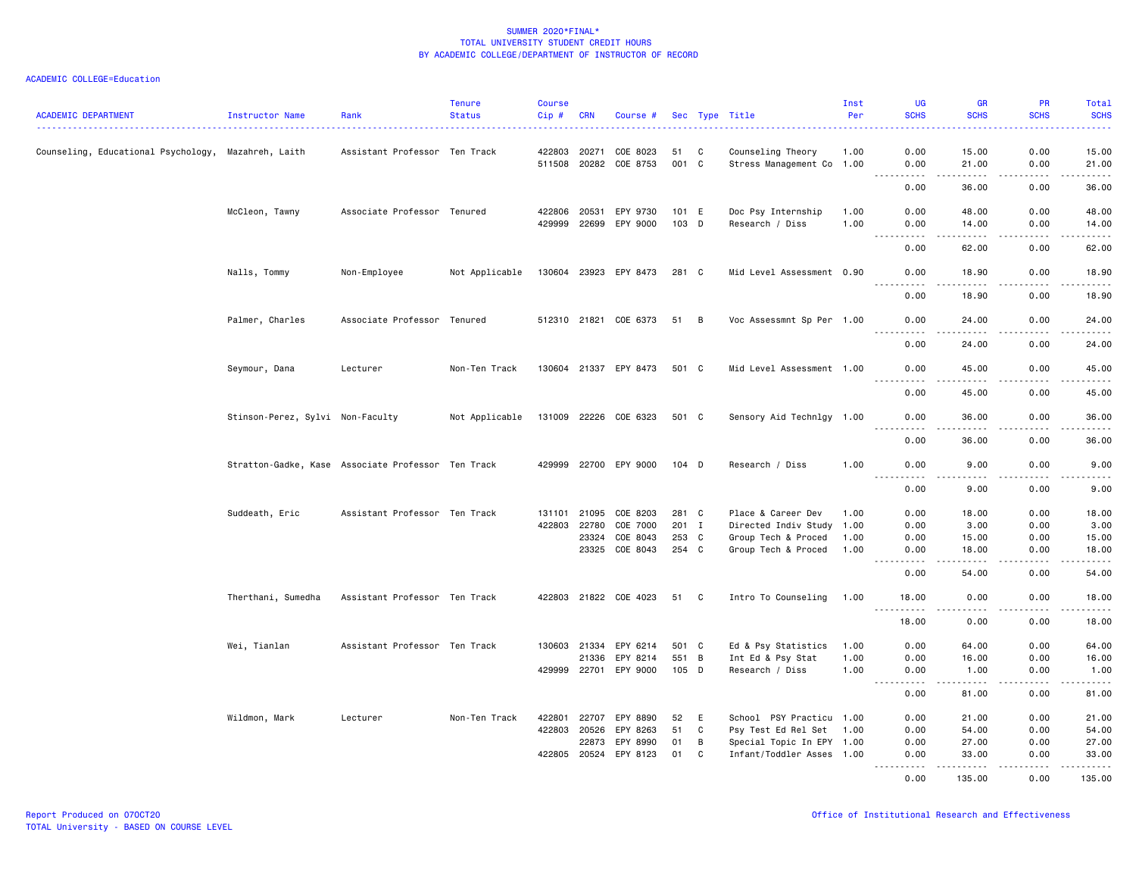| <b>ACADEMIC DEPARTMENT</b>                          | Instructor Name                                    | Rank                          | <b>Tenure</b><br><b>Status</b> | <b>Course</b><br>Cip# | <b>CRN</b> | Course #              |       |                | Sec Type Title            | Inst<br>Per | <b>UG</b><br><b>SCHS</b>                    | <b>GR</b><br><b>SCHS</b>                                                                                                                                      | PR<br><b>SCHS</b> | Total<br><b>SCHS</b>                        |
|-----------------------------------------------------|----------------------------------------------------|-------------------------------|--------------------------------|-----------------------|------------|-----------------------|-------|----------------|---------------------------|-------------|---------------------------------------------|---------------------------------------------------------------------------------------------------------------------------------------------------------------|-------------------|---------------------------------------------|
| Counseling, Educational Psychology, Mazahreh, Laith |                                                    | Assistant Professor Ten Track |                                | 422803                | 20271      | COE 8023              | 51 C  |                | Counseling Theory         | 1.00        | 0.00                                        | 15.00                                                                                                                                                         | 0.00              | 15.00                                       |
|                                                     |                                                    |                               |                                |                       |            | 511508 20282 COE 8753 | 001 C |                | Stress Management Co 1.00 |             | 0.00                                        | 21.00                                                                                                                                                         | 0.00              | 21.00                                       |
|                                                     |                                                    |                               |                                |                       |            |                       |       |                |                           |             | 0.00                                        | .<br>36.00                                                                                                                                                    | .<br>0.00         | .<br>36.00                                  |
|                                                     | McCleon, Tawny                                     | Associate Professor Tenured   |                                | 422806                | 20531      | EPY 9730              | 101 E |                | Doc Psy Internship        | 1.00        | 0.00                                        | 48.00                                                                                                                                                         | 0.00              | 48.00                                       |
|                                                     |                                                    |                               |                                | 429999 22699          |            | EPY 9000              | 103 D |                | Research / Diss           | 1.00        | 0.00                                        | 14.00                                                                                                                                                         | 0.00              | 14.00                                       |
|                                                     |                                                    |                               |                                |                       |            |                       |       |                |                           |             | 0.00                                        | $\frac{1}{2}$<br>62.00                                                                                                                                        | 0.00              | $\sim$ $\sim$ $\sim$ $\sim$ $\sim$<br>62.00 |
|                                                     | Nalls, Tommy                                       | Non-Employee                  | Not Applicable                 | 130604 23923          |            | EPY 8473              | 281 C |                | Mid Level Assessment 0.90 |             | 0.00                                        | 18.90                                                                                                                                                         | 0.00              | 18.90                                       |
|                                                     |                                                    |                               |                                |                       |            |                       |       |                |                           |             | 0.00                                        | 18.90                                                                                                                                                         | 0.00              | 18.90                                       |
|                                                     | Palmer, Charles                                    | Associate Professor Tenured   |                                |                       |            | 512310 21821 COE 6373 | 51 B  |                | Voc Assessmnt Sp Per 1.00 |             | 0.00<br>.                                   | 24.00<br>$\frac{1}{2}$                                                                                                                                        | 0.00<br>.         | 24.00<br>.                                  |
|                                                     |                                                    |                               |                                |                       |            |                       |       |                |                           |             | 0.00                                        | 24.00                                                                                                                                                         | 0.00              | 24.00                                       |
|                                                     | Seymour, Dana                                      | Lecturer                      | Non-Ten Track                  |                       |            | 130604 21337 EPY 8473 | 501 C |                | Mid Level Assessment 1.00 |             | 0.00                                        | 45.00                                                                                                                                                         | 0.00              | 45.00                                       |
|                                                     |                                                    |                               |                                |                       |            |                       |       |                |                           |             | 0.00                                        | 45.00                                                                                                                                                         | 0.00              | 45.00                                       |
|                                                     | Stinson-Perez, Sylvi Non-Faculty                   |                               | Not Applicable                 |                       |            | 131009 22226 COE 6323 | 501 C |                | Sensory Aid Technlgy 1.00 |             | 0.00                                        | 36.00                                                                                                                                                         | 0.00              | 36.00                                       |
|                                                     |                                                    |                               |                                |                       |            |                       |       |                |                           |             | 0.00                                        | 36.00                                                                                                                                                         | 0.00              | 36.00                                       |
|                                                     | Stratton-Gadke, Kase Associate Professor Ten Track |                               |                                |                       |            | 429999 22700 EPY 9000 | 104 D |                | Research / Diss           | 1.00        | 0.00<br>----                                | 9.00<br>$- - - -$                                                                                                                                             | 0.00              | 9.00<br>-----                               |
|                                                     |                                                    |                               |                                |                       |            |                       |       |                |                           |             | 0.00                                        | 9.00                                                                                                                                                          | 0.00              | 9.00                                        |
|                                                     | Suddeath, Eric                                     | Assistant Professor Ten Track |                                | 131101 21095          |            | COE 8203              | 281 C |                | Place & Career Dev        | 1.00        | 0.00                                        | 18.00                                                                                                                                                         | 0.00              | 18.00                                       |
|                                                     |                                                    |                               |                                | 422803                | 22780      | COE 7000              | 201   | $\blacksquare$ | Directed Indiv Study      | 1.00        | 0.00                                        | 3.00                                                                                                                                                          | 0.00              | 3.00                                        |
|                                                     |                                                    |                               |                                |                       | 23324      | COE 8043              | 253 C |                | Group Tech & Proced       | 1.00        | 0.00                                        | 15.00                                                                                                                                                         | 0.00              | 15.00                                       |
|                                                     |                                                    |                               |                                |                       |            | 23325 COE 8043        | 254 C |                | Group Tech & Proced       | 1.00        | 0.00<br>.                                   | 18,00<br>$\frac{1}{2} \left( \frac{1}{2} \right) \left( \frac{1}{2} \right) \left( \frac{1}{2} \right) \left( \frac{1}{2} \right) \left( \frac{1}{2} \right)$ | 0.00<br>.         | 18.00<br>.                                  |
|                                                     |                                                    |                               |                                |                       |            |                       |       |                |                           |             | 0.00                                        | 54.00                                                                                                                                                         | 0.00              | 54.00                                       |
|                                                     | Therthani, Sumedha                                 | Assistant Professor Ten Track |                                |                       |            | 422803 21822 COE 4023 | 51    | C.             | Intro To Counseling       | 1.00        | 18,00<br>. <b>.</b><br>$\sim$ $\sim$ $\sim$ | 0.00<br>.                                                                                                                                                     | 0.00<br>.         | 18.00<br>.                                  |
|                                                     |                                                    |                               |                                |                       |            |                       |       |                |                           |             | 18.00                                       | 0.00                                                                                                                                                          | 0.00              | 18.00                                       |
|                                                     | Wei, Tianlan                                       | Assistant Professor Ten Track |                                | 130603                | 21334      | EPY 6214              | 501 C |                | Ed & Psy Statistics       | 1.00        | 0.00                                        | 64.00                                                                                                                                                         | 0.00              | 64.00                                       |
|                                                     |                                                    |                               |                                |                       | 21336      | EPY 8214              | 551 B |                | Int Ed & Psy Stat         | 1.00        | 0.00                                        | 16.00                                                                                                                                                         | 0.00              | 16.00                                       |
|                                                     |                                                    |                               |                                |                       |            | 429999 22701 EPY 9000 | 105 D |                | Research / Diss           | 1.00        | 0.00<br>.                                   | 1.00<br>.                                                                                                                                                     | 0.00<br>.         | 1.00<br>.                                   |
|                                                     |                                                    |                               |                                |                       |            |                       |       |                |                           |             | 0.00                                        | 81.00                                                                                                                                                         | 0.00              | 81.00                                       |
|                                                     | Wildmon, Mark                                      | Lecturer                      | Non-Ten Track                  | 422801                | 22707      | EPY 8890              | 52    | E              | School PSY Practicu 1.00  |             | 0.00                                        | 21.00                                                                                                                                                         | 0.00              | 21.00                                       |
|                                                     |                                                    |                               |                                | 422803                | 20526      | EPY 8263              | 51    | C              | Psy Test Ed Rel Set       | 1.00        | 0.00                                        | 54.00                                                                                                                                                         | 0.00              | 54.00                                       |
|                                                     |                                                    |                               |                                |                       | 22873      | EPY 8990              | 01    | B              | Special Topic In EPY 1.00 |             | 0.00                                        | 27.00                                                                                                                                                         | 0.00              | 27.00                                       |
|                                                     |                                                    |                               |                                | 422805 20524          |            | EPY 8123              | 01    | C              | Infant/Toddler Asses 1.00 |             | 0.00<br>. <b>.</b>                          | 33.00<br>.                                                                                                                                                    | 0.00<br>.         | 33.00<br>.                                  |
|                                                     |                                                    |                               |                                |                       |            |                       |       |                |                           |             | 0.00                                        | 135.00                                                                                                                                                        | 0.00              | 135.00                                      |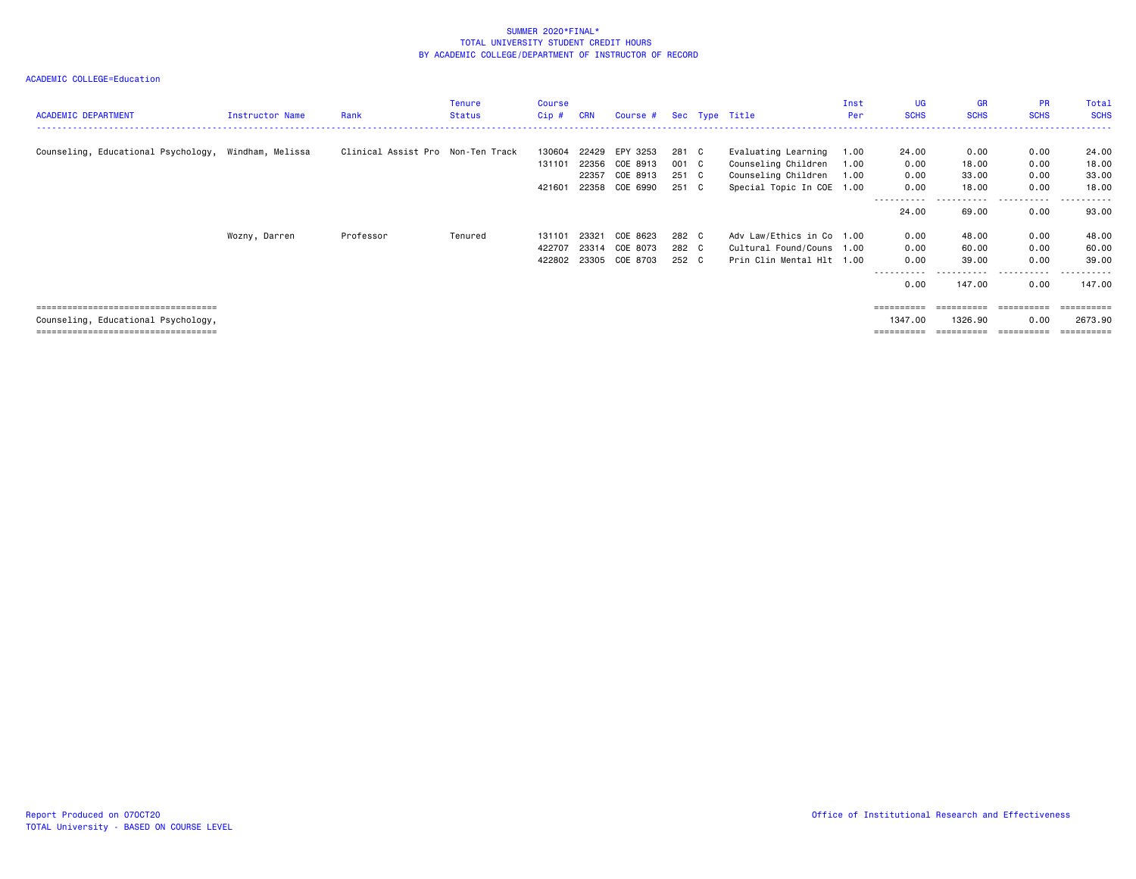| <b>ACADEMIC DEPARTMENT</b>                           | Instructor Name | Rank                              | <b>Tenure</b><br><b>Status</b> | <b>Course</b><br>Cip# | <b>CRN</b> | Course # |       | Sec Type Title            | Inst<br>Per | <b>UG</b><br><b>SCHS</b> | <b>GR</b><br><b>SCHS</b> | <b>PR</b><br><b>SCHS</b> | Total<br><b>SCHS</b>  |
|------------------------------------------------------|-----------------|-----------------------------------|--------------------------------|-----------------------|------------|----------|-------|---------------------------|-------------|--------------------------|--------------------------|--------------------------|-----------------------|
| Counseling, Educational Psychology, Windham, Melissa |                 | Clinical Assist Pro Non-Ten Track |                                | 130604                | 22429      | EPY 3253 | 281 C | Evaluating Learning       | 1.00        | 24.00                    | 0.00                     | 0.00                     | 24.00                 |
|                                                      |                 |                                   |                                | 131101                | 22356      | COE 8913 | 001 C | Counseling Children       | 1.00        | 0.00                     | 18.00                    | 0.00                     | 18.00                 |
|                                                      |                 |                                   |                                |                       | 22357      | COE 8913 | 251 C | Counseling Children       | 1.00        | 0.00                     | 33.00                    | 0.00                     | 33.00                 |
|                                                      |                 |                                   |                                | 421601                | 22358      | COE 6990 | 251 C | Special Topic In COE 1.00 |             | 0.00                     | 18.00                    | 0.00                     | 18.00                 |
|                                                      |                 |                                   |                                |                       |            |          |       |                           |             | .                        | -------                  | .                        | .                     |
|                                                      |                 |                                   |                                |                       |            |          |       |                           |             | 24.00                    | 69.00                    | 0.00                     | 93.00                 |
|                                                      | Wozny, Darren   | Professor                         | Tenured                        | 131101                | 23321      | COE 8623 | 282 C | Adv Law/Ethics in Co 1.00 |             | 0.00                     | 48.00                    | 0.00                     | 48.00                 |
|                                                      |                 |                                   |                                | 422707                | 23314      | COE 8073 | 282 C | Cultural Found/Couns 1.00 |             | 0.00                     | 60.00                    | 0.00                     | 60.00                 |
|                                                      |                 |                                   |                                | 422802                | 23305      | COE 8703 | 252 C | Prin Clin Mental Hlt 1.00 |             | 0.00                     | 39.00                    | 0.00                     | 39.00                 |
|                                                      |                 |                                   |                                |                       |            |          |       |                           |             | .                        | .                        | .                        | .                     |
|                                                      |                 |                                   |                                |                       |            |          |       |                           |             | 0.00                     | 147.00                   | 0.00                     | 147.00                |
|                                                      |                 |                                   |                                |                       |            |          |       |                           |             |                          |                          |                          |                       |
| ===================================                  |                 |                                   |                                |                       |            |          |       |                           |             | =========                | =========                | ==========               | ========              |
| Counseling, Educational Psychology,                  |                 |                                   |                                |                       |            |          |       |                           |             | 1347.00                  | 1326.90                  | 0.00                     | 2673.90               |
| =====================================                |                 |                                   |                                |                       |            |          |       |                           |             | $=$ = = = = = = = = :    | ==========               | ==========               | $=$ = = = = = = = = = |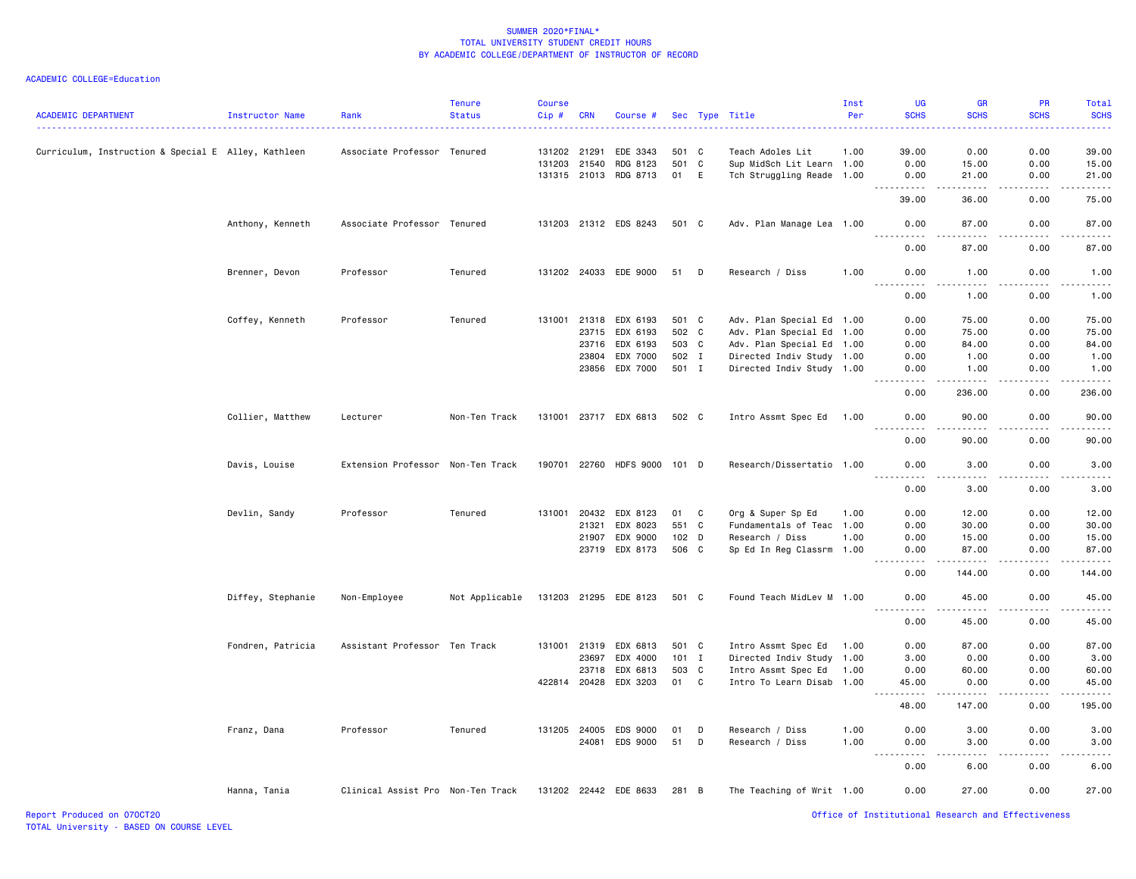| <b>ACADEMIC DEPARTMENT</b>                          | Instructor Name   | Rank                              | <b>Tenure</b><br><b>Status</b> | <b>Course</b><br>Cip# | <b>CRN</b> | Course #              |         |                | Sec Type Title            | Inst<br>Per<br>$\begin{array}{cccccccccccccc} \multicolumn{2}{c}{} & \multicolumn{2}{c}{} & \multicolumn{2}{c}{} & \multicolumn{2}{c}{} & \multicolumn{2}{c}{} & \multicolumn{2}{c}{} & \multicolumn{2}{c}{} & \multicolumn{2}{c}{} & \multicolumn{2}{c}{} & \multicolumn{2}{c}{} & \multicolumn{2}{c}{} & \multicolumn{2}{c}{} & \multicolumn{2}{c}{} & \multicolumn{2}{c}{} & \multicolumn{2}{c}{} & \multicolumn{2}{c}{} & \multicolumn{2}{c}{} & \multicolumn{2}{c}{} & \multicolumn{2}{c}{} & \$ | UG<br><b>SCHS</b>                                                                                                                                            | <b>GR</b><br><b>SCHS</b> | <b>PR</b><br><b>SCHS</b> | Total<br><b>SCHS</b><br>$\frac{1}{2} \left( \frac{1}{2} \right) \left( \frac{1}{2} \right) \left( \frac{1}{2} \right) \left( \frac{1}{2} \right)$ |
|-----------------------------------------------------|-------------------|-----------------------------------|--------------------------------|-----------------------|------------|-----------------------|---------|----------------|---------------------------|-------------------------------------------------------------------------------------------------------------------------------------------------------------------------------------------------------------------------------------------------------------------------------------------------------------------------------------------------------------------------------------------------------------------------------------------------------------------------------------------------------|--------------------------------------------------------------------------------------------------------------------------------------------------------------|--------------------------|--------------------------|---------------------------------------------------------------------------------------------------------------------------------------------------|
| Curriculum, Instruction & Special E Alley, Kathleen |                   | Associate Professor Tenured       |                                | 131202 21291          |            | EDE 3343              | 501 C   |                | Teach Adoles Lit          | 1.00                                                                                                                                                                                                                                                                                                                                                                                                                                                                                                  | 39.00                                                                                                                                                        | 0.00                     | 0.00                     | 39.00                                                                                                                                             |
|                                                     |                   |                                   |                                | 131203                | 21540      | RDG 8123              | 501 C   |                | Sup MidSch Lit Learn 1.00 |                                                                                                                                                                                                                                                                                                                                                                                                                                                                                                       | 0.00                                                                                                                                                         | 15.00                    | 0.00                     | 15.00                                                                                                                                             |
|                                                     |                   |                                   |                                | 131315 21013          |            | RDG 8713              | 01      | E              | Tch Struggling Reade 1.00 |                                                                                                                                                                                                                                                                                                                                                                                                                                                                                                       | 0.00                                                                                                                                                         | 21.00                    | 0.00                     | 21.00                                                                                                                                             |
|                                                     |                   |                                   |                                |                       |            |                       |         |                |                           |                                                                                                                                                                                                                                                                                                                                                                                                                                                                                                       | .<br>39.00                                                                                                                                                   | $\frac{1}{2}$<br>36.00   | .<br>0.00                | د د د د د<br>75.00                                                                                                                                |
|                                                     | Anthony, Kenneth  | Associate Professor Tenured       |                                |                       |            | 131203 21312 EDS 8243 | 501 C   |                | Adv. Plan Manage Lea 1.00 |                                                                                                                                                                                                                                                                                                                                                                                                                                                                                                       | 0.00                                                                                                                                                         | 87.00                    | 0.00                     | 87.00                                                                                                                                             |
|                                                     |                   |                                   |                                |                       |            |                       |         |                |                           |                                                                                                                                                                                                                                                                                                                                                                                                                                                                                                       | $\frac{1}{2} \left( \frac{1}{2} \right) \left( \frac{1}{2} \right) \left( \frac{1}{2} \right) \left( \frac{1}{2} \right) \left( \frac{1}{2} \right)$<br>0.00 | .<br>87.00               | .<br>0.00                | .<br>87.00                                                                                                                                        |
|                                                     | Brenner, Devon    | Professor                         | Tenured                        |                       |            | 131202 24033 EDE 9000 | 51      | D              | Research / Diss           | 1.00                                                                                                                                                                                                                                                                                                                                                                                                                                                                                                  | 0.00<br>-----                                                                                                                                                | 1.00<br>.                | 0.00<br>.                | 1.00<br>.                                                                                                                                         |
|                                                     |                   |                                   |                                |                       |            |                       |         |                |                           |                                                                                                                                                                                                                                                                                                                                                                                                                                                                                                       | 0.00                                                                                                                                                         | 1.00                     | 0.00                     | 1.00                                                                                                                                              |
|                                                     | Coffey, Kenneth   | Professor                         | Tenured                        | 131001                | 21318      | EDX 6193              | 501 C   |                | Adv. Plan Special Ed 1.00 |                                                                                                                                                                                                                                                                                                                                                                                                                                                                                                       | 0.00                                                                                                                                                         | 75.00                    | 0.00                     | 75.00                                                                                                                                             |
|                                                     |                   |                                   |                                |                       | 23715      | EDX 6193              | 502 C   |                | Adv. Plan Special Ed 1.00 |                                                                                                                                                                                                                                                                                                                                                                                                                                                                                                       | 0.00                                                                                                                                                         | 75.00                    | 0.00                     | 75.00                                                                                                                                             |
|                                                     |                   |                                   |                                |                       | 23716      | EDX 6193              | 503 C   |                | Adv. Plan Special Ed 1.00 |                                                                                                                                                                                                                                                                                                                                                                                                                                                                                                       | 0.00                                                                                                                                                         | 84.00                    | 0.00                     | 84.00                                                                                                                                             |
|                                                     |                   |                                   |                                |                       | 23804      | EDX 7000              | 502 I   |                | Directed Indiv Study 1.00 |                                                                                                                                                                                                                                                                                                                                                                                                                                                                                                       | 0.00                                                                                                                                                         | 1.00                     | 0.00                     | 1.00                                                                                                                                              |
|                                                     |                   |                                   |                                |                       |            | 23856 EDX 7000        | 501 I   |                | Directed Indiv Study 1.00 |                                                                                                                                                                                                                                                                                                                                                                                                                                                                                                       | 0.00                                                                                                                                                         | 1.00                     | 0.00                     | 1.00                                                                                                                                              |
|                                                     |                   |                                   |                                |                       |            |                       |         |                |                           |                                                                                                                                                                                                                                                                                                                                                                                                                                                                                                       | 0.00                                                                                                                                                         | .<br>236.00              | .<br>0.00                | د د د د د<br>236.00                                                                                                                               |
|                                                     | Collier, Matthew  | Lecturer                          | Non-Ten Track                  |                       |            | 131001 23717 EDX 6813 | 502 C   |                | Intro Assmt Spec Ed       | 1.00                                                                                                                                                                                                                                                                                                                                                                                                                                                                                                  | 0.00                                                                                                                                                         | 90.00                    | 0.00                     | 90.00                                                                                                                                             |
|                                                     |                   |                                   |                                |                       |            |                       |         |                |                           |                                                                                                                                                                                                                                                                                                                                                                                                                                                                                                       | 0.00                                                                                                                                                         | 90.00                    | 0.00                     | .<br>90.00                                                                                                                                        |
|                                                     | Davis, Louise     | Extension Professor Non-Ten Track |                                | 190701 22760          |            | <b>HDFS 9000</b>      | 101 D   |                | Research/Dissertatio 1.00 |                                                                                                                                                                                                                                                                                                                                                                                                                                                                                                       | 0.00                                                                                                                                                         | 3.00                     | 0.00                     | 3.00                                                                                                                                              |
|                                                     |                   |                                   |                                |                       |            |                       |         |                |                           |                                                                                                                                                                                                                                                                                                                                                                                                                                                                                                       | 0.00                                                                                                                                                         | 3.00                     | 0.00                     | د د د د د<br>3.00                                                                                                                                 |
|                                                     | Devlin, Sandy     | Professor                         | Tenured                        | 131001 20432          |            | EDX 8123              | 01      | C              | Org & Super Sp Ed         | 1.00                                                                                                                                                                                                                                                                                                                                                                                                                                                                                                  | 0.00                                                                                                                                                         | 12.00                    | 0.00                     | 12.00                                                                                                                                             |
|                                                     |                   |                                   |                                |                       | 21321      | EDX 8023              | 551 C   |                | Fundamentals of Teac 1.00 |                                                                                                                                                                                                                                                                                                                                                                                                                                                                                                       | 0.00                                                                                                                                                         | 30.00                    | 0.00                     | 30.00                                                                                                                                             |
|                                                     |                   |                                   |                                |                       | 21907      | EDX 9000              | $102$ D |                | Research / Diss           | 1.00                                                                                                                                                                                                                                                                                                                                                                                                                                                                                                  | 0.00                                                                                                                                                         | 15.00                    | 0.00                     | 15.00                                                                                                                                             |
|                                                     |                   |                                   |                                |                       | 23719      | EDX 8173              | 506 C   |                | Sp Ed In Reg Classrm      | 1.00                                                                                                                                                                                                                                                                                                                                                                                                                                                                                                  | 0.00                                                                                                                                                         | 87.00                    | 0.00                     | 87.00<br>.                                                                                                                                        |
|                                                     |                   |                                   |                                |                       |            |                       |         |                |                           |                                                                                                                                                                                                                                                                                                                                                                                                                                                                                                       | 0.00                                                                                                                                                         | 144.00                   | 0.00                     | 144.00                                                                                                                                            |
|                                                     | Diffey, Stephanie | Non-Employee                      | Not Applicable                 |                       |            | 131203 21295 EDE 8123 | 501 C   |                | Found Teach MidLev M 1.00 |                                                                                                                                                                                                                                                                                                                                                                                                                                                                                                       | 0.00<br>.                                                                                                                                                    | 45.00                    | 0.00                     | 45.00<br>.                                                                                                                                        |
|                                                     |                   |                                   |                                |                       |            |                       |         |                |                           |                                                                                                                                                                                                                                                                                                                                                                                                                                                                                                       | 0.00                                                                                                                                                         | 45.00                    | 0.00                     | 45.00                                                                                                                                             |
|                                                     | Fondren, Patricia | Assistant Professor Ten Track     |                                | 131001 21319          |            | EDX 6813              | 501 C   |                | Intro Assmt Spec Ed       | 1.00                                                                                                                                                                                                                                                                                                                                                                                                                                                                                                  | 0.00                                                                                                                                                         | 87.00                    | 0.00                     | 87.00                                                                                                                                             |
|                                                     |                   |                                   |                                |                       | 23697      | EDX 4000              | $101$ I |                | Directed Indiv Study 1.00 |                                                                                                                                                                                                                                                                                                                                                                                                                                                                                                       | 3.00                                                                                                                                                         | 0.00                     | 0.00                     | 3.00                                                                                                                                              |
|                                                     |                   |                                   |                                |                       | 23718      | EDX 6813              | 503 C   |                | Intro Assmt Spec Ed       | 1.00                                                                                                                                                                                                                                                                                                                                                                                                                                                                                                  | 0.00                                                                                                                                                         | 60.00                    | 0.00                     | 60.00                                                                                                                                             |
|                                                     |                   |                                   |                                | 422814                | 20428      | EDX 3203              | 01      | C <sub>1</sub> | Intro To Learn Disab 1.00 |                                                                                                                                                                                                                                                                                                                                                                                                                                                                                                       | 45.00                                                                                                                                                        | 0.00                     | 0.00                     | 45.00                                                                                                                                             |
|                                                     |                   |                                   |                                |                       |            |                       |         |                |                           |                                                                                                                                                                                                                                                                                                                                                                                                                                                                                                       | $\sim$ $\sim$ $\sim$<br>.<br>48.00                                                                                                                           | $- - - - -$<br>147.00    | 0.00                     | .<br>195.00                                                                                                                                       |
|                                                     | Franz, Dana       | Professor                         | Tenured                        |                       |            | 131205 24005 EDS 9000 | 01      | D              | Research / Diss           | 1.00                                                                                                                                                                                                                                                                                                                                                                                                                                                                                                  | 0.00                                                                                                                                                         | 3.00                     | 0.00                     | 3.00                                                                                                                                              |
|                                                     |                   |                                   |                                |                       | 24081      | EDS 9000              | 51      | D              | Research / Diss           | 1.00                                                                                                                                                                                                                                                                                                                                                                                                                                                                                                  | 0.00                                                                                                                                                         | 3.00                     | 0.00                     | 3.00                                                                                                                                              |
|                                                     |                   |                                   |                                |                       |            |                       |         |                |                           |                                                                                                                                                                                                                                                                                                                                                                                                                                                                                                       | 0.00                                                                                                                                                         | 6.00                     | 0.00                     | .<br>6.00                                                                                                                                         |
|                                                     | Hanna, Tania      | Clinical Assist Pro Non-Ten Track |                                |                       |            | 131202 22442 EDE 8633 | 281 B   |                | The Teaching of Writ 1.00 |                                                                                                                                                                                                                                                                                                                                                                                                                                                                                                       | 0.00                                                                                                                                                         | 27.00                    | 0.00                     | 27.00                                                                                                                                             |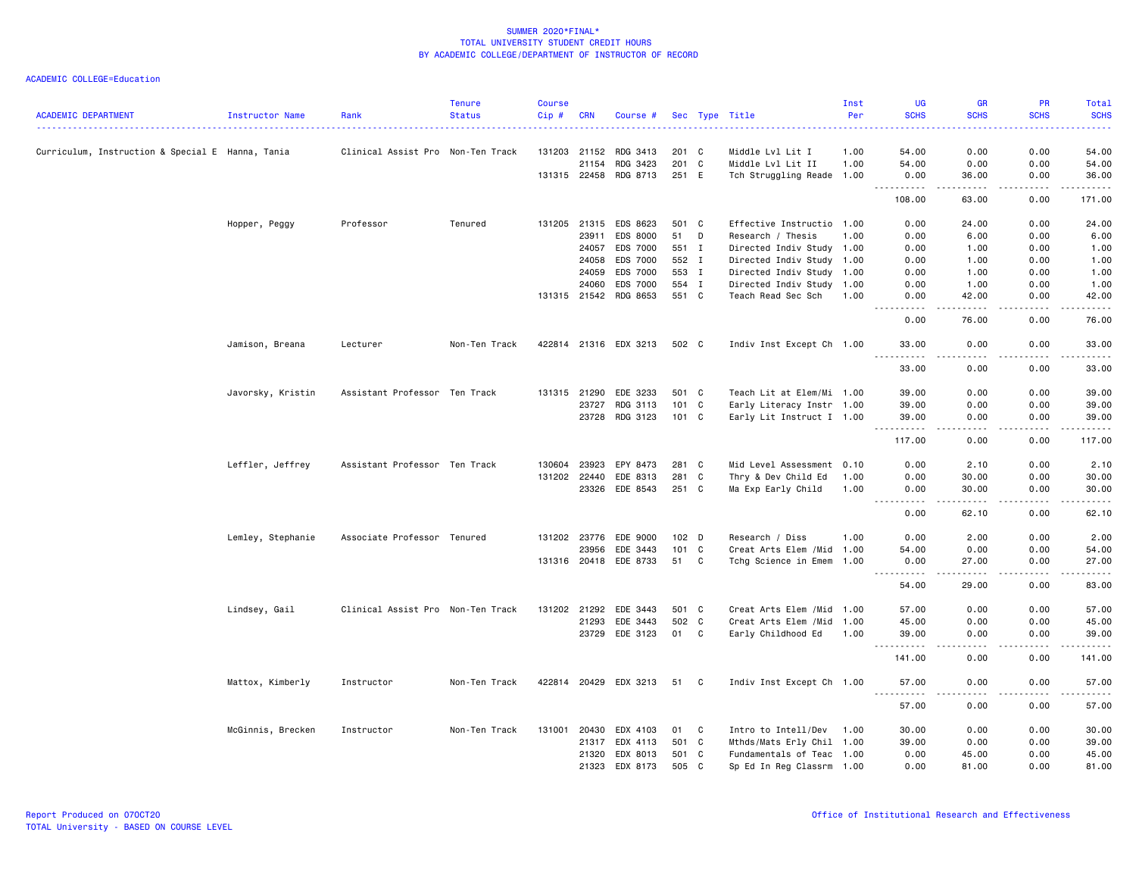| 0.00<br>Curriculum, Instruction & Special E Hanna, Tania<br>131203 21152<br>54.00<br>0.00<br>54.00<br>Clinical Assist Pro Non-Ten Track<br>RDG 3413<br>201 C<br>Middle Lvl Lit I<br>1.00<br>21154<br>RDG 3423<br>201 C<br>Middle Lvl Lit II<br>1.00<br>54.00<br>0.00<br>0.00<br>54.00<br>131315 22458 RDG 8713<br>251 E<br>Tch Struggling Reade 1.00<br>0.00<br>36.00<br>0.00<br>36.00<br><u>.</u><br>.<br><u>.</u><br>108.00<br>63.00<br>0.00<br>171.00<br>0.00<br>0.00<br>Hopper, Peggy<br>Professor<br>Tenured<br>131205 21315<br>EDS 8623<br>501 C<br>Effective Instructio 1.00<br>24.00<br>24.00<br>EDS 8000<br>51<br>D<br>23911<br>Research / Thesis<br>1.00<br>0.00<br>6.00<br>0.00<br>6.00<br>24057<br>EDS 7000<br>Directed Indiv Study 1.00<br>0.00<br>1.00<br>0.00<br>1.00<br>551 I<br>EDS 7000<br>552 I<br>Directed Indiv Study 1.00<br>0.00<br>1.00<br>0.00<br>1.00<br>24058<br>EDS 7000<br>553 I<br>24059<br>Directed Indiv Study 1.00<br>0.00<br>1.00<br>0.00<br>1.00<br>EDS 7000<br>554 I<br>24060<br>Directed Indiv Study 1.00<br>0.00<br>1.00<br>0.00<br>1.00<br>RDG 8653<br>551 C<br>131315 21542<br>Teach Read Sec Sch<br>0.00<br>42.00<br>0.00<br>42.00<br>1.00<br>.<br>$\sim$ $\sim$ $\sim$ $\sim$<br>0.00<br>76.00<br>0.00<br>76.00<br>Jamison, Breana<br>Lecturer<br>Non-Ten Track<br>422814 21316 EDX 3213<br>502 C<br>Indiv Inst Except Ch 1.00<br>33,00<br>0.00<br>0.00<br>33.00<br>$- - - - - - -$<br>.<br><u>.</u><br>.<br>33.00<br>0.00<br>0.00<br>33.00<br>Javorsky, Kristin<br>Assistant Professor Ten Track<br>131315 21290<br>EDE 3233<br>501 C<br>Teach Lit at Elem/Mi 1.00<br>0.00<br>39.00<br>39.00<br>0.00<br>101 C<br>23727<br>RDG 3113<br>Early Literacy Instr 1.00<br>39.00<br>0.00<br>0.00<br>39.00<br>RDG 3123<br>101 C<br>Early Lit Instruct I 1.00<br>0.00<br>23728<br>39.00<br>0.00<br>39.00<br><u>.</u><br>.<br>$\frac{1}{2} \left( \frac{1}{2} \right) \left( \frac{1}{2} \right) \left( \frac{1}{2} \right) \left( \frac{1}{2} \right) \left( \frac{1}{2} \right) \left( \frac{1}{2} \right)$<br><b>.</b><br>117.00<br>0.00<br>117.00<br>0.00<br>Mid Level Assessment 0.10<br>Leffler, Jeffrey<br>Assistant Professor Ten Track<br>130604<br>23923<br>EPY 8473<br>281 C<br>0.00<br>2.10<br>0.00<br>2.10<br>131202 22440<br>281 C<br>EDE 8313<br>Thry & Dev Child Ed<br>0.00<br>30.00<br>0.00<br>30.00<br>1.00<br>251 C<br>23326<br>EDE 8543<br>Ma Exp Early Child<br>1.00<br>0.00<br>30.00<br>0.00<br>30.00<br>$\frac{1}{2}$<br>.<br>.<br>.<br>0.00<br>62.10<br>0.00<br>62.10<br>Associate Professor Tenured<br>EDE 9000<br>102 D<br>0.00<br>2.00<br>Lemley, Stephanie<br>131202 23776<br>Research / Diss<br>1.00<br>0.00<br>2.00<br>101 C<br>Creat Arts Elem / Mid 1.00<br>54.00<br>0.00<br>0.00<br>23956<br>EDE 3443<br>54.00<br>EDE 8733<br>51<br>C<br>131316 20418<br>Tchg Science in Emem 1.00<br>0.00<br>27.00<br>0.00<br>27.00<br>$\begin{array}{cccccccccccccc} \multicolumn{2}{c}{} & \multicolumn{2}{c}{} & \multicolumn{2}{c}{} & \multicolumn{2}{c}{} & \multicolumn{2}{c}{} & \multicolumn{2}{c}{} & \multicolumn{2}{c}{} & \multicolumn{2}{c}{} & \multicolumn{2}{c}{} & \multicolumn{2}{c}{} & \multicolumn{2}{c}{} & \multicolumn{2}{c}{} & \multicolumn{2}{c}{} & \multicolumn{2}{c}{} & \multicolumn{2}{c}{} & \multicolumn{2}{c}{} & \multicolumn{2}{c}{} & \multicolumn{2}{c}{} & \multicolumn{2}{c}{} & \$<br>.<br>22222<br>.<br>$  -$<br>54.00<br>0.00<br>83.00<br>29.00<br>57.00<br>Lindsey, Gail<br>Clinical Assist Pro Non-Ten Track<br>131202 21292<br>EDE 3443<br>501 C<br>Creat Arts Elem / Mid 1.00<br>57.00<br>0.00<br>0.00<br>502 C<br>0.00<br>21293<br>EDE 3443<br>Creat Arts Elem /Mid<br>45.00<br>0.00<br>45.00<br>1.00<br>EDE 3123<br>23729<br>01<br>C<br>Early Childhood Ed<br>0.00<br>39.00<br>1.00<br>39.00<br>0.00<br>.<br>.<br>.<br><u>.</u><br>.<br>141.00<br>0.00<br>0.00<br>141.00<br>Mattox, Kimberly<br>Non-Ten Track<br>422814 20429 EDX 3213<br>Indiv Inst Except Ch 1.00<br>0.00<br>57.00<br>Instructor<br>51 C<br>57.00<br>0.00<br>.<br>57.00<br>0.00<br>0.00<br>57.00<br>McGinnis, Brecken<br>20430<br>EDX 4103<br>$\mathbf{C}$<br>Intro to Intell/Dev<br>30.00<br>0.00<br>0.00<br>30.00<br>Instructor<br>Non-Ten Track<br>131001<br>01<br>1.00<br>EDX 4113<br>501 C<br>Mthds/Mats Erly Chil 1.00<br>0.00<br>0.00<br>39.00<br>21317<br>39.00<br>21320<br>EDX 8013<br>501 C<br>Fundamentals of Teac 1.00<br>0.00<br>45.00<br>0.00<br>45.00<br>21323<br>EDX 8173<br>505 C<br>Sp Ed In Reg Classrm 1.00<br>0.00<br>81.00<br>0.00<br>81.00 | <b>ACADEMIC DEPARTMENT</b> | Instructor Name | Rank | <b>Tenure</b><br><b>Status</b> | <b>Course</b><br>Cip# | <b>CRN</b> | Course # |  | Sec Type Title | Inst<br>Per | UG<br><b>SCHS</b> | <b>GR</b><br><b>SCHS</b> | PR<br><b>SCHS</b> | Total<br><b>SCHS</b> |
|------------------------------------------------------------------------------------------------------------------------------------------------------------------------------------------------------------------------------------------------------------------------------------------------------------------------------------------------------------------------------------------------------------------------------------------------------------------------------------------------------------------------------------------------------------------------------------------------------------------------------------------------------------------------------------------------------------------------------------------------------------------------------------------------------------------------------------------------------------------------------------------------------------------------------------------------------------------------------------------------------------------------------------------------------------------------------------------------------------------------------------------------------------------------------------------------------------------------------------------------------------------------------------------------------------------------------------------------------------------------------------------------------------------------------------------------------------------------------------------------------------------------------------------------------------------------------------------------------------------------------------------------------------------------------------------------------------------------------------------------------------------------------------------------------------------------------------------------------------------------------------------------------------------------------------------------------------------------------------------------------------------------------------------------------------------------------------------------------------------------------------------------------------------------------------------------------------------------------------------------------------------------------------------------------------------------------------------------------------------------------------------------------------------------------------------------------------------------------------------------------------------------------------------------------------------------------------------------------------------------------------------------------------------------------------------------------------------------------------------------------------------------------------------------------------------------------------------------------------------------------------------------------------------------------------------------------------------------------------------------------------------------------------------------------------------------------------------------------------------------------------------------------------------------------------------------------------------------------------------------------------------------------------------------------------------------------------------------------------------------------------------------------------------------------------------------------------------------------------------------------------------------------------------------------------------------------------------------------------------------------------------------------------------------------------------------------------------------------------------------------------------------------------------------------------------------------------------------------------------------------------------------------------------------------------------------------------------------------------------------------------------------------------------------------------------------------------------------------------------------------------------------------------------------------------------------------------------------------------------------------------------------------------------------------------------------------------------------------------------------------------------------------------------------------------------------------------------------------------------------------------------------------------------|----------------------------|-----------------|------|--------------------------------|-----------------------|------------|----------|--|----------------|-------------|-------------------|--------------------------|-------------------|----------------------|
|                                                                                                                                                                                                                                                                                                                                                                                                                                                                                                                                                                                                                                                                                                                                                                                                                                                                                                                                                                                                                                                                                                                                                                                                                                                                                                                                                                                                                                                                                                                                                                                                                                                                                                                                                                                                                                                                                                                                                                                                                                                                                                                                                                                                                                                                                                                                                                                                                                                                                                                                                                                                                                                                                                                                                                                                                                                                                                                                                                                                                                                                                                                                                                                                                                                                                                                                                                                                                                                                                                                                                                                                                                                                                                                                                                                                                                                                                                                                                                                                                                                                                                                                                                                                                                                                                                                                                                                                                                                                                                                                          |                            |                 |      |                                |                       |            |          |  |                |             |                   |                          |                   |                      |
|                                                                                                                                                                                                                                                                                                                                                                                                                                                                                                                                                                                                                                                                                                                                                                                                                                                                                                                                                                                                                                                                                                                                                                                                                                                                                                                                                                                                                                                                                                                                                                                                                                                                                                                                                                                                                                                                                                                                                                                                                                                                                                                                                                                                                                                                                                                                                                                                                                                                                                                                                                                                                                                                                                                                                                                                                                                                                                                                                                                                                                                                                                                                                                                                                                                                                                                                                                                                                                                                                                                                                                                                                                                                                                                                                                                                                                                                                                                                                                                                                                                                                                                                                                                                                                                                                                                                                                                                                                                                                                                                          |                            |                 |      |                                |                       |            |          |  |                |             |                   |                          |                   |                      |
|                                                                                                                                                                                                                                                                                                                                                                                                                                                                                                                                                                                                                                                                                                                                                                                                                                                                                                                                                                                                                                                                                                                                                                                                                                                                                                                                                                                                                                                                                                                                                                                                                                                                                                                                                                                                                                                                                                                                                                                                                                                                                                                                                                                                                                                                                                                                                                                                                                                                                                                                                                                                                                                                                                                                                                                                                                                                                                                                                                                                                                                                                                                                                                                                                                                                                                                                                                                                                                                                                                                                                                                                                                                                                                                                                                                                                                                                                                                                                                                                                                                                                                                                                                                                                                                                                                                                                                                                                                                                                                                                          |                            |                 |      |                                |                       |            |          |  |                |             |                   |                          |                   |                      |
|                                                                                                                                                                                                                                                                                                                                                                                                                                                                                                                                                                                                                                                                                                                                                                                                                                                                                                                                                                                                                                                                                                                                                                                                                                                                                                                                                                                                                                                                                                                                                                                                                                                                                                                                                                                                                                                                                                                                                                                                                                                                                                                                                                                                                                                                                                                                                                                                                                                                                                                                                                                                                                                                                                                                                                                                                                                                                                                                                                                                                                                                                                                                                                                                                                                                                                                                                                                                                                                                                                                                                                                                                                                                                                                                                                                                                                                                                                                                                                                                                                                                                                                                                                                                                                                                                                                                                                                                                                                                                                                                          |                            |                 |      |                                |                       |            |          |  |                |             |                   |                          |                   |                      |
|                                                                                                                                                                                                                                                                                                                                                                                                                                                                                                                                                                                                                                                                                                                                                                                                                                                                                                                                                                                                                                                                                                                                                                                                                                                                                                                                                                                                                                                                                                                                                                                                                                                                                                                                                                                                                                                                                                                                                                                                                                                                                                                                                                                                                                                                                                                                                                                                                                                                                                                                                                                                                                                                                                                                                                                                                                                                                                                                                                                                                                                                                                                                                                                                                                                                                                                                                                                                                                                                                                                                                                                                                                                                                                                                                                                                                                                                                                                                                                                                                                                                                                                                                                                                                                                                                                                                                                                                                                                                                                                                          |                            |                 |      |                                |                       |            |          |  |                |             |                   |                          |                   |                      |
|                                                                                                                                                                                                                                                                                                                                                                                                                                                                                                                                                                                                                                                                                                                                                                                                                                                                                                                                                                                                                                                                                                                                                                                                                                                                                                                                                                                                                                                                                                                                                                                                                                                                                                                                                                                                                                                                                                                                                                                                                                                                                                                                                                                                                                                                                                                                                                                                                                                                                                                                                                                                                                                                                                                                                                                                                                                                                                                                                                                                                                                                                                                                                                                                                                                                                                                                                                                                                                                                                                                                                                                                                                                                                                                                                                                                                                                                                                                                                                                                                                                                                                                                                                                                                                                                                                                                                                                                                                                                                                                                          |                            |                 |      |                                |                       |            |          |  |                |             |                   |                          |                   |                      |
|                                                                                                                                                                                                                                                                                                                                                                                                                                                                                                                                                                                                                                                                                                                                                                                                                                                                                                                                                                                                                                                                                                                                                                                                                                                                                                                                                                                                                                                                                                                                                                                                                                                                                                                                                                                                                                                                                                                                                                                                                                                                                                                                                                                                                                                                                                                                                                                                                                                                                                                                                                                                                                                                                                                                                                                                                                                                                                                                                                                                                                                                                                                                                                                                                                                                                                                                                                                                                                                                                                                                                                                                                                                                                                                                                                                                                                                                                                                                                                                                                                                                                                                                                                                                                                                                                                                                                                                                                                                                                                                                          |                            |                 |      |                                |                       |            |          |  |                |             |                   |                          |                   |                      |
|                                                                                                                                                                                                                                                                                                                                                                                                                                                                                                                                                                                                                                                                                                                                                                                                                                                                                                                                                                                                                                                                                                                                                                                                                                                                                                                                                                                                                                                                                                                                                                                                                                                                                                                                                                                                                                                                                                                                                                                                                                                                                                                                                                                                                                                                                                                                                                                                                                                                                                                                                                                                                                                                                                                                                                                                                                                                                                                                                                                                                                                                                                                                                                                                                                                                                                                                                                                                                                                                                                                                                                                                                                                                                                                                                                                                                                                                                                                                                                                                                                                                                                                                                                                                                                                                                                                                                                                                                                                                                                                                          |                            |                 |      |                                |                       |            |          |  |                |             |                   |                          |                   |                      |
|                                                                                                                                                                                                                                                                                                                                                                                                                                                                                                                                                                                                                                                                                                                                                                                                                                                                                                                                                                                                                                                                                                                                                                                                                                                                                                                                                                                                                                                                                                                                                                                                                                                                                                                                                                                                                                                                                                                                                                                                                                                                                                                                                                                                                                                                                                                                                                                                                                                                                                                                                                                                                                                                                                                                                                                                                                                                                                                                                                                                                                                                                                                                                                                                                                                                                                                                                                                                                                                                                                                                                                                                                                                                                                                                                                                                                                                                                                                                                                                                                                                                                                                                                                                                                                                                                                                                                                                                                                                                                                                                          |                            |                 |      |                                |                       |            |          |  |                |             |                   |                          |                   |                      |
|                                                                                                                                                                                                                                                                                                                                                                                                                                                                                                                                                                                                                                                                                                                                                                                                                                                                                                                                                                                                                                                                                                                                                                                                                                                                                                                                                                                                                                                                                                                                                                                                                                                                                                                                                                                                                                                                                                                                                                                                                                                                                                                                                                                                                                                                                                                                                                                                                                                                                                                                                                                                                                                                                                                                                                                                                                                                                                                                                                                                                                                                                                                                                                                                                                                                                                                                                                                                                                                                                                                                                                                                                                                                                                                                                                                                                                                                                                                                                                                                                                                                                                                                                                                                                                                                                                                                                                                                                                                                                                                                          |                            |                 |      |                                |                       |            |          |  |                |             |                   |                          |                   |                      |
|                                                                                                                                                                                                                                                                                                                                                                                                                                                                                                                                                                                                                                                                                                                                                                                                                                                                                                                                                                                                                                                                                                                                                                                                                                                                                                                                                                                                                                                                                                                                                                                                                                                                                                                                                                                                                                                                                                                                                                                                                                                                                                                                                                                                                                                                                                                                                                                                                                                                                                                                                                                                                                                                                                                                                                                                                                                                                                                                                                                                                                                                                                                                                                                                                                                                                                                                                                                                                                                                                                                                                                                                                                                                                                                                                                                                                                                                                                                                                                                                                                                                                                                                                                                                                                                                                                                                                                                                                                                                                                                                          |                            |                 |      |                                |                       |            |          |  |                |             |                   |                          |                   |                      |
|                                                                                                                                                                                                                                                                                                                                                                                                                                                                                                                                                                                                                                                                                                                                                                                                                                                                                                                                                                                                                                                                                                                                                                                                                                                                                                                                                                                                                                                                                                                                                                                                                                                                                                                                                                                                                                                                                                                                                                                                                                                                                                                                                                                                                                                                                                                                                                                                                                                                                                                                                                                                                                                                                                                                                                                                                                                                                                                                                                                                                                                                                                                                                                                                                                                                                                                                                                                                                                                                                                                                                                                                                                                                                                                                                                                                                                                                                                                                                                                                                                                                                                                                                                                                                                                                                                                                                                                                                                                                                                                                          |                            |                 |      |                                |                       |            |          |  |                |             |                   |                          |                   |                      |
|                                                                                                                                                                                                                                                                                                                                                                                                                                                                                                                                                                                                                                                                                                                                                                                                                                                                                                                                                                                                                                                                                                                                                                                                                                                                                                                                                                                                                                                                                                                                                                                                                                                                                                                                                                                                                                                                                                                                                                                                                                                                                                                                                                                                                                                                                                                                                                                                                                                                                                                                                                                                                                                                                                                                                                                                                                                                                                                                                                                                                                                                                                                                                                                                                                                                                                                                                                                                                                                                                                                                                                                                                                                                                                                                                                                                                                                                                                                                                                                                                                                                                                                                                                                                                                                                                                                                                                                                                                                                                                                                          |                            |                 |      |                                |                       |            |          |  |                |             |                   |                          |                   |                      |
|                                                                                                                                                                                                                                                                                                                                                                                                                                                                                                                                                                                                                                                                                                                                                                                                                                                                                                                                                                                                                                                                                                                                                                                                                                                                                                                                                                                                                                                                                                                                                                                                                                                                                                                                                                                                                                                                                                                                                                                                                                                                                                                                                                                                                                                                                                                                                                                                                                                                                                                                                                                                                                                                                                                                                                                                                                                                                                                                                                                                                                                                                                                                                                                                                                                                                                                                                                                                                                                                                                                                                                                                                                                                                                                                                                                                                                                                                                                                                                                                                                                                                                                                                                                                                                                                                                                                                                                                                                                                                                                                          |                            |                 |      |                                |                       |            |          |  |                |             |                   |                          |                   |                      |
|                                                                                                                                                                                                                                                                                                                                                                                                                                                                                                                                                                                                                                                                                                                                                                                                                                                                                                                                                                                                                                                                                                                                                                                                                                                                                                                                                                                                                                                                                                                                                                                                                                                                                                                                                                                                                                                                                                                                                                                                                                                                                                                                                                                                                                                                                                                                                                                                                                                                                                                                                                                                                                                                                                                                                                                                                                                                                                                                                                                                                                                                                                                                                                                                                                                                                                                                                                                                                                                                                                                                                                                                                                                                                                                                                                                                                                                                                                                                                                                                                                                                                                                                                                                                                                                                                                                                                                                                                                                                                                                                          |                            |                 |      |                                |                       |            |          |  |                |             |                   |                          |                   |                      |
|                                                                                                                                                                                                                                                                                                                                                                                                                                                                                                                                                                                                                                                                                                                                                                                                                                                                                                                                                                                                                                                                                                                                                                                                                                                                                                                                                                                                                                                                                                                                                                                                                                                                                                                                                                                                                                                                                                                                                                                                                                                                                                                                                                                                                                                                                                                                                                                                                                                                                                                                                                                                                                                                                                                                                                                                                                                                                                                                                                                                                                                                                                                                                                                                                                                                                                                                                                                                                                                                                                                                                                                                                                                                                                                                                                                                                                                                                                                                                                                                                                                                                                                                                                                                                                                                                                                                                                                                                                                                                                                                          |                            |                 |      |                                |                       |            |          |  |                |             |                   |                          |                   |                      |
|                                                                                                                                                                                                                                                                                                                                                                                                                                                                                                                                                                                                                                                                                                                                                                                                                                                                                                                                                                                                                                                                                                                                                                                                                                                                                                                                                                                                                                                                                                                                                                                                                                                                                                                                                                                                                                                                                                                                                                                                                                                                                                                                                                                                                                                                                                                                                                                                                                                                                                                                                                                                                                                                                                                                                                                                                                                                                                                                                                                                                                                                                                                                                                                                                                                                                                                                                                                                                                                                                                                                                                                                                                                                                                                                                                                                                                                                                                                                                                                                                                                                                                                                                                                                                                                                                                                                                                                                                                                                                                                                          |                            |                 |      |                                |                       |            |          |  |                |             |                   |                          |                   |                      |
|                                                                                                                                                                                                                                                                                                                                                                                                                                                                                                                                                                                                                                                                                                                                                                                                                                                                                                                                                                                                                                                                                                                                                                                                                                                                                                                                                                                                                                                                                                                                                                                                                                                                                                                                                                                                                                                                                                                                                                                                                                                                                                                                                                                                                                                                                                                                                                                                                                                                                                                                                                                                                                                                                                                                                                                                                                                                                                                                                                                                                                                                                                                                                                                                                                                                                                                                                                                                                                                                                                                                                                                                                                                                                                                                                                                                                                                                                                                                                                                                                                                                                                                                                                                                                                                                                                                                                                                                                                                                                                                                          |                            |                 |      |                                |                       |            |          |  |                |             |                   |                          |                   |                      |
|                                                                                                                                                                                                                                                                                                                                                                                                                                                                                                                                                                                                                                                                                                                                                                                                                                                                                                                                                                                                                                                                                                                                                                                                                                                                                                                                                                                                                                                                                                                                                                                                                                                                                                                                                                                                                                                                                                                                                                                                                                                                                                                                                                                                                                                                                                                                                                                                                                                                                                                                                                                                                                                                                                                                                                                                                                                                                                                                                                                                                                                                                                                                                                                                                                                                                                                                                                                                                                                                                                                                                                                                                                                                                                                                                                                                                                                                                                                                                                                                                                                                                                                                                                                                                                                                                                                                                                                                                                                                                                                                          |                            |                 |      |                                |                       |            |          |  |                |             |                   |                          |                   |                      |
|                                                                                                                                                                                                                                                                                                                                                                                                                                                                                                                                                                                                                                                                                                                                                                                                                                                                                                                                                                                                                                                                                                                                                                                                                                                                                                                                                                                                                                                                                                                                                                                                                                                                                                                                                                                                                                                                                                                                                                                                                                                                                                                                                                                                                                                                                                                                                                                                                                                                                                                                                                                                                                                                                                                                                                                                                                                                                                                                                                                                                                                                                                                                                                                                                                                                                                                                                                                                                                                                                                                                                                                                                                                                                                                                                                                                                                                                                                                                                                                                                                                                                                                                                                                                                                                                                                                                                                                                                                                                                                                                          |                            |                 |      |                                |                       |            |          |  |                |             |                   |                          |                   |                      |
|                                                                                                                                                                                                                                                                                                                                                                                                                                                                                                                                                                                                                                                                                                                                                                                                                                                                                                                                                                                                                                                                                                                                                                                                                                                                                                                                                                                                                                                                                                                                                                                                                                                                                                                                                                                                                                                                                                                                                                                                                                                                                                                                                                                                                                                                                                                                                                                                                                                                                                                                                                                                                                                                                                                                                                                                                                                                                                                                                                                                                                                                                                                                                                                                                                                                                                                                                                                                                                                                                                                                                                                                                                                                                                                                                                                                                                                                                                                                                                                                                                                                                                                                                                                                                                                                                                                                                                                                                                                                                                                                          |                            |                 |      |                                |                       |            |          |  |                |             |                   |                          |                   |                      |
|                                                                                                                                                                                                                                                                                                                                                                                                                                                                                                                                                                                                                                                                                                                                                                                                                                                                                                                                                                                                                                                                                                                                                                                                                                                                                                                                                                                                                                                                                                                                                                                                                                                                                                                                                                                                                                                                                                                                                                                                                                                                                                                                                                                                                                                                                                                                                                                                                                                                                                                                                                                                                                                                                                                                                                                                                                                                                                                                                                                                                                                                                                                                                                                                                                                                                                                                                                                                                                                                                                                                                                                                                                                                                                                                                                                                                                                                                                                                                                                                                                                                                                                                                                                                                                                                                                                                                                                                                                                                                                                                          |                            |                 |      |                                |                       |            |          |  |                |             |                   |                          |                   |                      |
|                                                                                                                                                                                                                                                                                                                                                                                                                                                                                                                                                                                                                                                                                                                                                                                                                                                                                                                                                                                                                                                                                                                                                                                                                                                                                                                                                                                                                                                                                                                                                                                                                                                                                                                                                                                                                                                                                                                                                                                                                                                                                                                                                                                                                                                                                                                                                                                                                                                                                                                                                                                                                                                                                                                                                                                                                                                                                                                                                                                                                                                                                                                                                                                                                                                                                                                                                                                                                                                                                                                                                                                                                                                                                                                                                                                                                                                                                                                                                                                                                                                                                                                                                                                                                                                                                                                                                                                                                                                                                                                                          |                            |                 |      |                                |                       |            |          |  |                |             |                   |                          |                   |                      |
|                                                                                                                                                                                                                                                                                                                                                                                                                                                                                                                                                                                                                                                                                                                                                                                                                                                                                                                                                                                                                                                                                                                                                                                                                                                                                                                                                                                                                                                                                                                                                                                                                                                                                                                                                                                                                                                                                                                                                                                                                                                                                                                                                                                                                                                                                                                                                                                                                                                                                                                                                                                                                                                                                                                                                                                                                                                                                                                                                                                                                                                                                                                                                                                                                                                                                                                                                                                                                                                                                                                                                                                                                                                                                                                                                                                                                                                                                                                                                                                                                                                                                                                                                                                                                                                                                                                                                                                                                                                                                                                                          |                            |                 |      |                                |                       |            |          |  |                |             |                   |                          |                   |                      |
|                                                                                                                                                                                                                                                                                                                                                                                                                                                                                                                                                                                                                                                                                                                                                                                                                                                                                                                                                                                                                                                                                                                                                                                                                                                                                                                                                                                                                                                                                                                                                                                                                                                                                                                                                                                                                                                                                                                                                                                                                                                                                                                                                                                                                                                                                                                                                                                                                                                                                                                                                                                                                                                                                                                                                                                                                                                                                                                                                                                                                                                                                                                                                                                                                                                                                                                                                                                                                                                                                                                                                                                                                                                                                                                                                                                                                                                                                                                                                                                                                                                                                                                                                                                                                                                                                                                                                                                                                                                                                                                                          |                            |                 |      |                                |                       |            |          |  |                |             |                   |                          |                   |                      |
|                                                                                                                                                                                                                                                                                                                                                                                                                                                                                                                                                                                                                                                                                                                                                                                                                                                                                                                                                                                                                                                                                                                                                                                                                                                                                                                                                                                                                                                                                                                                                                                                                                                                                                                                                                                                                                                                                                                                                                                                                                                                                                                                                                                                                                                                                                                                                                                                                                                                                                                                                                                                                                                                                                                                                                                                                                                                                                                                                                                                                                                                                                                                                                                                                                                                                                                                                                                                                                                                                                                                                                                                                                                                                                                                                                                                                                                                                                                                                                                                                                                                                                                                                                                                                                                                                                                                                                                                                                                                                                                                          |                            |                 |      |                                |                       |            |          |  |                |             |                   |                          |                   |                      |
|                                                                                                                                                                                                                                                                                                                                                                                                                                                                                                                                                                                                                                                                                                                                                                                                                                                                                                                                                                                                                                                                                                                                                                                                                                                                                                                                                                                                                                                                                                                                                                                                                                                                                                                                                                                                                                                                                                                                                                                                                                                                                                                                                                                                                                                                                                                                                                                                                                                                                                                                                                                                                                                                                                                                                                                                                                                                                                                                                                                                                                                                                                                                                                                                                                                                                                                                                                                                                                                                                                                                                                                                                                                                                                                                                                                                                                                                                                                                                                                                                                                                                                                                                                                                                                                                                                                                                                                                                                                                                                                                          |                            |                 |      |                                |                       |            |          |  |                |             |                   |                          |                   |                      |
|                                                                                                                                                                                                                                                                                                                                                                                                                                                                                                                                                                                                                                                                                                                                                                                                                                                                                                                                                                                                                                                                                                                                                                                                                                                                                                                                                                                                                                                                                                                                                                                                                                                                                                                                                                                                                                                                                                                                                                                                                                                                                                                                                                                                                                                                                                                                                                                                                                                                                                                                                                                                                                                                                                                                                                                                                                                                                                                                                                                                                                                                                                                                                                                                                                                                                                                                                                                                                                                                                                                                                                                                                                                                                                                                                                                                                                                                                                                                                                                                                                                                                                                                                                                                                                                                                                                                                                                                                                                                                                                                          |                            |                 |      |                                |                       |            |          |  |                |             |                   |                          |                   |                      |
|                                                                                                                                                                                                                                                                                                                                                                                                                                                                                                                                                                                                                                                                                                                                                                                                                                                                                                                                                                                                                                                                                                                                                                                                                                                                                                                                                                                                                                                                                                                                                                                                                                                                                                                                                                                                                                                                                                                                                                                                                                                                                                                                                                                                                                                                                                                                                                                                                                                                                                                                                                                                                                                                                                                                                                                                                                                                                                                                                                                                                                                                                                                                                                                                                                                                                                                                                                                                                                                                                                                                                                                                                                                                                                                                                                                                                                                                                                                                                                                                                                                                                                                                                                                                                                                                                                                                                                                                                                                                                                                                          |                            |                 |      |                                |                       |            |          |  |                |             |                   |                          |                   |                      |
|                                                                                                                                                                                                                                                                                                                                                                                                                                                                                                                                                                                                                                                                                                                                                                                                                                                                                                                                                                                                                                                                                                                                                                                                                                                                                                                                                                                                                                                                                                                                                                                                                                                                                                                                                                                                                                                                                                                                                                                                                                                                                                                                                                                                                                                                                                                                                                                                                                                                                                                                                                                                                                                                                                                                                                                                                                                                                                                                                                                                                                                                                                                                                                                                                                                                                                                                                                                                                                                                                                                                                                                                                                                                                                                                                                                                                                                                                                                                                                                                                                                                                                                                                                                                                                                                                                                                                                                                                                                                                                                                          |                            |                 |      |                                |                       |            |          |  |                |             |                   |                          |                   |                      |
|                                                                                                                                                                                                                                                                                                                                                                                                                                                                                                                                                                                                                                                                                                                                                                                                                                                                                                                                                                                                                                                                                                                                                                                                                                                                                                                                                                                                                                                                                                                                                                                                                                                                                                                                                                                                                                                                                                                                                                                                                                                                                                                                                                                                                                                                                                                                                                                                                                                                                                                                                                                                                                                                                                                                                                                                                                                                                                                                                                                                                                                                                                                                                                                                                                                                                                                                                                                                                                                                                                                                                                                                                                                                                                                                                                                                                                                                                                                                                                                                                                                                                                                                                                                                                                                                                                                                                                                                                                                                                                                                          |                            |                 |      |                                |                       |            |          |  |                |             |                   |                          |                   |                      |
|                                                                                                                                                                                                                                                                                                                                                                                                                                                                                                                                                                                                                                                                                                                                                                                                                                                                                                                                                                                                                                                                                                                                                                                                                                                                                                                                                                                                                                                                                                                                                                                                                                                                                                                                                                                                                                                                                                                                                                                                                                                                                                                                                                                                                                                                                                                                                                                                                                                                                                                                                                                                                                                                                                                                                                                                                                                                                                                                                                                                                                                                                                                                                                                                                                                                                                                                                                                                                                                                                                                                                                                                                                                                                                                                                                                                                                                                                                                                                                                                                                                                                                                                                                                                                                                                                                                                                                                                                                                                                                                                          |                            |                 |      |                                |                       |            |          |  |                |             |                   |                          |                   |                      |
|                                                                                                                                                                                                                                                                                                                                                                                                                                                                                                                                                                                                                                                                                                                                                                                                                                                                                                                                                                                                                                                                                                                                                                                                                                                                                                                                                                                                                                                                                                                                                                                                                                                                                                                                                                                                                                                                                                                                                                                                                                                                                                                                                                                                                                                                                                                                                                                                                                                                                                                                                                                                                                                                                                                                                                                                                                                                                                                                                                                                                                                                                                                                                                                                                                                                                                                                                                                                                                                                                                                                                                                                                                                                                                                                                                                                                                                                                                                                                                                                                                                                                                                                                                                                                                                                                                                                                                                                                                                                                                                                          |                            |                 |      |                                |                       |            |          |  |                |             |                   |                          |                   |                      |
|                                                                                                                                                                                                                                                                                                                                                                                                                                                                                                                                                                                                                                                                                                                                                                                                                                                                                                                                                                                                                                                                                                                                                                                                                                                                                                                                                                                                                                                                                                                                                                                                                                                                                                                                                                                                                                                                                                                                                                                                                                                                                                                                                                                                                                                                                                                                                                                                                                                                                                                                                                                                                                                                                                                                                                                                                                                                                                                                                                                                                                                                                                                                                                                                                                                                                                                                                                                                                                                                                                                                                                                                                                                                                                                                                                                                                                                                                                                                                                                                                                                                                                                                                                                                                                                                                                                                                                                                                                                                                                                                          |                            |                 |      |                                |                       |            |          |  |                |             |                   |                          |                   |                      |
|                                                                                                                                                                                                                                                                                                                                                                                                                                                                                                                                                                                                                                                                                                                                                                                                                                                                                                                                                                                                                                                                                                                                                                                                                                                                                                                                                                                                                                                                                                                                                                                                                                                                                                                                                                                                                                                                                                                                                                                                                                                                                                                                                                                                                                                                                                                                                                                                                                                                                                                                                                                                                                                                                                                                                                                                                                                                                                                                                                                                                                                                                                                                                                                                                                                                                                                                                                                                                                                                                                                                                                                                                                                                                                                                                                                                                                                                                                                                                                                                                                                                                                                                                                                                                                                                                                                                                                                                                                                                                                                                          |                            |                 |      |                                |                       |            |          |  |                |             |                   |                          |                   |                      |
|                                                                                                                                                                                                                                                                                                                                                                                                                                                                                                                                                                                                                                                                                                                                                                                                                                                                                                                                                                                                                                                                                                                                                                                                                                                                                                                                                                                                                                                                                                                                                                                                                                                                                                                                                                                                                                                                                                                                                                                                                                                                                                                                                                                                                                                                                                                                                                                                                                                                                                                                                                                                                                                                                                                                                                                                                                                                                                                                                                                                                                                                                                                                                                                                                                                                                                                                                                                                                                                                                                                                                                                                                                                                                                                                                                                                                                                                                                                                                                                                                                                                                                                                                                                                                                                                                                                                                                                                                                                                                                                                          |                            |                 |      |                                |                       |            |          |  |                |             |                   |                          |                   |                      |
|                                                                                                                                                                                                                                                                                                                                                                                                                                                                                                                                                                                                                                                                                                                                                                                                                                                                                                                                                                                                                                                                                                                                                                                                                                                                                                                                                                                                                                                                                                                                                                                                                                                                                                                                                                                                                                                                                                                                                                                                                                                                                                                                                                                                                                                                                                                                                                                                                                                                                                                                                                                                                                                                                                                                                                                                                                                                                                                                                                                                                                                                                                                                                                                                                                                                                                                                                                                                                                                                                                                                                                                                                                                                                                                                                                                                                                                                                                                                                                                                                                                                                                                                                                                                                                                                                                                                                                                                                                                                                                                                          |                            |                 |      |                                |                       |            |          |  |                |             |                   |                          |                   |                      |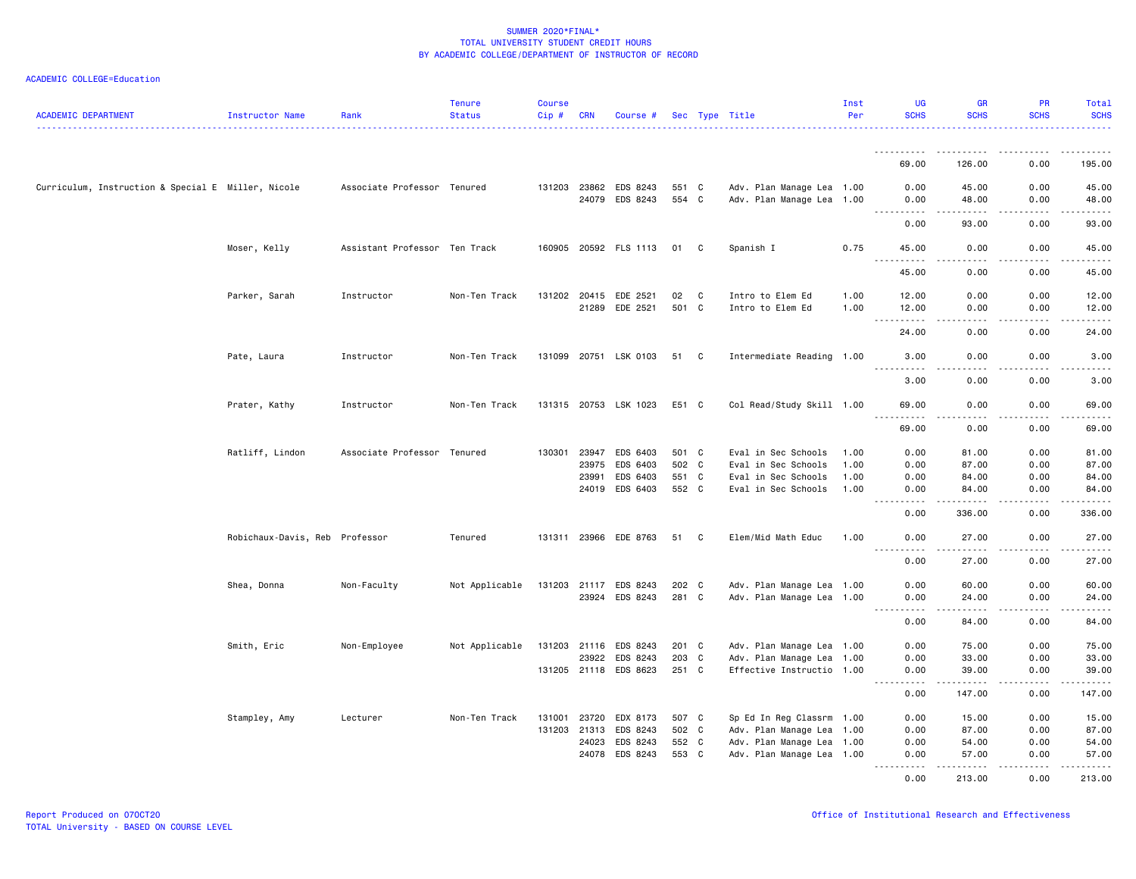| ACADEMIC DEPARTMENT                                | Instructor Name                | Rank                          | <b>Tenure</b><br><b>Status</b> | <b>Course</b><br>Cip# | <b>CRN</b>   | Course #              |       |   | Sec Type Title            | Inst<br>Per | UG<br><b>SCHS</b>                            | <b>GR</b><br><b>SCHS</b>                                                                                                                                                                 | <b>PR</b><br><b>SCHS</b>                                                                                                                                                      | Total<br><b>SCHS</b> |
|----------------------------------------------------|--------------------------------|-------------------------------|--------------------------------|-----------------------|--------------|-----------------------|-------|---|---------------------------|-------------|----------------------------------------------|------------------------------------------------------------------------------------------------------------------------------------------------------------------------------------------|-------------------------------------------------------------------------------------------------------------------------------------------------------------------------------|----------------------|
|                                                    |                                |                               |                                |                       |              |                       |       |   |                           |             |                                              |                                                                                                                                                                                          |                                                                                                                                                                               |                      |
|                                                    |                                |                               |                                |                       |              |                       |       |   |                           |             | .<br>69.00                                   | 126.00                                                                                                                                                                                   | 0.00                                                                                                                                                                          | 195.00               |
| Curriculum, Instruction & Special E Miller, Nicole |                                | Associate Professor Tenured   |                                |                       |              | 131203 23862 EDS 8243 | 551 C |   | Adv. Plan Manage Lea 1.00 |             | 0.00                                         | 45.00                                                                                                                                                                                    | 0.00                                                                                                                                                                          | 45.00                |
|                                                    |                                |                               |                                |                       |              | 24079 EDS 8243        | 554 C |   | Adv. Plan Manage Lea 1.00 |             | 0.00<br>$\sim$ $\sim$ $\sim$<br>.            | 48.00<br>$\frac{1}{2} \left( \frac{1}{2} \right) \left( \frac{1}{2} \right) \left( \frac{1}{2} \right) \left( \frac{1}{2} \right) \left( \frac{1}{2} \right) \left( \frac{1}{2} \right)$ | 0.00<br><b>.</b>                                                                                                                                                              | 48.00<br>.           |
|                                                    |                                |                               |                                |                       |              |                       |       |   |                           |             | 0.00                                         | 93.00                                                                                                                                                                                    | 0.00                                                                                                                                                                          | 93.00                |
|                                                    | Moser, Kelly                   | Assistant Professor Ten Track |                                |                       |              | 160905 20592 FLS 1113 | 01    | C | Spanish I                 | 0.75        | 45.00<br><u>.</u>                            | 0.00<br>.                                                                                                                                                                                | 0.00<br><b>.</b>                                                                                                                                                              | 45.00<br>.           |
|                                                    |                                |                               |                                |                       |              |                       |       |   |                           |             | 45.00                                        | 0.00                                                                                                                                                                                     | 0.00                                                                                                                                                                          | 45.00                |
|                                                    | Parker, Sarah                  | Instructor                    | Non-Ten Track                  |                       |              | 131202 20415 EDE 2521 | 02    | C | Intro to Elem Ed          | 1.00        | 12.00                                        | 0.00                                                                                                                                                                                     | 0.00                                                                                                                                                                          | 12.00                |
|                                                    |                                |                               |                                |                       |              | 21289 EDE 2521        | 501 C |   | Intro to Elem Ed          | 1.00        | 12.00                                        | 0.00                                                                                                                                                                                     | 0.00                                                                                                                                                                          | 12.00                |
|                                                    |                                |                               |                                |                       |              |                       |       |   |                           |             | $\sim$ $\sim$ $\sim$<br>$- - - - -$<br>24.00 | .<br>0.00                                                                                                                                                                                | .<br>0.00                                                                                                                                                                     | .<br>24.00           |
|                                                    | Pate, Laura                    | Instructor                    | Non-Ten Track                  |                       |              | 131099 20751 LSK 0103 | 51 C  |   | Intermediate Reading 1.00 |             | 3.00                                         | 0.00                                                                                                                                                                                     | 0.00                                                                                                                                                                          | 3.00                 |
|                                                    |                                |                               |                                |                       |              |                       |       |   |                           |             | <u>.</u><br>3.00                             | .<br>0.00                                                                                                                                                                                | <u>.</u><br>0.00                                                                                                                                                              | .<br>3.00            |
|                                                    | Prater, Kathy                  | Instructor                    | Non-Ten Track                  |                       |              | 131315 20753 LSK 1023 | E51 C |   | Col Read/Study Skill 1.00 |             | 69.00                                        | 0.00                                                                                                                                                                                     | 0.00                                                                                                                                                                          | 69.00                |
|                                                    |                                |                               |                                |                       |              |                       |       |   |                           |             | . <b>.</b><br>69.00                          | .<br>0.00                                                                                                                                                                                | .<br>0.00                                                                                                                                                                     | .<br>69.00           |
|                                                    | Ratliff, Lindon                | Associate Professor Tenured   |                                | 130301                | 23947        | EDS 6403              | 501 C |   | Eval in Sec Schools       | 1.00        | 0.00                                         | 81.00                                                                                                                                                                                    | 0.00                                                                                                                                                                          | 81.00                |
|                                                    |                                |                               |                                |                       | 23975        | EDS 6403              | 502 C |   | Eval in Sec Schools       | 1.00        | 0.00                                         | 87.00                                                                                                                                                                                    | 0.00                                                                                                                                                                          | 87.00                |
|                                                    |                                |                               |                                |                       | 23991        | EDS 6403              | 551 C |   | Eval in Sec Schools       | 1.00        | 0.00                                         | 84.00                                                                                                                                                                                    | 0.00                                                                                                                                                                          | 84.00                |
|                                                    |                                |                               |                                |                       |              | 24019 EDS 6403        | 552 C |   | Eval in Sec Schools       | 1.00        | 0.00                                         | 84.00                                                                                                                                                                                    | 0.00                                                                                                                                                                          | 84.00                |
|                                                    |                                |                               |                                |                       |              |                       |       |   |                           |             | 0.00                                         | 336,00                                                                                                                                                                                   | 0.00                                                                                                                                                                          | 336.00               |
|                                                    | Robichaux-Davis, Reb Professor |                               | Tenured                        |                       |              | 131311 23966 EDE 8763 | 51    | C | Elem/Mid Math Educ        | 1.00        | 0.00                                         | 27.00<br>$\frac{1}{2} \left( \frac{1}{2} \right) \left( \frac{1}{2} \right) \left( \frac{1}{2} \right) \left( \frac{1}{2} \right) \left( \frac{1}{2} \right)$                            | 0.00                                                                                                                                                                          | 27.00<br>.           |
|                                                    |                                |                               |                                |                       |              |                       |       |   |                           |             | 0.00                                         | 27.00                                                                                                                                                                                    | 0.00                                                                                                                                                                          | 27.00                |
|                                                    | Shea, Donna                    | Non-Faculty                   | Not Applicable                 |                       |              | 131203 21117 EDS 8243 | 202 C |   | Adv. Plan Manage Lea 1.00 |             | 0.00                                         | 60.00                                                                                                                                                                                    | 0.00                                                                                                                                                                          | 60.00                |
|                                                    |                                |                               |                                |                       |              | 23924 EDS 8243        | 281 C |   | Adv. Plan Manage Lea 1.00 |             | 0.00<br>-----------                          | 24.00<br>.                                                                                                                                                                               | 0.00<br>$\frac{1}{2} \left( \frac{1}{2} \right) \left( \frac{1}{2} \right) \left( \frac{1}{2} \right) \left( \frac{1}{2} \right) \left( \frac{1}{2} \right)$<br>$\frac{1}{2}$ | 24.00<br>.           |
|                                                    |                                |                               |                                |                       |              |                       |       |   |                           |             | 0.00                                         | 84.00                                                                                                                                                                                    | 0.00                                                                                                                                                                          | 84.00                |
|                                                    | Smith, Eric                    | Non-Employee                  | Not Applicable                 | 131203 21116          |              | EDS 8243              | 201 C |   | Adv. Plan Manage Lea 1.00 |             | 0.00                                         | 75.00                                                                                                                                                                                    | 0.00                                                                                                                                                                          | 75.00                |
|                                                    |                                |                               |                                |                       | 23922        | EDS 8243              | 203 C |   | Adv. Plan Manage Lea 1.00 |             | 0.00                                         | 33.00                                                                                                                                                                                    | 0.00                                                                                                                                                                          | 33.00                |
|                                                    |                                |                               |                                |                       |              | 131205 21118 EDS 8623 | 251 C |   | Effective Instructio 1.00 |             | 0.00<br>$- - - - -$                          | 39.00<br>.                                                                                                                                                                               | 0.00<br>$\frac{1}{2}$                                                                                                                                                         | 39.00<br><u>.</u>    |
|                                                    |                                |                               |                                |                       |              |                       |       |   |                           |             | 0.00                                         | 147.00                                                                                                                                                                                   | 0.00                                                                                                                                                                          | 147.00               |
|                                                    | Stampley, Amy                  | Lecturer                      | Non-Ten Track                  | 131001                | 23720        | EDX 8173              | 507 C |   | Sp Ed In Reg Classrm 1.00 |             | 0.00                                         | 15.00                                                                                                                                                                                    | 0.00                                                                                                                                                                          | 15.00                |
|                                                    |                                |                               |                                |                       | 131203 21313 | EDS 8243              | 502 C |   | Adv. Plan Manage Lea 1.00 |             | 0.00                                         | 87.00                                                                                                                                                                                    | 0.00                                                                                                                                                                          | 87.00                |
|                                                    |                                |                               |                                |                       | 24023        | EDS 8243              | 552 C |   | Adv. Plan Manage Lea 1.00 |             | 0.00                                         | 54.00                                                                                                                                                                                    | 0.00                                                                                                                                                                          | 54.00                |
|                                                    |                                |                               |                                |                       | 24078        | EDS 8243              | 553 C |   | Adv. Plan Manage Lea 1.00 |             | 0.00<br>.                                    | 57.00                                                                                                                                                                                    | 0.00<br><b><i><u>.</u></i></b>                                                                                                                                                | 57.00                |
|                                                    |                                |                               |                                |                       |              |                       |       |   |                           |             | 0.00                                         | 213.00                                                                                                                                                                                   | 0.00                                                                                                                                                                          | 213.00               |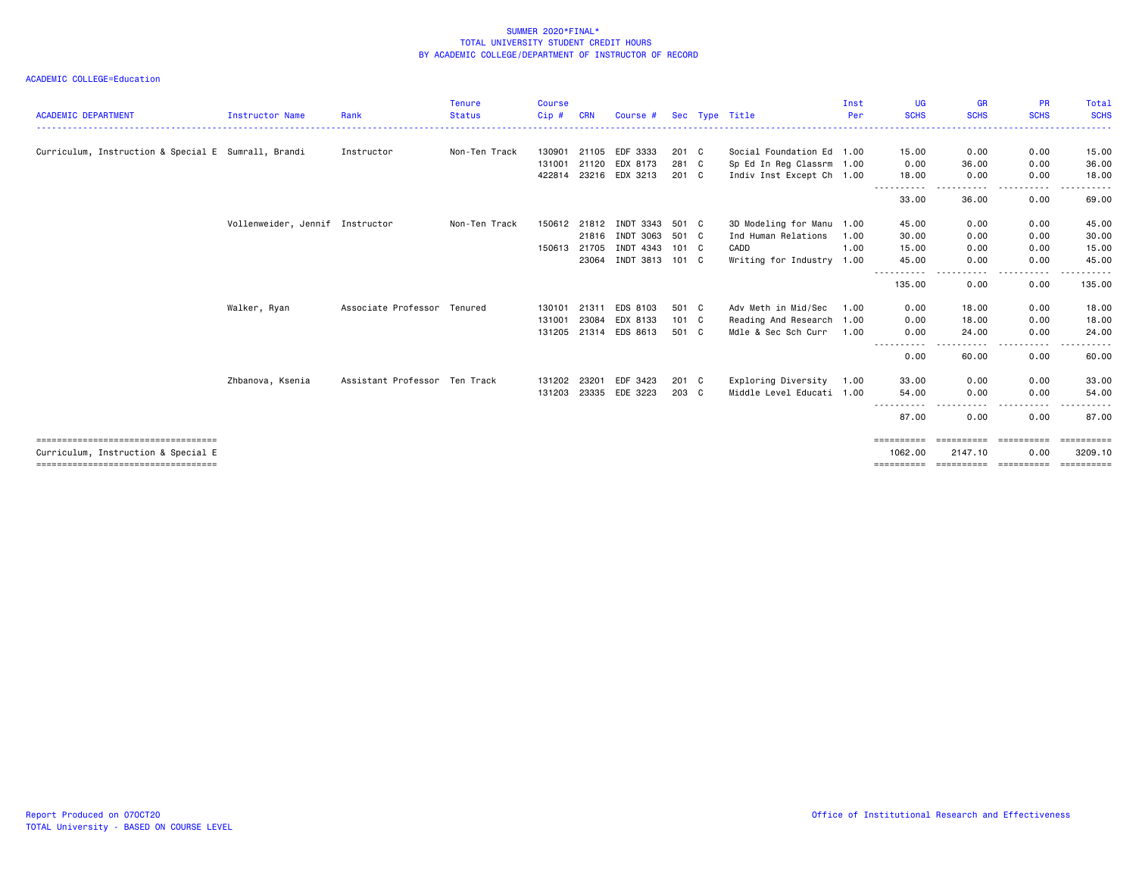| <b>ACADEMIC DEPARTMENT</b>                                                                                           | <b>Instructor Name</b>          | Rank                          | <b>Tenure</b><br><b>Status</b> | <b>Course</b><br>Cip# | CRN          | Course #       |               | Sec Type Title            | Inst<br>Per | UG<br><b>SCHS</b>     | <b>GR</b><br><b>SCHS</b>            | <b>PR</b><br><b>SCHS</b> | Total<br><b>SCHS</b>  |
|----------------------------------------------------------------------------------------------------------------------|---------------------------------|-------------------------------|--------------------------------|-----------------------|--------------|----------------|---------------|---------------------------|-------------|-----------------------|-------------------------------------|--------------------------|-----------------------|
| Curriculum, Instruction & Special E Sumrall, Brandi                                                                  |                                 | Instructor                    | Non-Ten Track                  | 130901                | 21105        | EDF 3333       | 201 C         | Social Foundation Ed 1.00 |             | 15.00                 | 0.00                                | 0.00                     | 15.00                 |
|                                                                                                                      |                                 |                               |                                | 131001                | 21120        | EDX 8173       | 281 C         | Sp Ed In Reg Classrm 1.00 |             | 0.00                  | 36.00                               | 0.00                     | 36.00                 |
|                                                                                                                      |                                 |                               |                                |                       | 422814 23216 | EDX 3213       | 201 C         | Indiv Inst Except Ch 1.00 |             | 18.00                 | 0.00                                | 0.00                     | 18.00                 |
|                                                                                                                      |                                 |                               |                                |                       |              |                |               |                           |             | 33.00                 | 36.00                               | .<br>0.00                | 69.00                 |
|                                                                                                                      | Vollenweider, Jennif Instructor |                               | Non-Ten Track                  | 150612 21812          |              | INDT 3343      | 501 C         | 3D Modeling for Manu 1.00 |             | 45.00                 | 0.00                                | 0.00                     | 45.00                 |
|                                                                                                                      |                                 |                               |                                |                       | 21816        | INDT 3063      | 501 C         | Ind Human Relations       | 1.00        | 30.00                 | 0.00                                | 0.00                     | 30.00                 |
|                                                                                                                      |                                 |                               |                                | 150613                | 21705        | INDT 4343      | 101 C         | CADD                      | 1.00        | 15.00                 | 0.00                                | 0.00                     | 15.00                 |
|                                                                                                                      |                                 |                               |                                |                       | 23064        | INDT 3813      | 101 C         | Writing for Industry 1.00 |             | 45.00                 | 0.00                                | 0.00                     | 45.00                 |
|                                                                                                                      |                                 |                               |                                |                       |              |                |               |                           |             | 135.00                | .<br>0.00                           | .<br>0.00                | ------<br>135.00      |
|                                                                                                                      | Walker, Ryan                    | Associate Professor Tenured   |                                | 130101                | 21311        | EDS 8103       | 501 C         | Adv Meth in Mid/Sec       | 1.00        | 0.00                  | 18,00                               | 0.00                     | 18.00                 |
|                                                                                                                      |                                 |                               |                                | 131001                | 23084        | EDX 8133       | $101 \quad C$ | Reading And Research 1.00 |             | 0.00                  | 18.00                               | 0.00                     | 18.00                 |
|                                                                                                                      |                                 |                               |                                | 131205                | 21314        | EDS 8613       | 501 C         | Mdle & Sec Sch Curr       | 1.00        | 0.00                  | 24.00                               | 0.00                     | 24.00                 |
|                                                                                                                      |                                 |                               |                                |                       |              |                |               |                           |             | 0.00                  | 60.00                               | . <u>. .</u><br>0.00     | 60.00                 |
|                                                                                                                      | Zhbanova, Ksenia                | Assistant Professor Ten Track |                                | 131202 23201          |              | EDF 3423       | 201 C         | Exploring Diversity       | 1.00        | 33.00                 | 0.00                                | 0.00                     | 33,00                 |
|                                                                                                                      |                                 |                               |                                | 131203                |              | 23335 EDE 3223 | 203 C         | Middle Level Educati 1.00 |             | 54.00                 | 0.00                                | 0.00                     | 54.00                 |
|                                                                                                                      |                                 |                               |                                |                       |              |                |               |                           |             | 87.00                 | 0.00                                | .<br>0.00                | 87.00                 |
| =====================================<br>Curriculum, Instruction & Special E<br>==================================== |                                 |                               |                                |                       |              |                |               |                           |             | 1062,00<br>========== | ==========<br>2147.10<br>========== | 0.00<br>-----------      | 3209.10<br>========== |
|                                                                                                                      |                                 |                               |                                |                       |              |                |               |                           |             |                       |                                     |                          |                       |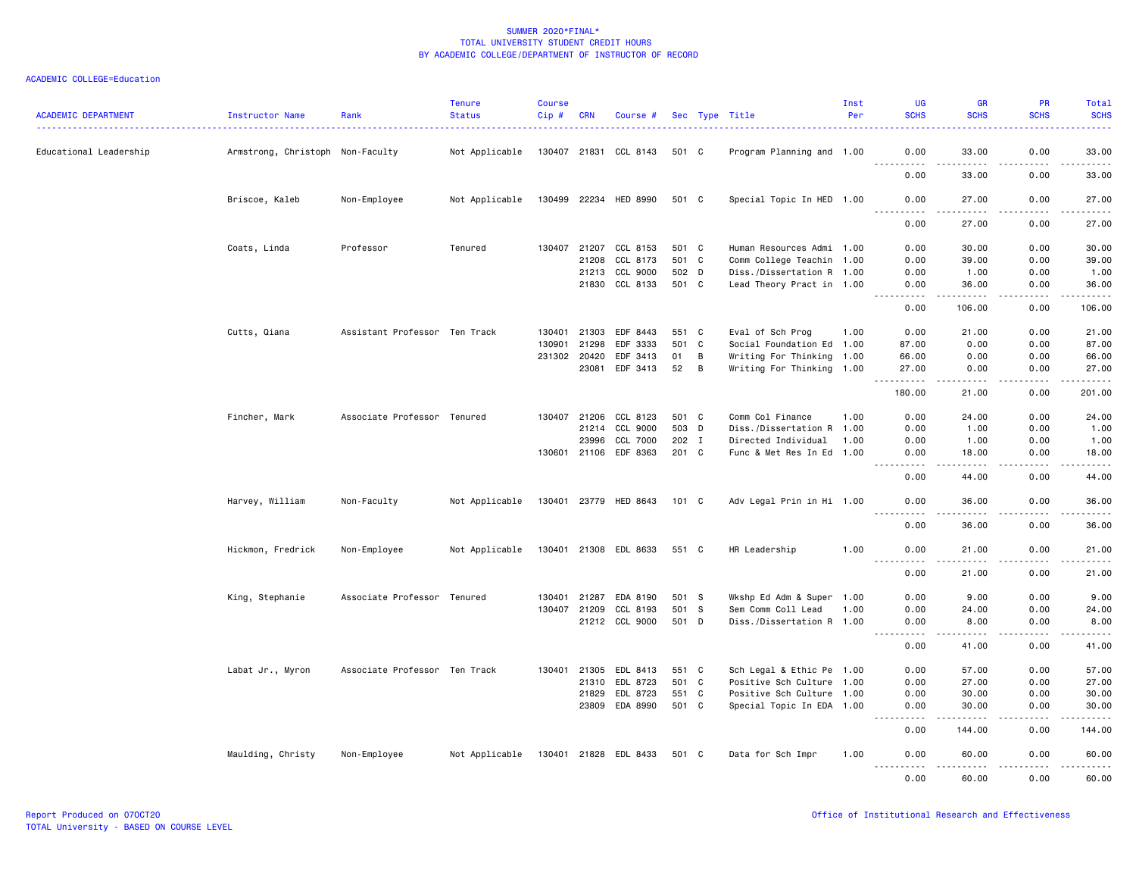| <b>ACADEMIC DEPARTMENT</b> | Instructor Name                  | Rank                          | <b>Tenure</b><br><b>Status</b> | <b>Course</b><br>Cip# | <b>CRN</b>   | Course #              |       |              | Sec Type Title            | Inst<br>Per | <b>UG</b><br><b>SCHS</b> | GR<br><b>SCHS</b>      | PR<br><b>SCHS</b>     | Total<br><b>SCHS</b>                         |
|----------------------------|----------------------------------|-------------------------------|--------------------------------|-----------------------|--------------|-----------------------|-------|--------------|---------------------------|-------------|--------------------------|------------------------|-----------------------|----------------------------------------------|
| Educational Leadership     | Armstrong, Christoph Non-Faculty |                               | Not Applicable                 |                       |              | 130407 21831 CCL 8143 | 501 C |              | Program Planning and 1.00 |             | 0.00                     | 33.00                  | 0.00                  | 33.00                                        |
|                            |                                  |                               |                                |                       |              |                       |       |              |                           |             | 0.00                     | .<br>33.00             | $\frac{1}{2}$<br>0.00 | $\frac{1}{2}$<br>33.00                       |
|                            | Briscoe, Kaleb                   | Non-Employee                  | Not Applicable                 |                       |              | 130499 22234 HED 8990 | 501 C |              | Special Topic In HED 1.00 |             | 0.00                     | 27.00                  | 0.00                  | 27.00                                        |
|                            |                                  |                               |                                |                       |              |                       |       |              |                           |             | .<br>0.00                | . <u>.</u> .<br>27.00  | .<br>0.00             | .<br>27.00                                   |
|                            | Coats, Linda                     | Professor                     | Tenured                        | 130407                | 21207        | CCL 8153              | 501 C |              | Human Resources Admi 1.00 |             | 0.00                     | 30.00                  | 0.00                  | 30.00                                        |
|                            |                                  |                               |                                |                       | 21208        | CCL 8173              | 501 C |              | Comm College Teachin 1.00 |             | 0.00                     | 39.00                  | 0.00                  | 39.00                                        |
|                            |                                  |                               |                                |                       | 21213        | CCL 9000              | 502 D |              | Diss./Dissertation R 1.00 |             | 0.00                     | 1.00                   | 0.00                  | 1.00                                         |
|                            |                                  |                               |                                |                       | 21830        | CCL 8133              | 501 C |              | Lead Theory Pract in 1.00 |             | 0.00<br>$- - - - -$      | 36.00<br>.             | 0.00<br>.             | 36.00<br>.                                   |
|                            |                                  |                               |                                |                       |              |                       |       |              |                           |             | 0.00                     | 106.00                 | 0.00                  | 106.00                                       |
|                            | Cutts, Qiana                     | Assistant Professor Ten Track |                                | 130401                | 21303        | EDF 8443              | 551   | $\mathbf{C}$ | Eval of Sch Prog          | 1.00        | 0.00                     | 21.00                  | 0.00                  | 21.00                                        |
|                            |                                  |                               |                                | 130901                | 21298        | EDF 3333              | 501   | $\mathbf{C}$ | Social Foundation Ed 1.00 |             | 87.00                    | 0.00                   | 0.00                  | 87.00                                        |
|                            |                                  |                               |                                | 231302 20420          |              | EDF 3413              | 01    | B            | Writing For Thinking 1.00 |             | 66.00                    | 0.00                   | 0.00                  | 66.00                                        |
|                            |                                  |                               |                                |                       | 23081        | EDF 3413              | 52    | B            | Writing For Thinking 1.00 |             | 27.00                    | 0.00                   | 0.00                  | 27.00                                        |
|                            |                                  |                               |                                |                       |              |                       |       |              |                           |             | 180.00                   | $\frac{1}{2}$<br>21.00 | 0.00                  | $\sim$ $\sim$ $\sim$ $\sim$ $\sim$<br>201.00 |
|                            | Fincher, Mark                    | Associate Professor Tenured   |                                |                       | 130407 21206 | CCL 8123              | 501 C |              | Comm Col Finance          | 1.00        | 0.00                     | 24.00                  | 0.00                  | 24.00                                        |
|                            |                                  |                               |                                |                       | 21214        | CCL 9000              | 503 D |              | Diss./Dissertation R 1.00 |             | 0.00                     | 1.00                   | 0.00                  | 1.00                                         |
|                            |                                  |                               |                                |                       | 23996        | CCL 7000              | 202 I |              | Directed Individual       | 1.00        | 0.00                     | 1.00                   | 0.00                  | 1.00                                         |
|                            |                                  |                               |                                |                       |              | 130601 21106 EDF 8363 | 201 C |              | Func & Met Res In Ed 1.00 |             | 0.00                     | 18.00<br>.             | 0.00<br>.             | 18.00<br>.                                   |
|                            |                                  |                               |                                |                       |              |                       |       |              |                           |             | 0.00                     | 44.00                  | 0.00                  | 44.00                                        |
|                            | Harvey, William                  | Non-Faculty                   | Not Applicable                 |                       |              | 130401 23779 HED 8643 | 101 C |              | Adv Legal Prin in Hi 1.00 |             | 0.00<br><u>.</u>         | 36.00<br>.             | 0.00<br>.             | 36.00<br>.                                   |
|                            |                                  |                               |                                |                       |              |                       |       |              |                           |             | 0.00                     | 36.00                  | 0.00                  | 36.00                                        |
|                            | Hickmon, Fredrick                | Non-Employee                  | Not Applicable                 |                       |              | 130401 21308 EDL 8633 | 551 C |              | HR Leadership             | 1.00        | 0.00<br>$\frac{1}{2}$    | 21.00<br>.             | 0.00<br>.             | 21.00<br>.                                   |
|                            |                                  |                               |                                |                       |              |                       |       |              |                           |             | 0.00                     | 21.00                  | 0.00                  | 21.00                                        |
|                            | King, Stephanie                  | Associate Professor Tenured   |                                | 130401                | 21287        | EDA 8190              | 501 S |              | Wkshp Ed Adm & Super 1.00 |             | 0.00                     | 9.00                   | 0.00                  | 9.00                                         |
|                            |                                  |                               |                                |                       | 130407 21209 | CCL 8193              | 501 S |              | Sem Comm Coll Lead        | 1.00        | 0.00                     | 24.00                  | 0.00                  | 24.00                                        |
|                            |                                  |                               |                                |                       |              | 21212 CCL 9000        | 501 D |              | Diss./Dissertation R 1.00 |             | 0.00<br>----             | 8.00<br>-----          | 0.00<br>$\frac{1}{2}$ | 8.00<br>.                                    |
|                            |                                  |                               |                                |                       |              |                       |       |              |                           |             | 0.00                     | 41.00                  | 0.00                  | 41.00                                        |
|                            | Labat Jr., Myron                 | Associate Professor Ten Track |                                |                       | 130401 21305 | EDL 8413              | 551 C |              | Sch Legal & Ethic Pe 1.00 |             | 0.00                     | 57.00                  | 0.00                  | 57.00                                        |
|                            |                                  |                               |                                |                       | 21310        | EDL 8723              | 501   | C            | Positive Sch Culture 1.00 |             | 0.00                     | 27.00                  | 0.00                  | 27.00                                        |
|                            |                                  |                               |                                |                       | 21829        | EDL 8723              | 551 C |              | Positive Sch Culture 1.00 |             | 0.00                     | 30.00                  | 0.00                  | 30.00                                        |
|                            |                                  |                               |                                |                       |              | 23809 EDA 8990        | 501 C |              | Special Topic In EDA 1.00 |             | 0.00                     | 30.00                  | 0.00                  | 30.00                                        |
|                            |                                  |                               |                                |                       |              |                       |       |              |                           |             | .<br>0.00                | .<br>144.00            | <u>.</u><br>0.00      | .<br>144.00                                  |
|                            | Maulding, Christy                | Non-Employee                  | Not Applicable                 |                       |              | 130401 21828 EDL 8433 | 501 C |              | Data for Sch Impr         | 1.00        | 0.00                     | 60.00                  | 0.00                  | 60.00                                        |
|                            |                                  |                               |                                |                       |              |                       |       |              |                           |             | .<br>0.00                | .<br>60.00             | .<br>0.00             | .<br>60.00                                   |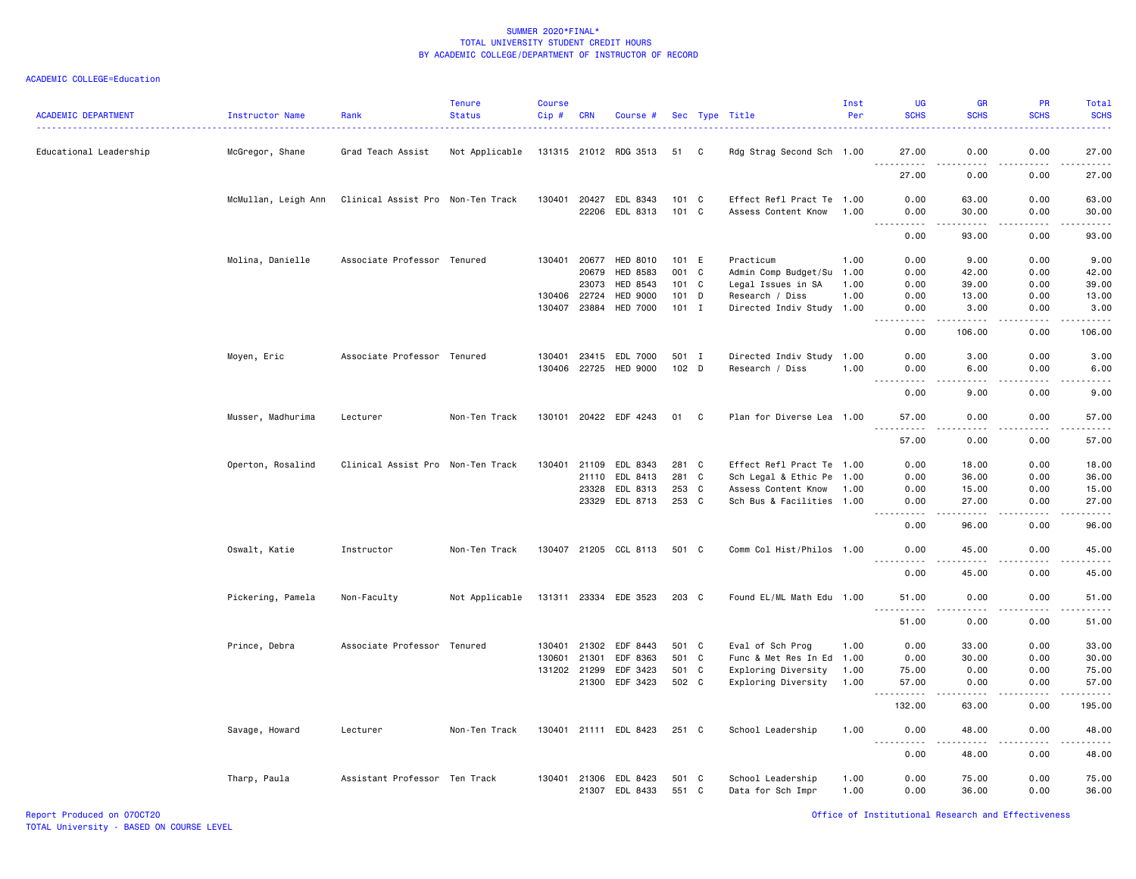| <b>ACADEMIC DEPARTMENT</b> | Instructor Name     | Rank                              | <b>Tenure</b><br><b>Status</b> | <b>Course</b><br>$Cip$ # | CRN   | Course #              |         |                | Sec Type Title            | Inst<br>Per | UG<br><b>SCHS</b>                                                                                                                                            | <b>GR</b><br><b>SCHS</b>                                                                                                                                      | <b>PR</b><br><b>SCHS</b> | <b>Total</b><br><b>SCHS</b> |
|----------------------------|---------------------|-----------------------------------|--------------------------------|--------------------------|-------|-----------------------|---------|----------------|---------------------------|-------------|--------------------------------------------------------------------------------------------------------------------------------------------------------------|---------------------------------------------------------------------------------------------------------------------------------------------------------------|--------------------------|-----------------------------|
| Educational Leadership     | McGregor, Shane     | Grad Teach Assist                 | Not Applicable                 |                          |       | 131315 21012 RDG 3513 | 51      | C              | Rdg Strag Second Sch 1.00 |             | 27.00                                                                                                                                                        | 0.00                                                                                                                                                          | 0.00                     | 27,00                       |
|                            |                     |                                   |                                |                          |       |                       |         |                |                           |             | $\sim$ $\sim$ $\sim$<br>27.00                                                                                                                                | .<br>0.00                                                                                                                                                     | .<br>0.00                | .<br>27.00                  |
|                            | McMullan, Leigh Ann | Clinical Assist Pro Non-Ten Track |                                | 130401 20427             |       | EDL 8343              | 101 C   |                | Effect Refl Pract Te 1.00 |             | 0.00                                                                                                                                                         | 63.00                                                                                                                                                         | 0.00                     | 63.00                       |
|                            |                     |                                   |                                |                          | 22206 | EDL 8313              | 101     | C <sub>1</sub> | Assess Content Know       | 1.00        | 0.00<br>$\frac{1}{2} \left( \frac{1}{2} \right) \left( \frac{1}{2} \right) \left( \frac{1}{2} \right) \left( \frac{1}{2} \right) \left( \frac{1}{2} \right)$ | 30.00<br>.                                                                                                                                                    | 0.00<br>.                | 30.00<br>د د د د د          |
|                            |                     |                                   |                                |                          |       |                       |         |                |                           |             | 0.00                                                                                                                                                         | 93.00                                                                                                                                                         | 0.00                     | 93.00                       |
|                            | Molina, Danielle    | Associate Professor Tenured       |                                | 130401                   | 20677 | <b>HED 8010</b>       | 101 E   |                | Practicum                 | 1.00        | 0.00                                                                                                                                                         | 9.00                                                                                                                                                          | 0.00                     | 9.00                        |
|                            |                     |                                   |                                |                          | 20679 | HED 8583              | 001     | C              | Admin Comp Budget/Su      | 1.00        | 0.00                                                                                                                                                         | 42.00                                                                                                                                                         | 0.00                     | 42.00                       |
|                            |                     |                                   |                                |                          | 23073 | HED 8543              | 101 C   |                | Legal Issues in SA        | 1.00        | 0.00                                                                                                                                                         | 39.00                                                                                                                                                         | 0.00                     | 39.00                       |
|                            |                     |                                   |                                | 130406                   | 22724 | <b>HED 9000</b>       | 101     | D              | Research / Diss           | 1.00        | 0.00                                                                                                                                                         | 13.00                                                                                                                                                         | 0.00                     | 13.00                       |
|                            |                     |                                   |                                | 130407 23884             |       | <b>HED 7000</b>       | $101$ I |                | Directed Indiv Study      | 1.00        | 0.00                                                                                                                                                         | 3.00<br>.                                                                                                                                                     | 0.00<br>.                | 3.00<br>د د د د د           |
|                            |                     |                                   |                                |                          |       |                       |         |                |                           |             | 0.00                                                                                                                                                         | 106.00                                                                                                                                                        | 0.00                     | 106.00                      |
|                            | Moyen, Eric         | Associate Professor Tenured       |                                | 130401                   | 23415 | EDL 7000              | 501 I   |                | Directed Indiv Study 1.00 |             | 0.00                                                                                                                                                         | 3.00                                                                                                                                                          | 0.00                     | 3.00                        |
|                            |                     |                                   |                                | 130406 22725             |       | <b>HED 9000</b>       | 102 D   |                | Research / Diss           | 1.00        | 0.00                                                                                                                                                         | 6.00                                                                                                                                                          | 0.00                     | 6.00                        |
|                            |                     |                                   |                                |                          |       |                       |         |                |                           |             |                                                                                                                                                              | .                                                                                                                                                             | $\sim$ $\sim$ $\sim$     | .                           |
|                            |                     |                                   |                                |                          |       |                       |         |                |                           |             | 0.00                                                                                                                                                         | 9.00                                                                                                                                                          | 0.00                     | 9.00                        |
|                            | Musser, Madhurima   | Lecturer                          | Non-Ten Track                  |                          |       | 130101 20422 EDF 4243 | 01 C    |                | Plan for Diverse Lea 1.00 |             | 57.00<br>.                                                                                                                                                   | 0.00<br>.                                                                                                                                                     | 0.00<br>.                | 57.00<br>.                  |
|                            |                     |                                   |                                |                          |       |                       |         |                |                           |             | 57.00                                                                                                                                                        | 0.00                                                                                                                                                          | 0.00                     | 57.00                       |
|                            | Operton, Rosalind   | Clinical Assist Pro Non-Ten Track |                                | 130401                   | 21109 | EDL 8343              | 281 C   |                | Effect Refl Pract Te 1.00 |             | 0.00                                                                                                                                                         | 18.00                                                                                                                                                         | 0.00                     | 18.00                       |
|                            |                     |                                   |                                |                          | 21110 | EDL 8413              | 281     | C              | Sch Legal & Ethic Pe 1.00 |             | 0.00                                                                                                                                                         | 36.00                                                                                                                                                         | 0.00                     | 36.00                       |
|                            |                     |                                   |                                |                          | 23328 | EDL 8313              | 253 C   |                | Assess Content Know       | 1.00        | 0.00                                                                                                                                                         | 15.00                                                                                                                                                         | 0.00                     | 15.00                       |
|                            |                     |                                   |                                |                          |       |                       |         |                |                           |             |                                                                                                                                                              |                                                                                                                                                               |                          |                             |
|                            |                     |                                   |                                |                          |       | 23329 EDL 8713        | 253 C   |                | Sch Bus & Facilities 1.00 |             | 0.00<br>.                                                                                                                                                    | 27.00<br>$\frac{1}{2} \left( \frac{1}{2} \right) \left( \frac{1}{2} \right) \left( \frac{1}{2} \right) \left( \frac{1}{2} \right) \left( \frac{1}{2} \right)$ | 0.00<br>.                | 27.00<br>.                  |
|                            |                     |                                   |                                |                          |       |                       |         |                |                           |             | 0.00                                                                                                                                                         | 96.00                                                                                                                                                         | 0.00                     | 96.00                       |
|                            | Oswalt, Katie       | Instructor                        | Non-Ten Track                  |                          |       | 130407 21205 CCL 8113 | 501 C   |                | Comm Col Hist/Philos 1.00 |             | 0.00<br>.                                                                                                                                                    | 45.00<br>$- - - - -$                                                                                                                                          | 0.00<br>.                | 45.00<br>د د د د د          |
|                            |                     |                                   |                                |                          |       |                       |         |                |                           |             | 0.00                                                                                                                                                         | 45.00                                                                                                                                                         | 0.00                     | 45.00                       |
|                            | Pickering, Pamela   | Non-Faculty                       | Not Applicable                 |                          |       | 131311 23334 EDE 3523 | 203 C   |                | Found EL/ML Math Edu 1.00 |             | 51.00<br>.                                                                                                                                                   | 0.00<br>.                                                                                                                                                     | 0.00<br>.                | 51.00<br>.                  |
|                            |                     |                                   |                                |                          |       |                       |         |                |                           |             | 51.00                                                                                                                                                        | 0.00                                                                                                                                                          | 0.00                     | 51.00                       |
|                            | Prince, Debra       | Associate Professor               | Tenured                        | 130401                   | 21302 | EDF 8443              | 501 C   |                | Eval of Sch Prog          | 1.00        | 0.00                                                                                                                                                         | 33.00                                                                                                                                                         | 0.00                     | 33.00                       |
|                            |                     |                                   |                                | 130601                   | 21301 | EDF 8363              | 501 C   |                | Func & Met Res In Ed      | 1.00        | 0.00                                                                                                                                                         | 30.00                                                                                                                                                         | 0.00                     | 30.00                       |
|                            |                     |                                   |                                | 131202 21299             |       | EDF 3423              | 501 C   |                | Exploring Diversity       | 1.00        | 75.00                                                                                                                                                        | 0.00                                                                                                                                                          | 0.00                     | 75.00                       |
|                            |                     |                                   |                                |                          | 21300 | EDF 3423              | 502 C   |                | Exploring Diversity       | 1.00        | 57.00                                                                                                                                                        | 0.00                                                                                                                                                          | 0.00                     | 57.00                       |
|                            |                     |                                   |                                |                          |       |                       |         |                |                           |             | .<br>$\sim$ $\sim$ $\sim$                                                                                                                                    | $- - - - -$                                                                                                                                                   | .                        | .                           |
|                            |                     |                                   |                                |                          |       |                       |         |                |                           |             | 132.00                                                                                                                                                       | 63.00                                                                                                                                                         | 0.00                     | 195.00                      |
|                            | Savage, Howard      | Lecturer                          | Non-Ten Track                  |                          |       | 130401 21111 EDL 8423 | 251 C   |                | School Leadership         | 1.00        | 0.00                                                                                                                                                         | 48.00                                                                                                                                                         | 0.00                     | 48.00<br>$\frac{1}{2}$      |
|                            |                     |                                   |                                |                          |       |                       |         |                |                           |             | 0.00                                                                                                                                                         | 48.00                                                                                                                                                         | 0.00                     | 48.00                       |
|                            | Tharp, Paula        | Assistant Professor Ten Track     |                                |                          |       | 130401 21306 EDL 8423 | 501 C   |                | School Leadership         | 1.00        | 0.00                                                                                                                                                         | 75.00                                                                                                                                                         | 0.00                     | 75.00                       |
|                            |                     |                                   |                                |                          | 21307 | EDL 8433              | 551 C   |                | Data for Sch Impr         | 1.00        | 0.00                                                                                                                                                         | 36.00                                                                                                                                                         | 0.00                     | 36.00                       |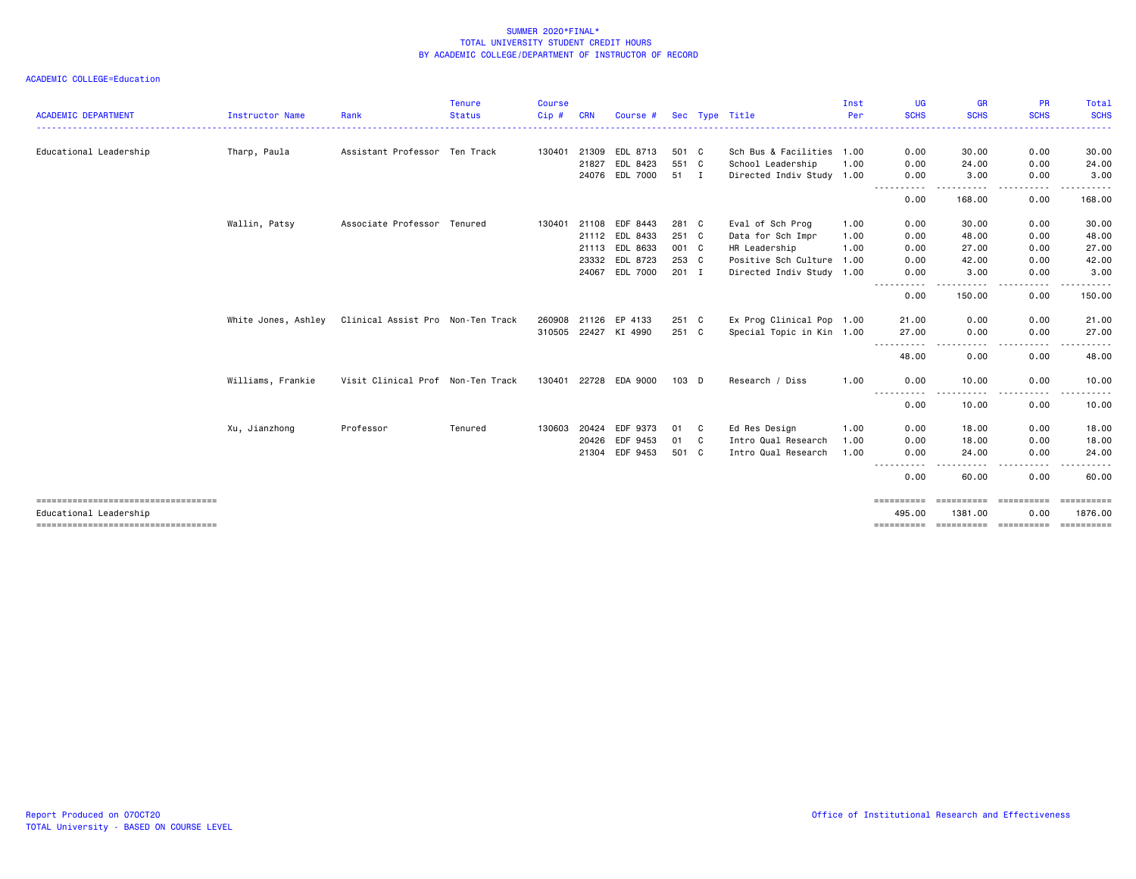| Educational Leadership              |                     |                                   |         | Cip#         | <b>CRN</b> | Course #             |       |              | Sec Type Title            | Per  | <b>SCHS</b>             | <b>SCHS</b>          | <b>SCHS</b>      | <b>SCHS</b> |
|-------------------------------------|---------------------|-----------------------------------|---------|--------------|------------|----------------------|-------|--------------|---------------------------|------|-------------------------|----------------------|------------------|-------------|
|                                     |                     |                                   |         |              |            |                      |       |              |                           |      |                         |                      |                  | -----       |
|                                     | Tharp, Paula        | Assistant Professor Ten Track     |         | 130401       | 21309      | EDL 8713             | 501 C |              | Sch Bus & Facilities 1.00 |      | 0.00                    | 30.00                | 0.00             | 30.00       |
|                                     |                     |                                   |         |              | 21827      | EDL 8423             | 551 C |              | School Leadership         | 1.00 | 0.00                    | 24.00                | 0.00             | 24.00       |
|                                     |                     |                                   |         |              |            | 24076 EDL 7000       | 51 I  |              | Directed Indiv Study 1.00 |      | 0.00                    | 3.00                 | 0.00             | 3.00        |
|                                     |                     |                                   |         |              |            |                      |       |              |                           |      | 0.00                    | 168.00               | 0.00             | 168.00      |
|                                     | Wallin, Patsy       | Associate Professor Tenured       |         | 130401       | 21108      | EDF 8443             | 281 C |              | Eval of Sch Prog          | 1.00 | 0.00                    | 30.00                | 0.00             | 30.00       |
|                                     |                     |                                   |         |              | 21112      | EDL 8433             | 251 C |              | Data for Sch Impr         | 1.00 | 0.00                    | 48.00                | 0.00             | 48.00       |
|                                     |                     |                                   |         |              | 21113      | EDL 8633             | 001 C |              | HR Leadership             | 1.00 | 0.00                    | 27.00                | 0.00             | 27.00       |
|                                     |                     |                                   |         |              | 23332      | EDL 8723             | 253 C |              | Positive Sch Culture      | 1.00 | 0.00                    | 42.00                | 0.00             | 42.00       |
|                                     |                     |                                   |         |              | 24067      | EDL 7000             | 201 I |              | Directed Indiv Study 1.00 |      | 0.00                    | 3.00                 | 0.00             | 3.00        |
|                                     |                     |                                   |         |              |            |                      |       |              |                           |      | ----<br>0.00            | . <b>.</b><br>150.00 | $\cdots$<br>0.00 | .<br>150.00 |
|                                     | White Jones, Ashley | Clinical Assist Pro Non-Ten Track |         | 260908       | 21126      | EP 4133              | 251 C |              | Ex Prog Clinical Pop 1.00 |      | 21.00                   | 0.00                 | 0.00             | 21.00       |
|                                     |                     |                                   |         |              |            | 310505 22427 KI 4990 | 251 C |              | Special Topic in Kin 1.00 |      | 27.00                   | 0.00                 | 0.00             | 27.00       |
|                                     |                     |                                   |         |              |            |                      |       |              |                           |      | . <b>. .</b> .<br>48.00 | ----<br>0.00         | .<br>0.00        | .<br>48.00  |
|                                     | Williams, Frankie   | Visit Clinical Prof Non-Ten Track |         | 130401 22728 |            | EDA 9000             | 103 D |              | Research / Diss           | 1.00 | 0.00                    | 10.00                | 0.00             | 10.00       |
|                                     |                     |                                   |         |              |            |                      |       |              |                           |      | 0.00                    | 10.00                | 0.00             | .<br>10.00  |
|                                     | Xu, Jianzhong       | Professor                         | Tenured | 130603       | 20424      | EDF 9373             | 01    | C            | Ed Res Design             | 1.00 | 0.00                    | 18.00                | 0.00             | 18.00       |
|                                     |                     |                                   |         |              | 20426      | EDF 9453             | 01    | $\mathbf{C}$ | Intro Qual Research       | 1.00 | 0.00                    | 18.00                | 0.00             | 18.00       |
|                                     |                     |                                   |         |              | 21304      | EDF 9453             | 501 C |              | Intro Qual Research       | 1.00 | 0.00                    | 24.00                | 0.00             | 24.00       |
|                                     |                     |                                   |         |              |            |                      |       |              |                           |      | 0.00                    | 60.00                | 0.00             | 60.00       |
| ----------------------------------- |                     |                                   |         |              |            |                      |       |              |                           |      | ==========              | ==========           | -----------      | ==========  |
| Educational Leadership              |                     |                                   |         |              |            |                      |       |              |                           |      | 495.00                  | 1381.00              | 0.00             | 1876.00     |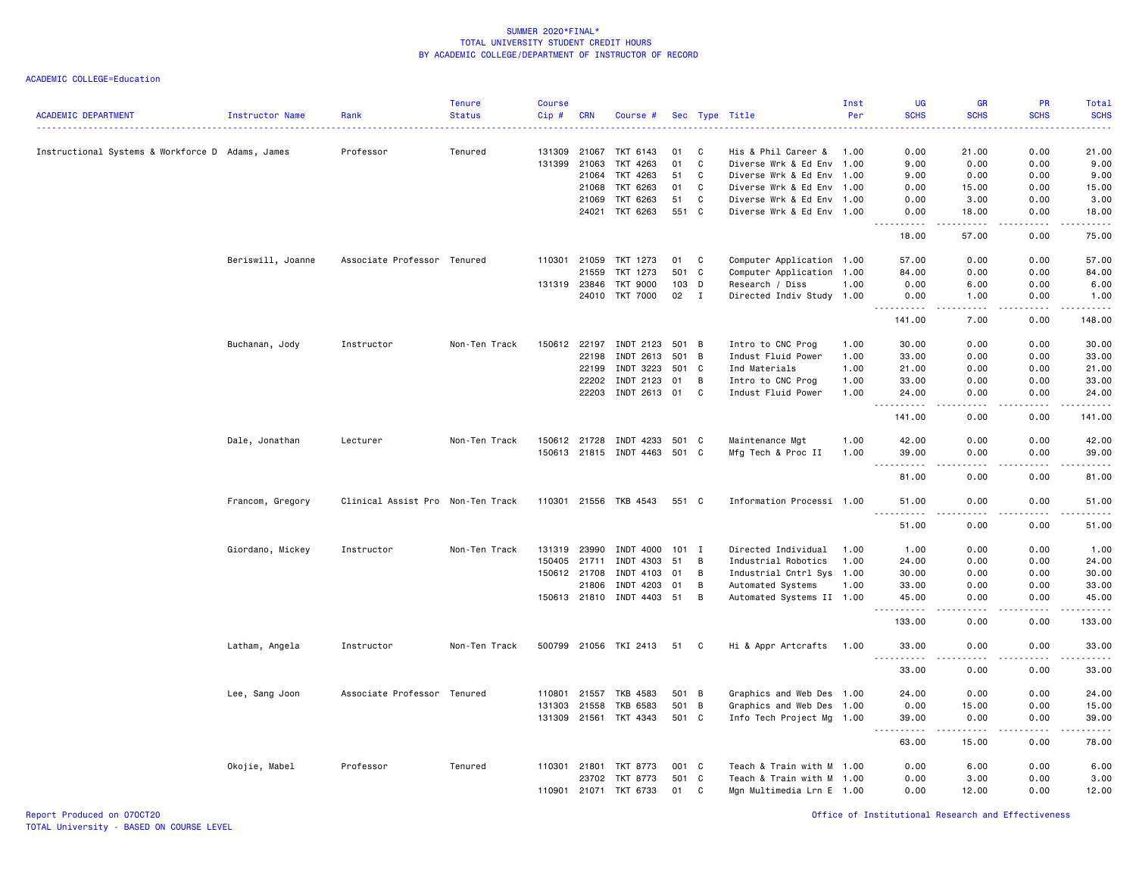|                                                  |                        |                                   | <b>Tenure</b> | <b>Course</b> |              |                       |         |              |                           | Inst | UG                                 | <b>GR</b>              | PR            | Total                  |
|--------------------------------------------------|------------------------|-----------------------------------|---------------|---------------|--------------|-----------------------|---------|--------------|---------------------------|------|------------------------------------|------------------------|---------------|------------------------|
| <b>ACADEMIC DEPARTMENT</b>                       | <b>Instructor Name</b> | Rank                              | <b>Status</b> | Cip#          | <b>CRN</b>   | Course #              |         |              | Sec Type Title            | Per  | <b>SCHS</b>                        | <b>SCHS</b>            | <b>SCHS</b>   | <b>SCHS</b>            |
| Instructional Systems & Workforce D Adams, James |                        | Professor                         | Tenured       | 131309        | 21067        | TKT 6143              | 01      | C            | His & Phil Career &       | 1.00 | 0.00                               | 21.00                  | 0.00          | 21.00                  |
|                                                  |                        |                                   |               | 131399        | 21063        | TKT 4263              | 01      | C            | Diverse Wrk & Ed Env 1.00 |      | 9.00                               | 0.00                   | 0.00          | 9.00                   |
|                                                  |                        |                                   |               |               | 21064        | TKT 4263              | 51      | C            | Diverse Wrk & Ed Env 1.00 |      | 9.00                               | 0.00                   | 0.00          | 9.00                   |
|                                                  |                        |                                   |               |               | 21068        | TKT 6263              | 01      | C            | Diverse Wrk & Ed Env 1.00 |      | 0.00                               | 15.00                  | 0.00          | 15.00                  |
|                                                  |                        |                                   |               |               | 21069        | TKT 6263              | 51      | $\mathbf{C}$ | Diverse Wrk & Ed Env 1.00 |      | 0.00                               | 3.00                   | 0.00          | 3.00                   |
|                                                  |                        |                                   |               |               | 24021        | TKT 6263              | 551     | $\mathbf{C}$ | Diverse Wrk & Ed Env 1.00 |      | 0.00                               | 18.00                  | 0.00          | 18.00                  |
|                                                  |                        |                                   |               |               |              |                       |         |              |                           |      | .<br>18.00                         | .<br>57.00             | 22222<br>0.00 | .<br>75.00             |
|                                                  | Beriswill, Joanne      | Associate Professor Tenured       |               |               | 110301 21059 | TKT 1273              | 01      | C            | Computer Application 1.00 |      | 57.00                              | 0.00                   | 0.00          | 57.00                  |
|                                                  |                        |                                   |               |               | 21559        | TKT 1273              | 501     | C            | Computer Application 1.00 |      | 84.00                              | 0.00                   | 0.00          | 84.00                  |
|                                                  |                        |                                   |               | 131319        | 23846        | <b>TKT 9000</b>       | 103     | D            | Research / Diss           | 1.00 | 0.00                               | 6.00                   | 0.00          | 6.00                   |
|                                                  |                        |                                   |               |               | 24010        | <b>TKT 7000</b>       | 02      | $\mathbf{I}$ | Directed Indiv Study 1.00 |      | 0.00<br>.                          | 1.00<br>.              | 0.00<br>.     | 1.00<br>2.2.2.2.2      |
|                                                  |                        |                                   |               |               |              |                       |         |              |                           |      | 141.00                             | 7.00                   | 0.00          | 148.00                 |
|                                                  | Buchanan, Jody         | Instructor                        | Non-Ten Track | 150612        | 22197        | INDT 2123             | 501 B   |              | Intro to CNC Prog         | 1.00 | 30.00                              | 0.00                   | 0.00          | 30.00                  |
|                                                  |                        |                                   |               |               | 22198        | INDT 2613             | 501     | B            | Indust Fluid Power        | 1.00 | 33.00                              | 0.00                   | 0.00          | 33.00                  |
|                                                  |                        |                                   |               |               | 22199        | INDT 3223             | 501 C   |              | Ind Materials             | 1.00 | 21.00                              | 0.00                   | 0.00          | 21.00                  |
|                                                  |                        |                                   |               |               | 22202        | INDT 2123             | 01      | B            | Intro to CNC Prog         | 1.00 | 33.00                              | 0.00                   | 0.00          | 33.00                  |
|                                                  |                        |                                   |               |               | 22203        | INDT 2613             | 01      | C            | Indust Fluid Power        | 1.00 | 24.00<br>$\frac{1}{2}$             | 0.00<br>.              | 0.00          | 24.00<br>$\frac{1}{2}$ |
|                                                  |                        |                                   |               |               |              |                       |         |              |                           |      | 141.00                             | 0.00                   | 0.00          | 141.00                 |
|                                                  | Dale, Jonathan         | Lecturer                          | Non-Ten Track |               | 150612 21728 | INDT 4233             | 501 C   |              | Maintenance Mgt           | 1.00 | 42.00                              | 0.00                   | 0.00          | 42.00                  |
|                                                  |                        |                                   |               |               | 150613 21815 | INDT 4463             | 501 C   |              | Mfg Tech & Proc II        | 1.00 | 39.00<br>. <b>.</b><br>$ -$        | 0.00<br>. <u>. .</u>   | 0.00<br>.     | 39.00<br>. <u>.</u> .  |
|                                                  |                        |                                   |               |               |              |                       |         |              |                           |      | 81.00                              | 0.00                   | 0.00          | 81.00                  |
|                                                  | Francom, Gregory       | Clinical Assist Pro Non-Ten Track |               |               |              | 110301 21556 TKB 4543 | 551 C   |              | Information Processi 1.00 |      | 51.00                              | 0.00                   | 0.00          | 51.00                  |
|                                                  |                        |                                   |               |               |              |                       |         |              |                           |      | 51.00                              | 0.00                   | 0.00          | 51.00                  |
|                                                  | Giordano, Mickey       | Instructor                        | Non-Ten Track | 131319        | 23990        | INDT 4000             | $101$ I |              | Directed Individual       | 1.00 | 1.00                               | 0.00                   | 0.00          | 1.00                   |
|                                                  |                        |                                   |               | 150405        | 21711        | INDT 4303             | 51      | B            | Industrial Robotics       | 1.00 | 24.00                              | 0.00                   | 0.00          | 24.00                  |
|                                                  |                        |                                   |               |               | 150612 21708 | INDT 4103             | 01      | B            | Industrial Cntrl Sys 1.00 |      | 30.00                              | 0.00                   | 0.00          | 30.00                  |
|                                                  |                        |                                   |               |               | 21806        | INDT 4203             | 01      | B            | Automated Systems         | 1.00 | 33.00                              | 0.00                   | 0.00          | 33.00                  |
|                                                  |                        |                                   |               |               | 150613 21810 | INDT 4403             | 51      | В            | Automated Systems II 1.00 |      | 45.00                              | 0.00<br>د د د د        | 0.00          | 45.00<br>.             |
|                                                  |                        |                                   |               |               |              |                       |         |              |                           |      | .<br>133.00                        | 0.00                   | .<br>0.00     | 133.00                 |
|                                                  | Latham, Angela         | Instructor                        | Non-Ten Track |               |              | 500799 21056 TKI 2413 | 51      | C.           | Hi & Appr Artcrafts       | 1.00 | 33.00<br>$- - -$<br>. <b>.</b>     | 0.00<br>.              | 0.00<br>.     | 33.00<br>.             |
|                                                  |                        |                                   |               |               |              |                       |         |              |                           |      | 33.00                              | 0.00                   | 0.00          | 33.00                  |
|                                                  | Lee, Sang Joon         | Associate Professor Tenured       |               | 110801        | 21557        | TKB 4583              | 501     | B            | Graphics and Web Des 1.00 |      | 24.00                              | 0.00                   | 0.00          | 24.00                  |
|                                                  |                        |                                   |               |               | 131303 21558 | <b>TKB 6583</b>       | 501 B   |              | Graphics and Web Des 1.00 |      | 0.00                               | 15.00                  | 0.00          | 15.00                  |
|                                                  |                        |                                   |               |               |              | 131309 21561 TKT 4343 | 501 C   |              | Info Tech Project Mg 1.00 |      | 39.00                              | 0.00                   | 0.00          | 39.00                  |
|                                                  |                        |                                   |               |               |              |                       |         |              |                           |      | $\sim$ $\sim$ $\sim$<br>.<br>63.00 | $\frac{1}{2}$<br>15.00 | .<br>0.00     | .<br>78.00             |
|                                                  | Okojie, Mabel          | Professor                         | Tenured       |               | 110301 21801 | TKT 8773              | 001 C   |              | Teach & Train with M 1.00 |      | 0.00                               | 6.00                   | 0.00          | 6.00                   |
|                                                  |                        |                                   |               |               | 23702        | TKT 8773              | 501     | C            | Teach & Train with M 1.00 |      | 0.00                               | 3.00                   | 0.00          | 3.00                   |
|                                                  |                        |                                   |               |               | 110901 21071 | TKT 6733              | 01      | C            | Mgn Multimedia Lrn E 1.00 |      | 0.00                               | 12.00                  | 0.00          | 12.00                  |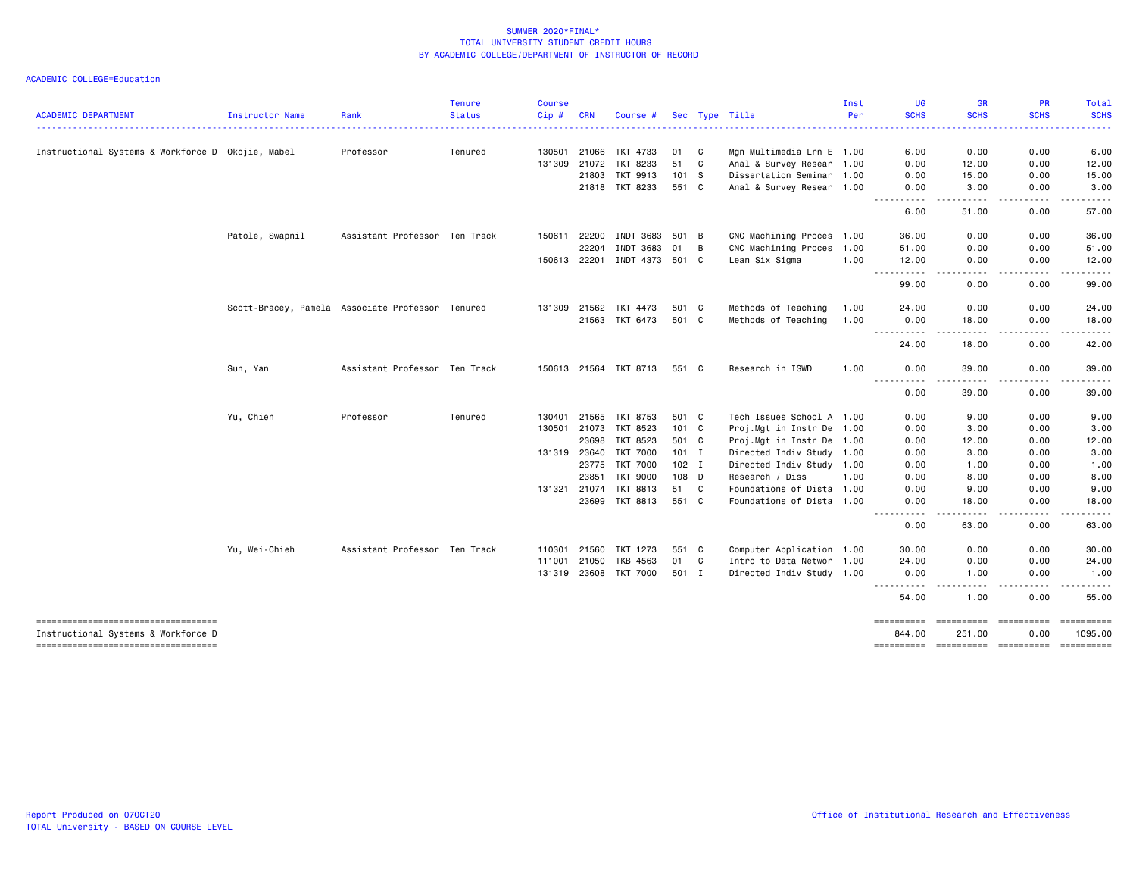|                                                                            |                        |                                                  | <b>Tenure</b> | <b>Course</b> |            |                       |               |              |                           | Inst | UG                                   | <b>GR</b>            | PR                                      | <b>Total</b>                                                                                                                                                  |
|----------------------------------------------------------------------------|------------------------|--------------------------------------------------|---------------|---------------|------------|-----------------------|---------------|--------------|---------------------------|------|--------------------------------------|----------------------|-----------------------------------------|---------------------------------------------------------------------------------------------------------------------------------------------------------------|
| <b>ACADEMIC DEPARTMENT</b>                                                 | <b>Instructor Name</b> | Rank                                             | <b>Status</b> | Cip#          | <b>CRN</b> | Course #              |               |              | Sec Type Title            | Per  | <b>SCHS</b>                          | <b>SCHS</b>          | <b>SCHS</b>                             | <b>SCHS</b>                                                                                                                                                   |
| Instructional Systems & Workforce D Okojie, Mabel                          |                        | Professor                                        | Tenured       | 130501        | 21066      | TKT 4733              | 01            | C            | Mgn Multimedia Lrn E 1.00 |      | 6.00                                 | 0.00                 | 0.00                                    | 6.00                                                                                                                                                          |
|                                                                            |                        |                                                  |               | 131309 21072  |            | TKT 8233              | 51            | C            | Anal & Survey Resear 1.00 |      | 0.00                                 | 12.00                | 0.00                                    | 12.00                                                                                                                                                         |
|                                                                            |                        |                                                  |               |               | 21803      | TKT 9913              | 101 S         |              | Dissertation Seminar 1.00 |      | 0.00                                 | 15.00                | 0.00                                    | 15.00                                                                                                                                                         |
|                                                                            |                        |                                                  |               |               | 21818      | TKT 8233              | 551 C         |              | Anal & Survey Resear 1.00 |      | 0.00                                 | 3.00                 | 0.00                                    | 3.00                                                                                                                                                          |
|                                                                            |                        |                                                  |               |               |            |                       |               |              |                           |      | <u>.</u><br>6.00                     | $- - - - -$<br>51.00 | .<br>0.00                               | .<br>57.00                                                                                                                                                    |
|                                                                            | Patole, Swapnil        | Assistant Professor Ten Track                    |               | 150611        | 22200      | INDT 3683             | 501 B         |              | CNC Machining Proces 1.00 |      | 36.00                                | 0.00                 | 0.00                                    | 36.00                                                                                                                                                         |
|                                                                            |                        |                                                  |               |               | 22204      | INDT 3683             | 01            | B            | CNC Machining Proces 1.00 |      | 51.00                                | 0.00                 | 0.00                                    | 51.00                                                                                                                                                         |
|                                                                            |                        |                                                  |               | 150613 22201  |            | INDT 4373             | 501 C         |              | Lean Six Sigma            | 1.00 | 12.00<br><u>.</u>                    | 0.00<br>.            | 0.00                                    | 12.00<br>$- - - -$                                                                                                                                            |
|                                                                            |                        |                                                  |               |               |            |                       |               |              |                           |      | 99.00                                | 0.00                 | 0.00                                    | 99.00                                                                                                                                                         |
|                                                                            |                        | Scott-Bracey, Pamela Associate Professor Tenured |               | 131309 21562  |            | TKT 4473              | 501 C         |              | Methods of Teaching       | 1.00 | 24.00                                | 0.00                 | 0.00                                    | 24.00                                                                                                                                                         |
|                                                                            |                        |                                                  |               |               | 21563      | TKT 6473              | 501 C         |              | Methods of Teaching       | 1.00 | 0.00<br>$\sim$ $\sim$ $\sim$         | 18.00                | 0.00                                    | 18.00                                                                                                                                                         |
|                                                                            |                        |                                                  |               |               |            |                       |               |              |                           |      | 24.00                                | 18.00                | 0.00                                    | 42.00                                                                                                                                                         |
|                                                                            | Sun, Yan               | Assistant Professor Ten Track                    |               |               |            | 150613 21564 TKT 8713 | 551 C         |              | Research in ISWD          | 1.00 | 0.00                                 | 39.00                | 0.00                                    | 39.00                                                                                                                                                         |
|                                                                            |                        |                                                  |               |               |            |                       |               |              |                           |      | $\sim$ $\sim$ $\sim$<br>----<br>0.00 | 39.00                | 0.00                                    | $\frac{1}{2} \left( \frac{1}{2} \right) \left( \frac{1}{2} \right) \left( \frac{1}{2} \right) \left( \frac{1}{2} \right) \left( \frac{1}{2} \right)$<br>39.00 |
|                                                                            | Yu, Chien              | Professor                                        | Tenured       | 130401        | 21565      | <b>TKT 8753</b>       | 501 C         |              | Tech Issues School A 1.00 |      | 0.00                                 | 9.00                 | 0.00                                    | 9.00                                                                                                                                                          |
|                                                                            |                        |                                                  |               | 130501        | 21073      | TKT 8523              | $101 \quad C$ |              | Proj.Mgt in Instr De 1.00 |      | 0.00                                 | 3.00                 | 0.00                                    | 3.00                                                                                                                                                          |
|                                                                            |                        |                                                  |               |               | 23698      | TKT 8523              | 501 C         |              | Proj.Mgt in Instr De 1.00 |      | 0.00                                 | 12.00                | 0.00                                    | 12.00                                                                                                                                                         |
|                                                                            |                        |                                                  |               | 131319 23640  |            | <b>TKT 7000</b>       | $101$ I       |              | Directed Indiv Study 1.00 |      | 0.00                                 | 3.00                 | 0.00                                    | 3.00                                                                                                                                                          |
|                                                                            |                        |                                                  |               |               | 23775      | <b>TKT 7000</b>       | $102$ I       |              | Directed Indiv Study 1.00 |      | 0.00                                 | 1.00                 | 0.00                                    | 1.00                                                                                                                                                          |
|                                                                            |                        |                                                  |               |               | 23851      | <b>TKT 9000</b>       | 108 D         |              | Research / Diss           | 1.00 | 0.00                                 | 8.00                 | 0.00                                    | 8.00                                                                                                                                                          |
|                                                                            |                        |                                                  |               | 131321 21074  |            | <b>TKT 8813</b>       | 51            | $\mathbf{C}$ | Foundations of Dista 1.00 |      | 0.00                                 | 9.00                 | 0.00                                    | 9.00                                                                                                                                                          |
|                                                                            |                        |                                                  |               |               | 23699      | TKT 8813              | 551 C         |              | Foundations of Dista 1.00 |      | 0.00                                 | 18,00                | 0.00                                    | 18.00                                                                                                                                                         |
|                                                                            |                        |                                                  |               |               |            |                       |               |              |                           |      | ----<br>0.00                         | .<br>63.00           | .<br>0.00                               | $\frac{1}{2} \left( \frac{1}{2} \right) \left( \frac{1}{2} \right) \left( \frac{1}{2} \right) \left( \frac{1}{2} \right) \left( \frac{1}{2} \right)$<br>63.00 |
|                                                                            | Yu, Wei-Chieh          | Assistant Professor Ten Track                    |               | 110301        | 21560      | TKT 1273              | 551 C         |              | Computer Application 1.00 |      | 30.00                                | 0.00                 | 0.00                                    | 30.00                                                                                                                                                         |
|                                                                            |                        |                                                  |               | 111001        | 21050      | TKB 4563              | 01            | C            | Intro to Data Networ 1.00 |      | 24.00                                | 0.00                 | 0.00                                    | 24.00                                                                                                                                                         |
|                                                                            |                        |                                                  |               | 131319 23608  |            | <b>TKT 7000</b>       | 501 I         |              | Directed Indiv Study 1.00 |      | 0.00                                 | 1.00                 | 0.00                                    | 1.00                                                                                                                                                          |
|                                                                            |                        |                                                  |               |               |            |                       |               |              |                           |      | <u>.</u><br>54.00                    | $- - -$<br>1.00      | 0.00                                    | 55.00                                                                                                                                                         |
| -----------------------------------                                        |                        |                                                  |               |               |            |                       |               |              |                           |      | ==========                           | ==========           | ==========                              | ==========                                                                                                                                                    |
| Instructional Systems & Workforce D<br>----------------------------------- |                        |                                                  |               |               |            |                       |               |              |                           |      | 844.00                               | 251.00               | 0.00<br>---------- ---------- --------- | 1095.00<br>==========                                                                                                                                         |
|                                                                            |                        |                                                  |               |               |            |                       |               |              |                           |      |                                      |                      |                                         |                                                                                                                                                               |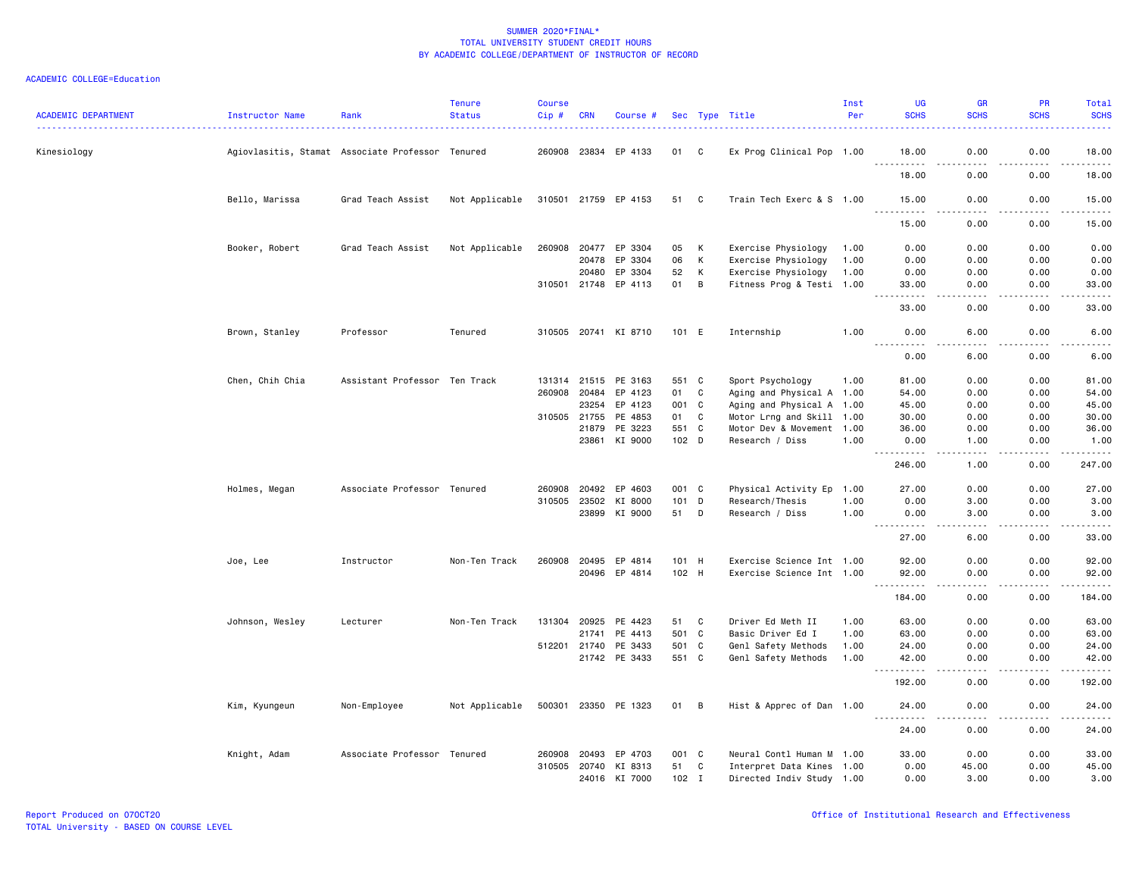| <b>ACADEMIC DEPARTMENT</b> | Instructor Name | Rank                                             | <b>Tenure</b><br><b>Status</b> | <b>Course</b><br>Cip# | <b>CRN</b>   | Course #             |         |              | Sec Type Title            | Inst<br>Per | <b>UG</b><br><b>SCHS</b>                                                                                                                                      | <b>GR</b><br><b>SCHS</b>                    | PR<br><b>SCHS</b>     | Total<br><b>SCHS</b>                        |
|----------------------------|-----------------|--------------------------------------------------|--------------------------------|-----------------------|--------------|----------------------|---------|--------------|---------------------------|-------------|---------------------------------------------------------------------------------------------------------------------------------------------------------------|---------------------------------------------|-----------------------|---------------------------------------------|
| Kinesiology                |                 | Agiovlasitis, Stamat Associate Professor Tenured |                                |                       |              | 260908 23834 EP 4133 | 01      | C            | Ex Prog Clinical Pop 1.00 |             | 18.00                                                                                                                                                         | 0.00                                        | 0.00                  | 18.00                                       |
|                            |                 |                                                  |                                |                       |              |                      |         |              |                           |             | <u>.</u><br>18.00                                                                                                                                             | $\frac{1}{2}$<br>0.00                       | .<br>0.00             | .<br>18.00                                  |
|                            | Bello, Marissa  | Grad Teach Assist                                | Not Applicable                 |                       |              | 310501 21759 EP 4153 | 51 C    |              | Train Tech Exerc & S 1.00 |             | 15.00                                                                                                                                                         | 0.00                                        | 0.00                  | 15.00                                       |
|                            |                 |                                                  |                                |                       |              |                      |         |              |                           |             | 15.00                                                                                                                                                         | $- - - -$<br>0.00                           | .<br>0.00             | .<br>15.00                                  |
|                            | Booker, Robert  | Grad Teach Assist                                | Not Applicable                 | 260908                | 20477        | EP 3304              | 05      | К            | Exercise Physiology       | 1.00        | 0.00                                                                                                                                                          | 0.00                                        | 0.00                  | 0.00                                        |
|                            |                 |                                                  |                                |                       | 20478        | EP 3304              | 06      | К            | Exercise Physiology       | 1.00        | 0.00                                                                                                                                                          | 0.00                                        | 0.00                  | 0.00                                        |
|                            |                 |                                                  |                                |                       | 20480        | EP 3304              | 52      | K            | Exercise Physiology       | 1.00        | 0.00                                                                                                                                                          | 0.00                                        | 0.00                  | 0.00                                        |
|                            |                 |                                                  |                                | 310501 21748          |              | EP 4113              | 01      | B            | Fitness Prog & Testi 1.00 |             | 33.00<br>$\frac{1}{2} \left( \frac{1}{2} \right) \left( \frac{1}{2} \right) \left( \frac{1}{2} \right) \left( \frac{1}{2} \right) \left( \frac{1}{2} \right)$ | 0.00<br>$\sim$ $\sim$ $\sim$                | 0.00<br>.             | 33.00<br>$\sim$ $\sim$ $\sim$ $\sim$ $\sim$ |
|                            |                 |                                                  |                                |                       |              |                      |         |              |                           |             | 33.00                                                                                                                                                         | 0.00                                        | 0.00                  | 33.00                                       |
|                            | Brown, Stanley  | Professor                                        | Tenured                        |                       |              | 310505 20741 KI 8710 | 101 E   |              | Internship                | 1.00        | 0.00                                                                                                                                                          | 6.00                                        | 0.00                  | 6.00                                        |
|                            |                 |                                                  |                                |                       |              |                      |         |              |                           |             | 0.00                                                                                                                                                          | 6.00                                        | 0.00                  | 6.00                                        |
|                            | Chen, Chih Chia | Assistant Professor Ten Track                    |                                |                       | 131314 21515 | PE 3163              | 551 C   |              | Sport Psychology          | 1.00        | 81.00                                                                                                                                                         | 0.00                                        | 0.00                  | 81.00                                       |
|                            |                 |                                                  |                                | 260908                | 20484        | EP 4123              | 01      | C            | Aging and Physical A 1.00 |             | 54.00                                                                                                                                                         | 0.00                                        | 0.00                  | 54.00                                       |
|                            |                 |                                                  |                                |                       | 23254        | EP 4123              | 001     | $\mathbf{C}$ | Aging and Physical A 1.00 |             | 45.00                                                                                                                                                         | 0.00                                        | 0.00                  | 45.00                                       |
|                            |                 |                                                  |                                | 310505 21755          |              | PE 4853              | 01      | C            | Motor Lrng and Skill 1.00 |             | 30.00                                                                                                                                                         | 0.00                                        | 0.00                  | 30.00                                       |
|                            |                 |                                                  |                                |                       | 21879        | PE 3223              | 551 C   |              | Motor Dev & Movement 1.00 |             | 36.00                                                                                                                                                         | 0.00                                        | 0.00                  | 36.00                                       |
|                            |                 |                                                  |                                |                       | 23861        | KI 9000              | $102$ D |              | Research / Diss           | 1.00        | 0.00<br>.                                                                                                                                                     | 1.00<br>$\omega$ $\omega$ $\omega$ $\omega$ | 0.00<br>.             | 1.00<br>.                                   |
|                            |                 |                                                  |                                |                       |              |                      |         |              |                           |             | 246.00                                                                                                                                                        | 1.00                                        | 0.00                  | 247.00                                      |
|                            | Holmes, Megan   | Associate Professor Tenured                      |                                | 260908                | 20492        | EP 4603              | 001 C   |              | Physical Activity Ep 1.00 |             | 27.00                                                                                                                                                         | 0.00                                        | 0.00                  | 27.00                                       |
|                            |                 |                                                  |                                | 310505                | 23502        | KI 8000              | 101 D   |              | Research/Thesis           | 1.00        | 0.00                                                                                                                                                          | 3.00                                        | 0.00                  | 3.00                                        |
|                            |                 |                                                  |                                |                       |              | 23899 KI 9000        | 51      | D            | Research / Diss           | 1.00        | 0.00<br><u>.</u>                                                                                                                                              | 3.00<br>.                                   | 0.00<br>.             | 3.00<br>.                                   |
|                            |                 |                                                  |                                |                       |              |                      |         |              |                           |             | 27.00                                                                                                                                                         | 6.00                                        | 0.00                  | 33.00                                       |
|                            | Joe, Lee        | Instructor                                       | Non-Ten Track                  | 260908                | 20495        | EP 4814              | 101 H   |              | Exercise Science Int 1.00 |             | 92.00                                                                                                                                                         | 0.00                                        | 0.00                  | 92.00                                       |
|                            |                 |                                                  |                                |                       | 20496        | EP 4814              | 102 H   |              | Exercise Science Int 1.00 |             | 92.00                                                                                                                                                         | 0.00                                        | 0.00                  | 92.00<br>.                                  |
|                            |                 |                                                  |                                |                       |              |                      |         |              |                           |             | 184.00                                                                                                                                                        | 0.00                                        | 0.00                  | 184.00                                      |
|                            | Johnson, Wesley | Lecturer                                         | Non-Ten Track                  | 131304                | 20925        | PE 4423              | 51      | C            | Driver Ed Meth II         | 1.00        | 63.00                                                                                                                                                         | 0.00                                        | 0.00                  | 63.00                                       |
|                            |                 |                                                  |                                |                       | 21741        | PE 4413              | 501 C   |              | Basic Driver Ed I         | 1.00        | 63.00                                                                                                                                                         | 0.00                                        | 0.00                  | 63.00                                       |
|                            |                 |                                                  |                                | 512201                | 21740        | PE 3433              | 501 C   |              | Genl Safety Methods       | 1.00        | 24.00                                                                                                                                                         | 0.00                                        | 0.00                  | 24.00                                       |
|                            |                 |                                                  |                                |                       |              | 21742 PE 3433        | 551 C   |              | Genl Safety Methods       | 1.00        | 42.00<br>$- - - - -$                                                                                                                                          | 0.00<br>$- - - -$                           | 0.00<br>$\frac{1}{2}$ | 42.00<br>.                                  |
|                            |                 |                                                  |                                |                       |              |                      |         |              |                           |             | 192.00                                                                                                                                                        | 0.00                                        | 0.00                  | 192.00                                      |
|                            | Kim, Kyungeun   | Non-Employee                                     | Not Applicable                 |                       |              | 500301 23350 PE 1323 | 01 B    |              | Hist & Apprec of Dan 1.00 |             | 24.00<br>.                                                                                                                                                    | 0.00<br>.                                   | 0.00<br>-----         | 24.00<br>.                                  |
|                            |                 |                                                  |                                |                       |              |                      |         |              |                           |             | 24.00                                                                                                                                                         | 0.00                                        | 0.00                  | 24.00                                       |
|                            | Knight, Adam    | Associate Professor Tenured                      |                                | 260908                | 20493        | EP 4703              | 001 C   |              | Neural Contl Human M 1.00 |             | 33.00                                                                                                                                                         | 0.00                                        | 0.00                  | 33.00                                       |
|                            |                 |                                                  |                                |                       |              | 310505 20740 KI 8313 | 51      | C            | Interpret Data Kines 1.00 |             | 0.00                                                                                                                                                          | 45.00                                       | 0.00                  | 45.00                                       |
|                            |                 |                                                  |                                |                       |              | 24016 KI 7000        | $102$ I |              | Directed Indiv Study 1.00 |             | 0.00                                                                                                                                                          | 3.00                                        | 0.00                  | 3.00                                        |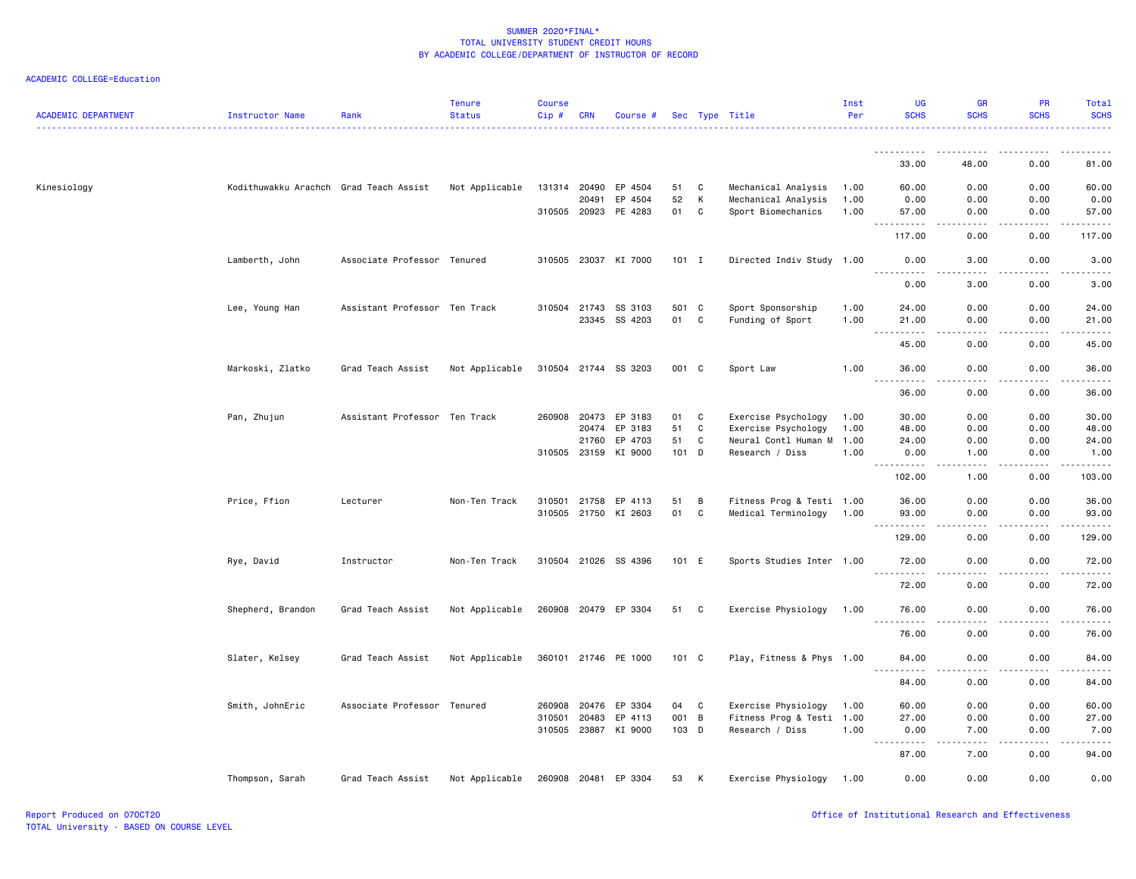|                            |                                        |                               | <b>Tenure</b>  | <b>Course</b> |              |                      |         |   |                           | Inst | <b>UG</b>                                                                                                                         | <b>GR</b>                    | <b>PR</b>                                                                                                                                                    | Total                  |
|----------------------------|----------------------------------------|-------------------------------|----------------|---------------|--------------|----------------------|---------|---|---------------------------|------|-----------------------------------------------------------------------------------------------------------------------------------|------------------------------|--------------------------------------------------------------------------------------------------------------------------------------------------------------|------------------------|
| <b>ACADEMIC DEPARTMENT</b> | Instructor Name                        | Rank                          | <b>Status</b>  | Cip#          | <b>CRN</b>   | Course #             |         |   | Sec Type Title            | Per  | <b>SCHS</b>                                                                                                                       | <b>SCHS</b>                  | <b>SCHS</b>                                                                                                                                                  | <b>SCHS</b>            |
|                            |                                        |                               |                |               |              |                      |         |   |                           |      | 33.00                                                                                                                             | 48.00                        | 0.00                                                                                                                                                         | 81.00                  |
| Kinesiology                | Kodithuwakku Arachch Grad Teach Assist |                               | Not Applicable |               | 131314 20490 | EP 4504              | 51      | C | Mechanical Analysis       | 1.00 | 60.00                                                                                                                             | 0.00                         | 0.00                                                                                                                                                         | 60.00                  |
|                            |                                        |                               |                |               | 20491        | EP 4504              | 52      | К | Mechanical Analysis       | 1.00 | 0.00                                                                                                                              | 0.00                         | 0.00                                                                                                                                                         | 0.00                   |
|                            |                                        |                               |                |               |              | 310505 20923 PE 4283 | 01      | C | Sport Biomechanics        | 1.00 | 57.00                                                                                                                             | 0.00                         | 0.00                                                                                                                                                         | 57.00                  |
|                            |                                        |                               |                |               |              |                      |         |   |                           |      | د د د د<br>117.00                                                                                                                 | 0.00                         | 0.00                                                                                                                                                         | 117.00                 |
|                            | Lamberth, John                         | Associate Professor Tenured   |                |               |              | 310505 23037 KI 7000 | $101$ I |   | Directed Indiv Study 1.00 |      | 0.00<br>----------                                                                                                                | 3.00                         | 0.00                                                                                                                                                         | 3.00                   |
|                            |                                        |                               |                |               |              |                      |         |   |                           |      | 0.00                                                                                                                              | 3.00                         | 0.00                                                                                                                                                         | 3.00                   |
|                            | Lee, Young Han                         | Assistant Professor Ten Track |                |               |              | 310504 21743 SS 3103 | 501 C   |   | Sport Sponsorship         | 1.00 | 24.00                                                                                                                             | 0.00                         | 0.00                                                                                                                                                         | 24.00                  |
|                            |                                        |                               |                |               |              | 23345 SS 4203        | 01      | C | Funding of Sport          | 1.00 | 21.00                                                                                                                             | 0.00                         | 0.00                                                                                                                                                         | 21.00                  |
|                            |                                        |                               |                |               |              |                      |         |   |                           |      | $\sim$ $\sim$ $\sim$<br>.<br>45.00                                                                                                | .<br>0.00                    | -----<br>0.00                                                                                                                                                | .<br>45.00             |
|                            | Markoski, Zlatko                       | Grad Teach Assist             | Not Applicable |               |              | 310504 21744 SS 3203 | 001 C   |   | Sport Law                 | 1.00 | 36.00                                                                                                                             | 0.00                         | 0.00                                                                                                                                                         | 36.00                  |
|                            |                                        |                               |                |               |              |                      |         |   |                           |      | .<br>36.00                                                                                                                        | 0.00                         | 0.00                                                                                                                                                         | $\frac{1}{2}$<br>36.00 |
|                            | Pan, Zhujun                            | Assistant Professor Ten Track |                |               |              | 260908 20473 EP 3183 | 01      | C | Exercise Psychology       | 1.00 | 30.00                                                                                                                             | 0.00                         | 0.00                                                                                                                                                         | 30.00                  |
|                            |                                        |                               |                |               | 20474        | EP 3183              | 51      | C | Exercise Psychology       | 1.00 | 48.00                                                                                                                             | 0.00                         | 0.00                                                                                                                                                         | 48.00                  |
|                            |                                        |                               |                |               | 21760        | EP 4703              | 51      | C | Neural Contl Human M      | 1.00 | 24.00                                                                                                                             | 0.00                         | 0.00                                                                                                                                                         | 24.00                  |
|                            |                                        |                               |                |               |              | 310505 23159 KI 9000 | 101 D   |   | Research / Diss           | 1.00 | 0.00                                                                                                                              | 1.00                         | 0.00                                                                                                                                                         | 1.00                   |
|                            |                                        |                               |                |               |              |                      |         |   |                           |      | <u>.</u><br>102.00                                                                                                                | 1.00                         | 0.00                                                                                                                                                         | 103.00                 |
|                            | Price, Ffion                           | Lecturer                      | Non-Ten Track  |               | 310501 21758 | EP 4113              | 51      | В | Fitness Prog & Testi 1.00 |      | 36.00                                                                                                                             | 0.00                         | 0.00                                                                                                                                                         | 36.00                  |
|                            |                                        |                               |                |               |              | 310505 21750 KI 2603 | 01      | C | Medical Terminology       | 1.00 | 93.00                                                                                                                             | 0.00                         | 0.00                                                                                                                                                         | 93.00                  |
|                            |                                        |                               |                |               |              |                      |         |   |                           |      | ----------<br>129.00                                                                                                              | .<br>0.00                    | $\frac{1}{2} \left( \frac{1}{2} \right) \left( \frac{1}{2} \right) \left( \frac{1}{2} \right) \left( \frac{1}{2} \right) \left( \frac{1}{2} \right)$<br>0.00 | ------<br>129.00       |
|                            | Rye, David                             | Instructor                    | Non-Ten Track  |               |              | 310504 21026 SS 4396 | 101 E   |   | Sports Studies Inter 1.00 |      | 72.00                                                                                                                             | 0.00<br>$\sim$ $\sim$ $\sim$ | 0.00<br>-----                                                                                                                                                | 72.00<br>.             |
|                            |                                        |                               |                |               |              |                      |         |   |                           |      | 72.00                                                                                                                             | 0.00                         | 0.00                                                                                                                                                         | 72.00                  |
|                            | Shepherd, Brandon                      | Grad Teach Assist             | Not Applicable |               |              | 260908 20479 EP 3304 | 51 C    |   | Exercise Physiology       | 1.00 | 76.00<br>.                                                                                                                        | 0.00                         | 0.00                                                                                                                                                         | 76.00                  |
|                            |                                        |                               |                |               |              |                      |         |   |                           |      | 76.00                                                                                                                             | 0.00                         | 0.00                                                                                                                                                         | 76.00                  |
|                            | Slater, Kelsey                         | Grad Teach Assist             | Not Applicable |               |              | 360101 21746 PE 1000 | 101 C   |   | Play, Fitness & Phys 1.00 |      | 84.00                                                                                                                             | 0.00                         | 0.00                                                                                                                                                         | 84.00                  |
|                            |                                        |                               |                |               |              |                      |         |   |                           |      | 84.00                                                                                                                             | 0.00                         | 0.00                                                                                                                                                         | 84.00                  |
|                            | Smith, JohnEric                        | Associate Professor Tenured   |                |               | 260908 20476 | EP 3304              | 04      | C | Exercise Physiology       | 1.00 | 60.00                                                                                                                             | 0.00                         | 0.00                                                                                                                                                         | 60.00                  |
|                            |                                        |                               |                |               | 310501 20483 | EP 4113              | 001 B   |   | Fitness Prog & Testi 1.00 |      | 27.00                                                                                                                             | 0.00                         | 0.00                                                                                                                                                         | 27.00                  |
|                            |                                        |                               |                |               |              | 310505 23887 KI 9000 | 103 D   |   | Research / Diss           | 1.00 | 0.00<br>$\frac{1}{2} \left( \frac{1}{2} \right) \left( \frac{1}{2} \right) \left( \frac{1}{2} \right) \left( \frac{1}{2} \right)$ | 7.00                         | 0.00                                                                                                                                                         | 7.00                   |
|                            |                                        |                               |                |               |              |                      |         |   |                           |      | 87.00                                                                                                                             | 7.00                         | 0.00                                                                                                                                                         | 94.00                  |
|                            | Thompson, Sarah                        | Grad Teach Assist             | Not Applicable |               |              | 260908 20481 EP 3304 | 53      | K | Exercise Physiology 1.00  |      | 0.00                                                                                                                              | 0.00                         | 0.00                                                                                                                                                         | 0.00                   |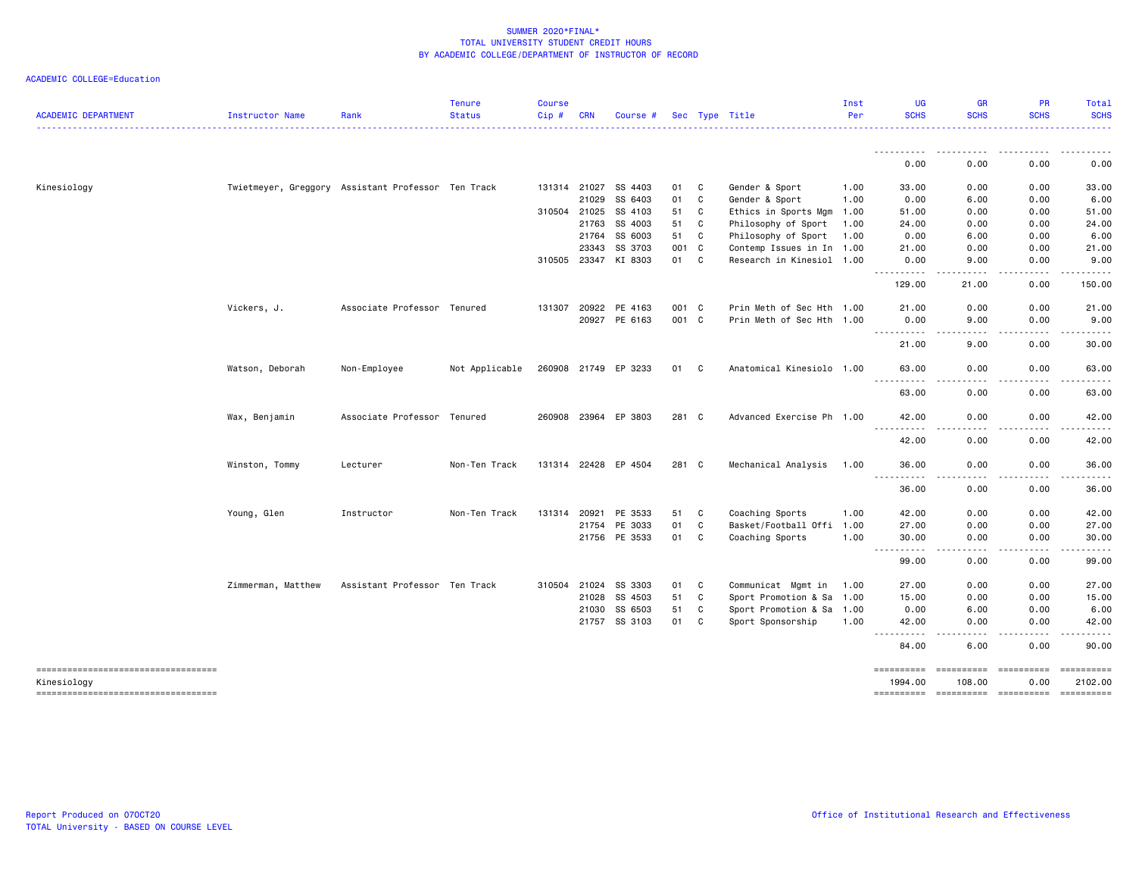| <b>ACADEMIC DEPARTMENT</b>                           | Instructor Name    | Rank                                               | <b>Tenure</b><br><b>Status</b> | Course<br>Cip# | <b>CRN</b>   | Course #             |       |              | Sec Type Title            | Inst<br>Per | <b>UG</b><br><b>SCHS</b>                                                                                                                                                              | <b>GR</b><br><b>SCHS</b>                                                                                                          | PR<br><b>SCHS</b> | Total<br><b>SCHS</b>                                                                                                                                                                                                                                                                                                                                                                                                                                                                                 |
|------------------------------------------------------|--------------------|----------------------------------------------------|--------------------------------|----------------|--------------|----------------------|-------|--------------|---------------------------|-------------|---------------------------------------------------------------------------------------------------------------------------------------------------------------------------------------|-----------------------------------------------------------------------------------------------------------------------------------|-------------------|------------------------------------------------------------------------------------------------------------------------------------------------------------------------------------------------------------------------------------------------------------------------------------------------------------------------------------------------------------------------------------------------------------------------------------------------------------------------------------------------------|
|                                                      |                    |                                                    |                                |                |              |                      |       |              |                           |             | <u>.</u>                                                                                                                                                                              |                                                                                                                                   |                   | .                                                                                                                                                                                                                                                                                                                                                                                                                                                                                                    |
|                                                      |                    |                                                    |                                |                |              |                      |       |              |                           |             | 0.00                                                                                                                                                                                  | 0.00                                                                                                                              | 0.00              | 0.00                                                                                                                                                                                                                                                                                                                                                                                                                                                                                                 |
| Kinesiology                                          |                    | Twietmeyer, Greggory Assistant Professor Ten Track |                                |                | 131314 21027 | SS 4403              | 01    | C            | Gender & Sport            | 1.00        | 33.00                                                                                                                                                                                 | 0.00                                                                                                                              | 0.00              | 33.00                                                                                                                                                                                                                                                                                                                                                                                                                                                                                                |
|                                                      |                    |                                                    |                                |                | 21029        | SS 6403              | 01    | C            | Gender & Sport            | 1.00        | 0.00                                                                                                                                                                                  | 6.00                                                                                                                              | 0.00              | 6.00                                                                                                                                                                                                                                                                                                                                                                                                                                                                                                 |
|                                                      |                    |                                                    |                                |                | 310504 21025 | SS 4103              | 51    | C            | Ethics in Sports Mgm      | 1.00        | 51.00                                                                                                                                                                                 | 0.00                                                                                                                              | 0.00              | 51.00                                                                                                                                                                                                                                                                                                                                                                                                                                                                                                |
|                                                      |                    |                                                    |                                |                | 21763        | SS 4003              | 51    | C            | Philosophy of Sport       | 1.00        | 24.00                                                                                                                                                                                 | 0.00                                                                                                                              | 0.00              | 24.00                                                                                                                                                                                                                                                                                                                                                                                                                                                                                                |
|                                                      |                    |                                                    |                                |                | 21764        | SS 6003              | 51    | C            | Philosophy of Sport       | 1.00        | 0.00                                                                                                                                                                                  | 6.00                                                                                                                              | 0.00              | 6.00                                                                                                                                                                                                                                                                                                                                                                                                                                                                                                 |
|                                                      |                    |                                                    |                                |                | 23343        | SS 3703              | 001   | $\mathbf{C}$ | Contemp Issues in In 1.00 |             | 21.00                                                                                                                                                                                 | 0.00                                                                                                                              | 0.00              | 21.00                                                                                                                                                                                                                                                                                                                                                                                                                                                                                                |
|                                                      |                    |                                                    |                                |                | 310505 23347 | KI 8303              | 01    | C            | Research in Kinesiol 1.00 |             | 0.00                                                                                                                                                                                  | 9.00                                                                                                                              | 0.00              | 9.00                                                                                                                                                                                                                                                                                                                                                                                                                                                                                                 |
|                                                      |                    |                                                    |                                |                |              |                      |       |              |                           |             | ----------<br>129.00                                                                                                                                                                  | .<br>21.00                                                                                                                        | -----<br>0.00     | 150.00                                                                                                                                                                                                                                                                                                                                                                                                                                                                                               |
|                                                      | Vickers, J.        | Associate Professor Tenured                        |                                | 131307         | 20922        | PE 4163              | 001 C |              | Prin Meth of Sec Hth 1.00 |             | 21.00                                                                                                                                                                                 | 0.00                                                                                                                              | 0.00              | 21.00                                                                                                                                                                                                                                                                                                                                                                                                                                                                                                |
|                                                      |                    |                                                    |                                |                |              | 20927 PE 6163        | 001 C |              | Prin Meth of Sec Hth 1.00 |             | 0.00<br>$\frac{1}{2}$<br>.                                                                                                                                                            | 9.00                                                                                                                              | 0.00              | 9.00                                                                                                                                                                                                                                                                                                                                                                                                                                                                                                 |
|                                                      |                    |                                                    |                                |                |              |                      |       |              |                           |             | 21.00                                                                                                                                                                                 | 9.00                                                                                                                              | 0.00              | 30.00                                                                                                                                                                                                                                                                                                                                                                                                                                                                                                |
|                                                      | Watson, Deborah    | Non-Employee                                       | Not Applicable                 |                |              | 260908 21749 EP 3233 | 01    | C.           | Anatomical Kinesiolo 1.00 |             | 63,00<br>$\frac{1}{2} \left( \frac{1}{2} \right) \left( \frac{1}{2} \right) \left( \frac{1}{2} \right) \left( \frac{1}{2} \right) \left( \frac{1}{2} \right)$<br>$\sim$ $\sim$ $\sim$ | 0.00                                                                                                                              | 0.00              | 63.00                                                                                                                                                                                                                                                                                                                                                                                                                                                                                                |
|                                                      |                    |                                                    |                                |                |              |                      |       |              |                           |             | 63.00                                                                                                                                                                                 | 0.00                                                                                                                              | 0.00              | 63.00                                                                                                                                                                                                                                                                                                                                                                                                                                                                                                |
|                                                      | Wax, Benjamin      | Associate Professor Tenured                        |                                |                | 260908 23964 | EP 3803              | 281 C |              | Advanced Exercise Ph 1.00 |             | 42.00<br><u>.</u>                                                                                                                                                                     | 0.00                                                                                                                              | 0.00              | 42.00                                                                                                                                                                                                                                                                                                                                                                                                                                                                                                |
|                                                      |                    |                                                    |                                |                |              |                      |       |              |                           |             | 42.00                                                                                                                                                                                 | 0.00                                                                                                                              | 0.00              | 42.00                                                                                                                                                                                                                                                                                                                                                                                                                                                                                                |
|                                                      | Winston, Tommy     | Lecturer                                           | Non-Ten Track                  |                |              | 131314 22428 EP 4504 | 281 C |              | Mechanical Analysis       | 1.00        | 36.00<br><u>.</u>                                                                                                                                                                     | 0.00                                                                                                                              | 0.00              | 36.00<br>.                                                                                                                                                                                                                                                                                                                                                                                                                                                                                           |
|                                                      |                    |                                                    |                                |                |              |                      |       |              |                           |             | 36.00                                                                                                                                                                                 | 0.00                                                                                                                              | 0.00              | 36.00                                                                                                                                                                                                                                                                                                                                                                                                                                                                                                |
|                                                      | Young, Glen        | Instructor                                         | Non-Ten Track                  | 131314         | 20921        | PE 3533              | 51    | C            | Coaching Sports           | 1.00        | 42.00                                                                                                                                                                                 | 0.00                                                                                                                              | 0.00              | 42.00                                                                                                                                                                                                                                                                                                                                                                                                                                                                                                |
|                                                      |                    |                                                    |                                |                | 21754        | PE 3033              | 01    | C            | Basket/Football Offi 1.00 |             | 27.00                                                                                                                                                                                 | 0.00                                                                                                                              | 0.00              | 27.00                                                                                                                                                                                                                                                                                                                                                                                                                                                                                                |
|                                                      |                    |                                                    |                                |                |              | 21756 PE 3533        | 01    | C            | Coaching Sports           | 1.00        | 30.00<br>.                                                                                                                                                                            | 0.00<br>.                                                                                                                         | 0.00<br>-----     | 30.00                                                                                                                                                                                                                                                                                                                                                                                                                                                                                                |
|                                                      |                    |                                                    |                                |                |              |                      |       |              |                           |             | 99.00                                                                                                                                                                                 | 0.00                                                                                                                              | 0.00              | 99.00                                                                                                                                                                                                                                                                                                                                                                                                                                                                                                |
|                                                      | Zimmerman, Matthew | Assistant Professor Ten Track                      |                                | 310504         | 21024        | SS 3303              | 01    | C            | Communicat Mgmt in        | 1.00        | 27.00                                                                                                                                                                                 | 0.00                                                                                                                              | 0.00              | 27.00                                                                                                                                                                                                                                                                                                                                                                                                                                                                                                |
|                                                      |                    |                                                    |                                |                | 21028        | SS 4503              | 51    | C            | Sport Promotion & Sa 1.00 |             | 15.00                                                                                                                                                                                 | 0.00                                                                                                                              | 0.00              | 15.00                                                                                                                                                                                                                                                                                                                                                                                                                                                                                                |
|                                                      |                    |                                                    |                                |                | 21030        | SS 6503              | 51    | C            | Sport Promotion & Sa 1.00 |             | 0.00                                                                                                                                                                                  | 6.00                                                                                                                              | 0.00              | 6.00                                                                                                                                                                                                                                                                                                                                                                                                                                                                                                 |
|                                                      |                    |                                                    |                                |                |              | 21757 SS 3103        | 01    | C            | Sport Sponsorship         | 1.00        | 42.00                                                                                                                                                                                 | 0.00                                                                                                                              | 0.00              | 42.00                                                                                                                                                                                                                                                                                                                                                                                                                                                                                                |
|                                                      |                    |                                                    |                                |                |              |                      |       |              |                           |             | .<br>$\frac{1}{2} \left( \frac{1}{2} \right) \left( \frac{1}{2} \right) \left( \frac{1}{2} \right) \left( \frac{1}{2} \right)$<br>84.00                                               | $\frac{1}{2} \left( \frac{1}{2} \right) \left( \frac{1}{2} \right) \left( \frac{1}{2} \right) \left( \frac{1}{2} \right)$<br>6.00 | .<br>0.00         | 90.00                                                                                                                                                                                                                                                                                                                                                                                                                                                                                                |
| =====================================<br>Kinesiology |                    |                                                    |                                |                |              |                      |       |              |                           |             | ==========<br>1994.00                                                                                                                                                                 | ======================<br>108,00                                                                                                  | 0.00              | $\begin{minipage}{0.03\linewidth} \begin{tabular}{l} \multicolumn{2}{l}{} & \multicolumn{2}{l}{} & \multicolumn{2}{l}{} \\ \multicolumn{2}{l}{} & \multicolumn{2}{l}{} & \multicolumn{2}{l}{} \\ \multicolumn{2}{l}{} & \multicolumn{2}{l}{} & \multicolumn{2}{l}{} \\ \multicolumn{2}{l}{} & \multicolumn{2}{l}{} & \multicolumn{2}{l}{} \\ \multicolumn{2}{l}{} & \multicolumn{2}{l}{} & \multicolumn{2}{l}{} \\ \multicolumn{2}{l}{} & \multicolumn{2}{l}{} & \multicolumn{2}{l}{} \\$<br>2102.00 |
| -----------------------------------                  |                    |                                                    |                                |                |              |                      |       |              |                           |             | ==========                                                                                                                                                                            | $-$ =======================                                                                                                       |                   |                                                                                                                                                                                                                                                                                                                                                                                                                                                                                                      |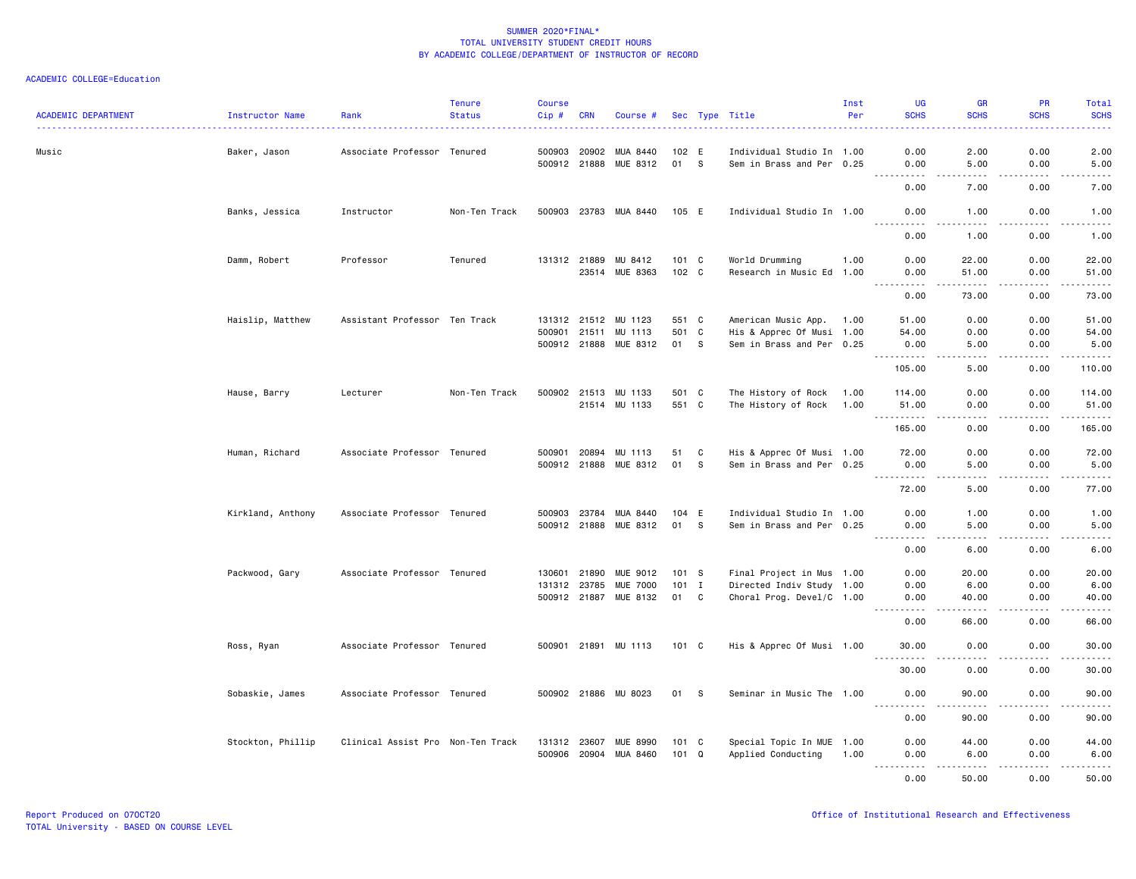| <b>ACADEMIC DEPARTMENT</b> | <b>Instructor Name</b> | Rank                              | <b>Tenure</b><br><b>Status</b> | <b>Course</b><br>$Cip$ #     | <b>CRN</b> | Course #                                 |               |          | Sec Type Title                                         | Inst<br>Per | <b>UG</b><br><b>SCHS</b>                                                                                                                                     | <b>GR</b><br><b>SCHS</b> | <b>PR</b><br><b>SCHS</b> | Total<br><b>SCHS</b><br>.                                                                                                                                    |
|----------------------------|------------------------|-----------------------------------|--------------------------------|------------------------------|------------|------------------------------------------|---------------|----------|--------------------------------------------------------|-------------|--------------------------------------------------------------------------------------------------------------------------------------------------------------|--------------------------|--------------------------|--------------------------------------------------------------------------------------------------------------------------------------------------------------|
| Music                      | Baker, Jason           | Associate Professor               | Tenured                        | 500903                       | 20902      | MUA 8440                                 | 102 E         |          | Individual Studio In 1.00                              |             | 0.00                                                                                                                                                         | 2.00                     | 0.00                     | 2.00                                                                                                                                                         |
|                            |                        |                                   |                                |                              |            | 500912 21888 MUE 8312                    | 01 S          |          | Sem in Brass and Per 0.25                              |             | 0.00<br>.                                                                                                                                                    | 5.00<br>.                | 0.00<br>.                | 5.00<br>$\frac{1}{2} \left( \frac{1}{2} \right) \left( \frac{1}{2} \right) \left( \frac{1}{2} \right) \left( \frac{1}{2} \right) \left( \frac{1}{2} \right)$ |
|                            |                        |                                   |                                |                              |            |                                          |               |          |                                                        |             | 0.00                                                                                                                                                         | 7.00                     | 0.00                     | 7.00                                                                                                                                                         |
|                            | Banks, Jessica         | Instructor                        | Non-Ten Track                  |                              |            | 500903 23783 MUA 8440                    | 105 E         |          | Individual Studio In 1.00                              |             | 0.00<br>$\frac{1}{2}$                                                                                                                                        | 1.00<br>.                | 0.00<br>.                | 1.00<br>.                                                                                                                                                    |
|                            |                        |                                   |                                |                              |            |                                          |               |          |                                                        |             | 0.00                                                                                                                                                         | 1.00                     | 0.00                     | 1.00                                                                                                                                                         |
|                            | Damm, Robert           | Professor                         | Tenured                        |                              |            | 131312 21889 MU 8412                     | 101 C         |          | World Drumming                                         | 1.00        | 0.00                                                                                                                                                         | 22.00                    | 0.00                     | 22.00                                                                                                                                                        |
|                            |                        |                                   |                                |                              |            | 23514 MUE 8363                           | 102 C         |          | Research in Music Ed 1.00                              |             | 0.00<br>.                                                                                                                                                    | 51.00<br>$- - - - -$     | 0.00<br>.                | 51.00<br>.                                                                                                                                                   |
|                            |                        |                                   |                                |                              |            |                                          |               |          |                                                        |             | 0.00                                                                                                                                                         | 73.00                    | 0.00                     | 73.00                                                                                                                                                        |
|                            | Haislip, Matthew       | Assistant Professor Ten Track     |                                | 131312 21512                 |            | MU 1123                                  | 551 C         |          | American Music App.                                    | 1.00        | 51.00                                                                                                                                                        | 0.00                     | 0.00                     | 51.00                                                                                                                                                        |
|                            |                        |                                   |                                | 500901 21511                 |            | MU 1113                                  | 501 C         |          | His & Apprec Of Musi 1.00                              |             | 54.00                                                                                                                                                        | 0.00                     | 0.00                     | 54.00                                                                                                                                                        |
|                            |                        |                                   |                                |                              |            | 500912 21888 MUE 8312                    | 01            | <b>S</b> | Sem in Brass and Per 0.25                              |             | 0.00<br>$\begin{array}{cccccccccccccc} \bullet & \bullet & \bullet & \bullet & \bullet & \bullet & \bullet & \bullet \end{array}$                            | 5.00<br>.                | 0.00<br>.                | 5.00<br>.                                                                                                                                                    |
|                            |                        |                                   |                                |                              |            |                                          |               |          |                                                        |             | 105.00                                                                                                                                                       | 5.00                     | 0.00                     | 110.00                                                                                                                                                       |
|                            | Hause, Barry           | Lecturer                          | Non-Ten Track                  |                              |            | 500902 21513 MU 1133                     | 501 C         |          | The History of Rock                                    | 1.00        | 114.00                                                                                                                                                       | 0.00                     | 0.00                     | 114.00                                                                                                                                                       |
|                            |                        |                                   |                                |                              |            | 21514 MU 1133                            | 551 C         |          | The History of Rock                                    | 1.00        | 51.00                                                                                                                                                        | 0.00                     | 0.00                     | 51.00                                                                                                                                                        |
|                            |                        |                                   |                                |                              |            |                                          |               |          |                                                        |             | .<br>165.00                                                                                                                                                  | .<br>0.00                | .<br>0.00                | .<br>165.00                                                                                                                                                  |
|                            | Human, Richard         | Associate Professor Tenured       |                                | 500901                       | 20894      | MU 1113                                  | 51            | C        | His & Apprec Of Musi 1.00                              |             | 72.00                                                                                                                                                        | 0.00                     | 0.00                     | 72.00                                                                                                                                                        |
|                            |                        |                                   |                                |                              |            | 500912 21888 MUE 8312                    | 01            | -S       | Sem in Brass and Per 0.25                              |             | 0.00                                                                                                                                                         | 5.00                     | 0.00                     | 5.00                                                                                                                                                         |
|                            |                        |                                   |                                |                              |            |                                          |               |          |                                                        |             | <u>.</u><br>72.00                                                                                                                                            | .<br>5.00                | .<br>0.00                | .<br>77.00                                                                                                                                                   |
|                            |                        |                                   |                                |                              |            |                                          |               |          |                                                        |             |                                                                                                                                                              |                          |                          |                                                                                                                                                              |
|                            | Kirkland, Anthony      | Associate Professor Tenured       |                                | 500903 23784<br>500912 21888 |            | MUA 8440<br>MUE 8312                     | 104 E<br>01   | -S       | Individual Studio In 1.00<br>Sem in Brass and Per 0.25 |             | 0.00<br>0.00                                                                                                                                                 | 1.00<br>5.00             | 0.00<br>0.00             | 1.00<br>5.00                                                                                                                                                 |
|                            |                        |                                   |                                |                              |            |                                          |               |          |                                                        |             | .                                                                                                                                                            | .                        | .                        | .                                                                                                                                                            |
|                            |                        |                                   |                                |                              |            |                                          |               |          |                                                        |             | 0.00                                                                                                                                                         | 6.00                     | 0.00                     | 6.00                                                                                                                                                         |
|                            | Packwood, Gary         | Associate Professor Tenured       |                                | 130601 21890                 |            | MUE 9012                                 | 101 S         |          | Final Project in Mus 1.00                              |             | 0.00                                                                                                                                                         | 20.00                    | 0.00                     | 20.00                                                                                                                                                        |
|                            |                        |                                   |                                | 131312 23785                 |            | <b>MUE 7000</b><br>500912 21887 MUE 8132 | $101$ I<br>01 | C        | Directed Indiv Study 1.00<br>Choral Prog. Devel/C 1.00 |             | 0.00<br>0.00                                                                                                                                                 | 6.00<br>40.00            | 0.00<br>0.00             | 6.00<br>40.00                                                                                                                                                |
|                            |                        |                                   |                                |                              |            |                                          |               |          |                                                        |             | <u>.</u>                                                                                                                                                     | $\omega$ is a set of     | .                        | .                                                                                                                                                            |
|                            |                        |                                   |                                |                              |            |                                          |               |          |                                                        |             | 0.00                                                                                                                                                         | 66.00                    | 0.00                     | 66.00                                                                                                                                                        |
|                            | Ross, Ryan             | Associate Professor Tenured       |                                | 500901 21891                 |            | MU 1113                                  | 101 C         |          | His & Apprec Of Musi 1.00                              |             | 30.00                                                                                                                                                        | 0.00                     | 0.00                     | 30.00<br>$\frac{1}{2}$                                                                                                                                       |
|                            |                        |                                   |                                |                              |            |                                          |               |          |                                                        |             | 30.00                                                                                                                                                        | 0.00                     | 0.00                     | 30.00                                                                                                                                                        |
|                            | Sobaskie, James        | Associate Professor Tenured       |                                |                              |            | 500902 21886 MU 8023                     | 01            | - S      | Seminar in Music The 1.00                              |             | 0.00<br>$\frac{1}{2} \left( \frac{1}{2} \right) \left( \frac{1}{2} \right) \left( \frac{1}{2} \right) \left( \frac{1}{2} \right) \left( \frac{1}{2} \right)$ | 90.00                    | 0.00                     | 90.00<br>.                                                                                                                                                   |
|                            |                        |                                   |                                |                              |            |                                          |               |          |                                                        |             | 0.00                                                                                                                                                         | 90.00                    | 0.00                     | 90.00                                                                                                                                                        |
|                            | Stockton, Phillip      | Clinical Assist Pro Non-Ten Track |                                | 131312 23607                 |            | MUE 8990                                 | 101 C         |          | Special Topic In MUE 1.00                              |             | 0.00                                                                                                                                                         | 44.00                    | 0.00                     | 44.00                                                                                                                                                        |
|                            |                        |                                   |                                |                              |            | 500906 20904 MUA 8460                    | $101 \quad Q$ |          | Applied Conducting                                     | 1.00        | 0.00                                                                                                                                                         | 6.00                     | 0.00                     | 6.00                                                                                                                                                         |
|                            |                        |                                   |                                |                              |            |                                          |               |          |                                                        |             | .<br>----                                                                                                                                                    | .                        | .                        | .                                                                                                                                                            |
|                            |                        |                                   |                                |                              |            |                                          |               |          |                                                        |             | 0.00                                                                                                                                                         | 50.00                    | 0.00                     | 50.00                                                                                                                                                        |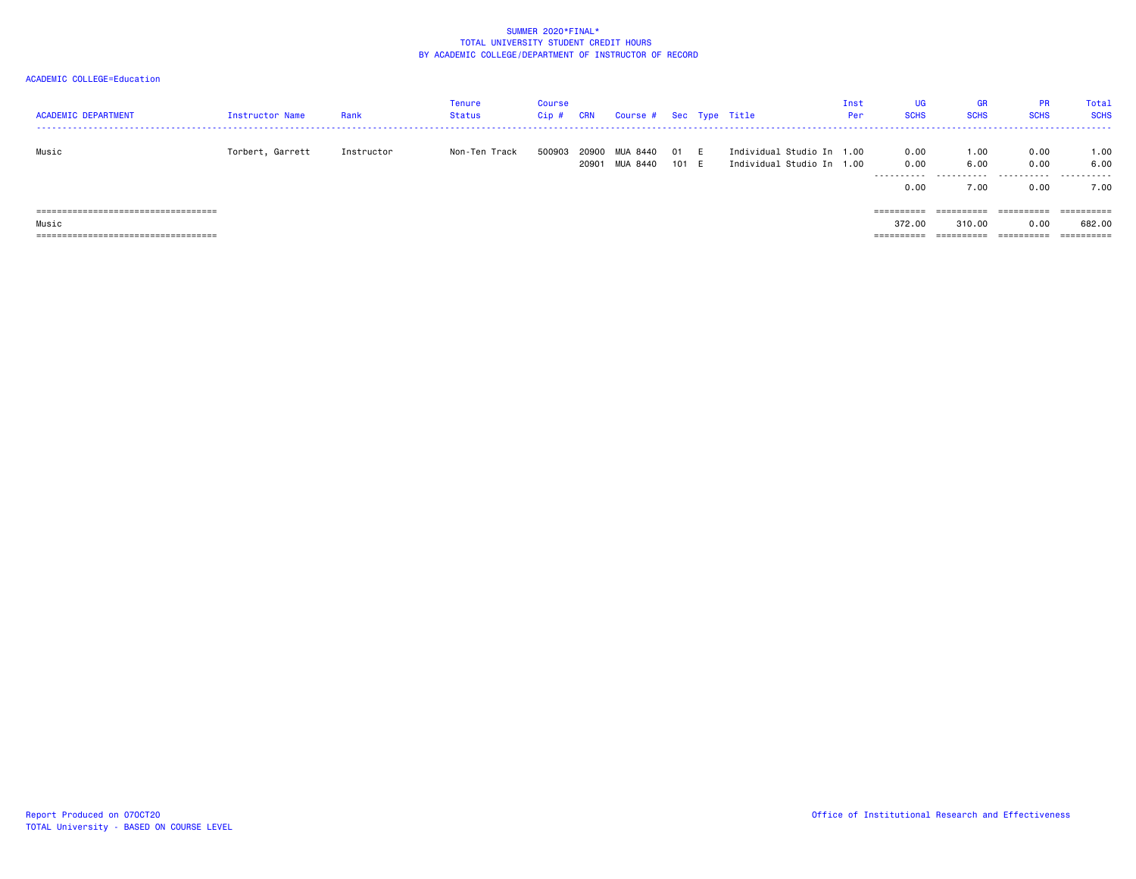| <b>ACADEMIC DEPARTMENT</b>                                                              | Instructor Name  | Rank       | Tenure<br><b>Status</b> | <b>Course</b><br>Cip # | CRN            | Course # Sec Type Title |               |                                                        | Inst<br>Per | UG<br>GR<br><b>SCHS</b><br><b>SCHS</b>                  | <b>PR</b><br><b>SCHS</b> | Tota]<br><b>SCHS</b>            |
|-----------------------------------------------------------------------------------------|------------------|------------|-------------------------|------------------------|----------------|-------------------------|---------------|--------------------------------------------------------|-------------|---------------------------------------------------------|--------------------------|---------------------------------|
| Music                                                                                   | Torbert, Garrett | Instructor | Non-Ten Track           | 500903                 | 20900<br>20901 | MUA 8440<br>MUA 8440    | 01 E<br>101 E | Individual Studio In 1.00<br>Individual Studio In 1.00 | .           | 0.00<br>1.00<br>0.00<br>6.00<br>.<br>0.00<br>7.00       | 0.00<br>0.00<br>0.00     | 1.00<br>6.00<br>7.00            |
| =====================================<br>Music<br>===================================== |                  |            |                         |                        |                |                         |               |                                                        | ==========  | $=$ = = = = = = = = =<br>310,00<br>372.00<br>========== | 0.00<br>==========       | 682,00<br>$=$ = = = = = = = = = |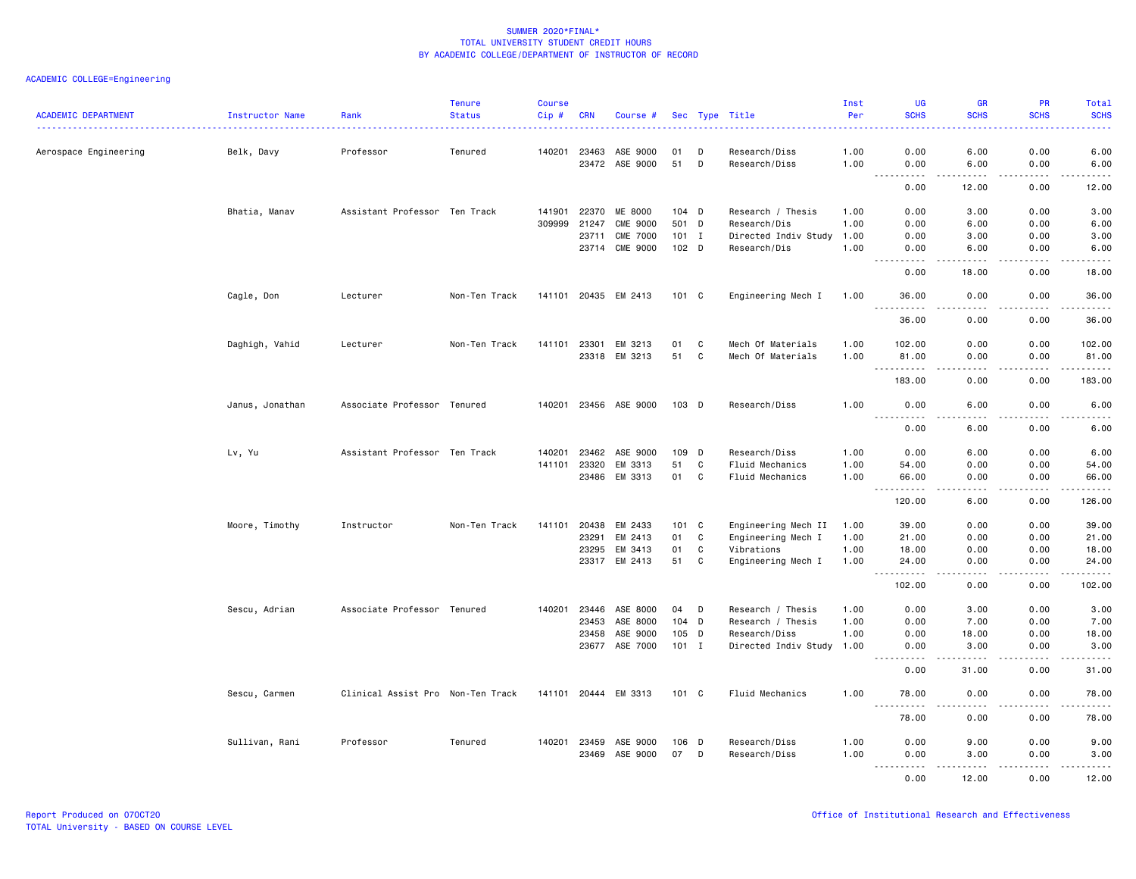| <b>ACADEMIC DEPARTMENT</b> | Instructor Name | Rank                              | <b>Tenure</b><br><b>Status</b> | <b>Course</b><br>Cip# | <b>CRN</b>   | Course #              |               |             | Sec Type Title            | Inst<br>Per | UG<br><b>SCHS</b>                                                                                                                                                                    | <b>GR</b><br><b>SCHS</b>                                                                                                          | <b>PR</b><br><b>SCHS</b> | Total<br><b>SCHS</b>                       |
|----------------------------|-----------------|-----------------------------------|--------------------------------|-----------------------|--------------|-----------------------|---------------|-------------|---------------------------|-------------|--------------------------------------------------------------------------------------------------------------------------------------------------------------------------------------|-----------------------------------------------------------------------------------------------------------------------------------|--------------------------|--------------------------------------------|
|                            |                 |                                   |                                |                       |              |                       |               |             |                           |             |                                                                                                                                                                                      |                                                                                                                                   |                          |                                            |
| Aerospace Engineering      | Belk, Davy      | Professor                         | Tenured                        | 140201                | 23463        | ASE 9000              | 01            | D           | Research/Diss             | 1.00        | 0.00                                                                                                                                                                                 | 6.00                                                                                                                              | 0.00                     | 6.00                                       |
|                            |                 |                                   |                                |                       |              | 23472 ASE 9000        | 51 D          |             | Research/Diss             | 1.00        | 0.00<br>$\sim$ $\sim$ .<br>$- - - -$                                                                                                                                                 | 6.00<br><u>.</u>                                                                                                                  | 0.00<br>.                | 6.00<br>. <u>.</u> .                       |
|                            |                 |                                   |                                |                       |              |                       |               |             |                           |             | 0.00                                                                                                                                                                                 | 12.00                                                                                                                             | 0.00                     | 12.00                                      |
|                            | Bhatia, Manav   | Assistant Professor Ten Track     |                                | 141901                | 22370        | <b>ME 8000</b>        | 104 D         |             | Research / Thesis         | 1.00        | 0.00                                                                                                                                                                                 | 3.00                                                                                                                              | 0.00                     | 3.00                                       |
|                            |                 |                                   |                                | 309999                | 21247        | <b>CME 9000</b>       | 501 D         |             | Research/Dis              | 1.00        | 0.00                                                                                                                                                                                 | 6.00                                                                                                                              | 0.00                     | 6.00                                       |
|                            |                 |                                   |                                |                       | 23711        | <b>CME 7000</b>       | $101$ I       |             | Directed Indiv Study      | 1.00        | 0.00                                                                                                                                                                                 | 3.00                                                                                                                              | 0.00                     | 3.00                                       |
|                            |                 |                                   |                                |                       |              | 23714 CME 9000        | 102 D         |             | Research/Dis              | 1.00        | 0.00                                                                                                                                                                                 | 6.00                                                                                                                              | 0.00                     | 6.00                                       |
|                            |                 |                                   |                                |                       |              |                       |               |             |                           |             | $\frac{1}{2} \left( \frac{1}{2} \right) \left( \frac{1}{2} \right) \left( \frac{1}{2} \right) \left( \frac{1}{2} \right) \left( \frac{1}{2} \right)$<br>$\sim$ $\sim$ $\sim$<br>0.00 | .<br>18.00                                                                                                                        | .<br>0.00                | د د د د د<br>18.00                         |
|                            | Cagle, Don      | Lecturer                          | Non-Ten Track                  |                       |              | 141101 20435 EM 2413  | $101 \quad C$ |             | Engineering Mech I        | 1.00        | 36.00                                                                                                                                                                                | 0.00                                                                                                                              | 0.00                     | 36.00                                      |
|                            |                 |                                   |                                |                       |              |                       |               |             |                           |             | 36.00                                                                                                                                                                                | 0.00                                                                                                                              | 0.00                     | 36.00                                      |
|                            | Daghigh, Vahid  | Lecturer                          | Non-Ten Track                  | 141101                | 23301        | EM 3213               | 01            | C           | Mech Of Materials         | 1.00        | 102.00                                                                                                                                                                               | 0.00                                                                                                                              | 0.00                     | 102.00                                     |
|                            |                 |                                   |                                |                       |              | 23318 EM 3213         | 51            | C           | Mech Of Materials         | 1.00        | 81.00                                                                                                                                                                                | 0.00                                                                                                                              | 0.00                     | 81.00                                      |
|                            |                 |                                   |                                |                       |              |                       |               |             |                           |             | .<br>$\sim$ $\sim$ $\sim$<br>183.00                                                                                                                                                  | $\frac{1}{2} \left( \frac{1}{2} \right) \left( \frac{1}{2} \right) \left( \frac{1}{2} \right) \left( \frac{1}{2} \right)$<br>0.00 | .<br>0.00                | .<br>183.00                                |
|                            | Janus, Jonathan | Associate Professor Tenured       |                                |                       |              | 140201 23456 ASE 9000 | 103 D         |             | Research/Diss             | 1.00        | 0.00<br>$\frac{1}{2} \left( \frac{1}{2} \right) \left( \frac{1}{2} \right) \left( \frac{1}{2} \right) \left( \frac{1}{2} \right) \left( \frac{1}{2} \right)$                         | 6.00<br>.                                                                                                                         | 0.00<br>.                | 6.00<br>$\sim$ $\sim$ $\sim$ $\sim$ $\sim$ |
|                            |                 |                                   |                                |                       |              |                       |               |             |                           |             | 0.00                                                                                                                                                                                 | 6.00                                                                                                                              | 0.00                     | 6.00                                       |
|                            | Lv, Yu          | Assistant Professor Ten Track     |                                | 140201                | 23462        | ASE 9000              | 109           | D           | Research/Diss             | 1.00        | 0.00                                                                                                                                                                                 | 6.00                                                                                                                              | 0.00                     | 6.00                                       |
|                            |                 |                                   |                                | 141101                | 23320        | EM 3313               | 51            | C           | Fluid Mechanics           | 1.00        | 54.00                                                                                                                                                                                | 0.00                                                                                                                              | 0.00                     | 54.00                                      |
|                            |                 |                                   |                                |                       | 23486        | EM 3313               | 01            | C           | Fluid Mechanics           | 1.00        | 66.00<br>.<br>$\frac{1}{2}$                                                                                                                                                          | 0.00<br>.                                                                                                                         | 0.00<br>-----            | 66.00<br>.                                 |
|                            |                 |                                   |                                |                       |              |                       |               |             |                           |             | 120.00                                                                                                                                                                               | 6.00                                                                                                                              | 0.00                     | 126.00                                     |
|                            | Moore, Timothy  | Instructor                        | Non-Ten Track                  | 141101                | 20438        | EM 2433               | 101 C         |             | Engineering Mech II       | 1.00        | 39.00                                                                                                                                                                                | 0.00                                                                                                                              | 0.00                     | 39.00                                      |
|                            |                 |                                   |                                |                       | 23291        | EM 2413               | 01            | $\mathbf c$ | Engineering Mech I        | 1.00        | 21.00                                                                                                                                                                                | 0.00                                                                                                                              | 0.00                     | 21.00                                      |
|                            |                 |                                   |                                |                       | 23295        | EM 3413               | 01            | $\mathbf c$ | Vibrations                | 1.00        | 18.00                                                                                                                                                                                | 0.00                                                                                                                              | 0.00                     | 18.00                                      |
|                            |                 |                                   |                                |                       | 23317        | EM 2413               | 51            | $\mathbf c$ | Engineering Mech I        | 1.00        | 24.00<br>$\frac{1}{2} \left( \frac{1}{2} \right) \left( \frac{1}{2} \right) \left( \frac{1}{2} \right) \left( \frac{1}{2} \right) \left( \frac{1}{2} \right)$                        | 0.00<br>$\sim$ $\sim$ $\sim$                                                                                                      | 0.00<br>.                | 24.00<br>.                                 |
|                            |                 |                                   |                                |                       |              |                       |               |             |                           |             | 102.00                                                                                                                                                                               | 0.00                                                                                                                              | 0.00                     | 102.00                                     |
|                            | Sescu, Adrian   | Associate Professor Tenured       |                                | 140201                | 23446        | ASE 8000              | 04            | D           | Research / Thesis         | 1.00        | 0.00                                                                                                                                                                                 | 3.00                                                                                                                              | 0.00                     | 3.00                                       |
|                            |                 |                                   |                                |                       | 23453        | ASE 8000              | 104 D         |             | Research / Thesis         | 1.00        | 0.00                                                                                                                                                                                 | 7.00                                                                                                                              | 0.00                     | 7.00                                       |
|                            |                 |                                   |                                |                       | 23458        | ASE 9000              | 105 D         |             | Research/Diss             | 1.00        | 0.00                                                                                                                                                                                 | 18.00                                                                                                                             | 0.00                     | 18.00                                      |
|                            |                 |                                   |                                |                       | 23677        | ASE 7000              | 101 I         |             | Directed Indiv Study 1.00 |             | 0.00<br>.                                                                                                                                                                            | 3.00<br>.                                                                                                                         | 0.00<br>.                | 3.00<br>.                                  |
|                            |                 |                                   |                                |                       |              |                       |               |             |                           |             | 0.00                                                                                                                                                                                 | 31.00                                                                                                                             | 0.00                     | 31.00                                      |
|                            | Sescu, Carmen   | Clinical Assist Pro Non-Ten Track |                                |                       |              | 141101 20444 EM 3313  | 101 C         |             | Fluid Mechanics           | 1.00        | 78.00                                                                                                                                                                                | 0.00                                                                                                                              | 0.00                     | 78.00                                      |
|                            |                 |                                   |                                |                       |              |                       |               |             |                           |             | 78.00                                                                                                                                                                                | 0.00                                                                                                                              | 0.00                     | 78.00                                      |
|                            | Sullivan, Rani  | Professor                         | Tenured                        |                       | 140201 23459 | ASE 9000              | 106 D         |             | Research/Diss             | 1.00        | 0.00                                                                                                                                                                                 | 9.00                                                                                                                              | 0.00                     | 9.00                                       |
|                            |                 |                                   |                                |                       | 23469        | ASE 9000              | 07            | D           | Research/Diss             | 1.00        | 0.00<br>.                                                                                                                                                                            | 3.00                                                                                                                              | 0.00<br>.                | 3.00<br>.                                  |
|                            |                 |                                   |                                |                       |              |                       |               |             |                           |             | 0.00                                                                                                                                                                                 | .<br>12.00                                                                                                                        | 0.00                     | 12.00                                      |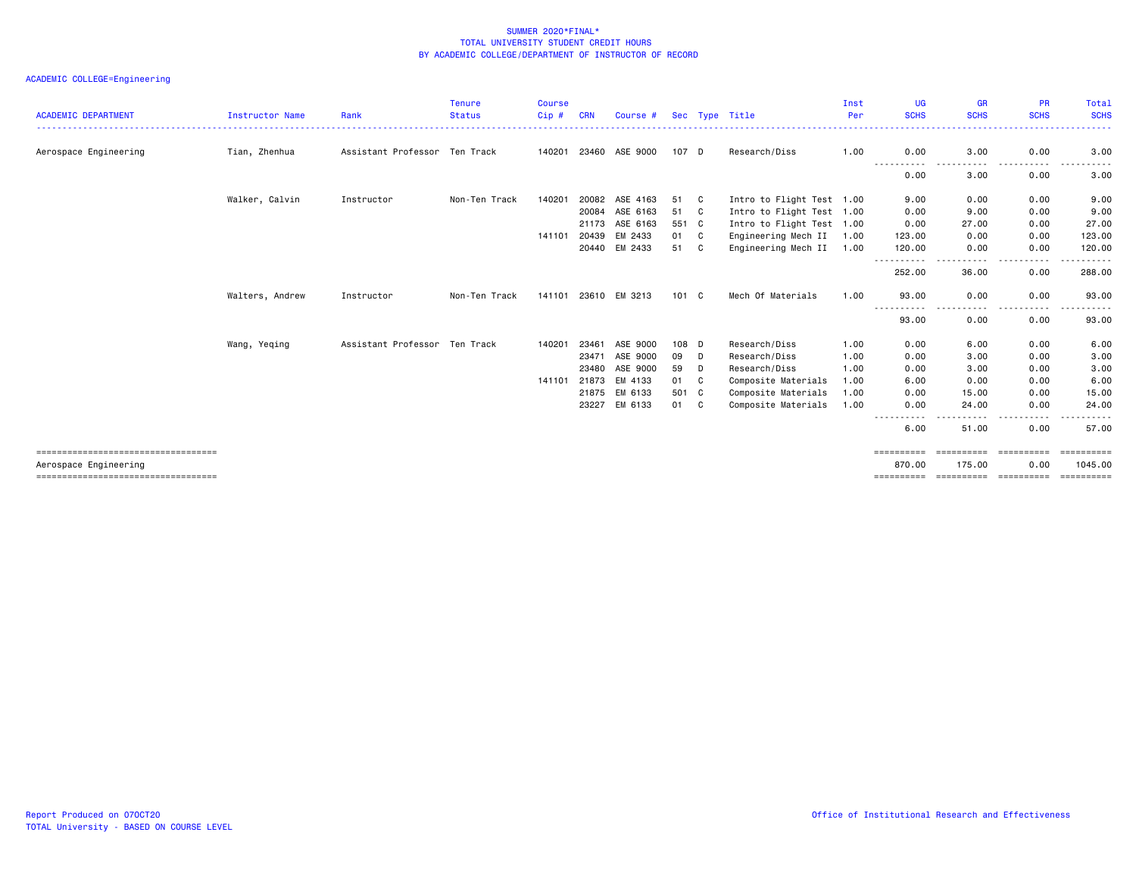| <b>ACADEMIC DEPARTMENT</b>                                     | <b>Instructor Name</b> | Rank                          | <b>Tenure</b><br><b>Status</b> | <b>Course</b><br>Cip# | <b>CRN</b> | Course #              |               |    | Sec Type Title            | Inst<br>Per | <b>UG</b><br><b>SCHS</b> | <b>GR</b><br><b>SCHS</b>                                                                                                          | <b>PR</b><br><b>SCHS</b>                 | Total<br><b>SCHS</b>  |
|----------------------------------------------------------------|------------------------|-------------------------------|--------------------------------|-----------------------|------------|-----------------------|---------------|----|---------------------------|-------------|--------------------------|-----------------------------------------------------------------------------------------------------------------------------------|------------------------------------------|-----------------------|
| Aerospace Engineering                                          | Tian, Zhenhua          | Assistant Professor Ten Track |                                |                       |            | 140201 23460 ASE 9000 | 107 D         |    | Research/Diss             | 1.00        | 0.00                     | 3.00                                                                                                                              | 0.00                                     | 3.00                  |
|                                                                |                        |                               |                                |                       |            |                       |               |    |                           |             | -----<br>0.00            | .<br>3.00                                                                                                                         | .<br>$\sim$ $\sim$ $\sim$ $\sim$<br>0.00 | 3.00                  |
|                                                                | Walker, Calvin         | Instructor                    | Non-Ten Track                  | 140201                | 20082      | ASE 4163              | 51            | C  | Intro to Flight Test 1.00 |             | 9.00                     | 0.00                                                                                                                              | 0.00                                     | 9.00                  |
|                                                                |                        |                               |                                |                       | 20084      | ASE 6163              | 51            | C. | Intro to Flight Test 1.00 |             | 0.00                     | 9.00                                                                                                                              | 0.00                                     | 9.00                  |
|                                                                |                        |                               |                                |                       | 21173      | ASE 6163              | 551 C         |    | Intro to Flight Test 1.00 |             | 0.00                     | 27.00                                                                                                                             | 0.00                                     | 27.00                 |
|                                                                |                        |                               |                                | 141101                | 20439      | EM 2433               | 01            | C. | Engineering Mech II       | 1.00        | 123.00                   | 0.00                                                                                                                              | 0.00                                     | 123.00                |
|                                                                |                        |                               |                                |                       | 20440      | EM 2433               | 51            | C. | Engineering Mech II       | 1.00        | 120.00                   | 0.00                                                                                                                              | 0.00                                     | 120.00                |
|                                                                |                        |                               |                                |                       |            |                       |               |    |                           |             | -----------<br>252.00    | . <b>.</b><br>36.00                                                                                                               | .<br>0.00                                | .<br>288.00           |
|                                                                | Walters, Andrew        | Instructor                    | Non-Ten Track                  | 141101 23610          |            | EM 3213               | $101 \quad C$ |    | Mech Of Materials         | 1.00        | 93.00                    | 0.00                                                                                                                              | 0.00                                     | 93.00                 |
|                                                                |                        |                               |                                |                       |            |                       |               |    |                           |             | .<br>93.00               | $\frac{1}{2} \left( \frac{1}{2} \right) \left( \frac{1}{2} \right) \left( \frac{1}{2} \right) \left( \frac{1}{2} \right)$<br>0.00 | . <b>.</b><br>$\cdots$<br>0.00           | .<br>93.00            |
|                                                                | Wang, Yeqing           | Assistant Professor Ten Track |                                | 140201                | 23461      | ASE 9000              | 108 D         |    | Research/Diss             | 1.00        | 0.00                     | 6.00                                                                                                                              | 0.00                                     | 6.00                  |
|                                                                |                        |                               |                                |                       | 23471      | ASE 9000              | 09            | D  | Research/Diss             | 1.00        | 0.00                     | 3.00                                                                                                                              | 0.00                                     | 3.00                  |
|                                                                |                        |                               |                                |                       | 23480      | ASE 9000              | 59            | D  | Research/Diss             | 1.00        | 0.00                     | 3.00                                                                                                                              | 0.00                                     | 3.00                  |
|                                                                |                        |                               |                                | 141101                | 21873      | EM 4133               | 01            | C  | Composite Materials       | 1.00        | 6.00                     | 0.00                                                                                                                              | 0.00                                     | 6.00                  |
|                                                                |                        |                               |                                |                       | 21875      | EM 6133               | 501 C         |    | Composite Materials       | 1.00        | 0.00                     | 15.00                                                                                                                             | 0.00                                     | 15.00                 |
|                                                                |                        |                               |                                |                       | 23227      | EM 6133               | 01            | C  | Composite Materials       | 1.00        | 0.00                     | 24.00<br>.                                                                                                                        | 0.00<br>.                                | 24.00<br>- - - - - -  |
|                                                                |                        |                               |                                |                       |            |                       |               |    |                           |             | 6.00                     | 51.00                                                                                                                             | 0.00                                     | 57.00                 |
| =====================================<br>Aerospace Engineering |                        |                               |                                |                       |            |                       |               |    |                           |             | eeeeeeeee<br>870.00      | ==========<br>175.00                                                                                                              | -----------<br>0.00                      | ==========<br>1045.00 |
| ======================================                         |                        |                               |                                |                       |            |                       |               |    |                           |             | ==========               | steressess esteresses                                                                                                             |                                          | ==========            |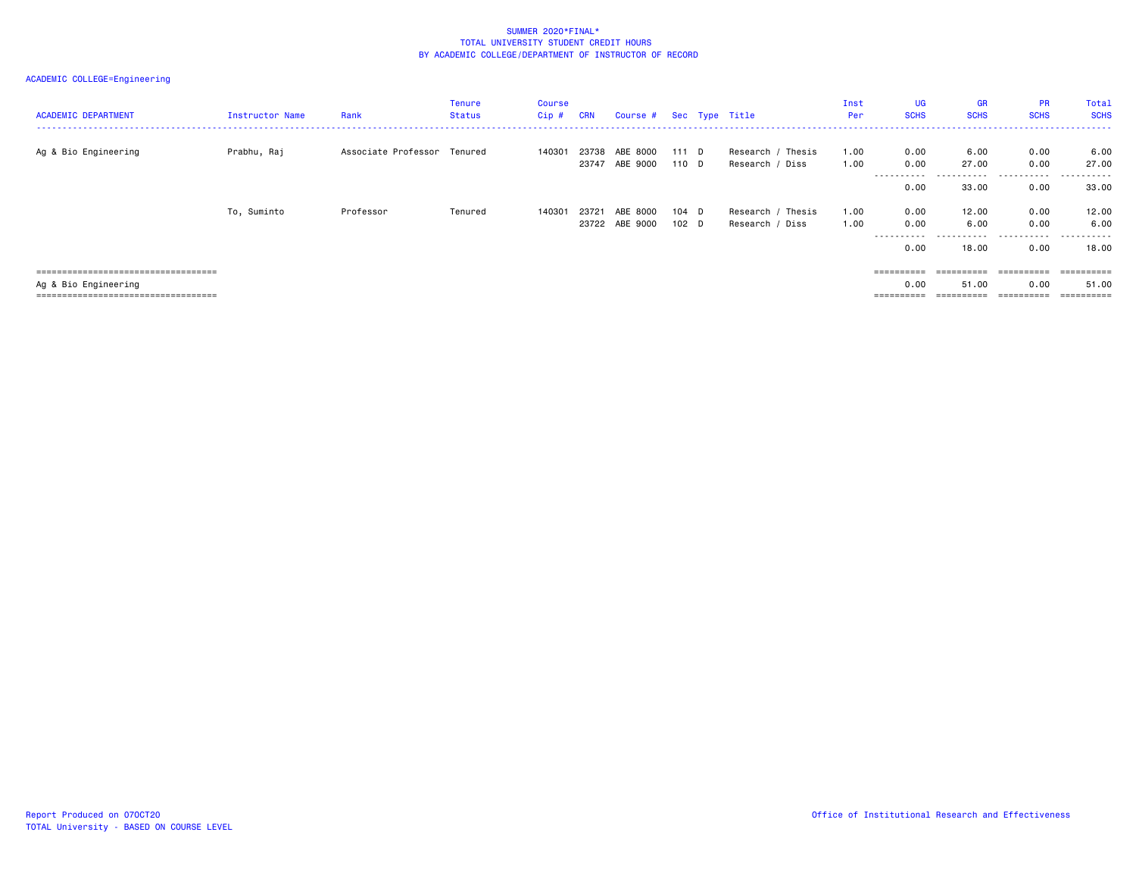| <b>ACADEMIC DEPARTMENT</b>                                   | Instructor Name | Rank                        | <b>Tenure</b><br>Status | <b>Course</b><br>$Cip$ # | <b>CRN</b>     | Course # Sec Type Title    |                |                                      | Inst<br>Per  | <b>UG</b><br><b>SCHS</b> | <b>GR</b><br><b>SCHS</b> | <b>PR</b><br><b>SCHS</b>  | Total<br><b>SCHS</b>                    |
|--------------------------------------------------------------|-----------------|-----------------------------|-------------------------|--------------------------|----------------|----------------------------|----------------|--------------------------------------|--------------|--------------------------|--------------------------|---------------------------|-----------------------------------------|
| Ag & Bio Engineering                                         | Prabhu, Raj     | Associate Professor Tenured |                         | 140301                   | 23738<br>23747 | ABE 8000<br>ABE 9000       | 111 D<br>110 D | Research / Thesis<br>Research / Diss | 1.00<br>1.00 | 0.00<br>0.00             | 6.00<br>27.00            | 0.00<br>0.00              | 6.00<br>27.00                           |
|                                                              |                 |                             |                         |                          |                |                            |                |                                      |              | ----------<br>0.00       | .<br>33.00               | .<br>0.00                 | .<br>33.00                              |
|                                                              | To, Suminto     | Professor                   | Tenured                 | 140301                   | 23721          | ABE 8000<br>23722 ABE 9000 | 104 D<br>102 D | Research / Thesis<br>Research / Diss | 1.00<br>1.00 | 0.00<br>0.00<br>0.00     | 12.00<br>6.00<br>18.00   | 0.00<br>0.00<br>.<br>0.00 | 12.00<br>6.00<br>- - - - - - -<br>18.00 |
| ====================================                         |                 |                             |                         |                          |                |                            |                |                                      |              | ==========               | $=$ =========            |                           | ==========                              |
| Ag & Bio Engineering<br>==================================== |                 |                             |                         |                          |                |                            |                |                                      |              | 0.00                     | 51,00<br>==========      | 0.00                      | 51.00<br>==========                     |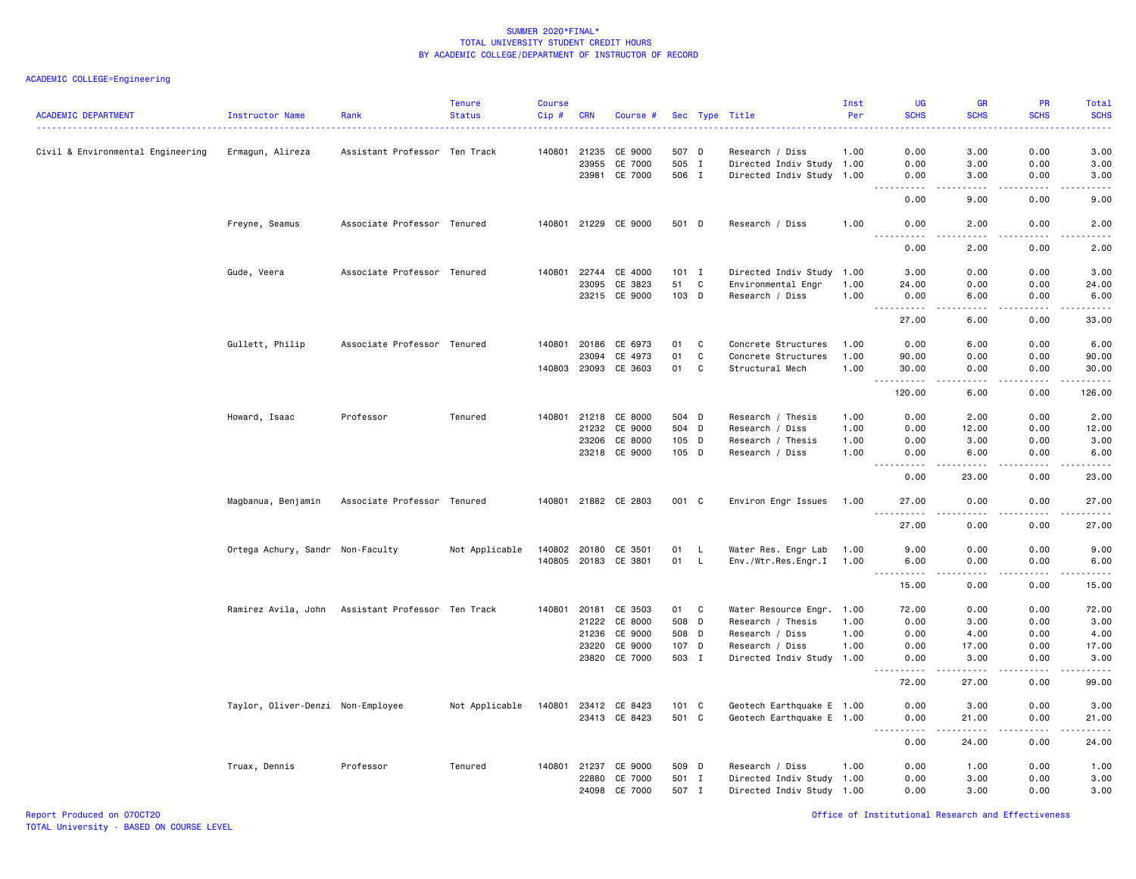| <b>ACADEMIC DEPARTMENT</b>        | Instructor Name                                   | Rank                          | <b>Tenure</b><br><b>Status</b> | <b>Course</b><br>$Cip$ # | <b>CRN</b> | Course #             |         |    | Sec Type Title            | Inst<br>Per | UG<br><b>SCHS</b>                                                                                                                                    | <b>GR</b><br><b>SCHS</b>                                                                                                          | PR<br><b>SCHS</b> | Total<br><b>SCHS</b><br>22222                                                                                                                                |
|-----------------------------------|---------------------------------------------------|-------------------------------|--------------------------------|--------------------------|------------|----------------------|---------|----|---------------------------|-------------|------------------------------------------------------------------------------------------------------------------------------------------------------|-----------------------------------------------------------------------------------------------------------------------------------|-------------------|--------------------------------------------------------------------------------------------------------------------------------------------------------------|
| Civil & Environmental Engineering | Ermagun, Alireza                                  | Assistant Professor Ten Track |                                | 140801                   | 21235      | CE 9000              | 507 D   |    | Research / Diss           | 1.00        | 0.00                                                                                                                                                 | 3.00                                                                                                                              | 0.00              | 3.00                                                                                                                                                         |
|                                   |                                                   |                               |                                |                          | 23955      | CE 7000              | 505 I   |    | Directed Indiv Study 1.00 |             | 0.00                                                                                                                                                 | 3.00                                                                                                                              | 0.00              | 3.00                                                                                                                                                         |
|                                   |                                                   |                               |                                |                          | 23981      | CE 7000              | 506 I   |    | Directed Indiv Study 1.00 |             | 0.00<br>$\omega$ is a set of                                                                                                                         | 3.00<br>.                                                                                                                         | 0.00<br>.         | 3.00<br>$\frac{1}{2} \left( \frac{1}{2} \right) \left( \frac{1}{2} \right) \left( \frac{1}{2} \right) \left( \frac{1}{2} \right) \left( \frac{1}{2} \right)$ |
|                                   |                                                   |                               |                                |                          |            |                      |         |    |                           |             | 0.00                                                                                                                                                 | 9.00                                                                                                                              | 0.00              | 9.00                                                                                                                                                         |
|                                   | Freyne, Seamus                                    | Associate Professor Tenured   |                                |                          |            | 140801 21229 CE 9000 | 501 D   |    | Research / Diss           | 1.00        | 0.00<br>.                                                                                                                                            | 2.00<br>.                                                                                                                         | 0.00<br>.         | 2.00<br>$- - - - -$                                                                                                                                          |
|                                   |                                                   |                               |                                |                          |            |                      |         |    |                           |             | 0.00                                                                                                                                                 | 2.00                                                                                                                              | 0.00              | 2.00                                                                                                                                                         |
|                                   | Gude, Veera                                       | Associate Professor Tenured   |                                | 140801                   | 22744      | CE 4000              | $101$ I |    | Directed Indiv Study      | 1.00        | 3.00                                                                                                                                                 | 0.00                                                                                                                              | 0.00              | 3.00                                                                                                                                                         |
|                                   |                                                   |                               |                                |                          | 23095      | CE 3823              | 51      | C  | Environmental Engr        | 1.00        | 24.00                                                                                                                                                | 0.00                                                                                                                              | 0.00              | 24.00                                                                                                                                                        |
|                                   |                                                   |                               |                                |                          |            | 23215 CE 9000        | 103 D   |    | Research / Diss           | 1.00        | 0.00<br>-----                                                                                                                                        | 6.00<br>$\frac{1}{2} \left( \frac{1}{2} \right) \left( \frac{1}{2} \right) \left( \frac{1}{2} \right) \left( \frac{1}{2} \right)$ | 0.00<br>.         | 6.00<br>$\frac{1}{2} \left( \frac{1}{2} \right) \left( \frac{1}{2} \right) \left( \frac{1}{2} \right) \left( \frac{1}{2} \right) \left( \frac{1}{2} \right)$ |
|                                   |                                                   |                               |                                |                          |            |                      |         |    |                           |             | 27.00                                                                                                                                                | 6.00                                                                                                                              | 0.00              | 33.00                                                                                                                                                        |
|                                   | Gullett, Philip                                   | Associate Professor Tenured   |                                | 140801                   | 20186      | CE 6973              | 01      | C  | Concrete Structures       | 1.00        | 0.00                                                                                                                                                 | 6.00                                                                                                                              | 0.00              | 6.00                                                                                                                                                         |
|                                   |                                                   |                               |                                |                          | 23094      | CE 4973              | 01      | C  | Concrete Structures       | 1.00        | 90.00                                                                                                                                                | 0.00                                                                                                                              | 0.00              | 90.00                                                                                                                                                        |
|                                   |                                                   |                               |                                |                          |            | 140803 23093 CE 3603 | 01      | C  | Structural Mech           | 1.00        | 30.00                                                                                                                                                | 0.00                                                                                                                              | 0.00              | 30.00                                                                                                                                                        |
|                                   |                                                   |                               |                                |                          |            |                      |         |    |                           |             | .<br>120.00                                                                                                                                          | 6.00                                                                                                                              | 0.00              | .<br>126.00                                                                                                                                                  |
|                                   | Howard, Isaac                                     | Professor                     | Tenured                        |                          |            | 140801 21218 CE 8000 | 504 D   |    | Research / Thesis         | 1.00        | 0.00                                                                                                                                                 | 2.00                                                                                                                              | 0.00              | 2.00                                                                                                                                                         |
|                                   |                                                   |                               |                                |                          |            | 21232 CE 9000        | 504 D   |    | Research / Diss           | 1.00        | 0.00                                                                                                                                                 | 12.00                                                                                                                             | 0.00              | 12.00                                                                                                                                                        |
|                                   |                                                   |                               |                                |                          | 23206      | CE 8000              | 105     | D  | Research / Thesis         | 1.00        | 0.00                                                                                                                                                 | 3.00                                                                                                                              | 0.00              | 3.00                                                                                                                                                         |
|                                   |                                                   |                               |                                |                          | 23218      | CE 9000              | 105 D   |    | Research / Diss           | 1.00        | 0.00                                                                                                                                                 | 6.00                                                                                                                              | 0.00              | 6.00                                                                                                                                                         |
|                                   |                                                   |                               |                                |                          |            |                      |         |    |                           |             | 0.00                                                                                                                                                 | 23.00                                                                                                                             | 0.00              | 23.00                                                                                                                                                        |
|                                   | Magbanua, Benjamin                                | Associate Professor Tenured   |                                |                          |            | 140801 21882 CE 2803 | 001 C   |    | Environ Engr Issues       | 1.00        | 27.00<br>.                                                                                                                                           | 0.00<br>.                                                                                                                         | 0.00<br>.         | 27.00<br>.                                                                                                                                                   |
|                                   |                                                   |                               |                                |                          |            |                      |         |    |                           |             | 27.00                                                                                                                                                | 0.00                                                                                                                              | 0.00              | 27.00                                                                                                                                                        |
|                                   | Ortega Achury, Sandr Non-Faculty                  |                               | Not Applicable                 | 140802                   | 20180      | CE 3501              | 01      | L, | Water Res. Engr Lab       | 1.00        | 9.00                                                                                                                                                 | 0.00                                                                                                                              | 0.00              | 9.00                                                                                                                                                         |
|                                   |                                                   |                               |                                | 140805 20183             |            | CE 3801              | 01      | L  | Env./Wtr.Res.Engr.I       | 1.00        | 6.00                                                                                                                                                 | 0.00                                                                                                                              | 0.00              | 6.00                                                                                                                                                         |
|                                   |                                                   |                               |                                |                          |            |                      |         |    |                           |             | $\frac{1}{2} \left( \frac{1}{2} \right) \left( \frac{1}{2} \right) \left( \frac{1}{2} \right) \left( \frac{1}{2} \right) \left( \frac{1}{2} \right)$ | د د د د                                                                                                                           | .                 | $\frac{1}{2} \left( \frac{1}{2} \right) \left( \frac{1}{2} \right) \left( \frac{1}{2} \right) \left( \frac{1}{2} \right) \left( \frac{1}{2} \right)$         |
|                                   |                                                   |                               |                                |                          |            |                      |         |    |                           |             | 15.00                                                                                                                                                | 0.00                                                                                                                              | 0.00              | 15.00                                                                                                                                                        |
|                                   | Ramirez Avila, John Assistant Professor Ten Track |                               |                                | 140801                   | 20181      | CE 3503              | 01      | C  | Water Resource Engr.      | 1.00        | 72.00                                                                                                                                                | 0.00                                                                                                                              | 0.00              | 72.00                                                                                                                                                        |
|                                   |                                                   |                               |                                |                          |            | 21222 CE 8000        | 508 D   |    | Research / Thesis         | 1.00        | 0.00                                                                                                                                                 | 3.00                                                                                                                              | 0.00              | 3.00                                                                                                                                                         |
|                                   |                                                   |                               |                                |                          | 21236      | CE 9000              | 508 D   |    | Research / Diss           | 1.00        | 0.00                                                                                                                                                 | 4.00                                                                                                                              | 0.00              | 4.00                                                                                                                                                         |
|                                   |                                                   |                               |                                |                          | 23220      | CE 9000              | 107 D   |    | Research / Diss           | 1.00        | 0.00                                                                                                                                                 | 17.00                                                                                                                             | 0.00              | 17.00                                                                                                                                                        |
|                                   |                                                   |                               |                                |                          | 23820      | CE 7000              | 503 I   |    | Directed Indiv Study      | 1.00        | 0.00                                                                                                                                                 | 3.00                                                                                                                              | 0.00              | 3.00<br>-----                                                                                                                                                |
|                                   |                                                   |                               |                                |                          |            |                      |         |    |                           |             | 72.00                                                                                                                                                | 27.00                                                                                                                             | 0.00              | 99.00                                                                                                                                                        |
|                                   | Taylor, Oliver-Denzi Non-Employee                 |                               | Not Applicable                 |                          |            | 140801 23412 CE 8423 | 101 C   |    | Geotech Earthquake E 1.00 |             | 0.00                                                                                                                                                 | 3.00                                                                                                                              | 0.00              | 3.00                                                                                                                                                         |
|                                   |                                                   |                               |                                |                          |            | 23413 CE 8423        | 501 C   |    | Geotech Earthquake E 1.00 |             | 0.00                                                                                                                                                 | 21.00                                                                                                                             | 0.00              | 21.00                                                                                                                                                        |
|                                   |                                                   |                               |                                |                          |            |                      |         |    |                           |             | .<br>0.00                                                                                                                                            | 24.00                                                                                                                             | .<br>0.00         | $\omega$ is $\omega$ in .<br>24.00                                                                                                                           |
|                                   | Truax, Dennis                                     | Professor                     | Tenured                        | 140801 21237             |            | CE 9000              | 509 D   |    | Research / Diss           | 1.00        | 0.00                                                                                                                                                 | 1.00                                                                                                                              | 0.00              | 1.00                                                                                                                                                         |
|                                   |                                                   |                               |                                |                          | 22880      | CE 7000              | 501 I   |    | Directed Indiv Study 1.00 |             | 0.00                                                                                                                                                 | 3.00                                                                                                                              | 0.00              | 3.00                                                                                                                                                         |
|                                   |                                                   |                               |                                |                          | 24098      | CE 7000              | 507 I   |    | Directed Indiv Study 1.00 |             | 0.00                                                                                                                                                 | 3.00                                                                                                                              | 0.00              | 3.00                                                                                                                                                         |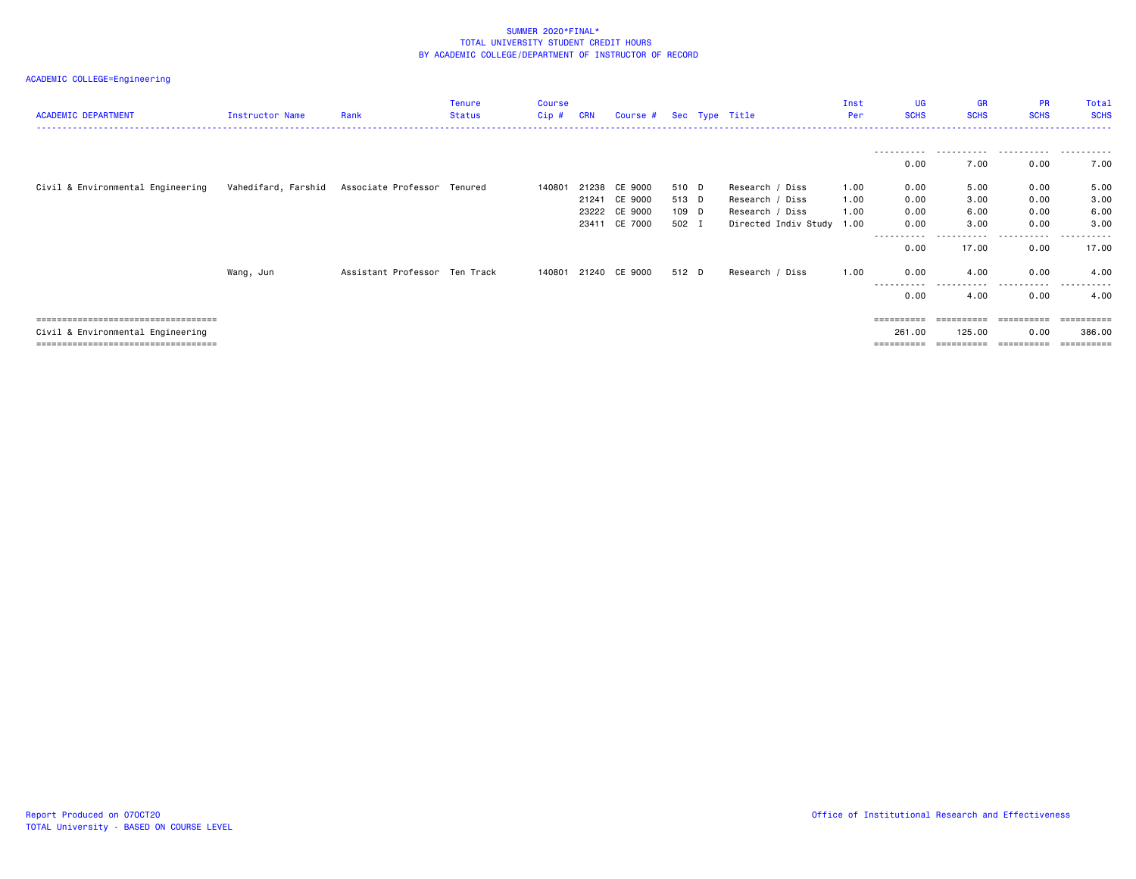| <b>ACADEMIC DEPARTMENT</b>                                                                                           | Instructor Name     | Rank                          | <b>Tenure</b><br>Status | <b>Course</b><br>Cip# | <b>CRN</b>                       | Course # Sec Type Title                  |                                  |                                                                                    | Inst<br>Per          | <b>UG</b><br><b>SCHS</b>           | <b>GR</b><br><b>SCHS</b>           | <b>PR</b><br><b>SCHS</b><br>---------------------- | Total<br><b>SCHS</b>                |
|----------------------------------------------------------------------------------------------------------------------|---------------------|-------------------------------|-------------------------|-----------------------|----------------------------------|------------------------------------------|----------------------------------|------------------------------------------------------------------------------------|----------------------|------------------------------------|------------------------------------|----------------------------------------------------|-------------------------------------|
|                                                                                                                      |                     |                               |                         |                       |                                  |                                          |                                  |                                                                                    |                      | 0.00                               | 7.00                               | 0.00                                               | 7.00                                |
| Civil & Environmental Engineering                                                                                    | Vahedifard, Farshid | Associate Professor Tenured   |                         | 140801                | 21238<br>21241<br>23222<br>23411 | CE 9000<br>CE 9000<br>CE 9000<br>CE 7000 | 510 D<br>513 D<br>109 D<br>502 I | Research / Diss<br>Research / Diss<br>Research / Diss<br>Directed Indiv Study 1.00 | 1.00<br>1.00<br>1.00 | 0.00<br>0.00<br>0.00<br>0.00       | 5.00<br>3.00<br>6.00<br>3.00       | 0.00<br>0.00<br>0.00<br>0.00                       | 5.00<br>3.00<br>6.00<br>3.00        |
|                                                                                                                      | Wang, Jun           | Assistant Professor Ten Track |                         |                       |                                  | 140801 21240 CE 9000                     | 512 D                            | Research / Diss                                                                    | 1.00                 | ------<br>0.00<br>0.00             | .<br>17.00<br>4.00                 | .<br>0.00<br>0.00                                  | ----------<br>17.00<br>4.00         |
|                                                                                                                      |                     |                               |                         |                       |                                  |                                          |                                  |                                                                                    |                      | .<br>0.00                          | .<br>4.00                          | .<br>0.00                                          | ----------<br>4.00                  |
| ======================================<br>Civil & Environmental Engineering<br>===================================== |                     |                               |                         |                       |                                  |                                          |                                  |                                                                                    |                      | ==========<br>261,00<br>========== | ==========<br>125.00<br>========== | -----------<br>0.00<br>==========                  | -----------<br>386.00<br>========== |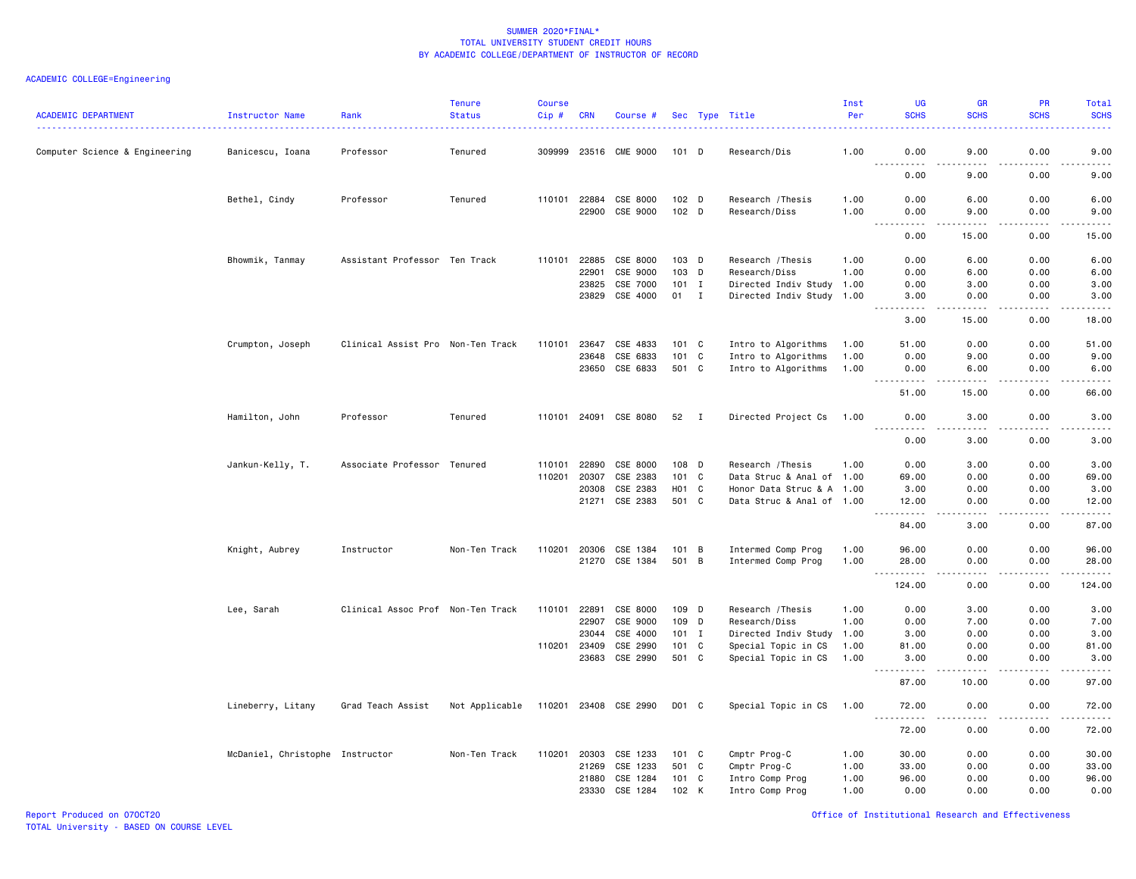| <b>ACADEMIC DEPARTMENT</b>     | Instructor Name                 | Rank                              | <b>Tenure</b><br><b>Status</b> | <b>Course</b><br>$Cip$ # | <b>CRN</b> | Course #              |                  |                | Sec Type Title            | Inst<br>Per | UG<br><b>SCHS</b>                                                                                                                                             | <b>GR</b><br><b>SCHS</b> | PR<br><b>SCHS</b>                   | Total<br><b>SCHS</b>                                                                                                                                          |
|--------------------------------|---------------------------------|-----------------------------------|--------------------------------|--------------------------|------------|-----------------------|------------------|----------------|---------------------------|-------------|---------------------------------------------------------------------------------------------------------------------------------------------------------------|--------------------------|-------------------------------------|---------------------------------------------------------------------------------------------------------------------------------------------------------------|
| Computer Science & Engineering | Banicescu, Ioana                | Professor                         | Tenured                        | 309999                   |            | 23516 CME 9000        | $101$ D          |                | Research/Dis              | 1.00        | 0.00                                                                                                                                                          | 9.00                     | 0.00                                | 9.00                                                                                                                                                          |
|                                |                                 |                                   |                                |                          |            |                       |                  |                |                           |             | 0.00                                                                                                                                                          | 9.00                     | 0.00                                | .<br>9.00                                                                                                                                                     |
|                                | Bethel, Cindy                   | Professor                         | Tenured                        | 110101 22884             |            | CSE 8000              | 102 D            |                | Research / Thesis         | 1.00        | 0.00                                                                                                                                                          | 6.00                     | 0.00                                | 6.00                                                                                                                                                          |
|                                |                                 |                                   |                                |                          | 22900      | CSE 9000              | 102 <sub>D</sub> |                | Research/Diss             | 1.00        | 0.00<br>د د د د                                                                                                                                               | 9.00<br>.                | 0.00<br>.                           | 9.00<br>$\frac{1}{2} \left( \frac{1}{2} \right) \left( \frac{1}{2} \right) \left( \frac{1}{2} \right) \left( \frac{1}{2} \right) \left( \frac{1}{2} \right)$  |
|                                |                                 |                                   |                                |                          |            |                       |                  |                |                           |             | 0.00                                                                                                                                                          | 15.00                    | 0.00                                | 15.00                                                                                                                                                         |
|                                | Bhowmik, Tanmay                 | Assistant Professor Ten Track     |                                | 110101                   | 22885      | CSE 8000              | $103$ D          |                | Research / Thesis         | 1.00        | 0.00                                                                                                                                                          | 6.00                     | 0.00                                | 6.00                                                                                                                                                          |
|                                |                                 |                                   |                                |                          | 22901      | CSE 9000              | 103 D            |                | Research/Diss             | 1.00        | 0.00                                                                                                                                                          | 6.00                     | 0.00                                | 6.00                                                                                                                                                          |
|                                |                                 |                                   |                                |                          | 23825      | CSE 7000              | $101$ I          |                | Directed Indiv Study      | 1.00        | 0.00                                                                                                                                                          | 3.00                     | 0.00                                | 3.00                                                                                                                                                          |
|                                |                                 |                                   |                                |                          | 23829      | CSE 4000              | 01               | $\mathbf{I}$   | Directed Indiv Study 1.00 |             | 3.00<br>.                                                                                                                                                     | 0.00<br>.                | 0.00<br>.                           | 3.00<br>$\frac{1}{2} \left( \frac{1}{2} \right) \left( \frac{1}{2} \right) \left( \frac{1}{2} \right) \left( \frac{1}{2} \right) \left( \frac{1}{2} \right)$  |
|                                |                                 |                                   |                                |                          |            |                       |                  |                |                           |             | 3.00                                                                                                                                                          | 15.00                    | 0.00                                | 18.00                                                                                                                                                         |
|                                | Crumpton, Joseph                | Clinical Assist Pro Non-Ten Track |                                | 110101                   | 23647      | CSE 4833              | 101 C            |                | Intro to Algorithms       | 1.00        | 51.00                                                                                                                                                         | 0.00                     | 0.00                                | 51.00                                                                                                                                                         |
|                                |                                 |                                   |                                |                          | 23648      | CSE 6833              | 101 C            |                | Intro to Algorithms       | 1.00        | 0.00                                                                                                                                                          | 9.00                     | 0.00                                | 9.00                                                                                                                                                          |
|                                |                                 |                                   |                                |                          | 23650      | CSE 6833              | 501 C            |                | Intro to Algorithms       | 1.00        | 0.00<br>$\frac{1}{2}$                                                                                                                                         | 6.00                     | 0.00<br>$- - -$                     | 6.00<br>$- - - - -$                                                                                                                                           |
|                                |                                 |                                   |                                |                          |            |                       |                  |                |                           |             | 51.00                                                                                                                                                         | $\frac{1}{2}$<br>15.00   | 0.00                                | 66.00                                                                                                                                                         |
|                                | Hamilton, John                  | Professor                         | Tenured                        | 110101 24091             |            | CSE 8080              | 52 I             |                | Directed Project Cs       | 1.00        | 0.00<br>$\cdots$                                                                                                                                              | 3.00<br>. <b>.</b>       | 0.00<br>.                           | 3.00<br>-----                                                                                                                                                 |
|                                |                                 |                                   |                                |                          |            |                       |                  |                |                           |             | 0.00                                                                                                                                                          | 3.00                     | 0.00                                | 3.00                                                                                                                                                          |
|                                | Jankun-Kelly, T.                | Associate Professor Tenured       |                                | 110101                   | 22890      | CSE 8000              | 108 D            |                | Research / Thesis         | 1.00        | 0.00                                                                                                                                                          | 3.00                     | 0.00                                | 3.00                                                                                                                                                          |
|                                |                                 |                                   |                                | 110201                   | 20307      | CSE 2383              | 101              | C              | Data Struc & Anal of 1.00 |             | 69.00                                                                                                                                                         | 0.00                     | 0.00                                | 69.00                                                                                                                                                         |
|                                |                                 |                                   |                                |                          | 20308      | CSE 2383              | H01 C            |                | Honor Data Struc & A 1.00 |             | 3.00                                                                                                                                                          | 0.00                     | 0.00                                | 3.00                                                                                                                                                          |
|                                |                                 |                                   |                                |                          | 21271      | CSE 2383              | 501 C            |                | Data Struc & Anal of 1.00 |             | 12.00<br>$\frac{1}{2} \left( \frac{1}{2} \right) \left( \frac{1}{2} \right) \left( \frac{1}{2} \right) \left( \frac{1}{2} \right) \left( \frac{1}{2} \right)$ | 0.00                     | 0.00<br>$\sim$ $\sim$ $\sim$ $\sim$ | 12.00<br>$\frac{1}{2} \left( \frac{1}{2} \right) \left( \frac{1}{2} \right) \left( \frac{1}{2} \right) \left( \frac{1}{2} \right) \left( \frac{1}{2} \right)$ |
|                                |                                 |                                   |                                |                          |            |                       |                  |                |                           |             | 84.00                                                                                                                                                         | 3.00                     | 0.00                                | 87.00                                                                                                                                                         |
|                                | Knight, Aubrey                  | Instructor                        | Non-Ten Track                  | 110201                   | 20306      | CSE 1384              | 101 B            |                | Intermed Comp Prog        | 1.00        | 96.00                                                                                                                                                         | 0.00                     | 0.00                                | 96.00                                                                                                                                                         |
|                                |                                 |                                   |                                |                          | 21270      | CSE 1384              | 501              | B              | Intermed Comp Prog        | 1.00        | 28.00                                                                                                                                                         | 0.00                     | 0.00                                | 28.00                                                                                                                                                         |
|                                |                                 |                                   |                                |                          |            |                       |                  |                |                           |             | $ -$<br>.<br>124.00                                                                                                                                           | ----<br>0.00             | .<br>0.00                           | .<br>124.00                                                                                                                                                   |
|                                | Lee, Sarah                      | Clinical Assoc Prof Non-Ten Track |                                | 110101                   | 22891      | CSE 8000              | 109 D            |                | Research / Thesis         | 1.00        | 0.00                                                                                                                                                          | 3.00                     | 0.00                                | 3.00                                                                                                                                                          |
|                                |                                 |                                   |                                |                          | 22907      | CSE 9000              | 109 D            |                | Research/Diss             | 1.00        | 0.00                                                                                                                                                          | 7.00                     | 0.00                                | 7.00                                                                                                                                                          |
|                                |                                 |                                   |                                |                          | 23044      | CSE 4000              | $101$ I          |                | Directed Indiv Study      | 1.00        | 3.00                                                                                                                                                          | 0.00                     | 0.00                                | 3.00                                                                                                                                                          |
|                                |                                 |                                   |                                | 110201                   | 23409      | CSE 2990              | 101              | C              | Special Topic in CS       | 1.00        | 81.00                                                                                                                                                         | 0.00                     | 0.00                                | 81.00                                                                                                                                                         |
|                                |                                 |                                   |                                |                          | 23683      | CSE 2990              | 501 C            |                | Special Topic in CS       | 1.00        | 3.00                                                                                                                                                          | 0.00                     | 0.00                                | 3.00<br>$\frac{1}{2} \left( \frac{1}{2} \right) \left( \frac{1}{2} \right) \left( \frac{1}{2} \right) \left( \frac{1}{2} \right) \left( \frac{1}{2} \right)$  |
|                                |                                 |                                   |                                |                          |            |                       |                  |                |                           |             | 87.00                                                                                                                                                         | 10.00                    | 0.00                                | 97.00                                                                                                                                                         |
|                                | Lineberry, Litany               | Grad Teach Assist                 | Not Applicable                 |                          |            | 110201 23408 CSE 2990 | D01 C            |                | Special Topic in CS       | 1.00        | 72.00<br>$- - -$<br>.                                                                                                                                         | 0.00<br>.                | 0.00<br>.                           | 72.00<br>.                                                                                                                                                    |
|                                |                                 |                                   |                                |                          |            |                       |                  |                |                           |             | 72.00                                                                                                                                                         | 0.00                     | 0.00                                | 72.00                                                                                                                                                         |
|                                | McDaniel, Christophe Instructor |                                   | Non-Ten Track                  | 110201                   | 20303      | CSE 1233              | 101 C            |                | Cmptr Prog-C              | 1.00        | 30.00                                                                                                                                                         | 0.00                     | 0.00                                | 30.00                                                                                                                                                         |
|                                |                                 |                                   |                                |                          | 21269      | CSE 1233              | 501              | C <sub>1</sub> | Cmptr Prog-C              | 1.00        | 33.00                                                                                                                                                         | 0.00                     | 0.00                                | 33.00                                                                                                                                                         |
|                                |                                 |                                   |                                |                          | 21880      | CSE 1284              | 101 C            |                | Intro Comp Prog           | 1.00        | 96.00                                                                                                                                                         | 0.00                     | 0.00                                | 96.00                                                                                                                                                         |
|                                |                                 |                                   |                                |                          | 23330      | CSE 1284              | 102 K            |                | Intro Comp Prog           | 1.00        | 0.00                                                                                                                                                          | 0.00                     | 0.00                                | 0.00                                                                                                                                                          |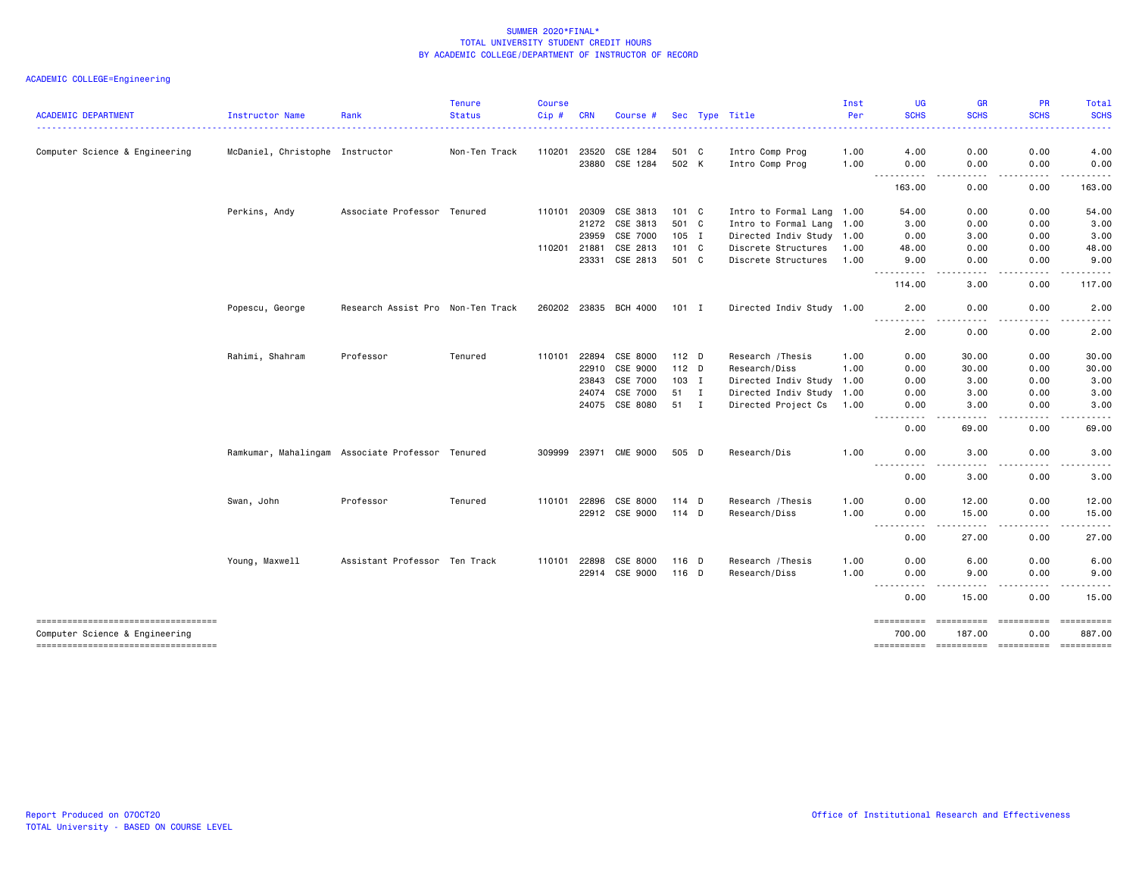|                                   |                                                  |                                   | <b>Tenure</b> | <b>Course</b> |            |                       |                  |              |                           | Inst | UG                                                                                                                                                                      | <b>GR</b>          | <b>PR</b>             | Total                  |
|-----------------------------------|--------------------------------------------------|-----------------------------------|---------------|---------------|------------|-----------------------|------------------|--------------|---------------------------|------|-------------------------------------------------------------------------------------------------------------------------------------------------------------------------|--------------------|-----------------------|------------------------|
| <b>ACADEMIC DEPARTMENT</b>        | Instructor Name                                  | Rank                              | <b>Status</b> | Cip#          | <b>CRN</b> | Course #              |                  |              | Sec Type Title            | Per  | <b>SCHS</b>                                                                                                                                                             | <b>SCHS</b>        | <b>SCHS</b>           | <b>SCHS</b>            |
| Computer Science & Engineering    | McDaniel, Christophe Instructor                  |                                   | Non-Ten Track | 110201        | 23520      | CSE 1284              | 501 C            |              | Intro Comp Prog           | 1.00 | 4.00                                                                                                                                                                    | 0.00               | 0.00                  | 4.00                   |
|                                   |                                                  |                                   |               |               | 23880      | CSE 1284              | 502 K            |              | Intro Comp Prog           | 1.00 | 0.00                                                                                                                                                                    | 0.00               | 0.00                  | 0.00                   |
|                                   |                                                  |                                   |               |               |            |                       |                  |              |                           |      | $- - - - -$<br>$\overline{\phantom{a}}$                                                                                                                                 | $\frac{1}{2}$      | .                     | . <u>.</u>             |
|                                   |                                                  |                                   |               |               |            |                       |                  |              |                           |      | 163.00                                                                                                                                                                  | 0.00               | 0.00                  | 163.00                 |
|                                   | Perkins, Andy                                    | Associate Professor Tenured       |               | 110101        | 20309      | CSE 3813              | 101 C            |              | Intro to Formal Lang 1.00 |      | 54.00                                                                                                                                                                   | 0.00               | 0.00                  | 54.00                  |
|                                   |                                                  |                                   |               |               | 21272      | CSE 3813              | 501 C            |              | Intro to Formal Lang 1.00 |      | 3.00                                                                                                                                                                    | 0.00               | 0.00                  | 3.00                   |
|                                   |                                                  |                                   |               |               | 23959      | CSE 7000              | $105$ I          |              | Directed Indiv Study 1.00 |      | 0.00                                                                                                                                                                    | 3.00               | 0.00                  | 3.00                   |
|                                   |                                                  |                                   |               | 110201        | 21881      | CSE 2813              | 101 C            |              | Discrete Structures       | 1.00 | 48.00                                                                                                                                                                   | 0.00               | 0.00                  | 48.00                  |
|                                   |                                                  |                                   |               |               | 23331      | CSE 2813              | 501 C            |              | Discrete Structures       | 1.00 | 9.00<br><u>.</u>                                                                                                                                                        | 0.00<br>----       | 0.00<br>.             | 9.00<br>.              |
|                                   |                                                  |                                   |               |               |            |                       |                  |              |                           |      | 114.00                                                                                                                                                                  | 3.00               | 0.00                  | 117.00                 |
|                                   | Popescu, George                                  | Research Assist Pro Non-Ten Track |               |               |            | 260202 23835 BCH 4000 | 101 I            |              | Directed Indiv Study 1.00 |      | 2.00                                                                                                                                                                    | 0.00               | 0.00                  | 2.00                   |
|                                   |                                                  |                                   |               |               |            |                       |                  |              |                           |      | 2.00                                                                                                                                                                    | 0.00               | 0.00                  | 2.00                   |
|                                   | Rahimi, Shahram                                  | Professor                         | Tenured       | 110101        | 22894      | CSE 8000              | 112 D            |              | Research / Thesis         | 1.00 | 0.00                                                                                                                                                                    | 30.00              | 0.00                  | 30.00                  |
|                                   |                                                  |                                   |               |               | 22910      | CSE 9000              | 112 <sub>D</sub> |              | Research/Diss             | 1.00 | 0.00                                                                                                                                                                    | 30.00              | 0.00                  | 30.00                  |
|                                   |                                                  |                                   |               |               | 23843      | CSE 7000              | 103 I            |              | Directed Indiv Study 1.00 |      | 0.00                                                                                                                                                                    | 3.00               | 0.00                  | 3.00                   |
|                                   |                                                  |                                   |               |               | 24074      | CSE 7000              | 51               | $\mathbf{I}$ | Directed Indiv Study 1.00 |      | 0.00                                                                                                                                                                    | 3.00               | 0.00                  | 3.00                   |
|                                   |                                                  |                                   |               |               |            | 24075 CSE 8080        | 51 I             |              | Directed Project Cs 1.00  |      | 0.00                                                                                                                                                                    | 3.00               | 0.00                  | 3.00                   |
|                                   |                                                  |                                   |               |               |            |                       |                  |              |                           |      | $- - -$<br>----<br>0.00                                                                                                                                                 | .<br>69.00         | .<br>0.00             | .<br>69.00             |
|                                   | Ramkumar, Mahalingam Associate Professor Tenured |                                   |               | 309999        |            | 23971 CME 9000        | 505 D            |              | Research/Dis              | 1.00 | 0.00                                                                                                                                                                    | 3.00               | 0.00                  | 3.00                   |
|                                   |                                                  |                                   |               |               |            |                       |                  |              |                           |      | $\sim$ $\sim$ $\sim$<br>$- - - -$<br>0.00                                                                                                                               | 3.00               | 0.00                  | 3.00                   |
|                                   | Swan, John                                       | Professor                         | Tenured       | 110101        | 22896      | CSE 8000              | 114 D            |              | Research / Thesis         | 1.00 | 0.00                                                                                                                                                                    | 12.00              | 0.00                  | 12.00                  |
|                                   |                                                  |                                   |               |               |            | 22912 CSE 9000        | 114 D            |              | Research/Diss             | 1.00 | 0.00                                                                                                                                                                    | 15.00              | 0.00                  | 15.00                  |
|                                   |                                                  |                                   |               |               |            |                       |                  |              |                           |      | $\sim$ $\sim$ $\sim$ $\sim$<br>$- - - -$<br>0.00                                                                                                                        | .<br>27.00         | .<br>0.00             | $\frac{1}{2}$<br>27.00 |
|                                   | Young, Maxwell                                   | Assistant Professor Ten Track     |               | 110101        | 22898      | CSE 8000              | 116 D            |              | Research / Thesis         | 1.00 | 0.00                                                                                                                                                                    | 6.00               | 0.00                  | 6.00                   |
|                                   |                                                  |                                   |               |               | 22914      | CSE 9000              | 116 D            |              | Research/Diss             | 1.00 | 0.00                                                                                                                                                                    | 9.00               | 0.00                  | 9.00                   |
|                                   |                                                  |                                   |               |               |            |                       |                  |              |                           |      | $\frac{1}{2} \left( \frac{1}{2} \right) \left( \frac{1}{2} \right) \left( \frac{1}{2} \right) \left( \frac{1}{2} \right) \left( \frac{1}{2} \right)$<br>$- - -$<br>0.00 | $- - - -$<br>15.00 | $\frac{1}{2}$<br>0.00 | $\frac{1}{2}$<br>15.00 |
| --------------------------------- |                                                  |                                   |               |               |            |                       |                  |              |                           |      | ==========                                                                                                                                                              | ==========         | ==========            | ==========             |
| Computer Science & Engineering    |                                                  |                                   |               |               |            |                       |                  |              |                           |      | 700.00                                                                                                                                                                  | 187.00             | 0.00                  | 887.00                 |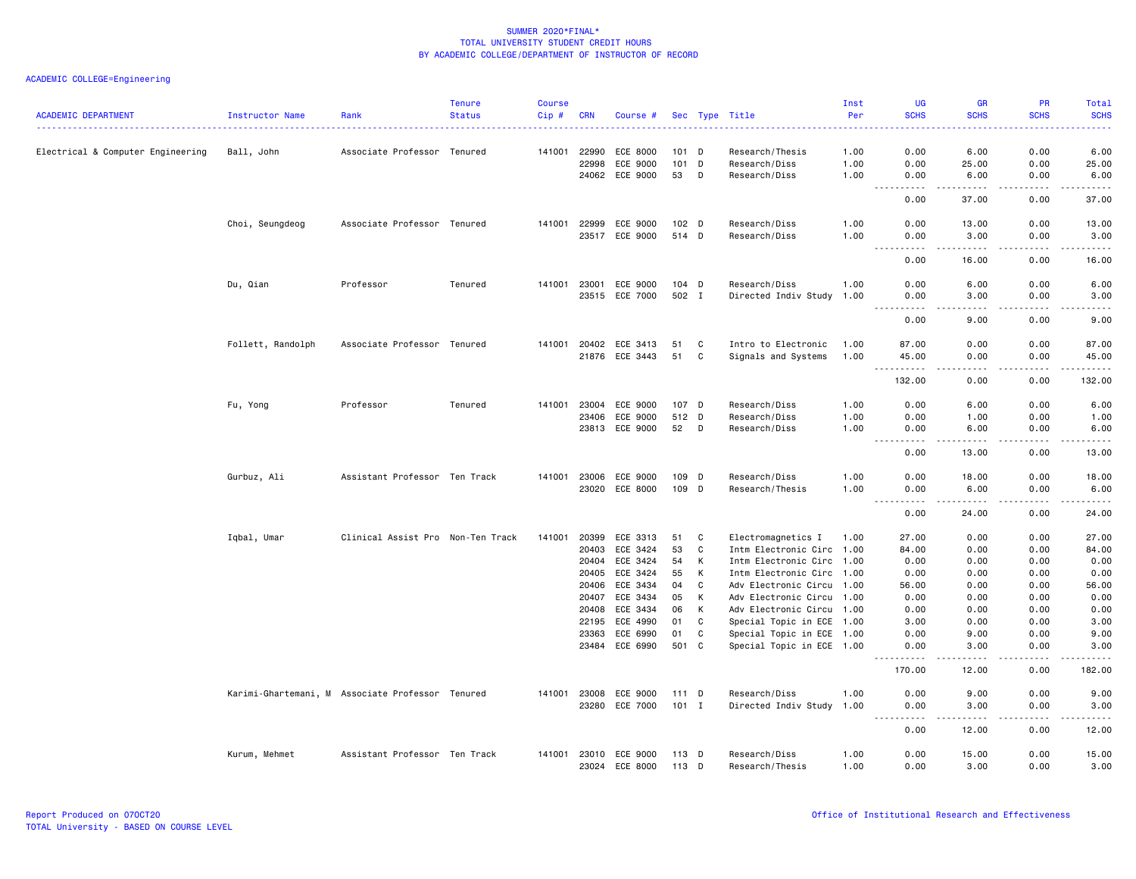| Electrical & Computer Engineering<br>Ball, John<br>Associate Professor Tenured<br>141001<br>22990<br>ECE 8000<br>$101$ D<br>1.00<br>0.00<br>6.00<br>0.00<br>6.00<br>Research/Thesis<br>101<br>25.00<br>0.00<br>25.00<br>22998<br>ECE 9000<br>D<br>Research/Diss<br>1.00<br>0.00<br>24062 ECE 9000<br>53<br>D<br>Research/Diss<br>1.00<br>0.00<br>6.00<br>0.00<br>6.00<br>$\sim$ $\sim$ $\sim$<br>.<br>.<br>.<br>.<br>0.00<br>37.00<br>0.00<br>37.00<br>Choi, Seungdeog<br>Associate Professor Tenured<br>141001 22999<br>ECE 9000<br>102 D<br>Research/Diss<br>1.00<br>0.00<br>13.00<br>0.00<br>13.00<br>23517 ECE 9000<br>514 D<br>Research/Diss<br>1.00<br>0.00<br>3.00<br>0.00<br>3.00<br>$\frac{1}{2} \left( \frac{1}{2} \right) \left( \frac{1}{2} \right) \left( \frac{1}{2} \right) \left( \frac{1}{2} \right) \left( \frac{1}{2} \right)$<br>.<br>.<br>.<br>$\sim$ $\sim$ $\sim$<br>0.00<br>16.00<br>0.00<br>16.00<br>Du, Qian<br>Professor<br>Tenured<br>141001<br>23001<br>ECE 9000<br>$104$ D<br>Research/Diss<br>1.00<br>0.00<br>6.00<br>0.00<br>6.00<br>23515 ECE 7000<br>502 I<br>Directed Indiv Study<br>0.00<br>1.00<br>0.00<br>3.00<br>3.00<br>.<br>$- - - -$<br>.<br>$- - - -$<br>0.00<br>9.00<br>0.00<br>9.00<br>Follett, Randolph<br>Associate Professor Tenured<br>141001 20402 ECE 3413<br>0.00<br>87.00<br>51<br>C<br>Intro to Electronic<br>1.00<br>87.00<br>0.00<br>ECE 3443<br>21876<br>51<br>C<br>Signals and Systems<br>1.00<br>45.00<br>0.00<br>0.00<br>45.00<br>$\sim$ $\sim$ $\sim$<br>$   -$<br>.<br>.<br>.<br>0.00<br>132.00<br>132.00<br>0.00<br>Fu, Yong<br>Professor<br>Tenured<br>141001<br>23004<br>ECE 9000<br>107 D<br>Research/Diss<br>1.00<br>0.00<br>6.00<br>0.00<br>6.00<br>23406<br>ECE 9000<br>512 D<br>Research/Diss<br>1.00<br>0.00<br>1.00<br>0.00<br>1.00<br>23813 ECE 9000<br>52<br>Research/Diss<br>1.00<br>0.00<br>6.00<br>0.00<br>6.00<br>D<br>$- - -$<br>المتماما<br>$\sim$ $\sim$ $\sim$<br>- - - -<br>0.00<br>13.00<br>0.00<br>13.00<br>Assistant Professor Ten Track<br>Gurbuz, Ali<br>141001 23006<br>ECE 9000<br>109<br>D<br>Research/Diss<br>1.00<br>0.00<br>18.00<br>0.00<br>18.00<br>23020 ECE 8000<br>109 D<br>Research/Thesis<br>1.00<br>0.00<br>6.00<br>0.00<br>6.00<br>-----<br>.<br>.<br>.<br>0.00<br>24.00<br>0.00<br>24.00<br>Iqbal, Umar<br>20399<br>ECE 3313<br>Electromagnetics I<br>Clinical Assist Pro Non-Ten Track<br>141001<br>51<br>C<br>1.00<br>27.00<br>0.00<br>0.00<br>27.00<br>20403<br>ECE 3424<br>53<br>C<br>Intm Electronic Circ 1.00<br>84.00<br>0.00<br>0.00<br>84.00<br>20404<br>ECE 3424<br>54<br>K<br>Intm Electronic Circ 1.00<br>0.00<br>0.00<br>0.00<br>0.00<br>ECE 3424<br>20405<br>55<br>К<br>Intm Electronic Circ 1.00<br>0.00<br>0.00<br>0.00<br>0.00<br>ECE 3434<br>C<br>20406<br>04<br>Adv Electronic Circu 1.00<br>0.00<br>0.00<br>56.00<br>56.00<br>ECE 3434<br>20407<br>05<br>К<br>Adv Electronic Circu 1.00<br>0.00<br>0.00<br>0.00<br>0.00<br>ECE 3434<br>К<br>Adv Electronic Circu 1.00<br>20408<br>06<br>0.00<br>0.00<br>0.00<br>0.00<br>ECE 4990<br>C<br>22195<br>01<br>Special Topic in ECE 1.00<br>3.00<br>0.00<br>0.00<br>3.00<br>23363<br>ECE 6990<br>01<br>C<br>Special Topic in ECE 1.00<br>0.00<br>9.00<br>0.00<br>9.00<br>23484<br>ECE 6990<br>501<br>$\mathbf{C}$<br>Special Topic in ECE 1.00<br>0.00<br>3.00<br>0.00<br>3.00<br>$- - - - -$<br>.<br>.<br>.<br>170.00<br>12.00<br>0.00<br>182.00<br>ECE 9000<br>0.00<br>9.00<br>Karimi-Ghartemani, M Associate Professor Tenured<br>141001 23008<br>Research/Diss<br>1.00<br>0.00<br>9.00<br>111 D<br>23280<br>ECE 7000<br>101 I<br>Directed Indiv Study 1.00<br>0.00<br>3.00<br>0.00<br>3.00<br>.<br>.<br>$\sim$ $\sim$<br>.<br>.<br>0.00<br>12.00<br>0.00<br>12.00<br>Kurum, Mehmet<br>Assistant Professor Ten Track<br>141001 23010 ECE 9000<br>113 D<br>Research/Diss<br>1.00<br>0.00<br>0.00<br>15.00<br>15.00<br>Research/Thesis<br>23024<br>ECE 8000<br>113 D<br>1.00<br>0.00<br>3.00<br>0.00<br>3.00 | <b>ACADEMIC DEPARTMENT</b> | Instructor Name | Rank | <b>Tenure</b><br><b>Status</b> | <b>Course</b><br>Cip# | <b>CRN</b> | Course # |  | Sec Type Title | Inst<br>Per | <b>UG</b><br><b>SCHS</b> | <b>GR</b><br><b>SCHS</b> | <b>PR</b><br><b>SCHS</b> | Total<br><b>SCHS</b> |
|------------------------------------------------------------------------------------------------------------------------------------------------------------------------------------------------------------------------------------------------------------------------------------------------------------------------------------------------------------------------------------------------------------------------------------------------------------------------------------------------------------------------------------------------------------------------------------------------------------------------------------------------------------------------------------------------------------------------------------------------------------------------------------------------------------------------------------------------------------------------------------------------------------------------------------------------------------------------------------------------------------------------------------------------------------------------------------------------------------------------------------------------------------------------------------------------------------------------------------------------------------------------------------------------------------------------------------------------------------------------------------------------------------------------------------------------------------------------------------------------------------------------------------------------------------------------------------------------------------------------------------------------------------------------------------------------------------------------------------------------------------------------------------------------------------------------------------------------------------------------------------------------------------------------------------------------------------------------------------------------------------------------------------------------------------------------------------------------------------------------------------------------------------------------------------------------------------------------------------------------------------------------------------------------------------------------------------------------------------------------------------------------------------------------------------------------------------------------------------------------------------------------------------------------------------------------------------------------------------------------------------------------------------------------------------------------------------------------------------------------------------------------------------------------------------------------------------------------------------------------------------------------------------------------------------------------------------------------------------------------------------------------------------------------------------------------------------------------------------------------------------------------------------------------------------------------------------------------------------------------------------------------------------------------------------------------------------------------------------------------------------------------------------------------------------------------------------------------------------------------------------------------------------------------------------------------------------------------------------------------------------------------------------------------------------------------------------------------------------------------------------------------------------------------------------------------------------------------------------------------------------------------------------------------------------------------------------------------------------|----------------------------|-----------------|------|--------------------------------|-----------------------|------------|----------|--|----------------|-------------|--------------------------|--------------------------|--------------------------|----------------------|
|                                                                                                                                                                                                                                                                                                                                                                                                                                                                                                                                                                                                                                                                                                                                                                                                                                                                                                                                                                                                                                                                                                                                                                                                                                                                                                                                                                                                                                                                                                                                                                                                                                                                                                                                                                                                                                                                                                                                                                                                                                                                                                                                                                                                                                                                                                                                                                                                                                                                                                                                                                                                                                                                                                                                                                                                                                                                                                                                                                                                                                                                                                                                                                                                                                                                                                                                                                                                                                                                                                                                                                                                                                                                                                                                                                                                                                                                                                                                                                                    |                            |                 |      |                                |                       |            |          |  |                |             |                          |                          |                          |                      |
|                                                                                                                                                                                                                                                                                                                                                                                                                                                                                                                                                                                                                                                                                                                                                                                                                                                                                                                                                                                                                                                                                                                                                                                                                                                                                                                                                                                                                                                                                                                                                                                                                                                                                                                                                                                                                                                                                                                                                                                                                                                                                                                                                                                                                                                                                                                                                                                                                                                                                                                                                                                                                                                                                                                                                                                                                                                                                                                                                                                                                                                                                                                                                                                                                                                                                                                                                                                                                                                                                                                                                                                                                                                                                                                                                                                                                                                                                                                                                                                    |                            |                 |      |                                |                       |            |          |  |                |             |                          |                          |                          |                      |
|                                                                                                                                                                                                                                                                                                                                                                                                                                                                                                                                                                                                                                                                                                                                                                                                                                                                                                                                                                                                                                                                                                                                                                                                                                                                                                                                                                                                                                                                                                                                                                                                                                                                                                                                                                                                                                                                                                                                                                                                                                                                                                                                                                                                                                                                                                                                                                                                                                                                                                                                                                                                                                                                                                                                                                                                                                                                                                                                                                                                                                                                                                                                                                                                                                                                                                                                                                                                                                                                                                                                                                                                                                                                                                                                                                                                                                                                                                                                                                                    |                            |                 |      |                                |                       |            |          |  |                |             |                          |                          |                          |                      |
|                                                                                                                                                                                                                                                                                                                                                                                                                                                                                                                                                                                                                                                                                                                                                                                                                                                                                                                                                                                                                                                                                                                                                                                                                                                                                                                                                                                                                                                                                                                                                                                                                                                                                                                                                                                                                                                                                                                                                                                                                                                                                                                                                                                                                                                                                                                                                                                                                                                                                                                                                                                                                                                                                                                                                                                                                                                                                                                                                                                                                                                                                                                                                                                                                                                                                                                                                                                                                                                                                                                                                                                                                                                                                                                                                                                                                                                                                                                                                                                    |                            |                 |      |                                |                       |            |          |  |                |             |                          |                          |                          |                      |
|                                                                                                                                                                                                                                                                                                                                                                                                                                                                                                                                                                                                                                                                                                                                                                                                                                                                                                                                                                                                                                                                                                                                                                                                                                                                                                                                                                                                                                                                                                                                                                                                                                                                                                                                                                                                                                                                                                                                                                                                                                                                                                                                                                                                                                                                                                                                                                                                                                                                                                                                                                                                                                                                                                                                                                                                                                                                                                                                                                                                                                                                                                                                                                                                                                                                                                                                                                                                                                                                                                                                                                                                                                                                                                                                                                                                                                                                                                                                                                                    |                            |                 |      |                                |                       |            |          |  |                |             |                          |                          |                          |                      |
|                                                                                                                                                                                                                                                                                                                                                                                                                                                                                                                                                                                                                                                                                                                                                                                                                                                                                                                                                                                                                                                                                                                                                                                                                                                                                                                                                                                                                                                                                                                                                                                                                                                                                                                                                                                                                                                                                                                                                                                                                                                                                                                                                                                                                                                                                                                                                                                                                                                                                                                                                                                                                                                                                                                                                                                                                                                                                                                                                                                                                                                                                                                                                                                                                                                                                                                                                                                                                                                                                                                                                                                                                                                                                                                                                                                                                                                                                                                                                                                    |                            |                 |      |                                |                       |            |          |  |                |             |                          |                          |                          |                      |
|                                                                                                                                                                                                                                                                                                                                                                                                                                                                                                                                                                                                                                                                                                                                                                                                                                                                                                                                                                                                                                                                                                                                                                                                                                                                                                                                                                                                                                                                                                                                                                                                                                                                                                                                                                                                                                                                                                                                                                                                                                                                                                                                                                                                                                                                                                                                                                                                                                                                                                                                                                                                                                                                                                                                                                                                                                                                                                                                                                                                                                                                                                                                                                                                                                                                                                                                                                                                                                                                                                                                                                                                                                                                                                                                                                                                                                                                                                                                                                                    |                            |                 |      |                                |                       |            |          |  |                |             |                          |                          |                          |                      |
|                                                                                                                                                                                                                                                                                                                                                                                                                                                                                                                                                                                                                                                                                                                                                                                                                                                                                                                                                                                                                                                                                                                                                                                                                                                                                                                                                                                                                                                                                                                                                                                                                                                                                                                                                                                                                                                                                                                                                                                                                                                                                                                                                                                                                                                                                                                                                                                                                                                                                                                                                                                                                                                                                                                                                                                                                                                                                                                                                                                                                                                                                                                                                                                                                                                                                                                                                                                                                                                                                                                                                                                                                                                                                                                                                                                                                                                                                                                                                                                    |                            |                 |      |                                |                       |            |          |  |                |             |                          |                          |                          |                      |
|                                                                                                                                                                                                                                                                                                                                                                                                                                                                                                                                                                                                                                                                                                                                                                                                                                                                                                                                                                                                                                                                                                                                                                                                                                                                                                                                                                                                                                                                                                                                                                                                                                                                                                                                                                                                                                                                                                                                                                                                                                                                                                                                                                                                                                                                                                                                                                                                                                                                                                                                                                                                                                                                                                                                                                                                                                                                                                                                                                                                                                                                                                                                                                                                                                                                                                                                                                                                                                                                                                                                                                                                                                                                                                                                                                                                                                                                                                                                                                                    |                            |                 |      |                                |                       |            |          |  |                |             |                          |                          |                          |                      |
|                                                                                                                                                                                                                                                                                                                                                                                                                                                                                                                                                                                                                                                                                                                                                                                                                                                                                                                                                                                                                                                                                                                                                                                                                                                                                                                                                                                                                                                                                                                                                                                                                                                                                                                                                                                                                                                                                                                                                                                                                                                                                                                                                                                                                                                                                                                                                                                                                                                                                                                                                                                                                                                                                                                                                                                                                                                                                                                                                                                                                                                                                                                                                                                                                                                                                                                                                                                                                                                                                                                                                                                                                                                                                                                                                                                                                                                                                                                                                                                    |                            |                 |      |                                |                       |            |          |  |                |             |                          |                          |                          |                      |
|                                                                                                                                                                                                                                                                                                                                                                                                                                                                                                                                                                                                                                                                                                                                                                                                                                                                                                                                                                                                                                                                                                                                                                                                                                                                                                                                                                                                                                                                                                                                                                                                                                                                                                                                                                                                                                                                                                                                                                                                                                                                                                                                                                                                                                                                                                                                                                                                                                                                                                                                                                                                                                                                                                                                                                                                                                                                                                                                                                                                                                                                                                                                                                                                                                                                                                                                                                                                                                                                                                                                                                                                                                                                                                                                                                                                                                                                                                                                                                                    |                            |                 |      |                                |                       |            |          |  |                |             |                          |                          |                          |                      |
|                                                                                                                                                                                                                                                                                                                                                                                                                                                                                                                                                                                                                                                                                                                                                                                                                                                                                                                                                                                                                                                                                                                                                                                                                                                                                                                                                                                                                                                                                                                                                                                                                                                                                                                                                                                                                                                                                                                                                                                                                                                                                                                                                                                                                                                                                                                                                                                                                                                                                                                                                                                                                                                                                                                                                                                                                                                                                                                                                                                                                                                                                                                                                                                                                                                                                                                                                                                                                                                                                                                                                                                                                                                                                                                                                                                                                                                                                                                                                                                    |                            |                 |      |                                |                       |            |          |  |                |             |                          |                          |                          |                      |
|                                                                                                                                                                                                                                                                                                                                                                                                                                                                                                                                                                                                                                                                                                                                                                                                                                                                                                                                                                                                                                                                                                                                                                                                                                                                                                                                                                                                                                                                                                                                                                                                                                                                                                                                                                                                                                                                                                                                                                                                                                                                                                                                                                                                                                                                                                                                                                                                                                                                                                                                                                                                                                                                                                                                                                                                                                                                                                                                                                                                                                                                                                                                                                                                                                                                                                                                                                                                                                                                                                                                                                                                                                                                                                                                                                                                                                                                                                                                                                                    |                            |                 |      |                                |                       |            |          |  |                |             |                          |                          |                          |                      |
|                                                                                                                                                                                                                                                                                                                                                                                                                                                                                                                                                                                                                                                                                                                                                                                                                                                                                                                                                                                                                                                                                                                                                                                                                                                                                                                                                                                                                                                                                                                                                                                                                                                                                                                                                                                                                                                                                                                                                                                                                                                                                                                                                                                                                                                                                                                                                                                                                                                                                                                                                                                                                                                                                                                                                                                                                                                                                                                                                                                                                                                                                                                                                                                                                                                                                                                                                                                                                                                                                                                                                                                                                                                                                                                                                                                                                                                                                                                                                                                    |                            |                 |      |                                |                       |            |          |  |                |             |                          |                          |                          |                      |
|                                                                                                                                                                                                                                                                                                                                                                                                                                                                                                                                                                                                                                                                                                                                                                                                                                                                                                                                                                                                                                                                                                                                                                                                                                                                                                                                                                                                                                                                                                                                                                                                                                                                                                                                                                                                                                                                                                                                                                                                                                                                                                                                                                                                                                                                                                                                                                                                                                                                                                                                                                                                                                                                                                                                                                                                                                                                                                                                                                                                                                                                                                                                                                                                                                                                                                                                                                                                                                                                                                                                                                                                                                                                                                                                                                                                                                                                                                                                                                                    |                            |                 |      |                                |                       |            |          |  |                |             |                          |                          |                          |                      |
|                                                                                                                                                                                                                                                                                                                                                                                                                                                                                                                                                                                                                                                                                                                                                                                                                                                                                                                                                                                                                                                                                                                                                                                                                                                                                                                                                                                                                                                                                                                                                                                                                                                                                                                                                                                                                                                                                                                                                                                                                                                                                                                                                                                                                                                                                                                                                                                                                                                                                                                                                                                                                                                                                                                                                                                                                                                                                                                                                                                                                                                                                                                                                                                                                                                                                                                                                                                                                                                                                                                                                                                                                                                                                                                                                                                                                                                                                                                                                                                    |                            |                 |      |                                |                       |            |          |  |                |             |                          |                          |                          |                      |
|                                                                                                                                                                                                                                                                                                                                                                                                                                                                                                                                                                                                                                                                                                                                                                                                                                                                                                                                                                                                                                                                                                                                                                                                                                                                                                                                                                                                                                                                                                                                                                                                                                                                                                                                                                                                                                                                                                                                                                                                                                                                                                                                                                                                                                                                                                                                                                                                                                                                                                                                                                                                                                                                                                                                                                                                                                                                                                                                                                                                                                                                                                                                                                                                                                                                                                                                                                                                                                                                                                                                                                                                                                                                                                                                                                                                                                                                                                                                                                                    |                            |                 |      |                                |                       |            |          |  |                |             |                          |                          |                          |                      |
|                                                                                                                                                                                                                                                                                                                                                                                                                                                                                                                                                                                                                                                                                                                                                                                                                                                                                                                                                                                                                                                                                                                                                                                                                                                                                                                                                                                                                                                                                                                                                                                                                                                                                                                                                                                                                                                                                                                                                                                                                                                                                                                                                                                                                                                                                                                                                                                                                                                                                                                                                                                                                                                                                                                                                                                                                                                                                                                                                                                                                                                                                                                                                                                                                                                                                                                                                                                                                                                                                                                                                                                                                                                                                                                                                                                                                                                                                                                                                                                    |                            |                 |      |                                |                       |            |          |  |                |             |                          |                          |                          |                      |
|                                                                                                                                                                                                                                                                                                                                                                                                                                                                                                                                                                                                                                                                                                                                                                                                                                                                                                                                                                                                                                                                                                                                                                                                                                                                                                                                                                                                                                                                                                                                                                                                                                                                                                                                                                                                                                                                                                                                                                                                                                                                                                                                                                                                                                                                                                                                                                                                                                                                                                                                                                                                                                                                                                                                                                                                                                                                                                                                                                                                                                                                                                                                                                                                                                                                                                                                                                                                                                                                                                                                                                                                                                                                                                                                                                                                                                                                                                                                                                                    |                            |                 |      |                                |                       |            |          |  |                |             |                          |                          |                          |                      |
|                                                                                                                                                                                                                                                                                                                                                                                                                                                                                                                                                                                                                                                                                                                                                                                                                                                                                                                                                                                                                                                                                                                                                                                                                                                                                                                                                                                                                                                                                                                                                                                                                                                                                                                                                                                                                                                                                                                                                                                                                                                                                                                                                                                                                                                                                                                                                                                                                                                                                                                                                                                                                                                                                                                                                                                                                                                                                                                                                                                                                                                                                                                                                                                                                                                                                                                                                                                                                                                                                                                                                                                                                                                                                                                                                                                                                                                                                                                                                                                    |                            |                 |      |                                |                       |            |          |  |                |             |                          |                          |                          |                      |
|                                                                                                                                                                                                                                                                                                                                                                                                                                                                                                                                                                                                                                                                                                                                                                                                                                                                                                                                                                                                                                                                                                                                                                                                                                                                                                                                                                                                                                                                                                                                                                                                                                                                                                                                                                                                                                                                                                                                                                                                                                                                                                                                                                                                                                                                                                                                                                                                                                                                                                                                                                                                                                                                                                                                                                                                                                                                                                                                                                                                                                                                                                                                                                                                                                                                                                                                                                                                                                                                                                                                                                                                                                                                                                                                                                                                                                                                                                                                                                                    |                            |                 |      |                                |                       |            |          |  |                |             |                          |                          |                          |                      |
|                                                                                                                                                                                                                                                                                                                                                                                                                                                                                                                                                                                                                                                                                                                                                                                                                                                                                                                                                                                                                                                                                                                                                                                                                                                                                                                                                                                                                                                                                                                                                                                                                                                                                                                                                                                                                                                                                                                                                                                                                                                                                                                                                                                                                                                                                                                                                                                                                                                                                                                                                                                                                                                                                                                                                                                                                                                                                                                                                                                                                                                                                                                                                                                                                                                                                                                                                                                                                                                                                                                                                                                                                                                                                                                                                                                                                                                                                                                                                                                    |                            |                 |      |                                |                       |            |          |  |                |             |                          |                          |                          |                      |
|                                                                                                                                                                                                                                                                                                                                                                                                                                                                                                                                                                                                                                                                                                                                                                                                                                                                                                                                                                                                                                                                                                                                                                                                                                                                                                                                                                                                                                                                                                                                                                                                                                                                                                                                                                                                                                                                                                                                                                                                                                                                                                                                                                                                                                                                                                                                                                                                                                                                                                                                                                                                                                                                                                                                                                                                                                                                                                                                                                                                                                                                                                                                                                                                                                                                                                                                                                                                                                                                                                                                                                                                                                                                                                                                                                                                                                                                                                                                                                                    |                            |                 |      |                                |                       |            |          |  |                |             |                          |                          |                          |                      |
|                                                                                                                                                                                                                                                                                                                                                                                                                                                                                                                                                                                                                                                                                                                                                                                                                                                                                                                                                                                                                                                                                                                                                                                                                                                                                                                                                                                                                                                                                                                                                                                                                                                                                                                                                                                                                                                                                                                                                                                                                                                                                                                                                                                                                                                                                                                                                                                                                                                                                                                                                                                                                                                                                                                                                                                                                                                                                                                                                                                                                                                                                                                                                                                                                                                                                                                                                                                                                                                                                                                                                                                                                                                                                                                                                                                                                                                                                                                                                                                    |                            |                 |      |                                |                       |            |          |  |                |             |                          |                          |                          |                      |
|                                                                                                                                                                                                                                                                                                                                                                                                                                                                                                                                                                                                                                                                                                                                                                                                                                                                                                                                                                                                                                                                                                                                                                                                                                                                                                                                                                                                                                                                                                                                                                                                                                                                                                                                                                                                                                                                                                                                                                                                                                                                                                                                                                                                                                                                                                                                                                                                                                                                                                                                                                                                                                                                                                                                                                                                                                                                                                                                                                                                                                                                                                                                                                                                                                                                                                                                                                                                                                                                                                                                                                                                                                                                                                                                                                                                                                                                                                                                                                                    |                            |                 |      |                                |                       |            |          |  |                |             |                          |                          |                          |                      |
|                                                                                                                                                                                                                                                                                                                                                                                                                                                                                                                                                                                                                                                                                                                                                                                                                                                                                                                                                                                                                                                                                                                                                                                                                                                                                                                                                                                                                                                                                                                                                                                                                                                                                                                                                                                                                                                                                                                                                                                                                                                                                                                                                                                                                                                                                                                                                                                                                                                                                                                                                                                                                                                                                                                                                                                                                                                                                                                                                                                                                                                                                                                                                                                                                                                                                                                                                                                                                                                                                                                                                                                                                                                                                                                                                                                                                                                                                                                                                                                    |                            |                 |      |                                |                       |            |          |  |                |             |                          |                          |                          |                      |
|                                                                                                                                                                                                                                                                                                                                                                                                                                                                                                                                                                                                                                                                                                                                                                                                                                                                                                                                                                                                                                                                                                                                                                                                                                                                                                                                                                                                                                                                                                                                                                                                                                                                                                                                                                                                                                                                                                                                                                                                                                                                                                                                                                                                                                                                                                                                                                                                                                                                                                                                                                                                                                                                                                                                                                                                                                                                                                                                                                                                                                                                                                                                                                                                                                                                                                                                                                                                                                                                                                                                                                                                                                                                                                                                                                                                                                                                                                                                                                                    |                            |                 |      |                                |                       |            |          |  |                |             |                          |                          |                          |                      |
|                                                                                                                                                                                                                                                                                                                                                                                                                                                                                                                                                                                                                                                                                                                                                                                                                                                                                                                                                                                                                                                                                                                                                                                                                                                                                                                                                                                                                                                                                                                                                                                                                                                                                                                                                                                                                                                                                                                                                                                                                                                                                                                                                                                                                                                                                                                                                                                                                                                                                                                                                                                                                                                                                                                                                                                                                                                                                                                                                                                                                                                                                                                                                                                                                                                                                                                                                                                                                                                                                                                                                                                                                                                                                                                                                                                                                                                                                                                                                                                    |                            |                 |      |                                |                       |            |          |  |                |             |                          |                          |                          |                      |
|                                                                                                                                                                                                                                                                                                                                                                                                                                                                                                                                                                                                                                                                                                                                                                                                                                                                                                                                                                                                                                                                                                                                                                                                                                                                                                                                                                                                                                                                                                                                                                                                                                                                                                                                                                                                                                                                                                                                                                                                                                                                                                                                                                                                                                                                                                                                                                                                                                                                                                                                                                                                                                                                                                                                                                                                                                                                                                                                                                                                                                                                                                                                                                                                                                                                                                                                                                                                                                                                                                                                                                                                                                                                                                                                                                                                                                                                                                                                                                                    |                            |                 |      |                                |                       |            |          |  |                |             |                          |                          |                          |                      |
|                                                                                                                                                                                                                                                                                                                                                                                                                                                                                                                                                                                                                                                                                                                                                                                                                                                                                                                                                                                                                                                                                                                                                                                                                                                                                                                                                                                                                                                                                                                                                                                                                                                                                                                                                                                                                                                                                                                                                                                                                                                                                                                                                                                                                                                                                                                                                                                                                                                                                                                                                                                                                                                                                                                                                                                                                                                                                                                                                                                                                                                                                                                                                                                                                                                                                                                                                                                                                                                                                                                                                                                                                                                                                                                                                                                                                                                                                                                                                                                    |                            |                 |      |                                |                       |            |          |  |                |             |                          |                          |                          |                      |
|                                                                                                                                                                                                                                                                                                                                                                                                                                                                                                                                                                                                                                                                                                                                                                                                                                                                                                                                                                                                                                                                                                                                                                                                                                                                                                                                                                                                                                                                                                                                                                                                                                                                                                                                                                                                                                                                                                                                                                                                                                                                                                                                                                                                                                                                                                                                                                                                                                                                                                                                                                                                                                                                                                                                                                                                                                                                                                                                                                                                                                                                                                                                                                                                                                                                                                                                                                                                                                                                                                                                                                                                                                                                                                                                                                                                                                                                                                                                                                                    |                            |                 |      |                                |                       |            |          |  |                |             |                          |                          |                          |                      |
|                                                                                                                                                                                                                                                                                                                                                                                                                                                                                                                                                                                                                                                                                                                                                                                                                                                                                                                                                                                                                                                                                                                                                                                                                                                                                                                                                                                                                                                                                                                                                                                                                                                                                                                                                                                                                                                                                                                                                                                                                                                                                                                                                                                                                                                                                                                                                                                                                                                                                                                                                                                                                                                                                                                                                                                                                                                                                                                                                                                                                                                                                                                                                                                                                                                                                                                                                                                                                                                                                                                                                                                                                                                                                                                                                                                                                                                                                                                                                                                    |                            |                 |      |                                |                       |            |          |  |                |             |                          |                          |                          |                      |
|                                                                                                                                                                                                                                                                                                                                                                                                                                                                                                                                                                                                                                                                                                                                                                                                                                                                                                                                                                                                                                                                                                                                                                                                                                                                                                                                                                                                                                                                                                                                                                                                                                                                                                                                                                                                                                                                                                                                                                                                                                                                                                                                                                                                                                                                                                                                                                                                                                                                                                                                                                                                                                                                                                                                                                                                                                                                                                                                                                                                                                                                                                                                                                                                                                                                                                                                                                                                                                                                                                                                                                                                                                                                                                                                                                                                                                                                                                                                                                                    |                            |                 |      |                                |                       |            |          |  |                |             |                          |                          |                          |                      |
|                                                                                                                                                                                                                                                                                                                                                                                                                                                                                                                                                                                                                                                                                                                                                                                                                                                                                                                                                                                                                                                                                                                                                                                                                                                                                                                                                                                                                                                                                                                                                                                                                                                                                                                                                                                                                                                                                                                                                                                                                                                                                                                                                                                                                                                                                                                                                                                                                                                                                                                                                                                                                                                                                                                                                                                                                                                                                                                                                                                                                                                                                                                                                                                                                                                                                                                                                                                                                                                                                                                                                                                                                                                                                                                                                                                                                                                                                                                                                                                    |                            |                 |      |                                |                       |            |          |  |                |             |                          |                          |                          |                      |
|                                                                                                                                                                                                                                                                                                                                                                                                                                                                                                                                                                                                                                                                                                                                                                                                                                                                                                                                                                                                                                                                                                                                                                                                                                                                                                                                                                                                                                                                                                                                                                                                                                                                                                                                                                                                                                                                                                                                                                                                                                                                                                                                                                                                                                                                                                                                                                                                                                                                                                                                                                                                                                                                                                                                                                                                                                                                                                                                                                                                                                                                                                                                                                                                                                                                                                                                                                                                                                                                                                                                                                                                                                                                                                                                                                                                                                                                                                                                                                                    |                            |                 |      |                                |                       |            |          |  |                |             |                          |                          |                          |                      |
|                                                                                                                                                                                                                                                                                                                                                                                                                                                                                                                                                                                                                                                                                                                                                                                                                                                                                                                                                                                                                                                                                                                                                                                                                                                                                                                                                                                                                                                                                                                                                                                                                                                                                                                                                                                                                                                                                                                                                                                                                                                                                                                                                                                                                                                                                                                                                                                                                                                                                                                                                                                                                                                                                                                                                                                                                                                                                                                                                                                                                                                                                                                                                                                                                                                                                                                                                                                                                                                                                                                                                                                                                                                                                                                                                                                                                                                                                                                                                                                    |                            |                 |      |                                |                       |            |          |  |                |             |                          |                          |                          |                      |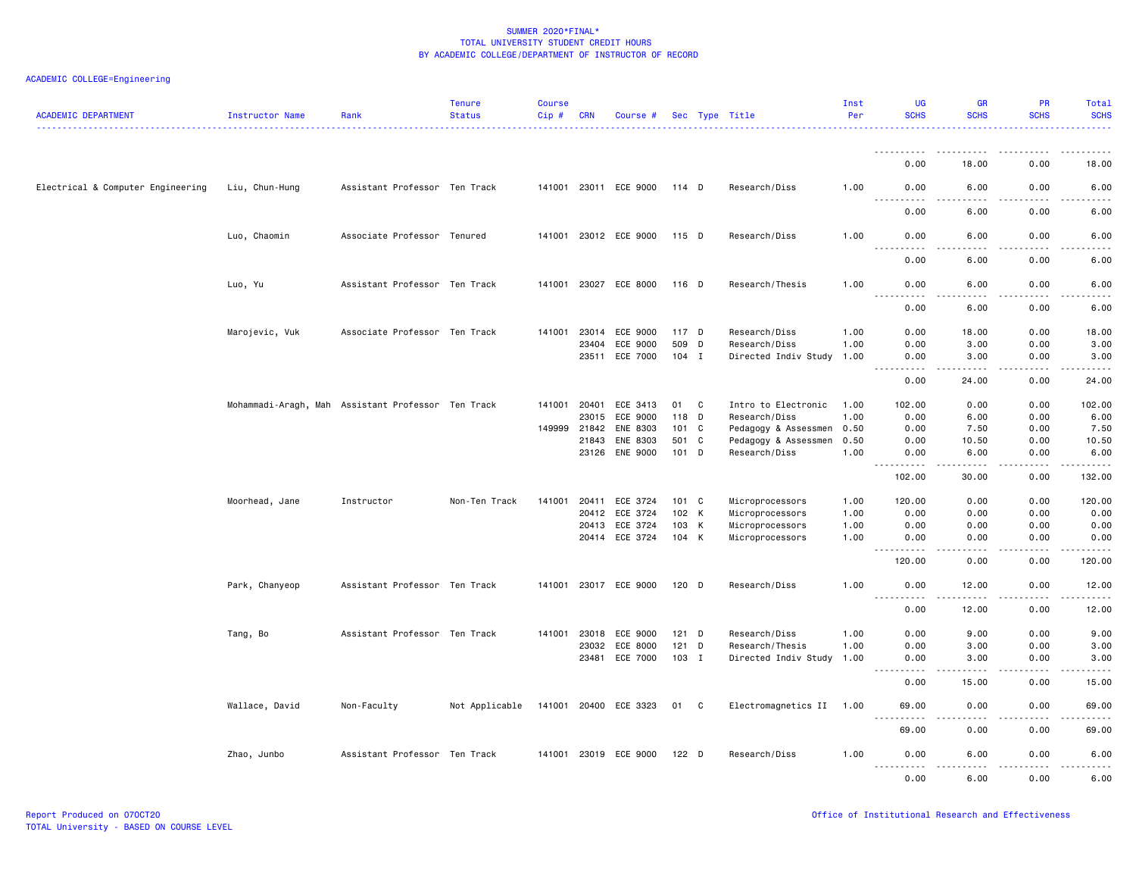| <b>ACADEMIC DEPARTMENT</b>        | Instructor Name                                    | Rank                          | <b>Tenure</b><br><b>Status</b> | <b>Course</b><br>Cip# | <b>CRN</b> | Course #              |         |   | Sec Type Title           | Inst<br>Per | UG<br><b>SCHS</b>                | <b>GR</b><br><b>SCHS</b> | PR<br><b>SCHS</b>     | Total<br><b>SCHS</b>                       |
|-----------------------------------|----------------------------------------------------|-------------------------------|--------------------------------|-----------------------|------------|-----------------------|---------|---|--------------------------|-------------|----------------------------------|--------------------------|-----------------------|--------------------------------------------|
|                                   |                                                    |                               |                                |                       |            |                       |         |   |                          |             | .                                |                          |                       |                                            |
|                                   |                                                    |                               |                                |                       |            |                       |         |   |                          |             | 0.00                             | 18.00                    | 0.00                  | 18.00                                      |
| Electrical & Computer Engineering | Liu, Chun-Hung                                     | Assistant Professor Ten Track |                                |                       |            | 141001 23011 ECE 9000 | 114 D   |   | Research/Diss            | 1.00        | 0.00                             | 6.00                     | 0.00                  | 6.00                                       |
|                                   |                                                    |                               |                                |                       |            |                       |         |   |                          |             | 0.00                             | 6.00                     | 0.00                  | 6.00                                       |
|                                   | Luo, Chaomin                                       | Associate Professor Tenured   |                                |                       |            | 141001 23012 ECE 9000 | 115 D   |   | Research/Diss            | 1.00        | 0.00<br>$ -$<br>$- - -$          | 6.00<br>.                | 0.00<br>$\frac{1}{2}$ | 6.00<br>----                               |
|                                   |                                                    |                               |                                |                       |            |                       |         |   |                          |             | 0.00                             | 6.00                     | 0.00                  | 6.00                                       |
|                                   | Luo, Yu                                            | Assistant Professor Ten Track |                                |                       |            | 141001 23027 ECE 8000 | $116$ D |   | Research/Thesis          | 1.00        | 0.00<br>$ -$<br>.                | 6.00<br>.                | 0.00<br>.             | 6.00<br>$- - - -$                          |
|                                   |                                                    |                               |                                |                       |            |                       |         |   |                          |             | 0.00                             | 6.00                     | 0.00                  | 6.00                                       |
|                                   | Marojevic, Vuk                                     | Associate Professor Ten Track |                                |                       |            | 141001 23014 ECE 9000 | 117 D   |   | Research/Diss            | 1.00        | 0.00                             | 18.00                    | 0.00                  | 18.00                                      |
|                                   |                                                    |                               |                                |                       | 23404      | ECE 9000              | 509     | D | Research/Diss            | 1.00        | 0.00                             | 3.00                     | 0.00                  | 3.00                                       |
|                                   |                                                    |                               |                                |                       |            | 23511 ECE 7000        | $104$ I |   | Directed Indiv Study     | 1.00        | 0.00                             | 3.00                     | 0.00                  | 3.00                                       |
|                                   |                                                    |                               |                                |                       |            |                       |         |   |                          |             | 0.00                             | 24.00                    | 0.00                  | 24,00                                      |
|                                   | Mohammadi-Aragh, Mah Assistant Professor Ten Track |                               |                                |                       |            | 141001 20401 ECE 3413 | 01      | C | Intro to Electronic      | 1.00        | 102.00                           | 0.00                     | 0.00                  | 102.00                                     |
|                                   |                                                    |                               |                                |                       | 23015      | ECE 9000              | 118     | D | Research/Diss            | 1.00        | 0.00                             | 6.00                     | 0.00                  | 6.00                                       |
|                                   |                                                    |                               |                                | 149999                | 21842      | ENE 8303              | 101 C   |   | Pedagogy & Assessmen     | 0.50        | 0.00                             | 7.50                     | 0.00                  | 7.50                                       |
|                                   |                                                    |                               |                                |                       | 21843      | ENE 8303              | 501 C   |   | Pedagogy & Assessmen     | 0.50        | 0.00                             | 10.50                    | 0.00                  | 10.50                                      |
|                                   |                                                    |                               |                                |                       |            | 23126 ENE 9000        | 101 D   |   | Research/Diss            | 1.00        | 0.00                             | 6.00                     | 0.00                  | 6.00                                       |
|                                   |                                                    |                               |                                |                       |            |                       |         |   |                          |             | 102.00                           | 30.00                    | 0.00                  | 132.00                                     |
|                                   | Moorhead, Jane                                     | Instructor                    | Non-Ten Track                  | 141001                | 20411      | ECE 3724              | 101 C   |   | Microprocessors          | 1.00        | 120.00                           | 0.00                     | 0.00                  | 120.00                                     |
|                                   |                                                    |                               |                                |                       | 20412      | ECE 3724              | 102 K   |   | Microprocessors          | 1.00        | 0.00                             | 0.00                     | 0.00                  | 0.00                                       |
|                                   |                                                    |                               |                                |                       | 20413      | ECE 3724              | 103 K   |   | Microprocessors          | 1.00        | 0.00                             | 0.00                     | 0.00                  | 0.00                                       |
|                                   |                                                    |                               |                                |                       |            | 20414 ECE 3724        | 104 K   |   | Microprocessors          | 1.00        | 0.00<br>$- - - -$                | 0.00                     | 0.00                  | 0.00                                       |
|                                   |                                                    |                               |                                |                       |            |                       |         |   |                          |             | 120.00                           | 0.00                     | 0.00                  | 120.00                                     |
|                                   | Park, Chanyeop                                     | Assistant Professor Ten Track |                                |                       |            | 141001 23017 ECE 9000 | 120 D   |   | Research/Diss            | 1.00        | 0.00<br>$- - -$<br>$\frac{1}{2}$ | 12.00<br>.               | 0.00<br>.             | 12.00<br>$\frac{1}{2}$                     |
|                                   |                                                    |                               |                                |                       |            |                       |         |   |                          |             | 0.00                             | 12.00                    | 0.00                  | 12.00                                      |
|                                   | Tang, Bo                                           | Assistant Professor Ten Track |                                |                       |            | 141001 23018 ECE 9000 | $121$ D |   | Research/Diss            | 1.00        | 0.00                             | 9.00                     | 0.00                  | 9.00                                       |
|                                   |                                                    |                               |                                |                       | 23032      | ECE 8000              | 121     | D | Research/Thesis          | 1.00        | 0.00                             | 3.00                     | 0.00                  | 3.00                                       |
|                                   |                                                    |                               |                                |                       |            | 23481 ECE 7000        | 103 I   |   | Directed Indiv Study     | 1.00        | 0.00<br>$ -$<br>$- - - - -$      | 3.00<br><u>.</u>         | 0.00<br>.             | 3.00<br>.                                  |
|                                   |                                                    |                               |                                |                       |            |                       |         |   |                          |             | 0.00                             | 15.00                    | 0.00                  | 15.00                                      |
|                                   | Wallace, David                                     | Non-Faculty                   | Not Applicable                 |                       |            | 141001 20400 ECE 3323 | 01 C    |   | Electromagnetics II 1.00 |             | 69.00                            | 0.00                     | 0.00                  | 69.00                                      |
|                                   |                                                    |                               |                                |                       |            |                       |         |   |                          |             | 69.00                            | 0.00                     | 0.00                  | 69.00                                      |
|                                   | Zhao, Junbo                                        | Assistant Professor Ten Track |                                |                       |            | 141001 23019 ECE 9000 | $122$ D |   | Research/Diss            | 1.00        | 0.00<br><u>.</u>                 | 6.00<br>.                | 0.00<br>.             | 6.00<br>$\sim$ $\sim$ $\sim$ $\sim$ $\sim$ |
|                                   |                                                    |                               |                                |                       |            |                       |         |   |                          |             | 0.00                             | 6.00                     | 0.00                  | 6.00                                       |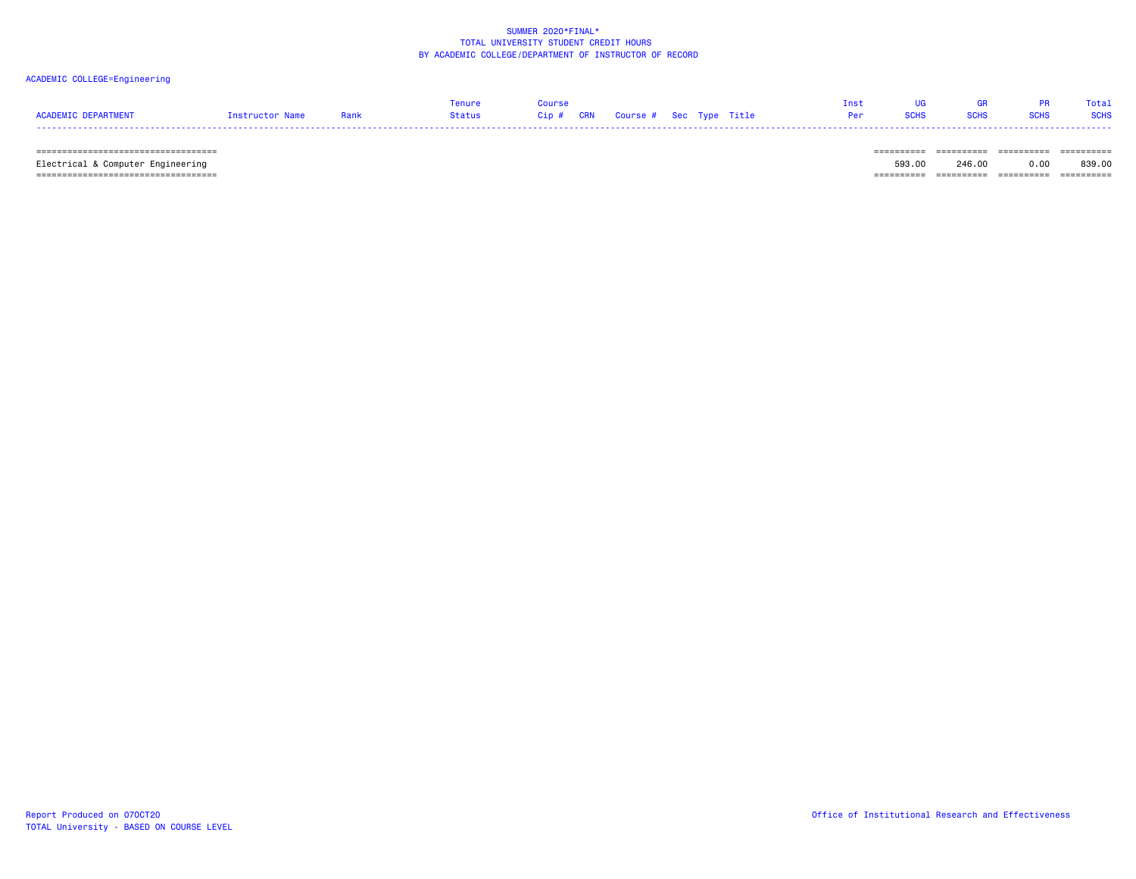# ACADEMIC COLLEGE=Engineering

|                     |                 |      | Tenure | Course |  | <b>Tnst</b>                         | <b>IIG Security</b> | GR PR Total |  |
|---------------------|-----------------|------|--------|--------|--|-------------------------------------|---------------------|-------------|--|
| ACADEMIC DEPARTMENT | Instructor Name | Rank |        |        |  | <b>Per SCHS SCHS SCHS SCHS SCHS</b> |                     |             |  |
|                     |                 |      |        |        |  |                                     |                     |             |  |

 =================================== ========== ========== ========== ========== Electrical & Computer Engineering 593.00 246.00 0.00 839.00  $=$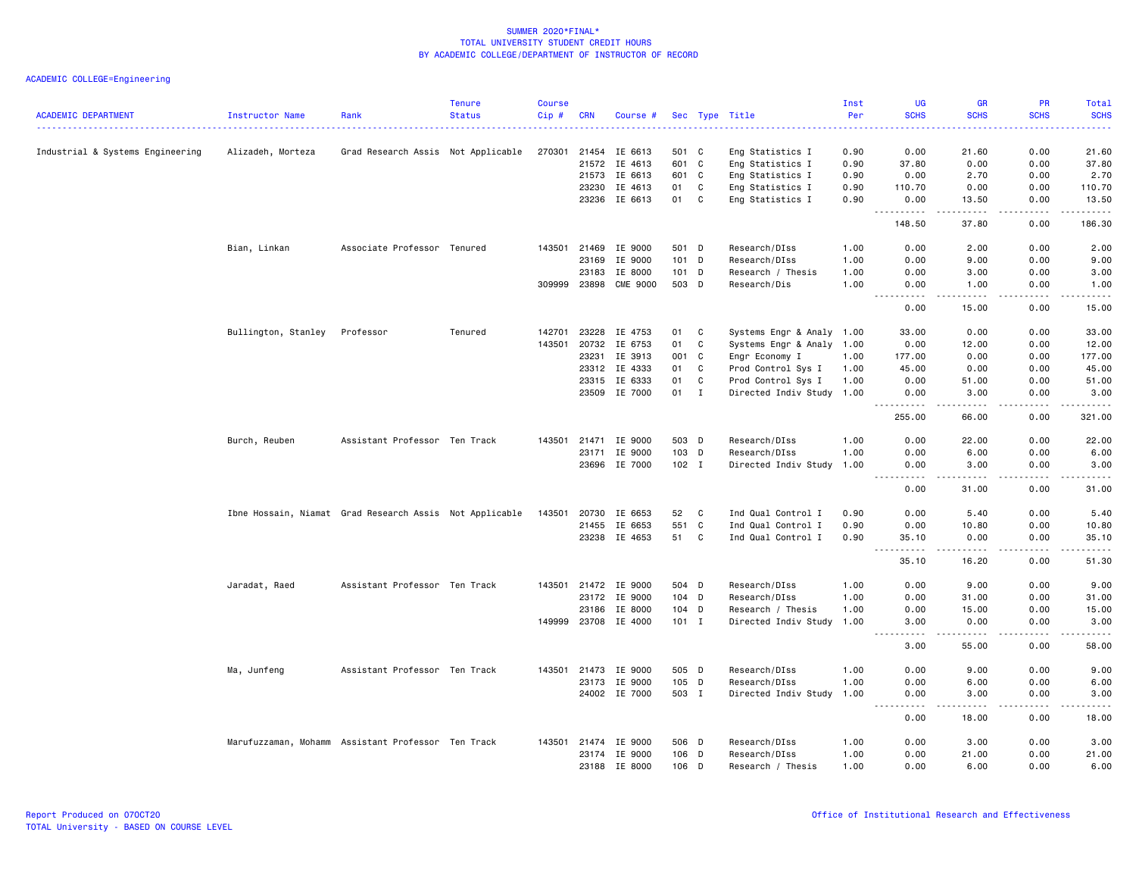| <b>ACADEMIC DEPARTMENT</b>       | Instructor Name     | Rank                                                    | <b>Tenure</b><br><b>Status</b> | <b>Course</b><br>Cip# | <b>CRN</b>   | Course #             |         |             | Sec Type Title            | Inst<br>Per | UG<br><b>SCHS</b>                  | <b>GR</b><br><b>SCHS</b>                                                                                                                                      | <b>PR</b><br><b>SCHS</b> | Total<br><b>SCHS</b> |
|----------------------------------|---------------------|---------------------------------------------------------|--------------------------------|-----------------------|--------------|----------------------|---------|-------------|---------------------------|-------------|------------------------------------|---------------------------------------------------------------------------------------------------------------------------------------------------------------|--------------------------|----------------------|
|                                  |                     |                                                         |                                |                       |              |                      |         |             |                           |             |                                    |                                                                                                                                                               |                          |                      |
| Industrial & Systems Engineering | Alizadeh, Morteza   | Grad Research Assis Not Applicable                      |                                | 270301                | 21454        | IE 6613              | 501 C   |             | Eng Statistics I          | 0.90        | 0.00                               | 21.60                                                                                                                                                         | 0.00                     | 21.60                |
|                                  |                     |                                                         |                                |                       | 21572        | IE 4613              | 601 C   |             | Eng Statistics I          | 0.90        | 37.80                              | 0.00                                                                                                                                                          | 0.00                     | 37.80                |
|                                  |                     |                                                         |                                |                       | 21573        | IE 6613              | 601 C   |             | Eng Statistics I          | 0.90        | 0.00                               | 2.70                                                                                                                                                          | 0.00                     | 2.70                 |
|                                  |                     |                                                         |                                |                       | 23230        | IE 4613              | 01      | C           | Eng Statistics I          | 0.90        | 110.70                             | 0.00                                                                                                                                                          | 0.00                     | 110.70               |
|                                  |                     |                                                         |                                |                       | 23236        | IE 6613              | 01      | C           | Eng Statistics I          | 0.90        | 0.00                               | 13.50                                                                                                                                                         | 0.00                     | 13.50                |
|                                  |                     |                                                         |                                |                       |              |                      |         |             |                           |             | $\sim$ $\sim$ $\sim$<br>148.50     | $\frac{1}{2} \left( \frac{1}{2} \right) \left( \frac{1}{2} \right) \left( \frac{1}{2} \right) \left( \frac{1}{2} \right) \left( \frac{1}{2} \right)$<br>37.80 | .<br>0.00                | .<br>186.30          |
|                                  | Bian, Linkan        | Associate Professor Tenured                             |                                | 143501                | 21469        | IE 9000              | 501 D   |             | Research/DIss             | 1.00        | 0.00                               | 2.00                                                                                                                                                          | 0.00                     | 2.00                 |
|                                  |                     |                                                         |                                |                       | 23169        | IE 9000              | 101 D   |             | Research/DIss             | 1.00        | 0.00                               | 9.00                                                                                                                                                          | 0.00                     | 9.00                 |
|                                  |                     |                                                         |                                |                       | 23183        | IE 8000              | 101 D   |             | Research / Thesis         | 1.00        | 0.00                               | 3.00                                                                                                                                                          | 0.00                     | 3.00                 |
|                                  |                     |                                                         |                                |                       | 309999 23898 | <b>CME 9000</b>      | 503 D   |             | Research/Dis              | 1.00        | 0.00                               | 1.00                                                                                                                                                          | 0.00                     | 1.00                 |
|                                  |                     |                                                         |                                |                       |              |                      |         |             |                           |             | .<br>0.00                          | $\frac{1}{2} \left( \frac{1}{2} \right) \left( \frac{1}{2} \right) \left( \frac{1}{2} \right) \left( \frac{1}{2} \right)$<br>15.00                            | 0.00                     | .<br>15.00           |
|                                  |                     |                                                         |                                |                       |              |                      |         |             |                           |             |                                    |                                                                                                                                                               |                          |                      |
|                                  | Bullington, Stanley | Professor                                               | Tenured                        | 142701                | 23228        | IE 4753              | 01      | C           | Systems Engr & Analy 1.00 |             | 33.00                              | 0.00                                                                                                                                                          | 0.00                     | 33.00                |
|                                  |                     |                                                         |                                | 143501                | 20732        | IE 6753              | 01      | C           | Systems Engr & Analy 1.00 |             | 0.00                               | 12.00                                                                                                                                                         | 0.00                     | 12.00                |
|                                  |                     |                                                         |                                |                       | 23231        | IE 3913              | 001     | C           | Engr Economy I            | 1.00        | 177.00                             | 0.00                                                                                                                                                          | 0.00                     | 177.00               |
|                                  |                     |                                                         |                                |                       | 23312        | IE 4333              | 01      | C           | Prod Control Sys I        | 1.00        | 45.00                              | 0.00                                                                                                                                                          | 0.00                     | 45.00                |
|                                  |                     |                                                         |                                |                       | 23315        | IE 6333              | 01      | $\mathbf c$ | Prod Control Sys I        | 1.00        | 0.00                               | 51.00                                                                                                                                                         | 0.00                     | 51.00                |
|                                  |                     |                                                         |                                |                       | 23509        | IE 7000              | 01      | $\mathbf I$ | Directed Indiv Study 1.00 |             | 0.00                               | 3.00                                                                                                                                                          | 0.00                     | 3.00                 |
|                                  |                     |                                                         |                                |                       |              |                      |         |             |                           |             | $- - -$<br>. <b>.</b><br>255.00    | $\begin{array}{cccccccccccccc} \bullet & \bullet & \bullet & \bullet & \bullet & \bullet & \bullet \end{array}$<br>66.00                                      | .<br>0.00                | .<br>321.00          |
|                                  | Burch, Reuben       | Assistant Professor Ten Track                           |                                | 143501                | 21471        | IE 9000              | 503 D   |             | Research/DIss             | 1.00        | 0.00                               | 22.00                                                                                                                                                         | 0.00                     | 22.00                |
|                                  |                     |                                                         |                                |                       | 23171        | IE 9000              | 103 D   |             | Research/DIss             | 1.00        | 0.00                               | 6.00                                                                                                                                                          | 0.00                     | 6.00                 |
|                                  |                     |                                                         |                                |                       |              | 23696 IE 7000        | 102 I   |             | Directed Indiv Study      | 1.00        | 0.00                               | 3.00                                                                                                                                                          | 0.00                     | 3.00                 |
|                                  |                     |                                                         |                                |                       |              |                      |         |             |                           |             | 0.00                               | .<br>31.00                                                                                                                                                    | 0.00                     | والمناصبات<br>31.00  |
|                                  |                     |                                                         |                                |                       |              |                      |         |             |                           |             |                                    |                                                                                                                                                               |                          |                      |
|                                  |                     | Ibne Hossain, Niamat Grad Research Assis Not Applicable |                                | 143501                | 20730        | IE 6653              | 52      | C           | Ind Qual Control I        | 0.90        | 0.00                               | 5.40                                                                                                                                                          | 0.00                     | 5.40                 |
|                                  |                     |                                                         |                                |                       | 21455        | IE 6653              | 551     | C           | Ind Qual Control I        | 0.90        | 0.00                               | 10.80                                                                                                                                                         | 0.00                     | 10.80                |
|                                  |                     |                                                         |                                |                       |              | 23238 IE 4653        | 51      | C           | Ind Qual Control I        | 0.90        | 35.10<br>$\frac{1}{2}$<br>$\cdots$ | 0.00<br>$\cdots \cdots \cdots$                                                                                                                                | 0.00<br>.                | 35.10<br>.           |
|                                  |                     |                                                         |                                |                       |              |                      |         |             |                           |             | 35.10                              | 16.20                                                                                                                                                         | 0.00                     | 51.30                |
|                                  | Jaradat, Raed       | Assistant Professor Ten Track                           |                                |                       | 143501 21472 | IE 9000              | 504 D   |             | Research/DIss             | 1.00        | 0.00                               | 9.00                                                                                                                                                          | 0.00                     | 9.00                 |
|                                  |                     |                                                         |                                |                       |              | 23172 IE 9000        | 104 D   |             | Research/DIss             | 1.00        | 0.00                               | 31.00                                                                                                                                                         | 0.00                     | 31.00                |
|                                  |                     |                                                         |                                |                       | 23186        | IE 8000              | 104 D   |             | Research / Thesis         | 1.00        | 0.00                               | 15.00                                                                                                                                                         | 0.00                     | 15.00                |
|                                  |                     |                                                         |                                | 149999                |              | 23708 IE 4000        | $101$ I |             | Directed Indiv Study      | 1.00        | 3.00                               | 0.00                                                                                                                                                          | 0.00                     | 3.00                 |
|                                  |                     |                                                         |                                |                       |              |                      |         |             |                           |             | .<br>3.00                          | .<br>55.00                                                                                                                                                    | .<br>0.00                | .<br>58.00           |
|                                  |                     |                                                         |                                |                       |              |                      |         |             |                           |             |                                    |                                                                                                                                                               |                          |                      |
|                                  | Ma, Junfeng         | Assistant Professor Ten Track                           |                                |                       |              | 143501 21473 IE 9000 | 505 D   |             | Research/DIss             | 1.00        | 0.00                               | 9.00                                                                                                                                                          | 0.00                     | 9.00                 |
|                                  |                     |                                                         |                                |                       | 23173        | IE 9000              | 105     | D           | Research/DIss             | 1.00        | 0.00                               | 6.00                                                                                                                                                          | 0.00                     | 6.00                 |
|                                  |                     |                                                         |                                |                       |              | 24002 IE 7000        | 503 I   |             | Directed Indiv Study      | 1.00        | 0.00<br>$  -$<br>المناسبات         | 3.00<br>.                                                                                                                                                     | 0.00<br>.                | 3.00<br>.            |
|                                  |                     |                                                         |                                |                       |              |                      |         |             |                           |             | 0.00                               | 18.00                                                                                                                                                         | 0.00                     | 18.00                |
|                                  |                     | Marufuzzaman, Mohamm Assistant Professor Ten Track      |                                |                       |              | 143501 21474 IE 9000 | 506 D   |             | Research/DIss             | 1.00        | 0.00                               | 3.00                                                                                                                                                          | 0.00                     | 3.00                 |
|                                  |                     |                                                         |                                |                       | 23174        | IE 9000              | 106     | D           | Research/DIss             | 1.00        | 0.00                               | 21.00                                                                                                                                                         | 0.00                     | 21.00                |
|                                  |                     |                                                         |                                |                       | 23188        | IE 8000              | $106$ D |             | Research / Thesis         | 1.00        | 0.00                               | 6.00                                                                                                                                                          | 0.00                     | 6.00                 |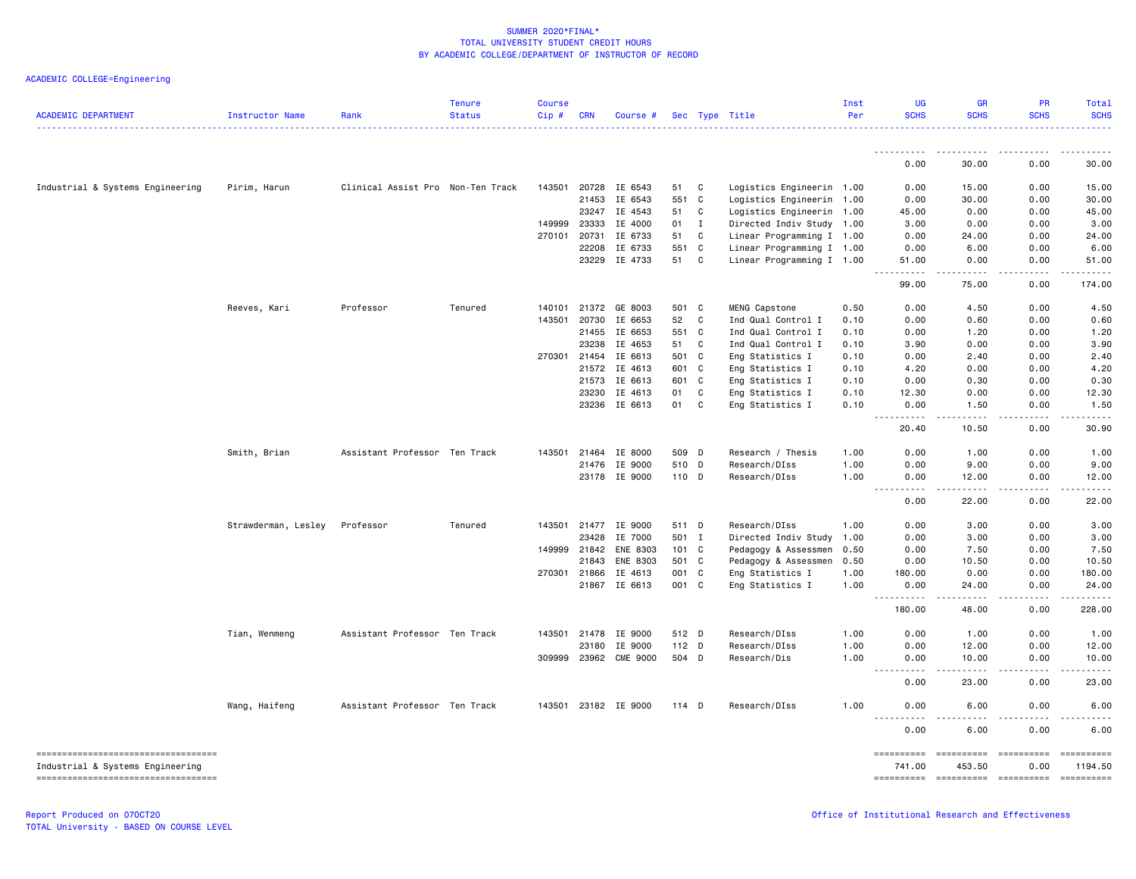| Sec Type Title<br>.<br>0.00<br>30.00<br>0.00<br>Industrial & Systems Engineering<br>Pirim, Harun<br>Clinical Assist Pro Non-Ten Track<br>143501<br>20728<br>IE 6543<br>C<br>Logistics Engineerin 1.00<br>0.00<br>15.00<br>0.00<br>51<br>21453<br>IE 6543<br>551<br>$\mathbf{C}$<br>0.00<br>30.00<br>0.00<br>Logistics Engineerin 1.00<br>23247<br>IE 4543<br>51<br>C<br>0.00<br>0.00<br>Logistics Engineerin 1.00<br>45.00<br>23333<br>149999<br>IE 4000<br>01<br>I<br>Directed Indiv Study 1.00<br>3.00<br>0.00<br>0.00<br>270101 20731<br>IE 6733<br>51<br>C<br>Linear Programming I 1.00<br>0.00<br>24.00<br>0.00<br>22208<br>IE 6733<br>551 C<br>Linear Programming I 1.00<br>0.00<br>6.00<br>0.00<br>23229 IE 4733<br>51<br>C<br>Linear Programming I 1.00<br>51.00<br>0.00<br>0.00<br>99.00<br>75.00<br>0.00<br>Professor<br>Tenured<br>Reeves, Kari<br>140101<br>21372<br>GE 8003<br>501 C<br>MENG Capstone<br>0.00<br>4.50<br>0.00<br>0.50<br>IE 6653<br>52<br>C<br>Ind Qual Control I<br>0.00<br>0.60<br>143501<br>20730<br>0.10<br>0.00<br>21455<br>IE 6653<br>551<br>C<br>Ind Qual Control I<br>1.20<br>0.10<br>0.00<br>0.00<br>23238<br>IE 4653<br>51<br>C<br>Ind Qual Control I<br>3.90<br>0.00<br>0.00<br>0.10<br>IE 6613<br>270301 21454<br>501 C<br>Eng Statistics I<br>0.10<br>0.00<br>2.40<br>0.00<br>21572<br>IE 4613<br>601<br>$\mathbf{C}$<br>Eng Statistics I<br>4.20<br>0.00<br>0.00<br>0.10<br>IE 6613<br>21573<br>601<br>$\mathbf{C}$<br>Eng Statistics I<br>0.00<br>0.30<br>0.00<br>0.10<br>23230<br>IE 4613<br>01<br>C<br>Eng Statistics I<br>12.30<br>0.00<br>0.00<br>0.10<br>IE 6613<br>01<br>23236<br>C<br>Eng Statistics I<br>0.10<br>0.00<br>1.50<br>0.00<br>.<br>$\frac{1}{2} \left( \frac{1}{2} \right) \left( \frac{1}{2} \right) \left( \frac{1}{2} \right) \left( \frac{1}{2} \right) \left( \frac{1}{2} \right)$<br><b>.</b><br>.<br>$\frac{1}{2}$<br>20.40<br>10.50<br>0.00<br>Smith, Brian<br>Assistant Professor Ten Track<br>143501<br>21464<br>IE 8000<br>509<br>$\mathsf{D}$<br>Research / Thesis<br>1.00<br>0.00<br>1.00<br>0.00<br>IE 9000<br>510 D<br>21476<br>Research/DIss<br>1.00<br>0.00<br>9.00<br>0.00<br>23178 IE 9000<br>110 D<br>Research/DIss<br>1.00<br>12.00<br>0.00<br>0.00<br>.<br>$\frac{1}{2} \left( \frac{1}{2} \right) \left( \frac{1}{2} \right) \left( \frac{1}{2} \right) \left( \frac{1}{2} \right) \left( \frac{1}{2} \right)$<br>$\frac{1}{2} \left( \frac{1}{2} \right) \left( \frac{1}{2} \right) \left( \frac{1}{2} \right) \left( \frac{1}{2} \right) \left( \frac{1}{2} \right)$<br>.<br>$\sim$ $\sim$ $\sim$ $\sim$<br>0.00<br>22.00<br>0.00<br>Professor<br>Tenured<br>143501<br>21477<br>IE 9000<br>511 D<br>Research/DIss<br>1.00<br>3.00<br>0.00<br>Strawderman, Lesley<br>0.00<br>23428<br>IE 7000<br>501 I<br>Directed Indiv Study<br>0.00<br>3.00<br>0.00<br>1.00<br>ENE 8303<br>101 C<br>Pedagogy & Assessmen<br>0.00<br>7.50<br>149999 21842<br>0.50<br>0.00<br>21843<br><b>ENE 8303</b><br>501 C<br>Pedagogy & Assessmen<br>0.50<br>0.00<br>10.50<br>0.00<br>270301 21866<br>IE 4613<br>001 C<br>Eng Statistics I<br>1.00<br>180.00<br>0.00<br>0.00<br>21867 IE 6613<br>001 C<br>Eng Statistics I<br>1.00<br>0.00<br>24.00<br>0.00<br>.<br>.<br>.<br>$  -$<br>180.00<br>48.00<br>0.00<br>Assistant Professor Ten Track<br>IE 9000<br>512 D<br>0.00<br>Tian, Wenmeng<br>143501 21478<br>Research/DIss<br>1.00<br>0.00<br>1.00<br>23180<br>IE 9000<br>112 D<br>Research/DIss<br>1.00<br>0.00<br>12.00<br>0.00<br>309999 23962<br><b>CME 9000</b><br>504 D<br>Research/Dis<br>1.00<br>0.00<br>10.00<br>0.00<br>0.00<br>0.00<br>23.00<br>Assistant Professor Ten Track<br>143501 23182 IE 9000<br>Research/DIss<br>1.00<br>0.00<br>Wang, Haifeng<br>114 D<br>0.00<br>6.00<br>$\frac{1}{2}$<br>.<br>0.00<br>6.00<br>0.00<br>----------------------------------<br>$=$ = = = = = = = = =<br>==========<br>Industrial & Systems Engineering<br>741.00<br>453.50<br>0.00<br>-----------------------------------<br>========== | <b>ACADEMIC DEPARTMENT</b> | Instructor Name | Rank | <b>Tenure</b><br><b>Status</b> | <b>Course</b><br>Cip# | CRN | Course # |  | Inst<br>Per | <b>UG</b><br><b>SCHS</b> | <b>GR</b><br><b>SCHS</b> | PR<br><b>SCHS</b> | Total<br><b>SCHS</b> |
|--------------------------------------------------------------------------------------------------------------------------------------------------------------------------------------------------------------------------------------------------------------------------------------------------------------------------------------------------------------------------------------------------------------------------------------------------------------------------------------------------------------------------------------------------------------------------------------------------------------------------------------------------------------------------------------------------------------------------------------------------------------------------------------------------------------------------------------------------------------------------------------------------------------------------------------------------------------------------------------------------------------------------------------------------------------------------------------------------------------------------------------------------------------------------------------------------------------------------------------------------------------------------------------------------------------------------------------------------------------------------------------------------------------------------------------------------------------------------------------------------------------------------------------------------------------------------------------------------------------------------------------------------------------------------------------------------------------------------------------------------------------------------------------------------------------------------------------------------------------------------------------------------------------------------------------------------------------------------------------------------------------------------------------------------------------------------------------------------------------------------------------------------------------------------------------------------------------------------------------------------------------------------------------------------------------------------------------------------------------------------------------------------------------------------------------------------------------------------------------------------------------------------------------------------------------------------------------------------------------------------------------------------------------------------------------------------------------------------------------------------------------------------------------------------------------------------------------------------------------------------------------------------------------------------------------------------------------------------------------------------------------------------------------------------------------------------------------------------------------------------------------------------------------------------------------------------------------------------------------------------------------------------------------------------------------------------------------------------------------------------------------------------------------------------------------------------------------------------------------------------------------------------------------------------------------------------------------------------------------------------------------------------------------------------------------------------------------------------------------------------------------------------------------------------------------------------------------------------------------------------------------------------------------------------------------------------------------------------------------------------------------|----------------------------|-----------------|------|--------------------------------|-----------------------|-----|----------|--|-------------|--------------------------|--------------------------|-------------------|----------------------|
|                                                                                                                                                                                                                                                                                                                                                                                                                                                                                                                                                                                                                                                                                                                                                                                                                                                                                                                                                                                                                                                                                                                                                                                                                                                                                                                                                                                                                                                                                                                                                                                                                                                                                                                                                                                                                                                                                                                                                                                                                                                                                                                                                                                                                                                                                                                                                                                                                                                                                                                                                                                                                                                                                                                                                                                                                                                                                                                                                                                                                                                                                                                                                                                                                                                                                                                                                                                                                                                                                                                                                                                                                                                                                                                                                                                                                                                                                                                                                                                                              |                            |                 |      |                                |                       |     |          |  |             |                          |                          |                   |                      |
| 15.00<br>30.00<br>45.00<br>3.00<br>24.00<br>6.00<br>174.00<br>4.50<br>0.60<br>3.90<br>0.30<br>1.50<br>1.00<br>9.00<br>22.00<br>3.00<br>7.50<br>10.50<br>180.00<br>24.00<br>228.00<br>1.00<br>12.00<br>10.00<br>23.00<br>6.00<br>6.00<br>==========<br>1194.50<br>==========                                                                                                                                                                                                                                                                                                                                                                                                                                                                                                                                                                                                                                                                                                                                                                                                                                                                                                                                                                                                                                                                                                                                                                                                                                                                                                                                                                                                                                                                                                                                                                                                                                                                                                                                                                                                                                                                                                                                                                                                                                                                                                                                                                                                                                                                                                                                                                                                                                                                                                                                                                                                                                                                                                                                                                                                                                                                                                                                                                                                                                                                                                                                                                                                                                                                                                                                                                                                                                                                                                                                                                                                                                                                                                                                  |                            |                 |      |                                |                       |     |          |  |             |                          |                          |                   | 30.00                |
|                                                                                                                                                                                                                                                                                                                                                                                                                                                                                                                                                                                                                                                                                                                                                                                                                                                                                                                                                                                                                                                                                                                                                                                                                                                                                                                                                                                                                                                                                                                                                                                                                                                                                                                                                                                                                                                                                                                                                                                                                                                                                                                                                                                                                                                                                                                                                                                                                                                                                                                                                                                                                                                                                                                                                                                                                                                                                                                                                                                                                                                                                                                                                                                                                                                                                                                                                                                                                                                                                                                                                                                                                                                                                                                                                                                                                                                                                                                                                                                                              |                            |                 |      |                                |                       |     |          |  |             |                          |                          |                   |                      |
|                                                                                                                                                                                                                                                                                                                                                                                                                                                                                                                                                                                                                                                                                                                                                                                                                                                                                                                                                                                                                                                                                                                                                                                                                                                                                                                                                                                                                                                                                                                                                                                                                                                                                                                                                                                                                                                                                                                                                                                                                                                                                                                                                                                                                                                                                                                                                                                                                                                                                                                                                                                                                                                                                                                                                                                                                                                                                                                                                                                                                                                                                                                                                                                                                                                                                                                                                                                                                                                                                                                                                                                                                                                                                                                                                                                                                                                                                                                                                                                                              |                            |                 |      |                                |                       |     |          |  |             |                          |                          |                   |                      |
|                                                                                                                                                                                                                                                                                                                                                                                                                                                                                                                                                                                                                                                                                                                                                                                                                                                                                                                                                                                                                                                                                                                                                                                                                                                                                                                                                                                                                                                                                                                                                                                                                                                                                                                                                                                                                                                                                                                                                                                                                                                                                                                                                                                                                                                                                                                                                                                                                                                                                                                                                                                                                                                                                                                                                                                                                                                                                                                                                                                                                                                                                                                                                                                                                                                                                                                                                                                                                                                                                                                                                                                                                                                                                                                                                                                                                                                                                                                                                                                                              |                            |                 |      |                                |                       |     |          |  |             |                          |                          |                   |                      |
|                                                                                                                                                                                                                                                                                                                                                                                                                                                                                                                                                                                                                                                                                                                                                                                                                                                                                                                                                                                                                                                                                                                                                                                                                                                                                                                                                                                                                                                                                                                                                                                                                                                                                                                                                                                                                                                                                                                                                                                                                                                                                                                                                                                                                                                                                                                                                                                                                                                                                                                                                                                                                                                                                                                                                                                                                                                                                                                                                                                                                                                                                                                                                                                                                                                                                                                                                                                                                                                                                                                                                                                                                                                                                                                                                                                                                                                                                                                                                                                                              |                            |                 |      |                                |                       |     |          |  |             |                          |                          |                   |                      |
|                                                                                                                                                                                                                                                                                                                                                                                                                                                                                                                                                                                                                                                                                                                                                                                                                                                                                                                                                                                                                                                                                                                                                                                                                                                                                                                                                                                                                                                                                                                                                                                                                                                                                                                                                                                                                                                                                                                                                                                                                                                                                                                                                                                                                                                                                                                                                                                                                                                                                                                                                                                                                                                                                                                                                                                                                                                                                                                                                                                                                                                                                                                                                                                                                                                                                                                                                                                                                                                                                                                                                                                                                                                                                                                                                                                                                                                                                                                                                                                                              |                            |                 |      |                                |                       |     |          |  |             |                          |                          |                   |                      |
|                                                                                                                                                                                                                                                                                                                                                                                                                                                                                                                                                                                                                                                                                                                                                                                                                                                                                                                                                                                                                                                                                                                                                                                                                                                                                                                                                                                                                                                                                                                                                                                                                                                                                                                                                                                                                                                                                                                                                                                                                                                                                                                                                                                                                                                                                                                                                                                                                                                                                                                                                                                                                                                                                                                                                                                                                                                                                                                                                                                                                                                                                                                                                                                                                                                                                                                                                                                                                                                                                                                                                                                                                                                                                                                                                                                                                                                                                                                                                                                                              |                            |                 |      |                                |                       |     |          |  |             |                          |                          |                   |                      |
|                                                                                                                                                                                                                                                                                                                                                                                                                                                                                                                                                                                                                                                                                                                                                                                                                                                                                                                                                                                                                                                                                                                                                                                                                                                                                                                                                                                                                                                                                                                                                                                                                                                                                                                                                                                                                                                                                                                                                                                                                                                                                                                                                                                                                                                                                                                                                                                                                                                                                                                                                                                                                                                                                                                                                                                                                                                                                                                                                                                                                                                                                                                                                                                                                                                                                                                                                                                                                                                                                                                                                                                                                                                                                                                                                                                                                                                                                                                                                                                                              |                            |                 |      |                                |                       |     |          |  |             |                          |                          |                   | 51.00                |
|                                                                                                                                                                                                                                                                                                                                                                                                                                                                                                                                                                                                                                                                                                                                                                                                                                                                                                                                                                                                                                                                                                                                                                                                                                                                                                                                                                                                                                                                                                                                                                                                                                                                                                                                                                                                                                                                                                                                                                                                                                                                                                                                                                                                                                                                                                                                                                                                                                                                                                                                                                                                                                                                                                                                                                                                                                                                                                                                                                                                                                                                                                                                                                                                                                                                                                                                                                                                                                                                                                                                                                                                                                                                                                                                                                                                                                                                                                                                                                                                              |                            |                 |      |                                |                       |     |          |  |             |                          |                          |                   |                      |
|                                                                                                                                                                                                                                                                                                                                                                                                                                                                                                                                                                                                                                                                                                                                                                                                                                                                                                                                                                                                                                                                                                                                                                                                                                                                                                                                                                                                                                                                                                                                                                                                                                                                                                                                                                                                                                                                                                                                                                                                                                                                                                                                                                                                                                                                                                                                                                                                                                                                                                                                                                                                                                                                                                                                                                                                                                                                                                                                                                                                                                                                                                                                                                                                                                                                                                                                                                                                                                                                                                                                                                                                                                                                                                                                                                                                                                                                                                                                                                                                              |                            |                 |      |                                |                       |     |          |  |             |                          |                          |                   |                      |
|                                                                                                                                                                                                                                                                                                                                                                                                                                                                                                                                                                                                                                                                                                                                                                                                                                                                                                                                                                                                                                                                                                                                                                                                                                                                                                                                                                                                                                                                                                                                                                                                                                                                                                                                                                                                                                                                                                                                                                                                                                                                                                                                                                                                                                                                                                                                                                                                                                                                                                                                                                                                                                                                                                                                                                                                                                                                                                                                                                                                                                                                                                                                                                                                                                                                                                                                                                                                                                                                                                                                                                                                                                                                                                                                                                                                                                                                                                                                                                                                              |                            |                 |      |                                |                       |     |          |  |             |                          |                          |                   |                      |
|                                                                                                                                                                                                                                                                                                                                                                                                                                                                                                                                                                                                                                                                                                                                                                                                                                                                                                                                                                                                                                                                                                                                                                                                                                                                                                                                                                                                                                                                                                                                                                                                                                                                                                                                                                                                                                                                                                                                                                                                                                                                                                                                                                                                                                                                                                                                                                                                                                                                                                                                                                                                                                                                                                                                                                                                                                                                                                                                                                                                                                                                                                                                                                                                                                                                                                                                                                                                                                                                                                                                                                                                                                                                                                                                                                                                                                                                                                                                                                                                              |                            |                 |      |                                |                       |     |          |  |             |                          |                          |                   | 1.20                 |
|                                                                                                                                                                                                                                                                                                                                                                                                                                                                                                                                                                                                                                                                                                                                                                                                                                                                                                                                                                                                                                                                                                                                                                                                                                                                                                                                                                                                                                                                                                                                                                                                                                                                                                                                                                                                                                                                                                                                                                                                                                                                                                                                                                                                                                                                                                                                                                                                                                                                                                                                                                                                                                                                                                                                                                                                                                                                                                                                                                                                                                                                                                                                                                                                                                                                                                                                                                                                                                                                                                                                                                                                                                                                                                                                                                                                                                                                                                                                                                                                              |                            |                 |      |                                |                       |     |          |  |             |                          |                          |                   |                      |
|                                                                                                                                                                                                                                                                                                                                                                                                                                                                                                                                                                                                                                                                                                                                                                                                                                                                                                                                                                                                                                                                                                                                                                                                                                                                                                                                                                                                                                                                                                                                                                                                                                                                                                                                                                                                                                                                                                                                                                                                                                                                                                                                                                                                                                                                                                                                                                                                                                                                                                                                                                                                                                                                                                                                                                                                                                                                                                                                                                                                                                                                                                                                                                                                                                                                                                                                                                                                                                                                                                                                                                                                                                                                                                                                                                                                                                                                                                                                                                                                              |                            |                 |      |                                |                       |     |          |  |             |                          |                          |                   | 2.40                 |
|                                                                                                                                                                                                                                                                                                                                                                                                                                                                                                                                                                                                                                                                                                                                                                                                                                                                                                                                                                                                                                                                                                                                                                                                                                                                                                                                                                                                                                                                                                                                                                                                                                                                                                                                                                                                                                                                                                                                                                                                                                                                                                                                                                                                                                                                                                                                                                                                                                                                                                                                                                                                                                                                                                                                                                                                                                                                                                                                                                                                                                                                                                                                                                                                                                                                                                                                                                                                                                                                                                                                                                                                                                                                                                                                                                                                                                                                                                                                                                                                              |                            |                 |      |                                |                       |     |          |  |             |                          |                          |                   | 4.20                 |
|                                                                                                                                                                                                                                                                                                                                                                                                                                                                                                                                                                                                                                                                                                                                                                                                                                                                                                                                                                                                                                                                                                                                                                                                                                                                                                                                                                                                                                                                                                                                                                                                                                                                                                                                                                                                                                                                                                                                                                                                                                                                                                                                                                                                                                                                                                                                                                                                                                                                                                                                                                                                                                                                                                                                                                                                                                                                                                                                                                                                                                                                                                                                                                                                                                                                                                                                                                                                                                                                                                                                                                                                                                                                                                                                                                                                                                                                                                                                                                                                              |                            |                 |      |                                |                       |     |          |  |             |                          |                          |                   |                      |
|                                                                                                                                                                                                                                                                                                                                                                                                                                                                                                                                                                                                                                                                                                                                                                                                                                                                                                                                                                                                                                                                                                                                                                                                                                                                                                                                                                                                                                                                                                                                                                                                                                                                                                                                                                                                                                                                                                                                                                                                                                                                                                                                                                                                                                                                                                                                                                                                                                                                                                                                                                                                                                                                                                                                                                                                                                                                                                                                                                                                                                                                                                                                                                                                                                                                                                                                                                                                                                                                                                                                                                                                                                                                                                                                                                                                                                                                                                                                                                                                              |                            |                 |      |                                |                       |     |          |  |             |                          |                          |                   | 12.30                |
|                                                                                                                                                                                                                                                                                                                                                                                                                                                                                                                                                                                                                                                                                                                                                                                                                                                                                                                                                                                                                                                                                                                                                                                                                                                                                                                                                                                                                                                                                                                                                                                                                                                                                                                                                                                                                                                                                                                                                                                                                                                                                                                                                                                                                                                                                                                                                                                                                                                                                                                                                                                                                                                                                                                                                                                                                                                                                                                                                                                                                                                                                                                                                                                                                                                                                                                                                                                                                                                                                                                                                                                                                                                                                                                                                                                                                                                                                                                                                                                                              |                            |                 |      |                                |                       |     |          |  |             |                          |                          |                   |                      |
|                                                                                                                                                                                                                                                                                                                                                                                                                                                                                                                                                                                                                                                                                                                                                                                                                                                                                                                                                                                                                                                                                                                                                                                                                                                                                                                                                                                                                                                                                                                                                                                                                                                                                                                                                                                                                                                                                                                                                                                                                                                                                                                                                                                                                                                                                                                                                                                                                                                                                                                                                                                                                                                                                                                                                                                                                                                                                                                                                                                                                                                                                                                                                                                                                                                                                                                                                                                                                                                                                                                                                                                                                                                                                                                                                                                                                                                                                                                                                                                                              |                            |                 |      |                                |                       |     |          |  |             |                          |                          |                   | 30.90                |
|                                                                                                                                                                                                                                                                                                                                                                                                                                                                                                                                                                                                                                                                                                                                                                                                                                                                                                                                                                                                                                                                                                                                                                                                                                                                                                                                                                                                                                                                                                                                                                                                                                                                                                                                                                                                                                                                                                                                                                                                                                                                                                                                                                                                                                                                                                                                                                                                                                                                                                                                                                                                                                                                                                                                                                                                                                                                                                                                                                                                                                                                                                                                                                                                                                                                                                                                                                                                                                                                                                                                                                                                                                                                                                                                                                                                                                                                                                                                                                                                              |                            |                 |      |                                |                       |     |          |  |             |                          |                          |                   |                      |
|                                                                                                                                                                                                                                                                                                                                                                                                                                                                                                                                                                                                                                                                                                                                                                                                                                                                                                                                                                                                                                                                                                                                                                                                                                                                                                                                                                                                                                                                                                                                                                                                                                                                                                                                                                                                                                                                                                                                                                                                                                                                                                                                                                                                                                                                                                                                                                                                                                                                                                                                                                                                                                                                                                                                                                                                                                                                                                                                                                                                                                                                                                                                                                                                                                                                                                                                                                                                                                                                                                                                                                                                                                                                                                                                                                                                                                                                                                                                                                                                              |                            |                 |      |                                |                       |     |          |  |             |                          |                          |                   |                      |
|                                                                                                                                                                                                                                                                                                                                                                                                                                                                                                                                                                                                                                                                                                                                                                                                                                                                                                                                                                                                                                                                                                                                                                                                                                                                                                                                                                                                                                                                                                                                                                                                                                                                                                                                                                                                                                                                                                                                                                                                                                                                                                                                                                                                                                                                                                                                                                                                                                                                                                                                                                                                                                                                                                                                                                                                                                                                                                                                                                                                                                                                                                                                                                                                                                                                                                                                                                                                                                                                                                                                                                                                                                                                                                                                                                                                                                                                                                                                                                                                              |                            |                 |      |                                |                       |     |          |  |             |                          |                          |                   | 12.00                |
|                                                                                                                                                                                                                                                                                                                                                                                                                                                                                                                                                                                                                                                                                                                                                                                                                                                                                                                                                                                                                                                                                                                                                                                                                                                                                                                                                                                                                                                                                                                                                                                                                                                                                                                                                                                                                                                                                                                                                                                                                                                                                                                                                                                                                                                                                                                                                                                                                                                                                                                                                                                                                                                                                                                                                                                                                                                                                                                                                                                                                                                                                                                                                                                                                                                                                                                                                                                                                                                                                                                                                                                                                                                                                                                                                                                                                                                                                                                                                                                                              |                            |                 |      |                                |                       |     |          |  |             |                          |                          |                   |                      |
|                                                                                                                                                                                                                                                                                                                                                                                                                                                                                                                                                                                                                                                                                                                                                                                                                                                                                                                                                                                                                                                                                                                                                                                                                                                                                                                                                                                                                                                                                                                                                                                                                                                                                                                                                                                                                                                                                                                                                                                                                                                                                                                                                                                                                                                                                                                                                                                                                                                                                                                                                                                                                                                                                                                                                                                                                                                                                                                                                                                                                                                                                                                                                                                                                                                                                                                                                                                                                                                                                                                                                                                                                                                                                                                                                                                                                                                                                                                                                                                                              |                            |                 |      |                                |                       |     |          |  |             |                          |                          |                   |                      |
|                                                                                                                                                                                                                                                                                                                                                                                                                                                                                                                                                                                                                                                                                                                                                                                                                                                                                                                                                                                                                                                                                                                                                                                                                                                                                                                                                                                                                                                                                                                                                                                                                                                                                                                                                                                                                                                                                                                                                                                                                                                                                                                                                                                                                                                                                                                                                                                                                                                                                                                                                                                                                                                                                                                                                                                                                                                                                                                                                                                                                                                                                                                                                                                                                                                                                                                                                                                                                                                                                                                                                                                                                                                                                                                                                                                                                                                                                                                                                                                                              |                            |                 |      |                                |                       |     |          |  |             |                          |                          |                   | 3.00                 |
|                                                                                                                                                                                                                                                                                                                                                                                                                                                                                                                                                                                                                                                                                                                                                                                                                                                                                                                                                                                                                                                                                                                                                                                                                                                                                                                                                                                                                                                                                                                                                                                                                                                                                                                                                                                                                                                                                                                                                                                                                                                                                                                                                                                                                                                                                                                                                                                                                                                                                                                                                                                                                                                                                                                                                                                                                                                                                                                                                                                                                                                                                                                                                                                                                                                                                                                                                                                                                                                                                                                                                                                                                                                                                                                                                                                                                                                                                                                                                                                                              |                            |                 |      |                                |                       |     |          |  |             |                          |                          |                   |                      |
|                                                                                                                                                                                                                                                                                                                                                                                                                                                                                                                                                                                                                                                                                                                                                                                                                                                                                                                                                                                                                                                                                                                                                                                                                                                                                                                                                                                                                                                                                                                                                                                                                                                                                                                                                                                                                                                                                                                                                                                                                                                                                                                                                                                                                                                                                                                                                                                                                                                                                                                                                                                                                                                                                                                                                                                                                                                                                                                                                                                                                                                                                                                                                                                                                                                                                                                                                                                                                                                                                                                                                                                                                                                                                                                                                                                                                                                                                                                                                                                                              |                            |                 |      |                                |                       |     |          |  |             |                          |                          |                   |                      |
|                                                                                                                                                                                                                                                                                                                                                                                                                                                                                                                                                                                                                                                                                                                                                                                                                                                                                                                                                                                                                                                                                                                                                                                                                                                                                                                                                                                                                                                                                                                                                                                                                                                                                                                                                                                                                                                                                                                                                                                                                                                                                                                                                                                                                                                                                                                                                                                                                                                                                                                                                                                                                                                                                                                                                                                                                                                                                                                                                                                                                                                                                                                                                                                                                                                                                                                                                                                                                                                                                                                                                                                                                                                                                                                                                                                                                                                                                                                                                                                                              |                            |                 |      |                                |                       |     |          |  |             |                          |                          |                   |                      |
|                                                                                                                                                                                                                                                                                                                                                                                                                                                                                                                                                                                                                                                                                                                                                                                                                                                                                                                                                                                                                                                                                                                                                                                                                                                                                                                                                                                                                                                                                                                                                                                                                                                                                                                                                                                                                                                                                                                                                                                                                                                                                                                                                                                                                                                                                                                                                                                                                                                                                                                                                                                                                                                                                                                                                                                                                                                                                                                                                                                                                                                                                                                                                                                                                                                                                                                                                                                                                                                                                                                                                                                                                                                                                                                                                                                                                                                                                                                                                                                                              |                            |                 |      |                                |                       |     |          |  |             |                          |                          |                   |                      |
|                                                                                                                                                                                                                                                                                                                                                                                                                                                                                                                                                                                                                                                                                                                                                                                                                                                                                                                                                                                                                                                                                                                                                                                                                                                                                                                                                                                                                                                                                                                                                                                                                                                                                                                                                                                                                                                                                                                                                                                                                                                                                                                                                                                                                                                                                                                                                                                                                                                                                                                                                                                                                                                                                                                                                                                                                                                                                                                                                                                                                                                                                                                                                                                                                                                                                                                                                                                                                                                                                                                                                                                                                                                                                                                                                                                                                                                                                                                                                                                                              |                            |                 |      |                                |                       |     |          |  |             |                          |                          |                   |                      |
|                                                                                                                                                                                                                                                                                                                                                                                                                                                                                                                                                                                                                                                                                                                                                                                                                                                                                                                                                                                                                                                                                                                                                                                                                                                                                                                                                                                                                                                                                                                                                                                                                                                                                                                                                                                                                                                                                                                                                                                                                                                                                                                                                                                                                                                                                                                                                                                                                                                                                                                                                                                                                                                                                                                                                                                                                                                                                                                                                                                                                                                                                                                                                                                                                                                                                                                                                                                                                                                                                                                                                                                                                                                                                                                                                                                                                                                                                                                                                                                                              |                            |                 |      |                                |                       |     |          |  |             |                          |                          |                   |                      |
|                                                                                                                                                                                                                                                                                                                                                                                                                                                                                                                                                                                                                                                                                                                                                                                                                                                                                                                                                                                                                                                                                                                                                                                                                                                                                                                                                                                                                                                                                                                                                                                                                                                                                                                                                                                                                                                                                                                                                                                                                                                                                                                                                                                                                                                                                                                                                                                                                                                                                                                                                                                                                                                                                                                                                                                                                                                                                                                                                                                                                                                                                                                                                                                                                                                                                                                                                                                                                                                                                                                                                                                                                                                                                                                                                                                                                                                                                                                                                                                                              |                            |                 |      |                                |                       |     |          |  |             |                          |                          |                   |                      |
|                                                                                                                                                                                                                                                                                                                                                                                                                                                                                                                                                                                                                                                                                                                                                                                                                                                                                                                                                                                                                                                                                                                                                                                                                                                                                                                                                                                                                                                                                                                                                                                                                                                                                                                                                                                                                                                                                                                                                                                                                                                                                                                                                                                                                                                                                                                                                                                                                                                                                                                                                                                                                                                                                                                                                                                                                                                                                                                                                                                                                                                                                                                                                                                                                                                                                                                                                                                                                                                                                                                                                                                                                                                                                                                                                                                                                                                                                                                                                                                                              |                            |                 |      |                                |                       |     |          |  |             |                          |                          |                   |                      |
|                                                                                                                                                                                                                                                                                                                                                                                                                                                                                                                                                                                                                                                                                                                                                                                                                                                                                                                                                                                                                                                                                                                                                                                                                                                                                                                                                                                                                                                                                                                                                                                                                                                                                                                                                                                                                                                                                                                                                                                                                                                                                                                                                                                                                                                                                                                                                                                                                                                                                                                                                                                                                                                                                                                                                                                                                                                                                                                                                                                                                                                                                                                                                                                                                                                                                                                                                                                                                                                                                                                                                                                                                                                                                                                                                                                                                                                                                                                                                                                                              |                            |                 |      |                                |                       |     |          |  |             |                          |                          |                   |                      |
|                                                                                                                                                                                                                                                                                                                                                                                                                                                                                                                                                                                                                                                                                                                                                                                                                                                                                                                                                                                                                                                                                                                                                                                                                                                                                                                                                                                                                                                                                                                                                                                                                                                                                                                                                                                                                                                                                                                                                                                                                                                                                                                                                                                                                                                                                                                                                                                                                                                                                                                                                                                                                                                                                                                                                                                                                                                                                                                                                                                                                                                                                                                                                                                                                                                                                                                                                                                                                                                                                                                                                                                                                                                                                                                                                                                                                                                                                                                                                                                                              |                            |                 |      |                                |                       |     |          |  |             |                          |                          |                   |                      |
|                                                                                                                                                                                                                                                                                                                                                                                                                                                                                                                                                                                                                                                                                                                                                                                                                                                                                                                                                                                                                                                                                                                                                                                                                                                                                                                                                                                                                                                                                                                                                                                                                                                                                                                                                                                                                                                                                                                                                                                                                                                                                                                                                                                                                                                                                                                                                                                                                                                                                                                                                                                                                                                                                                                                                                                                                                                                                                                                                                                                                                                                                                                                                                                                                                                                                                                                                                                                                                                                                                                                                                                                                                                                                                                                                                                                                                                                                                                                                                                                              |                            |                 |      |                                |                       |     |          |  |             |                          |                          |                   |                      |
|                                                                                                                                                                                                                                                                                                                                                                                                                                                                                                                                                                                                                                                                                                                                                                                                                                                                                                                                                                                                                                                                                                                                                                                                                                                                                                                                                                                                                                                                                                                                                                                                                                                                                                                                                                                                                                                                                                                                                                                                                                                                                                                                                                                                                                                                                                                                                                                                                                                                                                                                                                                                                                                                                                                                                                                                                                                                                                                                                                                                                                                                                                                                                                                                                                                                                                                                                                                                                                                                                                                                                                                                                                                                                                                                                                                                                                                                                                                                                                                                              |                            |                 |      |                                |                       |     |          |  |             |                          |                          |                   |                      |
|                                                                                                                                                                                                                                                                                                                                                                                                                                                                                                                                                                                                                                                                                                                                                                                                                                                                                                                                                                                                                                                                                                                                                                                                                                                                                                                                                                                                                                                                                                                                                                                                                                                                                                                                                                                                                                                                                                                                                                                                                                                                                                                                                                                                                                                                                                                                                                                                                                                                                                                                                                                                                                                                                                                                                                                                                                                                                                                                                                                                                                                                                                                                                                                                                                                                                                                                                                                                                                                                                                                                                                                                                                                                                                                                                                                                                                                                                                                                                                                                              |                            |                 |      |                                |                       |     |          |  |             |                          |                          |                   |                      |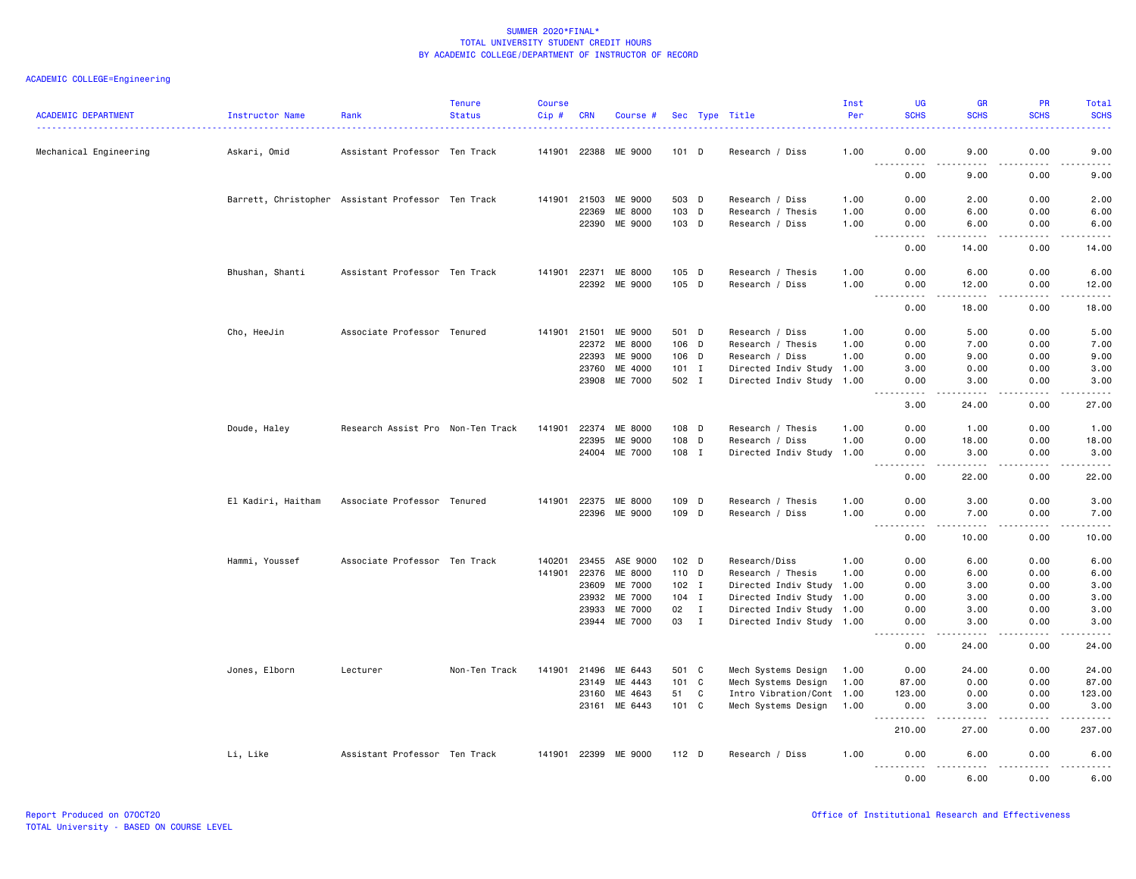| <b>ACADEMIC DEPARTMENT</b> | Instructor Name    | Rank                                               | <b>Tenure</b><br><b>Status</b> | <b>Course</b><br>Cip# | <b>CRN</b>     | Course #                  |                  |              | Sec Type Title                                         | Inst<br>Per  | <b>UG</b><br><b>SCHS</b>                                                                                                          | <b>GR</b><br><b>SCHS</b>                                                                                                                                      | <b>PR</b><br><b>SCHS</b> | Total<br><b>SCHS</b>                                                                                                                                         |
|----------------------------|--------------------|----------------------------------------------------|--------------------------------|-----------------------|----------------|---------------------------|------------------|--------------|--------------------------------------------------------|--------------|-----------------------------------------------------------------------------------------------------------------------------------|---------------------------------------------------------------------------------------------------------------------------------------------------------------|--------------------------|--------------------------------------------------------------------------------------------------------------------------------------------------------------|
| Mechanical Engineering     | Askari, Omid       | Assistant Professor Ten Track                      |                                |                       | 141901 22388   | ME 9000                   | $101$ D          |              | Research / Diss                                        | 1.00         | 0.00<br><u>.</u>                                                                                                                  | 9.00<br>.                                                                                                                                                     | 0.00<br>.                | 9.00<br>$\frac{1}{2} \left( \frac{1}{2} \right) \left( \frac{1}{2} \right) \left( \frac{1}{2} \right) \left( \frac{1}{2} \right) \left( \frac{1}{2} \right)$ |
|                            |                    |                                                    |                                |                       |                |                           |                  |              |                                                        |              | 0.00                                                                                                                              | 9.00                                                                                                                                                          | 0.00                     | 9.00                                                                                                                                                         |
|                            |                    | Barrett, Christopher Assistant Professor Ten Track |                                | 141901                | 21503          | ME 9000                   | 503 D            |              | Research / Diss                                        | 1.00         | 0.00                                                                                                                              | 2.00                                                                                                                                                          | 0.00                     | 2.00                                                                                                                                                         |
|                            |                    |                                                    |                                |                       | 22369<br>22390 | <b>ME 8000</b><br>ME 9000 | $103$ D<br>103 D |              | Research / Thesis<br>Research / Diss                   | 1.00<br>1.00 | 0.00<br>0.00                                                                                                                      | 6.00<br>6.00                                                                                                                                                  | 0.00<br>0.00             | 6.00<br>6.00                                                                                                                                                 |
|                            |                    |                                                    |                                |                       |                |                           |                  |              |                                                        |              |                                                                                                                                   |                                                                                                                                                               |                          | $\frac{1}{2}$                                                                                                                                                |
|                            |                    |                                                    |                                |                       |                |                           |                  |              |                                                        |              | 0.00                                                                                                                              | 14.00                                                                                                                                                         | 0.00                     | 14.00                                                                                                                                                        |
|                            | Bhushan, Shanti    | Assistant Professor Ten Track                      |                                | 141901 22371          |                | ME 8000                   | $105$ D          |              | Research / Thesis                                      | 1.00         | 0.00                                                                                                                              | 6.00                                                                                                                                                          | 0.00                     | 6.00                                                                                                                                                         |
|                            |                    |                                                    |                                |                       |                | 22392 ME 9000             | 105 D            |              | Research / Diss                                        | 1.00         | 0.00<br>.                                                                                                                         | 12.00<br>$\frac{1}{2} \left( \frac{1}{2} \right) \left( \frac{1}{2} \right) \left( \frac{1}{2} \right) \left( \frac{1}{2} \right) \left( \frac{1}{2} \right)$ | 0.00<br>.                | 12.00<br>.                                                                                                                                                   |
|                            |                    |                                                    |                                |                       |                |                           |                  |              |                                                        |              | 0.00                                                                                                                              | 18.00                                                                                                                                                         | 0.00                     | 18.00                                                                                                                                                        |
|                            | Cho, HeeJin        | Associate Professor Tenured                        |                                | 141901                | 21501          | ME 9000                   | 501 D            |              | Research / Diss                                        | 1.00         | 0.00                                                                                                                              | 5.00                                                                                                                                                          | 0.00                     | 5.00                                                                                                                                                         |
|                            |                    |                                                    |                                |                       | 22372          | ME 8000                   | 106 D            |              | Research / Thesis                                      | 1.00         | 0.00                                                                                                                              | 7.00                                                                                                                                                          | 0.00                     | 7.00                                                                                                                                                         |
|                            |                    |                                                    |                                |                       | 22393          | ME 9000                   | 106 D            |              | Research / Diss                                        | 1.00         | 0.00                                                                                                                              | 9.00                                                                                                                                                          | 0.00                     | 9.00                                                                                                                                                         |
|                            |                    |                                                    |                                |                       | 23760<br>23908 | ME 4000<br>ME 7000        | $101$ I<br>502 I |              | Directed Indiv Study 1.00<br>Directed Indiv Study 1.00 |              | 3.00<br>0.00                                                                                                                      | 0.00<br>3.00                                                                                                                                                  | 0.00<br>0.00             | 3.00<br>3.00                                                                                                                                                 |
|                            |                    |                                                    |                                |                       |                |                           |                  |              |                                                        |              |                                                                                                                                   |                                                                                                                                                               |                          |                                                                                                                                                              |
|                            |                    |                                                    |                                |                       |                |                           |                  |              |                                                        |              | 3.00                                                                                                                              | 24.00                                                                                                                                                         | 0.00                     | 27.00                                                                                                                                                        |
|                            | Doude, Haley       | Research Assist Pro Non-Ten Track                  |                                | 141901                | 22374          | ME 8000                   | 108 D            |              | Research / Thesis                                      | 1.00         | 0.00                                                                                                                              | 1.00                                                                                                                                                          | 0.00                     | 1.00                                                                                                                                                         |
|                            |                    |                                                    |                                |                       | 22395          | ME 9000                   | 108 D            |              | Research / Diss                                        | 1.00         | 0.00                                                                                                                              | 18.00                                                                                                                                                         | 0.00                     | 18.00                                                                                                                                                        |
|                            |                    |                                                    |                                |                       |                | 24004 ME 7000             | 108 I            |              | Directed Indiv Study                                   | 1.00         | 0.00<br>$\frac{1}{2} \left( \frac{1}{2} \right) \left( \frac{1}{2} \right) \left( \frac{1}{2} \right) \left( \frac{1}{2} \right)$ | 3.00<br>.                                                                                                                                                     | 0.00<br>.                | 3.00<br>.                                                                                                                                                    |
|                            |                    |                                                    |                                |                       |                |                           |                  |              |                                                        |              | 0.00                                                                                                                              | 22.00                                                                                                                                                         | 0.00                     | 22.00                                                                                                                                                        |
|                            | El Kadiri, Haitham | Associate Professor Tenured                        |                                | 141901                | 22375          | ME 8000                   | 109 D            |              | Research / Thesis                                      | 1.00         | 0.00                                                                                                                              | 3.00                                                                                                                                                          | 0.00                     | 3.00                                                                                                                                                         |
|                            |                    |                                                    |                                |                       | 22396          | ME 9000                   | 109 D            |              | Research / Diss                                        | 1.00         | 0.00<br>.                                                                                                                         | 7.00<br>.                                                                                                                                                     | 0.00<br>.                | 7.00<br>.                                                                                                                                                    |
|                            |                    |                                                    |                                |                       |                |                           |                  |              |                                                        |              | 0.00                                                                                                                              | 10.00                                                                                                                                                         | 0.00                     | 10.00                                                                                                                                                        |
|                            | Hammi, Youssef     | Associate Professor Ten Track                      |                                | 140201                | 23455          | ASE 9000                  | 102 <sub>D</sub> |              | Research/Diss                                          | 1.00         | 0.00                                                                                                                              | 6.00                                                                                                                                                          | 0.00                     | 6.00                                                                                                                                                         |
|                            |                    |                                                    |                                | 141901                | 22376          | ME 8000                   | 110 D            |              | Research / Thesis                                      | 1.00         | 0.00                                                                                                                              | 6.00                                                                                                                                                          | 0.00                     | 6.00                                                                                                                                                         |
|                            |                    |                                                    |                                |                       | 23609          | ME 7000                   | $102$ I          |              | Directed Indiv Study 1.00                              |              | 0.00                                                                                                                              | 3.00                                                                                                                                                          | 0.00                     | 3.00                                                                                                                                                         |
|                            |                    |                                                    |                                |                       | 23932<br>23933 | ME 7000<br>ME 7000        | $104$ I<br>02    | $\mathbf{I}$ | Directed Indiv Study 1.00<br>Directed Indiv Study 1.00 |              | 0.00<br>0.00                                                                                                                      | 3.00<br>3.00                                                                                                                                                  | 0.00<br>0.00             | 3.00<br>3.00                                                                                                                                                 |
|                            |                    |                                                    |                                |                       |                | 23944 ME 7000             | 03 I             |              | Directed Indiv Study 1.00                              |              | 0.00                                                                                                                              | 3.00                                                                                                                                                          | 0.00                     | 3.00                                                                                                                                                         |
|                            |                    |                                                    |                                |                       |                |                           |                  |              |                                                        |              | .<br>0.00                                                                                                                         | .<br>24.00                                                                                                                                                    | .<br>0.00                | $\frac{1}{2}$<br>24.00                                                                                                                                       |
|                            | Jones, Elborn      | Lecturer                                           | Non-Ten Track                  | 141901                | 21496          | ME 6443                   | 501 C            |              | Mech Systems Design                                    | 1.00         | 0.00                                                                                                                              | 24.00                                                                                                                                                         | 0.00                     | 24.00                                                                                                                                                        |
|                            |                    |                                                    |                                |                       | 23149          | ME 4443                   | 101 C            |              | Mech Systems Design                                    | 1.00         | 87.00                                                                                                                             | 0.00                                                                                                                                                          | 0.00                     | 87.00                                                                                                                                                        |
|                            |                    |                                                    |                                |                       | 23160          | ME 4643                   | 51               | C            | Intro Vibration/Cont 1.00                              |              | 123.00                                                                                                                            | 0.00                                                                                                                                                          | 0.00                     | 123.00                                                                                                                                                       |
|                            |                    |                                                    |                                |                       | 23161          | ME 6443                   | 101 C            |              | Mech Systems Design                                    | 1.00         | 0.00<br><u>.</u>                                                                                                                  | 3.00<br>. <b>.</b>                                                                                                                                            | 0.00<br>.                | 3.00<br>.                                                                                                                                                    |
|                            |                    |                                                    |                                |                       |                |                           |                  |              |                                                        |              | 210.00                                                                                                                            | 27.00                                                                                                                                                         | 0.00                     | 237.00                                                                                                                                                       |
|                            | Li, Like           | Assistant Professor Ten Track                      |                                | 141901 22399          |                | ME 9000                   | 112 <sub>D</sub> |              | Research / Diss                                        | 1.00         | 0.00                                                                                                                              | 6.00                                                                                                                                                          | 0.00                     | 6.00                                                                                                                                                         |
|                            |                    |                                                    |                                |                       |                |                           |                  |              |                                                        |              | .<br>0.00                                                                                                                         | .<br>6.00                                                                                                                                                     | .<br>0.00                | .<br>6.00                                                                                                                                                    |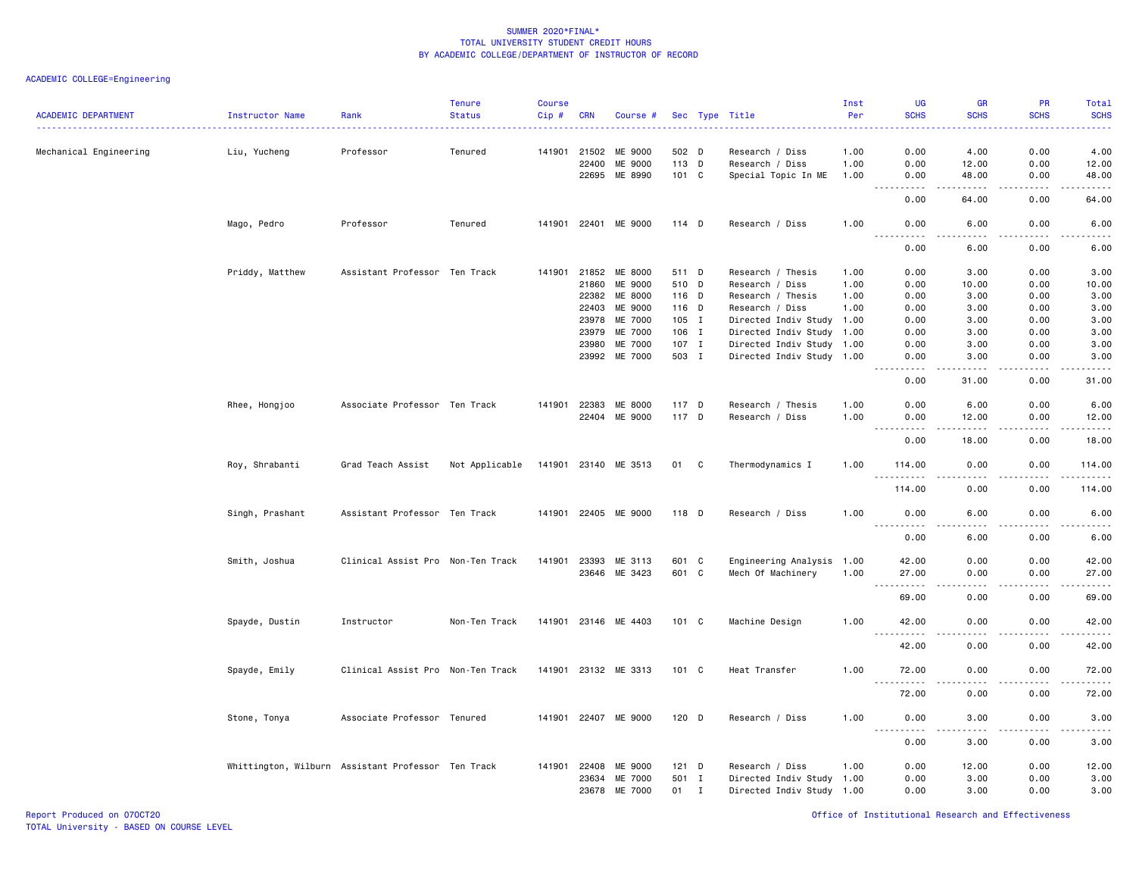| <b>ACADEMIC DEPARTMENT</b> | Instructor Name                                    | Rank                              | <b>Tenure</b><br><b>Status</b> | <b>Course</b><br>Cip# | <b>CRN</b> | Course #             |         |             | Sec Type Title            | Inst<br>Per<br><b><i><u><u> - - - - - - -</u></u></i></b> | <b>UG</b><br><b>SCHS</b>                         | <b>GR</b><br><b>SCHS</b>                                                                                                                                      | PR<br><b>SCHS</b>     | <b>Total</b><br><b>SCHS</b><br>$\frac{1}{2} \left( \frac{1}{2} \right) \left( \frac{1}{2} \right) \left( \frac{1}{2} \right) \left( \frac{1}{2} \right)$     |
|----------------------------|----------------------------------------------------|-----------------------------------|--------------------------------|-----------------------|------------|----------------------|---------|-------------|---------------------------|-----------------------------------------------------------|--------------------------------------------------|---------------------------------------------------------------------------------------------------------------------------------------------------------------|-----------------------|--------------------------------------------------------------------------------------------------------------------------------------------------------------|
| Mechanical Engineering     | Liu, Yucheng                                       | Professor                         | Tenured                        | 141901                | 21502      | ME 9000              | 502 D   |             | Research / Diss           | 1.00                                                      | 0.00                                             | 4.00                                                                                                                                                          | 0.00                  | 4.00                                                                                                                                                         |
|                            |                                                    |                                   |                                |                       | 22400      | ME 9000              | 113 D   |             | Research / Diss           | 1.00                                                      | 0.00                                             | 12.00                                                                                                                                                         | 0.00                  | 12.00                                                                                                                                                        |
|                            |                                                    |                                   |                                |                       | 22695      | ME 8990              | 101 C   |             | Special Topic In ME       | 1.00                                                      | 0.00                                             | 48.00                                                                                                                                                         | 0.00                  | 48.00                                                                                                                                                        |
|                            |                                                    |                                   |                                |                       |            |                      |         |             |                           |                                                           | .<br>0.00                                        | $\frac{1}{2} \left( \frac{1}{2} \right) \left( \frac{1}{2} \right) \left( \frac{1}{2} \right) \left( \frac{1}{2} \right) \left( \frac{1}{2} \right)$<br>64.00 | .<br>0.00             | .<br>64.00                                                                                                                                                   |
|                            | Mago, Pedro                                        | Professor                         | Tenured                        |                       |            | 141901 22401 ME 9000 | $114$ D |             | Research / Diss           | 1.00                                                      | 0.00<br>.                                        | 6.00<br>$- - - -$                                                                                                                                             | 0.00<br>$\frac{1}{2}$ | 6.00<br>-----                                                                                                                                                |
|                            |                                                    |                                   |                                |                       |            |                      |         |             |                           |                                                           | 0.00                                             | 6.00                                                                                                                                                          | 0.00                  | 6.00                                                                                                                                                         |
|                            | Priddy, Matthew                                    | Assistant Professor Ten Track     |                                | 141901                | 21852      | ME 8000              | 511 D   |             | Research / Thesis         | 1.00                                                      | 0.00                                             | 3.00                                                                                                                                                          | 0.00                  | 3.00                                                                                                                                                         |
|                            |                                                    |                                   |                                |                       | 21860      | ME 9000              | 510 D   |             | Research / Diss           | 1.00                                                      | 0.00                                             | 10.00                                                                                                                                                         | 0.00                  | 10.00                                                                                                                                                        |
|                            |                                                    |                                   |                                |                       | 22382      | ME 8000              | 116 D   |             | Research / Thesis         | 1.00                                                      | 0.00                                             | 3.00                                                                                                                                                          | 0.00                  | 3.00                                                                                                                                                         |
|                            |                                                    |                                   |                                |                       | 22403      | ME 9000              | 116 D   |             | Research / Diss           | 1.00                                                      | 0.00                                             | 3.00                                                                                                                                                          | 0.00                  | 3.00                                                                                                                                                         |
|                            |                                                    |                                   |                                |                       | 23978      | ME 7000              | 105 I   |             | Directed Indiv Study 1.00 |                                                           | 0.00                                             | 3.00                                                                                                                                                          | 0.00                  | 3.00                                                                                                                                                         |
|                            |                                                    |                                   |                                |                       | 23979      | ME 7000              | 106 I   |             | Directed Indiv Study 1.00 |                                                           | 0.00                                             | 3.00                                                                                                                                                          | 0.00                  | 3.00                                                                                                                                                         |
|                            |                                                    |                                   |                                |                       | 23980      | ME 7000              | 107 I   |             | Directed Indiv Study 1.00 |                                                           | 0.00                                             | 3.00                                                                                                                                                          | 0.00                  | 3.00                                                                                                                                                         |
|                            |                                                    |                                   |                                |                       | 23992      | ME 7000              | 503 I   |             | Directed Indiv Study 1.00 |                                                           |                                                  |                                                                                                                                                               | 0.00                  | 3.00                                                                                                                                                         |
|                            |                                                    |                                   |                                |                       |            |                      |         |             |                           |                                                           | 0.00                                             | 3.00                                                                                                                                                          |                       | $\frac{1}{2} \left( \frac{1}{2} \right) \left( \frac{1}{2} \right) \left( \frac{1}{2} \right) \left( \frac{1}{2} \right) \left( \frac{1}{2} \right)$         |
|                            |                                                    |                                   |                                |                       |            |                      |         |             |                           |                                                           | 0.00                                             | 31.00                                                                                                                                                         | 0.00                  | 31.00                                                                                                                                                        |
|                            | Rhee, Hongjoo                                      | Associate Professor Ten Track     |                                | 141901                | 22383      | ME 8000              | 117 D   |             | Research / Thesis         | 1.00                                                      | 0.00                                             | 6.00                                                                                                                                                          | 0.00                  | 6.00                                                                                                                                                         |
|                            |                                                    |                                   |                                |                       |            | 22404 ME 9000        | 117 D   |             | Research / Diss           | 1.00                                                      | 0.00                                             | 12.00                                                                                                                                                         | 0.00                  | 12.00                                                                                                                                                        |
|                            |                                                    |                                   |                                |                       |            |                      |         |             |                           |                                                           | $\omega$ is a set of<br>22222<br>0.00            | $- - - -$<br>18.00                                                                                                                                            | $\frac{1}{2}$<br>0.00 | .<br>18.00                                                                                                                                                   |
|                            | Roy, Shrabanti                                     | Grad Teach Assist                 | Not Applicable                 |                       |            | 141901 23140 ME 3513 | 01 C    |             | Thermodynamics I          | 1.00                                                      | 114.00                                           | 0.00                                                                                                                                                          | 0.00                  | 114.00                                                                                                                                                       |
|                            |                                                    |                                   |                                |                       |            |                      |         |             |                           |                                                           | 114.00                                           | 0.00                                                                                                                                                          | $\frac{1}{2}$<br>0.00 | .<br>114.00                                                                                                                                                  |
|                            | Singh, Prashant                                    | Assistant Professor Ten Track     |                                |                       |            | 141901 22405 ME 9000 | 118 D   |             | Research / Diss           | 1.00                                                      | 0.00                                             | 6.00                                                                                                                                                          | 0.00                  | 6.00                                                                                                                                                         |
|                            |                                                    |                                   |                                |                       |            |                      |         |             |                           |                                                           | . <b>.</b><br>0.00                               | .<br>6.00                                                                                                                                                     | .<br>0.00             | $\omega$ $\omega$ $\omega$ $\omega$ $\omega$<br>6.00                                                                                                         |
|                            | Smith, Joshua                                      | Clinical Assist Pro Non-Ten Track |                                | 141901                | 23393      | ME 3113              | 601 C   |             | Engineering Analysis 1.00 |                                                           | 42.00                                            | 0.00                                                                                                                                                          | 0.00                  | 42.00                                                                                                                                                        |
|                            |                                                    |                                   |                                |                       |            | 23646 ME 3423        | 601 C   |             | Mech Of Machinery         | 1.00                                                      | 27.00                                            | 0.00                                                                                                                                                          | 0.00                  | 27.00                                                                                                                                                        |
|                            |                                                    |                                   |                                |                       |            |                      |         |             |                           |                                                           | المتمام المتعاد<br>$\sim$ $\sim$ $\sim$<br>69.00 | $- - -$<br>0.00                                                                                                                                               | .<br>0.00             | .<br>69.00                                                                                                                                                   |
|                            | Spayde, Dustin                                     | Instructor                        | Non-Ten Track                  |                       |            | 141901 23146 ME 4403 | 101 C   |             | Machine Design            | 1.00                                                      | 42.00                                            | 0.00                                                                                                                                                          | 0.00                  | 42.00                                                                                                                                                        |
|                            |                                                    |                                   |                                |                       |            |                      |         |             |                           |                                                           | 42.00                                            | 0.00                                                                                                                                                          | 0.00                  | .<br>42.00                                                                                                                                                   |
|                            | Spayde, Emily                                      | Clinical Assist Pro Non-Ten Track |                                |                       |            | 141901 23132 ME 3313 | 101 C   |             | Heat Transfer             | 1.00                                                      | 72.00                                            | 0.00                                                                                                                                                          | 0.00                  | 72.00                                                                                                                                                        |
|                            |                                                    |                                   |                                |                       |            |                      |         |             |                           |                                                           | $\sim$ $\sim$ $\sim$<br>.                        |                                                                                                                                                               |                       | $\frac{1}{2}$                                                                                                                                                |
|                            |                                                    |                                   |                                |                       |            |                      |         |             |                           |                                                           | 72.00                                            | 0.00                                                                                                                                                          | 0.00                  | 72.00                                                                                                                                                        |
|                            | Stone, Tonya                                       | Associate Professor Tenured       |                                |                       |            | 141901 22407 ME 9000 | $120$ D |             | Research / Diss           | 1.00                                                      | 0.00<br>$\sim$ $\sim$ $\sim$ $\sim$<br>.         | 3,00<br>.                                                                                                                                                     | 0.00<br>.             | 3.00<br>$\frac{1}{2} \left( \frac{1}{2} \right) \left( \frac{1}{2} \right) \left( \frac{1}{2} \right) \left( \frac{1}{2} \right) \left( \frac{1}{2} \right)$ |
|                            |                                                    |                                   |                                |                       |            |                      |         |             |                           |                                                           | 0.00                                             | 3.00                                                                                                                                                          | 0.00                  | 3.00                                                                                                                                                         |
|                            | Whittington, Wilburn Assistant Professor Ten Track |                                   |                                | 141901                | 22408      | <b>ME 9000</b>       | $121$ D |             | Research / Diss           | 1.00                                                      | 0.00                                             | 12.00                                                                                                                                                         | 0.00                  | 12.00                                                                                                                                                        |
|                            |                                                    |                                   |                                |                       | 23634      | ME 7000              | 501 I   |             | Directed Indiv Study 1.00 |                                                           | 0.00                                             | 3.00                                                                                                                                                          | 0.00                  | 3.00                                                                                                                                                         |
|                            |                                                    |                                   |                                |                       | 23678      | ME 7000              | 01      | $\mathbf I$ | Directed Indiv Study 1.00 |                                                           | 0.00                                             | 3,00                                                                                                                                                          | 0.00                  | 3.00                                                                                                                                                         |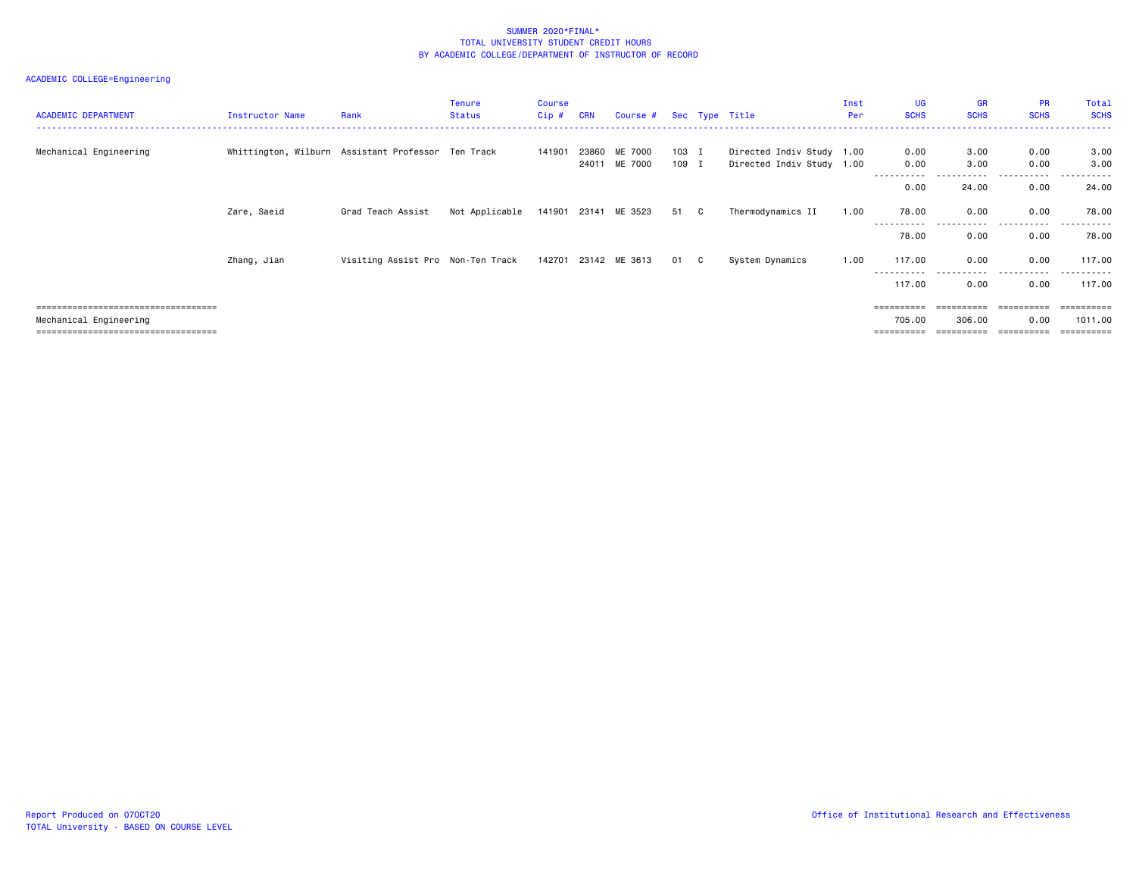| <b>ACADEMIC DEPARTMENT</b>                                     | Instructor Name                                    | Rank                              | <b>Tenure</b><br>Status | <b>Course</b><br>$Cip$ # | <b>CRN</b>     | Course # Sec Type Title |                |                                                        | Inst<br>Per | <b>UG</b><br><b>SCHS</b> | <b>GR</b><br><b>SCHS</b> | <b>PR</b><br><b>SCHS</b> | Total<br><b>SCHS</b> |
|----------------------------------------------------------------|----------------------------------------------------|-----------------------------------|-------------------------|--------------------------|----------------|-------------------------|----------------|--------------------------------------------------------|-------------|--------------------------|--------------------------|--------------------------|----------------------|
| Mechanical Engineering                                         | Whittington, Wilburn Assistant Professor Ten Track |                                   |                         | 141901                   | 23860<br>24011 | ME 7000<br>ME 7000      | 103 I<br>109 I | Directed Indiv Study 1.00<br>Directed Indiv Study 1.00 |             | 0.00<br>0.00             | 3.00<br>3.00             | 0.00<br>0.00             | 3.00<br>3.00         |
|                                                                |                                                    |                                   |                         |                          |                |                         |                |                                                        |             | 0.00                     | 24.00                    | 0.00                     | 24.00                |
|                                                                | Zare, Saeid                                        | Grad Teach Assist                 | Not Applicable          |                          |                | 141901 23141 ME 3523    | 51 C           | Thermodynamics II                                      | 1.00        | 78.00                    | 0.00                     | 0.00                     | 78.00                |
|                                                                |                                                    |                                   |                         |                          |                |                         |                |                                                        |             | 78.00                    | 0.00                     | .<br>0.00                | 78.00                |
|                                                                | Zhang, Jian                                        | Visiting Assist Pro Non-Ten Track |                         |                          |                | 142701 23142 ME 3613    | 01 C           | System Dynamics                                        | 1.00        | 117.00                   | 0.00                     | 0.00                     | 117.00               |
|                                                                |                                                    |                                   |                         |                          |                |                         |                |                                                        |             | 117.00                   | 0.00                     | 0.00                     | 117.00               |
| ====================================                           |                                                    |                                   |                         |                          |                |                         |                |                                                        |             |                          | ==========               | ==========               |                      |
| Mechanical Engineering<br>==================================== |                                                    |                                   |                         |                          |                |                         |                |                                                        |             | 705.00                   | 306.00<br>;=========     | 0.00<br>=========        | 1011.00              |
|                                                                |                                                    |                                   |                         |                          |                |                         |                |                                                        |             |                          |                          |                          |                      |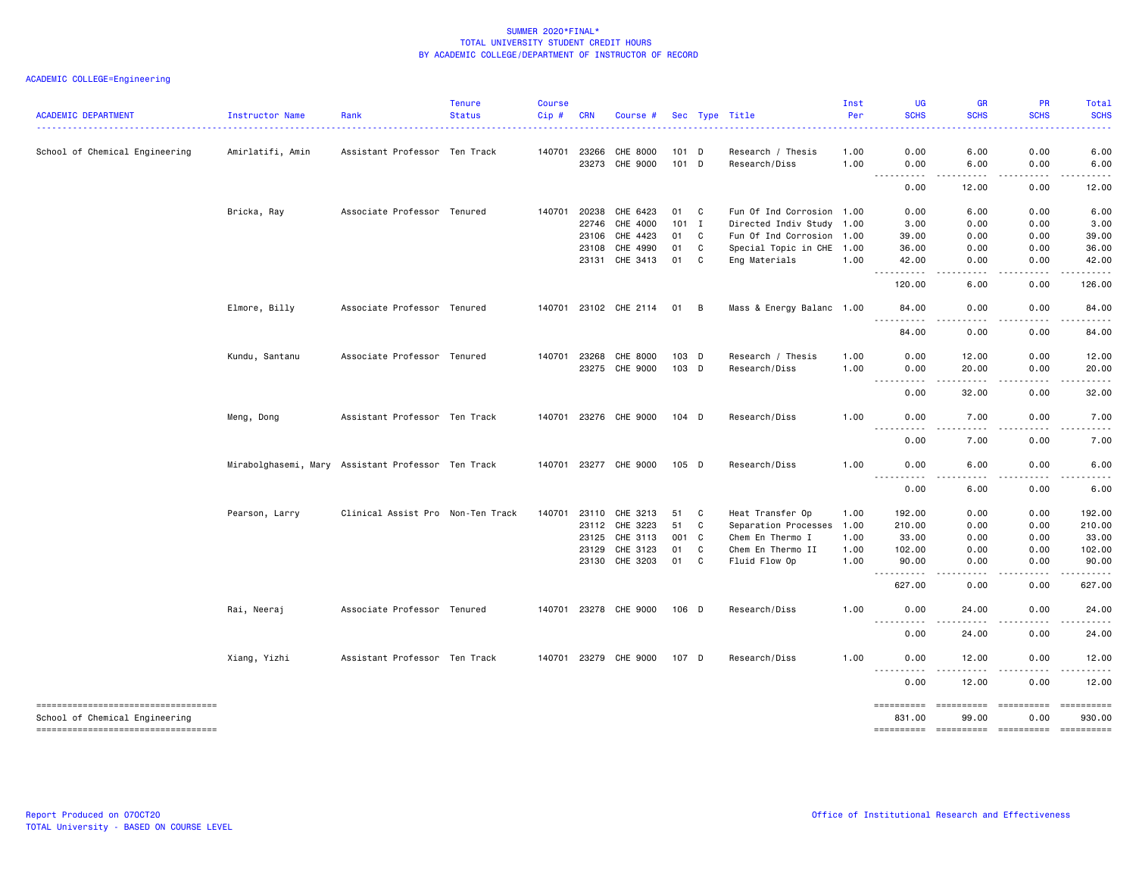| <b>ACADEMIC DEPARTMENT</b>            | Instructor Name  | Rank                                               | <b>Tenure</b><br><b>Status</b> | <b>Course</b><br>Cip# | <b>CRN</b>     | Course #              |                  |              | Sec Type Title                     | Inst<br>Per  | <b>UG</b><br><b>SCHS</b>             | <b>GR</b><br><b>SCHS</b>            | PR<br><b>SCHS</b>  | Total<br><b>SCHS</b>                                                                                                                                                                                                                                                                                                                                                                                                                                                                      |
|---------------------------------------|------------------|----------------------------------------------------|--------------------------------|-----------------------|----------------|-----------------------|------------------|--------------|------------------------------------|--------------|--------------------------------------|-------------------------------------|--------------------|-------------------------------------------------------------------------------------------------------------------------------------------------------------------------------------------------------------------------------------------------------------------------------------------------------------------------------------------------------------------------------------------------------------------------------------------------------------------------------------------|
| School of Chemical Engineering        | Amirlatifi, Amin | Assistant Professor Ten Track                      |                                | 140701                | 23266<br>23273 | CHE 8000<br>CHE 9000  | 101 D<br>$101$ D |              | Research / Thesis<br>Research/Diss | 1.00<br>1.00 | 0.00<br>0.00                         | 6.00<br>6.00                        | 0.00<br>0.00       | 6.00<br>6.00                                                                                                                                                                                                                                                                                                                                                                                                                                                                              |
|                                       |                  |                                                    |                                |                       |                |                       |                  |              |                                    |              | <u> - - - - - - - - - -</u><br>0.00  | -----<br>12.00                      | .<br>0.00          | $\cdots \cdots \cdots$<br>12.00                                                                                                                                                                                                                                                                                                                                                                                                                                                           |
|                                       | Bricka, Ray      | Associate Professor Tenured                        |                                | 140701                | 20238          | CHE 6423              | 01               | C.           | Fun Of Ind Corrosion 1.00          |              | 0.00                                 | 6.00                                | 0.00               | 6.00                                                                                                                                                                                                                                                                                                                                                                                                                                                                                      |
|                                       |                  |                                                    |                                |                       | 22746          | CHE 4000              | $101$ I          |              | Directed Indiv Study 1.00          |              | 3.00                                 | 0.00                                | 0.00               | 3.00                                                                                                                                                                                                                                                                                                                                                                                                                                                                                      |
|                                       |                  |                                                    |                                |                       | 23106          | CHE 4423              | 01               | C            | Fun Of Ind Corrosion 1.00          |              | 39.00                                | 0.00                                | 0.00               | 39.00                                                                                                                                                                                                                                                                                                                                                                                                                                                                                     |
|                                       |                  |                                                    |                                |                       | 23108          | CHE 4990              | 01               | C            | Special Topic in CHE 1.00          |              | 36.00                                | 0.00                                | 0.00               | 36.00                                                                                                                                                                                                                                                                                                                                                                                                                                                                                     |
|                                       |                  |                                                    |                                |                       | 23131          | CHE 3413              | 01               | C            | Eng Materials                      | 1.00         | 42.00                                | 0.00                                | 0.00               | 42.00                                                                                                                                                                                                                                                                                                                                                                                                                                                                                     |
|                                       |                  |                                                    |                                |                       |                |                       |                  |              |                                    |              | $  -$<br>. <b>.</b><br>120.00        | .<br>6.00                           | -----<br>0.00      | .<br>126.00                                                                                                                                                                                                                                                                                                                                                                                                                                                                               |
|                                       | Elmore, Billy    | Associate Professor Tenured                        |                                |                       |                | 140701 23102 CHE 2114 | 01               | B            | Mass & Energy Balanc 1.00          |              | 84.00<br>$\sim$ $\sim$ $\sim$<br>.   | 0.00                                | 0.00               | 84.00                                                                                                                                                                                                                                                                                                                                                                                                                                                                                     |
|                                       |                  |                                                    |                                |                       |                |                       |                  |              |                                    |              | 84.00                                | 0.00                                | 0.00               | 84.00                                                                                                                                                                                                                                                                                                                                                                                                                                                                                     |
|                                       | Kundu, Santanu   | Associate Professor Tenured                        |                                | 140701                | 23268          | CHE 8000              | 103 D            |              | Research / Thesis                  | 1.00         | 0.00                                 | 12.00                               | 0.00               | 12.00                                                                                                                                                                                                                                                                                                                                                                                                                                                                                     |
|                                       |                  |                                                    |                                |                       | 23275          | CHE 9000              | 103 D            |              | Research/Diss                      | 1.00         | 0.00                                 | 20.00                               | 0.00               | 20.00                                                                                                                                                                                                                                                                                                                                                                                                                                                                                     |
|                                       |                  |                                                    |                                |                       |                |                       |                  |              |                                    |              | <u> - - - - - - - - - -</u><br>0.00  | د د د د د<br>32.00                  | .<br>0.00          | .<br>32.00                                                                                                                                                                                                                                                                                                                                                                                                                                                                                |
|                                       | Meng, Dong       | Assistant Professor Ten Track                      |                                |                       |                | 140701 23276 CHE 9000 | 104 D            |              | Research/Diss                      | 1.00         | 0.00                                 | 7.00                                | 0.00               | 7.00                                                                                                                                                                                                                                                                                                                                                                                                                                                                                      |
|                                       |                  |                                                    |                                |                       |                |                       |                  |              |                                    |              | .<br>$- - -$<br>0.00                 | .<br>7.00                           | .<br>0.00          | and the state<br>7.00                                                                                                                                                                                                                                                                                                                                                                                                                                                                     |
|                                       |                  | Mirabolghasemi, Mary Assistant Professor Ten Track |                                |                       |                | 140701 23277 CHE 9000 | 105 D            |              | Research/Diss                      | 1.00         | 0.00                                 | 6.00                                | 0.00               | 6.00                                                                                                                                                                                                                                                                                                                                                                                                                                                                                      |
|                                       |                  |                                                    |                                |                       |                |                       |                  |              |                                    |              | $\sim$ $\sim$ $\sim$<br>----<br>0.00 | $\sim$ $\sim$ $\sim$ $\sim$<br>6.00 | .<br>0.00          | 6.00                                                                                                                                                                                                                                                                                                                                                                                                                                                                                      |
|                                       | Pearson, Larry   | Clinical Assist Pro Non-Ten Track                  |                                | 140701                | 23110          | CHE 3213              | 51               | C            | Heat Transfer Op                   | 1.00         | 192.00                               | 0.00                                | 0.00               | 192.00                                                                                                                                                                                                                                                                                                                                                                                                                                                                                    |
|                                       |                  |                                                    |                                |                       | 23112          | CHE 3223              | 51               | C.           | Separation Processes               | 1.00         | 210.00                               | 0.00                                | 0.00               | 210.00                                                                                                                                                                                                                                                                                                                                                                                                                                                                                    |
|                                       |                  |                                                    |                                |                       | 23125          | CHE 3113              | 001              | $\mathbf{C}$ | Chem En Thermo I                   | 1.00         | 33.00                                | 0.00                                | 0.00               | 33.00                                                                                                                                                                                                                                                                                                                                                                                                                                                                                     |
|                                       |                  |                                                    |                                |                       | 23129          | CHE 3123              | 01               | C            | Chem En Thermo II                  | 1.00         | 102.00                               | 0.00                                | 0.00               | 102.00                                                                                                                                                                                                                                                                                                                                                                                                                                                                                    |
|                                       |                  |                                                    |                                |                       |                | 23130 CHE 3203        | 01               | C            | Fluid Flow Op                      | 1.00         | 90.00                                | 0.00                                | 0.00               | 90.00                                                                                                                                                                                                                                                                                                                                                                                                                                                                                     |
|                                       |                  |                                                    |                                |                       |                |                       |                  |              |                                    |              | .<br>$\sim$ $\sim$ $\sim$<br>627.00  | $\sim$ $\sim$ $\sim$<br>0.00        | .<br>0.00          | .<br>627.00                                                                                                                                                                                                                                                                                                                                                                                                                                                                               |
|                                       | Rai, Neeraj      | Associate Professor Tenured                        |                                |                       |                | 140701 23278 CHE 9000 | 106 D            |              | Research/Diss                      | 1.00         | 0.00                                 | 24.00                               | 0.00               | 24.00                                                                                                                                                                                                                                                                                                                                                                                                                                                                                     |
|                                       |                  |                                                    |                                |                       |                |                       |                  |              |                                    |              | .<br>0.00                            | $\frac{1}{2}$<br>24.00              | . <b>.</b><br>0.00 | $\frac{1}{2} \left( \frac{1}{2} \right) \left( \frac{1}{2} \right) \left( \frac{1}{2} \right) \left( \frac{1}{2} \right)$<br>24.00                                                                                                                                                                                                                                                                                                                                                        |
|                                       | Xiang, Yizhi     | Assistant Professor Ten Track                      |                                |                       |                | 140701 23279 CHE 9000 | 107 D            |              | Research/Diss                      | 1.00         | 0.00                                 | 12.00                               | 0.00               | 12.00                                                                                                                                                                                                                                                                                                                                                                                                                                                                                     |
|                                       |                  |                                                    |                                |                       |                |                       |                  |              |                                    |              | <u>.</u><br>0.00                     | 12.00                               | 0.00               | 12.00                                                                                                                                                                                                                                                                                                                                                                                                                                                                                     |
| ===================================== |                  |                                                    |                                |                       |                |                       |                  |              |                                    |              | ==========                           | ==========                          | ==========         | $\begin{minipage}{0.03\linewidth} \begin{tabular}{l} \multicolumn{2}{l}{} & \multicolumn{2}{l}{} & \multicolumn{2}{l}{} \\ \multicolumn{2}{l}{} & \multicolumn{2}{l}{} & \multicolumn{2}{l}{} \\ \multicolumn{2}{l}{} & \multicolumn{2}{l}{} & \multicolumn{2}{l}{} \\ \multicolumn{2}{l}{} & \multicolumn{2}{l}{} & \multicolumn{2}{l}{} \\ \multicolumn{2}{l}{} & \multicolumn{2}{l}{} & \multicolumn{2}{l}{} \\ \multicolumn{2}{l}{} & \multicolumn{2}{l}{} & \multicolumn{2}{l}{} \\$ |
| School of Chemical Engineering        |                  |                                                    |                                |                       |                |                       |                  |              |                                    |              | 831.00                               | 99.00                               | 0.00               | 930.00                                                                                                                                                                                                                                                                                                                                                                                                                                                                                    |
| -----------------------------------   |                  |                                                    |                                |                       |                |                       |                  |              |                                    |              |                                      |                                     | ==========         | $\begin{array}{c} \texttt{m} = \texttt{m} = \texttt{m} = \texttt{m} = \texttt{m} \end{array}$                                                                                                                                                                                                                                                                                                                                                                                             |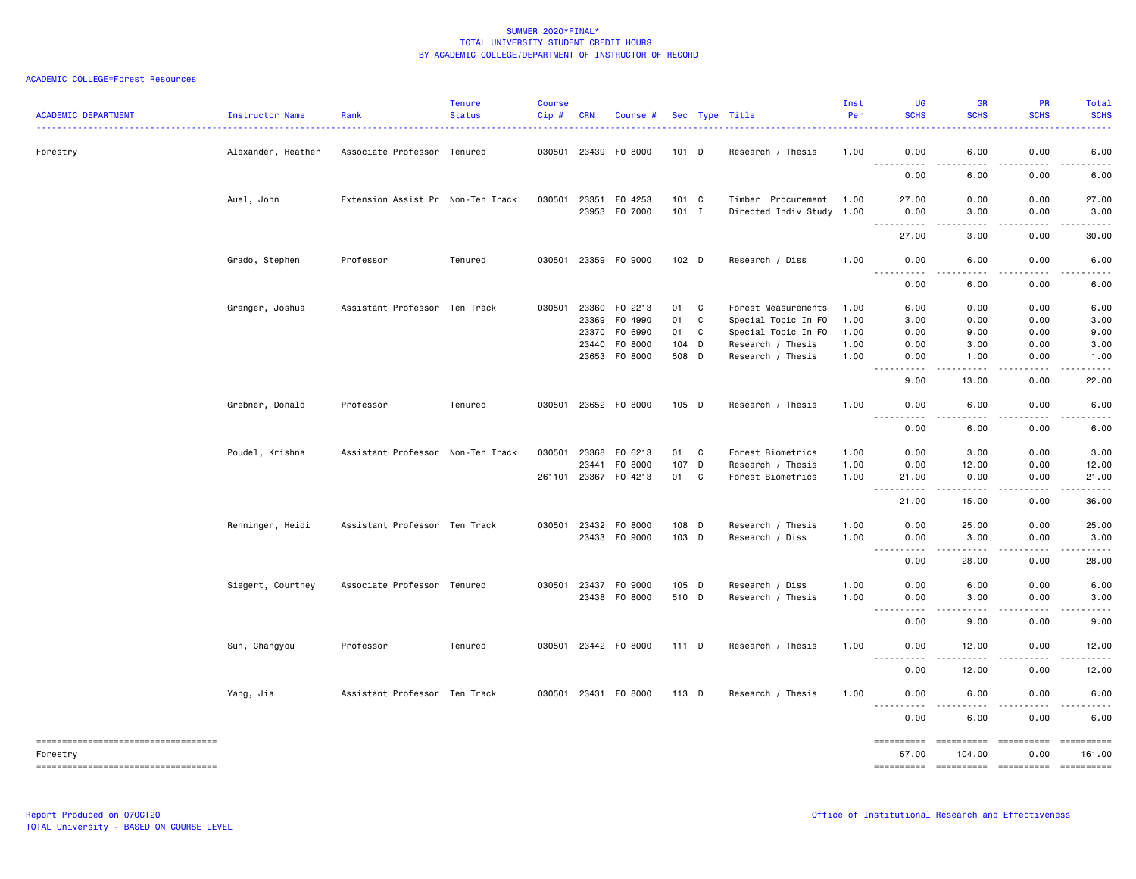| <b>ACADEMIC DEPARTMENT</b>                                                                  | Instructor Name    | Rank                              | <b>Tenure</b><br><b>Status</b> | <b>Course</b><br>Cip# | <b>CRN</b>                       | Course #                                                         |                                    |                   | Sec Type Title                                                                                              | Inst<br>Per                          | <b>UG</b><br><b>SCHS</b>                                                                                                                                          | <b>GR</b><br><b>SCHS</b><br>.                                                                                                                                                           | <b>PR</b><br><b>SCHS</b>             | Total<br><b>SCHS</b><br>.                                                                                                                                    |
|---------------------------------------------------------------------------------------------|--------------------|-----------------------------------|--------------------------------|-----------------------|----------------------------------|------------------------------------------------------------------|------------------------------------|-------------------|-------------------------------------------------------------------------------------------------------------|--------------------------------------|-------------------------------------------------------------------------------------------------------------------------------------------------------------------|-----------------------------------------------------------------------------------------------------------------------------------------------------------------------------------------|--------------------------------------|--------------------------------------------------------------------------------------------------------------------------------------------------------------|
| Forestry                                                                                    | Alexander, Heather | Associate Professor Tenured       |                                |                       |                                  | 030501 23439 F0 8000                                             | 101 D                              |                   | Research / Thesis                                                                                           | 1.00                                 | 0.00                                                                                                                                                              | 6.00                                                                                                                                                                                    | 0.00                                 | 6.00                                                                                                                                                         |
|                                                                                             |                    |                                   |                                |                       |                                  |                                                                  |                                    |                   |                                                                                                             |                                      | ----------<br>0.00                                                                                                                                                | .<br>6.00                                                                                                                                                                               | $- - - - -$<br>0.00                  | . <b>.</b><br>6.00                                                                                                                                           |
|                                                                                             | Auel, John         | Extension Assist Pr Non-Ten Track |                                | 030501                | 23351                            | F0 4253<br>23953 F0 7000                                         | $101 \quad C$<br>$101$ I           |                   | Timber Procurement<br>Directed Indiv Study 1.00                                                             | 1.00                                 | 27.00<br>0.00                                                                                                                                                     | 0.00<br>3.00                                                                                                                                                                            | 0.00<br>0.00                         | 27.00<br>3.00                                                                                                                                                |
|                                                                                             |                    |                                   |                                |                       |                                  |                                                                  |                                    |                   |                                                                                                             |                                      | <u>.</u><br>27.00                                                                                                                                                 | .<br>3.00                                                                                                                                                                               | .<br>0.00                            | $- - - - - -$<br>30.00                                                                                                                                       |
|                                                                                             | Grado, Stephen     | Professor                         | Tenured                        |                       |                                  | 030501 23359 F0 9000                                             | 102 D                              |                   | Research / Diss                                                                                             | 1.00                                 | 0.00<br>.                                                                                                                                                         | 6.00<br>.                                                                                                                                                                               | 0.00<br><u>.</u>                     | 6.00<br>$\frac{1}{2} \left( \frac{1}{2} \right) \left( \frac{1}{2} \right) \left( \frac{1}{2} \right) \left( \frac{1}{2} \right) \left( \frac{1}{2} \right)$ |
|                                                                                             |                    |                                   |                                |                       |                                  |                                                                  |                                    |                   |                                                                                                             |                                      | 0.00                                                                                                                                                              | 6.00                                                                                                                                                                                    | 0.00                                 | 6.00                                                                                                                                                         |
|                                                                                             | Granger, Joshua    | Assistant Professor Ten Track     |                                |                       | 23369<br>23370<br>23440<br>23653 | 030501 23360 FO 2213<br>F0 4990<br>F0 6990<br>F0 8000<br>F0 8000 | 01 C<br>01<br>01<br>104 D<br>508 D | C<br>$\mathbf c$  | Forest Measurements<br>Special Topic In FO<br>Special Topic In FO<br>Research / Thesis<br>Research / Thesis | 1.00<br>1.00<br>1.00<br>1.00<br>1.00 | 6.00<br>3.00<br>0.00<br>0.00<br>0.00                                                                                                                              | 0.00<br>0.00<br>9.00<br>3.00<br>1.00                                                                                                                                                    | 0.00<br>0.00<br>0.00<br>0.00<br>0.00 | 6.00<br>3.00<br>9.00<br>3.00<br>1.00                                                                                                                         |
|                                                                                             |                    |                                   |                                |                       |                                  |                                                                  |                                    |                   |                                                                                                             |                                      | . <b>.</b><br>$\frac{1}{2}$<br>9.00                                                                                                                               | .<br>13.00                                                                                                                                                                              | . <b>.</b><br>0.00                   | .<br>22.00                                                                                                                                                   |
|                                                                                             | Grebner, Donald    | Professor                         | Tenured                        |                       |                                  | 030501 23652 F0 8000                                             | 105 D                              |                   | Research / Thesis                                                                                           | 1.00                                 | 0.00<br>.                                                                                                                                                         | 6.00                                                                                                                                                                                    | 0.00                                 | 6.00                                                                                                                                                         |
|                                                                                             |                    |                                   |                                |                       |                                  |                                                                  |                                    |                   |                                                                                                             |                                      | 0.00                                                                                                                                                              | 6.00                                                                                                                                                                                    | 0.00                                 | 6.00                                                                                                                                                         |
|                                                                                             | Poudel, Krishna    | Assistant Professor Non-Ten Track |                                | 030501                | 23368<br>23441<br>261101 23367   | F0 6213<br>F0 8000<br>F0 4213                                    | 01<br>107 D<br>01                  | $\mathbf{C}$<br>C | Forest Biometrics<br>Research / Thesis<br>Forest Biometrics                                                 | 1.00<br>1.00<br>1.00                 | 0.00<br>0.00<br>21.00<br>$\sim$ $\sim$ $\sim$<br>.                                                                                                                | 3.00<br>12.00<br>0.00<br>.                                                                                                                                                              | 0.00<br>0.00<br>0.00                 | 3.00<br>12.00<br>21.00<br>.                                                                                                                                  |
|                                                                                             |                    |                                   |                                |                       |                                  |                                                                  |                                    |                   |                                                                                                             |                                      | 21.00                                                                                                                                                             | 15.00                                                                                                                                                                                   | 0.00                                 | 36.00                                                                                                                                                        |
|                                                                                             | Renninger, Heidi   | Assistant Professor Ten Track     |                                |                       |                                  | 030501 23432 FO 8000<br>23433 FO 9000                            | 108 D<br>103 D                     |                   | Research / Thesis<br>Research / Diss                                                                        | 1.00<br>1.00                         | 0.00<br>0.00<br>.<br>$- - -$                                                                                                                                      | 25.00<br>3.00<br>$- - - - -$                                                                                                                                                            | 0.00<br>0.00<br><u>.</u>             | 25.00<br>3.00<br>.                                                                                                                                           |
|                                                                                             |                    |                                   |                                |                       |                                  |                                                                  |                                    |                   |                                                                                                             |                                      | 0.00                                                                                                                                                              | 28.00                                                                                                                                                                                   | 0.00                                 | 28.00                                                                                                                                                        |
|                                                                                             | Siegert, Courtney  | Associate Professor Tenured       |                                |                       |                                  | 030501 23437 FO 9000<br>23438 FO 8000                            | 105 D<br>510 D                     |                   | Research / Diss<br>Research / Thesis                                                                        | 1.00<br>1.00                         | 0.00<br>0.00                                                                                                                                                      | 6.00<br>3.00                                                                                                                                                                            | 0.00<br>0.00                         | 6.00<br>3.00                                                                                                                                                 |
|                                                                                             |                    |                                   |                                |                       |                                  |                                                                  |                                    |                   |                                                                                                             |                                      | $\frac{1}{2} \left( \frac{1}{2} \right) \left( \frac{1}{2} \right) \left( \frac{1}{2} \right) \left( \frac{1}{2} \right) \left( \frac{1}{2} \right)$<br>.<br>0.00 | .<br>9.00                                                                                                                                                                               | .<br>0.00                            | .<br>9.00                                                                                                                                                    |
|                                                                                             | Sun, Changyou      | Professor                         | Tenured                        |                       |                                  | 030501 23442 F0 8000                                             | 111D                               |                   | Research / Thesis                                                                                           | 1.00                                 | 0.00<br>.                                                                                                                                                         | 12.00<br>$- - - - -$                                                                                                                                                                    | 0.00<br>.                            | 12.00<br>.                                                                                                                                                   |
|                                                                                             |                    |                                   |                                |                       |                                  |                                                                  |                                    |                   |                                                                                                             |                                      | 0.00                                                                                                                                                              | 12.00                                                                                                                                                                                   | 0.00                                 | 12.00                                                                                                                                                        |
|                                                                                             | Yang, Jia          | Assistant Professor Ten Track     |                                |                       |                                  | 030501 23431 F0 8000                                             | 113 D                              |                   | Research / Thesis                                                                                           | 1.00                                 | 0.00                                                                                                                                                              | 6.00                                                                                                                                                                                    | 0.00                                 | 6.00                                                                                                                                                         |
|                                                                                             |                    |                                   |                                |                       |                                  |                                                                  |                                    |                   |                                                                                                             |                                      | ----------<br>0.00                                                                                                                                                | $\frac{1}{2} \left( \frac{1}{2} \right) \left( \frac{1}{2} \right) \left( \frac{1}{2} \right) \left( \frac{1}{2} \right) \left( \frac{1}{2} \right) \left( \frac{1}{2} \right)$<br>6.00 | .<br>0.00                            | $\frac{1}{2} \left( \frac{1}{2} \right) \left( \frac{1}{2} \right) \left( \frac{1}{2} \right) \left( \frac{1}{2} \right) \left( \frac{1}{2} \right)$<br>6.00 |
| =====================================<br>Forestry<br>====================================== |                    |                                   |                                |                       |                                  |                                                                  |                                    |                   |                                                                                                             |                                      | ==========<br>57.00                                                                                                                                               | ==========<br>104.00                                                                                                                                                                    | ==========<br>0.00                   | ==========<br>161.00                                                                                                                                         |
|                                                                                             |                    |                                   |                                |                       |                                  |                                                                  |                                    |                   |                                                                                                             |                                      |                                                                                                                                                                   |                                                                                                                                                                                         |                                      |                                                                                                                                                              |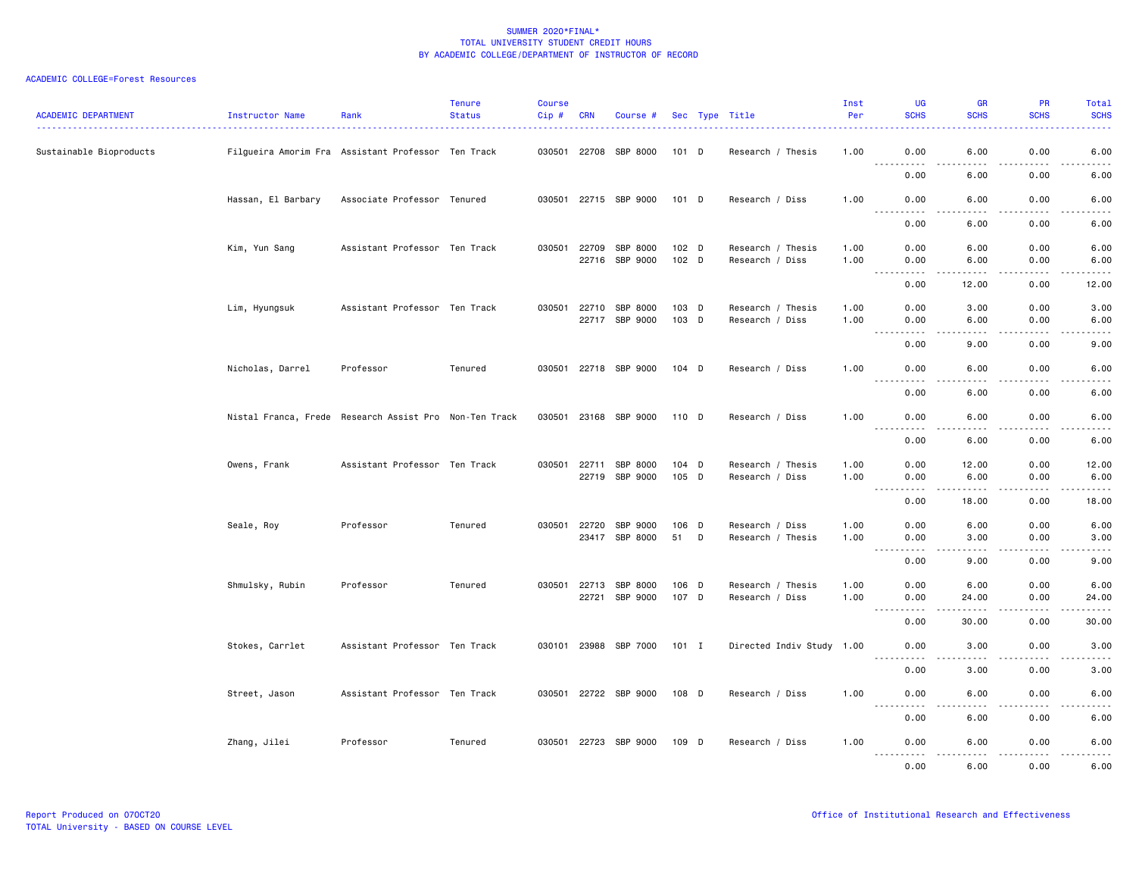| <b>ACADEMIC DEPARTMENT</b> | Instructor Name                                        | Rank                          | <b>Tenure</b><br><b>Status</b> | <b>Course</b><br>$Cip$ # | <b>CRN</b> | Course #                    |                  |   | Sec Type Title            | Inst<br>Per | UG<br><b>SCHS</b>                                                                                                                                         | <b>GR</b><br><b>SCHS</b>                                                                                                                                      | <b>PR</b><br><b>SCHS</b> | <b>Total</b><br><b>SCHS</b>                                                                                                                                  |
|----------------------------|--------------------------------------------------------|-------------------------------|--------------------------------|--------------------------|------------|-----------------------------|------------------|---|---------------------------|-------------|-----------------------------------------------------------------------------------------------------------------------------------------------------------|---------------------------------------------------------------------------------------------------------------------------------------------------------------|--------------------------|--------------------------------------------------------------------------------------------------------------------------------------------------------------|
| Sustainable Bioproducts    | Filgueira Amorim Fra Assistant Professor Ten Track     |                               |                                |                          |            | 030501 22708 SBP 8000       | 101 D            |   | Research / Thesis         | 1.00        | 0.00<br><u> - - - - - - - - - -</u>                                                                                                                       | 6.00<br>.                                                                                                                                                     | 0.00<br>.                | 6.00<br>$\frac{1}{2} \left( \frac{1}{2} \right) \left( \frac{1}{2} \right) \left( \frac{1}{2} \right) \left( \frac{1}{2} \right) \left( \frac{1}{2} \right)$ |
|                            |                                                        |                               |                                |                          |            |                             |                  |   |                           |             | 0.00                                                                                                                                                      | 6.00                                                                                                                                                          | 0.00                     | 6.00                                                                                                                                                         |
|                            | Hassan, El Barbary                                     | Associate Professor Tenured   |                                |                          |            | 030501 22715 SBP 9000       | 101 D            |   | Research / Diss           | 1.00        | 0.00                                                                                                                                                      | 6.00                                                                                                                                                          | 0.00                     | 6.00                                                                                                                                                         |
|                            |                                                        |                               |                                |                          |            |                             |                  |   |                           |             | -----<br>0.00                                                                                                                                             | .<br>6.00                                                                                                                                                     | .<br>0.00                | $- - - - -$<br>6.00                                                                                                                                          |
|                            | Kim, Yun Sang                                          | Assistant Professor Ten Track |                                | 030501 22709             |            | SBP 8000                    | 102 <sub>D</sub> |   | Research / Thesis         | 1.00        | 0.00                                                                                                                                                      | 6.00                                                                                                                                                          | 0.00                     | 6.00                                                                                                                                                         |
|                            |                                                        |                               |                                |                          | 22716      | SBP 9000                    | 102 D            |   | Research / Diss           | 1.00        | 0.00<br>$\sim$ $\sim$ $\sim$<br>.                                                                                                                         | 6.00                                                                                                                                                          | 0.00<br>.                | 6.00<br>-----                                                                                                                                                |
|                            |                                                        |                               |                                |                          |            |                             |                  |   |                           |             | 0.00                                                                                                                                                      | 12.00                                                                                                                                                         | 0.00                     | 12.00                                                                                                                                                        |
|                            | Lim, Hyungsuk                                          | Assistant Professor Ten Track |                                |                          |            | 030501 22710 SBP 8000       | 103 D            |   | Research / Thesis         | 1.00        | 0.00                                                                                                                                                      | 3.00                                                                                                                                                          | 0.00                     | 3.00                                                                                                                                                         |
|                            |                                                        |                               |                                |                          |            | 22717 SBP 9000              | 103 D            |   | Research / Diss           | 1.00        | 0.00<br>$\frac{1}{2}$<br>.                                                                                                                                | 6.00<br>.                                                                                                                                                     | 0.00<br>.                | 6.00<br>.                                                                                                                                                    |
|                            |                                                        |                               |                                |                          |            |                             |                  |   |                           |             | 0.00                                                                                                                                                      | 9.00                                                                                                                                                          | 0.00                     | 9.00                                                                                                                                                         |
|                            | Nicholas, Darrel                                       | Professor                     | Tenured                        |                          |            | 030501 22718 SBP 9000       | $104$ D          |   | Research / Diss           | 1.00        | 0.00                                                                                                                                                      | 6.00                                                                                                                                                          | 0.00                     | 6.00                                                                                                                                                         |
|                            |                                                        |                               |                                |                          |            |                             |                  |   |                           |             | $\sim$ $\sim$ $\sim$<br>.<br>0.00                                                                                                                         | ----<br>6.00                                                                                                                                                  | .<br>0.00                | .<br>6.00                                                                                                                                                    |
|                            | Nistal Franca, Frede Research Assist Pro Non-Ten Track |                               |                                |                          |            | 030501 23168 SBP 9000 110 D |                  |   | Research / Diss           | 1.00        | 0.00                                                                                                                                                      | 6.00                                                                                                                                                          | 0.00                     | 6.00                                                                                                                                                         |
|                            |                                                        |                               |                                |                          |            |                             |                  |   |                           |             | .<br>0.00                                                                                                                                                 | د د د د<br>6.00                                                                                                                                               | .<br>0.00                | $    -$<br>6.00                                                                                                                                              |
|                            | Owens, Frank                                           | Assistant Professor Ten Track |                                | 030501                   | 22711      | SBP 8000                    | 104 D            |   | Research / Thesis         | 1.00        | 0.00                                                                                                                                                      | 12.00                                                                                                                                                         | 0.00                     | 12.00                                                                                                                                                        |
|                            |                                                        |                               |                                |                          | 22719      | SBP 9000                    | 105 D            |   | Research / Diss           | 1.00        | 0.00<br>$\sim$ $\sim$ $\sim$<br>.                                                                                                                         | 6.00<br>.                                                                                                                                                     | 0.00<br>.                | 6.00<br>$\frac{1}{2}$                                                                                                                                        |
|                            |                                                        |                               |                                |                          |            |                             |                  |   |                           |             | 0.00                                                                                                                                                      | 18.00                                                                                                                                                         | 0.00                     | 18.00                                                                                                                                                        |
|                            | Seale, Roy                                             | Professor                     | Tenured                        | 030501 22720             |            | SBP 9000                    | 106 D            |   | Research / Diss           | 1.00        | 0.00                                                                                                                                                      | 6.00                                                                                                                                                          | 0.00                     | 6.00                                                                                                                                                         |
|                            |                                                        |                               |                                |                          | 23417      | SBP 8000                    | 51               | D | Research / Thesis         | 1.00        | 0.00<br>$\sim$ $\sim$ $\sim$<br>$\frac{1}{2} \left( \frac{1}{2} \right) \left( \frac{1}{2} \right) \left( \frac{1}{2} \right) \left( \frac{1}{2} \right)$ | 3.00<br>.                                                                                                                                                     | 0.00<br>.                | 3.00<br>$\frac{1}{2} \left( \frac{1}{2} \right) \left( \frac{1}{2} \right) \left( \frac{1}{2} \right) \left( \frac{1}{2} \right) \left( \frac{1}{2} \right)$ |
|                            |                                                        |                               |                                |                          |            |                             |                  |   |                           |             | 0.00                                                                                                                                                      | 9.00                                                                                                                                                          | 0.00                     | 9.00                                                                                                                                                         |
|                            | Shmulsky, Rubin                                        | Professor                     | Tenured                        | 030501                   | 22713      | SBP 8000                    | 106 D            |   | Research / Thesis         | 1.00        | 0.00                                                                                                                                                      | 6.00                                                                                                                                                          | 0.00                     | 6.00                                                                                                                                                         |
|                            |                                                        |                               |                                |                          |            | 22721 SBP 9000              | 107 D            |   | Research / Diss           | 1.00        | 0.00<br>.<br>$\sim$ $\sim$ $\sim$                                                                                                                         | 24.00<br>$\frac{1}{2} \left( \frac{1}{2} \right) \left( \frac{1}{2} \right) \left( \frac{1}{2} \right) \left( \frac{1}{2} \right) \left( \frac{1}{2} \right)$ | 0.00<br>-----            | 24.00<br>.                                                                                                                                                   |
|                            |                                                        |                               |                                |                          |            |                             |                  |   |                           |             | 0.00                                                                                                                                                      | 30.00                                                                                                                                                         | 0.00                     | 30.00                                                                                                                                                        |
|                            | Stokes, Carrlet                                        | Assistant Professor Ten Track |                                |                          |            | 030101 23988 SBP 7000 101 I |                  |   | Directed Indiv Study 1.00 |             | 0.00<br>$- - -$<br>-----                                                                                                                                  | 3.00<br>$- - - -$                                                                                                                                             | 0.00<br>.                | 3.00<br>$- - - - -$                                                                                                                                          |
|                            |                                                        |                               |                                |                          |            |                             |                  |   |                           |             | 0.00                                                                                                                                                      | 3.00                                                                                                                                                          | 0.00                     | 3.00                                                                                                                                                         |
|                            | Street, Jason                                          | Assistant Professor Ten Track |                                |                          |            | 030501 22722 SBP 9000       | 108 D            |   | Research / Diss           | 1.00        | 0.00<br><u> - - - - - - - - - -</u>                                                                                                                       | 6.00<br>.                                                                                                                                                     | 0.00<br>.                | 6.00<br>$\frac{1}{2} \left( \frac{1}{2} \right) \left( \frac{1}{2} \right) \left( \frac{1}{2} \right) \left( \frac{1}{2} \right) \left( \frac{1}{2} \right)$ |
|                            |                                                        |                               |                                |                          |            |                             |                  |   |                           |             | 0.00                                                                                                                                                      | 6.00                                                                                                                                                          | 0.00                     | 6.00                                                                                                                                                         |
|                            | Zhang, Jilei                                           | Professor                     | Tenured                        |                          |            | 030501 22723 SBP 9000       | 109 D            |   | Research / Diss           | 1.00        | 0.00                                                                                                                                                      | 6.00                                                                                                                                                          | 0.00                     | 6.00                                                                                                                                                         |
|                            |                                                        |                               |                                |                          |            |                             |                  |   |                           |             | 0.00                                                                                                                                                      | 6.00                                                                                                                                                          | 0.00                     | 6.00                                                                                                                                                         |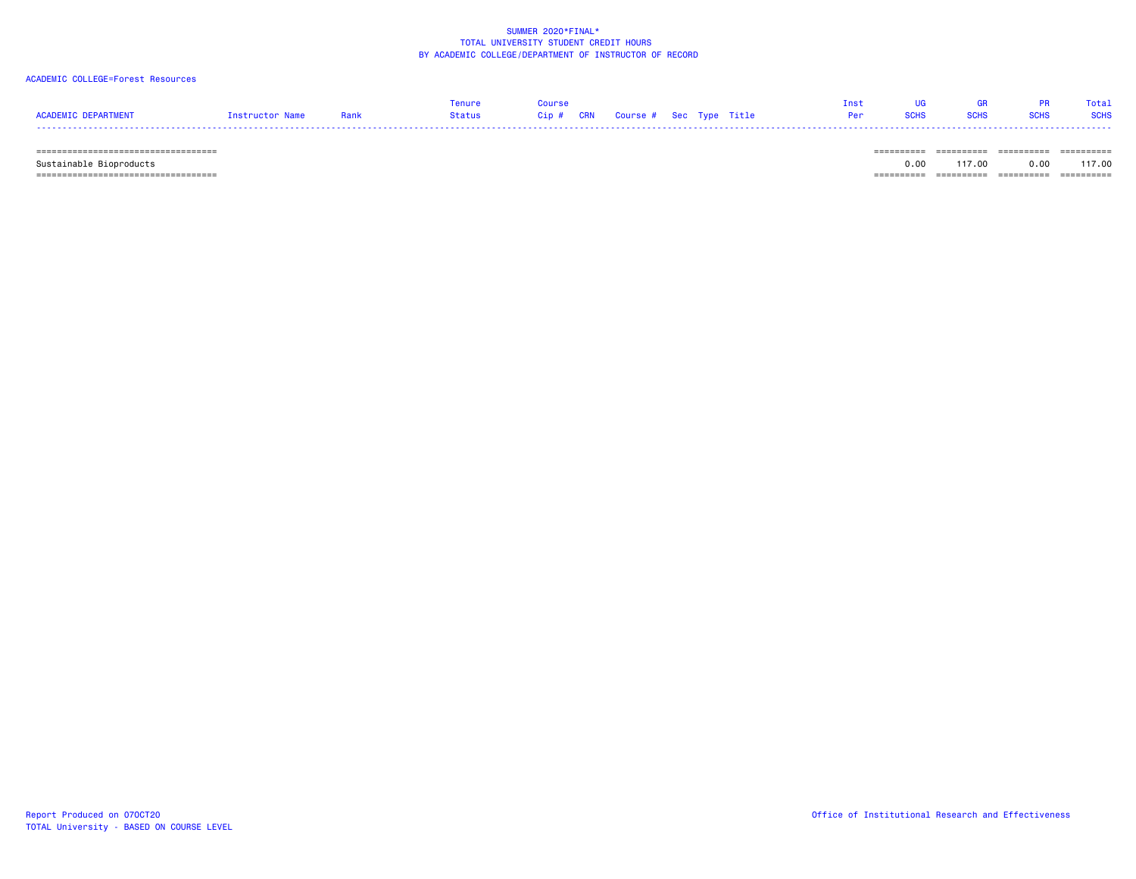# ACADEMIC COLLEGE=Forest Resources

|                     |                 |      | Tenure | Course |  | <b>Tnst</b>                         | <b>IIG Security</b> | GR PR Total |  |
|---------------------|-----------------|------|--------|--------|--|-------------------------------------|---------------------|-------------|--|
| ACADEMIC DEPARTMENT | Instructor Name | Rank |        |        |  | <b>Per SCHS SCHS SCHS SCHS SCHS</b> |                     |             |  |
|                     |                 |      |        |        |  |                                     |                     |             |  |

 =================================== ========== ========== ========== ========== Sustainable Bioproducts 0.00 117.00 0.00 117.00  $=$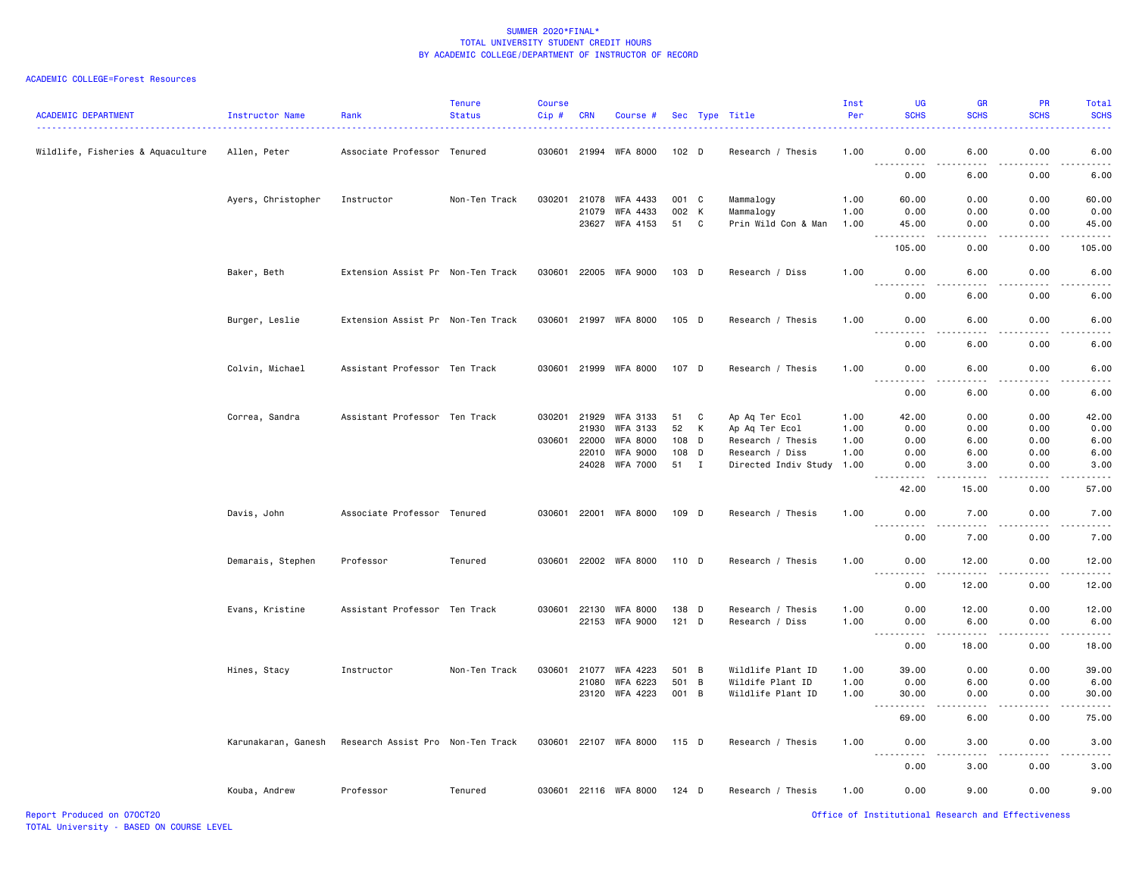| <b>ACADEMIC DEPARTMENT</b>        | <b>Instructor Name</b> | Rank                              | <b>Tenure</b><br><b>Status</b> | <b>Course</b><br>Cip# | <b>CRN</b> | Course #                    |         |             | Sec Type Title       | Inst<br>Per | UG<br><b>SCHS</b>                                                                                                                                                                    | <b>GR</b><br><b>SCHS</b>     | <b>PR</b><br><b>SCHS</b> | Total<br><b>SCHS</b>                                                                                                                                         |
|-----------------------------------|------------------------|-----------------------------------|--------------------------------|-----------------------|------------|-----------------------------|---------|-------------|----------------------|-------------|--------------------------------------------------------------------------------------------------------------------------------------------------------------------------------------|------------------------------|--------------------------|--------------------------------------------------------------------------------------------------------------------------------------------------------------|
| Wildlife, Fisheries & Aquaculture | Allen, Peter           | Associate Professor               | Tenured                        | 030601 21994          |            | WFA 8000                    | 102 D   |             | Research / Thesis    | 1.00        | 0.00                                                                                                                                                                                 | 6.00                         | 0.00                     | 6.00                                                                                                                                                         |
|                                   |                        |                                   |                                |                       |            |                             |         |             |                      |             | 0.00                                                                                                                                                                                 | 6.00                         | 0.00                     | 6.00                                                                                                                                                         |
|                                   | Ayers, Christopher     | Instructor                        | Non-Ten Track                  | 030201                | 21078      | WFA 4433                    | 001 C   |             | Mammalogy            | 1.00        | 60.00                                                                                                                                                                                | 0.00                         | 0.00                     | 60.00                                                                                                                                                        |
|                                   |                        |                                   |                                |                       | 21079      | WFA 4433                    | 002 K   |             | Mammalogy            | 1.00        | 0.00                                                                                                                                                                                 | 0.00                         | 0.00                     | 0.00                                                                                                                                                         |
|                                   |                        |                                   |                                |                       | 23627      | WFA 4153                    | 51      | $\mathbf c$ | Prin Wild Con & Man  | 1.00        | 45.00<br>.                                                                                                                                                                           | 0.00<br>.                    | 0.00<br>.                | 45.00<br>.                                                                                                                                                   |
|                                   |                        |                                   |                                |                       |            |                             |         |             |                      |             | 105.00                                                                                                                                                                               | 0.00                         | 0.00                     | 105.00                                                                                                                                                       |
|                                   | Baker, Beth            | Extension Assist Pr Non-Ten Track |                                | 030601                |            | 22005 WFA 9000              | 103 D   |             | Research / Diss      | 1.00        | 0.00                                                                                                                                                                                 | 6.00                         | 0.00                     | 6.00                                                                                                                                                         |
|                                   |                        |                                   |                                |                       |            |                             |         |             |                      |             | 0.00                                                                                                                                                                                 | 6.00                         | 0.00                     | 6.00                                                                                                                                                         |
|                                   | Burger, Leslie         | Extension Assist Pr Non-Ten Track |                                |                       |            | 030601 21997 WFA 8000       | $105$ D |             | Research / Thesis    | 1.00        | 0.00                                                                                                                                                                                 | 6.00                         | 0.00                     | 6.00                                                                                                                                                         |
|                                   |                        |                                   |                                |                       |            |                             |         |             |                      |             | 0.00                                                                                                                                                                                 | 6.00                         | 0.00                     | 6.00                                                                                                                                                         |
|                                   | Colvin, Michael        | Assistant Professor Ten Track     |                                |                       |            | 030601 21999 WFA 8000       | 107 D   |             | Research / Thesis    | 1.00        | 0.00                                                                                                                                                                                 | 6.00                         | 0.00                     | 6.00                                                                                                                                                         |
|                                   |                        |                                   |                                |                       |            |                             |         |             |                      |             | 0.00                                                                                                                                                                                 | 6.00                         | 0.00                     | 6.00                                                                                                                                                         |
|                                   | Correa, Sandra         | Assistant Professor Ten Track     |                                | 030201 21929          |            | WFA 3133                    | 51      | C           | Ap Aq Ter Ecol       | 1.00        | 42.00                                                                                                                                                                                | 0.00                         | 0.00                     | 42.00                                                                                                                                                        |
|                                   |                        |                                   |                                |                       | 21930      | WFA 3133                    | 52      | К           | Ap Aq Ter Ecol       | 1.00        | 0.00                                                                                                                                                                                 | 0.00                         | 0.00                     | 0.00                                                                                                                                                         |
|                                   |                        |                                   |                                | 030601                | 22000      | WFA 8000                    | 108     | D           | Research / Thesis    | 1.00        | 0.00                                                                                                                                                                                 | 6.00                         | 0.00                     | 6.00                                                                                                                                                         |
|                                   |                        |                                   |                                |                       | 22010      | <b>WFA 9000</b>             | 108 D   |             | Research / Diss      | 1.00        | 0.00                                                                                                                                                                                 | 6.00                         | 0.00                     | 6.00                                                                                                                                                         |
|                                   |                        |                                   |                                |                       | 24028      | WFA 7000                    | 51 I    |             | Directed Indiv Study | 1.00        | 0.00<br>.                                                                                                                                                                            | 3.00<br>$\frac{1}{2}$        | 0.00<br>$\frac{1}{2}$    | 3.00<br>$- - - - -$                                                                                                                                          |
|                                   |                        |                                   |                                |                       |            |                             |         |             |                      |             | 42.00                                                                                                                                                                                | 15.00                        | 0.00                     | 57.00                                                                                                                                                        |
|                                   | Davis, John            | Associate Professor Tenured       |                                |                       |            | 030601 22001 WFA 8000       | 109 D   |             | Research / Thesis    | 1.00        | 0.00<br>.                                                                                                                                                                            | 7.00                         | 0.00<br>.                | 7.00<br>$\frac{1}{2} \left( \frac{1}{2} \right) \left( \frac{1}{2} \right) \left( \frac{1}{2} \right) \left( \frac{1}{2} \right) \left( \frac{1}{2} \right)$ |
|                                   |                        |                                   |                                |                       |            |                             |         |             |                      |             | 0.00                                                                                                                                                                                 | 7.00                         | 0.00                     | 7.00                                                                                                                                                         |
|                                   | Demarais, Stephen      | Professor                         | Tenured                        |                       |            | 030601 22002 WFA 8000 110 D |         |             | Research / Thesis    | 1.00        | 0.00<br>$- - - - -$                                                                                                                                                                  | 12.00<br>$\frac{1}{2}$       | 0.00<br>.                | 12.00<br>.                                                                                                                                                   |
|                                   |                        |                                   |                                |                       |            |                             |         |             |                      |             | 0.00                                                                                                                                                                                 | 12.00                        | 0.00                     | 12.00                                                                                                                                                        |
|                                   | Evans, Kristine        | Assistant Professor Ten Track     |                                | 030601                | 22130      | WFA 8000                    | 138 D   |             | Research / Thesis    | 1.00        | 0.00                                                                                                                                                                                 | 12.00                        | 0.00                     | 12.00                                                                                                                                                        |
|                                   |                        |                                   |                                |                       | 22153      | WFA 9000                    | $121$ D |             | Research / Diss      | 1.00        | 0.00                                                                                                                                                                                 | 6.00                         | 0.00                     | 6.00                                                                                                                                                         |
|                                   |                        |                                   |                                |                       |            |                             |         |             |                      |             | 0.00                                                                                                                                                                                 | 18.00                        | 0.00                     | 18.00                                                                                                                                                        |
|                                   | Hines, Stacy           | Instructor                        | Non-Ten Track                  | 030601                | 21077      | WFA 4223                    | 501 B   |             | Wildlife Plant ID    | 1.00        | 39.00                                                                                                                                                                                | 0.00                         | 0.00                     | 39.00                                                                                                                                                        |
|                                   |                        |                                   |                                |                       | 21080      | WFA 6223                    | 501     | B           | Wildife Plant ID     | 1.00        | 0.00                                                                                                                                                                                 | 6.00                         | 0.00                     | 6.00                                                                                                                                                         |
|                                   |                        |                                   |                                |                       |            | 23120 WFA 4223              | 001 B   |             | Wildlife Plant ID    | 1.00        | 30.00<br>.                                                                                                                                                                           | 0.00<br>$\frac{1}{2}$        | 0.00<br>.                | 30.00<br>.                                                                                                                                                   |
|                                   |                        |                                   |                                |                       |            |                             |         |             |                      |             | 69.00                                                                                                                                                                                | 6.00                         | 0.00                     | 75.00                                                                                                                                                        |
|                                   | Karunakaran, Ganesh    | Research Assist Pro Non-Ten Track |                                |                       |            | 030601 22107 WFA 8000       | 115 D   |             | Research / Thesis    | 1.00        | 0.00<br>$\sim$ $\sim$ $\sim$<br>$\frac{1}{2} \left( \frac{1}{2} \right) \left( \frac{1}{2} \right) \left( \frac{1}{2} \right) \left( \frac{1}{2} \right) \left( \frac{1}{2} \right)$ | 3.00<br>$\sim$ $\sim$ $\sim$ | 0.00<br>.                | 3.00<br>$\frac{1}{2} \left( \frac{1}{2} \right) \left( \frac{1}{2} \right) \left( \frac{1}{2} \right) \left( \frac{1}{2} \right) \left( \frac{1}{2} \right)$ |
|                                   |                        |                                   |                                |                       |            |                             |         |             |                      |             | 0.00                                                                                                                                                                                 | 3.00                         | 0.00                     | 3.00                                                                                                                                                         |
|                                   | Kouba, Andrew          | Professor                         | Tenured                        |                       |            | 030601 22116 WFA 8000       | 124 D   |             | Research / Thesis    | 1.00        | 0.00                                                                                                                                                                                 | 9.00                         | 0.00                     | 9.00                                                                                                                                                         |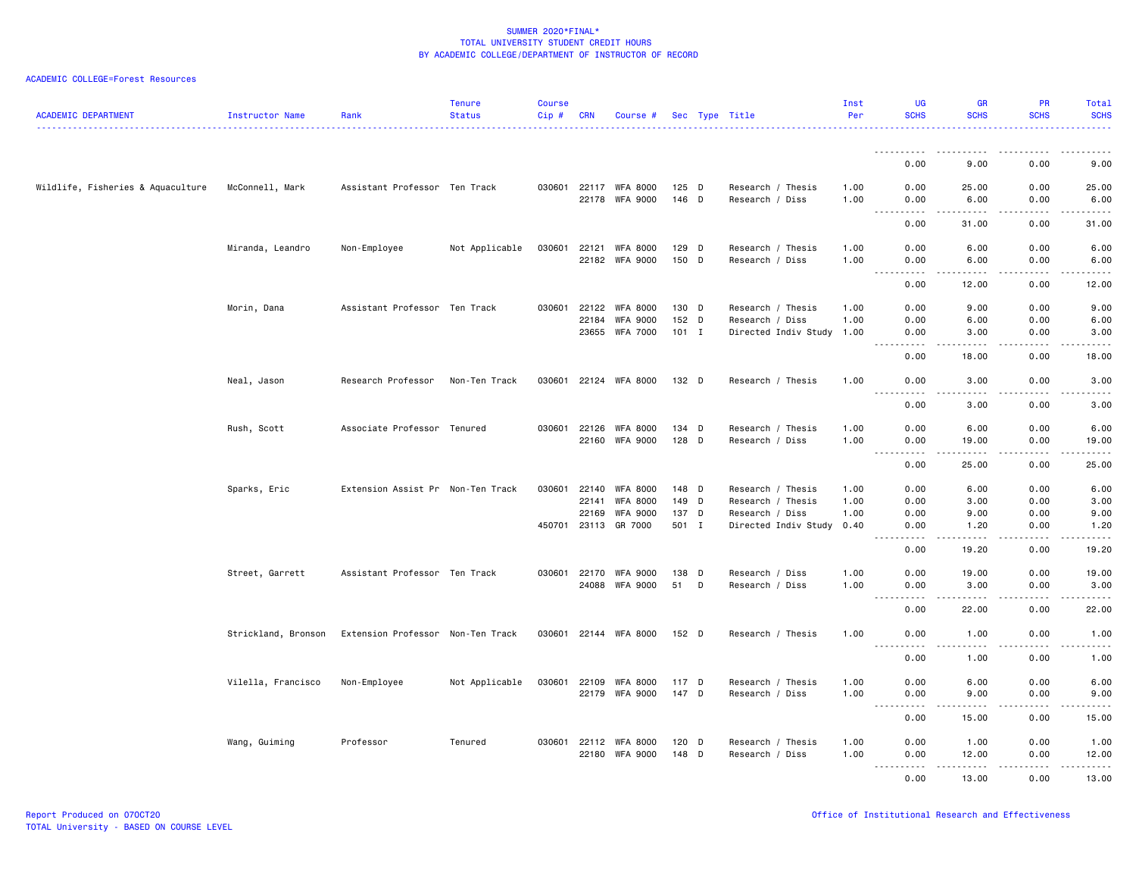| <b>ACADEMIC DEPARTMENT</b>        | Instructor Name     | Rank                              | <b>Tenure</b><br><b>Status</b> | <b>Course</b><br>$Cip$ # | <b>CRN</b>     | Course #                           |                  | Sec Type Title                          | Inst<br>Per  | <b>UG</b><br><b>SCHS</b>          | <b>GR</b><br><b>SCHS</b> | <b>PR</b><br><b>SCHS</b>            | Total<br><b>SCHS</b>                                                                                                                                         |
|-----------------------------------|---------------------|-----------------------------------|--------------------------------|--------------------------|----------------|------------------------------------|------------------|-----------------------------------------|--------------|-----------------------------------|--------------------------|-------------------------------------|--------------------------------------------------------------------------------------------------------------------------------------------------------------|
|                                   |                     |                                   |                                |                          |                |                                    |                  |                                         |              | <u>.</u>                          |                          |                                     |                                                                                                                                                              |
|                                   |                     |                                   |                                |                          |                |                                    |                  |                                         |              | 0.00                              | 9.00                     | 0.00                                | 9.00                                                                                                                                                         |
| Wildlife, Fisheries & Aquaculture | McConnell, Mark     | Assistant Professor Ten Track     |                                | 030601                   |                | 22117 WFA 8000<br>22178 WFA 9000   | $125$ D<br>146 D | Research / Thesis<br>Research / Diss    | 1.00<br>1.00 | 0.00<br>0.00                      | 25.00<br>6.00            | 0.00<br>0.00                        | 25.00<br>6.00                                                                                                                                                |
|                                   |                     |                                   |                                |                          |                |                                    |                  |                                         |              | $- - - - -$<br>$- - -$<br>0.00    | $- - - - -$<br>31.00     | .<br>0.00                           | .<br>31.00                                                                                                                                                   |
|                                   | Miranda, Leandro    | Non-Employee                      | Not Applicable                 | 030601                   | 22121          | <b>WFA 8000</b><br>22182 WFA 9000  | 129 D<br>150 D   | Research / Thesis<br>Research / Diss    | 1.00<br>1.00 | 0.00<br>0.00                      | 6.00<br>6.00             | 0.00<br>0.00                        | 6.00<br>6.00                                                                                                                                                 |
|                                   |                     |                                   |                                |                          |                |                                    |                  |                                         |              | .<br>$- - -$<br>0.00              | .<br>12.00               | .<br>0.00                           | د د د د د<br>12.00                                                                                                                                           |
|                                   | Morin, Dana         | Assistant Professor Ten Track     |                                | 030601                   | 22122          | WFA 8000                           | 130 D            | Research / Thesis                       | 1.00         | 0.00                              | 9.00                     | 0.00                                | 9.00                                                                                                                                                         |
|                                   |                     |                                   |                                |                          | 22184<br>23655 | <b>WFA 9000</b><br><b>WFA 7000</b> | 152 D<br>$101$ I | Research / Diss<br>Directed Indiv Study | 1.00<br>1.00 | 0.00<br>0.00                      | 6.00<br>3.00             | 0.00<br>0.00                        | 6.00<br>3.00                                                                                                                                                 |
|                                   |                     |                                   |                                |                          |                |                                    |                  |                                         |              | 0.00                              | 18.00                    | .<br>0.00                           | $- - - - -$<br>18.00                                                                                                                                         |
|                                   | Neal, Jason         | Research Professor                | Non-Ten Track                  | 030601                   |                | 22124 WFA 8000                     | 132 D            | Research / Thesis                       | 1.00         | 0.00                              | 3.00                     | 0.00                                | 3.00                                                                                                                                                         |
|                                   |                     |                                   |                                |                          |                |                                    |                  |                                         |              | $- - -$<br>.<br>0.00              | 3.00                     | 0.00                                | $\frac{1}{2} \left( \frac{1}{2} \right) \left( \frac{1}{2} \right) \left( \frac{1}{2} \right) \left( \frac{1}{2} \right) \left( \frac{1}{2} \right)$<br>3.00 |
|                                   | Rush, Scott         | Associate Professor Tenured       |                                | 030601                   | 22126<br>22160 | <b>WFA 8000</b><br><b>WFA 9000</b> | 134 D<br>128 D   | Research / Thesis<br>Research / Diss    | 1.00<br>1.00 | 0.00<br>0.00                      | 6.00<br>19.00            | 0.00<br>0.00                        | 6.00<br>19.00                                                                                                                                                |
|                                   |                     |                                   |                                |                          |                |                                    |                  |                                         |              | .<br>0.00                         | $\frac{1}{2}$<br>25.00   | .<br>0.00                           | المتمامين<br>25.00                                                                                                                                           |
|                                   | Sparks, Eric        | Extension Assist Pr Non-Ten Track |                                | 030601                   | 22140          | WFA 8000                           | 148 D            | Research / Thesis                       | 1.00         | 0.00                              | 6.00                     | 0.00                                | 6.00                                                                                                                                                         |
|                                   |                     |                                   |                                |                          | 22141          | <b>WFA 8000</b>                    | 149 D            | Research / Thesis                       | 1.00         | 0.00                              | 3.00                     | 0.00                                | 3.00                                                                                                                                                         |
|                                   |                     |                                   |                                |                          | 22169          | <b>WFA 9000</b>                    | 137 D            | Research / Diss                         | 1.00         | 0.00                              | 9.00                     | 0.00                                | 9.00                                                                                                                                                         |
|                                   |                     |                                   |                                | 450701                   |                | 23113 GR 7000                      | 501 I            | Directed Indiv Study                    | 0.40         | 0.00                              | 1.20                     | 0.00<br>$\sim$ $\sim$ $\sim$ $\sim$ | 1.20<br>.                                                                                                                                                    |
|                                   |                     |                                   |                                |                          |                |                                    |                  |                                         |              | 0.00                              | 19,20                    | 0.00                                | 19.20                                                                                                                                                        |
|                                   | Street, Garrett     | Assistant Professor Ten Track     |                                | 030601                   | 22170          | <b>WFA 9000</b><br>24088 WFA 9000  | 138 D<br>51 D    | Research / Diss<br>Research / Diss      | 1.00<br>1.00 | 0.00<br>0.00                      | 19.00<br>3.00            | 0.00<br>0.00                        | 19.00<br>3.00                                                                                                                                                |
|                                   |                     |                                   |                                |                          |                |                                    |                  |                                         |              | $\sim$ $\sim$ $\sim$<br>.<br>0.00 | -----<br>22.00           | .<br>0.00                           | د د د د د<br>22.00                                                                                                                                           |
|                                   | Strickland, Bronson | Extension Professor Non-Ten Track |                                | 030601                   |                | 22144 WFA 8000                     | 152 D            | Research / Thesis                       | 1.00         | 0.00                              | 1.00                     | 0.00                                | 1.00                                                                                                                                                         |
|                                   |                     |                                   |                                |                          |                |                                    |                  |                                         |              | $\omega_{\rm{eff}}$<br>.<br>0.00  | .<br>1.00                | .<br>0.00                           | 22222<br>1.00                                                                                                                                                |
|                                   | Vilella, Francisco  | Non-Employee                      | Not Applicable                 | 030601                   | 22109          | WFA 8000                           | 117 D            | Research / Thesis                       | 1.00         | 0.00                              | 6.00                     | 0.00                                | 6.00                                                                                                                                                         |
|                                   |                     |                                   |                                |                          |                | 22179 WFA 9000                     | 147 D            | Research / Diss                         | 1.00         | 0.00                              | 9.00                     | 0.00                                | 9.00                                                                                                                                                         |
|                                   |                     |                                   |                                |                          |                |                                    |                  |                                         |              | .<br>$\frac{1}{2}$<br>0.00        | .<br>15.00               | .<br>0.00                           | المتمام المتعاد<br>15.00                                                                                                                                     |
|                                   | Wang, Guiming       | Professor                         | Tenured                        | 030601                   | 22112          | WFA 8000                           | 120 D            | Research / Thesis                       | 1.00         | 0.00                              | 1.00                     | 0.00                                | 1.00                                                                                                                                                         |
|                                   |                     |                                   |                                |                          | 22180          | <b>WFA 9000</b>                    | 148 D            | Research / Diss                         | 1.00         | 0.00<br>.                         | 12.00<br>.               | 0.00<br>.                           | 12.00<br>.                                                                                                                                                   |
|                                   |                     |                                   |                                |                          |                |                                    |                  |                                         |              | 0.00                              | 13.00                    | 0.00                                | 13.00                                                                                                                                                        |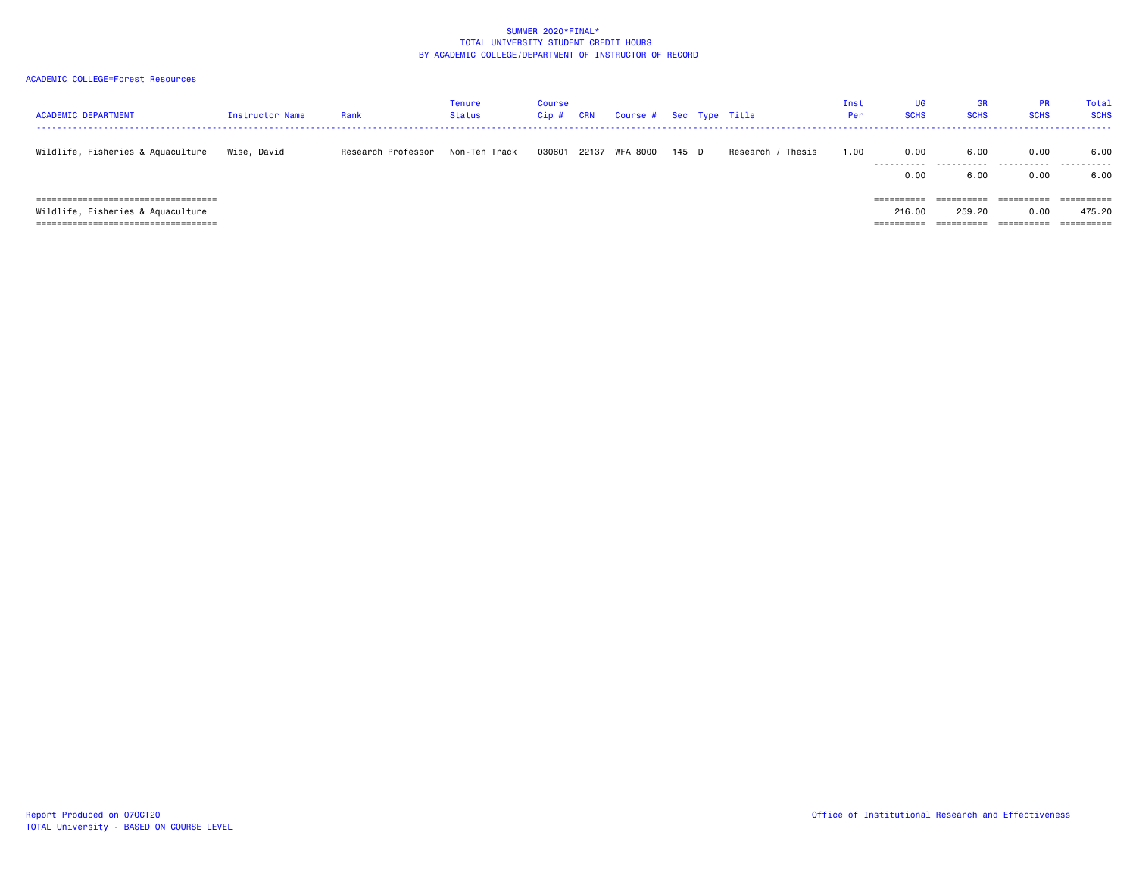| <b>ACADEMIC DEPARTMENT</b>                                                                                            | Instructor Name | Rank               | <b>Tenure</b><br><b>Status</b> | Course<br>$Cip$ # | <b>CRN</b> | Course #       |       | Sec Type Title    | Inst<br>Per | UG<br><b>SCHS</b>    | <b>GR</b><br><b>SCHS</b>           | <b>PR</b><br><b>SCHS</b> | Total<br><b>SCHS</b>                                     |
|-----------------------------------------------------------------------------------------------------------------------|-----------------|--------------------|--------------------------------|-------------------|------------|----------------|-------|-------------------|-------------|----------------------|------------------------------------|--------------------------|----------------------------------------------------------|
| Wildlife, Fisheries & Aquaculture                                                                                     | Wise, David     | Research Professor | Non-Ten Track                  | 030601            |            | 22137 WFA 8000 | 145 D | Research / Thesis | 1.00        | 0.00<br>.<br>0.00    | 6.00<br>.<br>6.00                  | 0.00<br>0.00             | 6.00<br>6.00                                             |
| ======================================<br>Wildlife, Fisheries & Aquaculture<br>====================================== |                 |                    |                                |                   |            |                |       |                   |             | 216.00<br>========== | ==========<br>259.20<br>========== | 0.00<br>==========       | $=$ = = = = = = = = =<br>475.20<br>$=$ = = = = = = = = = |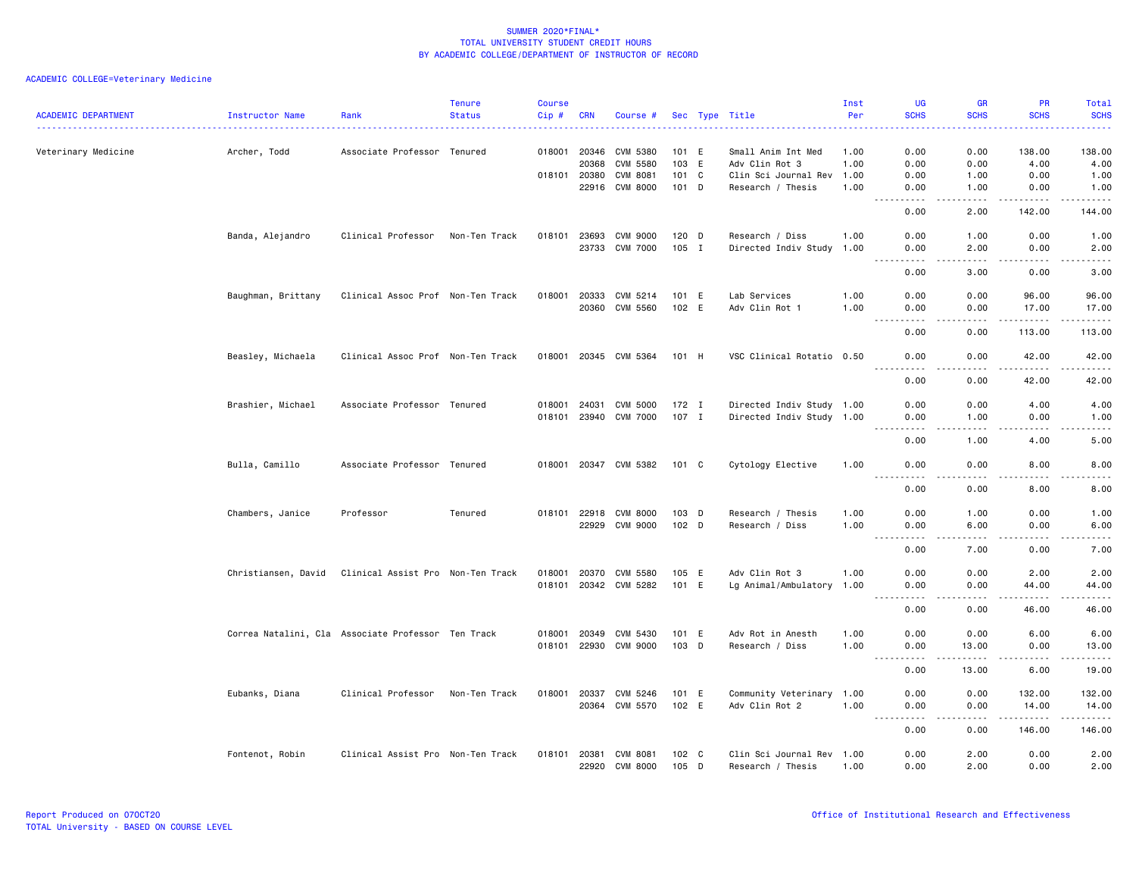|                            |                     |                                                    | <b>Tenure</b> | Course |                              |                       |                |                                      | Inst         | UG                                                                                                                                                                                                                                                                                                                                                                                                                                                                                                                        | <b>GR</b>                           | <b>PR</b>                                                                                                                                                     | Total                                                                                                                              |
|----------------------------|---------------------|----------------------------------------------------|---------------|--------|------------------------------|-----------------------|----------------|--------------------------------------|--------------|---------------------------------------------------------------------------------------------------------------------------------------------------------------------------------------------------------------------------------------------------------------------------------------------------------------------------------------------------------------------------------------------------------------------------------------------------------------------------------------------------------------------------|-------------------------------------|---------------------------------------------------------------------------------------------------------------------------------------------------------------|------------------------------------------------------------------------------------------------------------------------------------|
| <b>ACADEMIC DEPARTMENT</b> | Instructor Name     | Rank                                               | <b>Status</b> | Cip#   | <b>CRN</b>                   | Course #              |                | Sec Type Title                       | Per          | <b>SCHS</b>                                                                                                                                                                                                                                                                                                                                                                                                                                                                                                               | <b>SCHS</b>                         | <b>SCHS</b>                                                                                                                                                   | <b>SCHS</b>                                                                                                                        |
| Veterinary Medicine        | Archer, Todd        | Associate Professor Tenured                        |               |        | 018001 20346                 | CVM 5380              | 101 E          | Small Anim Int Med                   | 1.00         | 0.00                                                                                                                                                                                                                                                                                                                                                                                                                                                                                                                      | 0.00                                | 138.00                                                                                                                                                        | 138.00                                                                                                                             |
|                            |                     |                                                    |               |        | 20368                        | <b>CVM 5580</b>       | 103 E          | Adv Clin Rot 3                       | 1.00         | 0.00                                                                                                                                                                                                                                                                                                                                                                                                                                                                                                                      | 0.00                                | 4.00                                                                                                                                                          | 4.00                                                                                                                               |
|                            |                     |                                                    |               |        | 018101 20380                 | CVM 8081              | 101 C          | Clin Sci Journal Rev                 | 1.00         | 0.00                                                                                                                                                                                                                                                                                                                                                                                                                                                                                                                      | 1.00                                | 0.00                                                                                                                                                          | 1.00                                                                                                                               |
|                            |                     |                                                    |               |        |                              | 22916 CVM 8000        | $101$ D        | Research / Thesis                    | 1.00         | 0.00<br>$\frac{1}{2}$                                                                                                                                                                                                                                                                                                                                                                                                                                                                                                     | 1.00<br>$- - - -$                   | 0.00<br>$- - - - -$                                                                                                                                           | 1.00<br>.                                                                                                                          |
|                            |                     |                                                    |               |        |                              |                       |                |                                      |              | 0.00                                                                                                                                                                                                                                                                                                                                                                                                                                                                                                                      | 2.00                                | 142.00                                                                                                                                                        | 144.00                                                                                                                             |
|                            | Banda, Alejandro    | Clinical Professor                                 | Non-Ten Track |        | 018101 23693                 | CVM 9000              | $120$ D        | Research / Diss                      | 1.00         | 0.00                                                                                                                                                                                                                                                                                                                                                                                                                                                                                                                      | 1.00                                | 0.00                                                                                                                                                          | 1.00                                                                                                                               |
|                            |                     |                                                    |               |        | 23733                        | <b>CVM 7000</b>       | $105$ I        | Directed Indiv Study                 | 1.00         | 0.00                                                                                                                                                                                                                                                                                                                                                                                                                                                                                                                      | 2.00                                | 0.00                                                                                                                                                          | 2.00                                                                                                                               |
|                            |                     |                                                    |               |        |                              |                       |                |                                      |              | $- - -$<br>.<br>0.00                                                                                                                                                                                                                                                                                                                                                                                                                                                                                                      | .<br>3.00                           | -----<br>0.00                                                                                                                                                 | .<br>3.00                                                                                                                          |
|                            | Baughman, Brittany  | Clinical Assoc Prof Non-Ten Track                  |               | 018001 | 20333                        | CVM 5214              | 101 E          | Lab Services                         | 1.00         | 0.00                                                                                                                                                                                                                                                                                                                                                                                                                                                                                                                      | 0.00                                | 96.00                                                                                                                                                         | 96.00                                                                                                                              |
|                            |                     |                                                    |               |        | 20360                        | CVM 5560              | 102 E          | Adv Clin Rot 1                       | 1.00         | 0.00                                                                                                                                                                                                                                                                                                                                                                                                                                                                                                                      | 0.00                                | 17.00                                                                                                                                                         | 17.00                                                                                                                              |
|                            |                     |                                                    |               |        |                              |                       |                |                                      |              | .<br>0.00                                                                                                                                                                                                                                                                                                                                                                                                                                                                                                                 | $\sim$ $\sim$ $\sim$<br>0.00        | .<br>113.00                                                                                                                                                   | .<br>113.00                                                                                                                        |
|                            | Beasley, Michaela   | Clinical Assoc Prof Non-Ten Track                  |               |        |                              | 018001 20345 CVM 5364 | 101 H          | VSC Clinical Rotatio 0.50            |              | 0.00                                                                                                                                                                                                                                                                                                                                                                                                                                                                                                                      | 0.00                                | 42.00                                                                                                                                                         | 42.00                                                                                                                              |
|                            |                     |                                                    |               |        |                              |                       |                |                                      |              | 0.00                                                                                                                                                                                                                                                                                                                                                                                                                                                                                                                      | 0.00                                | $- - - - -$<br>42.00                                                                                                                                          | .<br>42.00                                                                                                                         |
|                            | Brashier, Michael   | Associate Professor Tenured                        |               |        | 018001 24031                 | CVM 5000              | 172 I          | Directed Indiv Study 1.00            |              | 0.00                                                                                                                                                                                                                                                                                                                                                                                                                                                                                                                      | 0.00                                | 4.00                                                                                                                                                          | 4.00                                                                                                                               |
|                            |                     |                                                    |               |        |                              | 018101 23940 CVM 7000 | 107 I          | Directed Indiv Study 1.00            |              | 0.00                                                                                                                                                                                                                                                                                                                                                                                                                                                                                                                      | 1.00                                | 0.00                                                                                                                                                          | 1.00                                                                                                                               |
|                            |                     |                                                    |               |        |                              |                       |                |                                      |              | .<br>$\sim$ $\sim$ $\sim$ $\sim$<br>0.00                                                                                                                                                                                                                                                                                                                                                                                                                                                                                  | $\sim$ $\sim$ $\sim$ $\sim$<br>1.00 | .<br>4.00                                                                                                                                                     | ، د د د د<br>5.00                                                                                                                  |
|                            | Bulla, Camillo      | Associate Professor Tenured                        |               |        |                              | 018001 20347 CVM 5382 | 101 C          | Cytology Elective                    | 1.00         | 0.00                                                                                                                                                                                                                                                                                                                                                                                                                                                                                                                      | 0.00                                | 8.00                                                                                                                                                          | 8.00                                                                                                                               |
|                            |                     |                                                    |               |        |                              |                       |                |                                      |              | 0.00                                                                                                                                                                                                                                                                                                                                                                                                                                                                                                                      | 0.00                                | 8.00                                                                                                                                                          | 8.00                                                                                                                               |
|                            | Chambers, Janice    | Professor                                          | Tenured       |        | 018101 22918                 | <b>CVM 8000</b>       | 103 D          | Research / Thesis                    | 1.00         | 0.00                                                                                                                                                                                                                                                                                                                                                                                                                                                                                                                      | 1.00                                | 0.00                                                                                                                                                          | 1.00                                                                                                                               |
|                            |                     |                                                    |               |        |                              | 22929 CVM 9000        | $102$ D        | Research / Diss                      | 1.00         | 0.00                                                                                                                                                                                                                                                                                                                                                                                                                                                                                                                      | 6.00                                | 0.00                                                                                                                                                          | 6.00                                                                                                                               |
|                            |                     |                                                    |               |        |                              |                       |                |                                      |              | .<br>$\sim$ $\sim$ $\sim$<br>0.00                                                                                                                                                                                                                                                                                                                                                                                                                                                                                         | $- - - -$<br>7.00                   | .<br>0.00                                                                                                                                                     | د د د د د<br>7.00                                                                                                                  |
|                            | Christiansen, David | Clinical Assist Pro Non-Ten Track                  |               | 018001 | 20370                        | CVM 5580              | 105 E          | Adv Clin Rot 3                       | 1.00         | 0.00                                                                                                                                                                                                                                                                                                                                                                                                                                                                                                                      | 0.00                                | 2.00                                                                                                                                                          | 2.00                                                                                                                               |
|                            |                     |                                                    |               |        |                              | 018101 20342 CVM 5282 | 101 E          | Lg Animal/Ambulatory                 | 1.00         | 0.00                                                                                                                                                                                                                                                                                                                                                                                                                                                                                                                      | 0.00                                | 44.00                                                                                                                                                         | 44.00                                                                                                                              |
|                            |                     |                                                    |               |        |                              |                       |                |                                      |              | <u>.</u><br>0.00                                                                                                                                                                                                                                                                                                                                                                                                                                                                                                          | .<br>0.00                           | $\frac{1}{2} \left( \frac{1}{2} \right) \left( \frac{1}{2} \right) \left( \frac{1}{2} \right) \left( \frac{1}{2} \right) \left( \frac{1}{2} \right)$<br>46.00 | .<br>46.00                                                                                                                         |
|                            |                     |                                                    |               |        |                              |                       |                |                                      |              |                                                                                                                                                                                                                                                                                                                                                                                                                                                                                                                           |                                     |                                                                                                                                                               |                                                                                                                                    |
|                            |                     | Correa Natalini, Cla Associate Professor Ten Track |               |        | 018001 20349<br>018101 22930 | CVM 5430<br>CVM 9000  | 101 E<br>103 D | Adv Rot in Anesth<br>Research / Diss | 1.00<br>1.00 | 0.00<br>0.00                                                                                                                                                                                                                                                                                                                                                                                                                                                                                                              | 0.00<br>13.00                       | 6.00<br>0.00                                                                                                                                                  | 6.00<br>13.00                                                                                                                      |
|                            |                     |                                                    |               |        |                              |                       |                |                                      |              | $\frac{1}{2} \frac{1}{2} \frac{1}{2} \frac{1}{2} \frac{1}{2} \frac{1}{2} \frac{1}{2} \frac{1}{2} \frac{1}{2} \frac{1}{2} \frac{1}{2} \frac{1}{2} \frac{1}{2} \frac{1}{2} \frac{1}{2} \frac{1}{2} \frac{1}{2} \frac{1}{2} \frac{1}{2} \frac{1}{2} \frac{1}{2} \frac{1}{2} \frac{1}{2} \frac{1}{2} \frac{1}{2} \frac{1}{2} \frac{1}{2} \frac{1}{2} \frac{1}{2} \frac{1}{2} \frac{1}{2} \frac{$<br>$\frac{1}{2} \left( \frac{1}{2} \right) \left( \frac{1}{2} \right) \left( \frac{1}{2} \right) \left( \frac{1}{2} \right)$ | .                                   | .                                                                                                                                                             | .                                                                                                                                  |
|                            |                     |                                                    |               |        |                              |                       |                |                                      |              | 0.00                                                                                                                                                                                                                                                                                                                                                                                                                                                                                                                      | 13.00                               | 6.00                                                                                                                                                          | 19.00                                                                                                                              |
|                            | Eubanks, Diana      | Clinical Professor                                 | Non-Ten Track | 018001 | 20337                        | CVM 5246              | 101 E          | Community Veterinary 1.00            |              | 0.00                                                                                                                                                                                                                                                                                                                                                                                                                                                                                                                      | 0.00                                | 132.00                                                                                                                                                        | 132.00                                                                                                                             |
|                            |                     |                                                    |               |        |                              | 20364 CVM 5570        | 102 E          | Adv Clin Rot 2                       | 1.00         | 0.00<br>.                                                                                                                                                                                                                                                                                                                                                                                                                                                                                                                 | 0.00<br>.                           | 14.00<br><b>.</b>                                                                                                                                             | 14.00<br>$\begin{array}{cccccccccccccc} \bullet & \bullet & \bullet & \bullet & \bullet & \bullet & \bullet & \bullet \end{array}$ |
|                            |                     |                                                    |               |        |                              |                       |                |                                      |              | 0.00                                                                                                                                                                                                                                                                                                                                                                                                                                                                                                                      | 0.00                                | 146.00                                                                                                                                                        | 146.00                                                                                                                             |
|                            | Fontenot, Robin     | Clinical Assist Pro Non-Ten Track                  |               | 018101 | 20381                        | <b>CVM 8081</b>       | 102 C          | Clin Sci Journal Rev 1.00            |              | 0.00                                                                                                                                                                                                                                                                                                                                                                                                                                                                                                                      | 2.00                                | 0.00                                                                                                                                                          | 2.00                                                                                                                               |
|                            |                     |                                                    |               |        | 22920                        | CVM 8000              | 105 D          | Research / Thesis                    | 1.00         | 0.00                                                                                                                                                                                                                                                                                                                                                                                                                                                                                                                      | 2.00                                | 0.00                                                                                                                                                          | 2.00                                                                                                                               |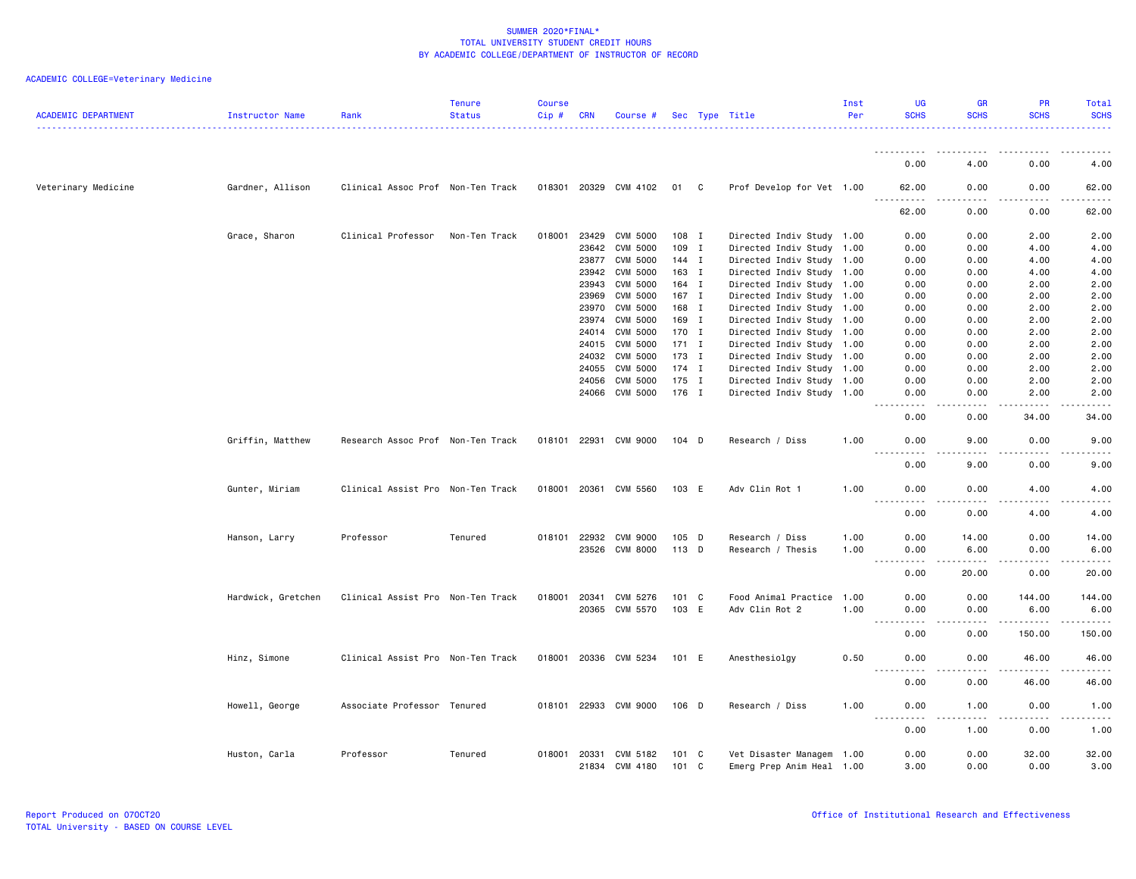| <b>ACADEMIC DEPARTMENT</b> | Instructor Name    | Rank                              | <b>Tenure</b><br><b>Status</b> | <b>Course</b><br>$Cip \#$ | <b>CRN</b> | Course #              |               | Sec Type Title            | Inst<br>Per | <b>UG</b><br><b>SCHS</b>                                                                                              | <b>GR</b><br><b>SCHS</b>            | <b>PR</b><br><b>SCHS</b> | <b>Total</b><br><b>SCHS</b> |
|----------------------------|--------------------|-----------------------------------|--------------------------------|---------------------------|------------|-----------------------|---------------|---------------------------|-------------|-----------------------------------------------------------------------------------------------------------------------|-------------------------------------|--------------------------|-----------------------------|
|                            |                    |                                   |                                |                           |            |                       |               |                           |             |                                                                                                                       |                                     |                          |                             |
|                            |                    |                                   |                                |                           |            |                       |               |                           |             | 0.00                                                                                                                  | 4.00                                | 0.00                     | 4.00                        |
| Veterinary Medicine        | Gardner, Allison   | Clinical Assoc Prof Non-Ten Track |                                |                           |            | 018301 20329 CVM 4102 | 01 C          | Prof Develop for Vet 1.00 |             | 62.00<br>.                                                                                                            | 0.00<br>. <u>. .</u>                | 0.00<br>.                | 62.00<br>.                  |
|                            |                    |                                   |                                |                           |            |                       |               |                           |             | 62.00                                                                                                                 | 0.00                                | 0.00                     | 62.00                       |
|                            | Grace, Sharon      | Clinical Professor                | Non-Ten Track                  | 018001                    | 23429      | CVM 5000              | 108 I         | Directed Indiv Study 1.00 |             | 0.00                                                                                                                  | 0.00                                | 2.00                     | 2.00                        |
|                            |                    |                                   |                                |                           | 23642      | CVM 5000              | 109 I         | Directed Indiv Study 1.00 |             | 0.00                                                                                                                  | 0.00                                | 4.00                     | 4.00                        |
|                            |                    |                                   |                                |                           | 23877      | CVM 5000              | 144 I         | Directed Indiv Study 1.00 |             | 0.00                                                                                                                  | 0.00                                | 4.00                     | 4.00                        |
|                            |                    |                                   |                                |                           | 23942      | CVM 5000              | 163 I         | Directed Indiv Study 1.00 |             | 0.00                                                                                                                  | 0.00                                | 4.00                     | 4.00                        |
|                            |                    |                                   |                                |                           | 23943      | CVM 5000              | 164 I         | Directed Indiv Study 1.00 |             | 0.00                                                                                                                  | 0.00                                | 2.00                     | 2.00                        |
|                            |                    |                                   |                                |                           | 23969      | CVM 5000              | 167 I         | Directed Indiv Study 1.00 |             | 0.00                                                                                                                  | 0.00                                | 2.00                     | 2.00                        |
|                            |                    |                                   |                                |                           | 23970      | CVM 5000              | 168 I         | Directed Indiv Study 1.00 |             | 0.00                                                                                                                  | 0.00                                | 2.00                     | 2.00                        |
|                            |                    |                                   |                                |                           |            | CVM 5000              |               |                           |             |                                                                                                                       |                                     |                          |                             |
|                            |                    |                                   |                                |                           | 23974      |                       | 169 I         | Directed Indiv Study 1.00 |             | 0.00                                                                                                                  | 0.00                                | 2.00                     | 2.00                        |
|                            |                    |                                   |                                |                           | 24014      | CVM 5000              | 170 I         | Directed Indiv Study 1.00 |             | 0.00                                                                                                                  | 0.00                                | 2.00                     | 2.00                        |
|                            |                    |                                   |                                |                           | 24015      | CVM 5000              | $171$ I       | Directed Indiv Study 1.00 |             | 0.00                                                                                                                  | 0.00                                | 2.00                     | 2.00                        |
|                            |                    |                                   |                                |                           | 24032      | CVM 5000              | 173 I         | Directed Indiv Study 1.00 |             | 0.00                                                                                                                  | 0.00                                | 2.00                     | 2.00                        |
|                            |                    |                                   |                                |                           | 24055      | <b>CVM 5000</b>       | $174$ I       | Directed Indiv Study 1.00 |             | 0.00                                                                                                                  | 0.00                                | 2.00                     | 2.00                        |
|                            |                    |                                   |                                |                           | 24056      | CVM 5000              | 175 I         | Directed Indiv Study 1.00 |             | 0.00                                                                                                                  | 0.00                                | 2.00                     | 2.00                        |
|                            |                    |                                   |                                |                           |            | 24066 CVM 5000        | 176 I         | Directed Indiv Study 1.00 |             | 0.00<br>$\sim$ $\sim$ $\sim$ $\sim$                                                                                   | 0.00<br>$\sim$ $\sim$ $\sim$ $\sim$ | 2.00<br>-----            | 2.00<br>.                   |
|                            |                    |                                   |                                |                           |            |                       |               |                           |             | 0.00                                                                                                                  | 0.00                                | 34.00                    | 34.00                       |
|                            | Griffin, Matthew   | Research Assoc Prof Non-Ten Track |                                | 018101 22931              |            | CVM 9000              | 104 D         | Research / Diss           | 1.00        | 0.00                                                                                                                  | 9.00                                | 0.00                     | 9.00                        |
|                            |                    |                                   |                                |                           |            |                       |               |                           |             | 0.00                                                                                                                  | 9.00                                | 0.00                     | 9.00                        |
|                            | Gunter, Miriam     | Clinical Assist Pro Non-Ten Track |                                | 018001 20361              |            | CVM 5560              | 103 E         | Adv Clin Rot 1            | 1.00        | 0.00<br>.                                                                                                             | 0.00<br>.                           | 4.00<br>.                | 4.00<br>-----               |
|                            |                    |                                   |                                |                           |            |                       |               |                           |             | 0.00                                                                                                                  | 0.00                                | 4.00                     | 4.00                        |
|                            | Hanson, Larry      | Professor                         | Tenured                        |                           |            | 018101 22932 CVM 9000 | 105 D         | Research / Diss           | 1.00        | 0.00                                                                                                                  | 14.00                               | 0.00                     | 14.00                       |
|                            |                    |                                   |                                |                           |            | 23526 CVM 8000        | 113 D         | Research / Thesis         | 1.00        | 0.00                                                                                                                  | 6.00                                | 0.00                     | 6.00                        |
|                            |                    |                                   |                                |                           |            |                       |               |                           |             | $\sim$ $\sim$ $\sim$<br>$\frac{1}{2} \frac{1}{2} \frac{1}{2} \frac{1}{2} \frac{1}{2} \frac{1}{2} \frac{1}{2}$<br>0.00 | .<br>20.00                          | .<br>0.00                | .<br>20.00                  |
|                            | Hardwick, Gretchen | Clinical Assist Pro Non-Ten Track |                                | 018001                    | 20341      | CVM 5276              | $101 \quad C$ | Food Animal Practice      | 1.00        | 0.00                                                                                                                  | 0.00                                | 144.00                   | 144.00                      |
|                            |                    |                                   |                                |                           |            | 20365 CVM 5570        | 103 E         | Adv Clin Rot 2            | 1.00        | 0.00                                                                                                                  | 0.00                                | 6.00                     | 6.00                        |
|                            |                    |                                   |                                |                           |            |                       |               |                           |             | $\sim$ $\sim$ $\sim$                                                                                                  | $\frac{1}{2}$                       | . <u>.</u> .             | .                           |
|                            |                    |                                   |                                |                           |            |                       |               |                           |             | 0.00                                                                                                                  | 0.00                                | 150.00                   | 150.00                      |
|                            | Hinz, Simone       | Clinical Assist Pro Non-Ten Track |                                |                           |            | 018001 20336 CVM 5234 | 101 E         | Anesthesiolgy             | 0.50        | 0.00                                                                                                                  | 0.00                                | 46.00                    | 46.00                       |
|                            |                    |                                   |                                |                           |            |                       |               |                           |             | 0.00                                                                                                                  | 0.00                                | 46.00                    | 46.00                       |
|                            | Howell, George     | Associate Professor Tenured       |                                |                           |            | 018101 22933 CVM 9000 | $106$ D       | Research / Diss           | 1.00        | 0.00<br>.                                                                                                             | 1.00<br>.                           | 0.00<br>.                | 1.00<br>د د د د د           |
|                            |                    |                                   |                                |                           |            |                       |               |                           |             | 0.00                                                                                                                  | 1.00                                | 0.00                     | 1.00                        |
|                            | Huston, Carla      | Professor                         | Tenured                        | 018001                    | 20331      | CVM 5182              | 101 C         | Vet Disaster Managem 1.00 |             | 0.00                                                                                                                  | 0.00                                | 32.00                    | 32.00                       |
|                            |                    |                                   |                                |                           | 21834      | CVM 4180              | 101 C         | Emerg Prep Anim Heal 1.00 |             | 3.00                                                                                                                  | 0.00                                | 0.00                     | 3.00                        |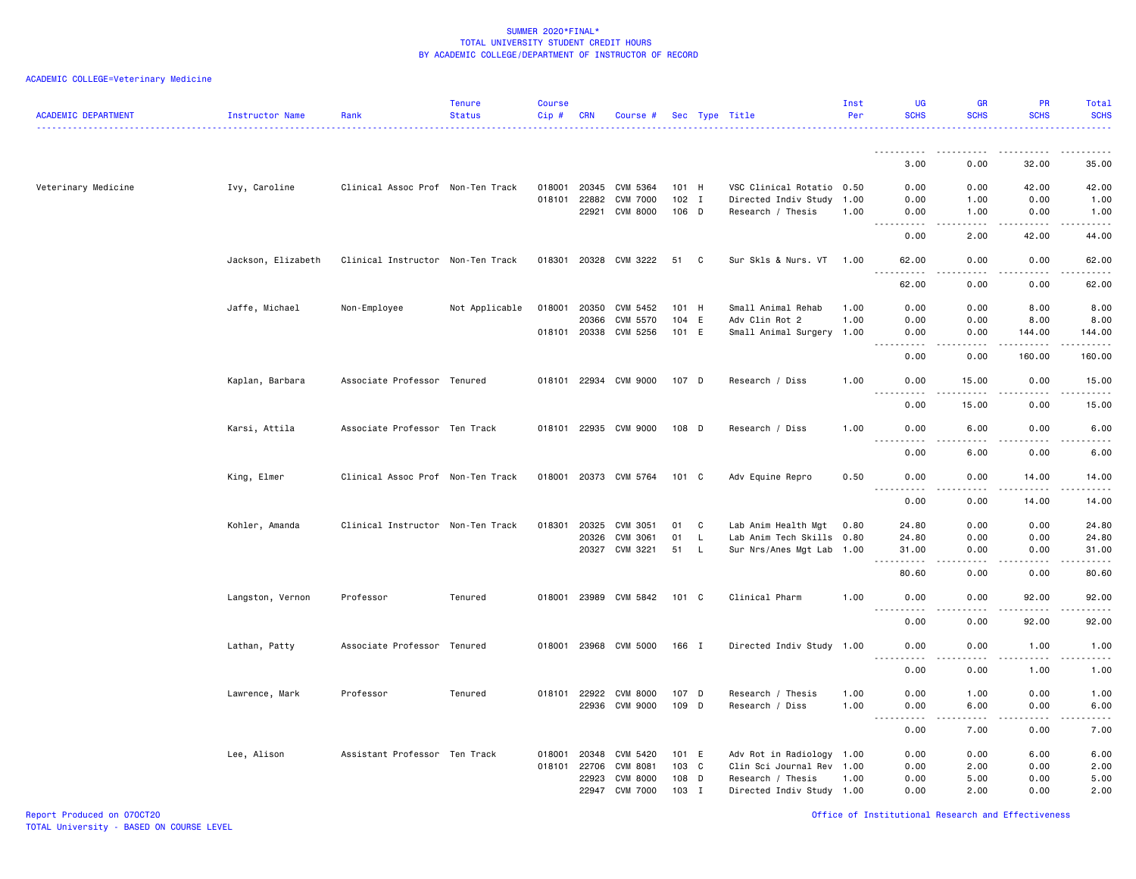| <b>ACADEMIC DEPARTMENT</b> | Instructor Name    | Rank                              | <b>Tenure</b><br><b>Status</b> | <b>Course</b><br>Cip# | <b>CRN</b>   | Course #              |       |              | Sec Type Title            | Inst<br>Per | UG<br><b>SCHS</b>                                                                                                                                  | <b>GR</b><br><b>SCHS</b> | <b>PR</b><br><b>SCHS</b> | Total<br><b>SCHS</b>                                                                                                                                         |
|----------------------------|--------------------|-----------------------------------|--------------------------------|-----------------------|--------------|-----------------------|-------|--------------|---------------------------|-------------|----------------------------------------------------------------------------------------------------------------------------------------------------|--------------------------|--------------------------|--------------------------------------------------------------------------------------------------------------------------------------------------------------|
|                            |                    |                                   |                                |                       |              |                       |       |              |                           |             |                                                                                                                                                    |                          |                          |                                                                                                                                                              |
|                            |                    |                                   |                                |                       |              |                       |       |              |                           |             | 3.00                                                                                                                                               | 0.00                     | 32.00                    | 35.00                                                                                                                                                        |
| Veterinary Medicine        | Ivy, Caroline      | Clinical Assoc Prof Non-Ten Track |                                | 018001                | 20345        | CVM 5364              | 101 H |              | VSC Clinical Rotatio 0.50 |             | 0.00                                                                                                                                               | 0.00                     | 42.00                    | 42.00                                                                                                                                                        |
|                            |                    |                                   |                                | 018101                | 22882        | <b>CVM 7000</b>       | 102 I |              | Directed Indiv Study      | 1.00        | 0.00                                                                                                                                               | 1.00                     | 0.00                     | 1.00                                                                                                                                                         |
|                            |                    |                                   |                                |                       | 22921        | <b>CVM 8000</b>       | 106 D |              | Research / Thesis         | 1.00        | 0.00                                                                                                                                               | 1.00                     | 0.00                     | 1.00                                                                                                                                                         |
|                            |                    |                                   |                                |                       |              |                       |       |              |                           |             | 0.00                                                                                                                                               | د د د د<br>2.00          | .<br>42.00               | $\omega$ is $\omega$ in<br>44.00                                                                                                                             |
|                            | Jackson, Elizabeth | Clinical Instructor Non-Ten Track |                                |                       |              | 018301 20328 CVM 3222 | 51    | C            | Sur Skls & Nurs. VT       | 1.00        | 62.00<br>.                                                                                                                                         | 0.00                     | 0.00                     | 62.00                                                                                                                                                        |
|                            |                    |                                   |                                |                       |              |                       |       |              |                           |             | 62.00                                                                                                                                              | د د د د<br>0.00          | .<br>0.00                | .<br>62.00                                                                                                                                                   |
|                            | Jaffe, Michael     | Non-Employee                      | Not Applicable                 | 018001                | 20350        | CVM 5452              | 101 H |              | Small Animal Rehab        | 1.00        | 0.00                                                                                                                                               | 0.00                     | 8.00                     | 8.00                                                                                                                                                         |
|                            |                    |                                   |                                |                       | 20366        | CVM 5570              | 104 E |              | Adv Clin Rot 2            | 1.00        | 0.00                                                                                                                                               | 0.00                     | 8.00                     | 8.00                                                                                                                                                         |
|                            |                    |                                   |                                |                       |              | 018101 20338 CVM 5256 | 101 E |              | Small Animal Surgery 1.00 |             | 0.00                                                                                                                                               | 0.00                     | 144.00                   | 144.00                                                                                                                                                       |
|                            |                    |                                   |                                |                       |              |                       |       |              |                           |             | $\sim$ $\sim$ .<br>.<br>0.00                                                                                                                       | .<br>0.00                | .<br>160.00              | -----<br>160.00                                                                                                                                              |
|                            | Kaplan, Barbara    | Associate Professor Tenured       |                                |                       |              | 018101 22934 CVM 9000 | 107 D |              | Research / Diss           | 1.00        | 0.00<br>$\sim$ $\sim$ $\sim$<br>.                                                                                                                  | 15.00<br>$\frac{1}{2}$   | 0.00<br>$- - - - -$      | 15.00<br>.                                                                                                                                                   |
|                            |                    |                                   |                                |                       |              |                       |       |              |                           |             | 0.00                                                                                                                                               | 15.00                    | 0.00                     | 15.00                                                                                                                                                        |
|                            | Karsi, Attila      | Associate Professor Ten Track     |                                |                       |              | 018101 22935 CVM 9000 | 108 D |              | Research / Diss           | 1.00        | 0.00<br>$- - -$<br>.                                                                                                                               | 6.00<br>.                | 0.00<br>.                | 6.00<br>$\frac{1}{2} \left( \frac{1}{2} \right) \left( \frac{1}{2} \right) \left( \frac{1}{2} \right) \left( \frac{1}{2} \right) \left( \frac{1}{2} \right)$ |
|                            |                    |                                   |                                |                       |              |                       |       |              |                           |             | 0.00                                                                                                                                               | 6.00                     | 0.00                     | 6.00                                                                                                                                                         |
|                            | King, Elmer        | Clinical Assoc Prof Non-Ten Track |                                |                       |              | 018001 20373 CVM 5764 | 101 C |              | Adv Equine Repro          | 0.50        | 0.00                                                                                                                                               | 0.00                     | 14.00                    | 14.00                                                                                                                                                        |
|                            |                    |                                   |                                |                       |              |                       |       |              |                           |             | 0.00                                                                                                                                               | 0.00                     | 14.00                    | 14.00                                                                                                                                                        |
|                            | Kohler, Amanda     | Clinical Instructor Non-Ten Track |                                | 018301                | 20325        | CVM 3051              | 01    | C            | Lab Anim Health Mgt       | 0.80        | 24.80                                                                                                                                              | 0.00                     | 0.00                     | 24.80                                                                                                                                                        |
|                            |                    |                                   |                                |                       | 20326        | CVM 3061              | 01    | L.           | Lab Anim Tech Skills 0.80 |             | 24.80                                                                                                                                              | 0.00                     | 0.00                     | 24.80                                                                                                                                                        |
|                            |                    |                                   |                                |                       |              | 20327 CVM 3221        | 51    | L            | Sur Nrs/Anes Mgt Lab 1.00 |             | 31.00<br>.                                                                                                                                         | 0.00<br>.                | 0.00<br><u>.</u>         | 31.00<br>.                                                                                                                                                   |
|                            |                    |                                   |                                |                       |              |                       |       |              |                           |             | 80.60                                                                                                                                              | 0.00                     | 0.00                     | 80.60                                                                                                                                                        |
|                            | Langston, Vernon   | Professor                         | Tenured                        |                       |              | 018001 23989 CVM 5842 | 101 C |              | Clinical Pharm            | 1.00        | 0.00<br><u>.</u><br>$- - -$                                                                                                                        | 0.00<br>د د د د          | 92.00<br>المتمامين       | 92.00<br>.                                                                                                                                                   |
|                            |                    |                                   |                                |                       |              |                       |       |              |                           |             | 0.00                                                                                                                                               | 0.00                     | 92.00                    | 92.00                                                                                                                                                        |
|                            | Lathan, Patty      | Associate Professor Tenured       |                                |                       |              | 018001 23968 CVM 5000 | 166 I |              | Directed Indiv Study 1.00 |             | 0.00                                                                                                                                               | 0.00<br>.                | 1.00<br>.                | 1.00<br>$\frac{1}{2}$                                                                                                                                        |
|                            |                    |                                   |                                |                       |              |                       |       |              |                           |             | 0.00                                                                                                                                               | 0.00                     | 1.00                     | 1.00                                                                                                                                                         |
|                            | Lawrence, Mark     | Professor                         | Tenured                        |                       | 018101 22922 | <b>CVM 8000</b>       | 107 D |              | Research / Thesis         | 1.00        | 0.00                                                                                                                                               | 1.00                     | 0.00                     | 1.00                                                                                                                                                         |
|                            |                    |                                   |                                |                       |              | 22936 CVM 9000        | 109 D |              | Research / Diss           | 1.00        | 0.00                                                                                                                                               | 6.00                     | 0.00                     | 6.00                                                                                                                                                         |
|                            |                    |                                   |                                |                       |              |                       |       |              |                           |             | $\sim$ $\sim$<br>$\frac{1}{2} \left( \frac{1}{2} \right) \left( \frac{1}{2} \right) \left( \frac{1}{2} \right) \left( \frac{1}{2} \right)$<br>0.00 | .<br>7.00                | .<br>0.00                | $\frac{1}{2} \left( \frac{1}{2} \right) \left( \frac{1}{2} \right) \left( \frac{1}{2} \right) \left( \frac{1}{2} \right) \left( \frac{1}{2} \right)$<br>7.00 |
|                            | Lee, Alison        | Assistant Professor Ten Track     |                                | 018001                | 20348        | CVM 5420              | 101 E |              | Adv Rot in Radiology 1.00 |             | 0.00                                                                                                                                               | 0.00                     | 6.00                     | 6.00                                                                                                                                                         |
|                            |                    |                                   |                                | 018101                | 22706        | CVM 8081              | 103   | $\mathbf{C}$ | Clin Sci Journal Rev 1.00 |             | 0.00                                                                                                                                               | 2.00                     | 0.00                     | 2.00                                                                                                                                                         |
|                            |                    |                                   |                                |                       | 22923        | <b>CVM 8000</b>       | 108   | D            | Research / Thesis         | 1.00        | 0.00                                                                                                                                               | 5.00                     | 0.00                     | 5.00                                                                                                                                                         |
|                            |                    |                                   |                                |                       | 22947        | <b>CVM 7000</b>       | 103   | I            | Directed Indiv Study 1.00 |             | 0.00                                                                                                                                               | 2.00                     | 0.00                     | 2.00                                                                                                                                                         |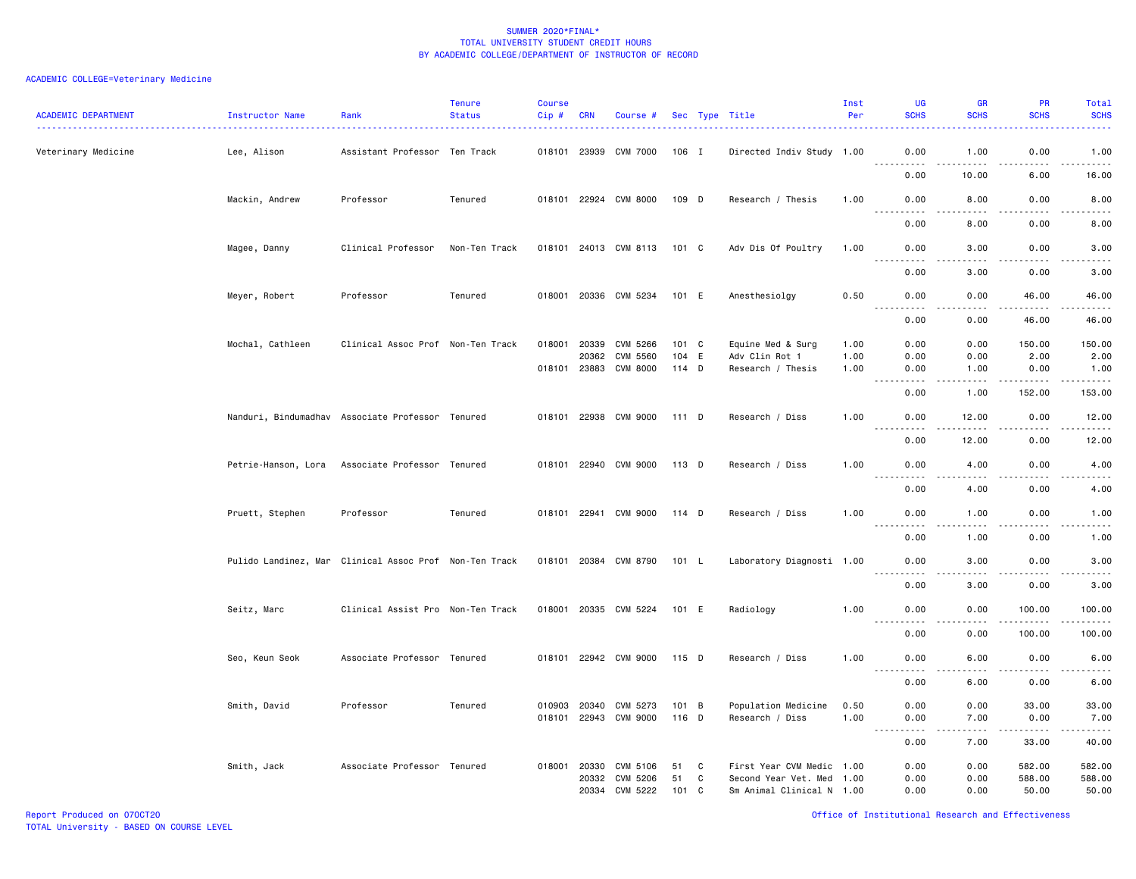| <b>ACADEMIC DEPARTMENT</b> | Instructor Name  | Rank                                                   | <b>Tenure</b><br><b>Status</b> | <b>Course</b><br>Cip# | <b>CRN</b>   | Course #              |       |   | Sec Type Title<br>.       | Inst<br>Per | UG<br><b>SCHS</b>                                                                                                                                         | <b>GR</b><br><b>SCHS</b> | PR<br><b>SCHS</b>                                                                                         | Total<br><b>SCHS</b> |
|----------------------------|------------------|--------------------------------------------------------|--------------------------------|-----------------------|--------------|-----------------------|-------|---|---------------------------|-------------|-----------------------------------------------------------------------------------------------------------------------------------------------------------|--------------------------|-----------------------------------------------------------------------------------------------------------|----------------------|
| Veterinary Medicine        | Lee, Alison      | Assistant Professor Ten Track                          |                                |                       |              | 018101 23939 CVM 7000 | 106 I |   | Directed Indiv Study 1.00 |             | 0.00                                                                                                                                                      | 1.00                     | 0.00                                                                                                      | 1.00                 |
|                            |                  |                                                        |                                |                       |              |                       |       |   |                           |             | .<br>0.00                                                                                                                                                 | 10.00                    | 6.00                                                                                                      | .<br>16.00           |
|                            | Mackin, Andrew   | Professor                                              | Tenured                        |                       |              | 018101 22924 CVM 8000 | 109 D |   | Research / Thesis         | 1.00        | 0.00<br>.                                                                                                                                                 | 8.00                     | 0.00                                                                                                      | 8.00<br>.            |
|                            |                  |                                                        |                                |                       |              |                       |       |   |                           |             | 0.00                                                                                                                                                      | 8.00                     | 0.00                                                                                                      | 8.00                 |
|                            | Magee, Danny     | Clinical Professor                                     | Non-Ten Track                  |                       |              | 018101 24013 CVM 8113 | 101 C |   | Adv Dis Of Poultry        | 1.00        | 0.00<br><u> - - - - - - - - - -</u>                                                                                                                       | 3.00<br>$- - - -$        | 0.00                                                                                                      | 3.00<br>المتحدة      |
|                            |                  |                                                        |                                |                       |              |                       |       |   |                           |             | 0.00                                                                                                                                                      | 3.00                     | 0.00                                                                                                      | 3.00                 |
|                            | Meyer, Robert    | Professor                                              | Tenured                        |                       |              | 018001 20336 CVM 5234 | 101 E |   | Anesthesiolgy             | 0.50        | 0.00                                                                                                                                                      | 0.00                     | 46.00                                                                                                     | 46.00                |
|                            |                  |                                                        |                                |                       |              |                       |       |   |                           |             | $\sim$ $\sim$ $\sim$<br>-----<br>0.00                                                                                                                     | .<br>0.00                | -----<br>46.00                                                                                            | .<br>46.00           |
|                            | Mochal, Cathleen | Clinical Assoc Prof Non-Ten Track                      |                                | 018001                | 20339        | CVM 5266              | 101 C |   | Equine Med & Surg         | 1.00        | 0.00                                                                                                                                                      | 0.00                     | 150.00                                                                                                    | 150.00               |
|                            |                  |                                                        |                                |                       | 20362        | <b>CVM 5560</b>       | 104   | E | Adv Clin Rot 1            | 1.00        | 0.00                                                                                                                                                      | 0.00                     | 2.00                                                                                                      | 2.00                 |
|                            |                  |                                                        |                                |                       |              | 018101 23883 CVM 8000 | 114 D |   | Research / Thesis         | 1.00        | 0.00<br>.                                                                                                                                                 | 1.00<br>.                | 0.00<br>.                                                                                                 | 1.00<br><u>.</u>     |
|                            |                  |                                                        |                                |                       |              |                       |       |   |                           |             | 0.00                                                                                                                                                      | 1.00                     | 152.00                                                                                                    | 153.00               |
|                            |                  | Nanduri, Bindumadhav Associate Professor Tenured       |                                |                       |              | 018101 22938 CVM 9000 | 111 D |   | Research / Diss           | 1.00        | 0.00<br>$\frac{1}{2}$<br>.                                                                                                                                | 12.00<br>.               | 0.00<br>.                                                                                                 | 12.00<br>.           |
|                            |                  |                                                        |                                |                       |              |                       |       |   |                           |             | 0.00                                                                                                                                                      | 12.00                    | 0.00                                                                                                      | 12.00                |
|                            |                  | Petrie-Hanson, Lora Associate Professor Tenured        |                                |                       |              | 018101 22940 CVM 9000 | 113 D |   | Research / Diss           | 1.00        | 0.00                                                                                                                                                      | 4.00                     | 0.00                                                                                                      | 4.00                 |
|                            |                  |                                                        |                                |                       |              |                       |       |   |                           |             | 0.00                                                                                                                                                      | 4.00                     | 0.00                                                                                                      | 4.00                 |
|                            | Pruett, Stephen  | Professor                                              | Tenured                        |                       |              | 018101 22941 CVM 9000 | 114 D |   | Research / Diss           | 1.00        | 0.00                                                                                                                                                      | 1.00                     | 0.00                                                                                                      | 1.00                 |
|                            |                  |                                                        |                                |                       |              |                       |       |   |                           |             | <u>.</u><br>0.00                                                                                                                                          | .<br>1.00                | .<br>0.00                                                                                                 | .<br>1.00            |
|                            |                  | Pulido Landinez, Mar Clinical Assoc Prof Non-Ten Track |                                |                       |              | 018101 20384 CVM 8790 | 101 L |   | Laboratory Diagnosti 1.00 |             | 0.00                                                                                                                                                      | 3.00                     | 0.00                                                                                                      | 3.00                 |
|                            |                  |                                                        |                                |                       |              |                       |       |   |                           |             | .<br>0.00                                                                                                                                                 | .<br>3.00                | .<br>0.00                                                                                                 | المتمامين<br>3.00    |
|                            | Seitz, Marc      | Clinical Assist Pro Non-Ten Track                      |                                |                       |              | 018001 20335 CVM 5224 | 101 E |   | Radiology                 | 1.00        | 0.00                                                                                                                                                      | 0.00                     | 100.00                                                                                                    | 100.00               |
|                            |                  |                                                        |                                |                       |              |                       |       |   |                           |             | <u>.</u><br>0.00                                                                                                                                          | $- - - -$<br>0.00        | . <b>.</b><br>100.00                                                                                      | .<br>100.00          |
|                            | Seo, Keun Seok   | Associate Professor Tenured                            |                                |                       |              | 018101 22942 CVM 9000 | 115 D |   | Research / Diss           | 1.00        | 0.00                                                                                                                                                      | 6.00                     | 0.00                                                                                                      | 6.00                 |
|                            |                  |                                                        |                                |                       |              |                       |       |   |                           |             | <u> - - - - - - - - - -</u><br>0.00                                                                                                                       | 6.00                     | 0.00                                                                                                      | د د د د<br>6.00      |
|                            | Smith, David     | Professor                                              | Tenured                        |                       |              | 010903 20340 CVM 5273 | 101 B |   | Population Medicine       | 0.50        | 0.00                                                                                                                                                      | 0.00                     | 33.00                                                                                                     | 33.00                |
|                            |                  |                                                        |                                |                       |              | 018101 22943 CVM 9000 | 116 D |   | Research / Diss           | 1.00        | 0.00<br>$\sim$ $\sim$ $\sim$<br>$\frac{1}{2} \left( \frac{1}{2} \right) \left( \frac{1}{2} \right) \left( \frac{1}{2} \right) \left( \frac{1}{2} \right)$ | 7.00<br>.                | 0.00<br>$\begin{array}{cccccccccc} \bullet & \bullet & \bullet & \bullet & \bullet & \bullet \end{array}$ | 7.00<br>المتماما     |
|                            |                  |                                                        |                                |                       |              |                       |       |   |                           |             | 0.00                                                                                                                                                      | 7.00                     | 33.00                                                                                                     | 40.00                |
|                            | Smith, Jack      | Associate Professor Tenured                            |                                |                       | 018001 20330 | CVM 5106              | 51    | C | First Year CVM Medic 1.00 |             | 0.00                                                                                                                                                      | 0.00                     | 582.00                                                                                                    | 582.00               |
|                            |                  |                                                        |                                |                       | 20332        | CVM 5206              | 51    | C | Second Year Vet. Med 1.00 |             | 0.00                                                                                                                                                      | 0.00                     | 588.00                                                                                                    | 588.00               |
|                            |                  |                                                        |                                |                       |              | 20334 CVM 5222        | 101 C |   | Sm Animal Clinical N 1.00 |             | 0.00                                                                                                                                                      | 0.00                     | 50.00                                                                                                     | 50.00                |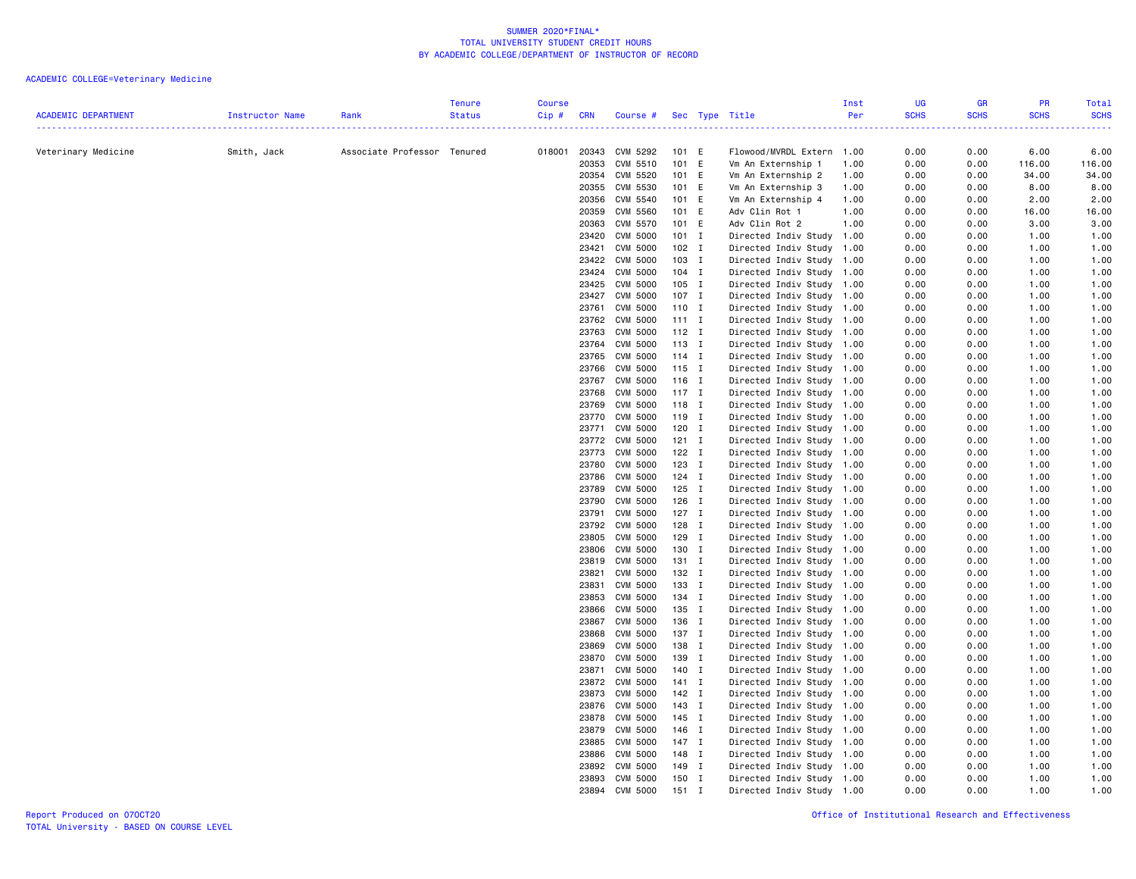| <b>ACADEMIC DEPARTMENT</b> | Instructor Name | Rank                        | <b>Tenure</b><br><b>Status</b> | <b>Course</b><br>Cip# | <b>CRN</b>     | Course #                    |                  |             | Sec Type Title                                         | Inst<br>Per | <b>UG</b><br><b>SCHS</b> | GR<br><b>SCHS</b>                                                                                                         | <b>PR</b><br><b>SCHS</b> | Total<br><b>SCHS</b> |
|----------------------------|-----------------|-----------------------------|--------------------------------|-----------------------|----------------|-----------------------------|------------------|-------------|--------------------------------------------------------|-------------|--------------------------|---------------------------------------------------------------------------------------------------------------------------|--------------------------|----------------------|
|                            |                 |                             |                                | .                     |                |                             |                  |             |                                                        |             | .                        | $\frac{1}{2} \left( \frac{1}{2} \right) \left( \frac{1}{2} \right) \left( \frac{1}{2} \right) \left( \frac{1}{2} \right)$ |                          | دعاعا عاماء          |
| Veterinary Medicine        | Smith, Jack     | Associate Professor Tenured |                                | 018001                |                | 20343 CVM 5292              | 101 E            |             | Flowood/MVRDL Extern 1.00                              |             | 0.00                     | 0.00                                                                                                                      | 6.00                     | 6.00                 |
|                            |                 |                             |                                |                       | 20353          | CVM 5510                    | 101 E            |             | Vm An Externship 1                                     | 1.00        | 0.00                     | 0.00                                                                                                                      | 116.00                   | 116.00               |
|                            |                 |                             |                                |                       | 20354          | CVM 5520                    | 101 E            |             | Vm An Externship 2                                     | 1.00        | 0.00                     | 0.00                                                                                                                      | 34.00                    | 34.00                |
|                            |                 |                             |                                |                       | 20355          | CVM 5530                    | 101 E            |             | Vm An Externship 3                                     | 1.00        | 0.00                     | 0.00                                                                                                                      | 8.00                     | 8.00                 |
|                            |                 |                             |                                |                       |                | 20356 CVM 5540              | 101 E            |             | Vm An Externship 4                                     | 1.00        | 0.00                     | 0.00                                                                                                                      | 2.00                     | 2.00                 |
|                            |                 |                             |                                |                       | 20359          | <b>CVM 5560</b>             | 101 E            |             | Adv Clin Rot 1                                         | 1.00        | 0.00                     | 0.00                                                                                                                      | 16.00                    | 16.00                |
|                            |                 |                             |                                |                       | 20363<br>23420 | CVM 5570<br>CVM 5000        | 101 E<br>$101$ I |             | Adv Clin Rot 2<br>Directed Indiv Study 1.00            | 1.00        | 0.00<br>0.00             | 0.00<br>0.00                                                                                                              | 3.00<br>1.00             | 3.00<br>1.00         |
|                            |                 |                             |                                |                       | 23421          | <b>CVM 5000</b>             | 102 I            |             | Directed Indiv Study 1.00                              |             | 0.00                     | 0.00                                                                                                                      | 1.00                     | 1.00                 |
|                            |                 |                             |                                |                       | 23422          | CVM 5000                    | 103 I            |             | Directed Indiv Study 1.00                              |             | 0.00                     | 0.00                                                                                                                      | 1.00                     | 1.00                 |
|                            |                 |                             |                                |                       | 23424          | <b>CVM 5000</b>             | $104$ I          |             | Directed Indiv Study                                   | 1.00        | 0.00                     | 0.00                                                                                                                      | 1.00                     | 1.00                 |
|                            |                 |                             |                                |                       | 23425          | CVM 5000                    | 105 I            |             | Directed Indiv Study 1.00                              |             | 0.00                     | 0.00                                                                                                                      | 1.00                     | 1.00                 |
|                            |                 |                             |                                |                       |                | 23427 CVM 5000              | 107 I            |             | Directed Indiv Study 1.00                              |             | 0.00                     | 0.00                                                                                                                      | 1.00                     | 1.00                 |
|                            |                 |                             |                                |                       | 23761          | <b>CVM 5000</b>             | 110 I            |             | Directed Indiv Study 1.00                              |             | 0.00                     | 0.00                                                                                                                      | 1.00                     | 1.00                 |
|                            |                 |                             |                                |                       |                | 23762 CVM 5000              | $111$ I          |             | Directed Indiv Study 1.00                              |             | 0.00                     | 0.00                                                                                                                      | 1.00                     | 1.00                 |
|                            |                 |                             |                                |                       | 23763          | CVM 5000                    | $112$ I          |             | Directed Indiv Study 1.00                              |             | 0.00                     | 0.00                                                                                                                      | 1.00                     | 1.00                 |
|                            |                 |                             |                                |                       | 23764          | CVM 5000                    | 113 I            |             | Directed Indiv Study 1.00                              |             | 0.00                     | 0.00                                                                                                                      | 1.00                     | 1.00                 |
|                            |                 |                             |                                |                       | 23765          | CVM 5000                    | $114$ I          |             | Directed Indiv Study 1.00                              |             | 0.00                     | 0.00                                                                                                                      | 1.00                     | 1.00                 |
|                            |                 |                             |                                |                       | 23766          | CVM 5000                    | 115 I            |             | Directed Indiv Study 1.00                              |             | 0.00                     | 0.00                                                                                                                      | 1.00                     | 1.00                 |
|                            |                 |                             |                                |                       |                | 23767 CVM 5000              | $116$ I          |             | Directed Indiv Study 1.00                              |             | 0.00                     | 0.00                                                                                                                      | 1.00                     | 1.00                 |
|                            |                 |                             |                                |                       | 23768          | CVM 5000                    | $117$ I          |             | Directed Indiv Study 1.00                              |             | 0.00                     | 0.00                                                                                                                      | 1.00                     | 1.00                 |
|                            |                 |                             |                                |                       | 23769          | CVM 5000                    | 118 I            |             | Directed Indiv Study 1.00                              |             | 0.00                     | 0.00                                                                                                                      | 1.00                     | 1.00                 |
|                            |                 |                             |                                |                       | 23770<br>23771 | <b>CVM 5000</b><br>CVM 5000 | 119 I<br>120 I   |             | Directed Indiv Study 1.00<br>Directed Indiv Study 1.00 |             | 0.00<br>0.00             | 0.00<br>0.00                                                                                                              | 1.00<br>1.00             | 1.00<br>1.00         |
|                            |                 |                             |                                |                       | 23772          | CVM 5000                    | $121$ I          |             | Directed Indiv Study 1.00                              |             | 0.00                     | 0.00                                                                                                                      | 1.00                     | 1.00                 |
|                            |                 |                             |                                |                       |                | 23773 CVM 5000              | 122 I            |             | Directed Indiv Study 1.00                              |             | 0.00                     | 0.00                                                                                                                      | 1.00                     | 1.00                 |
|                            |                 |                             |                                |                       | 23780          | CVM 5000                    | 123 I            |             | Directed Indiv Study 1.00                              |             | 0.00                     | 0.00                                                                                                                      | 1.00                     | 1.00                 |
|                            |                 |                             |                                |                       | 23786          | <b>CVM 5000</b>             | 124 I            |             | Directed Indiv Study 1.00                              |             | 0.00                     | 0.00                                                                                                                      | 1.00                     | 1.00                 |
|                            |                 |                             |                                |                       | 23789          | <b>CVM 5000</b>             | 125 I            |             | Directed Indiv Study 1.00                              |             | 0.00                     | 0.00                                                                                                                      | 1.00                     | 1.00                 |
|                            |                 |                             |                                |                       | 23790          | <b>CVM 5000</b>             | 126 I            |             | Directed Indiv Study 1.00                              |             | 0.00                     | 0.00                                                                                                                      | 1.00                     | 1.00                 |
|                            |                 |                             |                                |                       | 23791          | CVM 5000                    | 127 I            |             | Directed Indiv Study 1.00                              |             | 0.00                     | 0.00                                                                                                                      | 1.00                     | 1.00                 |
|                            |                 |                             |                                |                       |                | 23792 CVM 5000              | 128 I            |             | Directed Indiv Study 1.00                              |             | 0.00                     | 0.00                                                                                                                      | 1.00                     | 1.00                 |
|                            |                 |                             |                                |                       | 23805          | CVM 5000                    | 129 I            |             | Directed Indiv Study 1.00                              |             | 0.00                     | 0.00                                                                                                                      | 1.00                     | 1.00                 |
|                            |                 |                             |                                |                       | 23806          | CVM 5000                    | 130 I            |             | Directed Indiv Study 1.00                              |             | 0.00                     | 0.00                                                                                                                      | 1.00                     | 1.00                 |
|                            |                 |                             |                                |                       | 23819          | CVM 5000                    | 131 I            |             | Directed Indiv Study                                   | 1.00        | 0.00                     | 0.00                                                                                                                      | 1.00                     | 1.00                 |
|                            |                 |                             |                                |                       | 23821<br>23831 | <b>CVM 5000</b>             | 132 I<br>133 I   |             | Directed Indiv Study 1.00                              |             | 0.00<br>0.00             | 0.00                                                                                                                      | 1.00                     | 1.00                 |
|                            |                 |                             |                                |                       | 23853          | <b>CVM 5000</b><br>CVM 5000 | 134 I            |             | Directed Indiv Study 1.00<br>Directed Indiv Study 1.00 |             | 0.00                     | 0.00<br>0.00                                                                                                              | 1.00<br>1.00             | 1.00<br>1.00         |
|                            |                 |                             |                                |                       |                | 23866 CVM 5000              | 135 I            |             | Directed Indiv Study 1.00                              |             | 0.00                     | 0.00                                                                                                                      | 1.00                     | 1.00                 |
|                            |                 |                             |                                |                       |                | 23867 CVM 5000              | 136 I            |             | Directed Indiv Study 1.00                              |             | 0.00                     | 0.00                                                                                                                      | 1.00                     | 1.00                 |
|                            |                 |                             |                                |                       |                | 23868 CVM 5000              | 137 I            |             | Directed Indiv Study 1.00                              |             | 0.00                     | 0.00                                                                                                                      | 1.00                     | 1.00                 |
|                            |                 |                             |                                |                       | 23869          | CVM 5000                    | 138 I            |             | Directed Indiv Study 1.00                              |             | 0.00                     | 0.00                                                                                                                      | 1.00                     | 1.00                 |
|                            |                 |                             |                                |                       | 23870          | CVM 5000                    | 139 I            |             | Directed Indiv Study 1.00                              |             | 0.00                     | 0.00                                                                                                                      | 1.00                     | 1.00                 |
|                            |                 |                             |                                |                       | 23871          | CVM 5000                    | 140 I            |             | Directed Indiv Study 1.00                              |             | 0.00                     | 0.00                                                                                                                      | 1.00                     | 1.00                 |
|                            |                 |                             |                                |                       | 23872          | CVM 5000                    | 141 I            |             | Directed Indiv Study 1.00                              |             | 0.00                     | 0.00                                                                                                                      | 1.00                     | 1.00                 |
|                            |                 |                             |                                |                       | 23873          | CVM 5000                    | 142 I            |             | Directed Indiv Study 1.00                              |             | 0.00                     | 0.00                                                                                                                      | 1.00                     | 1.00                 |
|                            |                 |                             |                                |                       | 23876          | CVM 5000                    | 143 I            |             | Directed Indiv Study 1.00                              |             | 0.00                     | 0.00                                                                                                                      | 1.00                     | 1.00                 |
|                            |                 |                             |                                |                       | 23878          | CVM 5000                    | 145 I            |             | Directed Indiv Study 1.00                              |             | 0.00                     | 0.00                                                                                                                      | 1.00                     | 1.00                 |
|                            |                 |                             |                                |                       | 23879          | <b>CVM 5000</b>             | 146 I            |             | Directed Indiv Study                                   | 1.00        | 0.00                     | 0.00                                                                                                                      | 1.00                     | 1.00                 |
|                            |                 |                             |                                |                       | 23885<br>23886 | CVM 5000<br>CVM 5000        | 147 I<br>148 I   |             | Directed Indiv Study 1.00<br>Directed Indiv Study 1.00 |             | 0.00<br>0.00             | 0.00<br>0.00                                                                                                              | 1.00<br>1.00             | 1.00<br>1.00         |
|                            |                 |                             |                                |                       | 23892          | CVM 5000                    | 149              | I           | Directed Indiv Study 1.00                              |             | 0.00                     | 0.00                                                                                                                      | 1.00                     | 1.00                 |
|                            |                 |                             |                                |                       | 23893          | CVM 5000                    | 150 I            |             | Directed Indiv Study 1.00                              |             | 0.00                     | 0.00                                                                                                                      | 1.00                     | 1.00                 |
|                            |                 |                             |                                |                       | 23894          | <b>CVM 5000</b>             | 151              | $\mathbf I$ | Directed Indiv Study 1.00                              |             | 0.00                     | 0.00                                                                                                                      | 1.00                     | 1.00                 |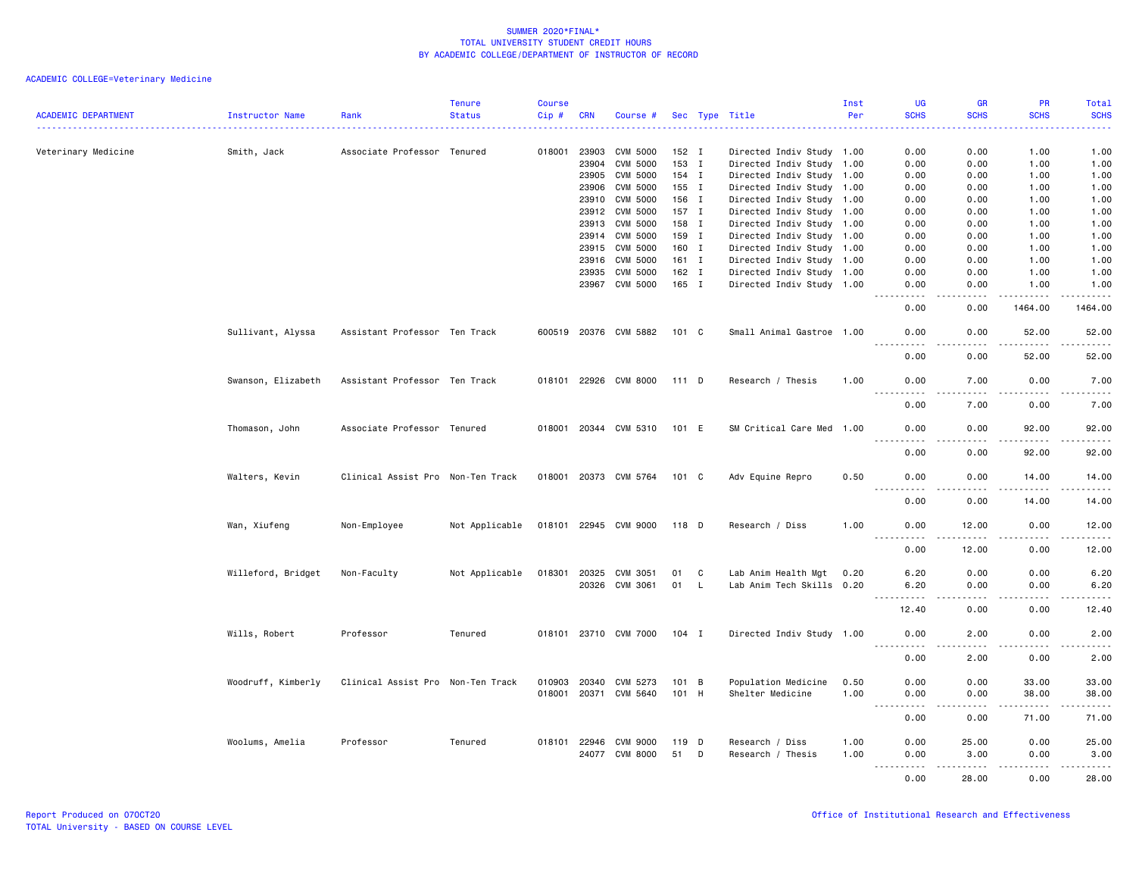| <b>ACADEMIC DEPARTMENT</b> | Instructor Name    | Rank                              | <b>Tenure</b><br><b>Status</b> | <b>Course</b><br>Cip# | <b>CRN</b> | Course #              |               |     | Sec Type Title            | Inst<br>Per | UG<br><b>SCHS</b>                                                                                                                                                                           | <b>GR</b><br><b>SCHS</b>                    | <b>PR</b><br><b>SCHS</b>                                                                                                                                      | <b>Total</b><br><b>SCHS</b>                 |
|----------------------------|--------------------|-----------------------------------|--------------------------------|-----------------------|------------|-----------------------|---------------|-----|---------------------------|-------------|---------------------------------------------------------------------------------------------------------------------------------------------------------------------------------------------|---------------------------------------------|---------------------------------------------------------------------------------------------------------------------------------------------------------------|---------------------------------------------|
|                            |                    |                                   |                                |                       |            |                       |               |     |                           |             |                                                                                                                                                                                             |                                             |                                                                                                                                                               |                                             |
| Veterinary Medicine        | Smith, Jack        | Associate Professor Tenured       |                                | 018001                | 23903      | CVM 5000              | 152 I         |     | Directed Indiv Study 1.00 |             | 0.00                                                                                                                                                                                        | 0.00                                        | 1.00                                                                                                                                                          | 1.00                                        |
|                            |                    |                                   |                                |                       | 23904      | CVM 5000              | 153 I         |     | Directed Indiv Study 1.00 |             | 0.00                                                                                                                                                                                        | 0.00                                        | 1.00                                                                                                                                                          | 1.00                                        |
|                            |                    |                                   |                                |                       | 23905      | CVM 5000              | 154 I         |     | Directed Indiv Study 1.00 |             | 0.00                                                                                                                                                                                        | 0.00                                        | 1.00                                                                                                                                                          | 1.00                                        |
|                            |                    |                                   |                                |                       | 23906      | <b>CVM 5000</b>       | 155 I         |     | Directed Indiv Study 1.00 |             | 0.00                                                                                                                                                                                        | 0.00                                        | 1.00                                                                                                                                                          | 1.00                                        |
|                            |                    |                                   |                                |                       | 23910      | CVM 5000              | 156 I         |     | Directed Indiv Study 1.00 |             | 0.00                                                                                                                                                                                        | 0.00                                        | 1.00                                                                                                                                                          | 1.00                                        |
|                            |                    |                                   |                                |                       | 23912      | CVM 5000              | 157 I         |     | Directed Indiv Study 1.00 |             | 0.00                                                                                                                                                                                        | 0.00                                        | 1.00                                                                                                                                                          | 1.00                                        |
|                            |                    |                                   |                                |                       | 23913      | CVM 5000              | 158 I         |     | Directed Indiv Study 1.00 |             | 0.00                                                                                                                                                                                        | 0.00                                        | 1.00                                                                                                                                                          | 1.00                                        |
|                            |                    |                                   |                                |                       | 23914      | CVM 5000              | 159 I         |     | Directed Indiv Study 1.00 |             | 0.00                                                                                                                                                                                        | 0.00                                        | 1.00                                                                                                                                                          | 1.00                                        |
|                            |                    |                                   |                                |                       | 23915      | CVM 5000              | 160 I         |     | Directed Indiv Study 1.00 |             | 0.00                                                                                                                                                                                        | 0.00                                        | 1.00                                                                                                                                                          | 1.00                                        |
|                            |                    |                                   |                                |                       | 23916      | CVM 5000              | 161 I         |     | Directed Indiv Study 1.00 |             | 0.00                                                                                                                                                                                        | 0.00                                        | 1.00                                                                                                                                                          | 1.00                                        |
|                            |                    |                                   |                                |                       | 23935      | CVM 5000              | 162 I         |     | Directed Indiv Study 1.00 |             | 0.00                                                                                                                                                                                        | 0.00                                        | 1.00                                                                                                                                                          | 1.00                                        |
|                            |                    |                                   |                                |                       |            | 23967 CVM 5000        | 165 I         |     | Directed Indiv Study 1.00 |             | 0.00<br>.                                                                                                                                                                                   | 0.00<br>$\omega$ $\omega$ $\omega$ $\omega$ | 1.00<br>$-$ - - - - $-$                                                                                                                                       | 1.00<br>------                              |
|                            |                    |                                   |                                |                       |            |                       |               |     |                           |             | 0.00                                                                                                                                                                                        | 0.00                                        | 1464.00                                                                                                                                                       | 1464.00                                     |
|                            | Sullivant, Alyssa  | Assistant Professor Ten Track     |                                |                       |            | 600519 20376 CVM 5882 | 101 C         |     | Small Animal Gastroe 1.00 |             | 0.00                                                                                                                                                                                        | 0.00                                        | 52.00                                                                                                                                                         | 52.00                                       |
|                            |                    |                                   |                                |                       |            |                       |               |     |                           |             | 0.00                                                                                                                                                                                        | 0.00                                        | 52.00                                                                                                                                                         | 52.00                                       |
|                            | Swanson, Elizabeth | Assistant Professor Ten Track     |                                |                       |            | 018101 22926 CVM 8000 | 111 D         |     | Research / Thesis         | 1.00        | 0.00                                                                                                                                                                                        | 7.00                                        | 0.00                                                                                                                                                          | 7.00                                        |
|                            |                    |                                   |                                |                       |            |                       |               |     |                           |             | 0.00                                                                                                                                                                                        | 7.00                                        | 0.00                                                                                                                                                          | 7.00                                        |
|                            | Thomason, John     | Associate Professor Tenured       |                                |                       |            | 018001 20344 CVM 5310 | 101 E         |     | SM Critical Care Med 1.00 |             | 0.00                                                                                                                                                                                        | 0.00                                        | 92.00                                                                                                                                                         | 92.00                                       |
|                            |                    |                                   |                                |                       |            |                       |               |     |                           |             | $\sim$ $\sim$ $\sim$<br>0.00                                                                                                                                                                | 0.00                                        | .<br>92.00                                                                                                                                                    | $\sim$ $\sim$ $\sim$ $\sim$ $\sim$<br>92.00 |
|                            | Walters, Kevin     | Clinical Assist Pro Non-Ten Track |                                |                       |            | 018001 20373 CVM 5764 | 101 C         |     | Adv Equine Repro          | 0.50        | 0.00                                                                                                                                                                                        | 0.00                                        | 14.00                                                                                                                                                         | 14.00                                       |
|                            |                    |                                   |                                |                       |            |                       |               |     |                           |             | $\sim$ $\sim$ $\sim$ $\sim$<br>$\frac{1}{2} \left( \frac{1}{2} \right) \left( \frac{1}{2} \right) \left( \frac{1}{2} \right) \left( \frac{1}{2} \right) \left( \frac{1}{2} \right)$<br>0.00 | $\sim$ $\sim$ $\sim$ $\sim$<br>0.00         | $\frac{1}{2} \left( \frac{1}{2} \right) \left( \frac{1}{2} \right) \left( \frac{1}{2} \right) \left( \frac{1}{2} \right) \left( \frac{1}{2} \right)$<br>14.00 | .<br>14.00                                  |
|                            | Wan, Xiufeng       | Non-Employee                      | Not Applicable                 |                       |            | 018101 22945 CVM 9000 | 118 D         |     | Research / Diss           | 1.00        | 0.00                                                                                                                                                                                        | 12.00                                       | 0.00                                                                                                                                                          | 12.00                                       |
|                            |                    |                                   |                                |                       |            |                       |               |     |                           |             | $\frac{1}{2}$<br>0.00                                                                                                                                                                       | .<br>12.00                                  | .<br>0.00                                                                                                                                                     | .<br>12.00                                  |
|                            | Willeford, Bridget | Non-Faculty                       | Not Applicable                 | 018301                | 20325      | CVM 3051              | 01            | C   | Lab Anim Health Mgt       | 0.20        | 6.20                                                                                                                                                                                        | 0.00                                        | 0.00                                                                                                                                                          | 6.20                                        |
|                            |                    |                                   |                                |                       |            | 20326 CVM 3061        | 01            | - L | Lab Anim Tech Skills 0.20 |             | 6.20                                                                                                                                                                                        | 0.00                                        | 0.00                                                                                                                                                          | 6.20                                        |
|                            |                    |                                   |                                |                       |            |                       |               |     |                           |             | 12.40                                                                                                                                                                                       | 0.00                                        | 0.00                                                                                                                                                          | 12.40                                       |
|                            | Wills, Robert      | Professor                         | Tenured                        |                       |            | 018101 23710 CVM 7000 | $104$ I       |     | Directed Indiv Study 1.00 |             | 0.00                                                                                                                                                                                        | 2.00                                        | 0.00                                                                                                                                                          | 2.00                                        |
|                            |                    |                                   |                                |                       |            |                       |               |     |                           |             | <u>.</u><br>0.00                                                                                                                                                                            | د د د د<br>2.00                             | .<br>0.00                                                                                                                                                     | $\sim$ $\sim$ $\sim$ $\sim$ $\sim$<br>2.00  |
|                            | Woodruff, Kimberly | Clinical Assist Pro Non-Ten Track |                                | 010903                | 20340      | CVM 5273              | $101 \quad B$ |     | Population Medicine       | 0.50        | 0.00                                                                                                                                                                                        | 0.00                                        | 33.00                                                                                                                                                         | 33.00                                       |
|                            |                    |                                   |                                |                       |            | 018001 20371 CVM 5640 | 101 H         |     | Shelter Medicine          | 1.00        | 0.00<br>$\sim$ $\sim$ $\sim$<br>.                                                                                                                                                           | 0.00<br>.                                   | 38.00<br>.                                                                                                                                                    | 38.00<br>.                                  |
|                            |                    |                                   |                                |                       |            |                       |               |     |                           |             | 0.00                                                                                                                                                                                        | 0.00                                        | 71.00                                                                                                                                                         | 71.00                                       |
|                            | Woolums, Amelia    | Professor                         | Tenured                        | 018101                | 22946      | CVM 9000              | 119 D         |     | Research / Diss           | 1.00        | 0.00                                                                                                                                                                                        | 25.00                                       | 0.00                                                                                                                                                          | 25.00                                       |
|                            |                    |                                   |                                |                       |            | 24077 CVM 8000        | 51            | D   | Research / Thesis         | 1.00        | 0.00<br>$- - - - -$                                                                                                                                                                         | 3.00<br>.                                   | 0.00<br>.                                                                                                                                                     | 3.00<br>.                                   |
|                            |                    |                                   |                                |                       |            |                       |               |     |                           |             | 0.00                                                                                                                                                                                        | 28.00                                       | 0.00                                                                                                                                                          | 28.00                                       |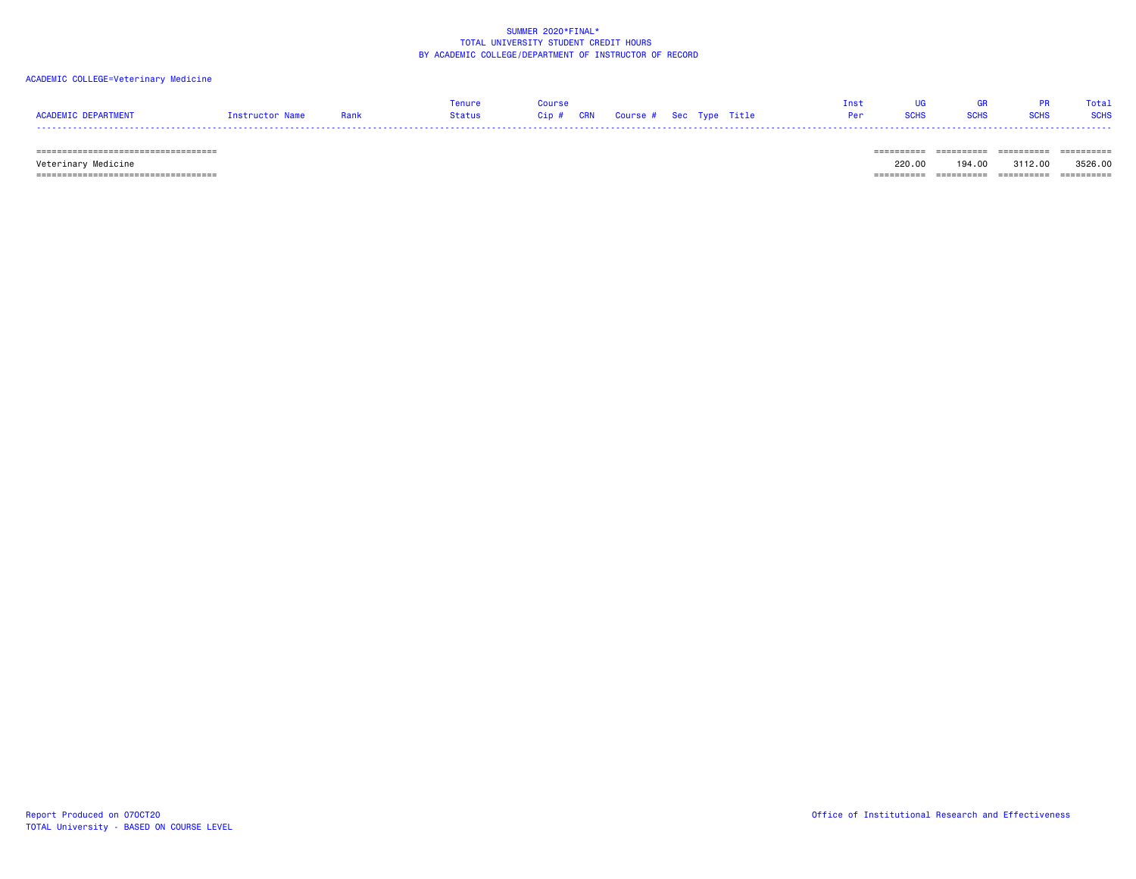### ACADEMIC COLLEGE=Veterinary Medicine

|                     |                 |      | enure  | Course                            |  | Tnst |             | <b>GR</b>   |             | Total       |
|---------------------|-----------------|------|--------|-----------------------------------|--|------|-------------|-------------|-------------|-------------|
| ACADEMIC DEPARTMENT | Instructor Name | Rank | Status | Cip # CRN Course # Sec Type Title |  | Per  | <b>SCHS</b> | <b>SCHS</b> | <b>SCHS</b> | <b>SCHS</b> |
|                     |                 |      |        |                                   |  |      |             |             |             |             |

 =================================== ========== ========== ========== ========== Veterinary Medicine 220.00 194.00 3112.00 3526.00  $=$